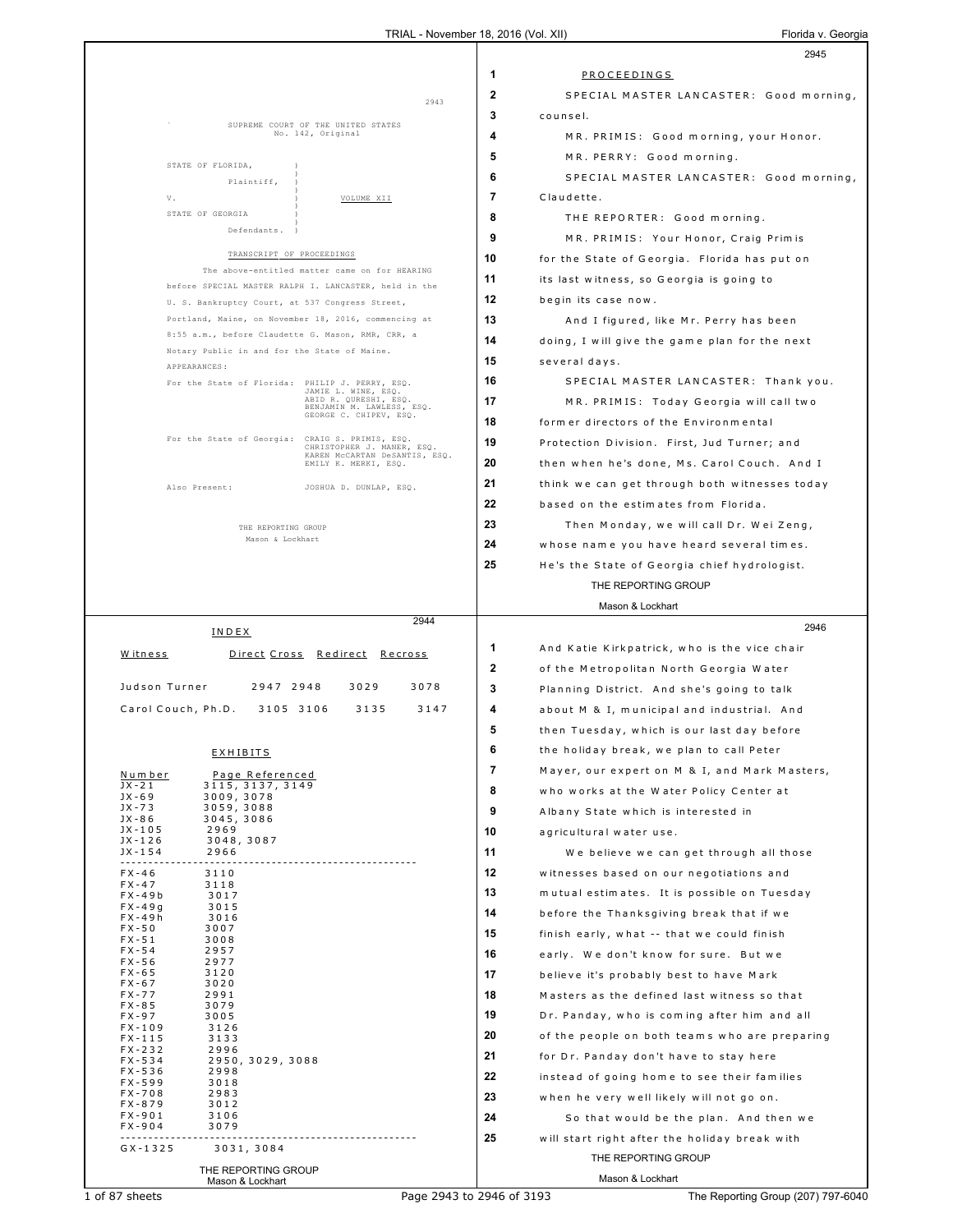|                                                                                                         | 2945                                                    |
|---------------------------------------------------------------------------------------------------------|---------------------------------------------------------|
|                                                                                                         | 1<br>PROCEEDINGS                                        |
|                                                                                                         | $\mathbf{2}$<br>SPECIAL MASTER LANCASTER: Good morning, |
| 2943                                                                                                    | 3<br>counsel.                                           |
| SUPREME COURT OF THE UNITED STATES<br>No. 142, Original                                                 | 4<br>MR. PRIMIS: Good morning, your Honor.              |
|                                                                                                         | 5<br>MR. PERRY: Good morning.                           |
| STATE OF FLORIDA,                                                                                       | 6<br>SPECIAL MASTER LANCASTER: Good morning,            |
| Plaintiff,<br>V.<br>VOLUME XII                                                                          | 7<br>Claudette.                                         |
| STATE OF GEORGIA                                                                                        | 8<br>THE REPORTER: Good morning.                        |
| Defendants.                                                                                             | 9<br>MR. PRIMIS: Your Honor, Craig Primis               |
| TRANSCRIPT OF PROCEEDINGS                                                                               | 10<br>for the State of Georgia. Florida has put on      |
| The above-entitled matter came on for HEARING                                                           | 11<br>its last witness, so Georgia is going to          |
| before SPECIAL MASTER RALPH I. LANCASTER, held in the                                                   | 12<br>begin its case now.                               |
| U. S. Bankruptcy Court, at 537 Congress Street,<br>Portland, Maine, on November 18, 2016, commencing at | 13                                                      |
| 8:55 a.m., before Claudette G. Mason, RMR, CRR, a                                                       | And I figured, like Mr. Perry has been<br>14            |
| Notary Public in and for the State of Maine.                                                            | doing, I will give the game plan for the next<br>15     |
| APPEARANCES:                                                                                            | several days.                                           |
| For the State of Florida: PHILIP J. PERRY, ESQ.<br>JAMIE L. WINE, ESQ.<br>ABID R. QURESHI, ESQ.         | 16<br>SPECIAL MASTER LANCASTER: Thank you.              |
| BENJAMIN M. LAWLESS, ESQ.<br>GEORGE C. CHIPEV, ESQ.                                                     | 17<br>MR. PRIMIS: Today Georgia will call two           |
| For the State of Georgia: CRAIG S. PRIMIS, ESQ.                                                         | 18<br>former directors of the Environmental             |
| CHRISTOPHER J. MANER, ESQ.<br>KAREN MCCARTAN DeSANTIS, ESQ.                                             | 19<br>Protection Division. First, Jud Turner; and       |
| EMILY K. MERKI, ESQ.                                                                                    | 20<br>then when he's done, Ms. Carol Couch. And I       |
| JOSHUA D. DUNLAP, ESQ.<br>Also Present:                                                                 | 21<br>think we can get through both witnesses today     |
|                                                                                                         | 22<br>based on the estimates from Florida.              |
| THE REPORTING GROUP<br>Mason & Lockhart                                                                 | 23<br>Then Monday, we will call Dr. Wei Zeng,           |
|                                                                                                         | 24<br>whose name you have heard several times.          |
|                                                                                                         | 25<br>He's the State of Georgia chief hydrologist.      |
|                                                                                                         | THE REPORTING GROUP                                     |
| 2944                                                                                                    | Mason & Lockhart                                        |
| INDEX                                                                                                   | 2946                                                    |
| Witness<br>Direct Cross Redirect Recross                                                                | 1<br>And Katie Kirkpatrick, who is the vice chair       |
|                                                                                                         | $\mathbf{2}$<br>of the Metropolitan North Georgia Water |
| Judson Turner<br>2947 2948<br>3029<br>3078                                                              | 3<br>Planning District. And she's going to talk         |
| Carol Couch, Ph.D.<br>3135<br>3105 3106<br>3147                                                         | 4<br>about M & I, municipal and industrial. And         |
|                                                                                                         |                                                         |
|                                                                                                         | 5<br>then Tuesday, which is our last day before         |
| <b>EXHIBITS</b>                                                                                         | 6<br>the holiday break, we plan to call Peter           |
| Number<br>Page Referenced                                                                               | 7<br>Mayer, our expert on M & I, and Mark Masters,      |
| $JX - 21$<br>3115, 3137, 3149<br>$JX - 69$<br>3009, 3078                                                | 8<br>who works at the Water Policy Center at            |
| $JX - 73$<br>3059, 3088<br>JX - 86<br>3045, 3086                                                        | 9<br>Albany State which is interested in                |
| JX-105<br>2969<br>$JX - 126$<br>3048, 3087                                                              | 10<br>agricultural water use.                           |
| $JX - 154$<br>2966<br>.                                                                                 | 11<br>We believe we can get through all those           |
| $FX - 46$<br>3110<br>$FX - 47$<br>3118                                                                  | 12<br>witnesses based on our negotiations and           |
| $FX - 49b$<br>3017                                                                                      | 13<br>mutual estimates. It is possible on Tuesday       |
| $FX - 49g$<br>3015<br>$FX - 49h$<br>3016                                                                | 14<br>before the Thanksgiving break that if we          |
| $FX - 50$<br>3007<br>$FX - 51$<br>3008                                                                  | 15<br>finish early, what -- that we could finish        |
| $FX - 54$<br>2957<br>$FX - 56$<br>2977                                                                  | 16<br>early. We don't know for sure. But we             |
| $FX - 65$<br>3120<br>$FX - 67$<br>3020                                                                  | 17<br>believe it's probably best to have Mark           |
| $FX - 77$<br>2991<br>FX-85<br>3079                                                                      | 18<br>Masters as the defined last witness so that       |
| $FX - 97$<br>3005                                                                                       | 19<br>Dr. Panday, who is coming after him and all       |
| $FX - 109$<br>3126<br>$FX - 115$<br>3133                                                                | 20<br>of the people on both teams who are preparing     |
| $FX - 232$<br>2996<br>$FX - 534$<br>2950, 3029, 3088                                                    | 21<br>for Dr. Panday don't have to stay here            |
| $FX - 536$<br>2998<br>$FX - 599$<br>3018                                                                | 22<br>instead of going home to see their families       |
| 2983<br>FX-708<br>FX-879<br>3012                                                                        | 23<br>when he very well likely will not go on.          |
| $FX - 901$<br>3106<br>$FX - 904$<br>3079                                                                | 24<br>So that would be the plan. And then we            |
| $GX - 1325$<br>3031, 3084                                                                               | 25<br>will start right after the holiday break with     |
| THE REPORTING GROUP                                                                                     | THE REPORTING GROUP                                     |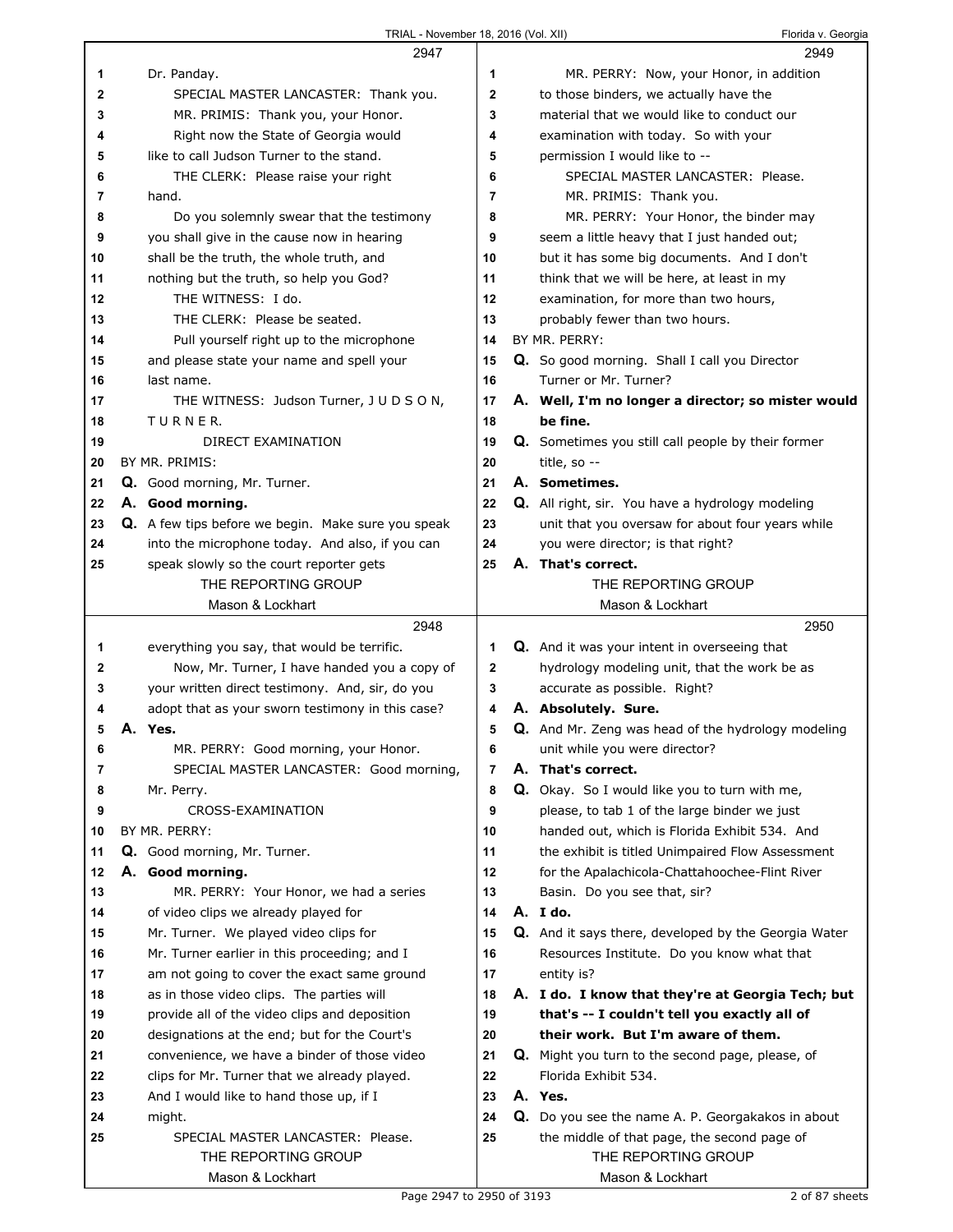|    | 2947                                               |             | 2949                                                 |
|----|----------------------------------------------------|-------------|------------------------------------------------------|
| 1  | Dr. Panday.                                        | 1           | MR. PERRY: Now, your Honor, in addition              |
| 2  | SPECIAL MASTER LANCASTER: Thank you.               | 2           | to those binders, we actually have the               |
| 3  | MR. PRIMIS: Thank you, your Honor.                 | 3           | material that we would like to conduct our           |
| 4  | Right now the State of Georgia would               | 4           | examination with today. So with your                 |
| 5  | like to call Judson Turner to the stand.           | 5           | permission I would like to --                        |
| 6  | THE CLERK: Please raise your right                 | 6           | SPECIAL MASTER LANCASTER: Please.                    |
| 7  | hand.                                              | 7           | MR. PRIMIS: Thank you.                               |
| 8  | Do you solemnly swear that the testimony           | 8           | MR. PERRY: Your Honor, the binder may                |
| 9  | you shall give in the cause now in hearing         | 9           | seem a little heavy that I just handed out;          |
| 10 | shall be the truth, the whole truth, and           | 10          | but it has some big documents. And I don't           |
| 11 | nothing but the truth, so help you God?            | 11          | think that we will be here, at least in my           |
| 12 | THE WITNESS: I do.                                 | 12          | examination, for more than two hours,                |
| 13 | THE CLERK: Please be seated.                       | 13          | probably fewer than two hours.                       |
| 14 |                                                    | 14          | BY MR. PERRY:                                        |
|    | Pull yourself right up to the microphone           |             |                                                      |
| 15 | and please state your name and spell your          | 15          | Q. So good morning. Shall I call you Director        |
| 16 | last name.                                         | 16          | Turner or Mr. Turner?                                |
| 17 | THE WITNESS: Judson Turner, J U D S O N,           | 17          | A. Well, I'm no longer a director; so mister would   |
| 18 | TURNER.                                            | 18          | be fine.                                             |
| 19 | DIRECT EXAMINATION                                 | 19          | Q. Sometimes you still call people by their former   |
| 20 | BY MR. PRIMIS:                                     | 20          | title, so --                                         |
| 21 | Q. Good morning, Mr. Turner.                       | 21          | A. Sometimes.                                        |
| 22 | A. Good morning.                                   | 22          | Q. All right, sir. You have a hydrology modeling     |
| 23 | Q. A few tips before we begin. Make sure you speak | 23          | unit that you oversaw for about four years while     |
| 24 | into the microphone today. And also, if you can    | 24          | you were director; is that right?                    |
| 25 | speak slowly so the court reporter gets            | 25          | A. That's correct.                                   |
|    | THE REPORTING GROUP                                |             | THE REPORTING GROUP                                  |
|    | Mason & Lockhart                                   |             | Mason & Lockhart                                     |
|    |                                                    |             |                                                      |
|    | 2948                                               |             | 2950                                                 |
| 1  | everything you say, that would be terrific.        | 1           | Q. And it was your intent in overseeing that         |
| 2  | Now, Mr. Turner, I have handed you a copy of       | $\mathbf 2$ | hydrology modeling unit, that the work be as         |
| 3  | your written direct testimony. And, sir, do you    | 3           | accurate as possible. Right?                         |
| 4  | adopt that as your sworn testimony in this case?   | 4           | A. Absolutely. Sure.                                 |
| 5  | A. Yes.                                            | 5           | Q. And Mr. Zeng was head of the hydrology modeling   |
| 6  | MR. PERRY: Good morning, your Honor.               | 6           | unit while you were director?                        |
| 7  | SPECIAL MASTER LANCASTER: Good morning,            | 7           | A. That's correct.                                   |
| 8  | Mr. Perry.                                         | 8           | Q. Okay. So I would like you to turn with me,        |
| 9  | CROSS-EXAMINATION                                  | 9           | please, to tab 1 of the large binder we just         |
| 10 | BY MR. PERRY:                                      | 10          | handed out, which is Florida Exhibit 534. And        |
| 11 | Q. Good morning, Mr. Turner.                       | 11          | the exhibit is titled Unimpaired Flow Assessment     |
| 12 | A. Good morning.                                   | 12          | for the Apalachicola-Chattahoochee-Flint River       |
| 13 | MR. PERRY: Your Honor, we had a series             | 13          | Basin. Do you see that, sir?                         |
| 14 | of video clips we already played for               | 14          | A. I do.                                             |
| 15 | Mr. Turner. We played video clips for              | 15          | Q. And it says there, developed by the Georgia Water |
| 16 | Mr. Turner earlier in this proceeding; and I       | 16          | Resources Institute. Do you know what that           |
| 17 | am not going to cover the exact same ground        | 17          | entity is?                                           |
| 18 | as in those video clips. The parties will          | 18          | A. I do. I know that they're at Georgia Tech; but    |
| 19 | provide all of the video clips and deposition      | 19          | that's -- I couldn't tell you exactly all of         |
| 20 | designations at the end; but for the Court's       | 20          | their work. But I'm aware of them.                   |
| 21 | convenience, we have a binder of those video       | 21          | Q. Might you turn to the second page, please, of     |
| 22 | clips for Mr. Turner that we already played.       | 22          | Florida Exhibit 534.                                 |
| 23 | And I would like to hand those up, if I            | 23          | A. Yes.                                              |
| 24 | might.                                             | 24          | Q. Do you see the name A. P. Georgakakos in about    |
| 25 | SPECIAL MASTER LANCASTER: Please.                  | 25          | the middle of that page, the second page of          |
|    | THE REPORTING GROUP<br>Mason & Lockhart            |             | THE REPORTING GROUP<br>Mason & Lockhart              |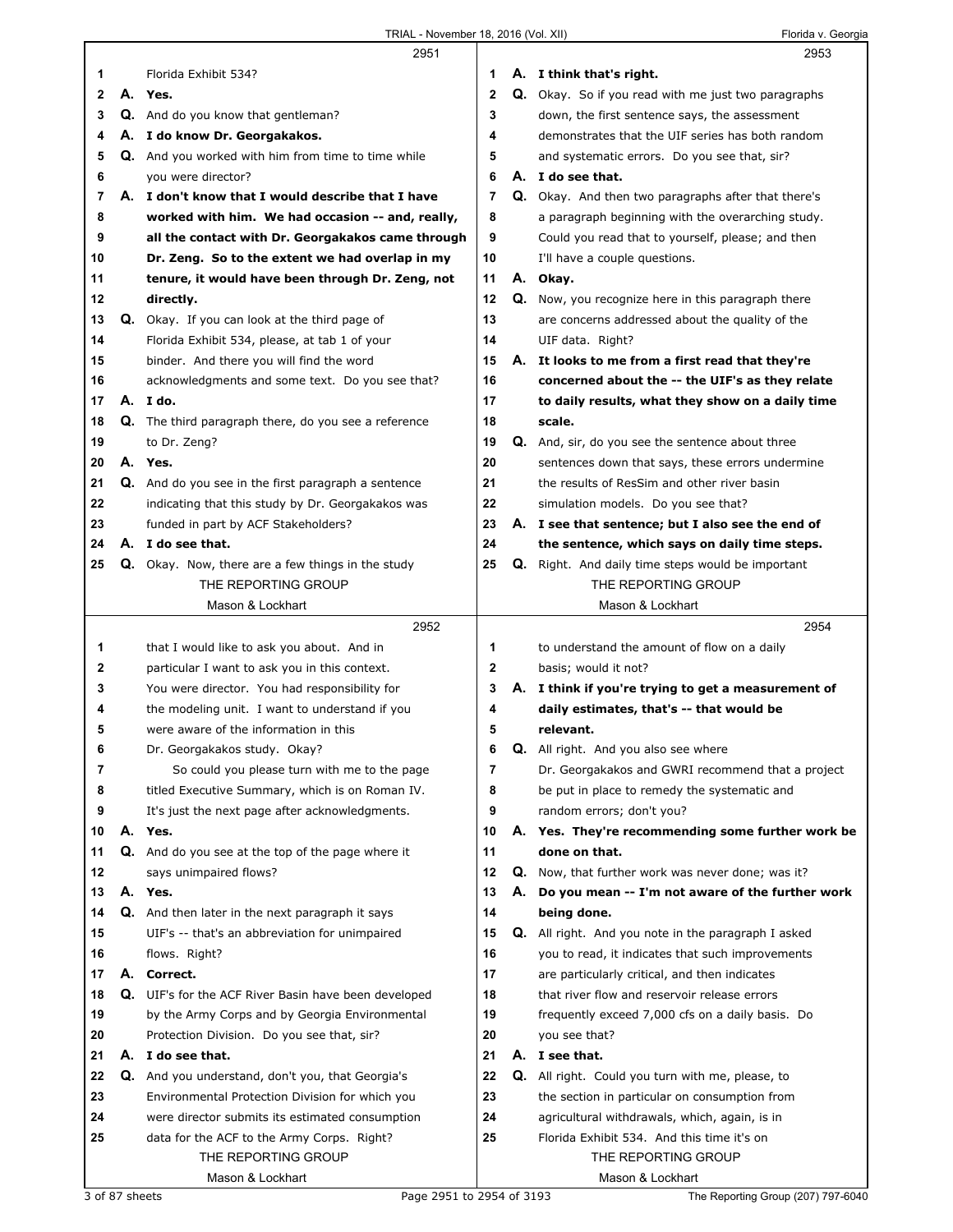|    |    | 2951                                                        |              | 2953                                                       |
|----|----|-------------------------------------------------------------|--------------|------------------------------------------------------------|
| 1  |    | Florida Exhibit 534?                                        | 1            | A. I think that's right.                                   |
| 2  |    | A. Yes.                                                     | $\mathbf{2}$ | <b>Q.</b> Okay. So if you read with me just two paragraphs |
| 3  |    | Q. And do you know that gentleman?                          | 3            | down, the first sentence says, the assessment              |
| 4  |    | A. I do know Dr. Georgakakos.                               | 4            | demonstrates that the UIF series has both random           |
| 5  |    | Q. And you worked with him from time to time while          | 5            | and systematic errors. Do you see that, sir?               |
| 6  |    | you were director?                                          | 6            | A. I do see that.                                          |
| 7  |    | A. I don't know that I would describe that I have           | 7            | Q. Okay. And then two paragraphs after that there's        |
| 8  |    | worked with him. We had occasion -- and, really,            | 8            | a paragraph beginning with the overarching study.          |
| 9  |    | all the contact with Dr. Georgakakos came through           | 9            | Could you read that to yourself, please; and then          |
| 10 |    | Dr. Zeng. So to the extent we had overlap in my             | 10           | I'll have a couple questions.                              |
| 11 |    | tenure, it would have been through Dr. Zeng, not            | 11           | A. Okay.                                                   |
| 12 |    | directly.                                                   | 12           | Q. Now, you recognize here in this paragraph there         |
| 13 |    | Q. Okay. If you can look at the third page of               | 13           | are concerns addressed about the quality of the            |
| 14 |    | Florida Exhibit 534, please, at tab 1 of your               | 14           | UIF data. Right?                                           |
| 15 |    | binder. And there you will find the word                    | 15           | A. It looks to me from a first read that they're           |
| 16 |    | acknowledgments and some text. Do you see that?             | 16           | concerned about the -- the UIF's as they relate            |
| 17 |    | A.Ido.                                                      | 17           | to daily results, what they show on a daily time           |
| 18 |    | Q. The third paragraph there, do you see a reference        | 18           | scale.                                                     |
| 19 |    | to Dr. Zeng?                                                | 19           | Q. And, sir, do you see the sentence about three           |
| 20 |    | A. Yes.                                                     | 20           | sentences down that says, these errors undermine           |
| 21 |    | <b>Q.</b> And do you see in the first paragraph a sentence  | 21           | the results of ResSim and other river basin                |
| 22 |    | indicating that this study by Dr. Georgakakos was           | 22           | simulation models. Do you see that?                        |
| 23 |    | funded in part by ACF Stakeholders?                         | 23           | A. I see that sentence; but I also see the end of          |
| 24 |    | A. I do see that.                                           | 24           | the sentence, which says on daily time steps.              |
| 25 |    | <b>Q.</b> Okay. Now, there are a few things in the study    | 25           | <b>Q.</b> Right. And daily time steps would be important   |
|    |    | THE REPORTING GROUP                                         |              | THE REPORTING GROUP                                        |
|    |    | Mason & Lockhart                                            |              | Mason & Lockhart                                           |
|    |    |                                                             |              |                                                            |
|    |    |                                                             |              |                                                            |
|    |    | 2952                                                        |              | 2954                                                       |
| 1  |    | that I would like to ask you about. And in                  | 1            | to understand the amount of flow on a daily                |
| 2  |    | particular I want to ask you in this context.               | 2            | basis; would it not?                                       |
| 3  |    | You were director. You had responsibility for               | 3            | A. I think if you're trying to get a measurement of        |
| 4  |    | the modeling unit. I want to understand if you              | 4            | daily estimates, that's -- that would be                   |
| 5  |    | were aware of the information in this                       | 5            | relevant.                                                  |
| 6  |    | Dr. Georgakakos study. Okay?                                | 6            | Q. All right. And you also see where                       |
| 7  |    | So could you please turn with me to the page                | 7            | Dr. Georgakakos and GWRI recommend that a project          |
| 8  |    | titled Executive Summary, which is on Roman IV.             | 8            | be put in place to remedy the systematic and               |
| 9  |    | It's just the next page after acknowledgments.              | 9            | random errors; don't you?                                  |
| 10 |    | A. Yes.                                                     | 10           | A. Yes. They're recommending some further work be          |
| 11 |    | Q. And do you see at the top of the page where it           | 11           | done on that.                                              |
| 12 |    | says unimpaired flows?                                      | 12           | Q. Now, that further work was never done; was it?          |
| 13 |    | A. Yes.                                                     | 13           | A. Do you mean -- I'm not aware of the further work        |
| 14 |    | <b>Q.</b> And then later in the next paragraph it says      | 14           | being done.                                                |
| 15 |    | UIF's -- that's an abbreviation for unimpaired              | 15           | Q. All right. And you note in the paragraph I asked        |
| 16 |    | flows. Right?                                               | 16           | you to read, it indicates that such improvements           |
| 17 |    | A. Correct.                                                 | 17           | are particularly critical, and then indicates              |
| 18 |    | <b>Q.</b> UIF's for the ACF River Basin have been developed | 18           | that river flow and reservoir release errors               |
| 19 |    | by the Army Corps and by Georgia Environmental              | 19           | frequently exceed 7,000 cfs on a daily basis. Do           |
| 20 |    | Protection Division. Do you see that, sir?                  | 20           | you see that?                                              |
| 21 | А. | I do see that.                                              | 21           | A. I see that.                                             |
| 22 |    | Q. And you understand, don't you, that Georgia's            | 22           | Q. All right. Could you turn with me, please, to           |
| 23 |    | Environmental Protection Division for which you             | 23           | the section in particular on consumption from              |
| 24 |    | were director submits its estimated consumption             | 24           | agricultural withdrawals, which, again, is in              |
| 25 |    | data for the ACF to the Army Corps. Right?                  | 25           | Florida Exhibit 534. And this time it's on                 |
|    |    | THE REPORTING GROUP<br>Mason & Lockhart                     |              | THE REPORTING GROUP<br>Mason & Lockhart                    |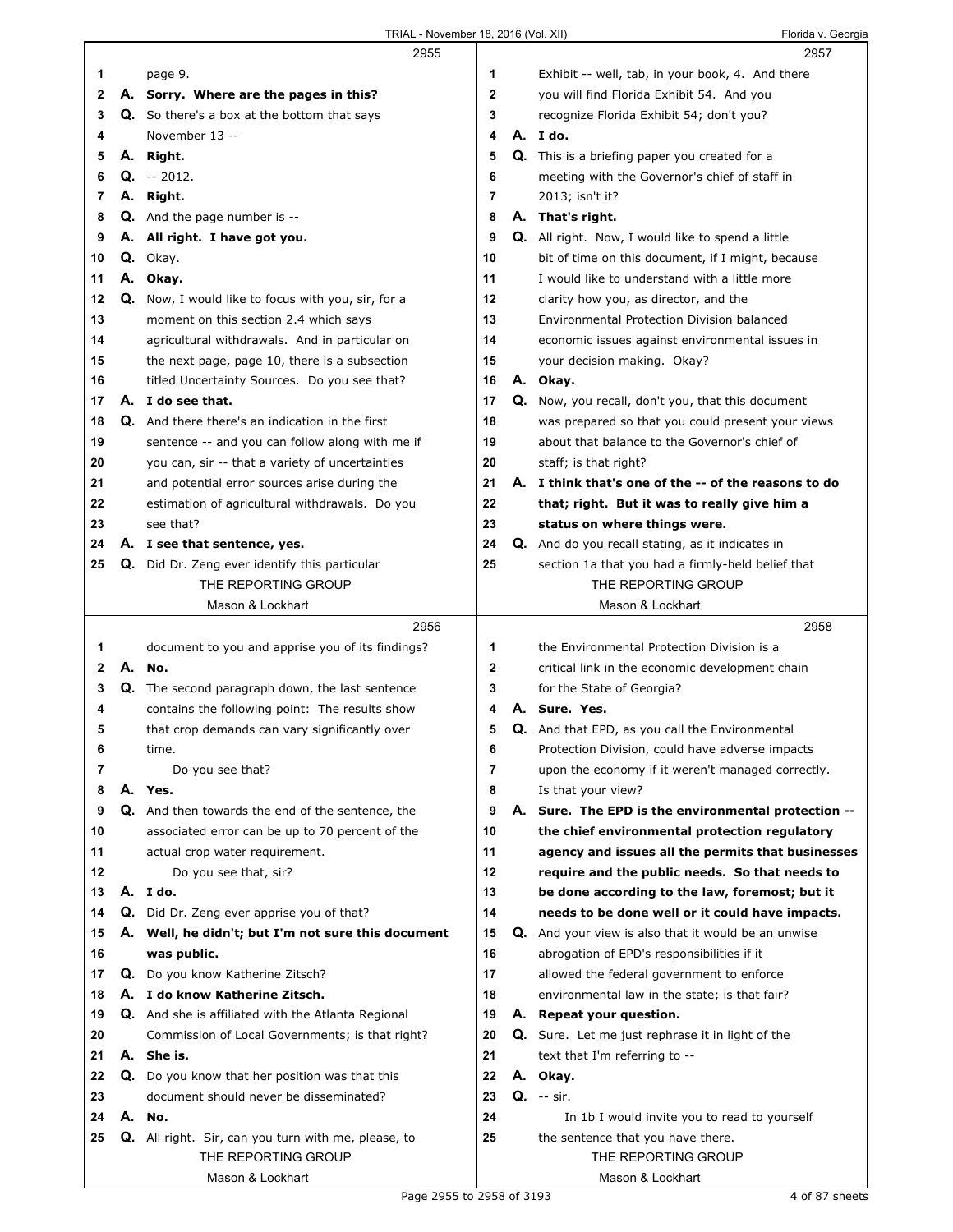|    |    | 2955                                                      |                | 2957                                                     |
|----|----|-----------------------------------------------------------|----------------|----------------------------------------------------------|
| 1  |    | page 9.                                                   | 1              | Exhibit -- well, tab, in your book, 4. And there         |
| 2  |    | A. Sorry. Where are the pages in this?                    | $\mathbf 2$    | you will find Florida Exhibit 54. And you                |
| 3  |    | <b>Q.</b> So there's a box at the bottom that says        | 3              | recognize Florida Exhibit 54; don't you?                 |
| 4  |    | November 13 --                                            | 4              | A. I do.                                                 |
| 5  |    | A. Right.                                                 | 5              | Q. This is a briefing paper you created for a            |
| 6  |    | $Q. -2012.$                                               | 6              | meeting with the Governor's chief of staff in            |
| 7  |    | A. Right.                                                 | $\overline{7}$ | 2013; isn't it?                                          |
| 8  |    | <b>Q.</b> And the page number is --                       | 8              | A. That's right.                                         |
| 9  |    | A. All right. I have got you.                             | 9              | <b>Q.</b> All right. Now, I would like to spend a little |
| 10 |    | Q. Okay.                                                  | 10             | bit of time on this document, if I might, because        |
| 11 |    | A. Okay.                                                  | 11             | I would like to understand with a little more            |
| 12 |    | <b>Q.</b> Now, I would like to focus with you, sir, for a | 12             | clarity how you, as director, and the                    |
| 13 |    | moment on this section 2.4 which says                     | 13             | Environmental Protection Division balanced               |
| 14 |    | agricultural withdrawals. And in particular on            | 14             | economic issues against environmental issues in          |
| 15 |    | the next page, page 10, there is a subsection             | 15             | your decision making. Okay?                              |
| 16 |    | titled Uncertainty Sources. Do you see that?              | 16             | A. Okay.                                                 |
| 17 |    | A. I do see that.                                         | 17             | Q. Now, you recall, don't you, that this document        |
| 18 |    | <b>Q.</b> And there there's an indication in the first    | 18             | was prepared so that you could present your views        |
| 19 |    | sentence -- and you can follow along with me if           | 19             | about that balance to the Governor's chief of            |
| 20 |    | you can, sir -- that a variety of uncertainties           | 20             | staff; is that right?                                    |
| 21 |    | and potential error sources arise during the              | 21             | A. I think that's one of the -- of the reasons to do     |
| 22 |    | estimation of agricultural withdrawals. Do you            | 22             | that; right. But it was to really give him a             |
| 23 |    | see that?                                                 | 23             | status on where things were.                             |
| 24 |    | A. I see that sentence, yes.                              | 24             | <b>Q.</b> And do you recall stating, as it indicates in  |
| 25 |    | <b>Q.</b> Did Dr. Zeng ever identify this particular      | 25             | section 1a that you had a firmly-held belief that        |
|    |    | THE REPORTING GROUP                                       |                | THE REPORTING GROUP                                      |
|    |    | Mason & Lockhart                                          |                | Mason & Lockhart                                         |
|    |    |                                                           |                |                                                          |
|    |    | 2956                                                      |                | 2958                                                     |
| 1  |    | document to you and apprise you of its findings?          | 1              | the Environmental Protection Division is a               |
| 2  |    | A. No.                                                    | $\mathbf 2$    | critical link in the economic development chain          |
| 3  | Q. | The second paragraph down, the last sentence              | 3              | for the State of Georgia?                                |
| 4  |    | contains the following point: The results show            | 4              | A. Sure. Yes.                                            |
| 5  |    | that crop demands can vary significantly over             | 5              | Q. And that EPD, as you call the Environmental           |
| 6  |    | time.                                                     | 6              | Protection Division, could have adverse impacts          |
| 7  |    | Do you see that?                                          | $\overline{7}$ | upon the economy if it weren't managed correctly.        |
| 8  |    | A. Yes.                                                   | 8              | Is that your view?                                       |
| 9  |    | <b>Q.</b> And then towards the end of the sentence, the   | 9              | A. Sure. The EPD is the environmental protection --      |
| 10 |    | associated error can be up to 70 percent of the           | 10             | the chief environmental protection regulatory            |
| 11 |    | actual crop water requirement.                            | 11             | agency and issues all the permits that businesses        |
| 12 |    | Do you see that, sir?                                     | 12             | require and the public needs. So that needs to           |
| 13 |    | A. Ido.                                                   | 13             | be done according to the law, foremost; but it           |
| 14 |    | Q. Did Dr. Zeng ever apprise you of that?                 | 14             | needs to be done well or it could have impacts.          |
| 15 |    | A. Well, he didn't; but I'm not sure this document        | 15             | Q. And your view is also that it would be an unwise      |
| 16 |    | was public.                                               | 16             | abrogation of EPD's responsibilities if it               |
| 17 |    | Q. Do you know Katherine Zitsch?                          | 17             | allowed the federal government to enforce                |
| 18 |    | A. I do know Katherine Zitsch.                            | 18             | environmental law in the state; is that fair?            |
| 19 |    | <b>Q.</b> And she is affiliated with the Atlanta Regional | 19             | A. Repeat your question.                                 |
| 20 |    | Commission of Local Governments; is that right?           | 20             | Q. Sure. Let me just rephrase it in light of the         |
| 21 |    | A. She is.                                                | 21             | text that I'm referring to --                            |
| 22 |    | <b>Q.</b> Do you know that her position was that this     | 22             | A. Okay.                                                 |
| 23 |    | document should never be disseminated?                    | 23             | $Q. -sir.$                                               |
| 24 |    | A. No.                                                    | 24             | In 1b I would invite you to read to yourself             |
| 25 |    | Q. All right. Sir, can you turn with me, please, to       | 25             | the sentence that you have there.                        |
|    |    | THE REPORTING GROUP                                       |                | THE REPORTING GROUP                                      |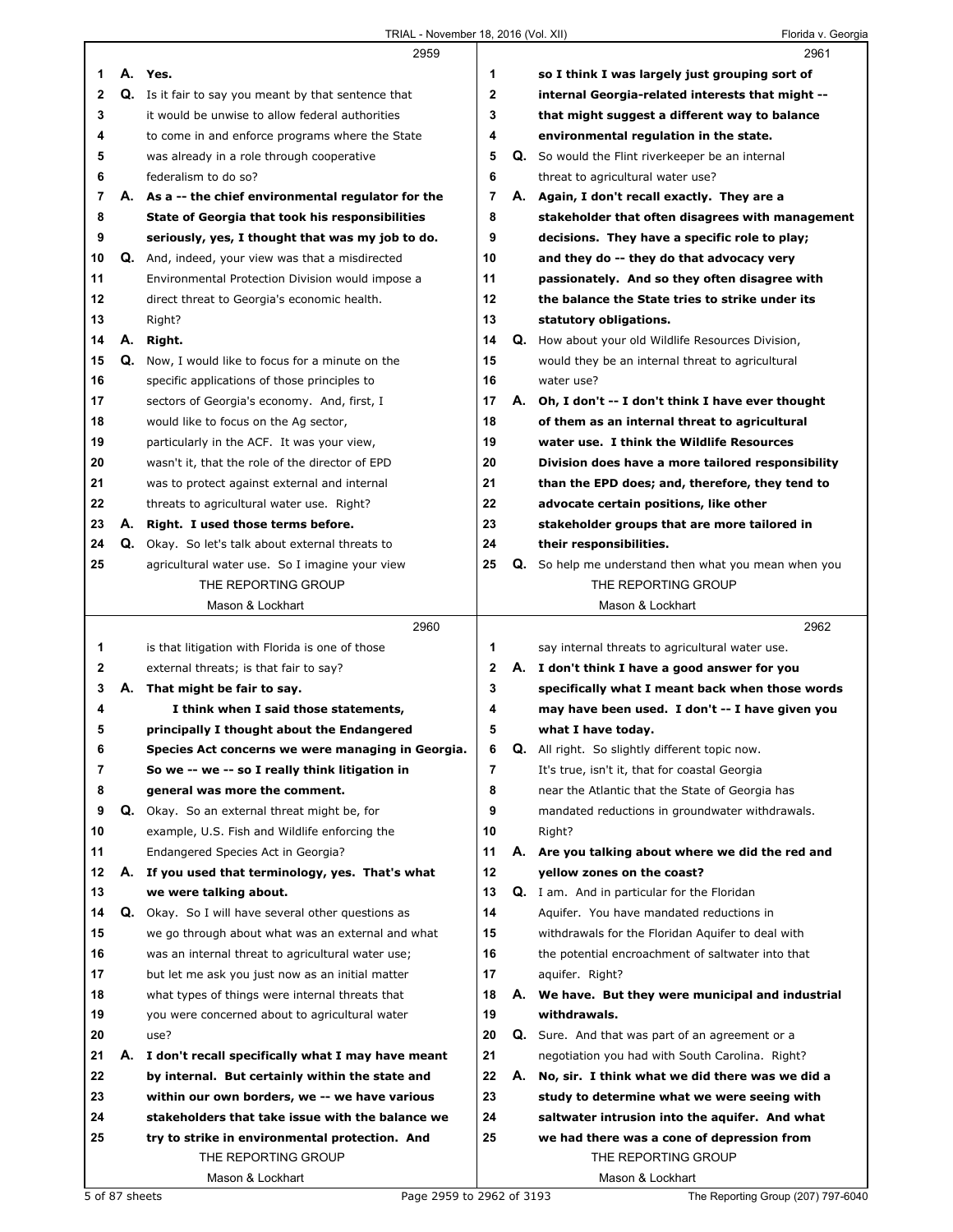|              |    | 2959                                                      |                |    | 2961                                                  |
|--------------|----|-----------------------------------------------------------|----------------|----|-------------------------------------------------------|
| 1            |    | A. Yes.                                                   | 1              |    | so I think I was largely just grouping sort of        |
| $\mathbf{2}$ |    | Q. Is it fair to say you meant by that sentence that      | $\mathbf{2}$   |    | internal Georgia-related interests that might --      |
| 3            |    | it would be unwise to allow federal authorities           | 3              |    | that might suggest a different way to balance         |
| 4            |    | to come in and enforce programs where the State           | 4              |    | environmental regulation in the state.                |
| 5            |    | was already in a role through cooperative                 | 5              |    | Q. So would the Flint riverkeeper be an internal      |
| 6            |    | federalism to do so?                                      | 6              |    | threat to agricultural water use?                     |
| 7            |    | A. As a -- the chief environmental regulator for the      | $\overline{7}$ |    | A. Again, I don't recall exactly. They are a          |
| 8            |    | State of Georgia that took his responsibilities           | 8              |    | stakeholder that often disagrees with management      |
| 9            |    | seriously, yes, I thought that was my job to do.          | 9              |    | decisions. They have a specific role to play;         |
| 10           |    | Q. And, indeed, your view was that a misdirected          | 10             |    | and they do -- they do that advocacy very             |
| 11           |    | Environmental Protection Division would impose a          | 11             |    | passionately. And so they often disagree with         |
| 12           |    | direct threat to Georgia's economic health.               | 12             |    | the balance the State tries to strike under its       |
| 13           |    | Right?                                                    | 13             |    | statutory obligations.                                |
| 14           |    | A. Right.                                                 | 14             |    | Q. How about your old Wildlife Resources Division,    |
| 15           |    | Q. Now, I would like to focus for a minute on the         | 15             |    | would they be an internal threat to agricultural      |
| 16           |    | specific applications of those principles to              | 16             |    | water use?                                            |
| 17           |    | sectors of Georgia's economy. And, first, I               | 17             |    | A. Oh, I don't -- I don't think I have ever thought   |
| 18           |    | would like to focus on the Ag sector,                     | 18             |    | of them as an internal threat to agricultural         |
| 19           |    | particularly in the ACF. It was your view,                | 19             |    | water use. I think the Wildlife Resources             |
| 20           |    | wasn't it, that the role of the director of EPD           | 20             |    | Division does have a more tailored responsibility     |
| 21           |    | was to protect against external and internal              | 21             |    | than the EPD does; and, therefore, they tend to       |
| 22           |    | threats to agricultural water use. Right?                 | 22             |    | advocate certain positions, like other                |
| 23           |    | A. Right. I used those terms before.                      | 23             |    | stakeholder groups that are more tailored in          |
| 24           |    | Q. Okay. So let's talk about external threats to          | 24             |    | their responsibilities.                               |
| 25           |    | agricultural water use. So I imagine your view            | 25             |    | Q. So help me understand then what you mean when you  |
|              |    | THE REPORTING GROUP                                       |                |    | THE REPORTING GROUP                                   |
|              |    | Mason & Lockhart                                          |                |    | Mason & Lockhart                                      |
|              |    |                                                           |                |    |                                                       |
|              |    | 2960                                                      |                |    | 2962                                                  |
| 1            |    | is that litigation with Florida is one of those           | 1              |    | say internal threats to agricultural water use.       |
| 2            |    | external threats; is that fair to say?                    | $\mathbf{2}$   |    | A. I don't think I have a good answer for you         |
| 3            |    | A. That might be fair to say.                             | 3              |    | specifically what I meant back when those words       |
| 4            |    | I think when I said those statements,                     | 4              |    | may have been used. I don't -- I have given you       |
| 5            |    | principally I thought about the Endangered                | 5              |    | what I have today.                                    |
| 6            |    | Species Act concerns we were managing in Georgia.         | 6              |    | <b>Q.</b> All right. So slightly different topic now. |
| 7            |    | So we -- we -- so I really think litigation in            | 7              |    | It's true, isn't it, that for coastal Georgia         |
| 8            |    | general was more the comment.                             | 8              |    | near the Atlantic that the State of Georgia has       |
| 9            |    | Q. Okay. So an external threat might be, for              | 9              |    | mandated reductions in groundwater withdrawals.       |
| 10           |    | example, U.S. Fish and Wildlife enforcing the             | 10             |    | Right?                                                |
| 11           |    | Endangered Species Act in Georgia?                        | 11             | А. | Are you talking about where we did the red and        |
| 12           | А. | If you used that terminology, yes. That's what            | 12             |    | yellow zones on the coast?                            |
| 13           |    | we were talking about.                                    | 13             |    | Q. I am. And in particular for the Floridan           |
| 14           |    | <b>Q.</b> Okay. So I will have several other questions as | 14             |    | Aquifer. You have mandated reductions in              |
| 15           |    | we go through about what was an external and what         | 15             |    | withdrawals for the Floridan Aquifer to deal with     |
| 16           |    | was an internal threat to agricultural water use;         | 16             |    | the potential encroachment of saltwater into that     |
| 17           |    | but let me ask you just now as an initial matter          | 17             |    | aquifer. Right?                                       |
| 18           |    | what types of things were internal threats that           | 18             |    | A. We have. But they were municipal and industrial    |
| 19           |    | you were concerned about to agricultural water            | 19             |    | withdrawals.                                          |
| 20           |    | use?                                                      | 20             | Q. | Sure. And that was part of an agreement or a          |
| 21           | А. | I don't recall specifically what I may have meant         | 21             |    | negotiation you had with South Carolina. Right?       |
| 22           |    | by internal. But certainly within the state and           | 22             | А. | No, sir. I think what we did there was we did a       |
| 23           |    | within our own borders, we -- we have various             | 23             |    | study to determine what we were seeing with           |
| 24           |    | stakeholders that take issue with the balance we          | 24             |    | saltwater intrusion into the aquifer. And what        |
| 25           |    | try to strike in environmental protection. And            | 25             |    | we had there was a cone of depression from            |
|              |    | THE REPORTING GROUP                                       |                |    | THE REPORTING GROUP                                   |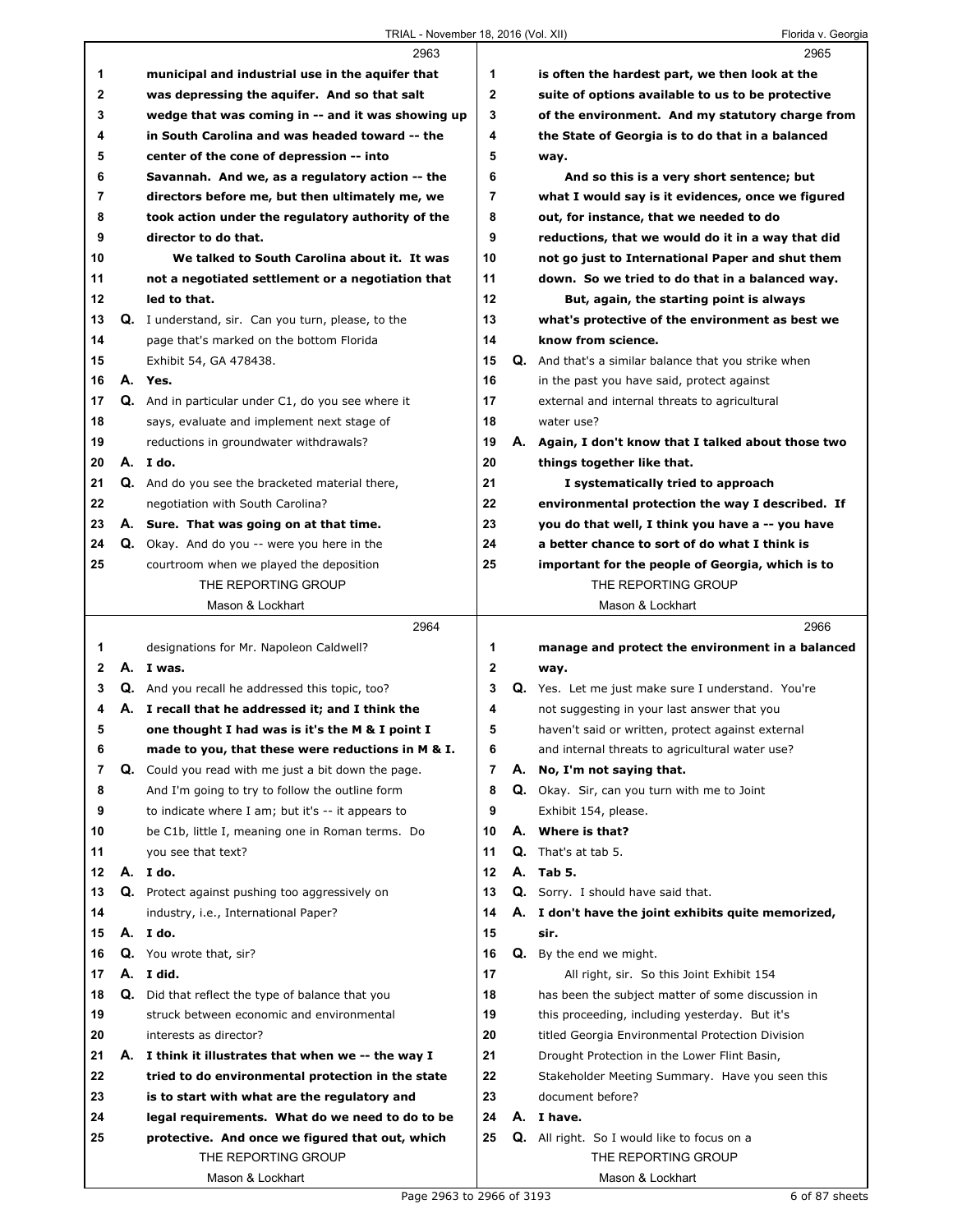|              |    | $\frac{1}{2}$ November 10, 2010 (VOI. An)                                              |              | <b>TIOTICA V. OCOLYIC</b>                                   |
|--------------|----|----------------------------------------------------------------------------------------|--------------|-------------------------------------------------------------|
|              |    | 2963                                                                                   |              | 2965                                                        |
| 1            |    | municipal and industrial use in the aquifer that                                       | 1            | is often the hardest part, we then look at the              |
| 2            |    | was depressing the aquifer. And so that salt                                           | 2            | suite of options available to us to be protective           |
| 3            |    | wedge that was coming in -- and it was showing up                                      | 3            | of the environment. And my statutory charge from            |
| 4            |    | in South Carolina and was headed toward -- the                                         | 4            | the State of Georgia is to do that in a balanced            |
| 5            |    | center of the cone of depression -- into                                               | 5            | way.                                                        |
| 6            |    | Savannah. And we, as a regulatory action -- the                                        | 6            | And so this is a very short sentence; but                   |
| 7            |    | directors before me, but then ultimately me, we                                        | 7            | what I would say is it evidences, once we figured           |
| 8            |    | took action under the regulatory authority of the                                      | 8            | out, for instance, that we needed to do                     |
| 9            |    | director to do that.                                                                   | 9            | reductions, that we would do it in a way that did           |
| 10           |    | We talked to South Carolina about it. It was                                           | 10           | not go just to International Paper and shut them            |
| 11           |    | not a negotiated settlement or a negotiation that                                      | 11           | down. So we tried to do that in a balanced way.             |
| 12           |    | led to that.                                                                           | 12           | But, again, the starting point is always                    |
| 13           |    | Q. I understand, sir. Can you turn, please, to the                                     | 13           | what's protective of the environment as best we             |
| 14           |    | page that's marked on the bottom Florida                                               | 14           | know from science.                                          |
| 15           |    | Exhibit 54, GA 478438.                                                                 | 15           | Q. And that's a similar balance that you strike when        |
| 16           |    | A. Yes.                                                                                | 16           | in the past you have said, protect against                  |
| 17           |    | Q. And in particular under C1, do you see where it                                     | 17           | external and internal threats to agricultural               |
| 18           |    | says, evaluate and implement next stage of                                             | 18           | water use?                                                  |
| 19           |    | reductions in groundwater withdrawals?                                                 | 19           | A. Again, I don't know that I talked about those two        |
| 20           |    | A. Ido.                                                                                | 20           | things together like that.                                  |
| 21           |    | Q. And do you see the bracketed material there,                                        | 21           | I systematically tried to approach                          |
| 22           |    | negotiation with South Carolina?                                                       | 22           | environmental protection the way I described. If            |
| 23           |    | A. Sure. That was going on at that time.                                               | 23           | you do that well, I think you have a -- you have            |
| 24           |    | Q. Okay. And do you -- were you here in the                                            | 24           | a better chance to sort of do what I think is               |
| 25           |    | courtroom when we played the deposition                                                | 25           | important for the people of Georgia, which is to            |
|              |    | THE REPORTING GROUP<br>Mason & Lockhart                                                |              | THE REPORTING GROUP<br>Mason & Lockhart                     |
|              |    |                                                                                        |              |                                                             |
|              |    |                                                                                        |              |                                                             |
|              |    | 2964                                                                                   |              | 2966                                                        |
| 1            |    | designations for Mr. Napoleon Caldwell?                                                | 1            | manage and protect the environment in a balanced            |
| $\mathbf{2}$ |    | A. I was.                                                                              | $\mathbf{2}$ | way.                                                        |
| 3            |    | <b>Q.</b> And you recall he addressed this topic, too?                                 | 3            | Q. Yes. Let me just make sure I understand. You're          |
| 4            |    | A. I recall that he addressed it; and I think the                                      | 4            | not suggesting in your last answer that you                 |
| 5            |    | one thought I had was is it's the M & I point I                                        | 5            | haven't said or written, protect against external           |
| 6            |    | made to you, that these were reductions in M & I.                                      | 6            | and internal threats to agricultural water use?             |
| 7            | Q. | Could you read with me just a bit down the page.                                       | 7            | A. No, I'm not saying that.                                 |
| 8            |    | And I'm going to try to follow the outline form                                        | 8            | Q. Okay. Sir, can you turn with me to Joint                 |
| 9            |    | to indicate where I am; but it's -- it appears to                                      | 9<br>10      | Exhibit 154, please.                                        |
| 10           |    | be C1b, little I, meaning one in Roman terms. Do                                       |              | A. Where is that?                                           |
| 11<br>12     |    | you see that text?                                                                     | 11<br>12     | <b>Q.</b> That's at tab 5.                                  |
| 13           |    | A. I do.                                                                               | 13           | A. Tab 5.<br>Q. Sorry. I should have said that.             |
| 14           |    | Q. Protect against pushing too aggressively on<br>industry, i.e., International Paper? | 14           |                                                             |
| 15           |    | A. Ido.                                                                                | 15           | A. I don't have the joint exhibits quite memorized,<br>sir. |
| 16           |    | Q. You wrote that, sir?                                                                | 16           | Q. By the end we might.                                     |
| 17           |    | A. I did.                                                                              | 17           | All right, sir. So this Joint Exhibit 154                   |
| 18           | Q. | Did that reflect the type of balance that you                                          | 18           | has been the subject matter of some discussion in           |
| 19           |    | struck between economic and environmental                                              | 19           | this proceeding, including yesterday. But it's              |
| 20           |    | interests as director?                                                                 | 20           | titled Georgia Environmental Protection Division            |
| 21           |    | A. I think it illustrates that when we -- the way I                                    | 21           | Drought Protection in the Lower Flint Basin,                |
| 22           |    | tried to do environmental protection in the state                                      | 22           | Stakeholder Meeting Summary. Have you seen this             |
| 23           |    | is to start with what are the regulatory and                                           | 23           | document before?                                            |
| 24           |    | legal requirements. What do we need to do to be                                        | 24           | A. I have.                                                  |
| 25           |    | protective. And once we figured that out, which                                        | 25           | Q. All right. So I would like to focus on a                 |
|              |    | THE REPORTING GROUP                                                                    |              | THE REPORTING GROUP                                         |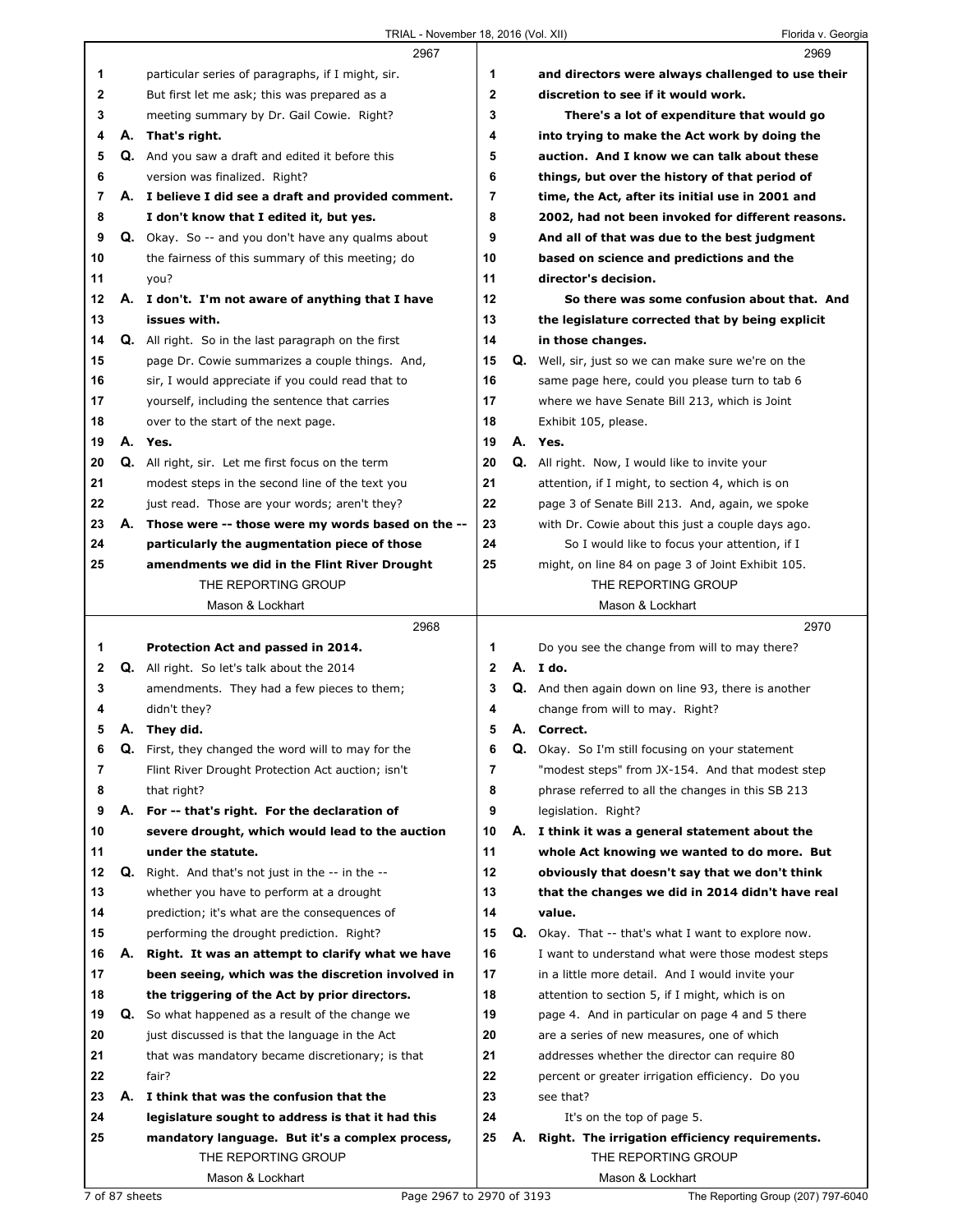|          |    | 2967                                                                                                     |              |    | 2969                                                                                                  |
|----------|----|----------------------------------------------------------------------------------------------------------|--------------|----|-------------------------------------------------------------------------------------------------------|
| 1        |    | particular series of paragraphs, if I might, sir.                                                        | 1            |    | and directors were always challenged to use their                                                     |
| 2        |    | But first let me ask; this was prepared as a                                                             | $\mathbf 2$  |    | discretion to see if it would work.                                                                   |
| 3        |    | meeting summary by Dr. Gail Cowie. Right?                                                                | 3            |    | There's a lot of expenditure that would go                                                            |
| 4        |    | A. That's right.                                                                                         | 4            |    | into trying to make the Act work by doing the                                                         |
| 5        |    | <b>Q.</b> And you saw a draft and edited it before this                                                  | 5            |    | auction. And I know we can talk about these                                                           |
| 6        |    | version was finalized. Right?                                                                            | 6            |    | things, but over the history of that period of                                                        |
| 7        |    | A. I believe I did see a draft and provided comment.                                                     | 7            |    | time, the Act, after its initial use in 2001 and                                                      |
| 8        |    | I don't know that I edited it, but yes.                                                                  | 8            |    | 2002, had not been invoked for different reasons.                                                     |
| 9        |    | Q. Okay. So -- and you don't have any qualms about                                                       | 9            |    | And all of that was due to the best judgment                                                          |
| 10       |    | the fairness of this summary of this meeting; do                                                         | 10           |    | based on science and predictions and the                                                              |
| 11       |    | you?                                                                                                     | 11           |    | director's decision.                                                                                  |
| 12       |    | A. I don't. I'm not aware of anything that I have                                                        | 12           |    | So there was some confusion about that. And                                                           |
| 13       |    | issues with.                                                                                             | 13           |    | the legislature corrected that by being explicit                                                      |
| 14       |    | <b>Q.</b> All right. So in the last paragraph on the first                                               | 14           |    | in those changes.                                                                                     |
| 15       |    | page Dr. Cowie summarizes a couple things. And,                                                          | 15           |    | <b>Q.</b> Well, sir, just so we can make sure we're on the                                            |
| 16       |    | sir, I would appreciate if you could read that to                                                        | 16           |    | same page here, could you please turn to tab 6                                                        |
| 17       |    | yourself, including the sentence that carries                                                            | 17           |    | where we have Senate Bill 213, which is Joint                                                         |
| 18       |    | over to the start of the next page.                                                                      | 18           |    | Exhibit 105, please.                                                                                  |
| 19       |    | A. Yes.                                                                                                  | 19           |    | A. Yes.                                                                                               |
| 20       |    | Q. All right, sir. Let me first focus on the term                                                        | 20           |    | <b>Q.</b> All right. Now, I would like to invite your                                                 |
| 21       |    | modest steps in the second line of the text you                                                          | 21           |    | attention, if I might, to section 4, which is on                                                      |
| 22       |    | just read. Those are your words; aren't they?                                                            | 22           |    | page 3 of Senate Bill 213. And, again, we spoke                                                       |
| 23       |    | A. Those were -- those were my words based on the --                                                     | 23           |    | with Dr. Cowie about this just a couple days ago.                                                     |
| 24       |    | particularly the augmentation piece of those                                                             | 24           |    | So I would like to focus your attention, if I                                                         |
| 25       |    | amendments we did in the Flint River Drought                                                             | 25           |    | might, on line 84 on page 3 of Joint Exhibit 105.                                                     |
|          |    | THE REPORTING GROUP                                                                                      |              |    | THE REPORTING GROUP                                                                                   |
|          |    | Mason & Lockhart                                                                                         |              |    | Mason & Lockhart                                                                                      |
|          |    |                                                                                                          |              |    |                                                                                                       |
|          |    |                                                                                                          |              |    |                                                                                                       |
|          |    | 2968                                                                                                     | 1            |    | 2970                                                                                                  |
| 1        |    | Protection Act and passed in 2014.                                                                       | $\mathbf{2}$ |    | Do you see the change from will to may there?                                                         |
| 2<br>3   |    | <b>Q.</b> All right. So let's talk about the 2014                                                        | 3            |    | A. I do.                                                                                              |
| 4        |    | amendments. They had a few pieces to them;                                                               |              |    | Q. And then again down on line 93, there is another                                                   |
|          |    | didn't they?                                                                                             | 4<br>5       |    | change from will to may. Right?                                                                       |
| 5        |    | A. They did.                                                                                             |              |    | A. Correct.                                                                                           |
| 6        |    | <b>Q.</b> First, they changed the word will to may for the                                               | 6            |    | Q. Okay. So I'm still focusing on your statement                                                      |
| 7        |    | Flint River Drought Protection Act auction; isn't                                                        | 7            |    | "modest steps" from JX-154. And that modest step                                                      |
| 8<br>9   |    | that right?                                                                                              | 8<br>9       |    | phrase referred to all the changes in this SB 213                                                     |
| 10       |    | A. For -- that's right. For the declaration of                                                           | 10           |    | legislation. Right?                                                                                   |
|          |    | severe drought, which would lead to the auction                                                          |              |    | A. I think it was a general statement about the                                                       |
| 11<br>12 | Q. | under the statute.                                                                                       | 11<br>12     |    | whole Act knowing we wanted to do more. But                                                           |
| 13       |    | Right. And that's not just in the -- in the --                                                           | 13           |    | obviously that doesn't say that we don't think                                                        |
| 14       |    | whether you have to perform at a drought                                                                 | 14           |    | that the changes we did in 2014 didn't have real<br>value.                                            |
| 15       |    | prediction; it's what are the consequences of                                                            | 15           | Q. |                                                                                                       |
| 16       | А. | performing the drought prediction. Right?                                                                | 16           |    | Okay. That -- that's what I want to explore now.<br>I want to understand what were those modest steps |
| 17       |    | Right. It was an attempt to clarify what we have<br>been seeing, which was the discretion involved in    | 17           |    | in a little more detail. And I would invite your                                                      |
| 18       |    |                                                                                                          | 18           |    |                                                                                                       |
| 19       |    | the triggering of the Act by prior directors.<br><b>Q.</b> So what happened as a result of the change we | 19           |    | attention to section 5, if I might, which is on<br>page 4. And in particular on page 4 and 5 there    |
| 20       |    | just discussed is that the language in the Act                                                           | 20           |    | are a series of new measures, one of which                                                            |
| 21       |    |                                                                                                          | 21           |    | addresses whether the director can require 80                                                         |
| 22       |    | that was mandatory became discretionary; is that<br>fair?                                                | 22           |    |                                                                                                       |
| 23       |    | A. I think that was the confusion that the                                                               | 23           |    | percent or greater irrigation efficiency. Do you<br>see that?                                         |
| 24       |    |                                                                                                          |              |    |                                                                                                       |
| 25       |    | legislature sought to address is that it had this                                                        | 24<br>25     | А. | It's on the top of page 5.                                                                            |
|          |    | mandatory language. But it's a complex process,<br>THE REPORTING GROUP                                   |              |    | Right. The irrigation efficiency requirements.<br>THE REPORTING GROUP                                 |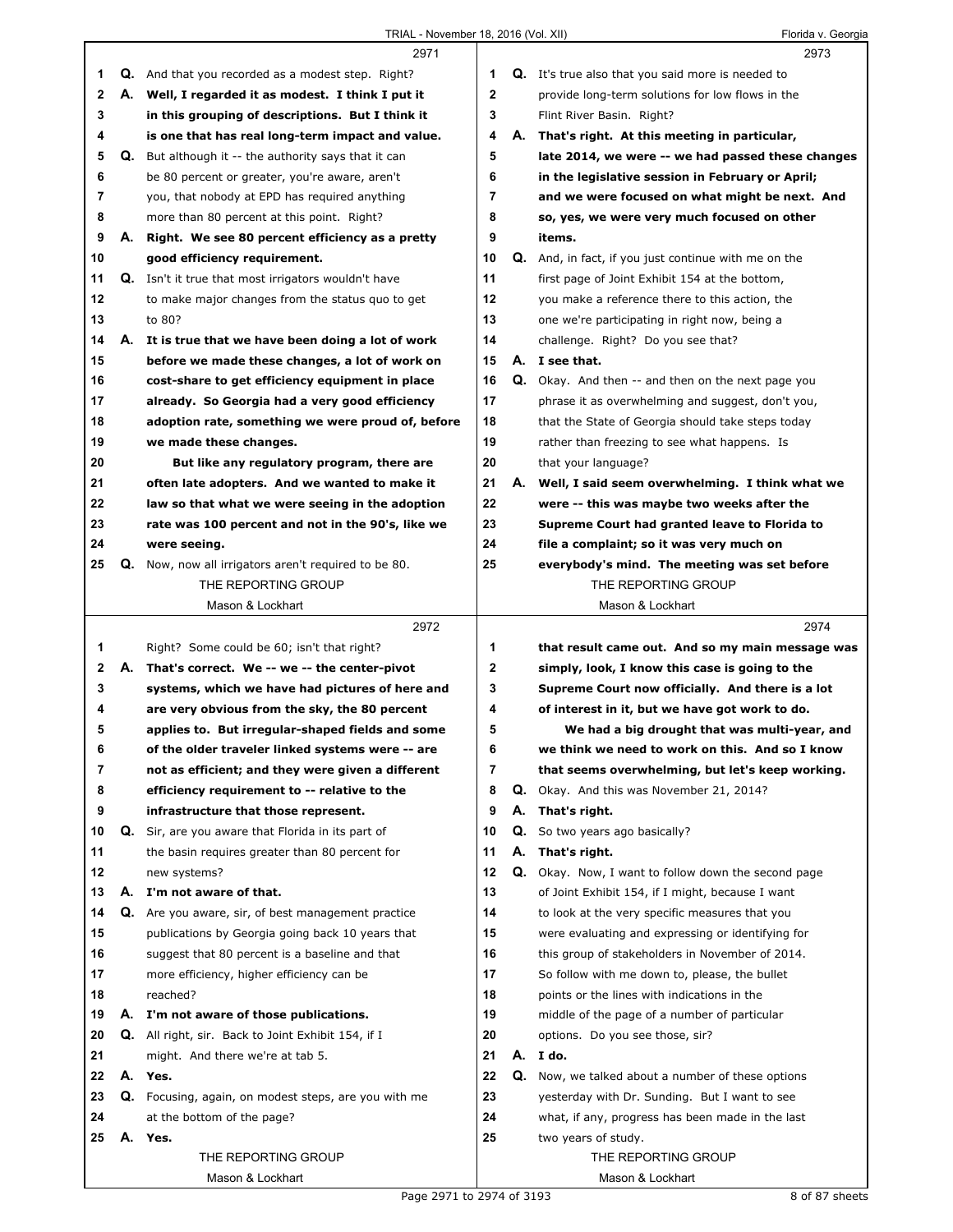|                  |    | 2971                                                                                 |                |    | 2973                                                                                        |
|------------------|----|--------------------------------------------------------------------------------------|----------------|----|---------------------------------------------------------------------------------------------|
| 1                |    | <b>Q.</b> And that you recorded as a modest step. Right?                             | 1              |    | <b>Q.</b> It's true also that you said more is needed to                                    |
| $\mathbf{2}$     | А. | Well, I regarded it as modest. I think I put it                                      | $\mathbf{2}$   |    | provide long-term solutions for low flows in the                                            |
| 3                |    | in this grouping of descriptions. But I think it                                     | 3              |    | Flint River Basin. Right?                                                                   |
| 4                |    | is one that has real long-term impact and value.                                     | 4              |    | A. That's right. At this meeting in particular,                                             |
| 5                |    | <b>Q.</b> But although it -- the authority says that it can                          | 5              |    | late 2014, we were -- we had passed these changes                                           |
| 6                |    | be 80 percent or greater, you're aware, aren't                                       | 6              |    | in the legislative session in February or April;                                            |
| 7                |    | you, that nobody at EPD has required anything                                        | $\overline{7}$ |    | and we were focused on what might be next. And                                              |
| 8                |    | more than 80 percent at this point. Right?                                           | 8              |    | so, yes, we were very much focused on other                                                 |
| 9                |    | A. Right. We see 80 percent efficiency as a pretty                                   | 9              |    | items.                                                                                      |
| 10               |    | good efficiency requirement.                                                         | 10             |    | Q. And, in fact, if you just continue with me on the                                        |
| 11               |    | Q. Isn't it true that most irrigators wouldn't have                                  | 11             |    | first page of Joint Exhibit 154 at the bottom,                                              |
| 12               |    | to make major changes from the status quo to get                                     | $12 \,$        |    | you make a reference there to this action, the                                              |
| 13               |    | to 80?                                                                               | 13             |    | one we're participating in right now, being a                                               |
| 14               |    | A. It is true that we have been doing a lot of work                                  | 14             |    | challenge. Right? Do you see that?                                                          |
| 15               |    | before we made these changes, a lot of work on                                       | 15             |    | A. I see that.                                                                              |
| 16               |    | cost-share to get efficiency equipment in place                                      | 16             |    | <b>Q.</b> Okay. And then -- and then on the next page you                                   |
| 17               |    | already. So Georgia had a very good efficiency                                       | 17             |    | phrase it as overwhelming and suggest, don't you,                                           |
| 18               |    | adoption rate, something we were proud of, before                                    | 18             |    | that the State of Georgia should take steps today                                           |
| 19               |    | we made these changes.                                                               | 19             |    | rather than freezing to see what happens. Is                                                |
| 20               |    | But like any regulatory program, there are                                           | 20             |    | that your language?                                                                         |
| 21               |    | often late adopters. And we wanted to make it                                        | 21             | А. | Well, I said seem overwhelming. I think what we                                             |
| 22               |    | law so that what we were seeing in the adoption                                      | 22             |    | were -- this was maybe two weeks after the                                                  |
| 23               |    | rate was 100 percent and not in the 90's, like we                                    | 23             |    | Supreme Court had granted leave to Florida to                                               |
| 24               |    | were seeing.                                                                         | 24             |    | file a complaint; so it was very much on                                                    |
| 25               | Q. | Now, now all irrigators aren't required to be 80.                                    | 25             |    | everybody's mind. The meeting was set before                                                |
|                  |    | THE REPORTING GROUP                                                                  |                |    | THE REPORTING GROUP                                                                         |
|                  |    | Mason & Lockhart                                                                     |                |    | Mason & Lockhart                                                                            |
|                  |    |                                                                                      |                |    |                                                                                             |
|                  |    | 2972                                                                                 |                |    | 2974                                                                                        |
|                  |    |                                                                                      |                |    |                                                                                             |
| 1                | А. | Right? Some could be 60; isn't that right?                                           | 1              |    | that result came out. And so my main message was                                            |
| $\mathbf 2$<br>3 |    | That's correct. We -- we -- the center-pivot                                         | 2<br>3         |    | simply, look, I know this case is going to the                                              |
| 4                |    | systems, which we have had pictures of here and                                      | 4              |    | Supreme Court now officially. And there is a lot                                            |
| 5                |    | are very obvious from the sky, the 80 percent                                        | 5              |    | of interest in it, but we have got work to do.                                              |
|                  |    | applies to. But irregular-shaped fields and some                                     | 6              |    | We had a big drought that was multi-year, and                                               |
| 6<br>7           |    | of the older traveler linked systems were -- are                                     | 7              |    | we think we need to work on this. And so I know                                             |
| 8                |    | not as efficient; and they were given a different                                    | 8              | Q. | that seems overwhelming, but let's keep working.                                            |
| 9                |    | efficiency requirement to -- relative to the<br>infrastructure that those represent. | 9              | А. | Okay. And this was November 21, 2014?                                                       |
| 10               | Q. | Sir, are you aware that Florida in its part of                                       | 10             | Q. | That's right.<br>So two years ago basically?                                                |
|                  |    |                                                                                      | 11             | А. |                                                                                             |
| 11<br>12         |    | the basin requires greater than 80 percent for                                       |                |    | That's right.                                                                               |
| 13               | А. | new systems?<br>I'm not aware of that.                                               | 12<br>13       |    | Q. Okay. Now, I want to follow down the second page                                         |
| 14               |    |                                                                                      | 14             |    | of Joint Exhibit 154, if I might, because I want                                            |
| 15               |    | Q. Are you aware, sir, of best management practice                                   | 15             |    | to look at the very specific measures that you                                              |
| 16               |    | publications by Georgia going back 10 years that                                     | 16             |    | were evaluating and expressing or identifying for                                           |
| 17               |    | suggest that 80 percent is a baseline and that                                       | 17             |    | this group of stakeholders in November of 2014.                                             |
| 18               |    | more efficiency, higher efficiency can be<br>reached?                                | 18             |    | So follow with me down to, please, the bullet                                               |
| 19               | А. | I'm not aware of those publications.                                                 | 19             |    | points or the lines with indications in the<br>middle of the page of a number of particular |
| 20               | Q. | All right, sir. Back to Joint Exhibit 154, if I                                      | 20             |    | options. Do you see those, sir?                                                             |
|                  |    |                                                                                      |                |    |                                                                                             |
| 21<br>22         |    | might. And there we're at tab 5.<br>A. Yes.                                          | 21<br>22       | Q. | A. I do.                                                                                    |
|                  |    |                                                                                      |                |    | Now, we talked about a number of these options                                              |
| 23               |    | Q. Focusing, again, on modest steps, are you with me                                 | 23<br>24       |    | yesterday with Dr. Sunding. But I want to see                                               |
| 24<br>25         |    | at the bottom of the page?<br>A. Yes.                                                | 25             |    | what, if any, progress has been made in the last                                            |
|                  |    | THE REPORTING GROUP                                                                  |                |    | two years of study.<br>THE REPORTING GROUP                                                  |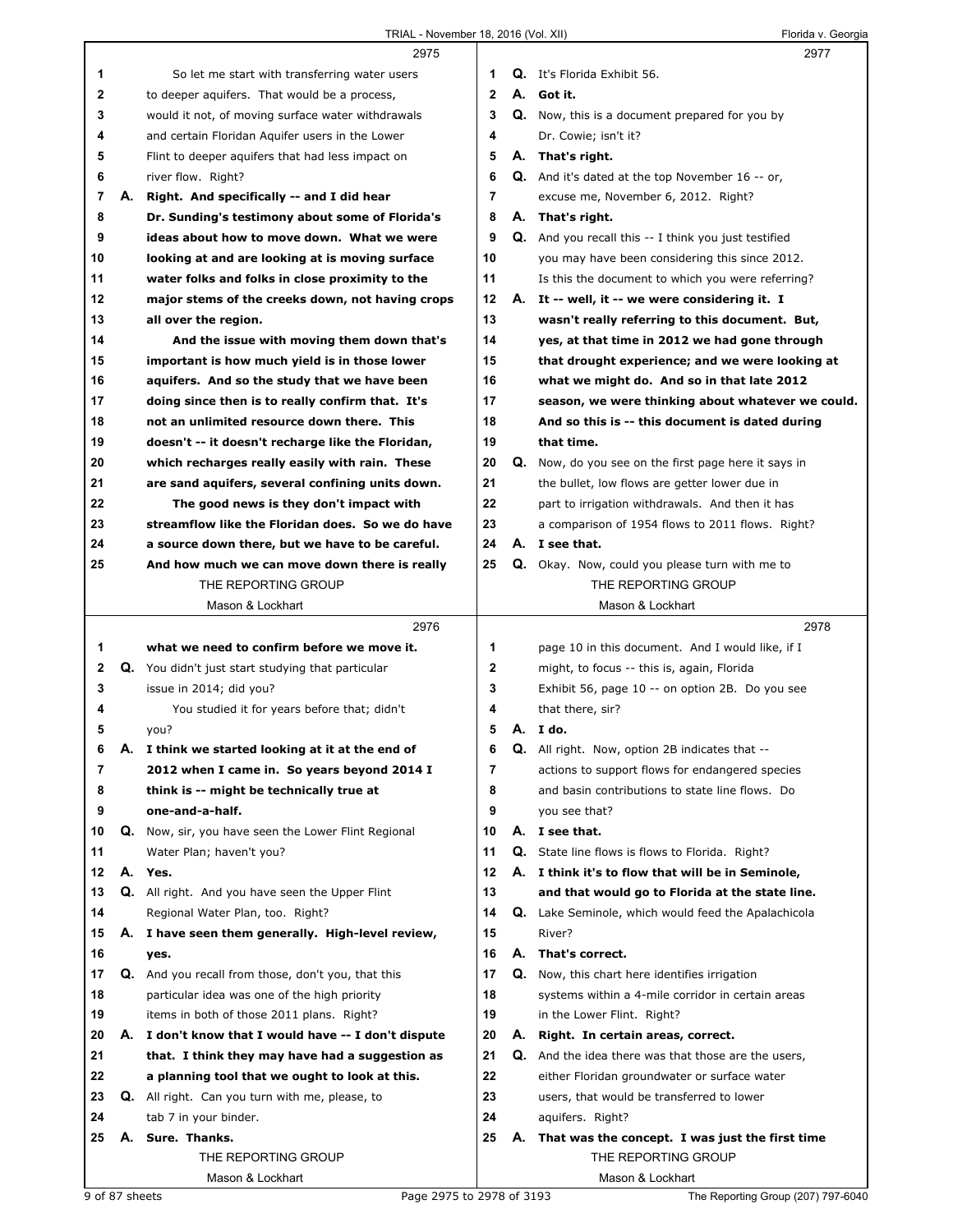|    |    | 2975                                                 |                |    | 2977                                                   |
|----|----|------------------------------------------------------|----------------|----|--------------------------------------------------------|
| 1  |    | So let me start with transferring water users        | 1              |    | <b>Q.</b> It's Florida Exhibit 56.                     |
| 2  |    | to deeper aquifers. That would be a process,         | $\mathbf{2}$   |    | A. Got it.                                             |
| 3  |    | would it not, of moving surface water withdrawals    | 3              |    | <b>Q.</b> Now, this is a document prepared for you by  |
| 4  |    | and certain Floridan Aquifer users in the Lower      | 4              |    | Dr. Cowie; isn't it?                                   |
| 5  |    | Flint to deeper aquifers that had less impact on     | 5              |    | A. That's right.                                       |
| 6  |    | river flow. Right?                                   | 6              |    | <b>Q.</b> And it's dated at the top November 16 -- or, |
| 7  | А. | Right. And specifically -- and I did hear            | $\overline{7}$ |    | excuse me, November 6, 2012. Right?                    |
| 8  |    | Dr. Sunding's testimony about some of Florida's      | 8              |    | A. That's right.                                       |
| 9  |    | ideas about how to move down. What we were           | 9              |    | Q. And you recall this -- I think you just testified   |
| 10 |    | looking at and are looking at is moving surface      | 10             |    | you may have been considering this since 2012.         |
| 11 |    | water folks and folks in close proximity to the      | 11             |    | Is this the document to which you were referring?      |
| 12 |    | major stems of the creeks down, not having crops     | 12             |    | A. It -- well, it -- we were considering it. I         |
| 13 |    | all over the region.                                 | 13             |    | wasn't really referring to this document. But,         |
| 14 |    | And the issue with moving them down that's           | 14             |    | yes, at that time in 2012 we had gone through          |
| 15 |    | important is how much yield is in those lower        | 15             |    | that drought experience; and we were looking at        |
| 16 |    | aquifers. And so the study that we have been         | 16             |    | what we might do. And so in that late 2012             |
| 17 |    | doing since then is to really confirm that. It's     | 17             |    | season, we were thinking about whatever we could.      |
| 18 |    | not an unlimited resource down there. This           | 18             |    | And so this is -- this document is dated during        |
| 19 |    | doesn't -- it doesn't recharge like the Floridan,    | 19             |    | that time.                                             |
| 20 |    | which recharges really easily with rain. These       | 20             | Q. | Now, do you see on the first page here it says in      |
| 21 |    | are sand aquifers, several confining units down.     | 21             |    | the bullet, low flows are getter lower due in          |
| 22 |    | The good news is they don't impact with              | 22             |    | part to irrigation withdrawals. And then it has        |
| 23 |    | streamflow like the Floridan does. So we do have     | 23             |    | a comparison of 1954 flows to 2011 flows. Right?       |
| 24 |    | a source down there, but we have to be careful.      | 24             |    | A. I see that.                                         |
| 25 |    | And how much we can move down there is really        | 25             |    | Q. Okay. Now, could you please turn with me to         |
|    |    | THE REPORTING GROUP                                  |                |    | THE REPORTING GROUP                                    |
|    |    | Mason & Lockhart                                     |                |    | Mason & Lockhart                                       |
|    |    |                                                      |                |    |                                                        |
|    |    |                                                      |                |    |                                                        |
|    |    | 2976                                                 |                |    | 2978                                                   |
| 1  |    | what we need to confirm before we move it.           | 1              |    | page 10 in this document. And I would like, if I       |
| 2  |    | Q. You didn't just start studying that particular    | 2              |    | might, to focus -- this is, again, Florida             |
| 3  |    | issue in 2014; did you?                              | 3              |    | Exhibit 56, page 10 -- on option 2B. Do you see        |
| 4  |    | You studied it for years before that; didn't         | 4              |    | that there, sir?                                       |
| 5  |    | you?                                                 | 5              |    | A.Ido.                                                 |
| 6  | Α. | I think we started looking at it at the end of       | 6              | Q. | All right. Now, option 2B indicates that --            |
| 7  |    | 2012 when I came in. So years beyond 2014 I          | $\overline{7}$ |    | actions to support flows for endangered species        |
| 8  |    | think is -- might be technically true at             | 8              |    | and basin contributions to state line flows. Do        |
| 9  |    | one-and-a-half.                                      | 9              |    | you see that?                                          |
| 10 |    | Q. Now, sir, you have seen the Lower Flint Regional  | 10             |    | A. I see that.                                         |
| 11 |    | Water Plan; haven't you?                             | 11             |    | <b>Q.</b> State line flows is flows to Florida. Right? |
| 12 |    | A. Yes.                                              | 12             |    | A. I think it's to flow that will be in Seminole,      |
| 13 | Q. | All right. And you have seen the Upper Flint         | 13             |    | and that would go to Florida at the state line.        |
| 14 |    | Regional Water Plan, too. Right?                     | 14             |    | Q. Lake Seminole, which would feed the Apalachicola    |
| 15 |    | A. I have seen them generally. High-level review,    | 15             |    | River?                                                 |
| 16 |    | yes.                                                 | 16             |    | A. That's correct.                                     |
| 17 |    | Q. And you recall from those, don't you, that this   | 17             |    | Q. Now, this chart here identifies irrigation          |
| 18 |    | particular idea was one of the high priority         | 18             |    | systems within a 4-mile corridor in certain areas      |
| 19 |    | items in both of those 2011 plans. Right?            | 19             |    | in the Lower Flint. Right?                             |
| 20 |    | A. I don't know that I would have -- I don't dispute | 20             | А. | Right. In certain areas, correct.                      |
| 21 |    | that. I think they may have had a suggestion as      | 21             |    | Q. And the idea there was that those are the users,    |
| 22 |    | a planning tool that we ought to look at this.       | 22             |    | either Floridan groundwater or surface water           |
| 23 |    | Q. All right. Can you turn with me, please, to       | 23             |    | users, that would be transferred to lower              |
| 24 |    | tab 7 in your binder.                                | 24             |    | aquifers. Right?                                       |
| 25 | А. | Sure. Thanks.                                        | 25             |    | A. That was the concept. I was just the first time     |
|    |    | THE REPORTING GROUP                                  |                |    | THE REPORTING GROUP                                    |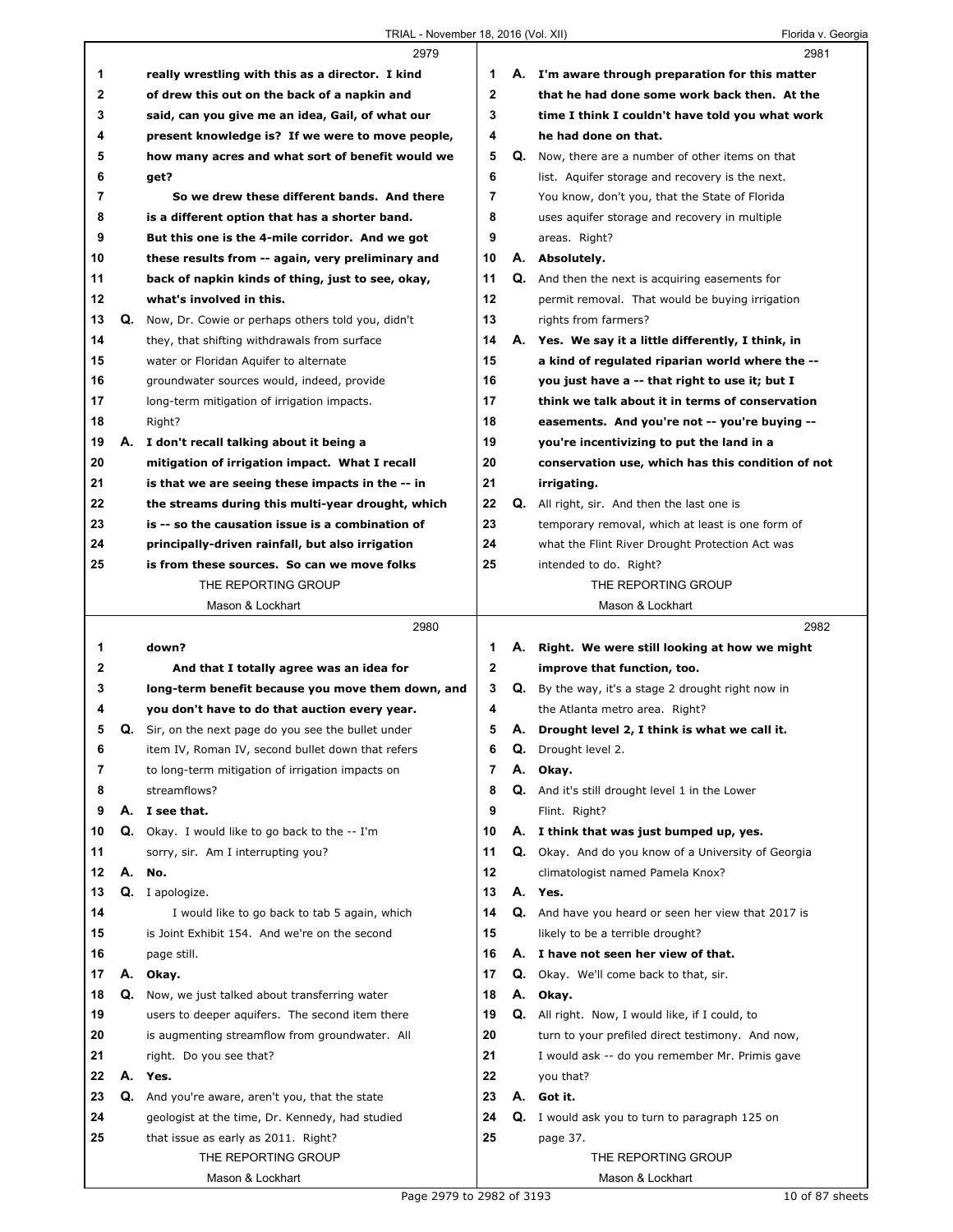|    |    | 2979                                              |                |    | 2981                                                       |  |
|----|----|---------------------------------------------------|----------------|----|------------------------------------------------------------|--|
| 1  |    | really wrestling with this as a director. I kind  | 1              |    | A. I'm aware through preparation for this matter           |  |
| 2  |    | of drew this out on the back of a napkin and      | $\mathbf{2}$   |    | that he had done some work back then. At the               |  |
| 3  |    | said, can you give me an idea, Gail, of what our  | 3              |    | time I think I couldn't have told you what work            |  |
| 4  |    | present knowledge is? If we were to move people,  | 4              |    | he had done on that.                                       |  |
| 5  |    | how many acres and what sort of benefit would we  | 5              |    | Q. Now, there are a number of other items on that          |  |
| 6  |    | get?                                              | 6              |    | list. Aquifer storage and recovery is the next.            |  |
| 7  |    | So we drew these different bands. And there       | $\overline{7}$ |    | You know, don't you, that the State of Florida             |  |
| 8  |    | is a different option that has a shorter band.    | 8              |    | uses aquifer storage and recovery in multiple              |  |
| 9  |    | But this one is the 4-mile corridor. And we got   | 9              |    | areas. Right?                                              |  |
| 10 |    | these results from -- again, very preliminary and | 10             |    | A. Absolutely.                                             |  |
| 11 |    | back of napkin kinds of thing, just to see, okay, | 11             |    | <b>Q.</b> And then the next is acquiring easements for     |  |
| 12 |    | what's involved in this.                          | 12             |    | permit removal. That would be buying irrigation            |  |
| 13 | Q. | Now, Dr. Cowie or perhaps others told you, didn't | 13             |    | rights from farmers?                                       |  |
| 14 |    | they, that shifting withdrawals from surface      | 14             |    | A. Yes. We say it a little differently, I think, in        |  |
| 15 |    | water or Floridan Aquifer to alternate            | 15             |    | a kind of regulated riparian world where the --            |  |
| 16 |    | groundwater sources would, indeed, provide        | 16             |    | you just have a -- that right to use it; but I             |  |
| 17 |    | long-term mitigation of irrigation impacts.       | 17             |    | think we talk about it in terms of conservation            |  |
| 18 |    | Right?                                            | 18             |    | easements. And you're not -- you're buying --              |  |
| 19 | А. | I don't recall talking about it being a           | 19             |    | you're incentivizing to put the land in a                  |  |
| 20 |    | mitigation of irrigation impact. What I recall    | 20             |    | conservation use, which has this condition of not          |  |
| 21 |    | is that we are seeing these impacts in the -- in  | 21             |    | irrigating.                                                |  |
| 22 |    | the streams during this multi-year drought, which | 22             |    | Q. All right, sir. And then the last one is                |  |
| 23 |    | is -- so the causation issue is a combination of  | 23             |    | temporary removal, which at least is one form of           |  |
| 24 |    | principally-driven rainfall, but also irrigation  | 24             |    | what the Flint River Drought Protection Act was            |  |
| 25 |    | is from these sources. So can we move folks       | 25             |    | intended to do. Right?                                     |  |
|    |    | THE REPORTING GROUP                               |                |    | THE REPORTING GROUP                                        |  |
|    |    | Mason & Lockhart                                  |                |    | Mason & Lockhart                                           |  |
|    |    |                                                   |                |    |                                                            |  |
|    |    | 2980                                              |                |    | 2982                                                       |  |
| 1  |    | down?                                             | 1              | А. | Right. We were still looking at how we might               |  |
| 2  |    | And that I totally agree was an idea for          | 2              |    | improve that function, too.                                |  |
| 3  |    | long-term benefit because you move them down, and | 3              |    | <b>Q.</b> By the way, it's a stage 2 drought right now in  |  |
| 4  |    | you don't have to do that auction every year.     | 4              |    | the Atlanta metro area. Right?                             |  |
| 5  | Q. | Sir, on the next page do you see the bullet under | 5              | А. | Drought level 2, I think is what we call it.               |  |
| 6  |    | item IV, Roman IV, second bullet down that refers | 6              |    | Q. Drought level 2.                                        |  |
| 7  |    | to long-term mitigation of irrigation impacts on  | 7              | А. | Okay.                                                      |  |
| 8  |    | streamflows?                                      | 8              |    | Q. And it's still drought level 1 in the Lower             |  |
| 9  |    | A. I see that.                                    | 9              |    | Flint. Right?                                              |  |
| 10 | Q. | Okay. I would like to go back to the -- I'm       | 10             |    | A. I think that was just bumped up, yes.                   |  |
| 11 |    | sorry, sir. Am I interrupting you?                | 11             | Q. | Okay. And do you know of a University of Georgia           |  |
| 12 | А. | No.                                               | 12             |    | climatologist named Pamela Knox?                           |  |
| 13 | Q. | I apologize.                                      | 13             |    | A. Yes.                                                    |  |
| 14 |    | I would like to go back to tab 5 again, which     | 14             |    | <b>Q.</b> And have you heard or seen her view that 2017 is |  |
| 15 |    | is Joint Exhibit 154. And we're on the second     | 15             |    | likely to be a terrible drought?                           |  |
| 16 |    | page still.                                       | 16             |    | A. I have not seen her view of that.                       |  |
| 17 |    | A. Okay.                                          | 17             |    | <b>Q.</b> Okay. We'll come back to that, sir.              |  |
| 18 | Q. | Now, we just talked about transferring water      | 18             |    | A. Okay.                                                   |  |
| 19 |    | users to deeper aquifers. The second item there   | 19             |    | <b>Q.</b> All right. Now, I would like, if I could, to     |  |
| 20 |    | is augmenting streamflow from groundwater. All    | 20             |    | turn to your prefiled direct testimony. And now,           |  |
| 21 |    | right. Do you see that?                           | 21             |    | I would ask -- do you remember Mr. Primis gave             |  |
| 22 |    | A. Yes.                                           | 22             |    | you that?                                                  |  |
| 23 | Q. | And you're aware, aren't you, that the state      | 23             |    | A. Got it.                                                 |  |
| 24 |    | geologist at the time, Dr. Kennedy, had studied   | 24             |    | <b>Q.</b> I would ask you to turn to paragraph 125 on      |  |
| 25 |    | that issue as early as 2011. Right?               | 25             |    | page 37.                                                   |  |
|    |    | THE REPORTING GROUP                               |                |    | THE REPORTING GROUP                                        |  |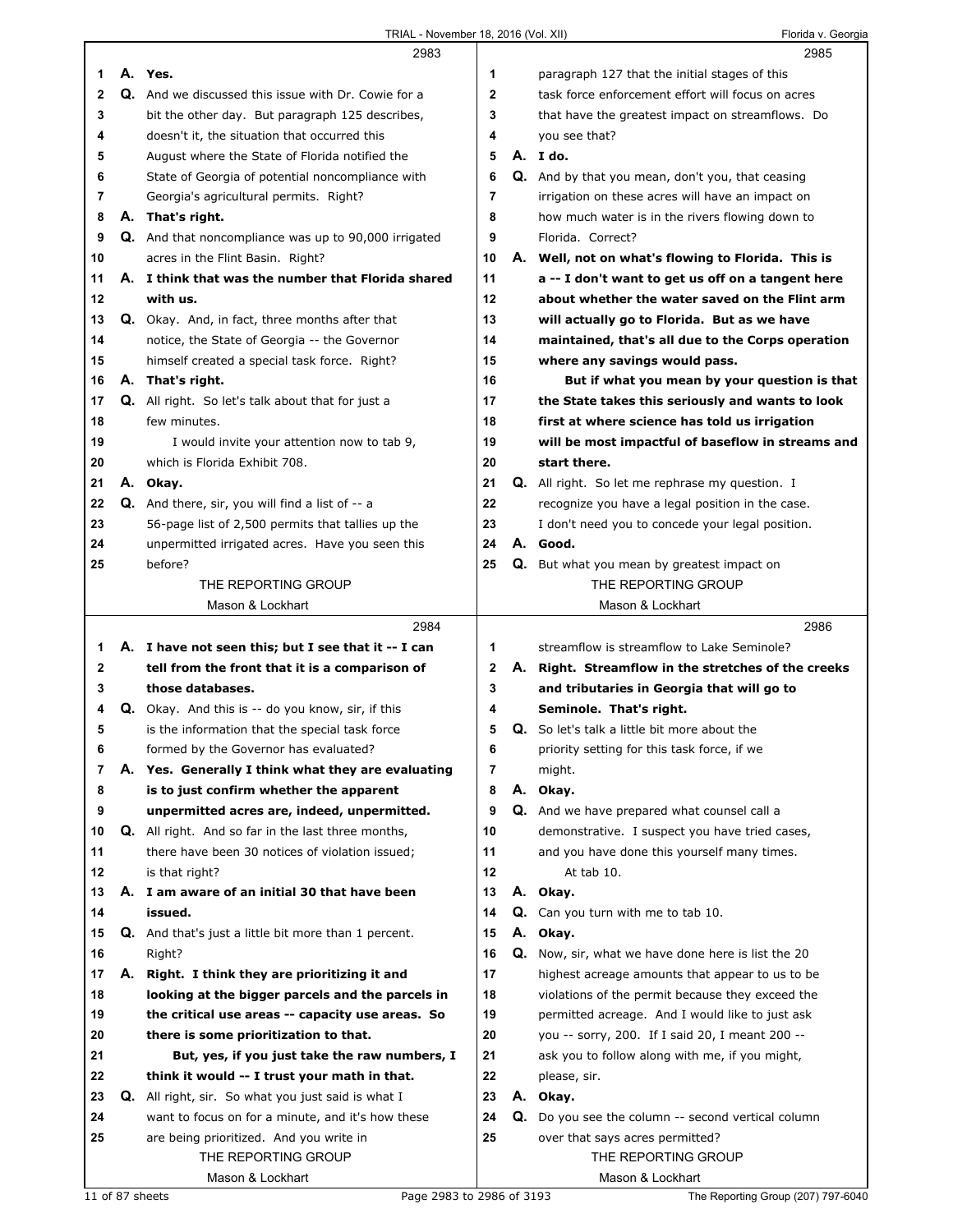|              |    | 2983                                                        |              |    | 2985                                                   |
|--------------|----|-------------------------------------------------------------|--------------|----|--------------------------------------------------------|
| 1            |    | A. Yes.                                                     | 1            |    | paragraph 127 that the initial stages of this          |
| $\mathbf{2}$ |    | Q. And we discussed this issue with Dr. Cowie for a         | $\mathbf{2}$ |    | task force enforcement effort will focus on acres      |
| 3            |    | bit the other day. But paragraph 125 describes,             | 3            |    | that have the greatest impact on streamflows. Do       |
| 4            |    | doesn't it, the situation that occurred this                | 4            |    | you see that?                                          |
| 5            |    | August where the State of Florida notified the              | 5            |    | A. Ido.                                                |
| 6            |    | State of Georgia of potential noncompliance with            | 6            |    | Q. And by that you mean, don't you, that ceasing       |
| 7            |    | Georgia's agricultural permits. Right?                      | 7            |    | irrigation on these acres will have an impact on       |
| 8            |    | A. That's right.                                            | 8            |    | how much water is in the rivers flowing down to        |
| 9            |    | <b>Q.</b> And that noncompliance was up to 90,000 irrigated | 9            |    | Florida, Correct?                                      |
| 10           |    | acres in the Flint Basin. Right?                            | 10           |    | A. Well, not on what's flowing to Florida. This is     |
| 11           |    | A. I think that was the number that Florida shared          | 11           |    | a -- I don't want to get us off on a tangent here      |
| 12           |    | with us.                                                    | 12           |    | about whether the water saved on the Flint arm         |
| 13           |    | Q. Okay. And, in fact, three months after that              | 13           |    | will actually go to Florida. But as we have            |
| 14           |    | notice, the State of Georgia -- the Governor                | 14           |    | maintained, that's all due to the Corps operation      |
| 15           |    | himself created a special task force. Right?                | 15           |    | where any savings would pass.                          |
| 16           |    | A. That's right.                                            | 16           |    | But if what you mean by your question is that          |
| 17           |    | <b>Q.</b> All right. So let's talk about that for just a    | 17           |    | the State takes this seriously and wants to look       |
| 18           |    | few minutes.                                                | 18           |    | first at where science has told us irrigation          |
| 19           |    | I would invite your attention now to tab 9,                 | 19           |    | will be most impactful of baseflow in streams and      |
| 20           |    | which is Florida Exhibit 708.                               | 20           |    | start there.                                           |
| 21           |    | A. Okay.                                                    | 21           |    | <b>Q.</b> All right. So let me rephrase my question. I |
| 22           |    | Q. And there, sir, you will find a list of -- a             | 22           |    | recognize you have a legal position in the case.       |
| 23           |    | 56-page list of 2,500 permits that tallies up the           | 23           |    | I don't need you to concede your legal position.       |
| 24           |    | unpermitted irrigated acres. Have you seen this             | 24           |    | A. Good.                                               |
| 25           |    | before?                                                     | 25           |    | Q. But what you mean by greatest impact on             |
|              |    | THE REPORTING GROUP                                         |              |    | THE REPORTING GROUP                                    |
|              |    | Mason & Lockhart                                            |              |    | Mason & Lockhart                                       |
|              |    |                                                             |              |    |                                                        |
|              |    | 2984                                                        |              |    | 2986                                                   |
| 1            |    | A. I have not seen this; but I see that it -- I can         | 1            |    | streamflow is streamflow to Lake Seminole?             |
| 2            |    | tell from the front that it is a comparison of              | $\mathbf{2}$ |    | A. Right. Streamflow in the stretches of the creeks    |
| 3            |    | those databases.                                            | 3            |    | and tributaries in Georgia that will go to             |
| 4            |    | <b>Q.</b> Okay. And this is -- do you know, sir, if this    | 4            |    | Seminole. That's right.                                |
| 5            |    | is the information that the special task force              | 5            |    | Q. So let's talk a little bit more about the           |
| 6            |    | formed by the Governor has evaluated?                       | 6            |    | priority setting for this task force, if we            |
| 7            |    | A. Yes. Generally I think what they are evaluating          | 7            |    | might.                                                 |
| 8            |    | is to just confirm whether the apparent                     | 8            |    | A. Okay.                                               |
| 9            |    | unpermitted acres are, indeed, unpermitted.                 | 9            |    | Q. And we have prepared what counsel call a            |
| 10           |    | Q. All right. And so far in the last three months,          | 10           |    | demonstrative. I suspect you have tried cases,         |
| 11           |    | there have been 30 notices of violation issued;             | 11           |    | and you have done this yourself many times.            |
| 12           |    | is that right?                                              | 12           |    | At tab 10.                                             |
| 13           |    | A. I am aware of an initial 30 that have been               | 13           |    | A. Okay.                                               |
| 14           |    | issued.                                                     | 14           | Q. | Can you turn with me to tab 10.                        |
| 15           |    | <b>Q.</b> And that's just a little bit more than 1 percent. | 15           |    | A. Okay.                                               |
| 16           |    | Right?                                                      | 16           | Q. | Now, sir, what we have done here is list the 20        |
| 17           |    | A. Right. I think they are prioritizing it and              | 17           |    | highest acreage amounts that appear to us to be        |
| 18           |    | looking at the bigger parcels and the parcels in            | 18           |    | violations of the permit because they exceed the       |
| 19           |    | the critical use areas -- capacity use areas. So            | 19           |    | permitted acreage. And I would like to just ask        |
| 20           |    | there is some prioritization to that.                       | 20           |    | you -- sorry, 200. If I said 20, I meant 200 --        |
| 21           |    | But, yes, if you just take the raw numbers, I               | 21           |    | ask you to follow along with me, if you might,         |
| 22           |    | think it would -- I trust your math in that.                | 22           |    | please, sir.                                           |
| 23           | Q. | All right, sir. So what you just said is what I             | 23           |    | A. Okay.                                               |
| 24           |    | want to focus on for a minute, and it's how these           | 24           |    | Q. Do you see the column -- second vertical column     |
| 25           |    | are being prioritized. And you write in                     | 25           |    | over that says acres permitted?                        |
|              |    | THE REPORTING GROUP<br>Mason & Lockhart                     |              |    | THE REPORTING GROUP<br>Mason & Lockhart                |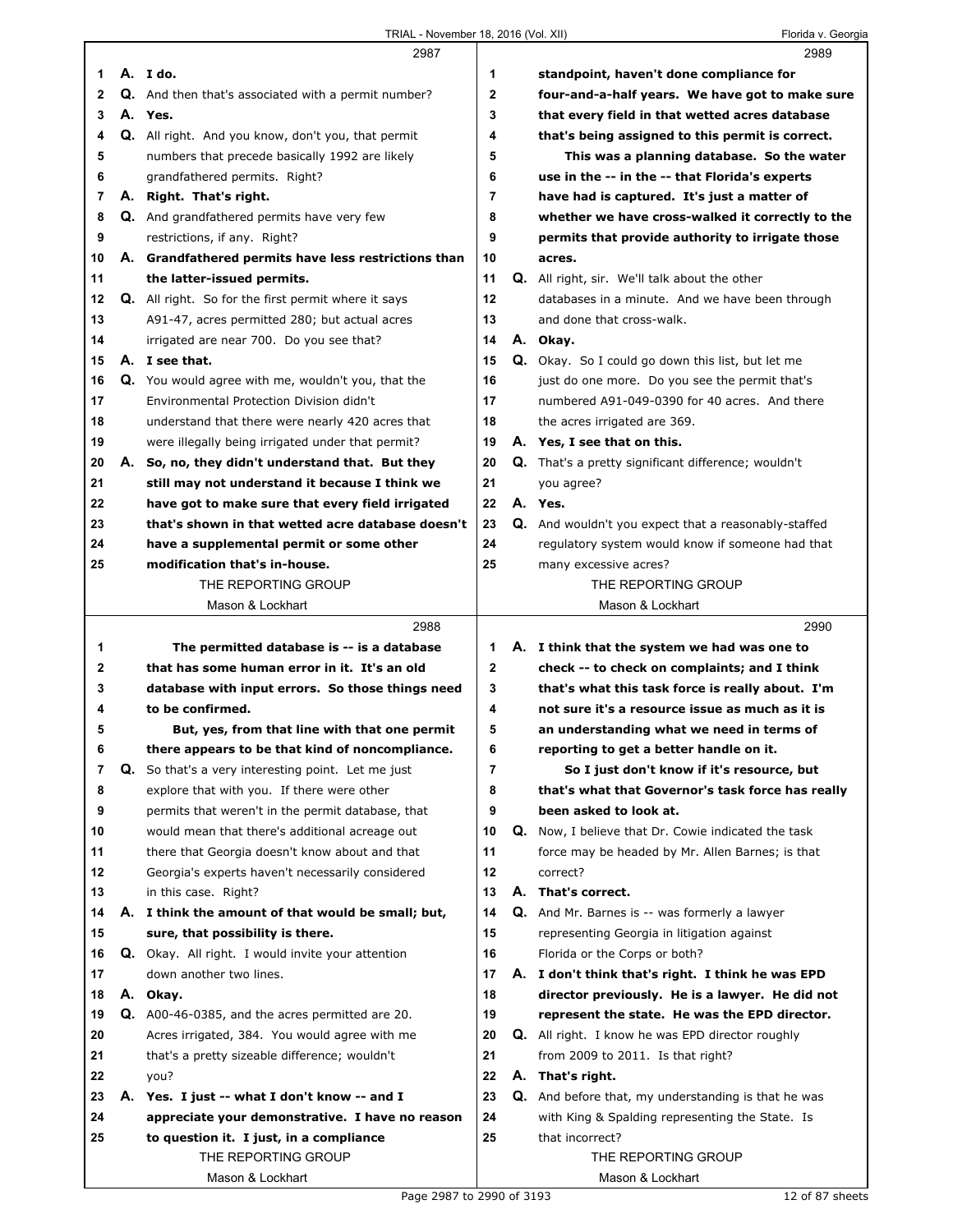|    | 2987                                                       |                | 2989                                                       |
|----|------------------------------------------------------------|----------------|------------------------------------------------------------|
| 1  | A. Ido.                                                    | 1              | standpoint, haven't done compliance for                    |
| 2  | <b>Q.</b> And then that's associated with a permit number? | $\mathbf{2}$   | four-and-a-half years. We have got to make sure            |
| 3  | A. Yes.                                                    | 3              | that every field in that wetted acres database             |
| 4  | Q. All right. And you know, don't you, that permit         | 4              | that's being assigned to this permit is correct.           |
| 5  | numbers that precede basically 1992 are likely             | 5              | This was a planning database. So the water                 |
| 6  | grandfathered permits. Right?                              | 6              | use in the -- in the -- that Florida's experts             |
| 7  | A. Right. That's right.                                    | $\overline{7}$ | have had is captured. It's just a matter of                |
| 8  | <b>Q.</b> And grandfathered permits have very few          | 8              | whether we have cross-walked it correctly to the           |
| 9  | restrictions, if any. Right?                               | 9              | permits that provide authority to irrigate those           |
| 10 | A. Grandfathered permits have less restrictions than       | 10             | acres.                                                     |
| 11 | the latter-issued permits.                                 | 11             | <b>Q.</b> All right, sir. We'll talk about the other       |
| 12 | <b>Q.</b> All right. So for the first permit where it says | 12             | databases in a minute. And we have been through            |
| 13 | A91-47, acres permitted 280; but actual acres              | 13             | and done that cross-walk.                                  |
| 14 | irrigated are near 700. Do you see that?                   | 14             | A. Okay.                                                   |
| 15 | A. I see that.                                             | 15             | <b>Q.</b> Okay. So I could go down this list, but let me   |
| 16 | Q. You would agree with me, wouldn't you, that the         | 16             | just do one more. Do you see the permit that's             |
| 17 | Environmental Protection Division didn't                   | 17             | numbered A91-049-0390 for 40 acres. And there              |
| 18 | understand that there were nearly 420 acres that           | 18             | the acres irrigated are 369.                               |
| 19 | were illegally being irrigated under that permit?          | 19             | A. Yes, I see that on this.                                |
| 20 | A. So, no, they didn't understand that. But they           | 20             | <b>Q.</b> That's a pretty significant difference; wouldn't |
| 21 | still may not understand it because I think we             | 21             | you agree?                                                 |
| 22 | have got to make sure that every field irrigated           | 22             | A. Yes.                                                    |
| 23 | that's shown in that wetted acre database doesn't          | 23             | Q. And wouldn't you expect that a reasonably-staffed       |
| 24 | have a supplemental permit or some other                   | 24             | regulatory system would know if someone had that           |
| 25 | modification that's in-house.                              | 25             | many excessive acres?                                      |
|    | THE REPORTING GROUP                                        |                | THE REPORTING GROUP                                        |
|    | Mason & Lockhart                                           |                | Mason & Lockhart                                           |
|    |                                                            |                |                                                            |
|    | 2988                                                       |                | 2990                                                       |
| 1  | The permitted database is -- is a database                 | 1              | A. I think that the system we had was one to               |
| 2  | that has some human error in it. It's an old               | $\mathbf{2}$   | check -- to check on complaints; and I think               |
| 3  | database with input errors. So those things need           | 3              | that's what this task force is really about. I'm           |
| 4  | to be confirmed.                                           | 4              | not sure it's a resource issue as much as it is            |
| 5  | But, yes, from that line with that one permit              | 5              | an understanding what we need in terms of                  |
| 6  | there appears to be that kind of noncompliance.            | 6              | reporting to get a better handle on it.                    |
| 7  | Q. So that's a very interesting point. Let me just         | 7              | So I just don't know if it's resource, but                 |
| 8  | explore that with you. If there were other                 | 8              | that's what that Governor's task force has really          |
| 9  | permits that weren't in the permit database, that          | 9              | been asked to look at.                                     |
| 10 | would mean that there's additional acreage out             | 10             | <b>Q.</b> Now, I believe that Dr. Cowie indicated the task |
| 11 | there that Georgia doesn't know about and that             | 11             | force may be headed by Mr. Allen Barnes; is that           |
| 12 | Georgia's experts haven't necessarily considered           | 12             | correct?                                                   |
| 13 | in this case. Right?                                       | 13             | A. That's correct.                                         |
| 14 | A. I think the amount of that would be small; but,         | 14             | Q. And Mr. Barnes is -- was formerly a lawyer              |
| 15 | sure, that possibility is there.                           | 15             | representing Georgia in litigation against                 |
| 16 | <b>Q.</b> Okay. All right. I would invite your attention   | 16             | Florida or the Corps or both?                              |
| 17 | down another two lines.                                    | 17             | A. I don't think that's right. I think he was EPD          |
| 18 | A. Okay.                                                   | 18             | director previously. He is a lawyer. He did not            |
| 19 | Q. A00-46-0385, and the acres permitted are 20.            | 19             | represent the state. He was the EPD director.              |
| 20 | Acres irrigated, 384. You would agree with me              | 20             | <b>Q.</b> All right. I know he was EPD director roughly    |
| 21 | that's a pretty sizeable difference; wouldn't              | 21             | from 2009 to 2011. Is that right?                          |
| 22 | you?                                                       | 22             | A. That's right.                                           |
| 23 | A. Yes. I just -- what I don't know -- and I               | 23             | <b>Q.</b> And before that, my understanding is that he was |
| 24 | appreciate your demonstrative. I have no reason            | 24             | with King & Spalding representing the State. Is            |
| 25 | to question it. I just, in a compliance                    | 25             | that incorrect?                                            |
|    | THE REPORTING GROUP                                        |                | THE REPORTING GROUP                                        |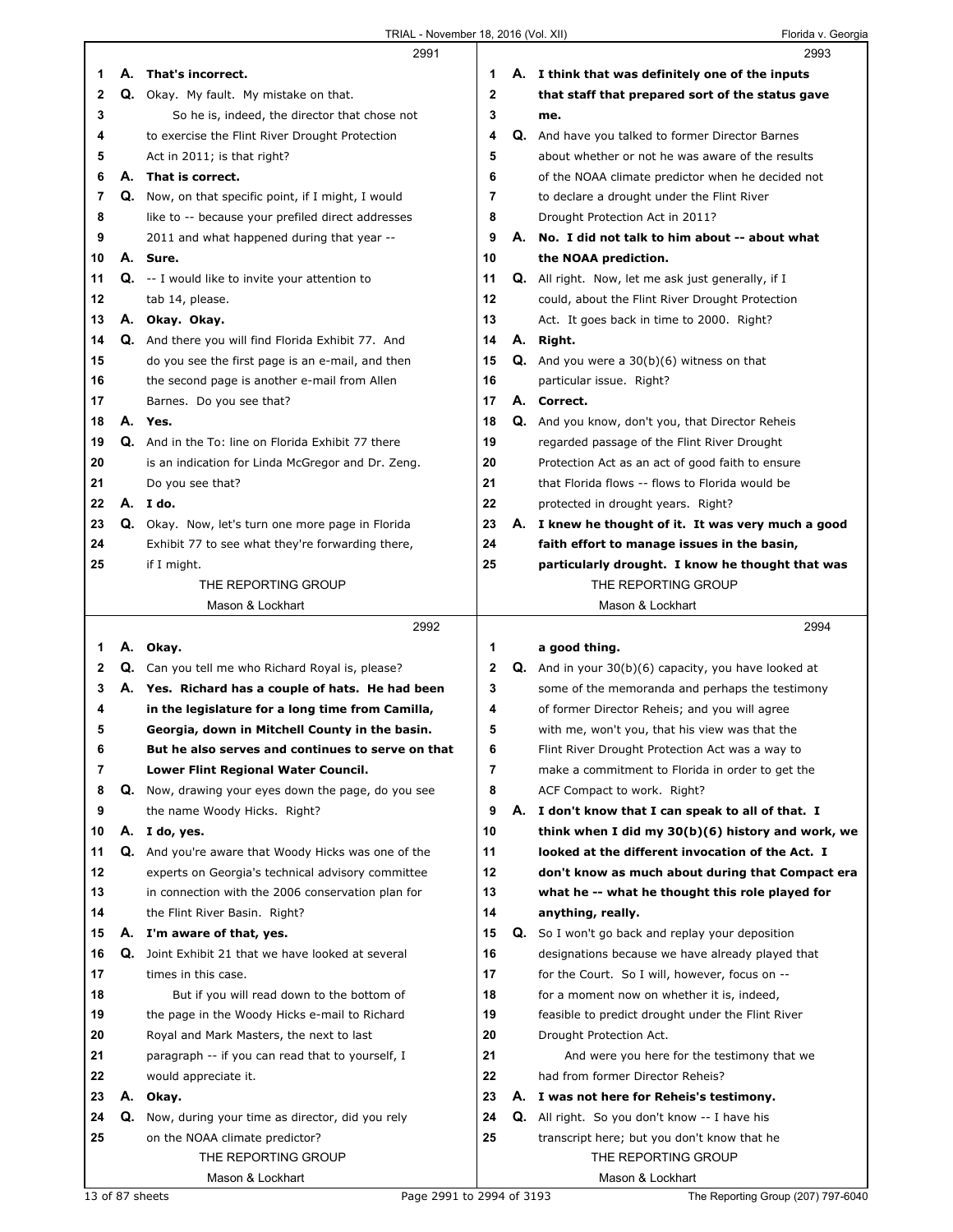|    |    | 2991                                                      |    |    | 2993                                                        |
|----|----|-----------------------------------------------------------|----|----|-------------------------------------------------------------|
| 1  | А. | That's incorrect.                                         | 1  |    | A. I think that was definitely one of the inputs            |
| 2  |    | Q. Okay. My fault. My mistake on that.                    | 2  |    | that staff that prepared sort of the status gave            |
| 3  |    | So he is, indeed, the director that chose not             | 3  |    | me.                                                         |
| 4  |    | to exercise the Flint River Drought Protection            | 4  |    | Q. And have you talked to former Director Barnes            |
| 5  |    | Act in 2011; is that right?                               | 5  |    | about whether or not he was aware of the results            |
| 6  | А. | That is correct.                                          | 6  |    | of the NOAA climate predictor when he decided not           |
| 7  |    | Q. Now, on that specific point, if I might, I would       | 7  |    | to declare a drought under the Flint River                  |
| 8  |    | like to -- because your prefiled direct addresses         | 8  |    | Drought Protection Act in 2011?                             |
| 9  |    | 2011 and what happened during that year --                | 9  |    | A. No. I did not talk to him about -- about what            |
| 10 |    | A. Sure.                                                  | 10 |    | the NOAA prediction.                                        |
| 11 |    | $Q. -I$ would like to invite your attention to            | 11 |    | <b>Q.</b> All right. Now, let me ask just generally, if I   |
| 12 |    | tab 14, please.                                           | 12 |    | could, about the Flint River Drought Protection             |
| 13 | А. | Okay. Okay.                                               | 13 |    | Act. It goes back in time to 2000. Right?                   |
| 14 |    | <b>Q.</b> And there you will find Florida Exhibit 77. And | 14 |    | A. Right.                                                   |
| 15 |    | do you see the first page is an e-mail, and then          | 15 | Q. | And you were a $30(b)(6)$ witness on that                   |
| 16 |    | the second page is another e-mail from Allen              | 16 |    | particular issue. Right?                                    |
| 17 |    | Barnes. Do you see that?                                  | 17 |    | A. Correct.                                                 |
| 18 |    | A. Yes.                                                   | 18 |    | Q. And you know, don't you, that Director Reheis            |
| 19 |    | Q. And in the To: line on Florida Exhibit 77 there        | 19 |    | regarded passage of the Flint River Drought                 |
| 20 |    | is an indication for Linda McGregor and Dr. Zeng.         | 20 |    | Protection Act as an act of good faith to ensure            |
| 21 |    | Do you see that?                                          | 21 |    | that Florida flows -- flows to Florida would be             |
| 22 |    | A. I do.                                                  | 22 |    | protected in drought years. Right?                          |
| 23 |    | Q. Okay. Now, let's turn one more page in Florida         | 23 |    | A. I knew he thought of it. It was very much a good         |
| 24 |    | Exhibit 77 to see what they're forwarding there,          | 24 |    | faith effort to manage issues in the basin,                 |
| 25 |    | if I might.                                               | 25 |    | particularly drought. I know he thought that was            |
|    |    | THE REPORTING GROUP                                       |    |    | THE REPORTING GROUP                                         |
|    |    | Mason & Lockhart                                          |    |    | Mason & Lockhart                                            |
|    |    |                                                           |    |    |                                                             |
|    |    | 2992                                                      |    |    | 2994                                                        |
| 1  |    | A. Okay.                                                  | 1  |    | a good thing.                                               |
| 2  | Q. | Can you tell me who Richard Royal is, please?             | 2  |    | <b>Q.</b> And in your 30(b)(6) capacity, you have looked at |
| 3  |    | A. Yes. Richard has a couple of hats. He had been         | 3  |    | some of the memoranda and perhaps the testimony             |
| 4  |    | in the legislature for a long time from Camilla,          | 4  |    | of former Director Reheis; and you will agree               |
| 5  |    | Georgia, down in Mitchell County in the basin.            | 5  |    | with me, won't you, that his view was that the              |
| 6  |    | But he also serves and continues to serve on that         | 6  |    | Flint River Drought Protection Act was a way to             |
| 7  |    | Lower Flint Regional Water Council.                       | 7  |    | make a commitment to Florida in order to get the            |
| 8  |    | Q. Now, drawing your eyes down the page, do you see       | 8  |    | ACF Compact to work. Right?                                 |
| 9  |    | the name Woody Hicks. Right?                              | 9  |    | A. I don't know that I can speak to all of that. I          |
| 10 |    | A. I do, yes.                                             | 10 |    | think when I did my 30(b)(6) history and work, we           |
| 11 |    | Q. And you're aware that Woody Hicks was one of the       | 11 |    | looked at the different invocation of the Act. I            |
| 12 |    | experts on Georgia's technical advisory committee         | 12 |    | don't know as much about during that Compact era            |
| 13 |    | in connection with the 2006 conservation plan for         | 13 |    | what he -- what he thought this role played for             |
| 14 |    | the Flint River Basin. Right?                             | 14 |    | anything, really.                                           |
| 15 | А. | I'm aware of that, yes.                                   | 15 |    | Q. So I won't go back and replay your deposition            |
| 16 |    | Q. Joint Exhibit 21 that we have looked at several        | 16 |    | designations because we have already played that            |
| 17 |    | times in this case.                                       | 17 |    | for the Court. So I will, however, focus on --              |
| 18 |    | But if you will read down to the bottom of                | 18 |    | for a moment now on whether it is, indeed,                  |
| 19 |    | the page in the Woody Hicks e-mail to Richard             | 19 |    | feasible to predict drought under the Flint River           |
| 20 |    | Royal and Mark Masters, the next to last                  | 20 |    | Drought Protection Act.                                     |
| 21 |    | paragraph -- if you can read that to yourself, I          | 21 |    | And were you here for the testimony that we                 |
| 22 |    | would appreciate it.                                      | 22 |    | had from former Director Reheis?                            |
| 23 | А. | Okay.                                                     | 23 |    | A. I was not here for Reheis's testimony.                   |
| 24 | Q. | Now, during your time as director, did you rely           | 24 |    | <b>Q.</b> All right. So you don't know -- I have his        |
| 25 |    | on the NOAA climate predictor?                            | 25 |    | transcript here; but you don't know that he                 |
|    |    | THE REPORTING GROUP<br>Mason & Lockhart                   |    |    | THE REPORTING GROUP<br>Mason & Lockhart                     |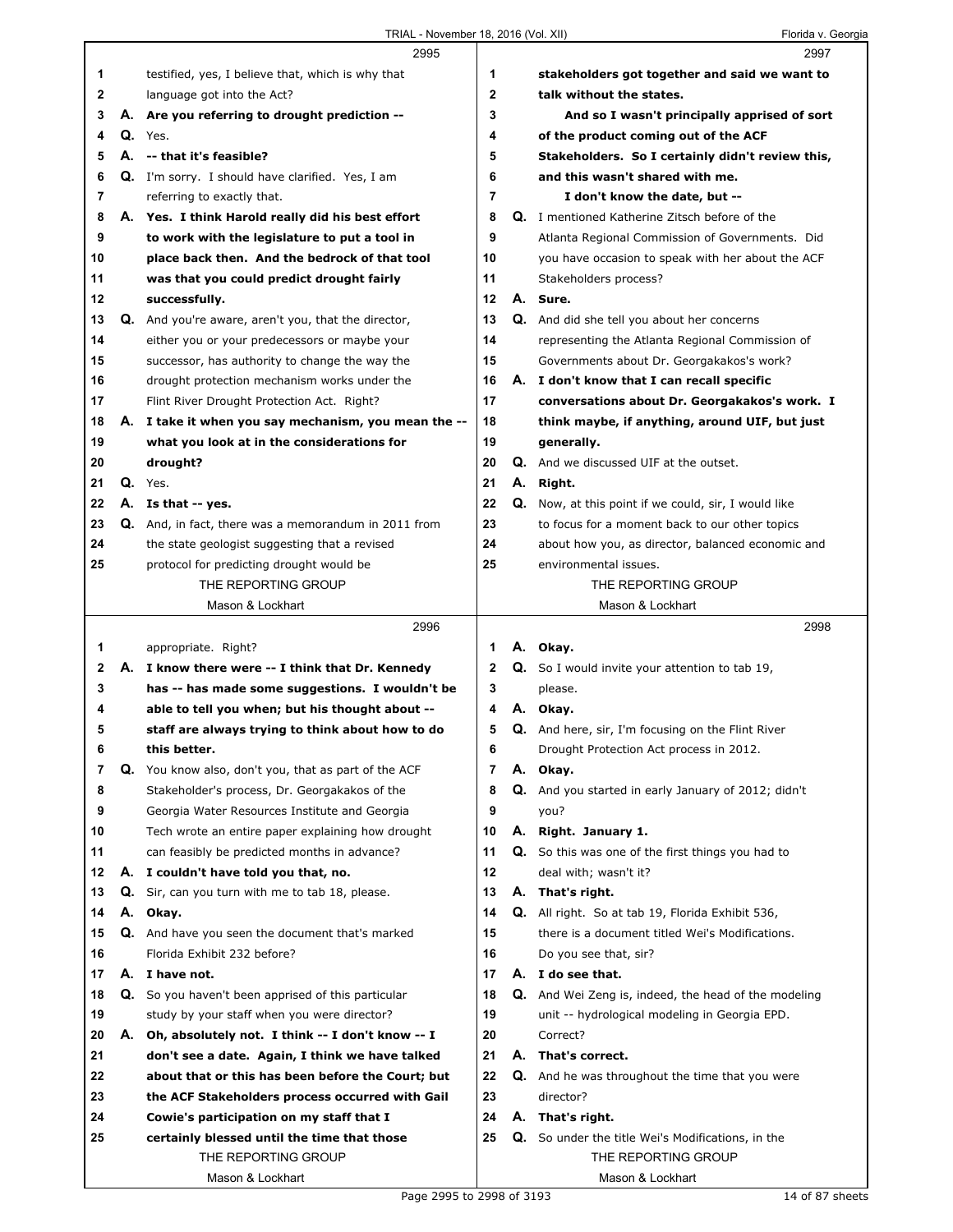|    |    | 2995                                                    |              |    | 2997                                                        |  |
|----|----|---------------------------------------------------------|--------------|----|-------------------------------------------------------------|--|
| 1  |    | testified, yes, I believe that, which is why that       | 1            |    | stakeholders got together and said we want to               |  |
| 2  |    | language got into the Act?                              | $\mathbf{2}$ |    | talk without the states.                                    |  |
| 3  |    | A. Are you referring to drought prediction --           | 3            |    | And so I wasn't principally apprised of sort                |  |
| 4  |    | $Q.$ Yes.                                               | 4            |    | of the product coming out of the ACF                        |  |
| 5  |    | A. -- that it's feasible?                               | 5            |    | Stakeholders. So I certainly didn't review this,            |  |
| 6  |    | <b>Q.</b> I'm sorry. I should have clarified. Yes, I am | 6            |    | and this wasn't shared with me.                             |  |
| 7  |    | referring to exactly that.                              | 7            |    | I don't know the date, but --                               |  |
| 8  |    | A. Yes. I think Harold really did his best effort       | 8            |    | Q. I mentioned Katherine Zitsch before of the               |  |
| 9  |    | to work with the legislature to put a tool in           | 9            |    | Atlanta Regional Commission of Governments. Did             |  |
| 10 |    | place back then. And the bedrock of that tool           | 10           |    | you have occasion to speak with her about the ACF           |  |
| 11 |    | was that you could predict drought fairly               | 11           |    | Stakeholders process?                                       |  |
| 12 |    | successfully.                                           | 12           |    | A. Sure.                                                    |  |
| 13 |    | Q. And you're aware, aren't you, that the director,     | 13           |    | Q. And did she tell you about her concerns                  |  |
| 14 |    | either you or your predecessors or maybe your           | 14           |    | representing the Atlanta Regional Commission of             |  |
| 15 |    | successor, has authority to change the way the          | 15           |    | Governments about Dr. Georgakakos's work?                   |  |
| 16 |    | drought protection mechanism works under the            | 16           |    | A. I don't know that I can recall specific                  |  |
| 17 |    | Flint River Drought Protection Act. Right?              | 17           |    | conversations about Dr. Georgakakos's work. I               |  |
| 18 |    | A. I take it when you say mechanism, you mean the --    | 18           |    | think maybe, if anything, around UIF, but just              |  |
| 19 |    | what you look at in the considerations for              | 19           |    | generally.                                                  |  |
| 20 |    | drought?                                                | 20           |    | Q. And we discussed UIF at the outset.                      |  |
| 21 |    | Q. Yes.                                                 | 21           |    | A. Right.                                                   |  |
| 22 |    | A. Is that -- yes.                                      | 22           |    | Q. Now, at this point if we could, sir, I would like        |  |
| 23 |    | Q. And, in fact, there was a memorandum in 2011 from    | 23           |    | to focus for a moment back to our other topics              |  |
| 24 |    | the state geologist suggesting that a revised           | 24           |    | about how you, as director, balanced economic and           |  |
| 25 |    | protocol for predicting drought would be                | 25           |    | environmental issues.                                       |  |
|    |    | THE REPORTING GROUP                                     |              |    | THE REPORTING GROUP                                         |  |
|    |    | Mason & Lockhart                                        |              |    | Mason & Lockhart                                            |  |
|    |    |                                                         |              |    |                                                             |  |
|    |    | 2996                                                    |              |    | 2998                                                        |  |
| 1. |    | appropriate. Right?                                     | 1            |    | A. Okay.                                                    |  |
| 2  |    | A. I know there were -- I think that Dr. Kennedy        | $\mathbf{2}$ |    | <b>Q.</b> So I would invite your attention to tab 19,       |  |
| 3  |    | has -- has made some suggestions. I wouldn't be         | 3            |    | please.                                                     |  |
| 4  |    | able to tell you when; but his thought about --         | 4            | А. | Okay.                                                       |  |
| 5  |    | staff are always trying to think about how to do        | 5            |    | Q. And here, sir, I'm focusing on the Flint River           |  |
| 6  |    | this better.                                            | 6            |    | Drought Protection Act process in 2012.                     |  |
| 7  | Q. | You know also, don't you, that as part of the ACF       | 7            |    | A. Okay.                                                    |  |
| 8  |    | Stakeholder's process, Dr. Georgakakos of the           | 8            |    | Q. And you started in early January of 2012; didn't         |  |
| 9  |    | Georgia Water Resources Institute and Georgia           | 9            |    | you?                                                        |  |
| 10 |    | Tech wrote an entire paper explaining how drought       | 10           |    | A. Right. January 1.                                        |  |
| 11 |    | can feasibly be predicted months in advance?            | 11           |    | <b>Q.</b> So this was one of the first things you had to    |  |
| 12 | А. | I couldn't have told you that, no.                      | 12           |    | deal with; wasn't it?                                       |  |
| 13 |    | Q. Sir, can you turn with me to tab 18, please.         | 13           |    | A. That's right.                                            |  |
| 14 |    | A. Okay.                                                | 14           |    | Q. All right. So at tab 19, Florida Exhibit 536,            |  |
| 15 |    | Q. And have you seen the document that's marked         | 15           |    | there is a document titled Wei's Modifications.             |  |
| 16 |    | Florida Exhibit 232 before?                             | 16           |    | Do you see that, sir?                                       |  |
| 17 |    | A. I have not.                                          | 17           |    | A. I do see that.                                           |  |
| 18 | Q. | So you haven't been apprised of this particular         | 18           |    | <b>Q.</b> And Wei Zeng is, indeed, the head of the modeling |  |
| 19 |    | study by your staff when you were director?             | 19           |    | unit -- hydrological modeling in Georgia EPD.               |  |
| 20 | А. | Oh, absolutely not. I think -- I don't know -- I        | 20           |    | Correct?                                                    |  |
| 21 |    | don't see a date. Again, I think we have talked         | 21           |    | A. That's correct.                                          |  |
| 22 |    | about that or this has been before the Court; but       | 22           |    | Q. And he was throughout the time that you were             |  |
| 23 |    | the ACF Stakeholders process occurred with Gail         | 23           |    | director?                                                   |  |
| 24 |    | Cowie's participation on my staff that I                | 24           |    | A. That's right.                                            |  |
| 25 |    | certainly blessed until the time that those             | 25           |    | Q. So under the title Wei's Modifications, in the           |  |
|    |    | THE REPORTING GROUP                                     |              |    | THE REPORTING GROUP                                         |  |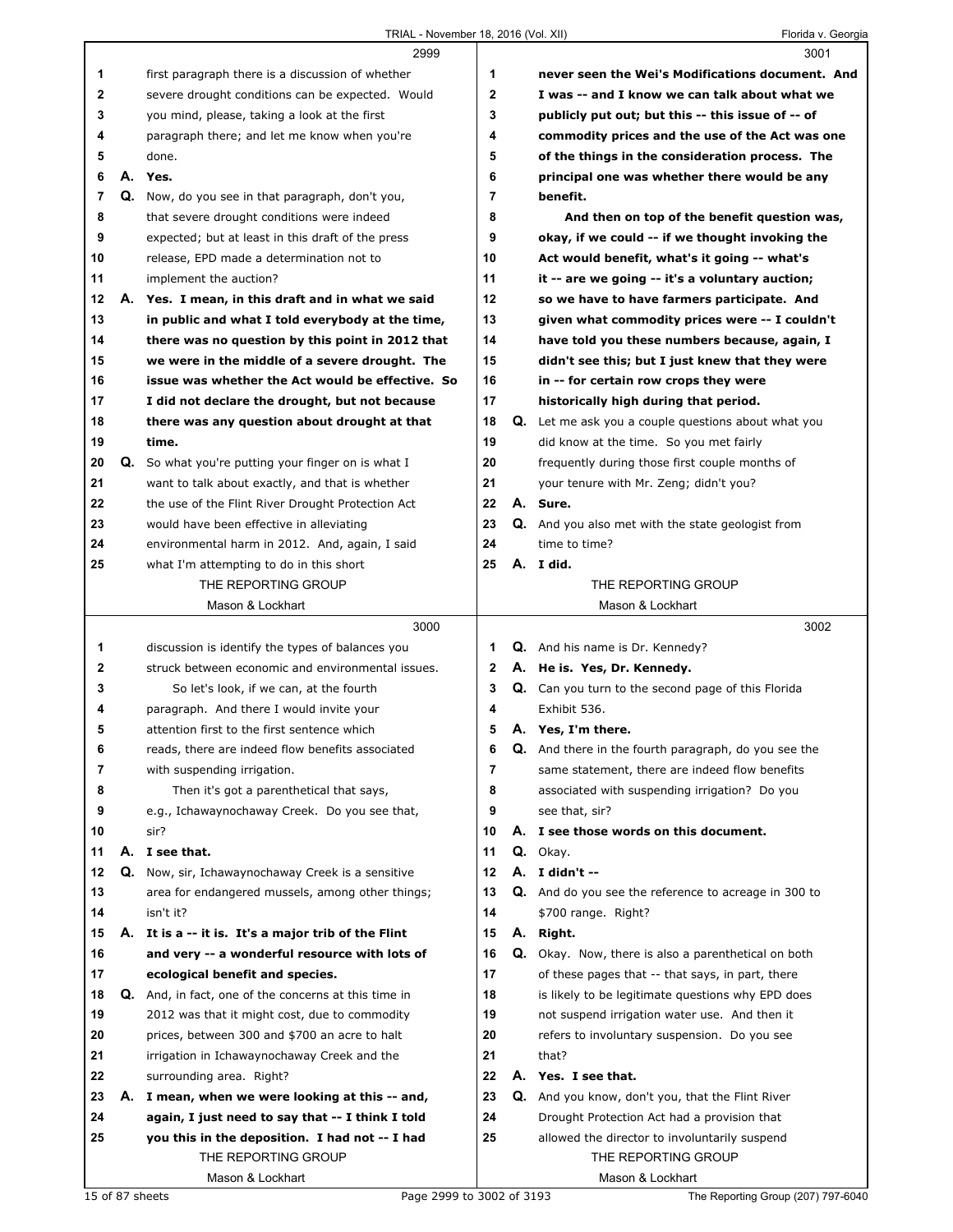|              |    | 2999                                                |              |    | 3001                                                       |
|--------------|----|-----------------------------------------------------|--------------|----|------------------------------------------------------------|
| 1            |    | first paragraph there is a discussion of whether    | 1            |    | never seen the Wei's Modifications document. And           |
| $\mathbf{2}$ |    | severe drought conditions can be expected. Would    | $\mathbf{2}$ |    | I was -- and I know we can talk about what we              |
| 3            |    | you mind, please, taking a look at the first        | 3            |    | publicly put out; but this -- this issue of -- of          |
| 4            |    | paragraph there; and let me know when you're        | 4            |    | commodity prices and the use of the Act was one            |
| 5            |    | done.                                               | 5            |    | of the things in the consideration process. The            |
| 6            |    | A. Yes.                                             | 6            |    | principal one was whether there would be any               |
| 7            |    | Q. Now, do you see in that paragraph, don't you,    | 7            |    | benefit.                                                   |
| 8            |    | that severe drought conditions were indeed          | 8            |    | And then on top of the benefit question was,               |
| 9            |    | expected; but at least in this draft of the press   | 9            |    | okay, if we could -- if we thought invoking the            |
| 10           |    | release, EPD made a determination not to            | 10           |    | Act would benefit, what's it going -- what's               |
| 11           |    | implement the auction?                              | 11           |    | it -- are we going -- it's a voluntary auction;            |
| 12           |    | A. Yes. I mean, in this draft and in what we said   | 12           |    | so we have to have farmers participate. And                |
| 13           |    | in public and what I told everybody at the time,    | 13           |    | given what commodity prices were -- I couldn't             |
| 14           |    | there was no question by this point in 2012 that    | 14           |    | have told you these numbers because, again, I              |
| 15           |    | we were in the middle of a severe drought. The      | 15           |    | didn't see this; but I just knew that they were            |
| 16           |    | issue was whether the Act would be effective. So    | 16           |    | in -- for certain row crops they were                      |
| 17           |    | I did not declare the drought, but not because      | 17           |    | historically high during that period.                      |
| 18           |    | there was any question about drought at that        | 18           |    | <b>Q.</b> Let me ask you a couple questions about what you |
| 19           |    | time.                                               | 19           |    | did know at the time. So you met fairly                    |
| 20           | Q. | So what you're putting your finger on is what I     | 20           |    | frequently during those first couple months of             |
| 21           |    | want to talk about exactly, and that is whether     | 21           |    | your tenure with Mr. Zeng; didn't you?                     |
| 22           |    | the use of the Flint River Drought Protection Act   | 22           |    | A. Sure.                                                   |
| 23           |    | would have been effective in alleviating            | 23           |    | Q. And you also met with the state geologist from          |
| 24           |    | environmental harm in 2012. And, again, I said      | 24           |    | time to time?                                              |
| 25           |    | what I'm attempting to do in this short             | 25           |    | A. I did.                                                  |
|              |    | THE REPORTING GROUP                                 |              |    | THE REPORTING GROUP                                        |
|              |    | Mason & Lockhart                                    |              |    | Mason & Lockhart                                           |
|              |    | 3000                                                |              |    | 3002                                                       |
| 1            |    | discussion is identify the types of balances you    | 1            |    | Q. And his name is Dr. Kennedy?                            |
| 2            |    | struck between economic and environmental issues.   | 2            |    | A. He is. Yes, Dr. Kennedy.                                |
| 3            |    | So let's look, if we can, at the fourth             | 3            |    | Q. Can you turn to the second page of this Florida         |
| 4            |    | paragraph. And there I would invite your            | 4            |    | Exhibit 536.                                               |
| 5            |    | attention first to the first sentence which         | 5            |    | A. Yes, I'm there.                                         |
| 6            |    | reads, there are indeed flow benefits associated    | 6            | Q. | And there in the fourth paragraph, do you see the          |
| 7            |    | with suspending irrigation.                         | 7            |    | same statement, there are indeed flow benefits             |
| 8            |    | Then it's got a parenthetical that says,            | 8            |    | associated with suspending irrigation? Do you              |
| 9            |    | e.g., Ichawaynochaway Creek. Do you see that,       | 9            |    | see that, sir?                                             |
| 10           |    | sir?                                                | 10           |    | A. I see those words on this document.                     |
| 11           |    | A. I see that.                                      | 11           |    | Q. Okay.                                                   |
| 12           | Q. | Now, sir, Ichawaynochaway Creek is a sensitive      | 12           |    | A. I didn't --                                             |
|              |    | area for endangered mussels, among other things;    | 13           |    | Q. And do you see the reference to acreage in 300 to       |
| 13           |    |                                                     |              |    |                                                            |
| 14           |    | isn't it?                                           | 14           |    | \$700 range. Right?                                        |
| 15           |    | A. It is a -- it is. It's a major trib of the Flint | 15           |    | A. Right.                                                  |
| 16           |    | and very -- a wonderful resource with lots of       | 16           |    | Q. Okay. Now, there is also a parenthetical on both        |
| 17           |    | ecological benefit and species.                     | 17           |    | of these pages that -- that says, in part, there           |
| 18           | Q. | And, in fact, one of the concerns at this time in   | 18           |    | is likely to be legitimate questions why EPD does          |
| 19           |    | 2012 was that it might cost, due to commodity       | 19           |    | not suspend irrigation water use. And then it              |
| 20           |    | prices, between 300 and \$700 an acre to halt       | 20           |    | refers to involuntary suspension. Do you see               |
| 21           |    | irrigation in Ichawaynochaway Creek and the         | 21           |    | that?                                                      |
| 22           |    | surrounding area. Right?                            | 22           |    | A. Yes. I see that.                                        |
| 23           |    | A. I mean, when we were looking at this -- and,     | 23           | Q. | And you know, don't you, that the Flint River              |
| 24           |    | again, I just need to say that -- I think I told    | 24           |    | Drought Protection Act had a provision that                |
| 25           |    | you this in the deposition. I had not -- I had      | 25           |    | allowed the director to involuntarily suspend              |
|              |    | THE REPORTING GROUP<br>Mason & Lockhart             |              |    | THE REPORTING GROUP                                        |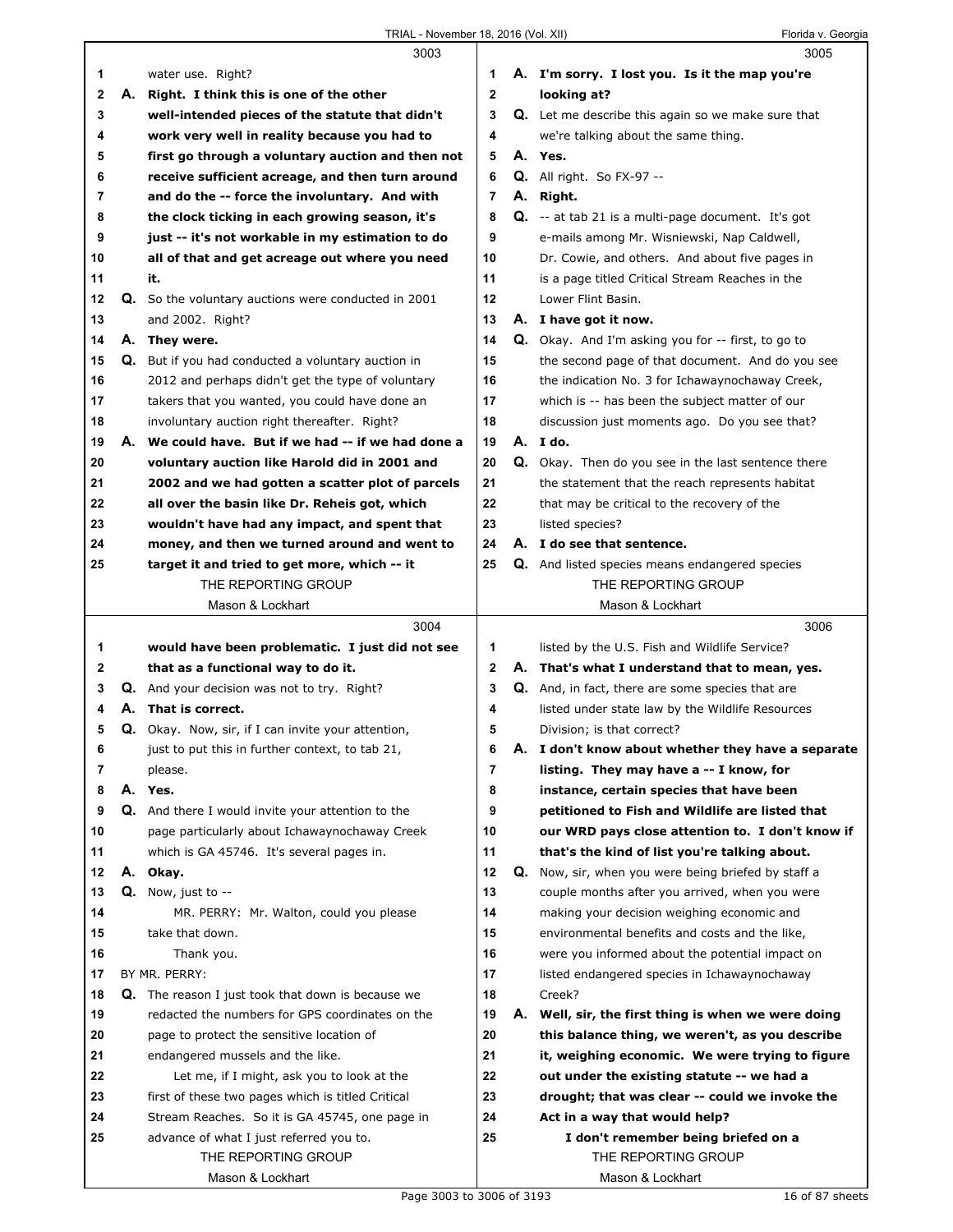|              |    | 3003                                                     |    |    | 3005                                                      |
|--------------|----|----------------------------------------------------------|----|----|-----------------------------------------------------------|
| 1            |    | water use. Right?                                        | 1  |    | A. I'm sorry. I lost you. Is it the map you're            |
| $\mathbf 2$  | А. | Right. I think this is one of the other                  | 2  |    | looking at?                                               |
| 3            |    | well-intended pieces of the statute that didn't          | 3  |    | <b>Q.</b> Let me describe this again so we make sure that |
| 4            |    | work very well in reality because you had to             | 4  |    | we're talking about the same thing.                       |
| 5            |    | first go through a voluntary auction and then not        | 5  |    | A. Yes.                                                   |
| 6            |    | receive sufficient acreage, and then turn around         | 6  |    | $Q.$ All right. So FX-97 --                               |
| 7            |    | and do the -- force the involuntary. And with            | 7  |    | A. Right.                                                 |
| 8            |    | the clock ticking in each growing season, it's           | 8  |    | Q. -- at tab 21 is a multi-page document. It's got        |
| 9            |    | just -- it's not workable in my estimation to do         | 9  |    | e-mails among Mr. Wisniewski, Nap Caldwell,               |
| 10           |    | all of that and get acreage out where you need           | 10 |    | Dr. Cowie, and others. And about five pages in            |
| 11           |    | it.                                                      | 11 |    | is a page titled Critical Stream Reaches in the           |
| 12           |    | Q. So the voluntary auctions were conducted in 2001      | 12 |    | Lower Flint Basin.                                        |
| 13           |    | and 2002. Right?                                         | 13 |    | A. I have got it now.                                     |
| 14           |    | A. They were.                                            | 14 |    | <b>Q.</b> Okay. And I'm asking you for -- first, to go to |
| 15           |    | Q. But if you had conducted a voluntary auction in       | 15 |    | the second page of that document. And do you see          |
| 16           |    | 2012 and perhaps didn't get the type of voluntary        | 16 |    | the indication No. 3 for Ichawaynochaway Creek,           |
| 17           |    | takers that you wanted, you could have done an           | 17 |    | which is -- has been the subject matter of our            |
| 18           |    | involuntary auction right thereafter. Right?             | 18 |    | discussion just moments ago. Do you see that?             |
| 19           |    | A. We could have. But if we had -- if we had done a      | 19 |    | A. Ido.                                                   |
| 20           |    | voluntary auction like Harold did in 2001 and            | 20 |    | Q. Okay. Then do you see in the last sentence there       |
| 21           |    | 2002 and we had gotten a scatter plot of parcels         | 21 |    | the statement that the reach represents habitat           |
| 22           |    | all over the basin like Dr. Reheis got, which            | 22 |    | that may be critical to the recovery of the               |
| 23           |    | wouldn't have had any impact, and spent that             | 23 |    | listed species?                                           |
| 24           |    | money, and then we turned around and went to             | 24 |    | A. I do see that sentence.                                |
| 25           |    | target it and tried to get more, which -- it             | 25 |    | <b>Q.</b> And listed species means endangered species     |
|              |    | THE REPORTING GROUP                                      |    |    | THE REPORTING GROUP                                       |
|              |    | Mason & Lockhart                                         |    |    | Mason & Lockhart                                          |
|              |    | 3004                                                     |    |    | 3006                                                      |
| 1            |    | would have been problematic. I just did not see          | 1  |    | listed by the U.S. Fish and Wildlife Service?             |
| $\mathbf{2}$ |    | that as a functional way to do it.                       | 2  |    | A. That's what I understand that to mean, yes.            |
| 3            |    | <b>Q.</b> And your decision was not to try. Right?       | 3  |    | Q. And, in fact, there are some species that are          |
| 4            |    |                                                          |    |    |                                                           |
|              |    | A. That is correct.                                      | 4  |    | listed under state law by the Wildlife Resources          |
| 5            |    | Q. Okay. Now, sir, if I can invite your attention,       | 5  |    | Division; is that correct?                                |
| 6            |    | just to put this in further context, to tab 21,          | 6  |    | A. I don't know about whether they have a separate        |
| 7            |    | please.                                                  | 7  |    | listing. They may have a -- I know, for                   |
| 8            |    | A. Yes.                                                  | 8  |    | instance, certain species that have been                  |
| 9            |    | Q. And there I would invite your attention to the        | 9  |    | petitioned to Fish and Wildlife are listed that           |
| 10           |    | page particularly about Ichawaynochaway Creek            | 10 |    | our WRD pays close attention to. I don't know if          |
| 11           |    | which is GA 45746. It's several pages in.                | 11 |    | that's the kind of list you're talking about.             |
| 12           |    | A. Okay.                                                 | 12 | Q. | Now, sir, when you were being briefed by staff a          |
| 13           |    | $Q.$ Now, just to $-$                                    | 13 |    | couple months after you arrived, when you were            |
| 14           |    | MR. PERRY: Mr. Walton, could you please                  | 14 |    | making your decision weighing economic and                |
| 15           |    | take that down.                                          | 15 |    | environmental benefits and costs and the like,            |
| 16           |    | Thank you.                                               | 16 |    | were you informed about the potential impact on           |
| 17           |    | BY MR. PERRY:                                            | 17 |    | listed endangered species in Ichawaynochaway              |
| 18           |    | <b>Q.</b> The reason I just took that down is because we | 18 |    | Creek?                                                    |
| 19           |    | redacted the numbers for GPS coordinates on the          | 19 |    | A. Well, sir, the first thing is when we were doing       |
| 20           |    | page to protect the sensitive location of                | 20 |    | this balance thing, we weren't, as you describe           |
| 21           |    | endangered mussels and the like.                         | 21 |    | it, weighing economic. We were trying to figure           |
| 22           |    | Let me, if I might, ask you to look at the               | 22 |    | out under the existing statute -- we had a                |
| 23           |    | first of these two pages which is titled Critical        | 23 |    | drought; that was clear -- could we invoke the            |
| 24           |    | Stream Reaches. So it is GA 45745, one page in           | 24 |    | Act in a way that would help?                             |
| 25           |    | advance of what I just referred you to.                  | 25 |    | I don't remember being briefed on a                       |
|              |    | THE REPORTING GROUP                                      |    |    | THE REPORTING GROUP                                       |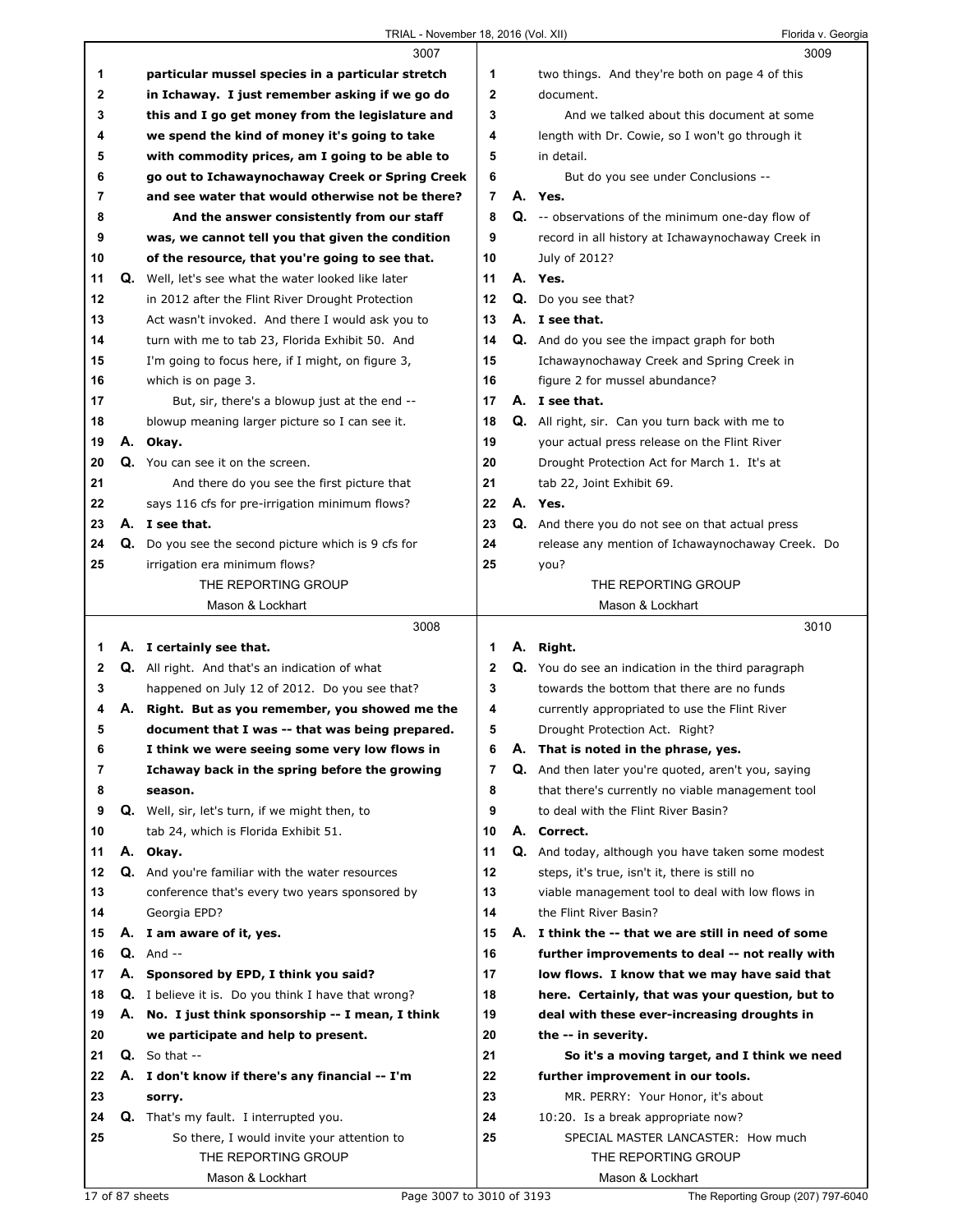|        |    | 3007                                                                       |    | 3009                                                                                             |
|--------|----|----------------------------------------------------------------------------|----|--------------------------------------------------------------------------------------------------|
| 1      |    | particular mussel species in a particular stretch                          | 1  | two things. And they're both on page 4 of this                                                   |
| 2      |    | in Ichaway. I just remember asking if we go do                             | 2  | document.                                                                                        |
| 3      |    | this and I go get money from the legislature and                           | 3  | And we talked about this document at some                                                        |
| 4      |    | we spend the kind of money it's going to take                              | 4  | length with Dr. Cowie, so I won't go through it                                                  |
| 5      |    | with commodity prices, am I going to be able to                            | 5  | in detail.                                                                                       |
| 6      |    | go out to Ichawaynochaway Creek or Spring Creek                            | 6  | But do you see under Conclusions --                                                              |
| 7      |    | and see water that would otherwise not be there?                           | 7  | A. Yes.                                                                                          |
| 8      |    | And the answer consistently from our staff                                 | 8  | Q. -- observations of the minimum one-day flow of                                                |
| 9      |    | was, we cannot tell you that given the condition                           | 9  | record in all history at Ichawaynochaway Creek in                                                |
| 10     |    | of the resource, that you're going to see that.                            | 10 | July of 2012?                                                                                    |
| 11     | Q. | Well, let's see what the water looked like later                           | 11 | A. Yes.                                                                                          |
| 12     |    | in 2012 after the Flint River Drought Protection                           | 12 | Q. Do you see that?                                                                              |
| 13     |    | Act wasn't invoked. And there I would ask you to                           | 13 | A. I see that.                                                                                   |
| 14     |    | turn with me to tab 23, Florida Exhibit 50. And                            | 14 | <b>Q.</b> And do you see the impact graph for both                                               |
| 15     |    | I'm going to focus here, if I might, on figure 3,                          | 15 | Ichawaynochaway Creek and Spring Creek in                                                        |
| 16     |    | which is on page 3.                                                        | 16 | figure 2 for mussel abundance?                                                                   |
| 17     |    | But, sir, there's a blowup just at the end --                              | 17 | A. I see that.                                                                                   |
| 18     |    | blowup meaning larger picture so I can see it.                             | 18 | Q. All right, sir. Can you turn back with me to                                                  |
| 19     |    | A. Okay.                                                                   | 19 | your actual press release on the Flint River                                                     |
| 20     |    | Q. You can see it on the screen.                                           | 20 | Drought Protection Act for March 1. It's at                                                      |
| 21     |    | And there do you see the first picture that                                | 21 | tab 22, Joint Exhibit 69.                                                                        |
| 22     |    | says 116 cfs for pre-irrigation minimum flows?                             | 22 | A. Yes.                                                                                          |
| 23     |    | A. I see that.                                                             | 23 | Q. And there you do not see on that actual press                                                 |
| 24     |    | <b>Q.</b> Do you see the second picture which is 9 cfs for                 | 24 | release any mention of Ichawaynochaway Creek. Do                                                 |
| 25     |    | irrigation era minimum flows?                                              | 25 | you?                                                                                             |
|        |    | THE REPORTING GROUP                                                        |    | THE REPORTING GROUP                                                                              |
|        |    | Mason & Lockhart                                                           |    | Mason & Lockhart                                                                                 |
|        |    |                                                                            |    |                                                                                                  |
|        |    | 3008                                                                       |    | 3010                                                                                             |
|        |    |                                                                            | 1  |                                                                                                  |
| 1<br>2 |    | A. I certainly see that.<br>Q. All right. And that's an indication of what | 2  | A. Right.                                                                                        |
| 3      |    | happened on July 12 of 2012. Do you see that?                              | 3  | Q. You do see an indication in the third paragraph<br>towards the bottom that there are no funds |
| 4      |    | A. Right. But as you remember, you showed me the                           | 4  | currently appropriated to use the Flint River                                                    |
| 5      |    | document that I was -- that was being prepared.                            | 5  | Drought Protection Act. Right?                                                                   |
| 6      |    | I think we were seeing some very low flows in                              | 6  | A. That is noted in the phrase, yes.                                                             |
| 7      |    | Ichaway back in the spring before the growing                              | 7  | Q. And then later you're quoted, aren't you, saying                                              |
| 8      |    | season.                                                                    | 8  | that there's currently no viable management tool                                                 |
| 9      |    | Q. Well, sir, let's turn, if we might then, to                             | 9  | to deal with the Flint River Basin?                                                              |
| 10     |    | tab 24, which is Florida Exhibit 51.                                       | 10 | A. Correct.                                                                                      |
| 11     |    | A. Okay.                                                                   | 11 | Q. And today, although you have taken some modest                                                |
| 12     |    | Q. And you're familiar with the water resources                            | 12 | steps, it's true, isn't it, there is still no                                                    |
| 13     |    | conference that's every two years sponsored by                             | 13 | viable management tool to deal with low flows in                                                 |
| 14     |    | Georgia EPD?                                                               | 14 | the Flint River Basin?                                                                           |
| 15     |    | A. I am aware of it, yes.                                                  | 15 | A. I think the -- that we are still in need of some                                              |
| 16     |    | $Q.$ And $-$                                                               | 16 | further improvements to deal -- not really with                                                  |
| 17     | А. | Sponsored by EPD, I think you said?                                        | 17 | low flows. I know that we may have said that                                                     |
| 18     |    | Q. I believe it is. Do you think I have that wrong?                        | 18 | here. Certainly, that was your question, but to                                                  |
| 19     |    | A. No. I just think sponsorship -- I mean, I think                         | 19 | deal with these ever-increasing droughts in                                                      |
| 20     |    | we participate and help to present.                                        | 20 | the -- in severity.                                                                              |
| 21     |    | $Q.$ So that $-$                                                           | 21 | So it's a moving target, and I think we need                                                     |
| 22     |    | A. I don't know if there's any financial -- I'm                            | 22 | further improvement in our tools.                                                                |
| 23     |    | sorry.                                                                     | 23 | MR. PERRY: Your Honor, it's about                                                                |
| 24     |    | <b>Q.</b> That's my fault. I interrupted you.                              | 24 | 10:20. Is a break appropriate now?                                                               |
| 25     |    | So there, I would invite your attention to                                 | 25 | SPECIAL MASTER LANCASTER: How much                                                               |
|        |    | THE REPORTING GROUP                                                        |    | THE REPORTING GROUP                                                                              |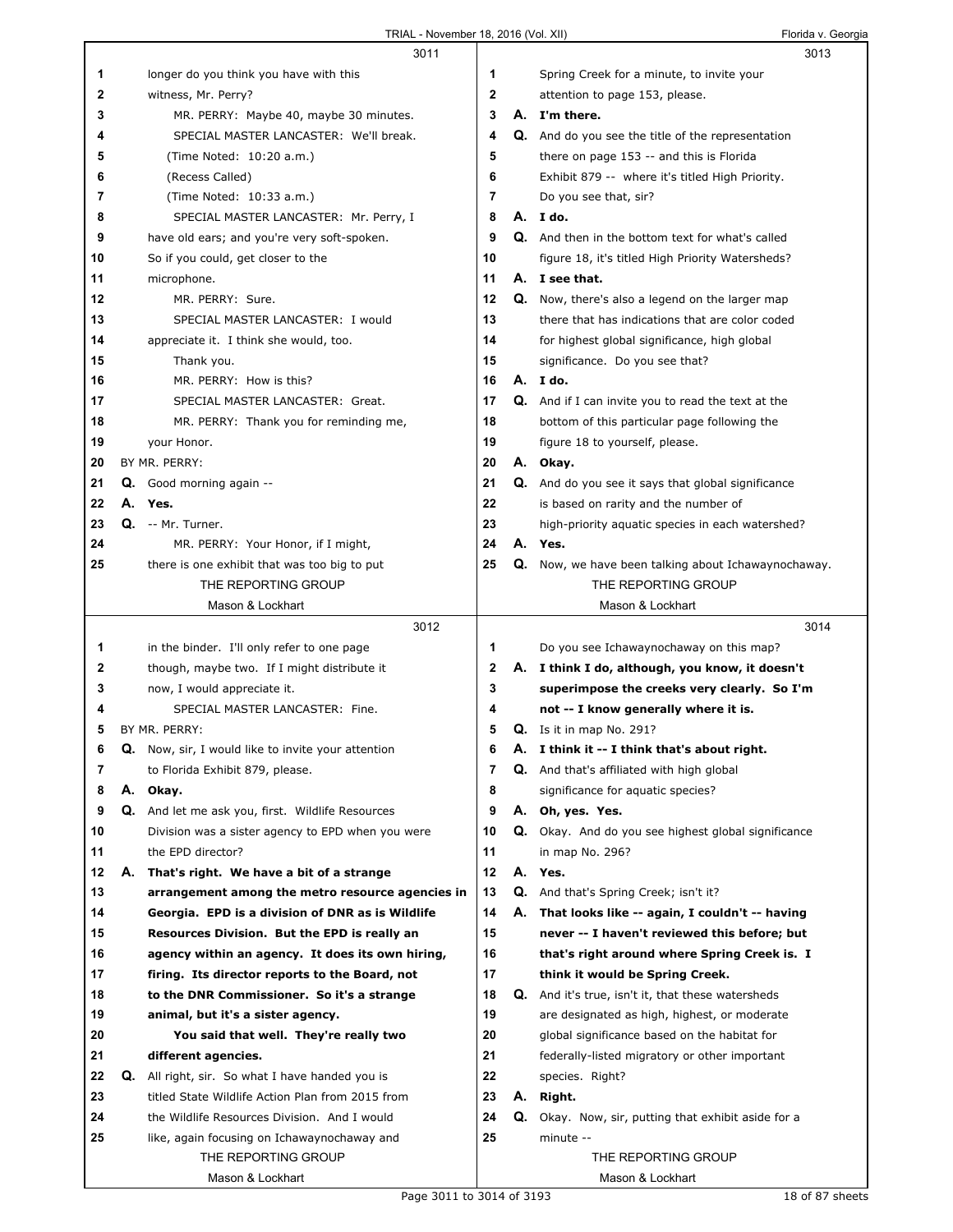|    | 3011                                                                               |              |    | 3013                                                       |  |
|----|------------------------------------------------------------------------------------|--------------|----|------------------------------------------------------------|--|
| 1  | longer do you think you have with this                                             | 1            |    | Spring Creek for a minute, to invite your                  |  |
| 2  | witness, Mr. Perry?                                                                | $\mathbf{2}$ |    | attention to page 153, please.                             |  |
| 3  | MR. PERRY: Maybe 40, maybe 30 minutes.                                             | 3            |    | A. I'm there.                                              |  |
| 4  | SPECIAL MASTER LANCASTER: We'll break.                                             | 4            |    | <b>Q.</b> And do you see the title of the representation   |  |
| 5  | (Time Noted: 10:20 a.m.)                                                           | 5            |    | there on page 153 -- and this is Florida                   |  |
| 6  | (Recess Called)                                                                    | 6            |    | Exhibit 879 -- where it's titled High Priority.            |  |
| 7  | (Time Noted: 10:33 a.m.)                                                           | 7            |    | Do you see that, sir?                                      |  |
| 8  | SPECIAL MASTER LANCASTER: Mr. Perry, I                                             | 8            |    | A. I do.                                                   |  |
| 9  | have old ears; and you're very soft-spoken.                                        | 9            |    | <b>Q.</b> And then in the bottom text for what's called    |  |
| 10 | So if you could, get closer to the                                                 | 10           |    | figure 18, it's titled High Priority Watersheds?           |  |
|    |                                                                                    | 11           |    |                                                            |  |
| 11 | microphone.                                                                        | 12           |    | A. I see that.                                             |  |
| 12 | MR. PERRY: Sure.                                                                   |              |    | <b>Q.</b> Now, there's also a legend on the larger map     |  |
| 13 | SPECIAL MASTER LANCASTER: I would                                                  | 13           |    | there that has indications that are color coded            |  |
| 14 | appreciate it. I think she would, too.                                             | 14           |    | for highest global significance, high global               |  |
| 15 | Thank you.                                                                         | 15           |    | significance. Do you see that?                             |  |
| 16 | MR. PERRY: How is this?                                                            | 16           |    | A. I do.                                                   |  |
| 17 | SPECIAL MASTER LANCASTER: Great.                                                   | 17           |    | <b>Q.</b> And if I can invite you to read the text at the  |  |
| 18 | MR. PERRY: Thank you for reminding me,                                             | 18           |    | bottom of this particular page following the               |  |
| 19 | your Honor.                                                                        | 19           |    | figure 18 to yourself, please.                             |  |
| 20 | BY MR. PERRY:                                                                      | 20           |    | A. Okay.                                                   |  |
| 21 | Good morning again --<br>Q.                                                        | 21           |    | Q. And do you see it says that global significance         |  |
| 22 | А.<br>Yes.                                                                         | 22           |    | is based on rarity and the number of                       |  |
| 23 | Q. -- Mr. Turner.                                                                  | 23           |    | high-priority aquatic species in each watershed?           |  |
| 24 | MR. PERRY: Your Honor, if I might,                                                 | 24           |    | A. Yes.                                                    |  |
| 25 | there is one exhibit that was too big to put                                       | 25           |    | Q. Now, we have been talking about Ichawaynochaway.        |  |
|    | THE REPORTING GROUP                                                                |              |    | THE REPORTING GROUP                                        |  |
|    | Mason & Lockhart                                                                   |              |    | Mason & Lockhart                                           |  |
|    |                                                                                    |              |    |                                                            |  |
|    | 3012                                                                               |              |    | 3014                                                       |  |
| 1  | in the binder. I'll only refer to one page                                         | 1            |    | Do you see Ichawaynochaway on this map?                    |  |
| 2  | though, maybe two. If I might distribute it                                        | $\mathbf 2$  |    | A. I think I do, although, you know, it doesn't            |  |
| 3  | now, I would appreciate it.                                                        | 3            |    | superimpose the creeks very clearly. So I'm                |  |
| 4  | SPECIAL MASTER LANCASTER: Fine.                                                    | 4            |    | not -- I know generally where it is.                       |  |
| 5  | BY MR. PERRY:                                                                      | 5            |    | $Q.$ Is it in map No. 291?                                 |  |
| 6  | Q.                                                                                 | 6            | Α. | I think it -- I think that's about right.                  |  |
| 7  | Now, sir, I would like to invite your attention<br>to Florida Exhibit 879, please. | 7            |    | <b>Q.</b> And that's affiliated with high global           |  |
| 8  | А.                                                                                 |              |    |                                                            |  |
| 9  | Okay.<br>Q. And let me ask you, first. Wildlife Resources                          | 8<br>9       |    | significance for aquatic species?                          |  |
|    | Division was a sister agency to EPD when you were                                  | 10           |    | A. Oh, yes. Yes.                                           |  |
| 10 |                                                                                    |              |    | <b>Q.</b> Okay. And do you see highest global significance |  |
| 11 | the EPD director?                                                                  | 11           |    | in map No. 296?                                            |  |
| 12 | А.<br>That's right. We have a bit of a strange                                     | 12           |    | A. Yes.                                                    |  |
| 13 | arrangement among the metro resource agencies in                                   | 13           |    | Q. And that's Spring Creek; isn't it?                      |  |
| 14 | Georgia. EPD is a division of DNR as is Wildlife                                   | 14           | А. | That looks like -- again, I couldn't -- having             |  |
| 15 | Resources Division. But the EPD is really an                                       | 15           |    | never -- I haven't reviewed this before; but               |  |
| 16 | agency within an agency. It does its own hiring,                                   | 16           |    | that's right around where Spring Creek is. I               |  |
| 17 | firing. Its director reports to the Board, not                                     | 17           |    | think it would be Spring Creek.                            |  |
| 18 | to the DNR Commissioner. So it's a strange                                         | 18           | Q. | And it's true, isn't it, that these watersheds             |  |
| 19 | animal, but it's a sister agency.                                                  | 19           |    | are designated as high, highest, or moderate               |  |
| 20 | You said that well. They're really two                                             | 20           |    | global significance based on the habitat for               |  |
| 21 | different agencies.                                                                | 21           |    | federally-listed migratory or other important              |  |
| 22 | Q.<br>All right, sir. So what I have handed you is                                 | 22           |    | species. Right?                                            |  |
| 23 | titled State Wildlife Action Plan from 2015 from                                   | 23           | А. | Right.                                                     |  |
| 24 | the Wildlife Resources Division. And I would                                       | 24           | Q. | Okay. Now, sir, putting that exhibit aside for a           |  |
| 25 | like, again focusing on Ichawaynochaway and                                        | 25           |    | minute --                                                  |  |
|    | THE REPORTING GROUP<br>Mason & Lockhart                                            |              |    | THE REPORTING GROUP<br>Mason & Lockhart                    |  |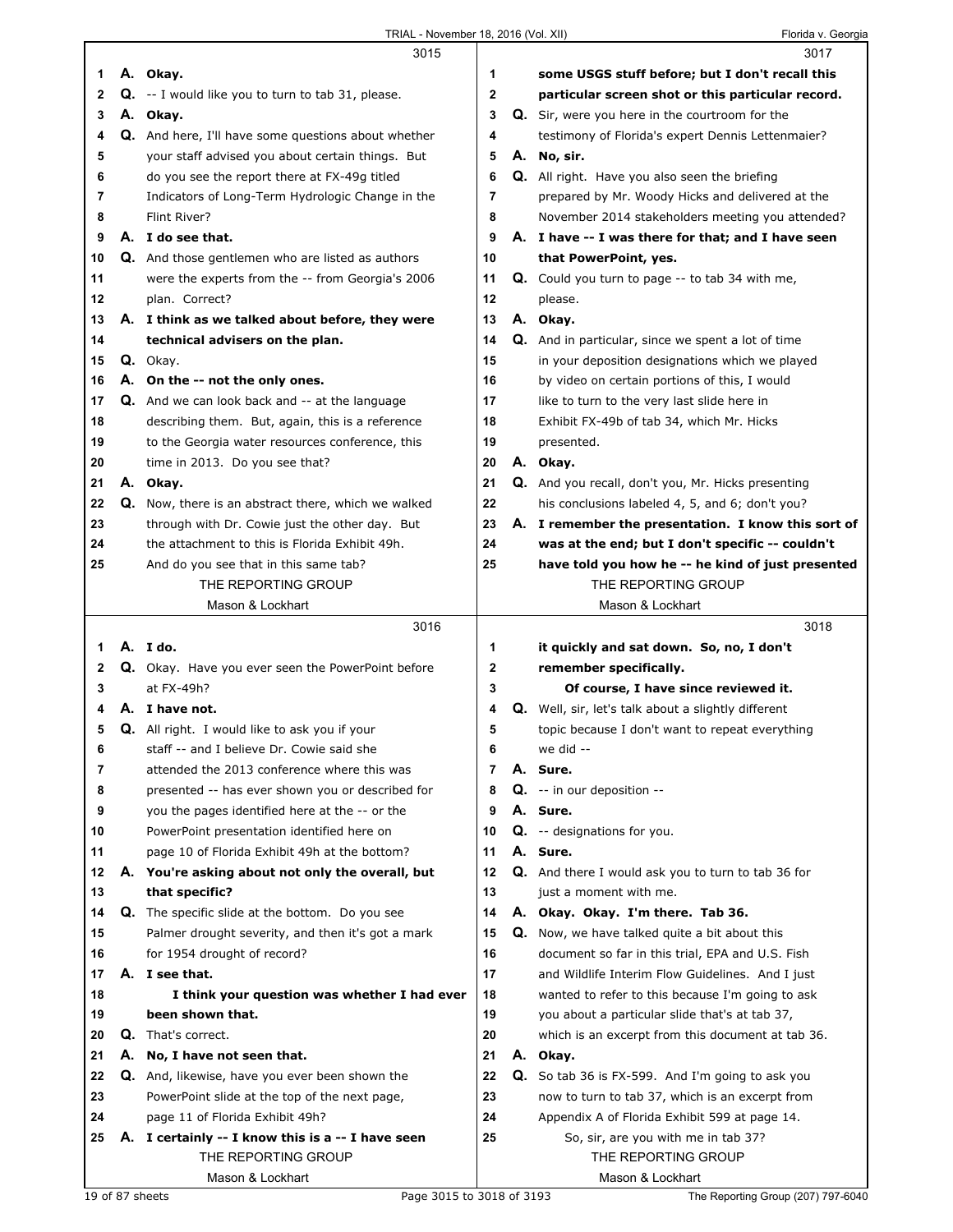|    |    | 3015                                                   |                | 3017                                                       |
|----|----|--------------------------------------------------------|----------------|------------------------------------------------------------|
| 1  |    | A. Okay.                                               | 1              | some USGS stuff before; but I don't recall this            |
| 2  |    | Q. -- I would like you to turn to tab 31, please.      | 2              | particular screen shot or this particular record.          |
| 3  |    | A. Okay.                                               | 3              | <b>Q.</b> Sir, were you here in the courtroom for the      |
| 4  |    | Q. And here, I'll have some questions about whether    | 4              | testimony of Florida's expert Dennis Lettenmaier?          |
| 5  |    | your staff advised you about certain things. But       | 5              | A. No, sir.                                                |
| 6  |    | do you see the report there at FX-49g titled           | 6              | <b>Q.</b> All right. Have you also seen the briefing       |
| 7  |    | Indicators of Long-Term Hydrologic Change in the       | 7              | prepared by Mr. Woody Hicks and delivered at the           |
| 8  |    | Flint River?                                           | 8              | November 2014 stakeholders meeting you attended?           |
| 9  |    | A. I do see that.                                      | 9              | A. I have -- I was there for that; and I have seen         |
| 10 |    | Q. And those gentlemen who are listed as authors       | 10             | that PowerPoint, yes.                                      |
| 11 |    | were the experts from the -- from Georgia's 2006       | 11             | <b>Q.</b> Could you turn to page -- to tab 34 with me,     |
| 12 |    | plan. Correct?                                         | 12             | please.                                                    |
| 13 |    | A. I think as we talked about before, they were        | 13             | A. Okay.                                                   |
| 14 |    | technical advisers on the plan.                        | 14             | Q. And in particular, since we spent a lot of time         |
| 15 |    | Q. Okay.                                               | 15             | in your deposition designations which we played            |
| 16 |    | A. On the -- not the only ones.                        | 16             | by video on certain portions of this, I would              |
| 17 |    | <b>Q.</b> And we can look back and -- at the language  | 17             | like to turn to the very last slide here in                |
| 18 |    | describing them. But, again, this is a reference       | 18             | Exhibit FX-49b of tab 34, which Mr. Hicks                  |
| 19 |    | to the Georgia water resources conference, this        | 19             | presented.                                                 |
| 20 |    | time in 2013. Do you see that?                         | 20             | A. Okay.                                                   |
| 21 |    | A. Okay.                                               | 21             | Q. And you recall, don't you, Mr. Hicks presenting         |
| 22 |    | Q. Now, there is an abstract there, which we walked    | 22             | his conclusions labeled 4, 5, and 6; don't you?            |
| 23 |    | through with Dr. Cowie just the other day. But         | 23             | A. I remember the presentation. I know this sort of        |
| 24 |    | the attachment to this is Florida Exhibit 49h.         | 24             | was at the end; but I don't specific -- couldn't           |
| 25 |    | And do you see that in this same tab?                  | 25             | have told you how he -- he kind of just presented          |
|    |    | THE REPORTING GROUP                                    |                | THE REPORTING GROUP                                        |
|    |    | Mason & Lockhart                                       |                | Mason & Lockhart                                           |
|    |    | 3016                                                   |                | 3018                                                       |
|    |    |                                                        |                |                                                            |
|    |    |                                                        |                |                                                            |
| 1  |    | A. I do.                                               | 1              | it quickly and sat down. So, no, I don't                   |
| 2  |    | Q. Okay. Have you ever seen the PowerPoint before      | 2              | remember specifically.                                     |
| 3  |    | at FX-49h?                                             | 3              | Of course, I have since reviewed it.                       |
| 4  |    | A. I have not.                                         | 4              | <b>Q.</b> Well, sir, let's talk about a slightly different |
| 5  |    | Q. All right. I would like to ask you if your          | 5              | topic because I don't want to repeat everything            |
| 6  |    | staff -- and I believe Dr. Cowie said she              | 6              | we did --                                                  |
| 7  |    | attended the 2013 conference where this was            | $\overline{7}$ | A. Sure.                                                   |
| 8  |    | presented -- has ever shown you or described for       | 8              | Q. -- in our deposition --                                 |
| 9  |    | you the pages identified here at the -- or the         | 9              | A. Sure.                                                   |
| 10 |    | PowerPoint presentation identified here on             | 10             | Q. -- designations for you.                                |
| 11 |    | page 10 of Florida Exhibit 49h at the bottom?          | 11             | A. Sure.                                                   |
| 12 |    | A. You're asking about not only the overall, but       | 12             | Q. And there I would ask you to turn to tab 36 for         |
| 13 |    | that specific?                                         | 13             | just a moment with me.                                     |
| 14 |    | <b>Q.</b> The specific slide at the bottom. Do you see | 14             | A. Okay. Okay. I'm there. Tab 36.                          |
| 15 |    | Palmer drought severity, and then it's got a mark      | 15             | <b>Q.</b> Now, we have talked quite a bit about this       |
| 16 |    | for 1954 drought of record?                            | 16             | document so far in this trial, EPA and U.S. Fish           |
| 17 |    | A. I see that.                                         | 17             | and Wildlife Interim Flow Guidelines. And I just           |
| 18 |    | I think your question was whether I had ever           | 18             | wanted to refer to this because I'm going to ask           |
| 19 |    | been shown that.                                       | 19             | you about a particular slide that's at tab 37,             |
| 20 | Q. | That's correct.                                        | 20             | which is an excerpt from this document at tab 36.          |
| 21 | Α. | No, I have not seen that.                              | 21             | A. Okay.                                                   |
| 22 |    | Q. And, likewise, have you ever been shown the         | 22             | <b>Q.</b> So tab 36 is FX-599. And I'm going to ask you    |
| 23 |    | PowerPoint slide at the top of the next page,          | 23             | now to turn to tab 37, which is an excerpt from            |
| 24 |    | page 11 of Florida Exhibit 49h?                        | 24             | Appendix A of Florida Exhibit 599 at page 14.              |
| 25 |    | A. I certainly -- I know this is a -- I have seen      | 25             | So, sir, are you with me in tab 37?                        |
|    |    | THE REPORTING GROUP<br>Mason & Lockhart                |                | THE REPORTING GROUP<br>Mason & Lockhart                    |

Г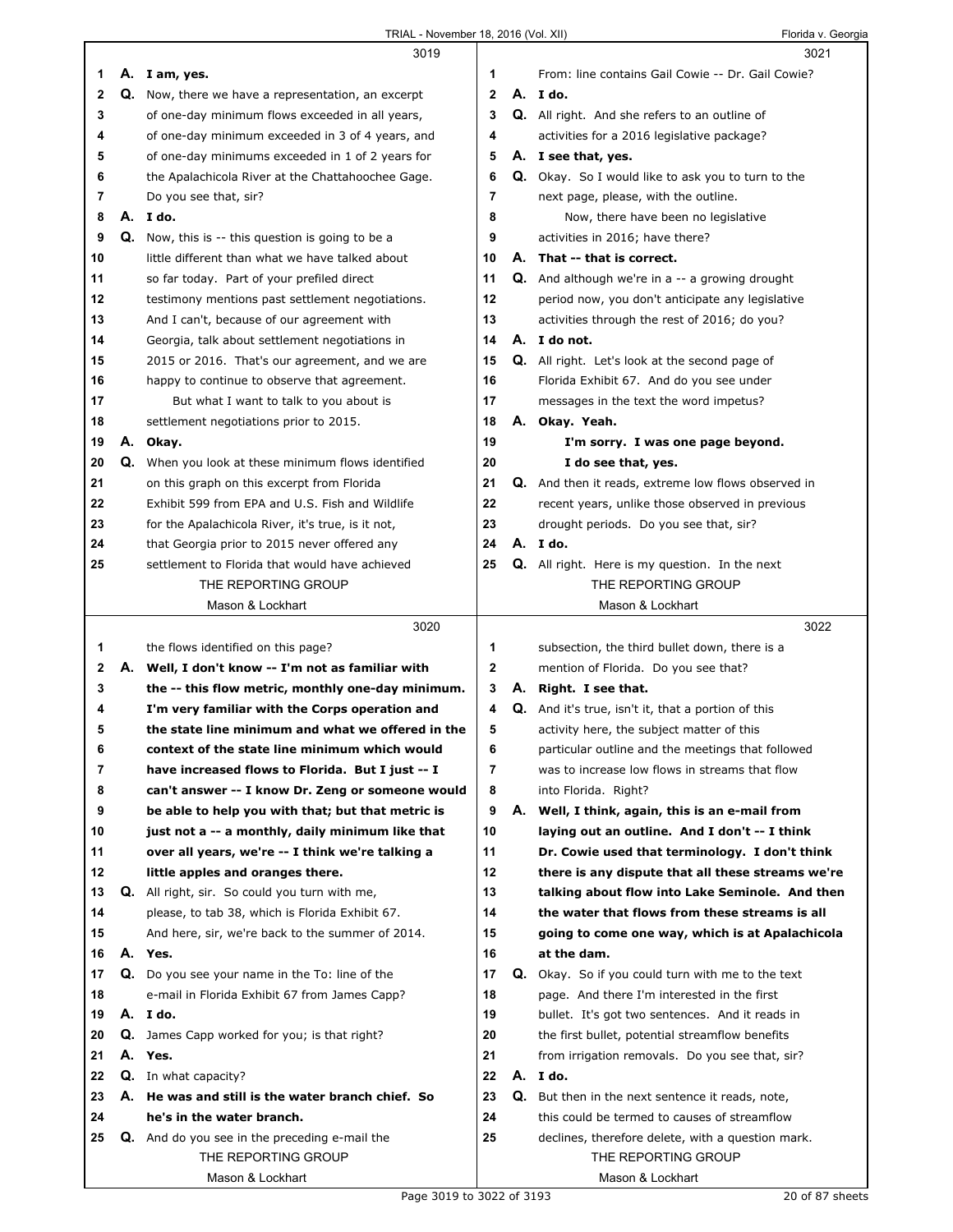| TRIAL - November 18, 2016 (Vol. XII) | Florida v. Georgia |
|--------------------------------------|--------------------|
|                                      |                    |

|    |    | 3019                                                 |    |    | 3021                                                       |
|----|----|------------------------------------------------------|----|----|------------------------------------------------------------|
| 1. |    | A. I am, yes.                                        | 1  |    | From: line contains Gail Cowie -- Dr. Gail Cowie?          |
| 2  |    | Q. Now, there we have a representation, an excerpt   | 2  |    | A. Ido.                                                    |
| 3  |    | of one-day minimum flows exceeded in all years,      | 3  |    | <b>Q.</b> All right. And she refers to an outline of       |
| 4  |    | of one-day minimum exceeded in 3 of 4 years, and     | 4  |    | activities for a 2016 legislative package?                 |
| 5  |    | of one-day minimums exceeded in 1 of 2 years for     | 5  |    | A. I see that, yes.                                        |
| 6  |    | the Apalachicola River at the Chattahoochee Gage.    | 6  |    | <b>Q.</b> Okay. So I would like to ask you to turn to the  |
| 7  |    | Do you see that, sir?                                | 7  |    | next page, please, with the outline.                       |
| 8  |    | A. Ido.                                              | 8  |    |                                                            |
|    |    |                                                      |    |    | Now, there have been no legislative                        |
| 9  | Q. | Now, this is -- this question is going to be a       | 9  |    | activities in 2016; have there?                            |
| 10 |    | little different than what we have talked about      | 10 |    | A. That -- that is correct.                                |
| 11 |    | so far today. Part of your prefiled direct           | 11 |    | <b>Q.</b> And although we're in $a - a$ growing drought    |
| 12 |    | testimony mentions past settlement negotiations.     | 12 |    | period now, you don't anticipate any legislative           |
| 13 |    | And I can't, because of our agreement with           | 13 |    | activities through the rest of 2016; do you?               |
| 14 |    | Georgia, talk about settlement negotiations in       | 14 |    | A. I do not.                                               |
| 15 |    | 2015 or 2016. That's our agreement, and we are       | 15 |    | Q. All right. Let's look at the second page of             |
| 16 |    | happy to continue to observe that agreement.         | 16 |    | Florida Exhibit 67. And do you see under                   |
| 17 |    | But what I want to talk to you about is              | 17 |    | messages in the text the word impetus?                     |
| 18 |    | settlement negotiations prior to 2015.               | 18 |    | A. Okay. Yeah.                                             |
| 19 | А. | Okay.                                                | 19 |    | I'm sorry. I was one page beyond.                          |
| 20 | Q. | When you look at these minimum flows identified      | 20 |    | I do see that, yes.                                        |
| 21 |    | on this graph on this excerpt from Florida           | 21 |    | <b>Q.</b> And then it reads, extreme low flows observed in |
| 22 |    | Exhibit 599 from EPA and U.S. Fish and Wildlife      | 22 |    | recent years, unlike those observed in previous            |
| 23 |    | for the Apalachicola River, it's true, is it not,    | 23 |    | drought periods. Do you see that, sir?                     |
| 24 |    | that Georgia prior to 2015 never offered any         | 24 |    | A. Ido.                                                    |
|    |    |                                                      |    |    |                                                            |
| 25 |    | settlement to Florida that would have achieved       | 25 |    | <b>Q.</b> All right. Here is my question. In the next      |
|    |    | THE REPORTING GROUP                                  |    |    | THE REPORTING GROUP                                        |
|    |    | Mason & Lockhart                                     |    |    | Mason & Lockhart                                           |
|    |    |                                                      |    |    |                                                            |
|    |    | 3020                                                 |    |    | 3022                                                       |
| 1  |    | the flows identified on this page?                   | 1  |    | subsection, the third bullet down, there is a              |
| 2  |    | A. Well, I don't know -- I'm not as familiar with    | 2  |    | mention of Florida. Do you see that?                       |
| 3  |    | the -- this flow metric, monthly one-day minimum.    | 3  | А. | Right. I see that.                                         |
| 4  |    | I'm very familiar with the Corps operation and       | 4  |    | Q. And it's true, isn't it, that a portion of this         |
| 5  |    | the state line minimum and what we offered in the    | 5  |    | activity here, the subject matter of this                  |
| 6  |    | context of the state line minimum which would        | 6  |    | particular outline and the meetings that followed          |
| 7  |    | have increased flows to Florida. But I just -- I     | 7  |    | was to increase low flows in streams that flow             |
| 8  |    | can't answer -- I know Dr. Zeng or someone would     | 8  |    | into Florida. Right?                                       |
| 9  |    | be able to help you with that; but that metric is    | 9  | А. | Well, I think, again, this is an e-mail from               |
| 10 |    | just not a -- a monthly, daily minimum like that     | 10 |    | laying out an outline. And I don't -- I think              |
| 11 |    | over all years, we're -- I think we're talking a     | 11 |    | Dr. Cowie used that terminology. I don't think             |
| 12 |    | little apples and oranges there.                     | 12 |    | there is any dispute that all these streams we're          |
| 13 |    | <b>Q.</b> All right, sir. So could you turn with me, | 13 |    | talking about flow into Lake Seminole. And then            |
| 14 |    | please, to tab 38, which is Florida Exhibit 67.      | 14 |    | the water that flows from these streams is all             |
| 15 |    |                                                      | 15 |    |                                                            |
|    |    | And here, sir, we're back to the summer of 2014.     |    |    | going to come one way, which is at Apalachicola            |
| 16 |    | A. Yes.                                              | 16 |    | at the dam.                                                |
| 17 |    | Q. Do you see your name in the To: line of the       | 17 | Q. | Okay. So if you could turn with me to the text             |
| 18 |    | e-mail in Florida Exhibit 67 from James Capp?        | 18 |    | page. And there I'm interested in the first                |
| 19 |    | A. I do.                                             | 19 |    | bullet. It's got two sentences. And it reads in            |
| 20 | Q. | James Capp worked for you; is that right?            | 20 |    | the first bullet, potential streamflow benefits            |
| 21 |    | A. Yes.                                              | 21 |    | from irrigation removals. Do you see that, sir?            |
| 22 |    | Q. In what capacity?                                 | 22 |    | A. I do.                                                   |
| 23 | А. | He was and still is the water branch chief. So       | 23 | Q. | But then in the next sentence it reads, note,              |
| 24 |    | he's in the water branch.                            | 24 |    | this could be termed to causes of streamflow               |
| 25 |    | <b>Q.</b> And do you see in the preceding e-mail the | 25 |    | declines, therefore delete, with a question mark.          |
|    |    | THE REPORTING GROUP                                  |    |    | THE REPORTING GROUP                                        |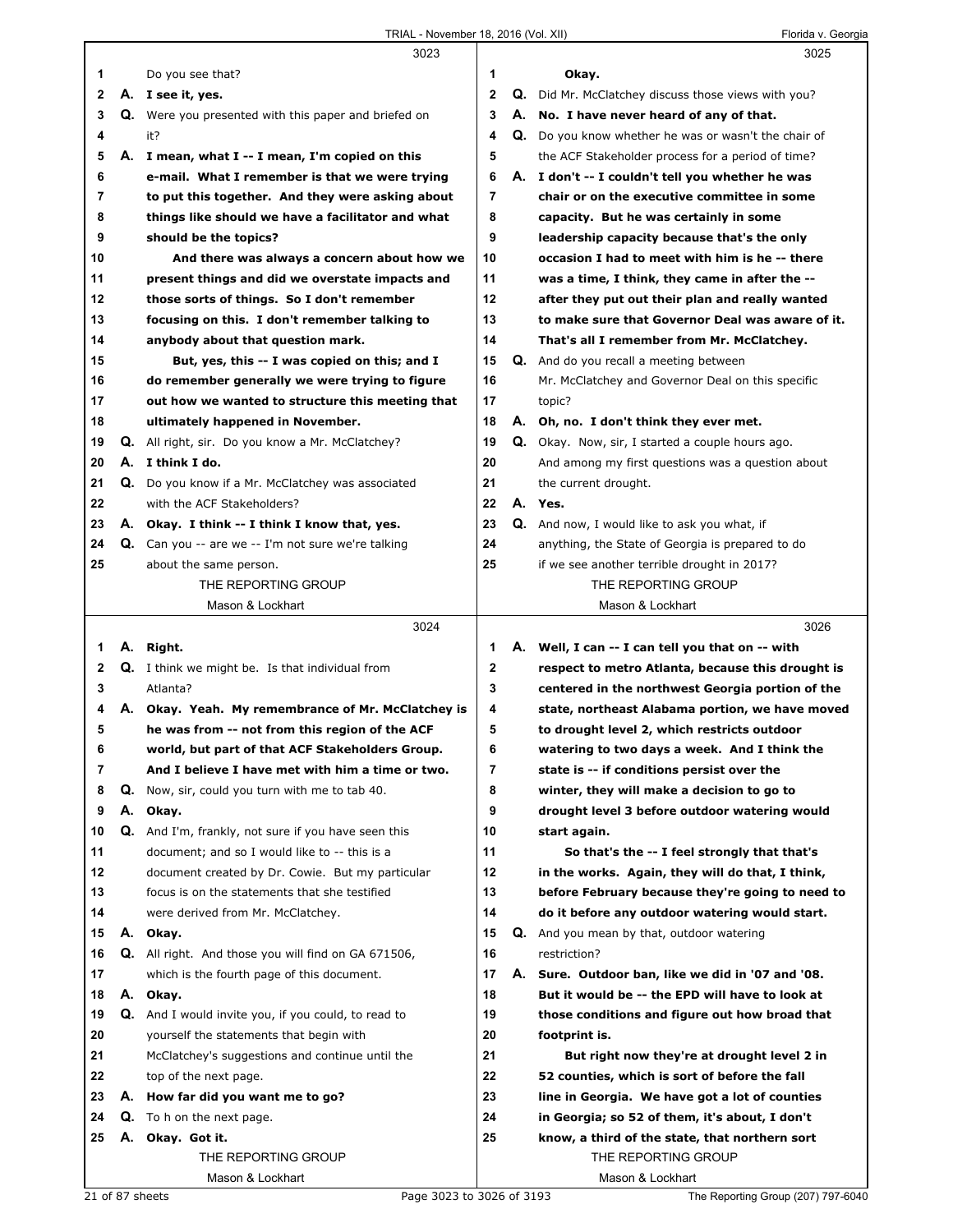|              |          | 3023                                                                                              |              |    | 3025                                                          |
|--------------|----------|---------------------------------------------------------------------------------------------------|--------------|----|---------------------------------------------------------------|
| 1            |          | Do you see that?                                                                                  | 1            |    | Okay.                                                         |
| $\mathbf{2}$ |          | A. I see it, yes.                                                                                 | $\mathbf{2}$ | Q. | Did Mr. McClatchey discuss those views with you?              |
| 3            |          | Q. Were you presented with this paper and briefed on                                              | 3            |    | A. No. I have never heard of any of that.                     |
| 4            |          | it?                                                                                               | 4            |    | Q. Do you know whether he was or wasn't the chair of          |
| 5            |          | A. I mean, what I -- I mean, I'm copied on this                                                   | 5            |    | the ACF Stakeholder process for a period of time?             |
| 6            |          | e-mail. What I remember is that we were trying                                                    | 6            |    | A. I don't -- I couldn't tell you whether he was              |
| 7            |          | to put this together. And they were asking about                                                  | 7            |    | chair or on the executive committee in some                   |
| 8            |          | things like should we have a facilitator and what                                                 | 8            |    | capacity. But he was certainly in some                        |
| 9            |          | should be the topics?                                                                             | 9            |    | leadership capacity because that's the only                   |
| 10           |          | And there was always a concern about how we                                                       | 10           |    | occasion I had to meet with him is he -- there                |
| 11           |          | present things and did we overstate impacts and                                                   | 11           |    | was a time, I think, they came in after the --                |
| 12           |          | those sorts of things. So I don't remember                                                        | 12           |    | after they put out their plan and really wanted               |
| 13           |          | focusing on this. I don't remember talking to                                                     | 13           |    | to make sure that Governor Deal was aware of it.              |
| 14           |          | anybody about that question mark.                                                                 | 14           |    | That's all I remember from Mr. McClatchey.                    |
| 15           |          | But, yes, this -- I was copied on this; and I                                                     | 15           |    | Q. And do you recall a meeting between                        |
| 16           |          | do remember generally we were trying to figure                                                    | 16           |    | Mr. McClatchey and Governor Deal on this specific             |
| 17           |          | out how we wanted to structure this meeting that                                                  | 17           |    | topic?                                                        |
| 18           |          | ultimately happened in November.                                                                  | 18           |    | A. Oh, no. I don't think they ever met.                       |
| 19           |          | <b>Q.</b> All right, sir. Do you know a Mr. McClatchey?                                           | 19           |    | Q. Okay. Now, sir, I started a couple hours ago.              |
| 20           |          | A. I think I do.                                                                                  | 20           |    | And among my first questions was a question about             |
| 21           | Q.       | Do you know if a Mr. McClatchey was associated                                                    | 21           |    | the current drought.                                          |
| 22           |          | with the ACF Stakeholders?                                                                        | 22           |    | A. Yes.                                                       |
| 23           |          | A. Okay. I think -- I think I know that, yes.                                                     | 23           |    | <b>Q.</b> And now, I would like to ask you what, if           |
| 24           |          | Q. Can you -- are we -- I'm not sure we're talking                                                | 24           |    | anything, the State of Georgia is prepared to do              |
| 25           |          | about the same person.                                                                            | 25           |    | if we see another terrible drought in 2017?                   |
|              |          | THE REPORTING GROUP                                                                               |              |    | THE REPORTING GROUP                                           |
|              |          | Mason & Lockhart                                                                                  |              |    | Mason & Lockhart                                              |
|              |          |                                                                                                   |              |    |                                                               |
|              |          |                                                                                                   |              |    |                                                               |
|              |          | 3024                                                                                              |              |    | 3026                                                          |
| 1            |          | A. Right.                                                                                         | 1            |    | A. Well, I can -- I can tell you that on -- with              |
| $\mathbf{2}$ |          | Q. I think we might be. Is that individual from                                                   | $\mathbf{2}$ |    | respect to metro Atlanta, because this drought is             |
| 3            |          | Atlanta?                                                                                          | 3            |    | centered in the northwest Georgia portion of the              |
| 4            | А.       | Okay. Yeah. My remembrance of Mr. McClatchey is                                                   | 4            |    | state, northeast Alabama portion, we have moved               |
| 5            |          | he was from -- not from this region of the ACF                                                    | 5            |    | to drought level 2, which restricts outdoor                   |
| 6<br>7       |          | world, but part of that ACF Stakeholders Group.                                                   | 6            |    | watering to two days a week. And I think the                  |
|              |          | And I believe I have met with him a time or two.                                                  | 7            |    | state is -- if conditions persist over the                    |
| 8<br>9       | Q.<br>А. | Now, sir, could you turn with me to tab 40.                                                       | 8<br>9       |    | winter, they will make a decision to go to                    |
| 10           | Q.       | Okay.                                                                                             | 10           |    | drought level 3 before outdoor watering would<br>start again. |
| 11           |          | And I'm, frankly, not sure if you have seen this<br>document; and so I would like to -- this is a | 11           |    | So that's the -- I feel strongly that that's                  |
| 12           |          | document created by Dr. Cowie. But my particular                                                  | 12           |    | in the works. Again, they will do that, I think,              |
| 13           |          | focus is on the statements that she testified                                                     | 13           |    | before February because they're going to need to              |
| 14           |          | were derived from Mr. McClatchey.                                                                 | 14           |    | do it before any outdoor watering would start.                |
| 15           |          | A. Okay.                                                                                          | 15           |    | <b>Q.</b> And you mean by that, outdoor watering              |
| 16           |          | Q. All right. And those you will find on GA 671506,                                               | 16           |    | restriction?                                                  |
| 17           |          | which is the fourth page of this document.                                                        | 17           |    | A. Sure. Outdoor ban, like we did in '07 and '08.             |
| 18           | А.       | Okay.                                                                                             | 18           |    | But it would be -- the EPD will have to look at               |
| 19           |          | Q. And I would invite you, if you could, to read to                                               | 19           |    | those conditions and figure out how broad that                |
| 20           |          | yourself the statements that begin with                                                           | 20           |    | footprint is.                                                 |
| 21           |          | McClatchey's suggestions and continue until the                                                   | 21           |    | But right now they're at drought level 2 in                   |
| 22           |          | top of the next page.                                                                             | 22           |    | 52 counties, which is sort of before the fall                 |
| 23           |          | A. How far did you want me to go?                                                                 | 23           |    | line in Georgia. We have got a lot of counties                |
| 24           |          | Q. To h on the next page.                                                                         | 24           |    | in Georgia; so 52 of them, it's about, I don't                |
| 25           |          | A. Okay. Got it.                                                                                  | 25           |    | know, a third of the state, that northern sort                |
|              |          | THE REPORTING GROUP                                                                               |              |    | THE REPORTING GROUP                                           |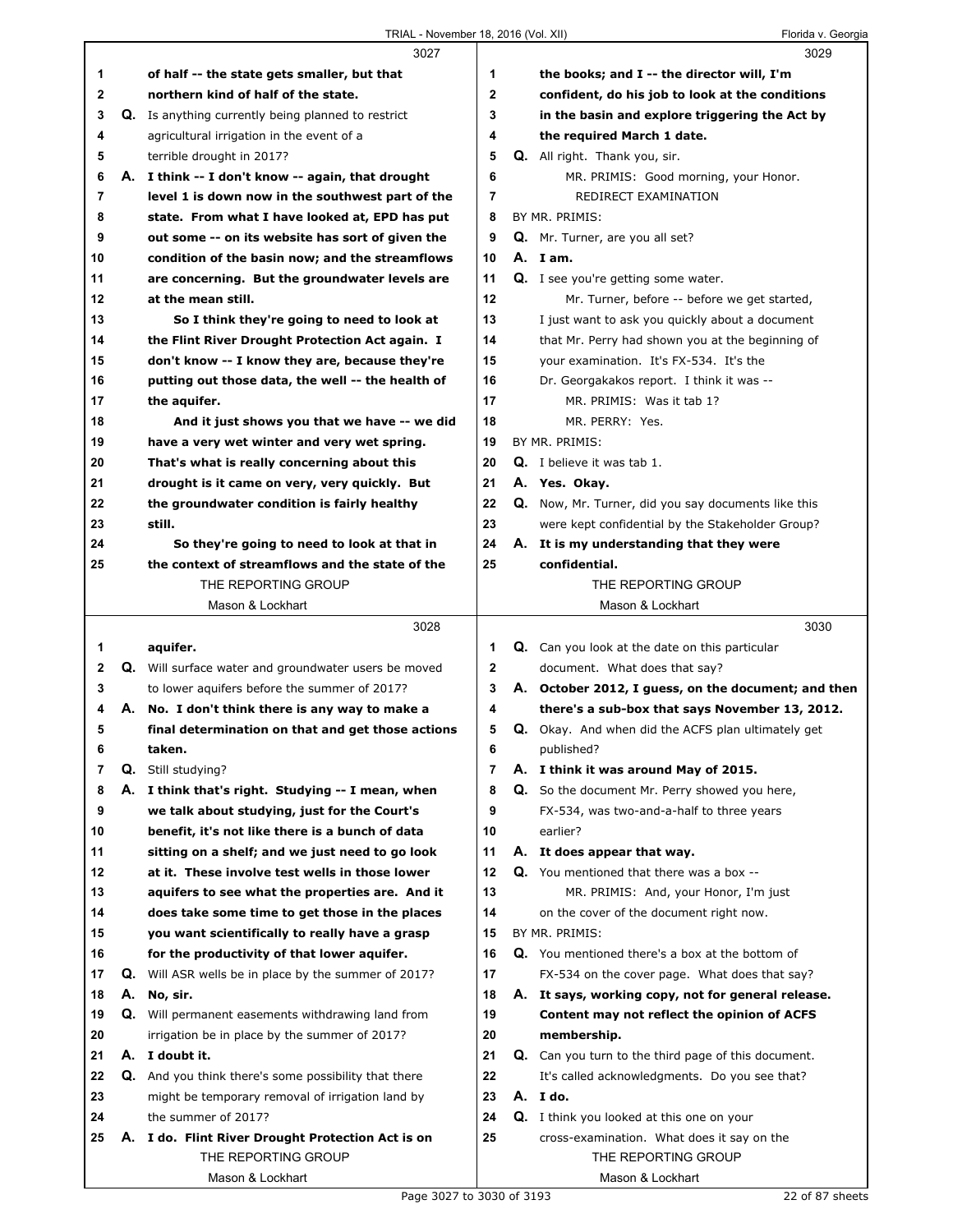|    |    | 3027                                                        |                | 3029                                                      |
|----|----|-------------------------------------------------------------|----------------|-----------------------------------------------------------|
| 1  |    | of half -- the state gets smaller, but that                 | 1              | the books; and I -- the director will, I'm                |
| 2  |    | northern kind of half of the state.                         | $\mathbf 2$    | confident, do his job to look at the conditions           |
| 3  |    | Q. Is anything currently being planned to restrict          | 3              | in the basin and explore triggering the Act by            |
| 4  |    | agricultural irrigation in the event of a                   | 4              | the required March 1 date.                                |
| 5  |    | terrible drought in 2017?                                   | 5              | <b>Q.</b> All right. Thank you, sir.                      |
| 6  |    | A. I think -- I don't know -- again, that drought           | 6              | MR. PRIMIS: Good morning, your Honor.                     |
| 7  |    | level 1 is down now in the southwest part of the            | 7              | REDIRECT EXAMINATION                                      |
| 8  |    | state. From what I have looked at, EPD has put              | 8              | BY MR. PRIMIS:                                            |
| 9  |    | out some -- on its website has sort of given the            | 9              | Q. Mr. Turner, are you all set?                           |
| 10 |    | condition of the basin now; and the streamflows             | 10             | A. I am.                                                  |
| 11 |    | are concerning. But the groundwater levels are              | 11             | <b>Q.</b> I see you're getting some water.                |
| 12 |    | at the mean still.                                          | 12             | Mr. Turner, before -- before we get started,              |
| 13 |    | So I think they're going to need to look at                 | 13             | I just want to ask you quickly about a document           |
| 14 |    | the Flint River Drought Protection Act again. I             | 14             | that Mr. Perry had shown you at the beginning of          |
| 15 |    | don't know -- I know they are, because they're              | 15             | your examination. It's FX-534. It's the                   |
| 16 |    | putting out those data, the well -- the health of           | 16             | Dr. Georgakakos report. I think it was --                 |
| 17 |    | the aquifer.                                                | 17             | MR. PRIMIS: Was it tab 1?                                 |
| 18 |    | And it just shows you that we have -- we did                | 18             | MR. PERRY: Yes.                                           |
| 19 |    | have a very wet winter and very wet spring.                 | 19             | BY MR. PRIMIS:                                            |
| 20 |    | That's what is really concerning about this                 | 20             | <b>Q.</b> I believe it was tab 1.                         |
| 21 |    | drought is it came on very, very quickly. But               | 21             | A. Yes. Okay.                                             |
| 22 |    | the groundwater condition is fairly healthy                 | 22             | Q. Now, Mr. Turner, did you say documents like this       |
| 23 |    | still.                                                      | 23             | were kept confidential by the Stakeholder Group?          |
| 24 |    | So they're going to need to look at that in                 | 24             | A. It is my understanding that they were                  |
| 25 |    | the context of streamflows and the state of the             | 25             | confidential.                                             |
|    |    | THE REPORTING GROUP                                         |                | THE REPORTING GROUP                                       |
|    |    | Mason & Lockhart                                            |                | Mason & Lockhart                                          |
|    |    | 3028                                                        |                | 3030                                                      |
|    |    |                                                             |                |                                                           |
|    |    |                                                             |                |                                                           |
| 1  |    | aquifer.                                                    | 1              | Q. Can you look at the date on this particular            |
| 2  |    | Q. Will surface water and groundwater users be moved        | $\mathbf 2$    | document. What does that say?                             |
| 3  |    | to lower aquifers before the summer of 2017?                | 3              | A. October 2012, I guess, on the document; and then       |
| 4  |    | A. No. I don't think there is any way to make a             | 4              | there's a sub-box that says November 13, 2012.            |
| 5  |    | final determination on that and get those actions           | 5              | <b>Q.</b> Okay. And when did the ACFS plan ultimately get |
| 6  |    | taken.                                                      | 6              | published?                                                |
| 7  | Q. | Still studying?                                             | $\overline{7}$ | A. I think it was around May of 2015.                     |
| 8  |    | A. I think that's right. Studying -- I mean, when           | 8              | Q. So the document Mr. Perry showed you here,             |
| 9  |    | we talk about studying, just for the Court's                | 9              | FX-534, was two-and-a-half to three years                 |
| 10 |    | benefit, it's not like there is a bunch of data             | 10             | earlier?                                                  |
| 11 |    | sitting on a shelf; and we just need to go look             | 11             | A. It does appear that way.                               |
| 12 |    | at it. These involve test wells in those lower              | 12             | Q. You mentioned that there was a box --                  |
| 13 |    | aquifers to see what the properties are. And it             | 13             | MR. PRIMIS: And, your Honor, I'm just                     |
| 14 |    | does take some time to get those in the places              | 14             | on the cover of the document right now.                   |
| 15 |    | you want scientifically to really have a grasp              | 15             | BY MR. PRIMIS:                                            |
| 16 |    | for the productivity of that lower aquifer.                 | 16             | Q. You mentioned there's a box at the bottom of           |
| 17 | Q. | Will ASR wells be in place by the summer of 2017?           | 17             | FX-534 on the cover page. What does that say?             |
| 18 | А. | No, sir.                                                    | 18             | A. It says, working copy, not for general release.        |
| 19 | Q. | Will permanent easements withdrawing land from              | 19             | Content may not reflect the opinion of ACFS               |
| 20 |    | irrigation be in place by the summer of 2017?               | 20             | membership.                                               |
| 21 |    | A. I doubt it.                                              | 21             | Q. Can you turn to the third page of this document.       |
| 22 |    | <b>Q.</b> And you think there's some possibility that there | 22             | It's called acknowledgments. Do you see that?             |
| 23 |    | might be temporary removal of irrigation land by            | 23             | A. I do.                                                  |
| 24 |    | the summer of 2017?                                         | 24             | <b>Q.</b> I think you looked at this one on your          |
| 25 |    | A. I do. Flint River Drought Protection Act is on           | 25             | cross-examination. What does it say on the                |
|    |    | THE REPORTING GROUP<br>Mason & Lockhart                     |                | THE REPORTING GROUP<br>Mason & Lockhart                   |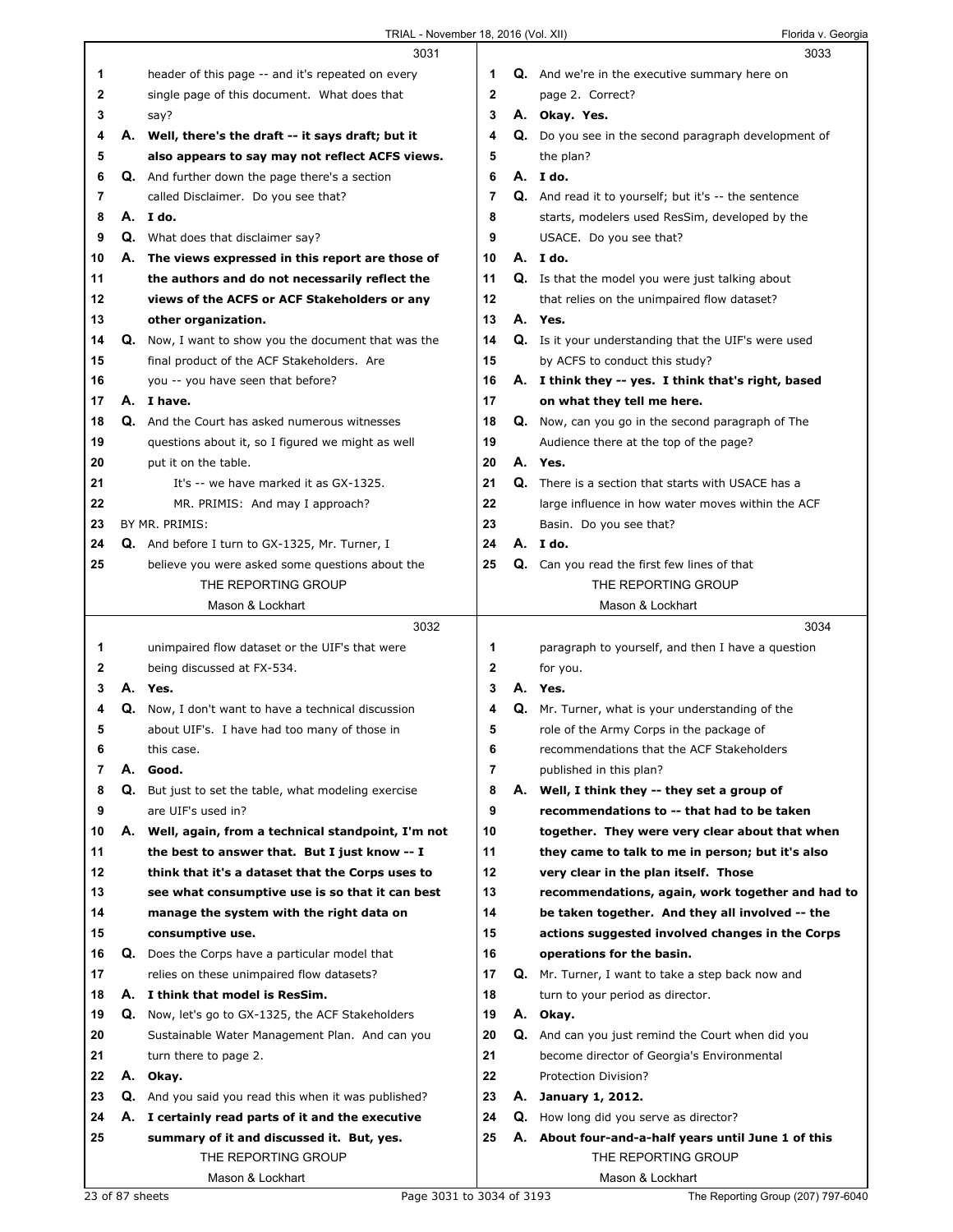|    |    | 3031                                                        |                |    | 3033                                                        |
|----|----|-------------------------------------------------------------|----------------|----|-------------------------------------------------------------|
| 1  |    | header of this page -- and it's repeated on every           | 1              |    | <b>Q.</b> And we're in the executive summary here on        |
| 2  |    | single page of this document. What does that                | $\mathbf 2$    |    | page 2. Correct?                                            |
| 3  |    | say?                                                        | 3              |    | A. Okay. Yes.                                               |
| 4  |    | A. Well, there's the draft -- it says draft; but it         | 4              |    | Q. Do you see in the second paragraph development of        |
| 5  |    | also appears to say may not reflect ACFS views.             | 5              |    | the plan?                                                   |
| 6  |    | <b>Q.</b> And further down the page there's a section       | 6              |    | A. I do.                                                    |
| 7  |    | called Disclaimer. Do you see that?                         | 7              |    | Q. And read it to yourself; but it's -- the sentence        |
| 8  |    | A.Ido.                                                      | 8              |    | starts, modelers used ResSim, developed by the              |
| 9  |    | Q. What does that disclaimer say?                           | 9              |    | USACE. Do you see that?                                     |
|    |    |                                                             |                |    |                                                             |
| 10 |    | A. The views expressed in this report are those of          | 10             |    | A. I do.                                                    |
| 11 |    | the authors and do not necessarily reflect the              | 11             |    | <b>Q.</b> Is that the model you were just talking about     |
| 12 |    | views of the ACFS or ACF Stakeholders or any                | 12             |    | that relies on the unimpaired flow dataset?                 |
| 13 |    | other organization.                                         | 13             |    | A. Yes.                                                     |
| 14 |    | Q. Now, I want to show you the document that was the        | 14             |    | <b>Q.</b> Is it your understanding that the UIF's were used |
| 15 |    | final product of the ACF Stakeholders. Are                  | 15             |    | by ACFS to conduct this study?                              |
| 16 |    | you -- you have seen that before?                           | 16             |    | A. I think they -- yes. I think that's right, based         |
| 17 |    | A. I have.                                                  | 17             |    | on what they tell me here.                                  |
| 18 |    | <b>Q.</b> And the Court has asked numerous witnesses        | 18             |    | Q. Now, can you go in the second paragraph of The           |
| 19 |    | questions about it, so I figured we might as well           | 19             |    | Audience there at the top of the page?                      |
| 20 |    | put it on the table.                                        | 20             |    | A. Yes.                                                     |
| 21 |    | It's -- we have marked it as GX-1325.                       | 21             |    | <b>Q.</b> There is a section that starts with USACE has a   |
| 22 |    | MR. PRIMIS: And may I approach?                             | 22             |    | large influence in how water moves within the ACF           |
| 23 |    | BY MR. PRIMIS:                                              | 23             |    | Basin. Do you see that?                                     |
| 24 |    | Q. And before I turn to GX-1325, Mr. Turner, I              | 24             |    | A. I do.                                                    |
| 25 |    | believe you were asked some questions about the             | 25             |    | Q. Can you read the first few lines of that                 |
|    |    | THE REPORTING GROUP                                         |                |    | THE REPORTING GROUP                                         |
|    |    | Mason & Lockhart                                            |                |    | Mason & Lockhart                                            |
|    |    |                                                             |                |    |                                                             |
|    |    |                                                             |                |    |                                                             |
|    |    | 3032                                                        |                |    | 3034                                                        |
| 1. |    | unimpaired flow dataset or the UIF's that were              | 1              |    | paragraph to yourself, and then I have a question           |
| 2  |    | being discussed at FX-534.                                  | $\mathbf{2}$   |    | for you.                                                    |
| 3  |    | A. Yes.                                                     | 3              |    | A. Yes.                                                     |
| 4  |    | Q. Now, I don't want to have a technical discussion         | 4              | Q. | Mr. Turner, what is your understanding of the               |
| 5  |    | about UIF's. I have had too many of those in                | 5              |    | role of the Army Corps in the package of                    |
| 6  |    | this case.                                                  | 6              |    | recommendations that the ACF Stakeholders                   |
| 7  | А. | Good.                                                       | $\overline{7}$ |    | published in this plan?                                     |
| 8  | Q. | But just to set the table, what modeling exercise           | 8              | А. | Well, I think they -- they set a group of                   |
| 9  |    | are UIF's used in?                                          | 9              |    | recommendations to -- that had to be taken                  |
| 10 |    | A. Well, again, from a technical standpoint, I'm not        | 10             |    | together. They were very clear about that when              |
| 11 |    | the best to answer that. But I just know -- I               | 11             |    | they came to talk to me in person; but it's also            |
| 12 |    | think that it's a dataset that the Corps uses to            | 12             |    | very clear in the plan itself. Those                        |
| 13 |    | see what consumptive use is so that it can best             | 13             |    | recommendations, again, work together and had to            |
| 14 |    | manage the system with the right data on                    | 14             |    | be taken together. And they all involved -- the             |
| 15 |    | consumptive use.                                            | 15             |    | actions suggested involved changes in the Corps             |
| 16 |    | <b>Q.</b> Does the Corps have a particular model that       | 16             |    | operations for the basin.                                   |
| 17 |    | relies on these unimpaired flow datasets?                   | 17             |    | Q. Mr. Turner, I want to take a step back now and           |
| 18 |    | A. I think that model is ResSim.                            | 18             |    | turn to your period as director.                            |
| 19 |    | Q. Now, let's go to GX-1325, the ACF Stakeholders           | 19             |    | A. Okay.                                                    |
| 20 |    | Sustainable Water Management Plan. And can you              | 20             |    | <b>Q.</b> And can you just remind the Court when did you    |
| 21 |    | turn there to page 2.                                       | 21             |    | become director of Georgia's Environmental                  |
| 22 | А. | Okay.                                                       | 22             |    | Protection Division?                                        |
| 23 |    | <b>Q.</b> And you said you read this when it was published? | 23             |    | A. January 1, 2012.                                         |
| 24 |    | A. I certainly read parts of it and the executive           | 24             |    | <b>Q.</b> How long did you serve as director?               |
| 25 |    | summary of it and discussed it. But, yes.                   | 25             |    | A. About four-and-a-half years until June 1 of this         |
|    |    | THE REPORTING GROUP                                         |                |    | THE REPORTING GROUP                                         |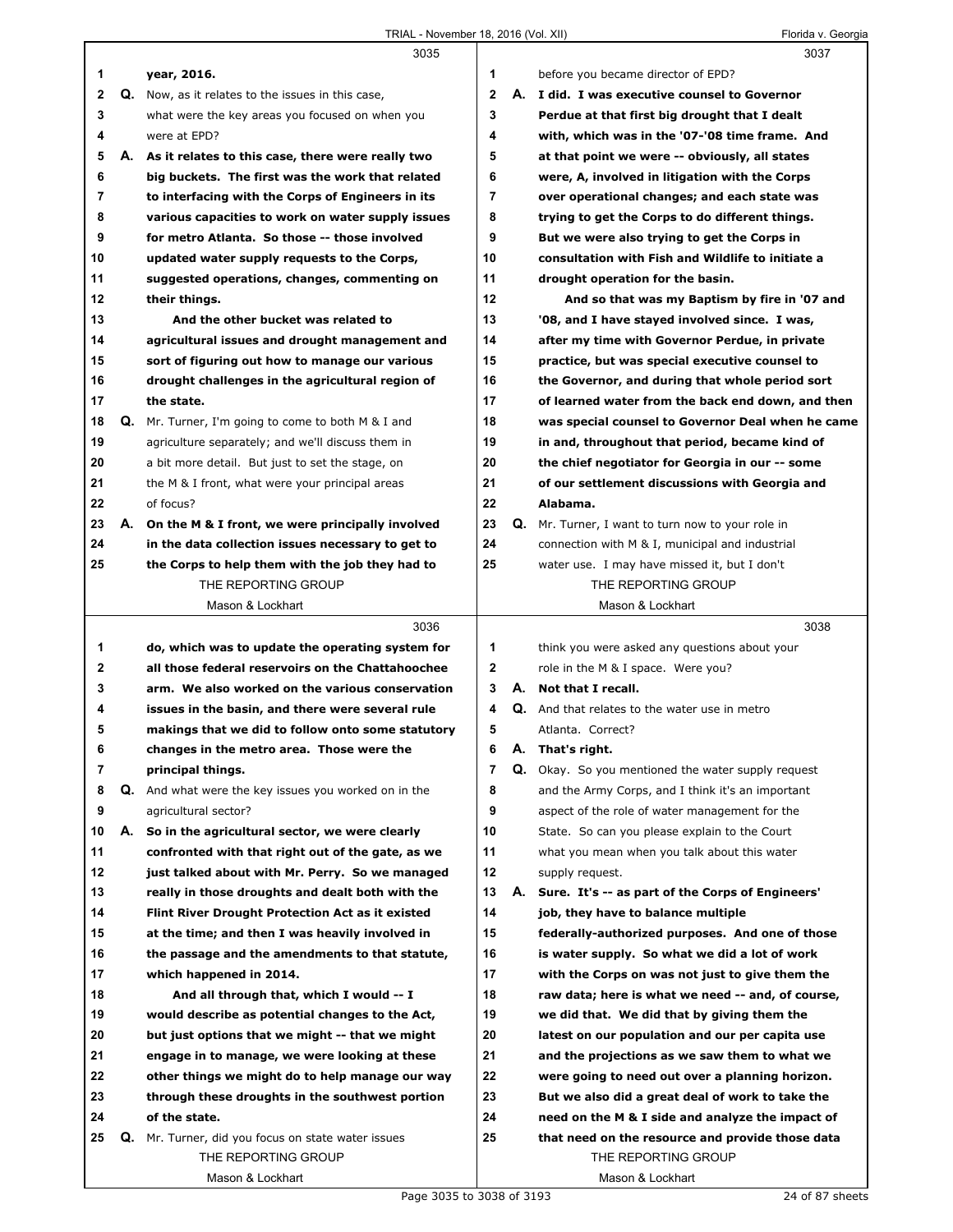ı

|             |    | 3035                                                                                                 |                     |    | 3037                                                        |
|-------------|----|------------------------------------------------------------------------------------------------------|---------------------|----|-------------------------------------------------------------|
| 1           |    | year, 2016.                                                                                          | 1                   |    | before you became director of EPD?                          |
| $\mathbf 2$ |    | Q. Now, as it relates to the issues in this case,                                                    | $\mathbf{2}$        |    | A. I did. I was executive counsel to Governor               |
| 3           |    | what were the key areas you focused on when you                                                      | 3                   |    | Perdue at that first big drought that I dealt               |
| 4           |    | were at EPD?                                                                                         | 4                   |    | with, which was in the '07-'08 time frame. And              |
| 5           |    | A. As it relates to this case, there were really two                                                 | 5                   |    | at that point we were -- obviously, all states              |
| 6           |    | big buckets. The first was the work that related                                                     | 6                   |    | were, A, involved in litigation with the Corps              |
| 7           |    | to interfacing with the Corps of Engineers in its                                                    | $\overline{7}$      |    | over operational changes; and each state was                |
| 8           |    | various capacities to work on water supply issues                                                    | 8                   |    | trying to get the Corps to do different things.             |
| 9           |    | for metro Atlanta. So those -- those involved                                                        | 9                   |    | But we were also trying to get the Corps in                 |
| 10          |    | updated water supply requests to the Corps,                                                          | 10                  |    | consultation with Fish and Wildlife to initiate a           |
| 11          |    | suggested operations, changes, commenting on                                                         | 11                  |    | drought operation for the basin.                            |
| 12          |    | their things.                                                                                        | 12                  |    | And so that was my Baptism by fire in '07 and               |
| 13          |    | And the other bucket was related to                                                                  | 13                  |    | '08, and I have stayed involved since. I was,               |
| 14          |    | agricultural issues and drought management and                                                       | 14                  |    | after my time with Governor Perdue, in private              |
| 15          |    | sort of figuring out how to manage our various                                                       | 15                  |    | practice, but was special executive counsel to              |
| 16          |    | drought challenges in the agricultural region of                                                     | 16                  |    | the Governor, and during that whole period sort             |
| 17          |    | the state.                                                                                           | 17                  |    | of learned water from the back end down, and then           |
| 18          | Q. | Mr. Turner, I'm going to come to both M & I and                                                      | 18                  |    | was special counsel to Governor Deal when he came           |
| 19          |    | agriculture separately; and we'll discuss them in                                                    | 19                  |    | in and, throughout that period, became kind of              |
| 20          |    | a bit more detail. But just to set the stage, on                                                     | 20                  |    | the chief negotiator for Georgia in our -- some             |
| 21          |    | the M & I front, what were your principal areas                                                      | 21                  |    | of our settlement discussions with Georgia and              |
| 22          |    | of focus?                                                                                            | 22                  |    | Alabama.                                                    |
| 23          |    | A. On the M & I front, we were principally involved                                                  | 23                  | Q. | Mr. Turner, I want to turn now to your role in              |
| 24          |    | in the data collection issues necessary to get to                                                    | 24                  |    | connection with M & I, municipal and industrial             |
| 25          |    | the Corps to help them with the job they had to                                                      | 25                  |    | water use. I may have missed it, but I don't                |
|             |    | THE REPORTING GROUP                                                                                  |                     |    | THE REPORTING GROUP                                         |
|             |    | Mason & Lockhart                                                                                     |                     |    | Mason & Lockhart                                            |
|             |    |                                                                                                      |                     |    |                                                             |
|             |    |                                                                                                      |                     |    |                                                             |
|             |    | 3036                                                                                                 | 1                   |    | 3038                                                        |
| 1           |    | do, which was to update the operating system for                                                     |                     |    | think you were asked any questions about your               |
| 2<br>3      |    | all those federal reservoirs on the Chattahoochee<br>arm. We also worked on the various conservation | 2<br>3              |    | role in the M & I space. Were you?<br>A. Not that I recall. |
|             |    |                                                                                                      | 4                   |    |                                                             |
| 4<br>5      |    | issues in the basin, and there were several rule                                                     | 5                   |    | Q. And that relates to the water use in metro               |
|             |    | makings that we did to follow onto some statutory                                                    |                     |    | Atlanta. Correct?                                           |
| 6<br>7      |    | changes in the metro area. Those were the                                                            | 6<br>$\overline{7}$ | А. | That's right.                                               |
|             |    | principal things.                                                                                    |                     |    | Q. Okay. So you mentioned the water supply request          |
| 8           | Q. | And what were the key issues you worked on in the                                                    | 8                   |    | and the Army Corps, and I think it's an important           |
| 9           | А. | agricultural sector?                                                                                 | 9<br>10             |    | aspect of the role of water management for the              |
| 10          |    | So in the agricultural sector, we were clearly                                                       |                     |    | State. So can you please explain to the Court               |
| 11          |    | confronted with that right out of the gate, as we                                                    | 11<br>12            |    | what you mean when you talk about this water                |
| 12          |    | just talked about with Mr. Perry. So we managed                                                      |                     |    | supply request.                                             |
| 13          |    | really in those droughts and dealt both with the                                                     | 13                  | А. | Sure. It's -- as part of the Corps of Engineers'            |
| 14          |    | <b>Flint River Drought Protection Act as it existed</b>                                              | 14                  |    | job, they have to balance multiple                          |
| 15          |    | at the time; and then I was heavily involved in                                                      | 15                  |    | federally-authorized purposes. And one of those             |
| 16          |    | the passage and the amendments to that statute,                                                      | 16                  |    | is water supply. So what we did a lot of work               |
| 17          |    | which happened in 2014.                                                                              | 17                  |    | with the Corps on was not just to give them the             |
| 18          |    | And all through that, which I would -- I                                                             | 18                  |    | raw data; here is what we need -- and, of course,           |
| 19          |    | would describe as potential changes to the Act,                                                      | 19                  |    | we did that. We did that by giving them the                 |
| 20          |    | but just options that we might -- that we might                                                      | 20                  |    | latest on our population and our per capita use             |
| 21          |    | engage in to manage, we were looking at these                                                        | 21                  |    | and the projections as we saw them to what we               |
| 22          |    | other things we might do to help manage our way                                                      | 22                  |    | were going to need out over a planning horizon.             |
| 23          |    | through these droughts in the southwest portion                                                      | 23                  |    | But we also did a great deal of work to take the            |
| 24          |    | of the state.                                                                                        | 24                  |    | need on the M & I side and analyze the impact of            |
| 25          | Q. | Mr. Turner, did you focus on state water issues                                                      | 25                  |    | that need on the resource and provide those data            |
|             |    | THE REPORTING GROUP<br>Mason & Lockhart                                                              |                     |    | THE REPORTING GROUP<br>Mason & Lockhart                     |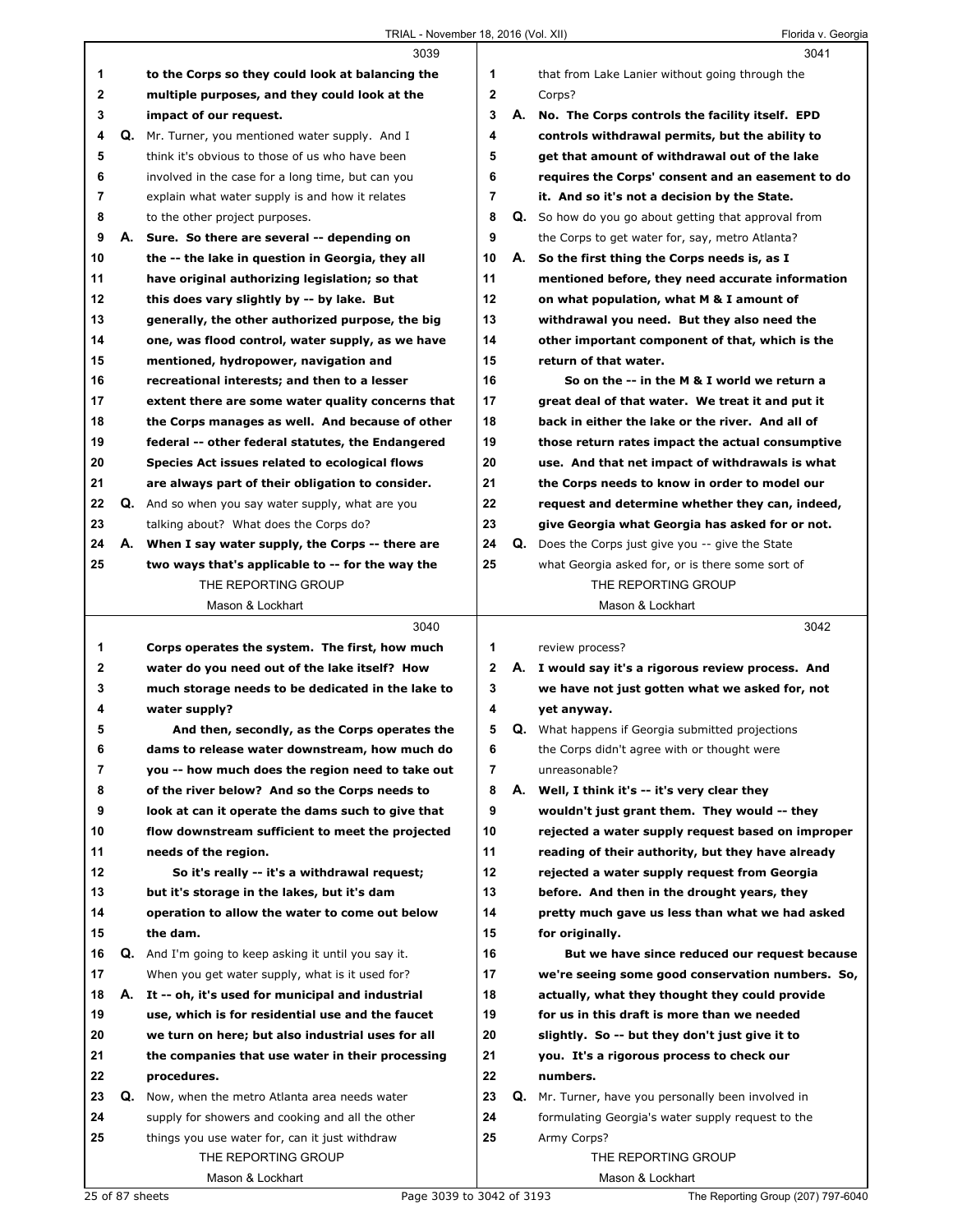|    |    | 3039                                                 |              | 3041                                                    |
|----|----|------------------------------------------------------|--------------|---------------------------------------------------------|
| 1  |    | to the Corps so they could look at balancing the     | 1            | that from Lake Lanier without going through the         |
| 2  |    | multiple purposes, and they could look at the        | $\mathbf{2}$ | Corps?                                                  |
| 3  |    | impact of our request.                               | 3            | A. No. The Corps controls the facility itself. EPD      |
| 4  |    | Q. Mr. Turner, you mentioned water supply. And I     | 4            | controls withdrawal permits, but the ability to         |
| 5  |    | think it's obvious to those of us who have been      | 5            | get that amount of withdrawal out of the lake           |
| 6  |    | involved in the case for a long time, but can you    | 6            | requires the Corps' consent and an easement to do       |
| 7  |    | explain what water supply is and how it relates      | 7            | it. And so it's not a decision by the State.            |
| 8  |    | to the other project purposes.                       | 8            | Q. So how do you go about getting that approval from    |
| 9  |    | A. Sure. So there are several -- depending on        | 9            | the Corps to get water for, say, metro Atlanta?         |
| 10 |    | the -- the lake in question in Georgia, they all     | 10           | A. So the first thing the Corps needs is, as I          |
| 11 |    | have original authorizing legislation; so that       | 11           | mentioned before, they need accurate information        |
| 12 |    | this does vary slightly by -- by lake. But           | 12           | on what population, what M & I amount of                |
| 13 |    | generally, the other authorized purpose, the big     | 13           | withdrawal you need. But they also need the             |
| 14 |    | one, was flood control, water supply, as we have     | 14           | other important component of that, which is the         |
| 15 |    | mentioned, hydropower, navigation and                | 15           | return of that water.                                   |
| 16 |    | recreational interests; and then to a lesser         | 16           | So on the -- in the M & I world we return a             |
| 17 |    | extent there are some water quality concerns that    | 17           | great deal of that water. We treat it and put it        |
| 18 |    | the Corps manages as well. And because of other      | 18           | back in either the lake or the river. And all of        |
| 19 |    | federal -- other federal statutes, the Endangered    | 19           | those return rates impact the actual consumptive        |
| 20 |    | Species Act issues related to ecological flows       | 20           | use. And that net impact of withdrawals is what         |
| 21 |    | are always part of their obligation to consider.     | 21           | the Corps needs to know in order to model our           |
| 22 |    | Q. And so when you say water supply, what are you    | 22           | request and determine whether they can, indeed,         |
| 23 |    | talking about? What does the Corps do?               | 23           | give Georgia what Georgia has asked for or not.         |
| 24 |    | A. When I say water supply, the Corps -- there are   | 24           | Q. Does the Corps just give you -- give the State       |
| 25 |    | two ways that's applicable to -- for the way the     | 25           | what Georgia asked for, or is there some sort of        |
|    |    | THE REPORTING GROUP                                  |              | THE REPORTING GROUP                                     |
|    |    | Mason & Lockhart                                     |              | Mason & Lockhart                                        |
|    |    |                                                      |              |                                                         |
|    |    | 3040                                                 |              | 3042                                                    |
| 1  |    | Corps operates the system. The first, how much       | 1            | review process?                                         |
| 2  |    | water do you need out of the lake itself? How        | 2            | A. I would say it's a rigorous review process. And      |
| 3  |    | much storage needs to be dedicated in the lake to    | 3            | we have not just gotten what we asked for, not          |
| 4  |    | water supply?                                        | 4            | yet anyway.                                             |
| 5  |    | And then, secondly, as the Corps operates the        | 5            | <b>Q.</b> What happens if Georgia submitted projections |
| 6  |    | dams to release water downstream, how much do        | 6            | the Corps didn't agree with or thought were             |
| 7  |    | you -- how much does the region need to take out     | 7            | unreasonable?                                           |
| 8  |    | of the river below? And so the Corps needs to        | 8            | A. Well, I think it's -- it's very clear they           |
| 9  |    | look at can it operate the dams such to give that    | 9            | wouldn't just grant them. They would -- they            |
| 10 |    | flow downstream sufficient to meet the projected     | 10           | rejected a water supply request based on improper       |
| 11 |    | needs of the region.                                 | 11           | reading of their authority, but they have already       |
| 12 |    | So it's really -- it's a withdrawal request;         | 12           | rejected a water supply request from Georgia            |
| 13 |    | but it's storage in the lakes, but it's dam          | 13           | before. And then in the drought years, they             |
| 14 |    | operation to allow the water to come out below       | 14           | pretty much gave us less than what we had asked         |
| 15 |    | the dam.                                             | 15           | for originally.                                         |
| 16 |    | Q. And I'm going to keep asking it until you say it. | 16           | But we have since reduced our request because           |
| 17 |    | When you get water supply, what is it used for?      | 17           | we're seeing some good conservation numbers. So,        |
| 18 | А. | It -- oh, it's used for municipal and industrial     | 18           | actually, what they thought they could provide          |
| 19 |    | use, which is for residential use and the faucet     | 19           | for us in this draft is more than we needed             |
| 20 |    | we turn on here; but also industrial uses for all    | 20           | slightly. So -- but they don't just give it to          |
| 21 |    | the companies that use water in their processing     | 21           | you. It's a rigorous process to check our               |
| 22 |    | procedures.                                          | 22           | numbers.                                                |
| 23 |    | Q. Now, when the metro Atlanta area needs water      | 23           | Q. Mr. Turner, have you personally been involved in     |
| 24 |    | supply for showers and cooking and all the other     | 24           | formulating Georgia's water supply request to the       |
| 25 |    | things you use water for, can it just withdraw       | 25           | Army Corps?                                             |
|    |    | THE REPORTING GROUP                                  |              | THE REPORTING GROUP                                     |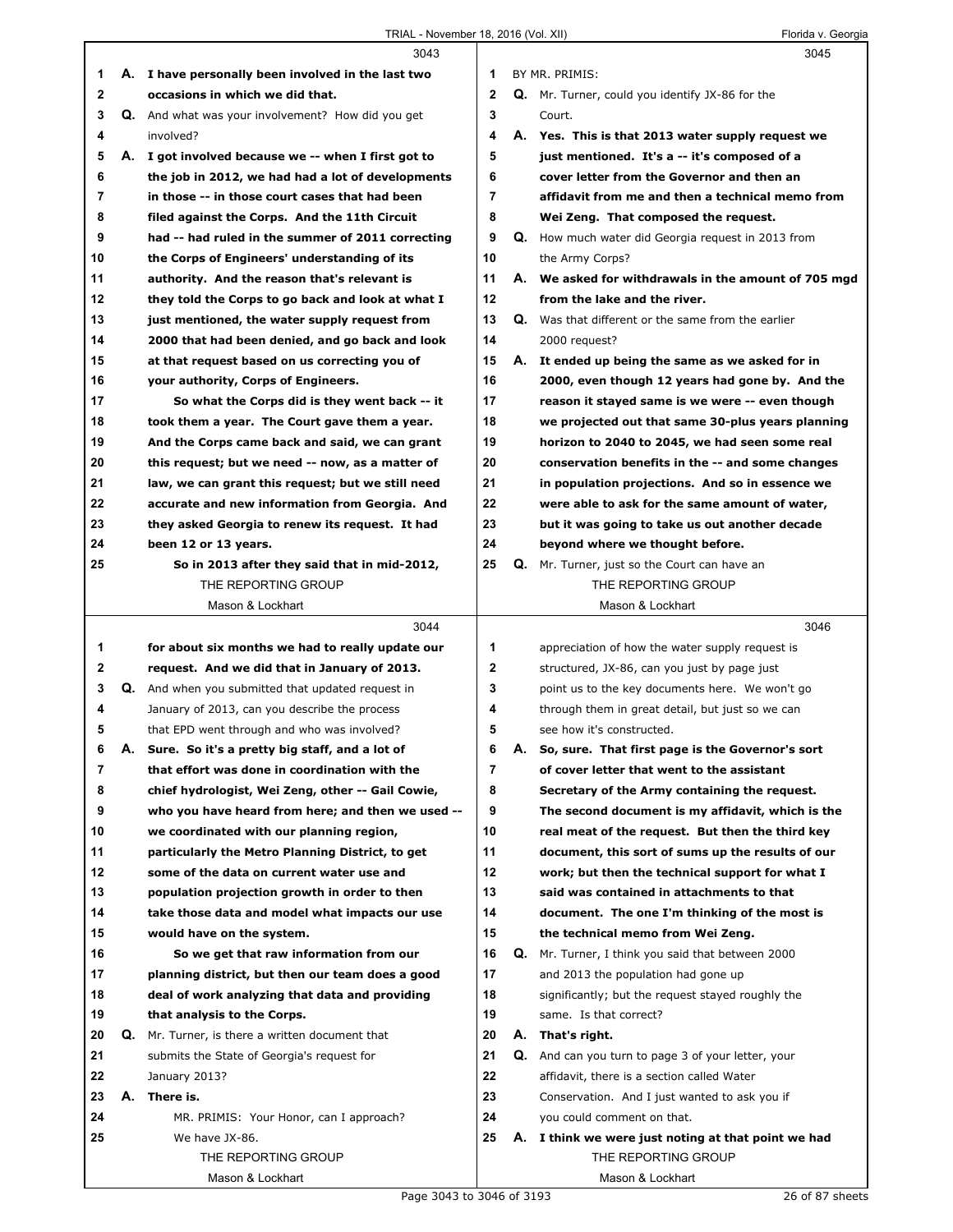|              |    | 3043                                                |                |    | 3045                                                      |
|--------------|----|-----------------------------------------------------|----------------|----|-----------------------------------------------------------|
| 1            |    | A. I have personally been involved in the last two  | 1              |    | BY MR. PRIMIS:                                            |
| $\mathbf{2}$ |    | occasions in which we did that.                     | $\overline{2}$ |    | Q. Mr. Turner, could you identify JX-86 for the           |
| 3            |    | Q. And what was your involvement? How did you get   | 3              |    | Court.                                                    |
| 4            |    | involved?                                           | 4              |    | A. Yes. This is that 2013 water supply request we         |
| 5            |    | A. I got involved because we -- when I first got to | 5              |    | just mentioned. It's a -- it's composed of a              |
| 6            |    | the job in 2012, we had had a lot of developments   | 6              |    | cover letter from the Governor and then an                |
| 7            |    | in those -- in those court cases that had been      | $\overline{7}$ |    | affidavit from me and then a technical memo from          |
| 8            |    | filed against the Corps. And the 11th Circuit       | 8              |    | Wei Zeng. That composed the request.                      |
| 9            |    | had -- had ruled in the summer of 2011 correcting   | 9              |    | <b>Q.</b> How much water did Georgia request in 2013 from |
| 10           |    | the Corps of Engineers' understanding of its        | 10             |    | the Army Corps?                                           |
| 11           |    | authority. And the reason that's relevant is        | 11             |    | A. We asked for withdrawals in the amount of 705 mgd      |
| 12           |    | they told the Corps to go back and look at what I   | 12             |    | from the lake and the river.                              |
| 13           |    | just mentioned, the water supply request from       | 13             | Q. | Was that different or the same from the earlier           |
| 14           |    | 2000 that had been denied, and go back and look     | 14             |    | 2000 request?                                             |
| 15           |    | at that request based on us correcting you of       | 15             | А. | It ended up being the same as we asked for in             |
| 16           |    | your authority, Corps of Engineers.                 | 16             |    | 2000, even though 12 years had gone by. And the           |
| 17           |    | So what the Corps did is they went back -- it       | 17             |    | reason it stayed same is we were -- even though           |
|              |    |                                                     | 18             |    | we projected out that same 30-plus years planning         |
| 18           |    | took them a year. The Court gave them a year.       | 19             |    |                                                           |
| 19           |    | And the Corps came back and said, we can grant      |                |    | horizon to 2040 to 2045, we had seen some real            |
| 20           |    | this request; but we need -- now, as a matter of    | 20             |    | conservation benefits in the -- and some changes          |
| 21           |    | law, we can grant this request; but we still need   | 21             |    | in population projections. And so in essence we           |
| 22           |    | accurate and new information from Georgia. And      | 22             |    | were able to ask for the same amount of water,            |
| 23           |    | they asked Georgia to renew its request. It had     | 23             |    | but it was going to take us out another decade            |
| 24           |    | been 12 or 13 years.                                | 24             |    | beyond where we thought before.                           |
| 25           |    | So in 2013 after they said that in mid-2012,        | 25             |    | Q. Mr. Turner, just so the Court can have an              |
|              |    | THE REPORTING GROUP                                 |                |    | THE REPORTING GROUP                                       |
|              |    | Mason & Lockhart                                    |                |    | Mason & Lockhart                                          |
|              |    |                                                     |                |    |                                                           |
|              |    | 3044                                                |                |    | 3046                                                      |
| 1            |    | for about six months we had to really update our    | 1              |    | appreciation of how the water supply request is           |
| 2            |    | request. And we did that in January of 2013.        | $\mathbf{2}$   |    | structured, JX-86, can you just by page just              |
| 3            |    | Q. And when you submitted that updated request in   | 3              |    | point us to the key documents here. We won't go           |
| 4            |    | January of 2013, can you describe the process       | 4              |    | through them in great detail, but just so we can          |
| 5            |    | that EPD went through and who was involved?         | 5              |    | see how it's constructed.                                 |
| 6            | Α. | Sure. So it's a pretty big staff, and a lot of      | 6              | Α. | So, sure. That first page is the Governor's sort          |
| 7            |    | that effort was done in coordination with the       | $\overline{7}$ |    | of cover letter that went to the assistant                |
| 8            |    | chief hydrologist, Wei Zeng, other -- Gail Cowie,   | 8              |    | Secretary of the Army containing the request.             |
| 9            |    | who you have heard from here; and then we used --   | 9              |    | The second document is my affidavit, which is the         |
| 10           |    | we coordinated with our planning region,            | 10             |    | real meat of the request. But then the third key          |
| 11           |    | particularly the Metro Planning District, to get    | 11             |    | document, this sort of sums up the results of our         |
| 12           |    | some of the data on current water use and           | 12             |    | work; but then the technical support for what I           |
| 13           |    | population projection growth in order to then       | 13             |    | said was contained in attachments to that                 |
| 14           |    | take those data and model what impacts our use      | 14             |    | document. The one I'm thinking of the most is             |
| 15           |    | would have on the system.                           | 15             |    | the technical memo from Wei Zeng.                         |
| 16           |    | So we get that raw information from our             | 16             | Q. | Mr. Turner, I think you said that between 2000            |
| 17           |    | planning district, but then our team does a good    | 17             |    | and 2013 the population had gone up                       |
| 18           |    | deal of work analyzing that data and providing      | 18             |    | significantly; but the request stayed roughly the         |
| 19           |    | that analysis to the Corps.                         | 19             |    | same. Is that correct?                                    |
| 20           | Q. | Mr. Turner, is there a written document that        | 20             |    | A. That's right.                                          |
| 21           |    | submits the State of Georgia's request for          | 21             | Q. | And can you turn to page 3 of your letter, your           |
| 22           |    | January 2013?                                       | 22             |    | affidavit, there is a section called Water                |
| 23           | А. | There is.                                           | 23             |    | Conservation. And I just wanted to ask you if             |
| 24           |    | MR. PRIMIS: Your Honor, can I approach?             | 24             |    | you could comment on that.                                |
| 25           |    | We have JX-86.                                      | 25             |    | A. I think we were just noting at that point we had       |
|              |    | THE REPORTING GROUP                                 |                |    | THE REPORTING GROUP                                       |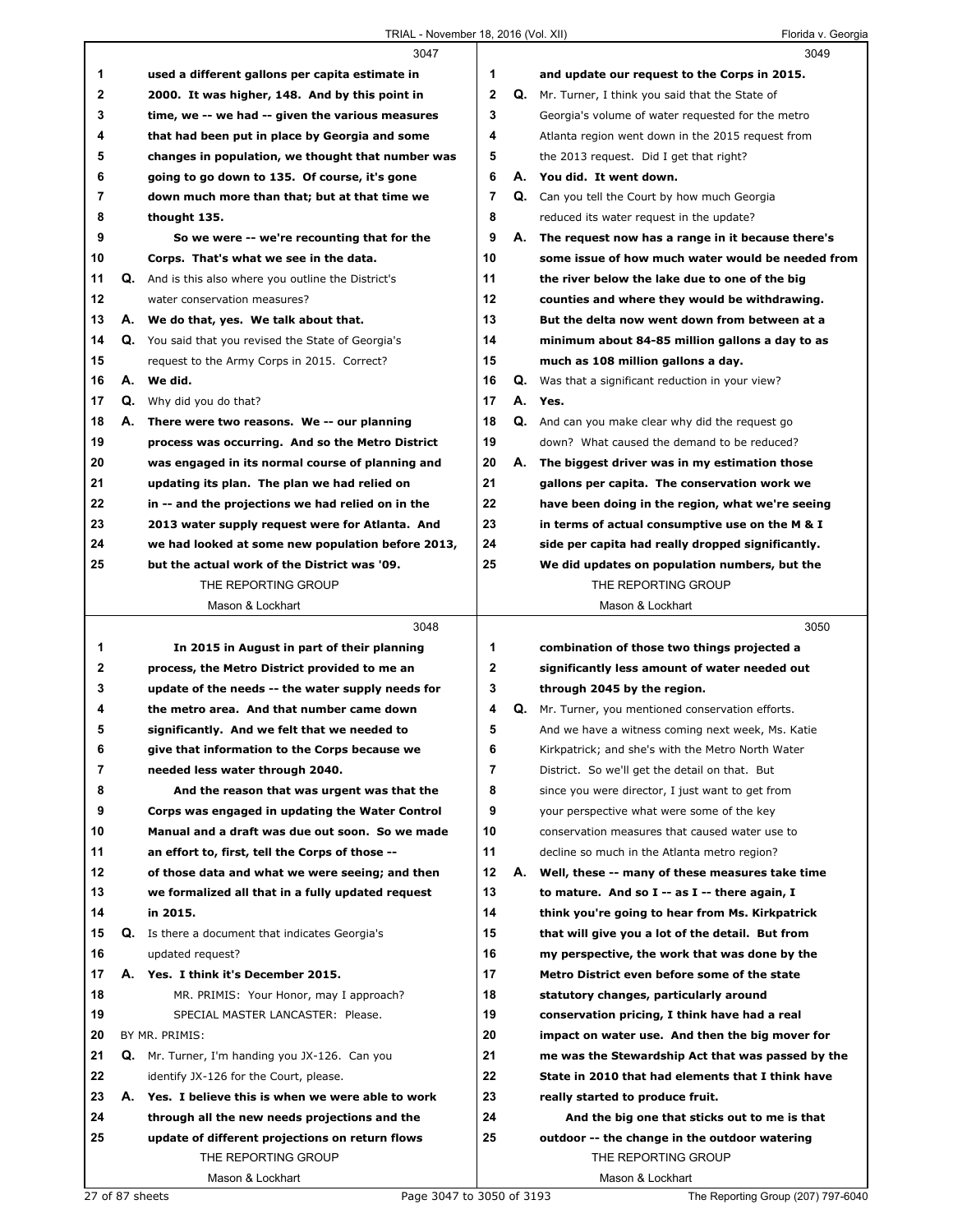|          |    | 3047                                                                                              |                |    | 3049                                                                                             |
|----------|----|---------------------------------------------------------------------------------------------------|----------------|----|--------------------------------------------------------------------------------------------------|
| 1        |    | used a different gallons per capita estimate in                                                   | 1              |    | and update our request to the Corps in 2015.                                                     |
| 2        |    | 2000. It was higher, 148. And by this point in                                                    | 2              |    | Q. Mr. Turner, I think you said that the State of                                                |
| 3        |    | time, we -- we had -- given the various measures                                                  | 3              |    | Georgia's volume of water requested for the metro                                                |
| 4        |    | that had been put in place by Georgia and some                                                    | 4              |    | Atlanta region went down in the 2015 request from                                                |
| 5        |    | changes in population, we thought that number was                                                 | 5              |    | the 2013 request. Did I get that right?                                                          |
| 6        |    | going to go down to 135. Of course, it's gone                                                     | 6              |    | A. You did. It went down.                                                                        |
| 7        |    | down much more than that; but at that time we                                                     | 7              |    | <b>Q.</b> Can you tell the Court by how much Georgia                                             |
| 8        |    | thought 135.                                                                                      | 8              |    | reduced its water request in the update?                                                         |
| 9        |    | So we were -- we're recounting that for the                                                       | 9              | А. | The request now has a range in it because there's                                                |
| 10       |    | Corps. That's what we see in the data.                                                            | 10             |    | some issue of how much water would be needed from                                                |
| 11       |    | <b>Q.</b> And is this also where you outline the District's                                       | 11             |    | the river below the lake due to one of the big                                                   |
| 12       |    | water conservation measures?                                                                      | 12             |    | counties and where they would be withdrawing.                                                    |
| 13       | А. | We do that, yes. We talk about that.                                                              | 13             |    | But the delta now went down from between at a                                                    |
| 14       |    | Q. You said that you revised the State of Georgia's                                               | 14             |    | minimum about 84-85 million gallons a day to as                                                  |
| 15       |    | request to the Army Corps in 2015. Correct?                                                       | 15             |    | much as 108 million gallons a day.                                                               |
| 16       |    | A. We did.                                                                                        | 16             | Q. | Was that a significant reduction in your view?                                                   |
| 17       | Q. | Why did you do that?                                                                              | 17             |    | A. Yes.                                                                                          |
| 18       |    |                                                                                                   | 18             |    |                                                                                                  |
|          |    | A. There were two reasons. We -- our planning                                                     |                |    | <b>Q.</b> And can you make clear why did the request go                                          |
| 19       |    | process was occurring. And so the Metro District                                                  | 19<br>20       |    | down? What caused the demand to be reduced?                                                      |
| 20<br>21 |    | was engaged in its normal course of planning and                                                  | 21             | А. | The biggest driver was in my estimation those                                                    |
| 22       |    | updating its plan. The plan we had relied on<br>in -- and the projections we had relied on in the | 22             |    | gallons per capita. The conservation work we<br>have been doing in the region, what we're seeing |
| 23       |    |                                                                                                   | 23             |    |                                                                                                  |
| 24       |    | 2013 water supply request were for Atlanta. And                                                   | 24             |    | in terms of actual consumptive use on the M & I                                                  |
| 25       |    | we had looked at some new population before 2013,<br>but the actual work of the District was '09. | 25             |    | side per capita had really dropped significantly.                                                |
|          |    | THE REPORTING GROUP                                                                               |                |    | We did updates on population numbers, but the<br>THE REPORTING GROUP                             |
|          |    | Mason & Lockhart                                                                                  |                |    | Mason & Lockhart                                                                                 |
|          |    |                                                                                                   |                |    |                                                                                                  |
|          |    |                                                                                                   |                |    |                                                                                                  |
|          |    | 3048                                                                                              |                |    | 3050                                                                                             |
| 1        |    | In 2015 in August in part of their planning                                                       | 1              |    | combination of those two things projected a                                                      |
| 2        |    | process, the Metro District provided to me an                                                     | 2              |    | significantly less amount of water needed out                                                    |
| 3        |    | update of the needs -- the water supply needs for                                                 | 3              |    | through 2045 by the region.                                                                      |
| 4        |    | the metro area. And that number came down                                                         | 4              | Q. | Mr. Turner, you mentioned conservation efforts.                                                  |
| 5        |    | significantly. And we felt that we needed to                                                      | 5              |    | And we have a witness coming next week, Ms. Katie                                                |
| 6        |    | give that information to the Corps because we                                                     | 6              |    | Kirkpatrick; and she's with the Metro North Water                                                |
| 7        |    | needed less water through 2040.                                                                   | $\overline{7}$ |    | District. So we'll get the detail on that. But                                                   |
| 8        |    | And the reason that was urgent was that the                                                       | 8              |    | since you were director, I just want to get from                                                 |
| 9        |    | Corps was engaged in updating the Water Control                                                   | 9              |    | your perspective what were some of the key                                                       |
| 10       |    | Manual and a draft was due out soon. So we made                                                   | 10             |    | conservation measures that caused water use to                                                   |
| 11       |    | an effort to, first, tell the Corps of those --                                                   | 11             |    | decline so much in the Atlanta metro region?                                                     |
| 12       |    | of those data and what we were seeing; and then                                                   | 12             | А. | Well, these -- many of these measures take time                                                  |
| 13       |    | we formalized all that in a fully updated request                                                 | 13             |    | to mature. And so I -- as I -- there again, I                                                    |
| 14       |    | in 2015.                                                                                          | 14             |    | think you're going to hear from Ms. Kirkpatrick                                                  |
| 15       | Q. | Is there a document that indicates Georgia's                                                      | 15             |    | that will give you a lot of the detail. But from                                                 |
| 16       |    | updated request?                                                                                  | 16             |    | my perspective, the work that was done by the                                                    |
| 17       |    | A. Yes. I think it's December 2015.                                                               | 17             |    | Metro District even before some of the state                                                     |
| 18       |    | MR. PRIMIS: Your Honor, may I approach?                                                           | 18             |    | statutory changes, particularly around                                                           |
| 19       |    | SPECIAL MASTER LANCASTER: Please.                                                                 | 19             |    | conservation pricing, I think have had a real                                                    |
| 20       |    | BY MR. PRIMIS:                                                                                    | 20             |    | impact on water use. And then the big mover for                                                  |
| 21       |    | Q. Mr. Turner, I'm handing you JX-126. Can you                                                    | 21             |    | me was the Stewardship Act that was passed by the                                                |
| 22       |    | identify JX-126 for the Court, please.                                                            | 22             |    | State in 2010 that had elements that I think have                                                |
| 23       |    | A. Yes. I believe this is when we were able to work                                               | 23             |    | really started to produce fruit.                                                                 |
| 24       |    | through all the new needs projections and the                                                     | 24             |    | And the big one that sticks out to me is that                                                    |
| 25       |    | update of different projections on return flows                                                   | 25             |    | outdoor -- the change in the outdoor watering                                                    |
|          |    | THE REPORTING GROUP<br>Mason & Lockhart                                                           |                |    | THE REPORTING GROUP<br>Mason & Lockhart                                                          |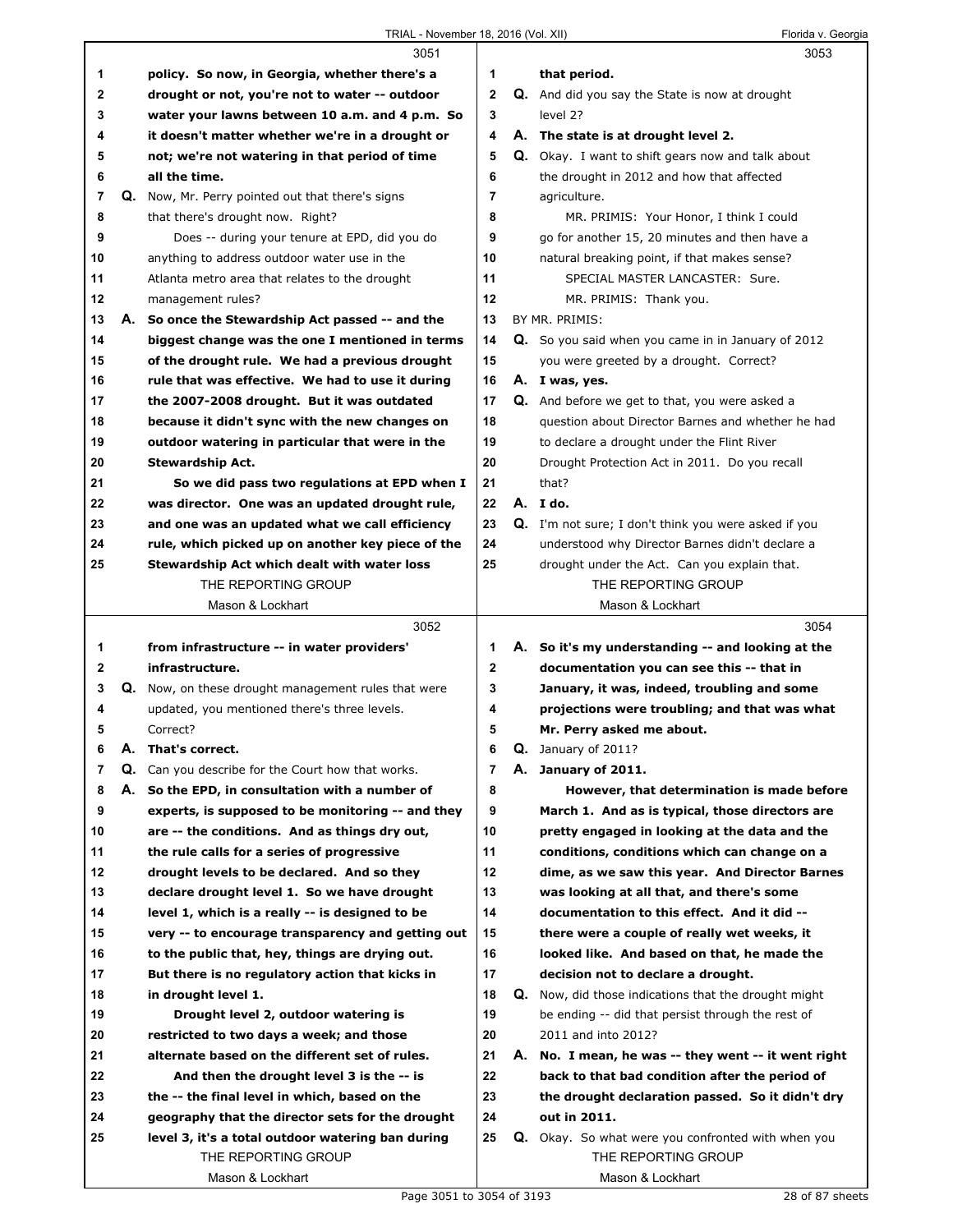|    |    | 3051                                              |              |    | 3053                                                     |
|----|----|---------------------------------------------------|--------------|----|----------------------------------------------------------|
| 1  |    | policy. So now, in Georgia, whether there's a     | 1            |    | that period.                                             |
| 2  |    | drought or not, you're not to water -- outdoor    | $\mathbf{2}$ |    | Q. And did you say the State is now at drought           |
| 3  |    | water your lawns between 10 a.m. and 4 p.m. So    | 3            |    | level 2?                                                 |
| 4  |    | it doesn't matter whether we're in a drought or   | 4            |    | A. The state is at drought level 2.                      |
| 5  |    | not; we're not watering in that period of time    | 5            |    | <b>Q.</b> Okay. I want to shift gears now and talk about |
| 6  |    | all the time.                                     | 6            |    | the drought in 2012 and how that affected                |
| 7  |    | Q. Now, Mr. Perry pointed out that there's signs  | 7            |    | agriculture.                                             |
| 8  |    | that there's drought now. Right?                  | 8            |    | MR. PRIMIS: Your Honor, I think I could                  |
| 9  |    | Does -- during your tenure at EPD, did you do     | 9            |    | go for another 15, 20 minutes and then have a            |
| 10 |    | anything to address outdoor water use in the      | 10           |    | natural breaking point, if that makes sense?             |
| 11 |    | Atlanta metro area that relates to the drought    | 11           |    | SPECIAL MASTER LANCASTER: Sure.                          |
| 12 |    | management rules?                                 | 12           |    | MR. PRIMIS: Thank you.                                   |
| 13 |    | A. So once the Stewardship Act passed -- and the  | 13           |    | BY MR. PRIMIS:                                           |
|    |    |                                                   |              |    |                                                          |
| 14 |    | biggest change was the one I mentioned in terms   | 14           |    | Q. So you said when you came in in January of 2012       |
| 15 |    | of the drought rule. We had a previous drought    | 15           |    | you were greeted by a drought. Correct?                  |
| 16 |    | rule that was effective. We had to use it during  | 16           |    | A. I was, yes.                                           |
| 17 |    | the 2007-2008 drought. But it was outdated        | 17           |    | Q. And before we get to that, you were asked a           |
| 18 |    | because it didn't sync with the new changes on    | 18           |    | question about Director Barnes and whether he had        |
| 19 |    | outdoor watering in particular that were in the   | 19           |    | to declare a drought under the Flint River               |
| 20 |    | <b>Stewardship Act.</b>                           | 20           |    | Drought Protection Act in 2011. Do you recall            |
| 21 |    | So we did pass two regulations at EPD when I      | 21           |    | that?                                                    |
| 22 |    | was director. One was an updated drought rule,    | 22           |    | A. I do.                                                 |
| 23 |    | and one was an updated what we call efficiency    | 23           |    | Q. I'm not sure; I don't think you were asked if you     |
| 24 |    | rule, which picked up on another key piece of the | 24           |    | understood why Director Barnes didn't declare a          |
| 25 |    | Stewardship Act which dealt with water loss       | 25           |    | drought under the Act. Can you explain that.             |
|    |    | THE REPORTING GROUP                               |              |    | THE REPORTING GROUP                                      |
|    |    | Mason & Lockhart                                  |              |    |                                                          |
|    |    |                                                   |              |    | Mason & Lockhart                                         |
|    |    | 3052                                              |              |    | 3054                                                     |
| 1  |    | from infrastructure -- in water providers'        | 1            |    | A. So it's my understanding -- and looking at the        |
| 2  |    | infrastructure.                                   | $\mathbf 2$  |    | documentation you can see this -- that in                |
| 3  | Q. | Now, on these drought management rules that were  | 3            |    | January, it was, indeed, troubling and some              |
| 4  |    | updated, you mentioned there's three levels.      | 4            |    | projections were troubling; and that was what            |
| 5  |    | Correct?                                          | 5            |    | Mr. Perry asked me about.                                |
| 6  | Α. | That's correct.                                   | 6            |    | Q. January of 2011?                                      |
| 7  | Q. | Can you describe for the Court how that works.    | 7            | А. | January of 2011.                                         |
| 8  | А. | So the EPD, in consultation with a number of      | 8            |    | However, that determination is made before               |
| 9  |    | experts, is supposed to be monitoring -- and they | 9            |    | March 1. And as is typical, those directors are          |
| 10 |    | are -- the conditions. And as things dry out,     | 10           |    | pretty engaged in looking at the data and the            |
| 11 |    | the rule calls for a series of progressive        | 11           |    | conditions, conditions which can change on a             |
| 12 |    | drought levels to be declared. And so they        | 12           |    | dime, as we saw this year. And Director Barnes           |
| 13 |    | declare drought level 1. So we have drought       | 13           |    | was looking at all that, and there's some                |
| 14 |    | level 1, which is a really -- is designed to be   | 14           |    | documentation to this effect. And it did --              |
| 15 |    | very -- to encourage transparency and getting out | 15           |    | there were a couple of really wet weeks, it              |
| 16 |    | to the public that, hey, things are drying out.   | 16           |    | looked like. And based on that, he made the              |
|    |    |                                                   |              |    |                                                          |
| 17 |    | But there is no regulatory action that kicks in   | 17           |    | decision not to declare a drought.                       |
| 18 |    | in drought level 1.                               | 18           | Q. | Now, did those indications that the drought might        |
| 19 |    | Drought level 2, outdoor watering is              | 19           |    | be ending -- did that persist through the rest of        |
| 20 |    | restricted to two days a week; and those          | 20           |    | 2011 and into 2012?                                      |
| 21 |    | alternate based on the different set of rules.    | 21           |    | A. No. I mean, he was -- they went -- it went right      |
| 22 |    | And then the drought level 3 is the -- is         | 22           |    | back to that bad condition after the period of           |
| 23 |    | the -- the final level in which, based on the     | 23           |    | the drought declaration passed. So it didn't dry         |
| 24 |    | geography that the director sets for the drought  | 24           |    | out in 2011.                                             |
| 25 |    | level 3, it's a total outdoor watering ban during | 25           |    | Q. Okay. So what were you confronted with when you       |
|    |    | THE REPORTING GROUP<br>Mason & Lockhart           |              |    | THE REPORTING GROUP<br>Mason & Lockhart                  |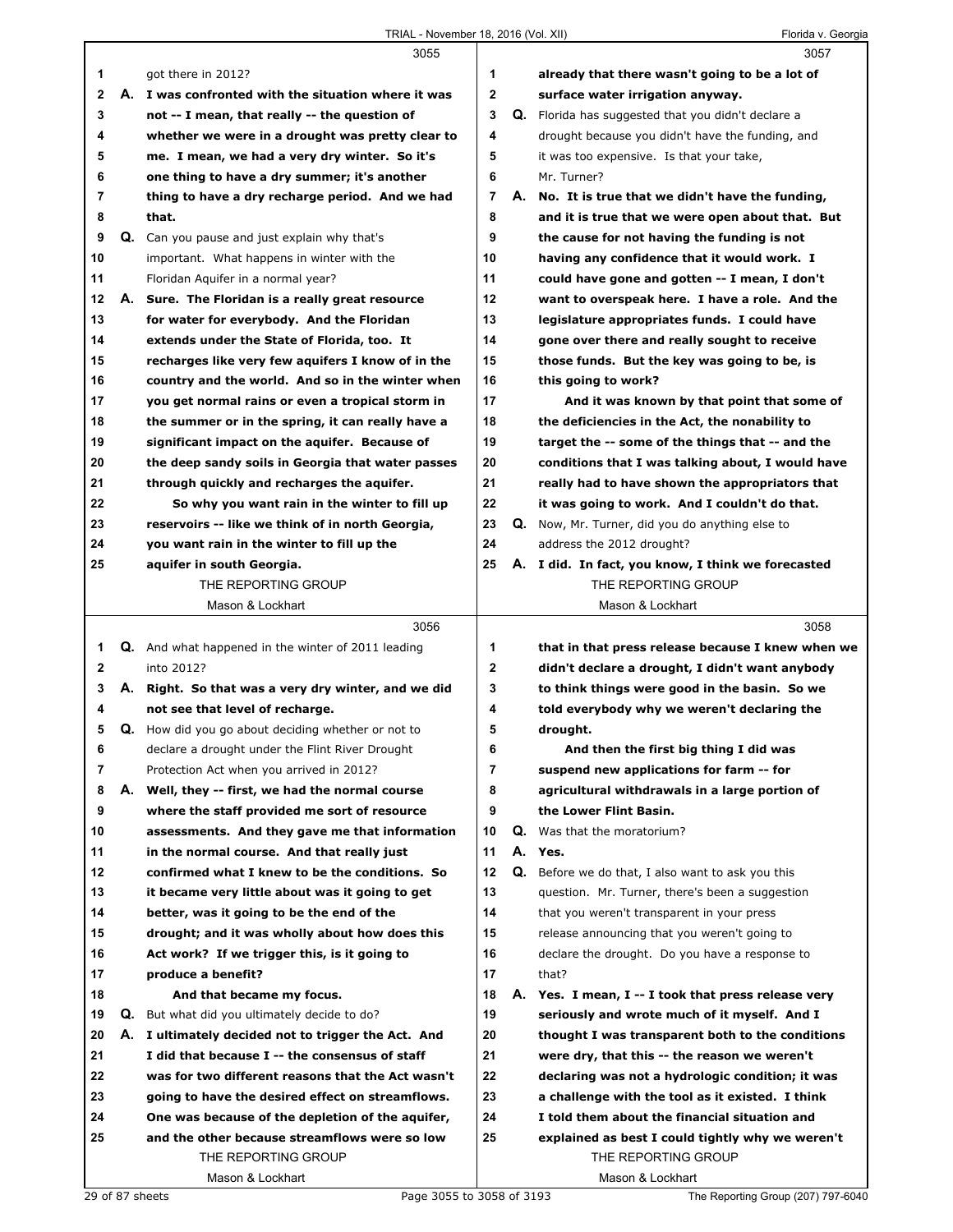|                |    | 3055                                                      |                |    | 3057                                                                               |
|----------------|----|-----------------------------------------------------------|----------------|----|------------------------------------------------------------------------------------|
| 1              |    | got there in 2012?                                        | 1              |    | already that there wasn't going to be a lot of                                     |
| $\mathbf{2}$   |    | A. I was confronted with the situation where it was       | $\mathbf{2}$   |    | surface water irrigation anyway.                                                   |
| 3              |    | not -- I mean, that really -- the question of             | 3              |    | Q. Florida has suggested that you didn't declare a                                 |
| 4              |    | whether we were in a drought was pretty clear to          | 4              |    | drought because you didn't have the funding, and                                   |
| 5              |    | me. I mean, we had a very dry winter. So it's             | 5              |    | it was too expensive. Is that your take,                                           |
| 6              |    | one thing to have a dry summer; it's another              | 6              |    | Mr. Turner?                                                                        |
| $\overline{7}$ |    | thing to have a dry recharge period. And we had           | $\overline{7}$ |    | A. No. It is true that we didn't have the funding,                                 |
| 8              |    | that.                                                     | 8              |    | and it is true that we were open about that. But                                   |
| 9              |    | Q. Can you pause and just explain why that's              | 9              |    | the cause for not having the funding is not                                        |
| 10             |    | important. What happens in winter with the                | 10             |    | having any confidence that it would work. I                                        |
| 11             |    | Floridan Aquifer in a normal year?                        | 11             |    | could have gone and gotten -- I mean, I don't                                      |
| 12             |    | A. Sure. The Floridan is a really great resource          | 12             |    | want to overspeak here. I have a role. And the                                     |
| 13             |    | for water for everybody. And the Floridan                 | 13             |    | legislature appropriates funds. I could have                                       |
| 14             |    | extends under the State of Florida, too. It               | 14             |    | gone over there and really sought to receive                                       |
| 15             |    | recharges like very few aquifers I know of in the         | 15             |    | those funds. But the key was going to be, is                                       |
| 16             |    | country and the world. And so in the winter when          | 16             |    | this going to work?                                                                |
| 17             |    | you get normal rains or even a tropical storm in          | 17             |    | And it was known by that point that some of                                        |
| 18             |    | the summer or in the spring, it can really have a         | 18             |    | the deficiencies in the Act, the nonability to                                     |
| 19             |    | significant impact on the aquifer. Because of             | 19             |    | target the -- some of the things that -- and the                                   |
| 20             |    | the deep sandy soils in Georgia that water passes         | 20             |    | conditions that I was talking about, I would have                                  |
| 21             |    | through quickly and recharges the aquifer.                | 21             |    | really had to have shown the appropriators that                                    |
| 22             |    | So why you want rain in the winter to fill up             | 22             |    | it was going to work. And I couldn't do that.                                      |
| 23             |    | reservoirs -- like we think of in north Georgia,          | 23             |    | <b>Q.</b> Now, Mr. Turner, did you do anything else to                             |
| 24             |    | you want rain in the winter to fill up the                | 24             |    | address the 2012 drought?                                                          |
| 25             |    | aquifer in south Georgia.                                 | 25             |    | A. I did. In fact, you know, I think we forecasted                                 |
|                |    | THE REPORTING GROUP                                       |                |    | THE REPORTING GROUP                                                                |
|                |    | Mason & Lockhart                                          |                |    | Mason & Lockhart                                                                   |
|                |    |                                                           |                |    |                                                                                    |
|                |    | 3056                                                      |                |    | 3058                                                                               |
| 1              |    | <b>Q.</b> And what happened in the winter of 2011 leading | 1              |    | that in that press release because I knew when we                                  |
| $\mathbf{2}$   |    | into 2012?                                                | $\mathbf{2}$   |    | didn't declare a drought, I didn't want anybody                                    |
| 3              |    | A. Right. So that was a very dry winter, and we did       | 3              |    | to think things were good in the basin. So we                                      |
| 4              |    | not see that level of recharge.                           | 4              |    | told everybody why we weren't declaring the                                        |
| 5              |    | Q. How did you go about deciding whether or not to        | 5              |    | drought.                                                                           |
| 6              |    | declare a drought under the Flint River Drought           | 6              |    |                                                                                    |
| 7              |    | Protection Act when you arrived in 2012?                  | 7              |    | And then the first big thing I did was<br>suspend new applications for farm -- for |
| 8              |    | A. Well, they -- first, we had the normal course          | 8              |    | agricultural withdrawals in a large portion of                                     |
| 9              |    | where the staff provided me sort of resource              | 9              |    | the Lower Flint Basin.                                                             |
| 10             |    | assessments. And they gave me that information            | 10             |    | <b>Q.</b> Was that the moratorium?                                                 |
| 11             |    | in the normal course. And that really just                | 11             |    | A. Yes.                                                                            |
| 12             |    | confirmed what I knew to be the conditions. So            | 12             | Q. | Before we do that, I also want to ask you this                                     |
| 13             |    | it became very little about was it going to get           | 13             |    | question. Mr. Turner, there's been a suggestion                                    |
| 14             |    | better, was it going to be the end of the                 | 14             |    | that you weren't transparent in your press                                         |
| 15             |    | drought; and it was wholly about how does this            | 15             |    | release announcing that you weren't going to                                       |
| 16             |    | Act work? If we trigger this, is it going to              | 16             |    | declare the drought. Do you have a response to                                     |
| 17             |    | produce a benefit?                                        | 17             |    | that?                                                                              |
| 18             |    | And that became my focus.                                 | 18             |    | A. Yes. I mean, I -- I took that press release very                                |
| 19             | Q. | But what did you ultimately decide to do?                 | 19             |    | seriously and wrote much of it myself. And I                                       |
| 20             |    | A. I ultimately decided not to trigger the Act. And       | 20             |    | thought I was transparent both to the conditions                                   |
| 21             |    | I did that because I -- the consensus of staff            | 21             |    | were dry, that this -- the reason we weren't                                       |
| 22             |    | was for two different reasons that the Act wasn't         | 22             |    | declaring was not a hydrologic condition; it was                                   |
| 23             |    | going to have the desired effect on streamflows.          | 23             |    | a challenge with the tool as it existed. I think                                   |
| 24             |    | One was because of the depletion of the aquifer,          | 24             |    | I told them about the financial situation and                                      |
| 25             |    | and the other because streamflows were so low             | 25             |    | explained as best I could tightly why we weren't                                   |
|                |    | THE REPORTING GROUP                                       |                |    | THE REPORTING GROUP                                                                |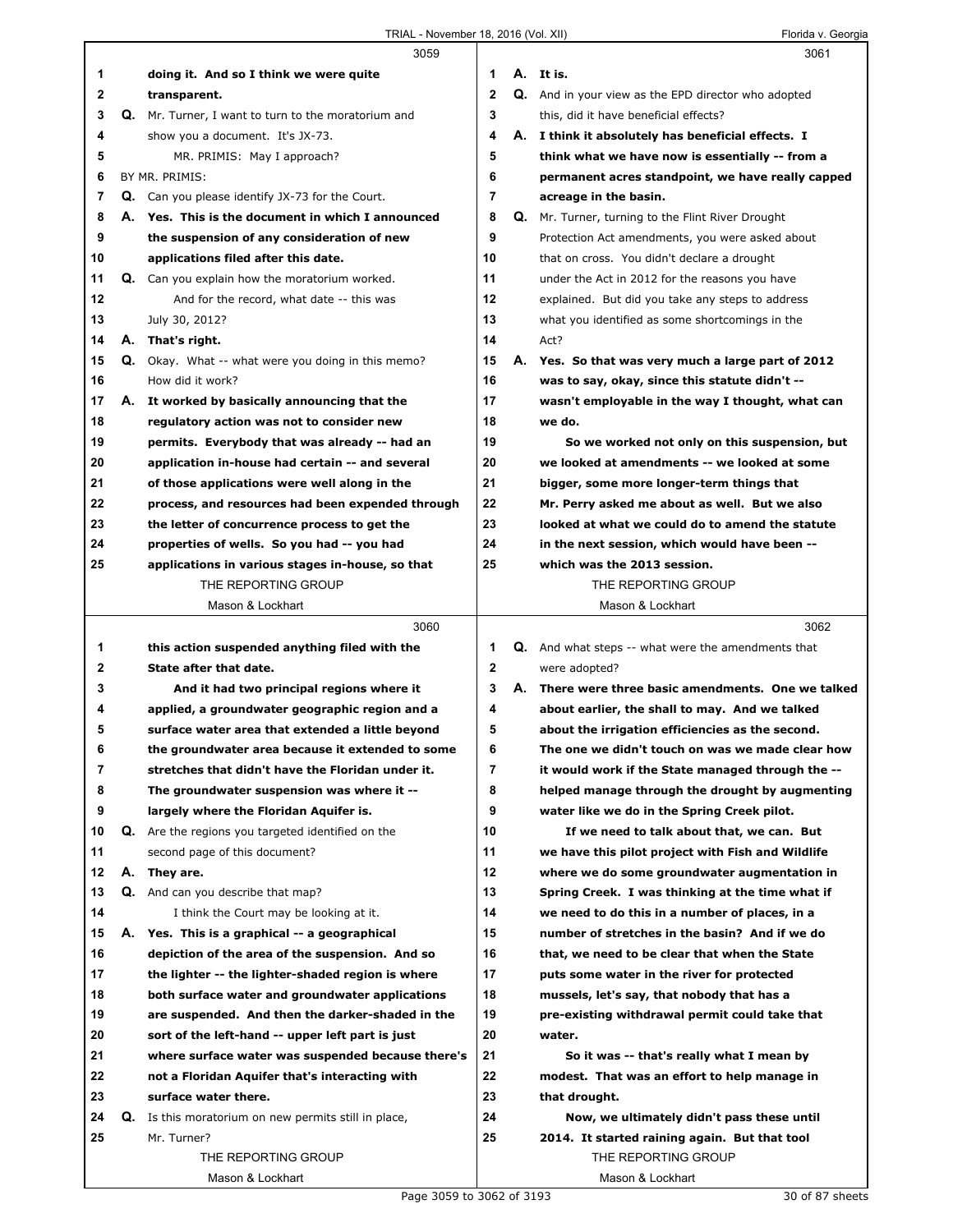|              |    | 3059                                                     |                |    | 3061                                                      |
|--------------|----|----------------------------------------------------------|----------------|----|-----------------------------------------------------------|
| 1            |    | doing it. And so I think we were quite                   | 1              |    | A. It is.                                                 |
| 2            |    | transparent.                                             | $\overline{2}$ |    | Q. And in your view as the EPD director who adopted       |
| 3            |    | Q. Mr. Turner, I want to turn to the moratorium and      | 3              |    | this, did it have beneficial effects?                     |
| 4            |    | show you a document. It's JX-73.                         | 4              |    | A. I think it absolutely has beneficial effects. I        |
| 5            |    | MR. PRIMIS: May I approach?                              | 5              |    | think what we have now is essentially -- from a           |
| 6            |    | BY MR. PRIMIS:                                           | 6              |    | permanent acres standpoint, we have really capped         |
| 7            |    | Q. Can you please identify JX-73 for the Court.          | $\overline{7}$ |    | acreage in the basin.                                     |
| 8            |    | A. Yes. This is the document in which I announced        | 8              | Q. | Mr. Turner, turning to the Flint River Drought            |
| 9            |    | the suspension of any consideration of new               | 9              |    | Protection Act amendments, you were asked about           |
| 10           |    | applications filed after this date.                      | 10             |    | that on cross. You didn't declare a drought               |
| 11           |    | <b>Q.</b> Can you explain how the moratorium worked.     | 11             |    | under the Act in 2012 for the reasons you have            |
| 12           |    | And for the record, what date -- this was                | 12             |    | explained. But did you take any steps to address          |
| 13           |    | July 30, 2012?                                           | 13             |    | what you identified as some shortcomings in the           |
| 14           |    | A. That's right.                                         | 14             |    | Act?                                                      |
| 15           |    | Q. Okay. What -- what were you doing in this memo?       | 15             |    | A. Yes. So that was very much a large part of 2012        |
| 16           |    | How did it work?                                         | 16             |    | was to say, okay, since this statute didn't --            |
| 17           |    | A. It worked by basically announcing that the            | 17             |    | wasn't employable in the way I thought, what can          |
| 18           |    | regulatory action was not to consider new                | 18             |    | we do.                                                    |
| 19           |    | permits. Everybody that was already -- had an            | 19             |    | So we worked not only on this suspension, but             |
| 20           |    | application in-house had certain -- and several          | 20             |    | we looked at amendments -- we looked at some              |
| 21           |    | of those applications were well along in the             | 21             |    | bigger, some more longer-term things that                 |
| 22           |    | process, and resources had been expended through         | 22             |    | Mr. Perry asked me about as well. But we also             |
| 23           |    | the letter of concurrence process to get the             | 23             |    | looked at what we could do to amend the statute           |
| 24           |    | properties of wells. So you had -- you had               | 24             |    | in the next session, which would have been --             |
| 25           |    | applications in various stages in-house, so that         | 25             |    | which was the 2013 session.                               |
|              |    | THE REPORTING GROUP                                      |                |    | THE REPORTING GROUP                                       |
|              |    | Mason & Lockhart                                         |                |    | Mason & Lockhart                                          |
|              |    |                                                          |                |    |                                                           |
|              |    | 3060                                                     |                |    | 3062                                                      |
| 1            |    | this action suspended anything filed with the            | 1              |    | <b>Q.</b> And what steps -- what were the amendments that |
| $\mathbf{2}$ |    | State after that date.                                   | $\mathbf{2}$   |    | were adopted?                                             |
| 3            |    | And it had two principal regions where it                | 3              |    | A. There were three basic amendments. One we talked       |
| 4            |    | applied, a groundwater geographic region and a           | 4              |    | about earlier, the shall to may. And we talked            |
| 5            |    | surface water area that extended a little beyond         | 5              |    | about the irrigation efficiencies as the second.          |
| 6            |    | the groundwater area because it extended to some         | 6              |    | The one we didn't touch on was we made clear how          |
| 7            |    | stretches that didn't have the Floridan under it.        | 7              |    | it would work if the State managed through the --         |
| 8            |    | The groundwater suspension was where it --               | 8              |    | helped manage through the drought by augmenting           |
| 9            |    | largely where the Floridan Aquifer is.                   | 9              |    | water like we do in the Spring Creek pilot.               |
| 10           |    | <b>Q.</b> Are the regions you targeted identified on the | 10             |    | If we need to talk about that, we can. But                |
| 11           |    | second page of this document?                            | 11             |    | we have this pilot project with Fish and Wildlife         |
| 12           | А. | They are.                                                | 12             |    | where we do some groundwater augmentation in              |
| 13           |    | <b>Q.</b> And can you describe that map?                 | 13             |    | Spring Creek. I was thinking at the time what if          |
| 14           |    | I think the Court may be looking at it.                  | 14             |    | we need to do this in a number of places, in a            |
| 15           | А. | Yes. This is a graphical -- a geographical               | 15             |    | number of stretches in the basin? And if we do            |
| 16           |    | depiction of the area of the suspension. And so          | 16             |    | that, we need to be clear that when the State             |
| 17           |    | the lighter -- the lighter-shaded region is where        | 17             |    | puts some water in the river for protected                |
| 18           |    | both surface water and groundwater applications          | 18             |    | mussels, let's say, that nobody that has a                |
| 19           |    | are suspended. And then the darker-shaded in the         | 19             |    | pre-existing withdrawal permit could take that            |
| 20           |    | sort of the left-hand -- upper left part is just         | 20             |    | water.                                                    |
| 21           |    | where surface water was suspended because there's        | 21             |    | So it was -- that's really what I mean by                 |
| 22           |    | not a Floridan Aquifer that's interacting with           | 22             |    | modest. That was an effort to help manage in              |
| 23           |    | surface water there.                                     | 23             |    | that drought.                                             |
| 24           | Q. | Is this moratorium on new permits still in place,        | 24             |    | Now, we ultimately didn't pass these until                |
| 25           |    | Mr. Turner?                                              | 25             |    | 2014. It started raining again. But that tool             |
|              |    | THE REPORTING GROUP                                      |                |    | THE REPORTING GROUP                                       |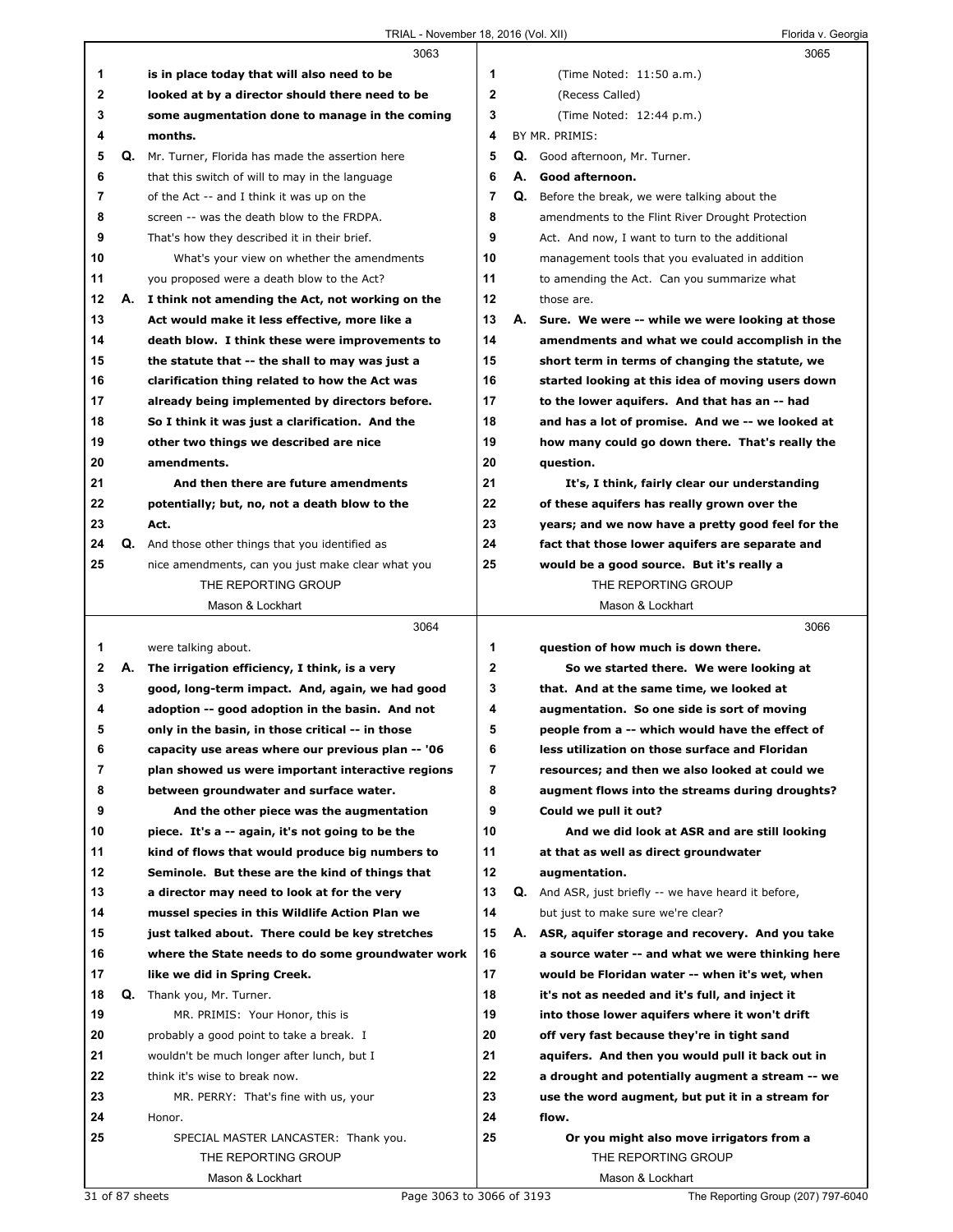|    |    | 3063                                                    |              |    | 3065                                                        |  |
|----|----|---------------------------------------------------------|--------------|----|-------------------------------------------------------------|--|
| 1  |    | is in place today that will also need to be             | 1            |    | (Time Noted: 11:50 a.m.)                                    |  |
| 2  |    | looked at by a director should there need to be         | 2            |    | (Recess Called)                                             |  |
| 3  |    | some augmentation done to manage in the coming          | 3            |    | (Time Noted: 12:44 p.m.)                                    |  |
| 4  |    | months.                                                 | 4            |    | BY MR. PRIMIS:                                              |  |
| 5  | Q. | Mr. Turner, Florida has made the assertion here         | 5            | Q. | Good afternoon, Mr. Turner.                                 |  |
| 6  |    | that this switch of will to may in the language         | 6            | А. | Good afternoon.                                             |  |
| 7  |    | of the Act -- and I think it was up on the              | 7            | Q. | Before the break, we were talking about the                 |  |
| 8  |    | screen -- was the death blow to the FRDPA.              | 8            |    | amendments to the Flint River Drought Protection            |  |
| 9  |    | That's how they described it in their brief.            | 9            |    | Act. And now, I want to turn to the additional              |  |
| 10 |    | What's your view on whether the amendments              | 10           |    | management tools that you evaluated in addition             |  |
| 11 |    | you proposed were a death blow to the Act?              | 11           |    | to amending the Act. Can you summarize what                 |  |
| 12 | А. | I think not amending the Act, not working on the        | 12           |    | those are.                                                  |  |
| 13 |    | Act would make it less effective, more like a           | 13           |    | A. Sure. We were -- while we were looking at those          |  |
| 14 |    | death blow. I think these were improvements to          | 14           |    | amendments and what we could accomplish in the              |  |
| 15 |    | the statute that -- the shall to may was just a         | 15           |    | short term in terms of changing the statute, we             |  |
| 16 |    | clarification thing related to how the Act was          | 16           |    | started looking at this idea of moving users down           |  |
| 17 |    | already being implemented by directors before.          | 17           |    | to the lower aquifers. And that has an -- had               |  |
| 18 |    | So I think it was just a clarification. And the         | 18           |    | and has a lot of promise. And we -- we looked at            |  |
| 19 |    | other two things we described are nice                  | 19           |    | how many could go down there. That's really the             |  |
| 20 |    | amendments.                                             | 20           |    | question.                                                   |  |
| 21 |    | And then there are future amendments                    | 21           |    | It's, I think, fairly clear our understanding               |  |
| 22 |    | potentially; but, no, not a death blow to the           | 22           |    | of these aquifers has really grown over the                 |  |
| 23 |    | Act.                                                    | 23           |    | years; and we now have a pretty good feel for the           |  |
| 24 |    | <b>Q.</b> And those other things that you identified as | 24           |    | fact that those lower aquifers are separate and             |  |
| 25 |    | nice amendments, can you just make clear what you       | 25           |    | would be a good source. But it's really a                   |  |
|    |    | THE REPORTING GROUP                                     |              |    | THE REPORTING GROUP                                         |  |
|    |    | Mason & Lockhart                                        |              |    | Mason & Lockhart                                            |  |
|    |    |                                                         |              |    |                                                             |  |
|    |    | 3064                                                    |              |    | 3066                                                        |  |
| 1  |    | were talking about.                                     | 1            |    | question of how much is down there.                         |  |
| 2  | А. | The irrigation efficiency, I think, is a very           | $\mathbf{2}$ |    | So we started there. We were looking at                     |  |
| 3  |    | good, long-term impact. And, again, we had good         | 3            |    | that. And at the same time, we looked at                    |  |
| 4  |    | adoption -- good adoption in the basin. And not         | 4            |    | augmentation. So one side is sort of moving                 |  |
| 5  |    | only in the basin, in those critical -- in those        | 5            |    | people from a -- which would have the effect of             |  |
| 6  |    | capacity use areas where our previous plan -- '06       | 6            |    | less utilization on those surface and Floridan              |  |
| 7  |    | plan showed us were important interactive regions       | 7            |    | resources; and then we also looked at could we              |  |
| 8  |    | between groundwater and surface water.                  | 8            |    | augment flows into the streams during droughts?             |  |
| 9  |    | And the other piece was the augmentation                | 9            |    | Could we pull it out?                                       |  |
| 10 |    | piece. It's a -- again, it's not going to be the        | 10           |    | And we did look at ASR and are still looking                |  |
| 11 |    | kind of flows that would produce big numbers to         | 11           |    | at that as well as direct groundwater                       |  |
| 12 |    | Seminole. But these are the kind of things that         | 12           |    | augmentation.                                               |  |
| 13 |    | a director may need to look at for the very             | 13           |    | <b>Q.</b> And ASR, just briefly -- we have heard it before, |  |
| 14 |    | mussel species in this Wildlife Action Plan we          | 14           |    | but just to make sure we're clear?                          |  |
| 15 |    | just talked about. There could be key stretches         | 15           | А. | ASR, aquifer storage and recovery. And you take             |  |
| 16 |    | where the State needs to do some groundwater work       | 16           |    | a source water -- and what we were thinking here            |  |
| 17 |    | like we did in Spring Creek.                            | 17           |    | would be Floridan water -- when it's wet, when              |  |
| 18 | Q. | Thank you, Mr. Turner.                                  | 18           |    | it's not as needed and it's full, and inject it             |  |
| 19 |    | MR. PRIMIS: Your Honor, this is                         | 19           |    | into those lower aquifers where it won't drift              |  |
| 20 |    | probably a good point to take a break. I                | 20           |    | off very fast because they're in tight sand                 |  |
| 21 |    | wouldn't be much longer after lunch, but I              | 21           |    | aquifers. And then you would pull it back out in            |  |
| 22 |    | think it's wise to break now.                           | 22           |    | a drought and potentially augment a stream -- we            |  |
| 23 |    | MR. PERRY: That's fine with us, your                    | 23           |    | use the word augment, but put it in a stream for            |  |
| 24 |    | Honor.                                                  | 24           |    | flow.                                                       |  |
| 25 |    | SPECIAL MASTER LANCASTER: Thank you.                    | 25           |    | Or you might also move irrigators from a                    |  |
|    |    | THE REPORTING GROUP                                     |              |    | THE REPORTING GROUP                                         |  |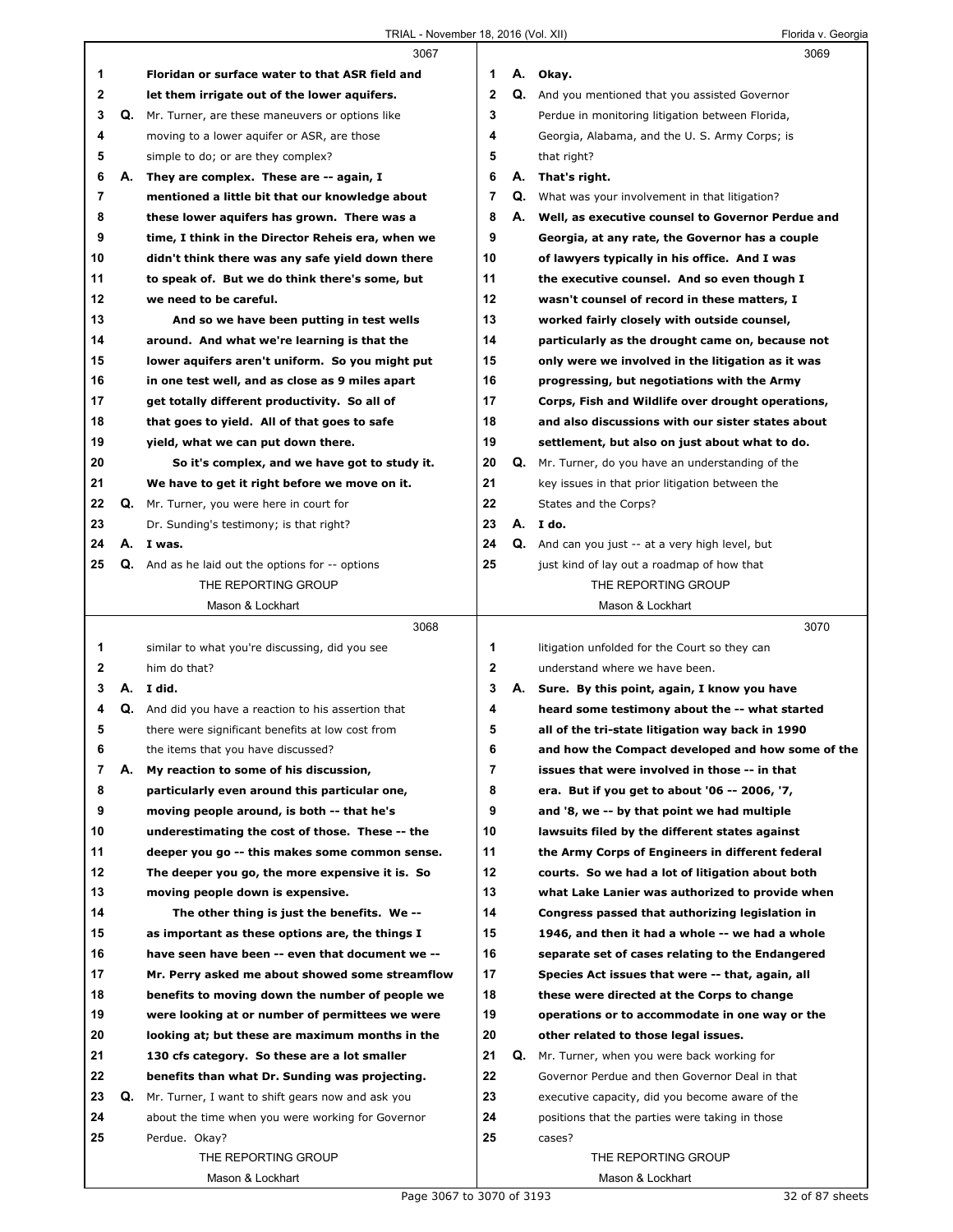|    |    | 3067                                                      |                |    | 3069                                                 |
|----|----|-----------------------------------------------------------|----------------|----|------------------------------------------------------|
| 1  |    | Floridan or surface water to that ASR field and           | 1              | А. | Okay.                                                |
| 2  |    | let them irrigate out of the lower aquifers.              | $\mathbf{2}$   |    | Q. And you mentioned that you assisted Governor      |
| 3  |    | <b>Q.</b> Mr. Turner, are these maneuvers or options like | 3              |    | Perdue in monitoring litigation between Florida,     |
| 4  |    | moving to a lower aquifer or ASR, are those               | 4              |    | Georgia, Alabama, and the U.S. Army Corps; is        |
| 5  |    | simple to do; or are they complex?                        | 5              |    | that right?                                          |
| 6  | А. | They are complex. These are -- again, I                   | 6              |    | A. That's right.                                     |
| 7  |    | mentioned a little bit that our knowledge about           | 7              | Q. | What was your involvement in that litigation?        |
| 8  |    | these lower aquifers has grown. There was a               | 8              |    | A. Well, as executive counsel to Governor Perdue and |
| 9  |    | time, I think in the Director Reheis era, when we         | 9              |    | Georgia, at any rate, the Governor has a couple      |
| 10 |    | didn't think there was any safe yield down there          | 10             |    | of lawyers typically in his office. And I was        |
| 11 |    | to speak of. But we do think there's some, but            | 11             |    | the executive counsel. And so even though I          |
| 12 |    | we need to be careful.                                    | 12             |    | wasn't counsel of record in these matters, I         |
| 13 |    | And so we have been putting in test wells                 | 13             |    | worked fairly closely with outside counsel,          |
| 14 |    | around. And what we're learning is that the               | 14             |    | particularly as the drought came on, because not     |
| 15 |    | lower aquifers aren't uniform. So you might put           | 15             |    | only were we involved in the litigation as it was    |
| 16 |    | in one test well, and as close as 9 miles apart           | 16             |    | progressing, but negotiations with the Army          |
| 17 |    | get totally different productivity. So all of             | 17             |    | Corps, Fish and Wildlife over drought operations,    |
| 18 |    | that goes to yield. All of that goes to safe              | 18             |    | and also discussions with our sister states about    |
| 19 |    | yield, what we can put down there.                        | 19             |    | settlement, but also on just about what to do.       |
| 20 |    | So it's complex, and we have got to study it.             | 20             |    | Q. Mr. Turner, do you have an understanding of the   |
| 21 |    | We have to get it right before we move on it.             | 21             |    | key issues in that prior litigation between the      |
| 22 | Q. | Mr. Turner, you were here in court for                    | 22             |    | States and the Corps?                                |
| 23 |    | Dr. Sunding's testimony; is that right?                   | 23             |    | A. I do.                                             |
| 24 |    | A. I was.                                                 | 24             |    | Q. And can you just -- at a very high level, but     |
| 25 |    | <b>Q.</b> And as he laid out the options for -- options   | 25             |    | just kind of lay out a roadmap of how that           |
|    |    | THE REPORTING GROUP                                       |                |    | THE REPORTING GROUP                                  |
|    |    | Mason & Lockhart                                          |                |    | Mason & Lockhart                                     |
|    |    |                                                           |                |    |                                                      |
|    |    |                                                           |                |    |                                                      |
|    |    | 3068                                                      |                |    | 3070                                                 |
| 1  |    | similar to what you're discussing, did you see            | 1              |    | litigation unfolded for the Court so they can        |
| 2  |    | him do that?                                              | 2              |    | understand where we have been.                       |
| 3  |    | A. I did.                                                 | 3              |    | A. Sure. By this point, again, I know you have       |
| 4  | Q. | And did you have a reaction to his assertion that         | 4              |    | heard some testimony about the -- what started       |
| 5  |    | there were significant benefits at low cost from          | 5              |    | all of the tri-state litigation way back in 1990     |
|    |    | the items that you have discussed?                        | 6              |    | and how the Compact developed and how some of the    |
| 7  | А. | My reaction to some of his discussion,                    | $\overline{7}$ |    | issues that were involved in those -- in that        |
| 8  |    | particularly even around this particular one,             | 8              |    | era. But if you get to about '06 -- 2006, '7,        |
| 9  |    | moving people around, is both -- that he's                | 9              |    | and '8, we -- by that point we had multiple          |
| 10 |    | underestimating the cost of those. These -- the           | 10             |    | lawsuits filed by the different states against       |
| 11 |    | deeper you go -- this makes some common sense.            | 11             |    | the Army Corps of Engineers in different federal     |
| 12 |    | The deeper you go, the more expensive it is. So           | 12             |    | courts. So we had a lot of litigation about both     |
| 13 |    | moving people down is expensive.                          | 13             |    | what Lake Lanier was authorized to provide when      |
| 14 |    | The other thing is just the benefits. We --               | 14             |    | Congress passed that authorizing legislation in      |
| 15 |    | as important as these options are, the things I           | 15             |    | 1946, and then it had a whole -- we had a whole      |
| 16 |    | have seen have been -- even that document we --           | 16             |    | separate set of cases relating to the Endangered     |
| 17 |    | Mr. Perry asked me about showed some streamflow           | 17             |    | Species Act issues that were -- that, again, all     |
| 18 |    | benefits to moving down the number of people we           | 18             |    | these were directed at the Corps to change           |
| 19 |    | were looking at or number of permittees we were           | 19             |    | operations or to accommodate in one way or the       |
| 20 |    | looking at; but these are maximum months in the           | 20             |    | other related to those legal issues.                 |
| 21 |    | 130 cfs category. So these are a lot smaller              | 21             | Q. | Mr. Turner, when you were back working for           |
| 22 |    | benefits than what Dr. Sunding was projecting.            | 22             |    | Governor Perdue and then Governor Deal in that       |
| 23 | Q. | Mr. Turner, I want to shift gears now and ask you         | 23             |    | executive capacity, did you become aware of the      |
| 24 |    | about the time when you were working for Governor         | 24             |    | positions that the parties were taking in those      |
| 25 |    | Perdue. Okay?                                             | 25             |    | cases?                                               |
|    |    | THE REPORTING GROUP<br>Mason & Lockhart                   |                |    | THE REPORTING GROUP<br>Mason & Lockhart              |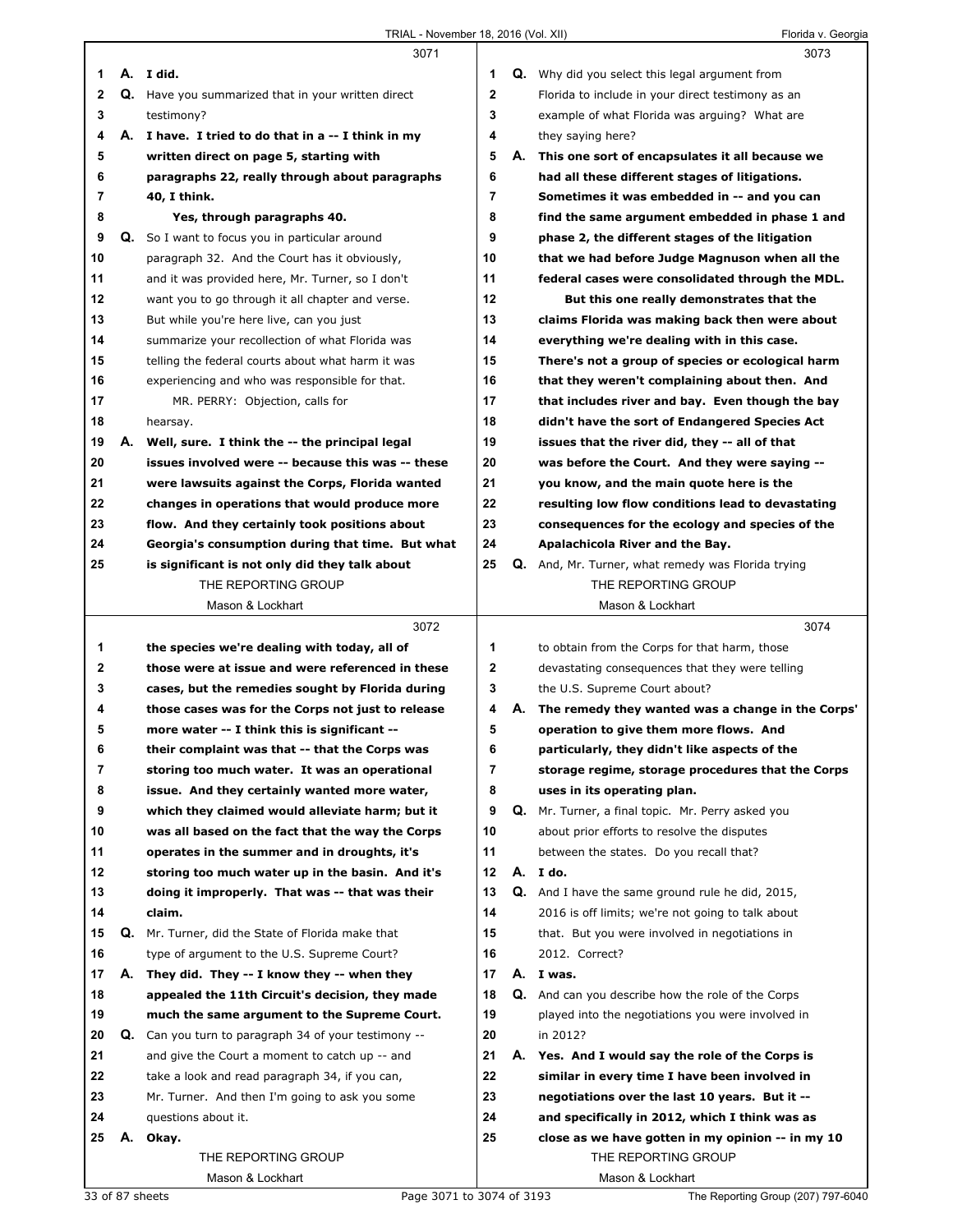|              |    | 3071                                                |              |    | 3073                                                      |
|--------------|----|-----------------------------------------------------|--------------|----|-----------------------------------------------------------|
| 1            |    | A. I did.                                           | 1            |    | <b>Q.</b> Why did you select this legal argument from     |
| $\mathbf{2}$ |    | Q. Have you summarized that in your written direct  | $\mathbf{2}$ |    | Florida to include in your direct testimony as an         |
| 3            |    | testimony?                                          | 3            |    | example of what Florida was arguing? What are             |
| 4            |    | A. I have. I tried to do that in a -- I think in my | 4            |    | they saying here?                                         |
| 5            |    | written direct on page 5, starting with             | 5            | А. | This one sort of encapsulates it all because we           |
| 6            |    | paragraphs 22, really through about paragraphs      | 6            |    | had all these different stages of litigations.            |
| 7            |    | 40, I think.                                        | 7            |    | Sometimes it was embedded in -- and you can               |
| 8            |    | Yes, through paragraphs 40.                         | 8            |    | find the same argument embedded in phase 1 and            |
| 9            | Q. | So I want to focus you in particular around         | 9            |    | phase 2, the different stages of the litigation           |
| 10           |    | paragraph 32. And the Court has it obviously,       | 10           |    | that we had before Judge Magnuson when all the            |
| 11           |    | and it was provided here, Mr. Turner, so I don't    | 11           |    | federal cases were consolidated through the MDL.          |
| 12           |    | want you to go through it all chapter and verse.    | 12           |    | But this one really demonstrates that the                 |
| 13           |    | But while you're here live, can you just            | 13           |    | claims Florida was making back then were about            |
| 14           |    | summarize your recollection of what Florida was     | 14           |    | everything we're dealing with in this case.               |
| 15           |    | telling the federal courts about what harm it was   | 15           |    | There's not a group of species or ecological harm         |
| 16           |    | experiencing and who was responsible for that.      | 16           |    | that they weren't complaining about then. And             |
| 17           |    | MR. PERRY: Objection, calls for                     | 17           |    | that includes river and bay. Even though the bay          |
| 18           |    | hearsay.                                            | 18           |    | didn't have the sort of Endangered Species Act            |
| 19           | А. | Well, sure. I think the -- the principal legal      | 19           |    | issues that the river did, they -- all of that            |
| 20           |    | issues involved were -- because this was -- these   | 20           |    | was before the Court. And they were saying --             |
| 21           |    | were lawsuits against the Corps, Florida wanted     | 21           |    | you know, and the main quote here is the                  |
| 22           |    | changes in operations that would produce more       | 22           |    | resulting low flow conditions lead to devastating         |
| 23           |    | flow. And they certainly took positions about       | 23           |    | consequences for the ecology and species of the           |
| 24           |    | Georgia's consumption during that time. But what    | 24           |    | Apalachicola River and the Bay.                           |
| 25           |    | is significant is not only did they talk about      | 25           |    | <b>Q.</b> And, Mr. Turner, what remedy was Florida trying |
|              |    | THE REPORTING GROUP                                 |              |    | THE REPORTING GROUP                                       |
|              |    | Mason & Lockhart                                    |              |    | Mason & Lockhart                                          |
|              |    |                                                     |              |    |                                                           |
|              |    |                                                     |              |    |                                                           |
|              |    | 3072                                                |              |    | 3074                                                      |
| 1            |    | the species we're dealing with today, all of        | 1            |    | to obtain from the Corps for that harm, those             |
| 2            |    | those were at issue and were referenced in these    | $\mathbf{2}$ |    | devastating consequences that they were telling           |
| 3            |    | cases, but the remedies sought by Florida during    | 3            |    | the U.S. Supreme Court about?                             |
| 4            |    | those cases was for the Corps not just to release   | 4            | А. | The remedy they wanted was a change in the Corps'         |
| 5            |    | more water -- I think this is significant --        | 5            |    | operation to give them more flows. And                    |
| 6            |    | their complaint was that -- that the Corps was      | 6            |    | particularly, they didn't like aspects of the             |
| 7            |    | storing too much water. It was an operational       | 7            |    | storage regime, storage procedures that the Corps         |
| 8            |    | issue. And they certainly wanted more water,        | 8            |    | uses in its operating plan.                               |
| 9            |    | which they claimed would alleviate harm; but it     | 9            | Q. | Mr. Turner, a final topic. Mr. Perry asked you            |
| 10           |    | was all based on the fact that the way the Corps    | 10           |    | about prior efforts to resolve the disputes               |
| 11           |    | operates in the summer and in droughts, it's        | 11           |    | between the states. Do you recall that?                   |
| 12           |    | storing too much water up in the basin. And it's    | 12           |    | A. I do.                                                  |
| 13           |    | doing it improperly. That was -- that was their     | 13           | Q. | And I have the same ground rule he did, 2015,             |
| 14           |    | claim.                                              | 14           |    | 2016 is off limits; we're not going to talk about         |
| 15           | Q. | Mr. Turner, did the State of Florida make that      | 15           |    | that. But you were involved in negotiations in            |
| 16           |    | type of argument to the U.S. Supreme Court?         | 16           |    | 2012. Correct?                                            |
| 17           |    | A. They did. They -- I know they -- when they       | 17           |    | A. I was.                                                 |
| 18           |    | appealed the 11th Circuit's decision, they made     | 18           | Q. | And can you describe how the role of the Corps            |
| 19           |    | much the same argument to the Supreme Court.        | 19           |    | played into the negotiations you were involved in         |
| 20           | Q. | Can you turn to paragraph 34 of your testimony --   | 20           |    | in 2012?                                                  |
| 21           |    | and give the Court a moment to catch up -- and      | 21           | А. | Yes. And I would say the role of the Corps is             |
| 22           |    | take a look and read paragraph 34, if you can,      | 22           |    | similar in every time I have been involved in             |
| 23           |    | Mr. Turner. And then I'm going to ask you some      | 23           |    | negotiations over the last 10 years. But it --            |
| 24           |    | questions about it.                                 | 24           |    | and specifically in 2012, which I think was as            |
| 25           | А. | Okay.                                               | 25           |    | close as we have gotten in my opinion -- in my 10         |
|              |    | THE REPORTING GROUP<br>Mason & Lockhart             |              |    | THE REPORTING GROUP<br>Mason & Lockhart                   |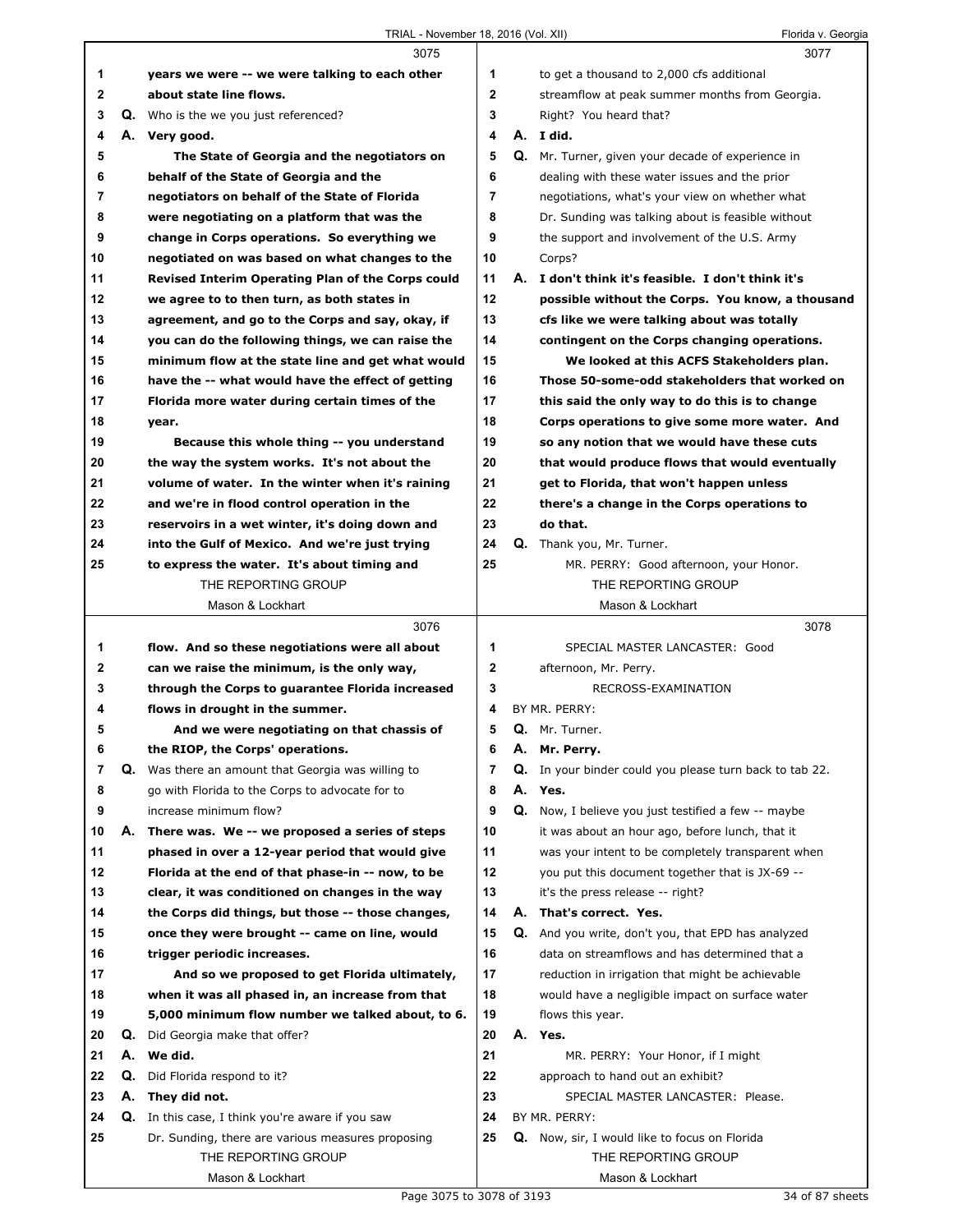|    |    | 3075                                              |             |    | 3077                                                 |
|----|----|---------------------------------------------------|-------------|----|------------------------------------------------------|
| 1  |    | years we were -- we were talking to each other    | 1           |    | to get a thousand to 2,000 cfs additional            |
| 2  |    | about state line flows.                           | $\mathbf 2$ |    | streamflow at peak summer months from Georgia.       |
| 3  |    | <b>Q.</b> Who is the we you just referenced?      | 3           |    | Right? You heard that?                               |
| 4  |    | A. Very good.                                     | 4           |    | A. I did.                                            |
| 5  |    | The State of Georgia and the negotiators on       | 5           |    | Q. Mr. Turner, given your decade of experience in    |
| 6  |    | behalf of the State of Georgia and the            | 6           |    | dealing with these water issues and the prior        |
| 7  |    | negotiators on behalf of the State of Florida     | 7           |    | negotiations, what's your view on whether what       |
| 8  |    | were negotiating on a platform that was the       | 8           |    | Dr. Sunding was talking about is feasible without    |
| 9  |    | change in Corps operations. So everything we      | 9           |    | the support and involvement of the U.S. Army         |
| 10 |    | negotiated on was based on what changes to the    | 10          |    | Corps?                                               |
| 11 |    | Revised Interim Operating Plan of the Corps could | 11          | А. | I don't think it's feasible. I don't think it's      |
| 12 |    | we agree to to then turn, as both states in       | 12          |    | possible without the Corps. You know, a thousand     |
| 13 |    | agreement, and go to the Corps and say, okay, if  | 13          |    | cfs like we were talking about was totally           |
| 14 |    | you can do the following things, we can raise the | 14          |    | contingent on the Corps changing operations.         |
| 15 |    | minimum flow at the state line and get what would | 15          |    | We looked at this ACFS Stakeholders plan.            |
| 16 |    | have the -- what would have the effect of getting | 16          |    | Those 50-some-odd stakeholders that worked on        |
| 17 |    | Florida more water during certain times of the    | 17          |    | this said the only way to do this is to change       |
| 18 |    |                                                   | 18          |    | Corps operations to give some more water. And        |
| 19 |    | year.                                             | 19          |    |                                                      |
|    |    | Because this whole thing -- you understand        |             |    | so any notion that we would have these cuts          |
| 20 |    | the way the system works. It's not about the      | 20          |    | that would produce flows that would eventually       |
| 21 |    | volume of water. In the winter when it's raining  | 21          |    | get to Florida, that won't happen unless             |
| 22 |    | and we're in flood control operation in the       | 22          |    | there's a change in the Corps operations to          |
| 23 |    | reservoirs in a wet winter, it's doing down and   | 23          |    | do that.                                             |
| 24 |    | into the Gulf of Mexico. And we're just trying    | 24          |    | Q. Thank you, Mr. Turner.                            |
| 25 |    | to express the water. It's about timing and       | 25          |    | MR. PERRY: Good afternoon, your Honor.               |
|    |    | THE REPORTING GROUP                               |             |    | THE REPORTING GROUP                                  |
|    |    | Mason & Lockhart                                  |             |    | Mason & Lockhart                                     |
|    |    | 3076                                              |             |    | 3078                                                 |
| 1  |    | flow. And so these negotiations were all about    | 1           |    | SPECIAL MASTER LANCASTER: Good                       |
| 2  |    | can we raise the minimum, is the only way,        | $\mathbf 2$ |    | afternoon, Mr. Perry.                                |
| 3  |    | through the Corps to guarantee Florida increased  | 3           |    | RECROSS-EXAMINATION                                  |
| 4  |    | flows in drought in the summer.                   | 4           |    | BY MR. PERRY:                                        |
| 5  |    | And we were negotiating on that chassis of        | 5           |    | Q. Mr. Turner.                                       |
| 6  |    | the RIOP, the Corps' operations.                  | 6           |    | A. Mr. Perry.                                        |
| 7  | Q. | Was there an amount that Georgia was willing to   | 7           | Q. | In your binder could you please turn back to tab 22. |
| 8  |    | go with Florida to the Corps to advocate for to   | 8           |    | A. Yes.                                              |
| 9  |    | increase minimum flow?                            | 9           | Q. | Now, I believe you just testified a few -- maybe     |
| 10 | А. | There was. We -- we proposed a series of steps    | 10          |    | it was about an hour ago, before lunch, that it      |
| 11 |    | phased in over a 12-year period that would give   | 11          |    | was your intent to be completely transparent when    |
| 12 |    | Florida at the end of that phase-in -- now, to be | 12          |    | you put this document together that is JX-69 --      |
| 13 |    | clear, it was conditioned on changes in the way   | 13          |    | it's the press release -- right?                     |
| 14 |    | the Corps did things, but those -- those changes, | 14          | А. | That's correct. Yes.                                 |
| 15 |    | once they were brought -- came on line, would     | 15          | Q. | And you write, don't you, that EPD has analyzed      |
| 16 |    | trigger periodic increases.                       | 16          |    | data on streamflows and has determined that a        |
| 17 |    | And so we proposed to get Florida ultimately,     | 17          |    | reduction in irrigation that might be achievable     |
| 18 |    | when it was all phased in, an increase from that  | 18          |    | would have a negligible impact on surface water      |
| 19 |    | 5,000 minimum flow number we talked about, to 6.  | 19          |    | flows this year.                                     |
| 20 | Q. | Did Georgia make that offer?                      | 20          |    | A. Yes.                                              |
| 21 | А. | We did.                                           | 21          |    | MR. PERRY: Your Honor, if I might                    |
| 22 | Q. | Did Florida respond to it?                        | 22          |    | approach to hand out an exhibit?                     |
| 23 | А. | They did not.                                     | 23          |    | SPECIAL MASTER LANCASTER: Please.                    |
| 24 | Q. | In this case, I think you're aware if you saw     | 24          |    | BY MR. PERRY:                                        |
| 25 |    | Dr. Sunding, there are various measures proposing | 25          |    | Q. Now, sir, I would like to focus on Florida        |
|    |    | THE REPORTING GROUP                               |             |    | THE REPORTING GROUP                                  |
|    |    | Mason & Lockhart                                  |             |    | Mason & Lockhart                                     |
|    |    |                                                   |             |    |                                                      |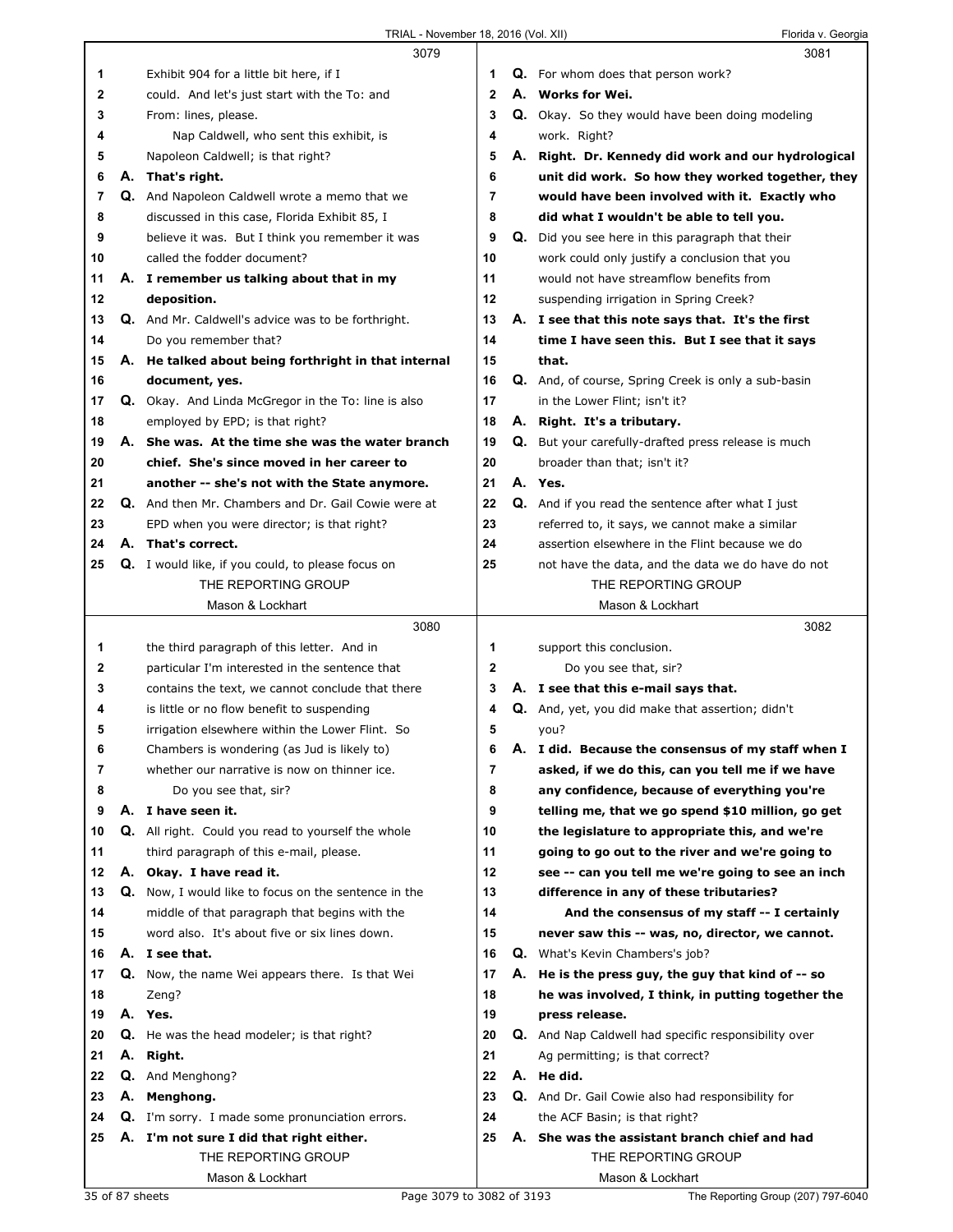|    |    | 3079                                                       |                | 3081                                                        |
|----|----|------------------------------------------------------------|----------------|-------------------------------------------------------------|
| 1  |    | Exhibit 904 for a little bit here, if I                    | 1              | <b>Q.</b> For whom does that person work?                   |
| 2  |    | could. And let's just start with the To: and               | $\mathbf{2}$   | A. Works for Wei.                                           |
| 3  |    | From: lines, please.                                       | 3              | Q. Okay. So they would have been doing modeling             |
| 4  |    | Nap Caldwell, who sent this exhibit, is                    | 4              | work. Right?                                                |
| 5  |    | Napoleon Caldwell; is that right?                          | 5              | A. Right. Dr. Kennedy did work and our hydrological         |
| 6  |    | A. That's right.                                           | 6              | unit did work. So how they worked together, they            |
| 7  |    | Q. And Napoleon Caldwell wrote a memo that we              | 7              | would have been involved with it. Exactly who               |
| 8  |    | discussed in this case, Florida Exhibit 85, I              | 8              | did what I wouldn't be able to tell you.                    |
| 9  |    | believe it was. But I think you remember it was            | 9              | Q. Did you see here in this paragraph that their            |
| 10 |    | called the fodder document?                                | 10             | work could only justify a conclusion that you               |
| 11 |    | A. I remember us talking about that in my                  | 11             | would not have streamflow benefits from                     |
| 12 |    | deposition.                                                | 12             | suspending irrigation in Spring Creek?                      |
| 13 |    | <b>Q.</b> And Mr. Caldwell's advice was to be forthright.  | 13             | A. I see that this note says that. It's the first           |
| 14 |    | Do you remember that?                                      | 14             | time I have seen this. But I see that it says               |
| 15 |    | A. He talked about being forthright in that internal       | 15             | that.                                                       |
| 16 |    | document, yes.                                             | 16             | Q. And, of course, Spring Creek is only a sub-basin         |
| 17 |    | Q. Okay. And Linda McGregor in the To: line is also        | 17             | in the Lower Flint; isn't it?                               |
| 18 |    | employed by EPD; is that right?                            | 18             | A. Right. It's a tributary.                                 |
| 19 |    | A. She was. At the time she was the water branch           | 19             | <b>Q.</b> But your carefully-drafted press release is much  |
| 20 |    | chief. She's since moved in her career to                  | 20             | broader than that; isn't it?                                |
| 21 |    | another -- she's not with the State anymore.               | 21             | A. Yes.                                                     |
| 22 |    | <b>Q.</b> And then Mr. Chambers and Dr. Gail Cowie were at | 22             | Q. And if you read the sentence after what I just           |
| 23 |    | EPD when you were director; is that right?                 | 23             | referred to, it says, we cannot make a similar              |
| 24 |    | A. That's correct.                                         | 24             | assertion elsewhere in the Flint because we do              |
| 25 |    | <b>Q.</b> I would like, if you could, to please focus on   | 25             | not have the data, and the data we do have do not           |
|    |    | THE REPORTING GROUP                                        |                | THE REPORTING GROUP                                         |
|    |    | Mason & Lockhart                                           |                | Mason & Lockhart                                            |
|    |    |                                                            |                |                                                             |
|    |    | 3080                                                       |                | 3082                                                        |
| 1  |    | the third paragraph of this letter. And in                 | 1              | support this conclusion.                                    |
| 2  |    | particular I'm interested in the sentence that             | $\overline{2}$ | Do you see that, sir?                                       |
| 3  |    | contains the text, we cannot conclude that there           | 3              | A. I see that this e-mail says that.                        |
| 4  |    | is little or no flow benefit to suspending                 | 4              | Q. And, yet, you did make that assertion; didn't            |
| 5  |    | irrigation elsewhere within the Lower Flint. So            | 5              | you?                                                        |
| 6  |    | Chambers is wondering (as Jud is likely to)                | 6              | A. I did. Because the consensus of my staff when I          |
| 7  |    | whether our narrative is now on thinner ice.               | 7              | asked, if we do this, can you tell me if we have            |
| 8  |    | Do you see that, sir?                                      | 8              | any confidence, because of everything you're                |
| 9  | А. | I have seen it.                                            | 9              | telling me, that we go spend \$10 million, go get           |
| 10 |    | Q. All right. Could you read to yourself the whole         | 10             | the legislature to appropriate this, and we're              |
| 11 |    | third paragraph of this e-mail, please.                    | 11             | going to go out to the river and we're going to             |
| 12 |    | A. Okay. I have read it.                                   | 12             | see -- can you tell me we're going to see an inch           |
| 13 |    | Q. Now, I would like to focus on the sentence in the       | 13             | difference in any of these tributaries?                     |
| 14 |    | middle of that paragraph that begins with the              | 14             | And the consensus of my staff -- I certainly                |
| 15 |    | word also. It's about five or six lines down.              | 15             | never saw this -- was, no, director, we cannot.             |
| 16 |    | A. I see that.                                             | 16             | <b>Q.</b> What's Kevin Chambers's job?                      |
| 17 |    | <b>Q.</b> Now, the name Wei appears there. Is that Wei     | 17             | A. He is the press guy, the guy that kind of -- so          |
| 18 |    | Zeng?                                                      | 18             | he was involved, I think, in putting together the           |
| 19 |    | A. Yes.                                                    | 19             | press release.                                              |
| 20 |    | <b>Q.</b> He was the head modeler; is that right?          | 20             | <b>Q.</b> And Nap Caldwell had specific responsibility over |
| 21 |    | A. Right.                                                  | 21             | Ag permitting; is that correct?                             |
| 22 |    | <b>Q.</b> And Menghong?                                    | 22             | A. He did.                                                  |
| 23 |    | A. Menghong.                                               | 23             | <b>Q.</b> And Dr. Gail Cowie also had responsibility for    |
| 24 |    | <b>Q.</b> I'm sorry. I made some pronunciation errors.     | 24             | the ACF Basin; is that right?                               |
| 25 |    | A. I'm not sure I did that right either.                   | 25             | A. She was the assistant branch chief and had               |
|    |    | THE REPORTING GROUP                                        |                | THE REPORTING GROUP                                         |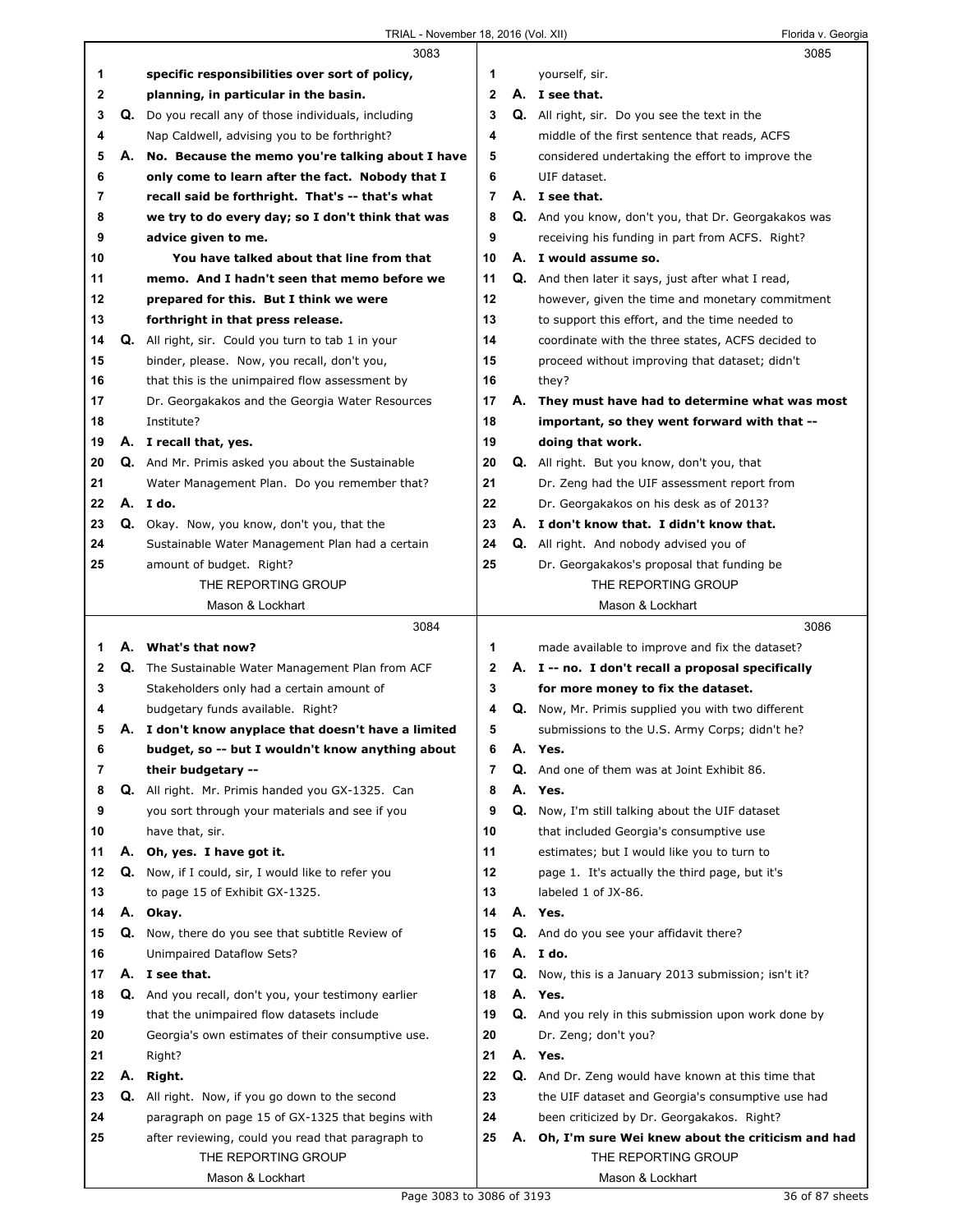|    |    | 3083                                                                                      |                         |    | 3085                                                                                                        |
|----|----|-------------------------------------------------------------------------------------------|-------------------------|----|-------------------------------------------------------------------------------------------------------------|
| 1  |    | specific responsibilities over sort of policy,                                            | 1                       |    | yourself, sir.                                                                                              |
| 2  |    | planning, in particular in the basin.                                                     | $\mathbf{2}$            |    | A. I see that.                                                                                              |
| 3  |    | Q. Do you recall any of those individuals, including                                      | 3                       |    | Q. All right, sir. Do you see the text in the                                                               |
| 4  |    | Nap Caldwell, advising you to be forthright?                                              | 4                       |    | middle of the first sentence that reads, ACFS                                                               |
| 5  | А. | No. Because the memo you're talking about I have                                          | 5                       |    | considered undertaking the effort to improve the                                                            |
| 6  |    | only come to learn after the fact. Nobody that I                                          | 6                       |    | UIF dataset.                                                                                                |
| 7  |    | recall said be forthright. That's -- that's what                                          | $\overline{7}$          |    | A. I see that.                                                                                              |
| 8  |    | we try to do every day; so I don't think that was                                         | 8                       |    | Q. And you know, don't you, that Dr. Georgakakos was                                                        |
| 9  |    | advice given to me.                                                                       | 9                       |    | receiving his funding in part from ACFS. Right?                                                             |
| 10 |    | You have talked about that line from that                                                 | 10                      |    | A. I would assume so.                                                                                       |
| 11 |    | memo. And I hadn't seen that memo before we                                               | 11                      |    | Q. And then later it says, just after what I read,                                                          |
| 12 |    | prepared for this. But I think we were                                                    | 12                      |    | however, given the time and monetary commitment                                                             |
| 13 |    | forthright in that press release.                                                         | 13                      |    | to support this effort, and the time needed to                                                              |
| 14 |    | Q. All right, sir. Could you turn to tab 1 in your                                        | 14                      |    | coordinate with the three states, ACFS decided to                                                           |
| 15 |    | binder, please. Now, you recall, don't you,                                               | 15                      |    | proceed without improving that dataset; didn't                                                              |
| 16 |    | that this is the unimpaired flow assessment by                                            | 16                      |    | they?                                                                                                       |
| 17 |    | Dr. Georgakakos and the Georgia Water Resources                                           | 17                      |    | A. They must have had to determine what was most                                                            |
| 18 |    | Institute?                                                                                | 18                      |    | important, so they went forward with that --                                                                |
| 19 |    | A. I recall that, yes.                                                                    | 19                      |    | doing that work.                                                                                            |
| 20 |    | Q. And Mr. Primis asked you about the Sustainable                                         | 20                      |    | Q. All right. But you know, don't you, that                                                                 |
| 21 |    | Water Management Plan. Do you remember that?                                              | 21                      |    | Dr. Zeng had the UIF assessment report from                                                                 |
| 22 |    | A. I do.                                                                                  | 22                      |    | Dr. Georgakakos on his desk as of 2013?                                                                     |
| 23 |    | Q. Okay. Now, you know, don't you, that the                                               | 23                      |    | A. I don't know that. I didn't know that.                                                                   |
| 24 |    | Sustainable Water Management Plan had a certain                                           | 24                      |    | Q. All right. And nobody advised you of                                                                     |
| 25 |    | amount of budget. Right?                                                                  | 25                      |    | Dr. Georgakakos's proposal that funding be                                                                  |
|    |    | THE REPORTING GROUP                                                                       |                         |    | THE REPORTING GROUP                                                                                         |
|    |    | Mason & Lockhart                                                                          |                         |    | Mason & Lockhart                                                                                            |
|    |    |                                                                                           |                         |    |                                                                                                             |
|    |    |                                                                                           |                         |    | 3086                                                                                                        |
| 1  |    | 3084<br>A. What's that now?                                                               | 1                       |    |                                                                                                             |
| 2  |    |                                                                                           | 2                       |    | made available to improve and fix the dataset?                                                              |
| 3  |    | Q. The Sustainable Water Management Plan from ACF                                         | 3                       |    | A. I -- no. I don't recall a proposal specifically<br>for more money to fix the dataset.                    |
| 4  |    | Stakeholders only had a certain amount of                                                 | 4                       |    |                                                                                                             |
| 5  |    | budgetary funds available. Right?<br>A. I don't know anyplace that doesn't have a limited | 5                       |    | <b>Q.</b> Now, Mr. Primis supplied you with two different<br>submissions to the U.S. Army Corps; didn't he? |
| O  |    |                                                                                           | 6                       | Α. | Yes.                                                                                                        |
| 7  |    | budget, so -- but I wouldn't know anything about<br>their budgetary --                    | $\overline{\mathbf{r}}$ | Q. | And one of them was at Joint Exhibit 86.                                                                    |
| 8  |    | Q. All right. Mr. Primis handed you GX-1325. Can                                          | 8                       |    | A. Yes.                                                                                                     |
| 9  |    | you sort through your materials and see if you                                            | 9                       | Q. | Now, I'm still talking about the UIF dataset                                                                |
| 10 |    | have that, sir.                                                                           | 10                      |    | that included Georgia's consumptive use                                                                     |
| 11 |    | A. Oh, yes. I have got it.                                                                | 11                      |    | estimates; but I would like you to turn to                                                                  |
| 12 | Q. | Now, if I could, sir, I would like to refer you                                           | 12                      |    | page 1. It's actually the third page, but it's                                                              |
| 13 |    | to page 15 of Exhibit GX-1325.                                                            | 13                      |    | labeled 1 of JX-86.                                                                                         |
| 14 |    | A. Okay.                                                                                  | 14                      |    | A. Yes.                                                                                                     |
| 15 |    | Q. Now, there do you see that subtitle Review of                                          | 15                      |    | Q. And do you see your affidavit there?                                                                     |
| 16 |    | Unimpaired Dataflow Sets?                                                                 | 16                      |    | A. I do.                                                                                                    |
| 17 |    | A. I see that.                                                                            | 17                      |    | Q. Now, this is a January 2013 submission; isn't it?                                                        |
| 18 |    | Q. And you recall, don't you, your testimony earlier                                      | 18                      |    | A. Yes.                                                                                                     |
| 19 |    | that the unimpaired flow datasets include                                                 | 19                      |    | <b>Q.</b> And you rely in this submission upon work done by                                                 |
| 20 |    | Georgia's own estimates of their consumptive use.                                         | 20                      |    | Dr. Zeng; don't you?                                                                                        |
| 21 |    | Right?                                                                                    | 21                      |    | A. Yes.                                                                                                     |
| 22 |    | A. Right.                                                                                 | 22                      |    | <b>Q.</b> And Dr. Zeng would have known at this time that                                                   |
| 23 |    | Q. All right. Now, if you go down to the second                                           | 23                      |    | the UIF dataset and Georgia's consumptive use had                                                           |
| 24 |    | paragraph on page 15 of GX-1325 that begins with                                          | 24                      |    | been criticized by Dr. Georgakakos. Right?                                                                  |
| 25 |    | after reviewing, could you read that paragraph to                                         | 25                      |    | A. Oh, I'm sure Wei knew about the criticism and had                                                        |
|    |    | THE REPORTING GROUP                                                                       |                         |    | THE REPORTING GROUP                                                                                         |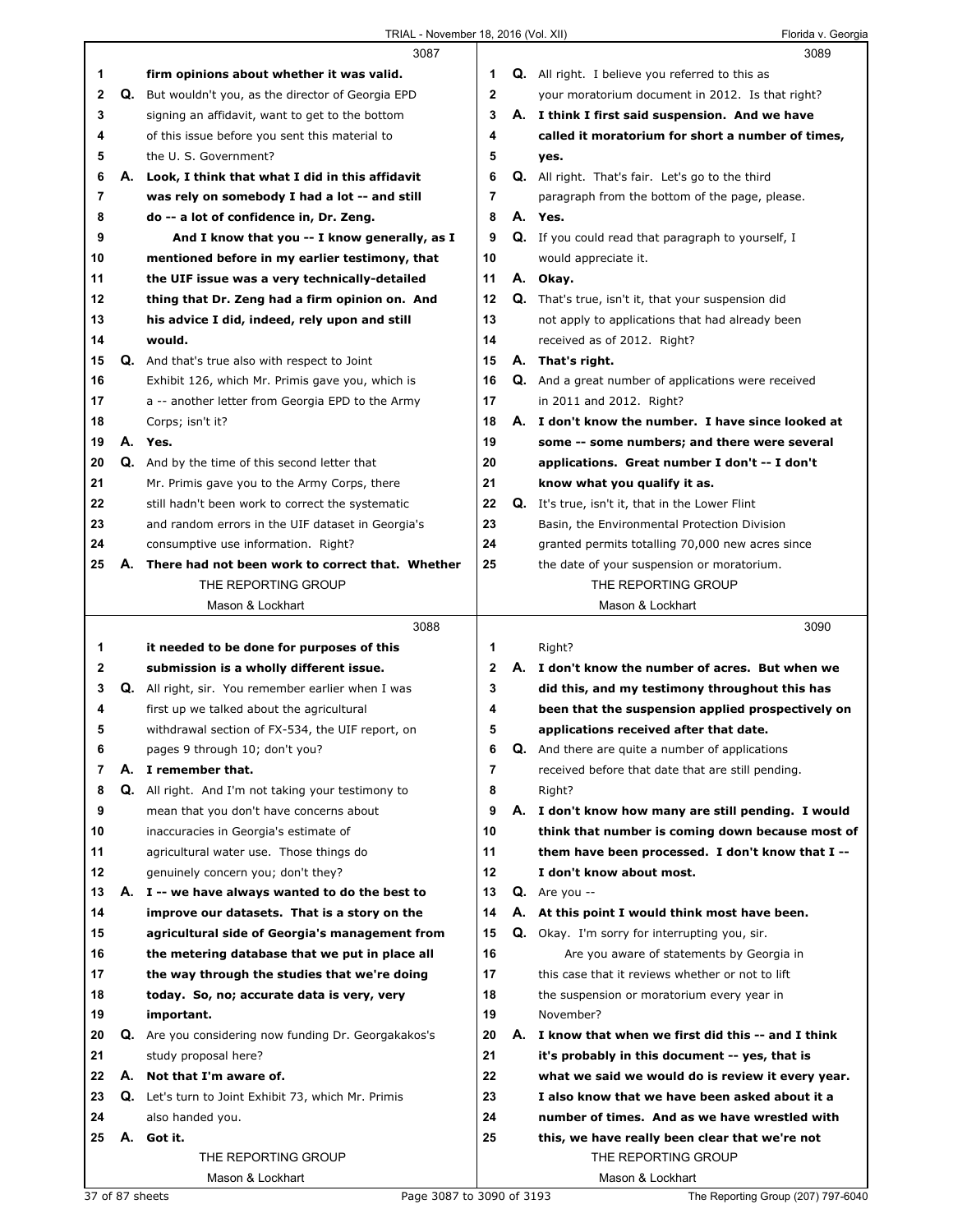| <b>Q.</b> All right. I believe you referred to this as<br>1<br>firm opinions about whether it was valid.<br>1<br>Q. But wouldn't you, as the director of Georgia EPD<br>2<br>2<br>your moratorium document in 2012. Is that right?<br>3<br>3<br>A. I think I first said suspension. And we have<br>signing an affidavit, want to get to the bottom<br>4<br>of this issue before you sent this material to<br>called it moratorium for short a number of times,<br>4<br>the U. S. Government?<br>5<br>5<br>yes.<br>6<br>6<br>А.<br>Look, I think that what I did in this affidavit<br><b>Q.</b> All right. That's fair. Let's go to the third<br>7<br>7<br>was rely on somebody I had a lot -- and still<br>paragraph from the bottom of the page, please.<br>8<br>8<br>do -- a lot of confidence in, Dr. Zeng.<br>A. Yes.<br>9<br>And I know that you -- I know generally, as I<br>9<br>Q. If you could read that paragraph to yourself, I<br>10<br>mentioned before in my earlier testimony, that<br>10<br>would appreciate it.<br>11<br>11<br>the UIF issue was a very technically-detailed<br>A. Okay.<br>12<br>12<br>thing that Dr. Zeng had a firm opinion on. And<br><b>Q.</b> That's true, isn't it, that your suspension did<br>13<br>13<br>his advice I did, indeed, rely upon and still<br>not apply to applications that had already been<br>14<br>would.<br>14<br>received as of 2012. Right?<br>15<br><b>Q.</b> And that's true also with respect to Joint<br>15<br>A. That's right.<br>16<br>16<br>Exhibit 126, which Mr. Primis gave you, which is<br>Q. And a great number of applications were received<br>17<br>17<br>a -- another letter from Georgia EPD to the Army<br>in 2011 and 2012. Right?<br>18<br>18<br>Corps; isn't it?<br>A. I don't know the number. I have since looked at<br>19<br>19<br>A. Yes.<br>some -- some numbers; and there were several<br>20<br>20<br><b>Q.</b> And by the time of this second letter that<br>applications. Great number I don't -- I don't<br>21<br>21<br>Mr. Primis gave you to the Army Corps, there<br>know what you qualify it as.<br>22<br>22<br>Q. It's true, isn't it, that in the Lower Flint<br>still hadn't been work to correct the systematic<br>23<br>23<br>and random errors in the UIF dataset in Georgia's<br>Basin, the Environmental Protection Division |      |
|----------------------------------------------------------------------------------------------------------------------------------------------------------------------------------------------------------------------------------------------------------------------------------------------------------------------------------------------------------------------------------------------------------------------------------------------------------------------------------------------------------------------------------------------------------------------------------------------------------------------------------------------------------------------------------------------------------------------------------------------------------------------------------------------------------------------------------------------------------------------------------------------------------------------------------------------------------------------------------------------------------------------------------------------------------------------------------------------------------------------------------------------------------------------------------------------------------------------------------------------------------------------------------------------------------------------------------------------------------------------------------------------------------------------------------------------------------------------------------------------------------------------------------------------------------------------------------------------------------------------------------------------------------------------------------------------------------------------------------------------------------------------------------------------------------------------------------------------------------------------------------------------------------------------------------------------------------------------------------------------------------------------------------------------------------------------------------------------------------------------------------------------------------------------------------------------------------------------------------------------------------------------------------------------------------------------------------------|------|
|                                                                                                                                                                                                                                                                                                                                                                                                                                                                                                                                                                                                                                                                                                                                                                                                                                                                                                                                                                                                                                                                                                                                                                                                                                                                                                                                                                                                                                                                                                                                                                                                                                                                                                                                                                                                                                                                                                                                                                                                                                                                                                                                                                                                                                                                                                                                        |      |
|                                                                                                                                                                                                                                                                                                                                                                                                                                                                                                                                                                                                                                                                                                                                                                                                                                                                                                                                                                                                                                                                                                                                                                                                                                                                                                                                                                                                                                                                                                                                                                                                                                                                                                                                                                                                                                                                                                                                                                                                                                                                                                                                                                                                                                                                                                                                        |      |
|                                                                                                                                                                                                                                                                                                                                                                                                                                                                                                                                                                                                                                                                                                                                                                                                                                                                                                                                                                                                                                                                                                                                                                                                                                                                                                                                                                                                                                                                                                                                                                                                                                                                                                                                                                                                                                                                                                                                                                                                                                                                                                                                                                                                                                                                                                                                        |      |
|                                                                                                                                                                                                                                                                                                                                                                                                                                                                                                                                                                                                                                                                                                                                                                                                                                                                                                                                                                                                                                                                                                                                                                                                                                                                                                                                                                                                                                                                                                                                                                                                                                                                                                                                                                                                                                                                                                                                                                                                                                                                                                                                                                                                                                                                                                                                        |      |
|                                                                                                                                                                                                                                                                                                                                                                                                                                                                                                                                                                                                                                                                                                                                                                                                                                                                                                                                                                                                                                                                                                                                                                                                                                                                                                                                                                                                                                                                                                                                                                                                                                                                                                                                                                                                                                                                                                                                                                                                                                                                                                                                                                                                                                                                                                                                        |      |
|                                                                                                                                                                                                                                                                                                                                                                                                                                                                                                                                                                                                                                                                                                                                                                                                                                                                                                                                                                                                                                                                                                                                                                                                                                                                                                                                                                                                                                                                                                                                                                                                                                                                                                                                                                                                                                                                                                                                                                                                                                                                                                                                                                                                                                                                                                                                        |      |
|                                                                                                                                                                                                                                                                                                                                                                                                                                                                                                                                                                                                                                                                                                                                                                                                                                                                                                                                                                                                                                                                                                                                                                                                                                                                                                                                                                                                                                                                                                                                                                                                                                                                                                                                                                                                                                                                                                                                                                                                                                                                                                                                                                                                                                                                                                                                        |      |
|                                                                                                                                                                                                                                                                                                                                                                                                                                                                                                                                                                                                                                                                                                                                                                                                                                                                                                                                                                                                                                                                                                                                                                                                                                                                                                                                                                                                                                                                                                                                                                                                                                                                                                                                                                                                                                                                                                                                                                                                                                                                                                                                                                                                                                                                                                                                        |      |
|                                                                                                                                                                                                                                                                                                                                                                                                                                                                                                                                                                                                                                                                                                                                                                                                                                                                                                                                                                                                                                                                                                                                                                                                                                                                                                                                                                                                                                                                                                                                                                                                                                                                                                                                                                                                                                                                                                                                                                                                                                                                                                                                                                                                                                                                                                                                        |      |
|                                                                                                                                                                                                                                                                                                                                                                                                                                                                                                                                                                                                                                                                                                                                                                                                                                                                                                                                                                                                                                                                                                                                                                                                                                                                                                                                                                                                                                                                                                                                                                                                                                                                                                                                                                                                                                                                                                                                                                                                                                                                                                                                                                                                                                                                                                                                        |      |
|                                                                                                                                                                                                                                                                                                                                                                                                                                                                                                                                                                                                                                                                                                                                                                                                                                                                                                                                                                                                                                                                                                                                                                                                                                                                                                                                                                                                                                                                                                                                                                                                                                                                                                                                                                                                                                                                                                                                                                                                                                                                                                                                                                                                                                                                                                                                        |      |
|                                                                                                                                                                                                                                                                                                                                                                                                                                                                                                                                                                                                                                                                                                                                                                                                                                                                                                                                                                                                                                                                                                                                                                                                                                                                                                                                                                                                                                                                                                                                                                                                                                                                                                                                                                                                                                                                                                                                                                                                                                                                                                                                                                                                                                                                                                                                        |      |
|                                                                                                                                                                                                                                                                                                                                                                                                                                                                                                                                                                                                                                                                                                                                                                                                                                                                                                                                                                                                                                                                                                                                                                                                                                                                                                                                                                                                                                                                                                                                                                                                                                                                                                                                                                                                                                                                                                                                                                                                                                                                                                                                                                                                                                                                                                                                        |      |
|                                                                                                                                                                                                                                                                                                                                                                                                                                                                                                                                                                                                                                                                                                                                                                                                                                                                                                                                                                                                                                                                                                                                                                                                                                                                                                                                                                                                                                                                                                                                                                                                                                                                                                                                                                                                                                                                                                                                                                                                                                                                                                                                                                                                                                                                                                                                        |      |
|                                                                                                                                                                                                                                                                                                                                                                                                                                                                                                                                                                                                                                                                                                                                                                                                                                                                                                                                                                                                                                                                                                                                                                                                                                                                                                                                                                                                                                                                                                                                                                                                                                                                                                                                                                                                                                                                                                                                                                                                                                                                                                                                                                                                                                                                                                                                        |      |
|                                                                                                                                                                                                                                                                                                                                                                                                                                                                                                                                                                                                                                                                                                                                                                                                                                                                                                                                                                                                                                                                                                                                                                                                                                                                                                                                                                                                                                                                                                                                                                                                                                                                                                                                                                                                                                                                                                                                                                                                                                                                                                                                                                                                                                                                                                                                        |      |
|                                                                                                                                                                                                                                                                                                                                                                                                                                                                                                                                                                                                                                                                                                                                                                                                                                                                                                                                                                                                                                                                                                                                                                                                                                                                                                                                                                                                                                                                                                                                                                                                                                                                                                                                                                                                                                                                                                                                                                                                                                                                                                                                                                                                                                                                                                                                        |      |
|                                                                                                                                                                                                                                                                                                                                                                                                                                                                                                                                                                                                                                                                                                                                                                                                                                                                                                                                                                                                                                                                                                                                                                                                                                                                                                                                                                                                                                                                                                                                                                                                                                                                                                                                                                                                                                                                                                                                                                                                                                                                                                                                                                                                                                                                                                                                        |      |
|                                                                                                                                                                                                                                                                                                                                                                                                                                                                                                                                                                                                                                                                                                                                                                                                                                                                                                                                                                                                                                                                                                                                                                                                                                                                                                                                                                                                                                                                                                                                                                                                                                                                                                                                                                                                                                                                                                                                                                                                                                                                                                                                                                                                                                                                                                                                        |      |
|                                                                                                                                                                                                                                                                                                                                                                                                                                                                                                                                                                                                                                                                                                                                                                                                                                                                                                                                                                                                                                                                                                                                                                                                                                                                                                                                                                                                                                                                                                                                                                                                                                                                                                                                                                                                                                                                                                                                                                                                                                                                                                                                                                                                                                                                                                                                        |      |
|                                                                                                                                                                                                                                                                                                                                                                                                                                                                                                                                                                                                                                                                                                                                                                                                                                                                                                                                                                                                                                                                                                                                                                                                                                                                                                                                                                                                                                                                                                                                                                                                                                                                                                                                                                                                                                                                                                                                                                                                                                                                                                                                                                                                                                                                                                                                        |      |
|                                                                                                                                                                                                                                                                                                                                                                                                                                                                                                                                                                                                                                                                                                                                                                                                                                                                                                                                                                                                                                                                                                                                                                                                                                                                                                                                                                                                                                                                                                                                                                                                                                                                                                                                                                                                                                                                                                                                                                                                                                                                                                                                                                                                                                                                                                                                        |      |
|                                                                                                                                                                                                                                                                                                                                                                                                                                                                                                                                                                                                                                                                                                                                                                                                                                                                                                                                                                                                                                                                                                                                                                                                                                                                                                                                                                                                                                                                                                                                                                                                                                                                                                                                                                                                                                                                                                                                                                                                                                                                                                                                                                                                                                                                                                                                        |      |
|                                                                                                                                                                                                                                                                                                                                                                                                                                                                                                                                                                                                                                                                                                                                                                                                                                                                                                                                                                                                                                                                                                                                                                                                                                                                                                                                                                                                                                                                                                                                                                                                                                                                                                                                                                                                                                                                                                                                                                                                                                                                                                                                                                                                                                                                                                                                        |      |
| 24<br>24<br>consumptive use information. Right?<br>granted permits totalling 70,000 new acres since                                                                                                                                                                                                                                                                                                                                                                                                                                                                                                                                                                                                                                                                                                                                                                                                                                                                                                                                                                                                                                                                                                                                                                                                                                                                                                                                                                                                                                                                                                                                                                                                                                                                                                                                                                                                                                                                                                                                                                                                                                                                                                                                                                                                                                    |      |
| 25<br>25<br>There had not been work to correct that. Whether<br>А.<br>the date of your suspension or moratorium.                                                                                                                                                                                                                                                                                                                                                                                                                                                                                                                                                                                                                                                                                                                                                                                                                                                                                                                                                                                                                                                                                                                                                                                                                                                                                                                                                                                                                                                                                                                                                                                                                                                                                                                                                                                                                                                                                                                                                                                                                                                                                                                                                                                                                       |      |
| THE REPORTING GROUP<br>THE REPORTING GROUP                                                                                                                                                                                                                                                                                                                                                                                                                                                                                                                                                                                                                                                                                                                                                                                                                                                                                                                                                                                                                                                                                                                                                                                                                                                                                                                                                                                                                                                                                                                                                                                                                                                                                                                                                                                                                                                                                                                                                                                                                                                                                                                                                                                                                                                                                             |      |
| Mason & Lockhart<br>Mason & Lockhart                                                                                                                                                                                                                                                                                                                                                                                                                                                                                                                                                                                                                                                                                                                                                                                                                                                                                                                                                                                                                                                                                                                                                                                                                                                                                                                                                                                                                                                                                                                                                                                                                                                                                                                                                                                                                                                                                                                                                                                                                                                                                                                                                                                                                                                                                                   |      |
| 3088                                                                                                                                                                                                                                                                                                                                                                                                                                                                                                                                                                                                                                                                                                                                                                                                                                                                                                                                                                                                                                                                                                                                                                                                                                                                                                                                                                                                                                                                                                                                                                                                                                                                                                                                                                                                                                                                                                                                                                                                                                                                                                                                                                                                                                                                                                                                   | 3090 |
| it needed to be done for purposes of this<br>1<br>Right?<br>1                                                                                                                                                                                                                                                                                                                                                                                                                                                                                                                                                                                                                                                                                                                                                                                                                                                                                                                                                                                                                                                                                                                                                                                                                                                                                                                                                                                                                                                                                                                                                                                                                                                                                                                                                                                                                                                                                                                                                                                                                                                                                                                                                                                                                                                                          |      |
| 2<br>I don't know the number of acres. But when we<br>submission is a wholly different issue.<br>2<br>А.                                                                                                                                                                                                                                                                                                                                                                                                                                                                                                                                                                                                                                                                                                                                                                                                                                                                                                                                                                                                                                                                                                                                                                                                                                                                                                                                                                                                                                                                                                                                                                                                                                                                                                                                                                                                                                                                                                                                                                                                                                                                                                                                                                                                                               |      |
| 3<br><b>Q.</b> All right, sir. You remember earlier when I was<br>3<br>did this, and my testimony throughout this has                                                                                                                                                                                                                                                                                                                                                                                                                                                                                                                                                                                                                                                                                                                                                                                                                                                                                                                                                                                                                                                                                                                                                                                                                                                                                                                                                                                                                                                                                                                                                                                                                                                                                                                                                                                                                                                                                                                                                                                                                                                                                                                                                                                                                  |      |
| 4<br>4<br>first up we talked about the agricultural<br>been that the suspension applied prospectively on                                                                                                                                                                                                                                                                                                                                                                                                                                                                                                                                                                                                                                                                                                                                                                                                                                                                                                                                                                                                                                                                                                                                                                                                                                                                                                                                                                                                                                                                                                                                                                                                                                                                                                                                                                                                                                                                                                                                                                                                                                                                                                                                                                                                                               |      |
| 5<br>5<br>withdrawal section of FX-534, the UIF report, on<br>applications received after that date.                                                                                                                                                                                                                                                                                                                                                                                                                                                                                                                                                                                                                                                                                                                                                                                                                                                                                                                                                                                                                                                                                                                                                                                                                                                                                                                                                                                                                                                                                                                                                                                                                                                                                                                                                                                                                                                                                                                                                                                                                                                                                                                                                                                                                                   |      |
| 6<br>6<br>Q.                                                                                                                                                                                                                                                                                                                                                                                                                                                                                                                                                                                                                                                                                                                                                                                                                                                                                                                                                                                                                                                                                                                                                                                                                                                                                                                                                                                                                                                                                                                                                                                                                                                                                                                                                                                                                                                                                                                                                                                                                                                                                                                                                                                                                                                                                                                           |      |
| 7<br>7<br>A. I remember that.<br>received before that date that are still pending.                                                                                                                                                                                                                                                                                                                                                                                                                                                                                                                                                                                                                                                                                                                                                                                                                                                                                                                                                                                                                                                                                                                                                                                                                                                                                                                                                                                                                                                                                                                                                                                                                                                                                                                                                                                                                                                                                                                                                                                                                                                                                                                                                                                                                                                     |      |
| 8<br>8<br>Q.<br>All right. And I'm not taking your testimony to<br>Right?                                                                                                                                                                                                                                                                                                                                                                                                                                                                                                                                                                                                                                                                                                                                                                                                                                                                                                                                                                                                                                                                                                                                                                                                                                                                                                                                                                                                                                                                                                                                                                                                                                                                                                                                                                                                                                                                                                                                                                                                                                                                                                                                                                                                                                                              |      |
| 9<br>9<br>mean that you don't have concerns about<br>A. I don't know how many are still pending. I would                                                                                                                                                                                                                                                                                                                                                                                                                                                                                                                                                                                                                                                                                                                                                                                                                                                                                                                                                                                                                                                                                                                                                                                                                                                                                                                                                                                                                                                                                                                                                                                                                                                                                                                                                                                                                                                                                                                                                                                                                                                                                                                                                                                                                               |      |
| 10<br>10<br>think that number is coming down because most of<br>inaccuracies in Georgia's estimate of                                                                                                                                                                                                                                                                                                                                                                                                                                                                                                                                                                                                                                                                                                                                                                                                                                                                                                                                                                                                                                                                                                                                                                                                                                                                                                                                                                                                                                                                                                                                                                                                                                                                                                                                                                                                                                                                                                                                                                                                                                                                                                                                                                                                                                  |      |
| 11<br>11<br>agricultural water use. Those things do<br>them have been processed. I don't know that I --                                                                                                                                                                                                                                                                                                                                                                                                                                                                                                                                                                                                                                                                                                                                                                                                                                                                                                                                                                                                                                                                                                                                                                                                                                                                                                                                                                                                                                                                                                                                                                                                                                                                                                                                                                                                                                                                                                                                                                                                                                                                                                                                                                                                                                |      |
| $12 \,$<br>12<br>genuinely concern you; don't they?<br>I don't know about most.                                                                                                                                                                                                                                                                                                                                                                                                                                                                                                                                                                                                                                                                                                                                                                                                                                                                                                                                                                                                                                                                                                                                                                                                                                                                                                                                                                                                                                                                                                                                                                                                                                                                                                                                                                                                                                                                                                                                                                                                                                                                                                                                                                                                                                                        |      |
| 13<br>13<br>A. I -- we have always wanted to do the best to<br>$Q.$ Are you --                                                                                                                                                                                                                                                                                                                                                                                                                                                                                                                                                                                                                                                                                                                                                                                                                                                                                                                                                                                                                                                                                                                                                                                                                                                                                                                                                                                                                                                                                                                                                                                                                                                                                                                                                                                                                                                                                                                                                                                                                                                                                                                                                                                                                                                         |      |
| 14<br>14<br>improve our datasets. That is a story on the<br>A. At this point I would think most have been.                                                                                                                                                                                                                                                                                                                                                                                                                                                                                                                                                                                                                                                                                                                                                                                                                                                                                                                                                                                                                                                                                                                                                                                                                                                                                                                                                                                                                                                                                                                                                                                                                                                                                                                                                                                                                                                                                                                                                                                                                                                                                                                                                                                                                             |      |
| 15<br>Q.<br>15<br>agricultural side of Georgia's management from<br>Okay. I'm sorry for interrupting you, sir.                                                                                                                                                                                                                                                                                                                                                                                                                                                                                                                                                                                                                                                                                                                                                                                                                                                                                                                                                                                                                                                                                                                                                                                                                                                                                                                                                                                                                                                                                                                                                                                                                                                                                                                                                                                                                                                                                                                                                                                                                                                                                                                                                                                                                         |      |
| 16<br>16<br>the metering database that we put in place all<br>Are you aware of statements by Georgia in                                                                                                                                                                                                                                                                                                                                                                                                                                                                                                                                                                                                                                                                                                                                                                                                                                                                                                                                                                                                                                                                                                                                                                                                                                                                                                                                                                                                                                                                                                                                                                                                                                                                                                                                                                                                                                                                                                                                                                                                                                                                                                                                                                                                                                |      |
| 17<br>17<br>this case that it reviews whether or not to lift<br>the way through the studies that we're doing                                                                                                                                                                                                                                                                                                                                                                                                                                                                                                                                                                                                                                                                                                                                                                                                                                                                                                                                                                                                                                                                                                                                                                                                                                                                                                                                                                                                                                                                                                                                                                                                                                                                                                                                                                                                                                                                                                                                                                                                                                                                                                                                                                                                                           |      |
| 18<br>18<br>today. So, no; accurate data is very, very<br>the suspension or moratorium every year in                                                                                                                                                                                                                                                                                                                                                                                                                                                                                                                                                                                                                                                                                                                                                                                                                                                                                                                                                                                                                                                                                                                                                                                                                                                                                                                                                                                                                                                                                                                                                                                                                                                                                                                                                                                                                                                                                                                                                                                                                                                                                                                                                                                                                                   |      |
|                                                                                                                                                                                                                                                                                                                                                                                                                                                                                                                                                                                                                                                                                                                                                                                                                                                                                                                                                                                                                                                                                                                                                                                                                                                                                                                                                                                                                                                                                                                                                                                                                                                                                                                                                                                                                                                                                                                                                                                                                                                                                                                                                                                                                                                                                                                                        |      |
| 19<br>19<br>important.<br>November?                                                                                                                                                                                                                                                                                                                                                                                                                                                                                                                                                                                                                                                                                                                                                                                                                                                                                                                                                                                                                                                                                                                                                                                                                                                                                                                                                                                                                                                                                                                                                                                                                                                                                                                                                                                                                                                                                                                                                                                                                                                                                                                                                                                                                                                                                                    |      |
| 20<br>20<br>Q. Are you considering now funding Dr. Georgakakos's<br>A. I know that when we first did this -- and I think                                                                                                                                                                                                                                                                                                                                                                                                                                                                                                                                                                                                                                                                                                                                                                                                                                                                                                                                                                                                                                                                                                                                                                                                                                                                                                                                                                                                                                                                                                                                                                                                                                                                                                                                                                                                                                                                                                                                                                                                                                                                                                                                                                                                               |      |
| 21<br>21<br>study proposal here?<br>it's probably in this document -- yes, that is                                                                                                                                                                                                                                                                                                                                                                                                                                                                                                                                                                                                                                                                                                                                                                                                                                                                                                                                                                                                                                                                                                                                                                                                                                                                                                                                                                                                                                                                                                                                                                                                                                                                                                                                                                                                                                                                                                                                                                                                                                                                                                                                                                                                                                                     |      |
| Not that I'm aware of.<br>22<br>22<br>А.<br>what we said we would do is review it every year.                                                                                                                                                                                                                                                                                                                                                                                                                                                                                                                                                                                                                                                                                                                                                                                                                                                                                                                                                                                                                                                                                                                                                                                                                                                                                                                                                                                                                                                                                                                                                                                                                                                                                                                                                                                                                                                                                                                                                                                                                                                                                                                                                                                                                                          |      |
| Q. Let's turn to Joint Exhibit 73, which Mr. Primis<br>23<br>23<br>I also know that we have been asked about it a                                                                                                                                                                                                                                                                                                                                                                                                                                                                                                                                                                                                                                                                                                                                                                                                                                                                                                                                                                                                                                                                                                                                                                                                                                                                                                                                                                                                                                                                                                                                                                                                                                                                                                                                                                                                                                                                                                                                                                                                                                                                                                                                                                                                                      |      |
| 24<br>24<br>also handed you.<br>number of times. And as we have wrestled with                                                                                                                                                                                                                                                                                                                                                                                                                                                                                                                                                                                                                                                                                                                                                                                                                                                                                                                                                                                                                                                                                                                                                                                                                                                                                                                                                                                                                                                                                                                                                                                                                                                                                                                                                                                                                                                                                                                                                                                                                                                                                                                                                                                                                                                          |      |
| 25<br>25<br>A. Got it.<br>this, we have really been clear that we're not                                                                                                                                                                                                                                                                                                                                                                                                                                                                                                                                                                                                                                                                                                                                                                                                                                                                                                                                                                                                                                                                                                                                                                                                                                                                                                                                                                                                                                                                                                                                                                                                                                                                                                                                                                                                                                                                                                                                                                                                                                                                                                                                                                                                                                                               |      |
| THE REPORTING GROUP<br>THE REPORTING GROUP                                                                                                                                                                                                                                                                                                                                                                                                                                                                                                                                                                                                                                                                                                                                                                                                                                                                                                                                                                                                                                                                                                                                                                                                                                                                                                                                                                                                                                                                                                                                                                                                                                                                                                                                                                                                                                                                                                                                                                                                                                                                                                                                                                                                                                                                                             |      |
| pages 9 through 10; don't you?<br>And there are quite a number of applications                                                                                                                                                                                                                                                                                                                                                                                                                                                                                                                                                                                                                                                                                                                                                                                                                                                                                                                                                                                                                                                                                                                                                                                                                                                                                                                                                                                                                                                                                                                                                                                                                                                                                                                                                                                                                                                                                                                                                                                                                                                                                                                                                                                                                                                         |      |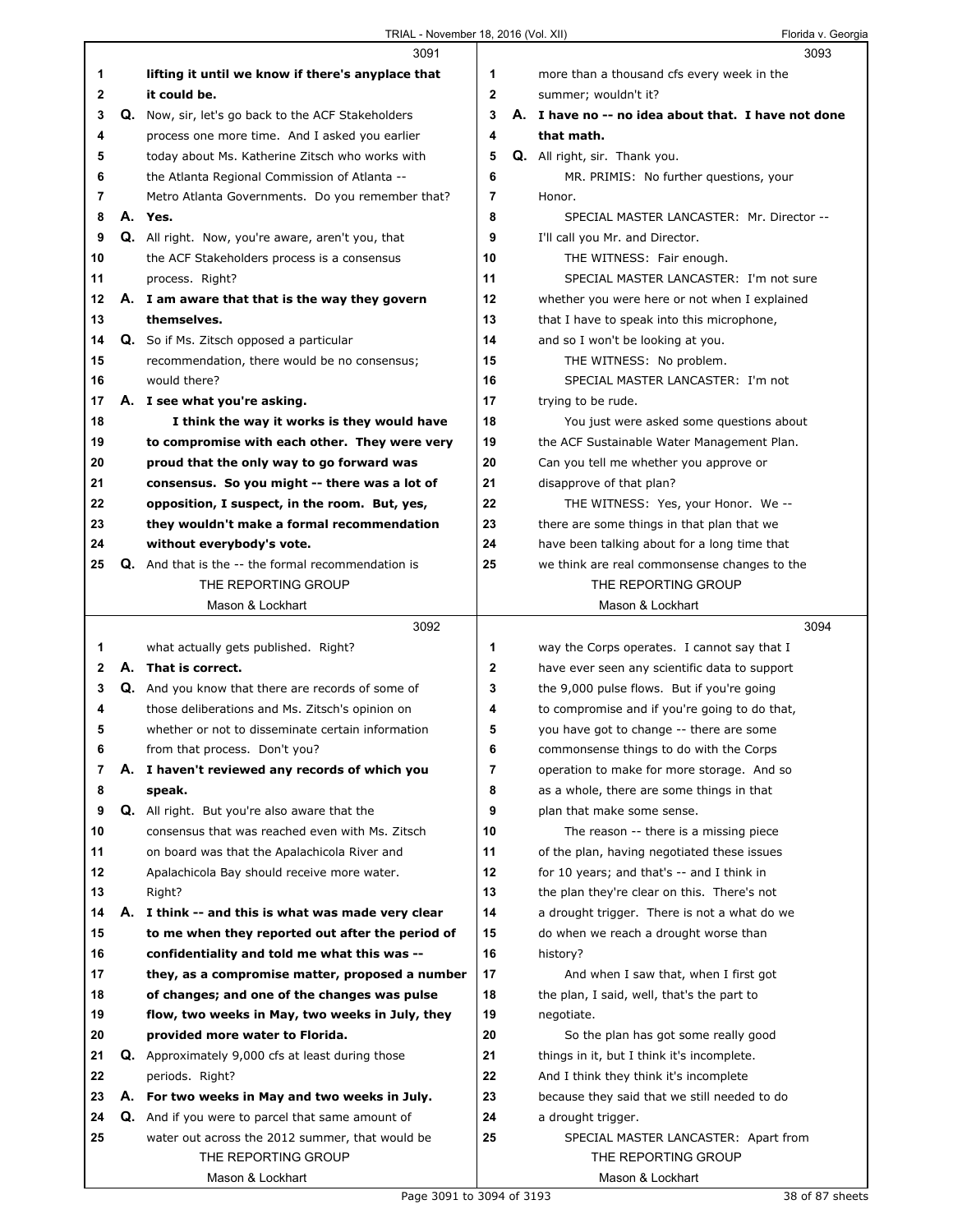|              | 3091                                                                                            |                | 3093                                                        |
|--------------|-------------------------------------------------------------------------------------------------|----------------|-------------------------------------------------------------|
| 1            | lifting it until we know if there's anyplace that                                               | 1              | more than a thousand cfs every week in the                  |
| $\mathbf{2}$ | it could be.                                                                                    | $\mathbf{2}$   | summer; wouldn't it?                                        |
| 3            | Q. Now, sir, let's go back to the ACF Stakeholders                                              | 3              | A. I have no -- no idea about that. I have not done         |
| 4            | process one more time. And I asked you earlier                                                  | 4              | that math.                                                  |
| 5            | today about Ms. Katherine Zitsch who works with                                                 | 5              | Q. All right, sir. Thank you.                               |
| 6            | the Atlanta Regional Commission of Atlanta --                                                   | 6              | MR. PRIMIS: No further questions, your                      |
| 7            | Metro Atlanta Governments. Do you remember that?                                                | $\overline{7}$ | Honor.                                                      |
| 8            | A. Yes.                                                                                         | 8              | SPECIAL MASTER LANCASTER: Mr. Director --                   |
| 9            | Q. All right. Now, you're aware, aren't you, that                                               | 9              | I'll call you Mr. and Director.                             |
| 10           | the ACF Stakeholders process is a consensus                                                     | 10             | THE WITNESS: Fair enough.                                   |
| 11           | process. Right?                                                                                 | 11             | SPECIAL MASTER LANCASTER: I'm not sure                      |
| 12           | A. I am aware that that is the way they govern                                                  | 12             | whether you were here or not when I explained               |
| 13           | themselves.                                                                                     | 13             | that I have to speak into this microphone,                  |
| 14           | <b>Q.</b> So if Ms. Zitsch opposed a particular                                                 | 14             | and so I won't be looking at you.                           |
| 15           | recommendation, there would be no consensus;                                                    | 15             | THE WITNESS: No problem.                                    |
| 16           | would there?                                                                                    | 16             | SPECIAL MASTER LANCASTER: I'm not                           |
| 17           | A. I see what you're asking.                                                                    | 17             | trying to be rude.                                          |
| 18           | I think the way it works is they would have                                                     | 18             | You just were asked some questions about                    |
| 19           | to compromise with each other. They were very                                                   | 19             | the ACF Sustainable Water Management Plan.                  |
| 20           | proud that the only way to go forward was                                                       | 20             | Can you tell me whether you approve or                      |
| 21           | consensus. So you might -- there was a lot of                                                   | 21             | disapprove of that plan?                                    |
| 22           | opposition, I suspect, in the room. But, yes,                                                   | 22             | THE WITNESS: Yes, your Honor. We --                         |
| 23           | they wouldn't make a formal recommendation                                                      | 23             | there are some things in that plan that we                  |
| 24           | without everybody's vote.                                                                       | 24             | have been talking about for a long time that                |
| 25           | <b>Q.</b> And that is the -- the formal recommendation is                                       | 25             | we think are real commonsense changes to the                |
|              | THE REPORTING GROUP                                                                             |                | THE REPORTING GROUP                                         |
|              | Mason & Lockhart                                                                                |                | Mason & Lockhart                                            |
|              |                                                                                                 |                |                                                             |
|              | 3092                                                                                            |                | 3094                                                        |
| 1            | what actually gets published. Right?                                                            | 1              | way the Corps operates. I cannot say that I                 |
| $\mathbf{2}$ | A. That is correct.                                                                             | 2              | have ever seen any scientific data to support               |
| 3            | Q. And you know that there are records of some of                                               | 3              | the 9,000 pulse flows. But if you're going                  |
| 4            | those deliberations and Ms. Zitsch's opinion on                                                 | 4              | to compromise and if you're going to do that,               |
| 5            | whether or not to disseminate certain information                                               | 5              | you have got to change -- there are some                    |
| 6            | from that process. Don't you?                                                                   | 6              | commonsense things to do with the Corps                     |
| 7            | A. I haven't reviewed any records of which you                                                  | 7              | operation to make for more storage. And so                  |
| 8            | speak.                                                                                          | 8              | as a whole, there are some things in that                   |
| 9            | <b>Q.</b> All right. But you're also aware that the                                             | 9              | plan that make some sense.                                  |
| 10           | consensus that was reached even with Ms. Zitsch                                                 | 10             | The reason -- there is a missing piece                      |
| 11           | on board was that the Apalachicola River and                                                    | 11             | of the plan, having negotiated these issues                 |
| 12           | Apalachicola Bay should receive more water.                                                     | 12             | for 10 years; and that's -- and I think in                  |
| 13           | Right?                                                                                          | 13             | the plan they're clear on this. There's not                 |
| 14           | A. I think -- and this is what was made very clear                                              | 14             | a drought trigger. There is not a what do we                |
| 15           | to me when they reported out after the period of                                                | 15             | do when we reach a drought worse than                       |
| 16           |                                                                                                 | 16             | history?                                                    |
| 17           | confidentiality and told me what this was --<br>they, as a compromise matter, proposed a number | 17             | And when I saw that, when I first got                       |
| 18           |                                                                                                 | 18             |                                                             |
| 19           | of changes; and one of the changes was pulse<br>flow, two weeks in May, two weeks in July, they | 19             | the plan, I said, well, that's the part to<br>negotiate.    |
| 20           | provided more water to Florida.                                                                 | 20             | So the plan has got some really good                        |
| 21           |                                                                                                 | 21             |                                                             |
| 22           | <b>Q.</b> Approximately 9,000 cfs at least during those<br>periods. Right?                      | 22             | things in it, but I think it's incomplete.                  |
| 23           |                                                                                                 | 23             | And I think they think it's incomplete                      |
| 24           | A. For two weeks in May and two weeks in July.                                                  | 24             | because they said that we still needed to do                |
|              | Q. And if you were to parcel that same amount of                                                | 25             | a drought trigger.                                          |
| 25           | water out across the 2012 summer, that would be<br>THE REPORTING GROUP                          |                | SPECIAL MASTER LANCASTER: Apart from<br>THE REPORTING GROUP |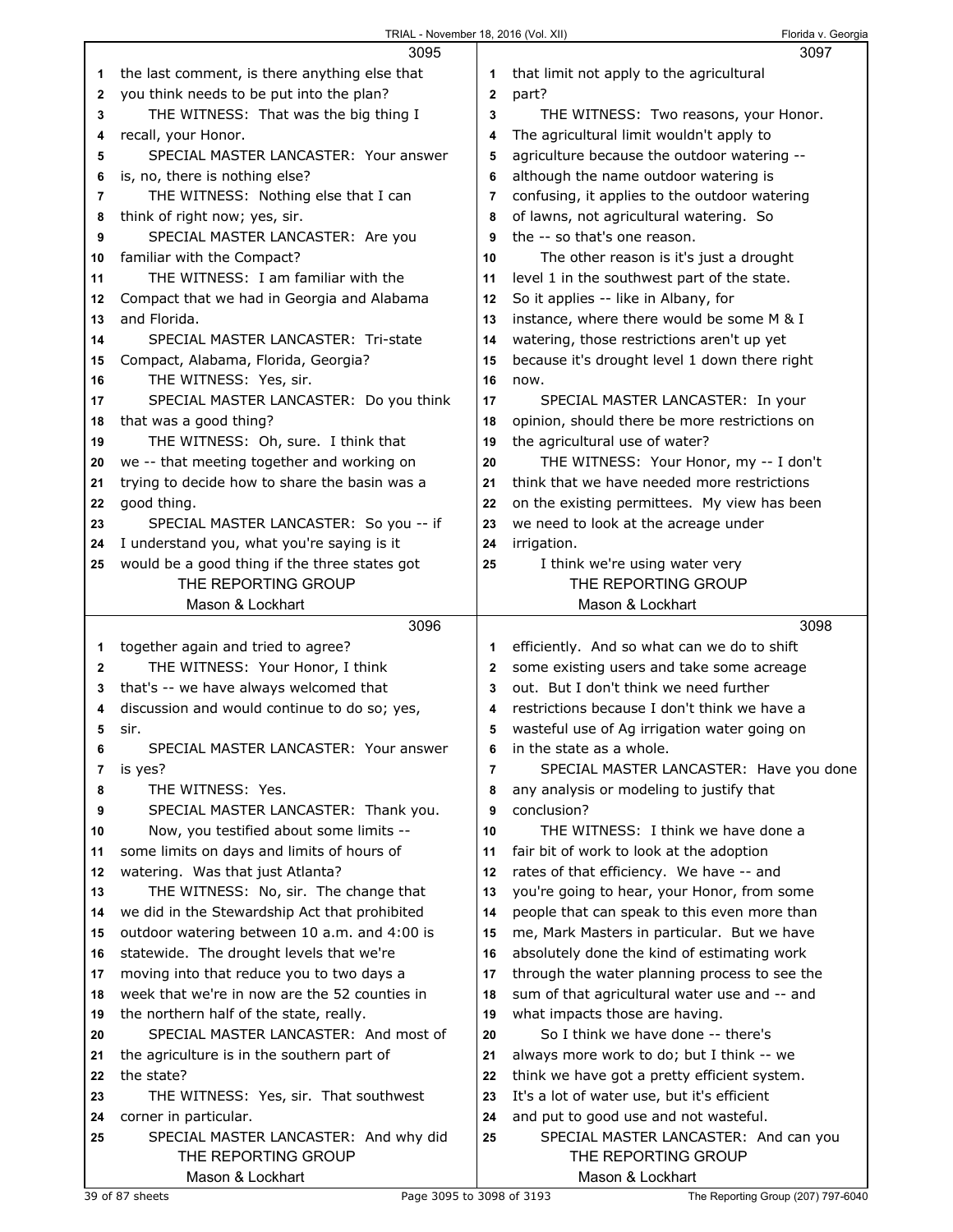|    | 3095                                          |                | 3097                                          |
|----|-----------------------------------------------|----------------|-----------------------------------------------|
| 1  | the last comment, is there anything else that | 1              | that limit not apply to the agricultural      |
| 2  | you think needs to be put into the plan?      | $\mathbf 2$    | part?                                         |
| 3  | THE WITNESS: That was the big thing I         | 3              | THE WITNESS: Two reasons, your Honor.         |
| 4  | recall, your Honor.                           | 4              | The agricultural limit wouldn't apply to      |
| 5  | SPECIAL MASTER LANCASTER: Your answer         | 5              | agriculture because the outdoor watering --   |
| 6  | is, no, there is nothing else?                | 6              | although the name outdoor watering is         |
| 7  | THE WITNESS: Nothing else that I can          | 7              | confusing, it applies to the outdoor watering |
| 8  | think of right now; yes, sir.                 | 8              | of lawns, not agricultural watering. So       |
| 9  | SPECIAL MASTER LANCASTER: Are you             | 9              | the -- so that's one reason.                  |
| 10 | familiar with the Compact?                    | 10             | The other reason is it's just a drought       |
| 11 | THE WITNESS: I am familiar with the           | 11             | level 1 in the southwest part of the state.   |
| 12 | Compact that we had in Georgia and Alabama    | 12             | So it applies -- like in Albany, for          |
| 13 | and Florida.                                  | 13             | instance, where there would be some M & I     |
| 14 | SPECIAL MASTER LANCASTER: Tri-state           | 14             | watering, those restrictions aren't up yet    |
| 15 | Compact, Alabama, Florida, Georgia?           | 15             | because it's drought level 1 down there right |
| 16 | THE WITNESS: Yes, sir.                        | 16             | now.                                          |
| 17 | SPECIAL MASTER LANCASTER: Do you think        | 17             | SPECIAL MASTER LANCASTER: In your             |
| 18 | that was a good thing?                        | 18             | opinion, should there be more restrictions on |
| 19 | THE WITNESS: Oh, sure. I think that           | 19             | the agricultural use of water?                |
| 20 | we -- that meeting together and working on    | 20             | THE WITNESS: Your Honor, my -- I don't        |
| 21 | trying to decide how to share the basin was a | 21             | think that we have needed more restrictions   |
| 22 | good thing.                                   | 22             | on the existing permittees. My view has been  |
| 23 | SPECIAL MASTER LANCASTER: So you -- if        | 23             | we need to look at the acreage under          |
| 24 | I understand you, what you're saying is it    | 24             | irrigation.                                   |
| 25 | would be a good thing if the three states got | 25             | I think we're using water very                |
|    | THE REPORTING GROUP                           |                | THE REPORTING GROUP                           |
|    | Mason & Lockhart                              |                | Mason & Lockhart                              |
|    |                                               |                |                                               |
|    | 3096                                          |                | 3098                                          |
| 1  | together again and tried to agree?            | 1              | efficiently. And so what can we do to shift   |
| 2  | THE WITNESS: Your Honor, I think              | 2              | some existing users and take some acreage     |
| 3  | that's -- we have always welcomed that        | 3              | out. But I don't think we need further        |
| 4  | discussion and would continue to do so; yes,  | 4              | restrictions because I don't think we have a  |
| 5  | sir.                                          | 5              | wasteful use of Ag irrigation water going on  |
| 6  | SPECIAL MASTER LANCASTER: Your answer         | 6              | in the state as a whole.                      |
| 7  | is yes?                                       | $\overline{7}$ | SPECIAL MASTER LANCASTER: Have you done       |
| 8  | THE WITNESS: Yes.                             | 8              | any analysis or modeling to justify that      |
| 9  | SPECIAL MASTER LANCASTER: Thank you.          | 9              | conclusion?                                   |
| 10 | Now, you testified about some limits --       | 10             | THE WITNESS: I think we have done a           |
| 11 | some limits on days and limits of hours of    | 11             | fair bit of work to look at the adoption      |
| 12 | watering. Was that just Atlanta?              | 12             | rates of that efficiency. We have -- and      |
| 13 | THE WITNESS: No, sir. The change that         | 13             | you're going to hear, your Honor, from some   |
| 14 | we did in the Stewardship Act that prohibited | 14             | people that can speak to this even more than  |
| 15 | outdoor watering between 10 a.m. and 4:00 is  | 15             | me, Mark Masters in particular. But we have   |
| 16 | statewide. The drought levels that we're      | 16             | absolutely done the kind of estimating work   |
| 17 | moving into that reduce you to two days a     | 17             | through the water planning process to see the |
| 18 | week that we're in now are the 52 counties in | 18             | sum of that agricultural water use and -- and |
| 19 | the northern half of the state, really.       | 19             | what impacts those are having.                |
| 20 | SPECIAL MASTER LANCASTER: And most of         | 20             | So I think we have done -- there's            |
| 21 | the agriculture is in the southern part of    | 21             | always more work to do; but I think -- we     |
| 22 | the state?                                    | 22             | think we have got a pretty efficient system.  |
| 23 | THE WITNESS: Yes, sir. That southwest         | 23             | It's a lot of water use, but it's efficient   |
| 24 | corner in particular.                         | 24             | and put to good use and not wasteful.         |
| 25 | SPECIAL MASTER LANCASTER: And why did         | 25             | SPECIAL MASTER LANCASTER: And can you         |
|    | THE REPORTING GROUP                           |                | THE REPORTING GROUP                           |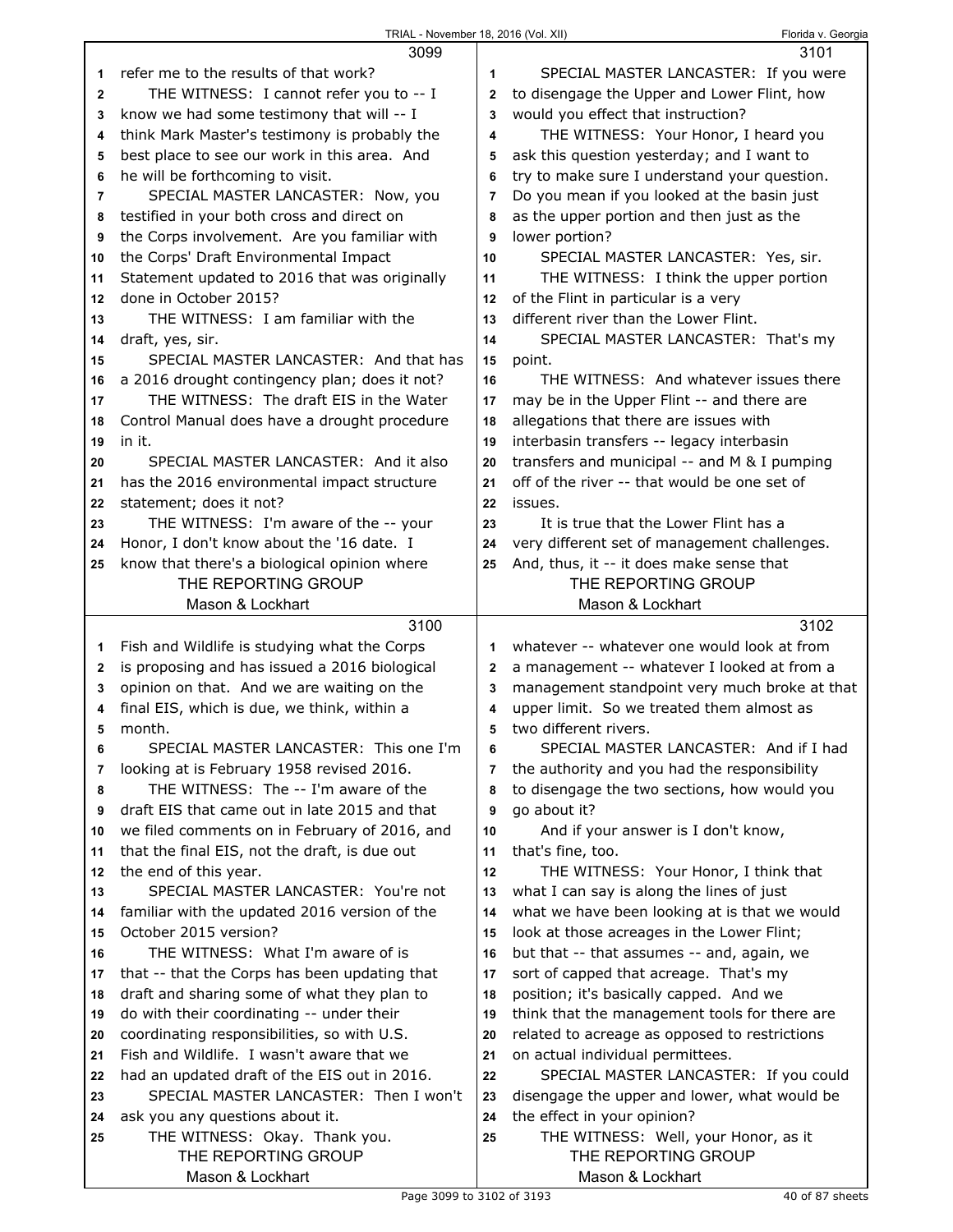|    | 3099                                                 |    | 3101                                                        |
|----|------------------------------------------------------|----|-------------------------------------------------------------|
| 1  | refer me to the results of that work?                | 1  | SPECIAL MASTER LANCASTER: If you were                       |
| 2  | THE WITNESS: I cannot refer you to -- I              | 2  | to disengage the Upper and Lower Flint, how                 |
| 3  | know we had some testimony that will -- I            | 3  | would you effect that instruction?                          |
| 4  | think Mark Master's testimony is probably the        | 4  | THE WITNESS: Your Honor, I heard you                        |
| 5  | best place to see our work in this area. And         | 5  | ask this question yesterday; and I want to                  |
| 6  | he will be forthcoming to visit.                     | 6  | try to make sure I understand your question.                |
| 7  | SPECIAL MASTER LANCASTER: Now, you                   | 7  | Do you mean if you looked at the basin just                 |
| 8  | testified in your both cross and direct on           | 8  | as the upper portion and then just as the                   |
| 9  | the Corps involvement. Are you familiar with         | 9  | lower portion?                                              |
| 10 | the Corps' Draft Environmental Impact                | 10 | SPECIAL MASTER LANCASTER: Yes, sir.                         |
| 11 | Statement updated to 2016 that was originally        | 11 | THE WITNESS: I think the upper portion                      |
| 12 | done in October 2015?                                | 12 | of the Flint in particular is a very                        |
| 13 | THE WITNESS: I am familiar with the                  | 13 | different river than the Lower Flint.                       |
| 14 | draft, yes, sir.                                     | 14 | SPECIAL MASTER LANCASTER: That's my                         |
| 15 | SPECIAL MASTER LANCASTER: And that has               | 15 | point.                                                      |
| 16 | a 2016 drought contingency plan; does it not?        | 16 | THE WITNESS: And whatever issues there                      |
| 17 | THE WITNESS: The draft EIS in the Water              | 17 | may be in the Upper Flint -- and there are                  |
| 18 | Control Manual does have a drought procedure         | 18 | allegations that there are issues with                      |
| 19 | in it.                                               | 19 | interbasin transfers -- legacy interbasin                   |
| 20 | SPECIAL MASTER LANCASTER: And it also                | 20 | transfers and municipal -- and M & I pumping                |
| 21 | has the 2016 environmental impact structure          | 21 | off of the river -- that would be one set of                |
| 22 | statement; does it not?                              | 22 | issues.                                                     |
| 23 | THE WITNESS: I'm aware of the -- your                | 23 | It is true that the Lower Flint has a                       |
| 24 | Honor, I don't know about the '16 date. I            | 24 | very different set of management challenges.                |
| 25 | know that there's a biological opinion where         | 25 | And, thus, it -- it does make sense that                    |
|    | THE REPORTING GROUP                                  |    | THE REPORTING GROUP                                         |
|    | Mason & Lockhart                                     |    | Mason & Lockhart                                            |
|    |                                                      |    |                                                             |
|    |                                                      |    |                                                             |
|    | 3100                                                 |    | 3102                                                        |
| 1. | Fish and Wildlife is studying what the Corps         | 1  | whatever -- whatever one would look at from                 |
| 2  | is proposing and has issued a 2016 biological        | 2  | a management -- whatever I looked at from a                 |
| 3  | opinion on that. And we are waiting on the           | 3  | management standpoint very much broke at that               |
| 4  | final EIS, which is due, we think, within a          | 4  | upper limit. So we treated them almost as                   |
| 5  | month.                                               | 5  | two different rivers.                                       |
| 6  | SPECIAL MASTER LANCASTER: This one I'm               | 6  | SPECIAL MASTER LANCASTER: And if I had                      |
| 7  | looking at is February 1958 revised 2016.            | 7  | the authority and you had the responsibility                |
| 8  | THE WITNESS: The -- I'm aware of the                 | 8  | to disengage the two sections, how would you                |
| 9  | draft EIS that came out in late 2015 and that        | 9  | go about it?                                                |
| 10 | we filed comments on in February of 2016, and        | 10 | And if your answer is I don't know,                         |
| 11 | that the final EIS, not the draft, is due out        | 11 | that's fine, too.                                           |
| 12 | the end of this year.                                | 12 | THE WITNESS: Your Honor, I think that                       |
| 13 | SPECIAL MASTER LANCASTER: You're not                 | 13 | what I can say is along the lines of just                   |
| 14 | familiar with the updated 2016 version of the        | 14 | what we have been looking at is that we would               |
| 15 | October 2015 version?                                | 15 | look at those acreages in the Lower Flint;                  |
| 16 | THE WITNESS: What I'm aware of is                    | 16 | but that -- that assumes -- and, again, we                  |
| 17 | that -- that the Corps has been updating that        | 17 | sort of capped that acreage. That's my                      |
| 18 | draft and sharing some of what they plan to          | 18 | position; it's basically capped. And we                     |
| 19 | do with their coordinating -- under their            | 19 | think that the management tools for there are               |
| 20 | coordinating responsibilities, so with U.S.          | 20 | related to acreage as opposed to restrictions               |
| 21 | Fish and Wildlife. I wasn't aware that we            | 21 | on actual individual permittees.                            |
| 22 | had an updated draft of the EIS out in 2016.         | 22 | SPECIAL MASTER LANCASTER: If you could                      |
| 23 | SPECIAL MASTER LANCASTER: Then I won't               | 23 | disengage the upper and lower, what would be                |
| 24 | ask you any questions about it.                      | 24 | the effect in your opinion?                                 |
| 25 | THE WITNESS: Okay. Thank you.<br>THE REPORTING GROUP | 25 | THE WITNESS: Well, your Honor, as it<br>THE REPORTING GROUP |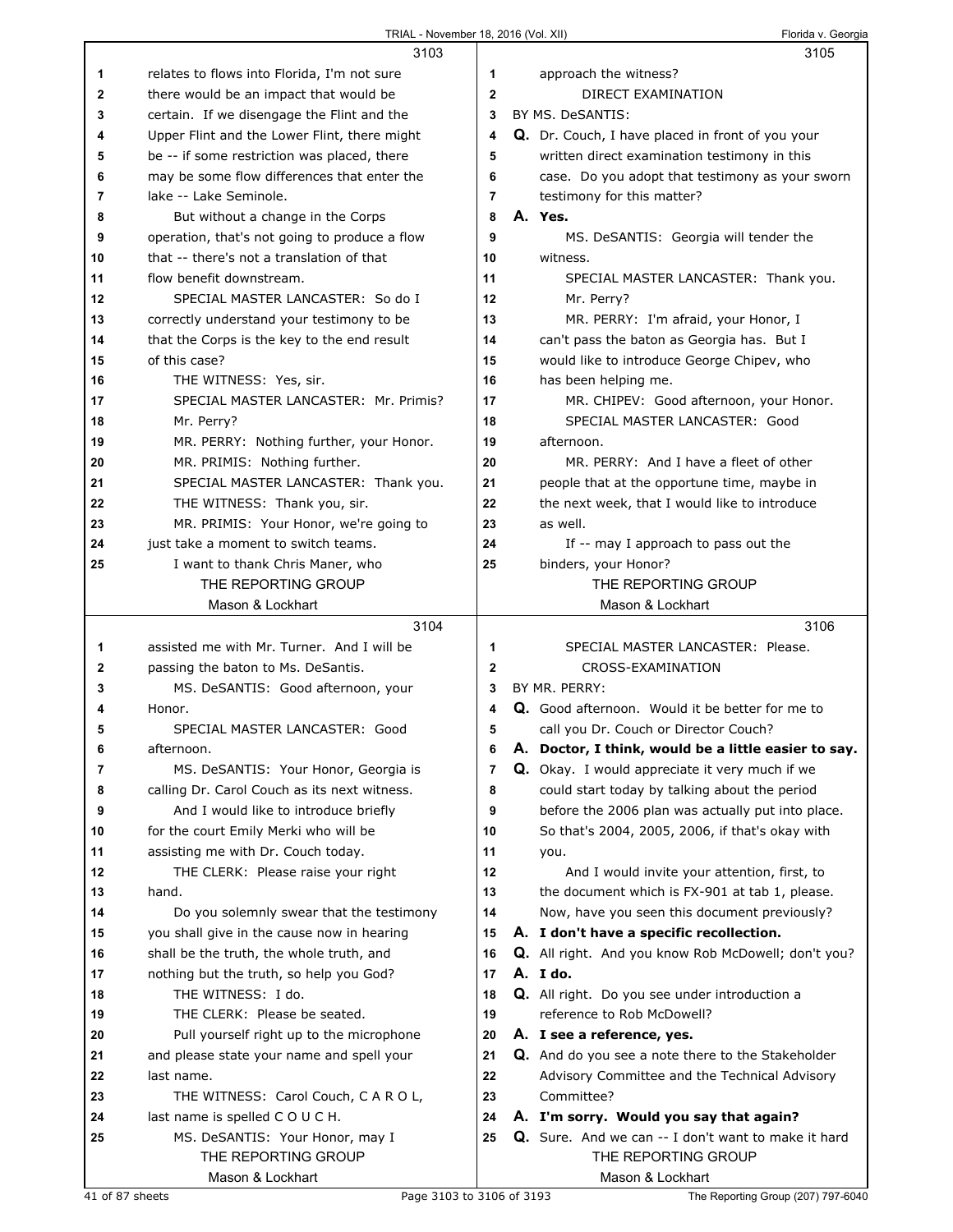|              | 3103                                                          |                | 3105                                                                        |
|--------------|---------------------------------------------------------------|----------------|-----------------------------------------------------------------------------|
| 1            | relates to flows into Florida, I'm not sure                   | 1              | approach the witness?                                                       |
| $\mathbf{2}$ | there would be an impact that would be                        | $\mathbf{2}$   | DIRECT EXAMINATION                                                          |
| 3            | certain. If we disengage the Flint and the                    | 3              | BY MS. DeSANTIS:                                                            |
| 4            | Upper Flint and the Lower Flint, there might                  | 4              | Q. Dr. Couch, I have placed in front of you your                            |
| 5            | be -- if some restriction was placed, there                   | 5              | written direct examination testimony in this                                |
| 6            | may be some flow differences that enter the                   | 6              | case. Do you adopt that testimony as your sworn                             |
| 7            | lake -- Lake Seminole.                                        | $\overline{7}$ | testimony for this matter?                                                  |
|              |                                                               | 8              | A. Yes.                                                                     |
| 8            | But without a change in the Corps                             |                |                                                                             |
| 9            | operation, that's not going to produce a flow                 | 9              | MS. DeSANTIS: Georgia will tender the                                       |
| 10           | that -- there's not a translation of that                     | 10             | witness.                                                                    |
| 11           | flow benefit downstream.                                      | 11             | SPECIAL MASTER LANCASTER: Thank you.                                        |
| 12           | SPECIAL MASTER LANCASTER: So do I                             | 12             | Mr. Perry?                                                                  |
| 13           | correctly understand your testimony to be                     | 13             | MR. PERRY: I'm afraid, your Honor, I                                        |
| 14           | that the Corps is the key to the end result                   | 14             | can't pass the baton as Georgia has. But I                                  |
| 15           | of this case?                                                 | 15             | would like to introduce George Chipev, who                                  |
| 16           | THE WITNESS: Yes, sir.                                        | 16             | has been helping me.                                                        |
| 17           | SPECIAL MASTER LANCASTER: Mr. Primis?                         | 17             | MR. CHIPEV: Good afternoon, your Honor.                                     |
| 18           | Mr. Perry?                                                    | 18             | SPECIAL MASTER LANCASTER: Good                                              |
| 19           | MR. PERRY: Nothing further, your Honor.                       | 19             | afternoon.                                                                  |
| 20           | MR. PRIMIS: Nothing further.                                  | 20             | MR. PERRY: And I have a fleet of other                                      |
| 21           | SPECIAL MASTER LANCASTER: Thank you.                          | 21             | people that at the opportune time, maybe in                                 |
| 22           | THE WITNESS: Thank you, sir.                                  | 22             | the next week, that I would like to introduce                               |
| 23           | MR. PRIMIS: Your Honor, we're going to                        | 23             | as well.                                                                    |
| 24           | just take a moment to switch teams.                           | 24             | If -- may I approach to pass out the                                        |
| 25           | I want to thank Chris Maner, who                              | 25             |                                                                             |
|              | THE REPORTING GROUP                                           |                | binders, your Honor?<br>THE REPORTING GROUP                                 |
|              | Mason & Lockhart                                              |                | Mason & Lockhart                                                            |
|              |                                                               |                |                                                                             |
|              |                                                               |                |                                                                             |
|              | 3104                                                          |                | 3106                                                                        |
| 1            | assisted me with Mr. Turner. And I will be                    | 1              | SPECIAL MASTER LANCASTER: Please.                                           |
| 2            | passing the baton to Ms. DeSantis.                            | $\mathbf{2}$   | CROSS-EXAMINATION                                                           |
| 3            | MS. DeSANTIS: Good afternoon, your                            | 3              | BY MR. PERRY:                                                               |
| 4            | Honor.                                                        | 4              | Q. Good afternoon. Would it be better for me to                             |
| 5            | SPECIAL MASTER LANCASTER: Good                                | 5              | call you Dr. Couch or Director Couch?                                       |
| 6            | afternoon.                                                    | 6              | A. Doctor, I think, would be a little easier to say.                        |
| 7            | MS. DeSANTIS: Your Honor, Georgia is                          | 7              | Q. Okay. I would appreciate it very much if we                              |
| 8            | calling Dr. Carol Couch as its next witness.                  | 8              | could start today by talking about the period                               |
| 9            | And I would like to introduce briefly                         | 9              | before the 2006 plan was actually put into place.                           |
| 10           | for the court Emily Merki who will be                         | 10             | So that's 2004, 2005, 2006, if that's okay with                             |
| 11           | assisting me with Dr. Couch today.                            | 11             | you.                                                                        |
| 12           | THE CLERK: Please raise your right                            | 12             | And I would invite your attention, first, to                                |
| 13           | hand.                                                         | 13             | the document which is FX-901 at tab 1, please.                              |
| 14           | Do you solemnly swear that the testimony                      | 14             | Now, have you seen this document previously?                                |
| 15           |                                                               | 15             | A. I don't have a specific recollection.                                    |
| 16           | you shall give in the cause now in hearing                    | 16             |                                                                             |
| 17           | shall be the truth, the whole truth, and                      | 17             | Q. All right. And you know Rob McDowell; don't you?<br>A. I do.             |
| 18           | nothing but the truth, so help you God?<br>THE WITNESS: I do. | 18             |                                                                             |
| 19           | THE CLERK: Please be seated.                                  | 19             | Q. All right. Do you see under introduction a<br>reference to Rob McDowell? |
|              |                                                               |                |                                                                             |
| 20           | Pull yourself right up to the microphone                      | 20             | A. I see a reference, yes.                                                  |
| 21           | and please state your name and spell your                     | 21             | Q. And do you see a note there to the Stakeholder                           |
| 22           | last name.                                                    | 22             | Advisory Committee and the Technical Advisory                               |
| 23           | THE WITNESS: Carol Couch, C A R O L,                          | 23             | Committee?                                                                  |
| 24           | last name is spelled COUCH.                                   | 24             | A. I'm sorry. Would you say that again?                                     |
| 25           | MS. DeSANTIS: Your Honor, may I                               | 25             | <b>Q.</b> Sure. And we can -- I don't want to make it hard                  |
|              | THE REPORTING GROUP<br>Mason & Lockhart                       |                | THE REPORTING GROUP<br>Mason & Lockhart                                     |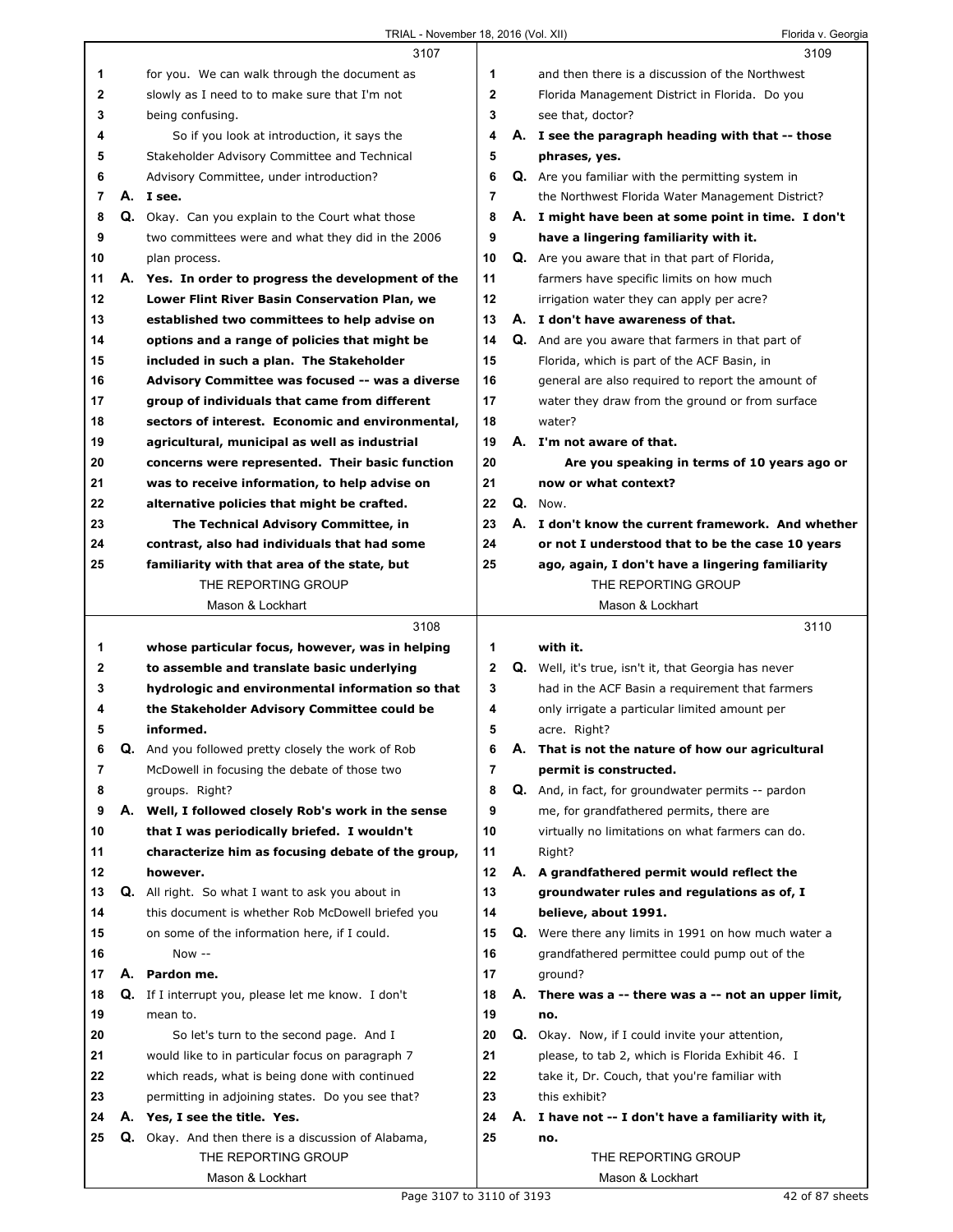|                |    | 3107                                                      |                |    | 3109                                                        |
|----------------|----|-----------------------------------------------------------|----------------|----|-------------------------------------------------------------|
| 1              |    | for you. We can walk through the document as              | 1              |    | and then there is a discussion of the Northwest             |
| 2              |    | slowly as I need to to make sure that I'm not             | $\mathbf{2}$   |    | Florida Management District in Florida. Do you              |
| 3              |    | being confusing.                                          | 3              |    | see that, doctor?                                           |
| 4              |    | So if you look at introduction, it says the               | 4              |    | A. I see the paragraph heading with that -- those           |
| 5              |    | Stakeholder Advisory Committee and Technical              | 5              |    | phrases, yes.                                               |
| 6              |    | Advisory Committee, under introduction?                   | 6              |    | <b>Q.</b> Are you familiar with the permitting system in    |
| $\overline{7}$ |    | A. I see.                                                 | $\overline{7}$ |    | the Northwest Florida Water Management District?            |
| 8              |    | Q. Okay. Can you explain to the Court what those          | 8              |    | A. I might have been at some point in time. I don't         |
| 9              |    | two committees were and what they did in the 2006         | 9              |    | have a lingering familiarity with it.                       |
| 10             |    | plan process.                                             | 10             |    | <b>Q.</b> Are you aware that in that part of Florida,       |
| 11             |    | A. Yes. In order to progress the development of the       | 11             |    | farmers have specific limits on how much                    |
| 12             |    | Lower Flint River Basin Conservation Plan, we             | 12             |    | irrigation water they can apply per acre?                   |
| 13             |    | established two committees to help advise on              | 13             |    | A. I don't have awareness of that.                          |
| 14             |    | options and a range of policies that might be             | 14             |    | Q. And are you aware that farmers in that part of           |
| 15             |    | included in such a plan. The Stakeholder                  | 15             |    | Florida, which is part of the ACF Basin, in                 |
| 16             |    | Advisory Committee was focused -- was a diverse           | 16             |    | general are also required to report the amount of           |
| 17             |    | group of individuals that came from different             | 17             |    | water they draw from the ground or from surface             |
| 18             |    | sectors of interest. Economic and environmental,          | 18             |    | water?                                                      |
| 19             |    | agricultural, municipal as well as industrial             | 19             |    | A. I'm not aware of that.                                   |
| 20             |    | concerns were represented. Their basic function           | 20             |    | Are you speaking in terms of 10 years ago or                |
| 21             |    | was to receive information, to help advise on             | 21             |    | now or what context?                                        |
| 22             |    | alternative policies that might be crafted.               | 22             |    | Q. Now.                                                     |
| 23             |    | The Technical Advisory Committee, in                      | 23             |    | A. I don't know the current framework. And whether          |
| 24             |    | contrast, also had individuals that had some              | 24             |    | or not I understood that to be the case 10 years            |
| 25             |    | familiarity with that area of the state, but              | 25             |    | ago, again, I don't have a lingering familiarity            |
|                |    | THE REPORTING GROUP                                       |                |    | THE REPORTING GROUP                                         |
|                |    | Mason & Lockhart                                          |                |    | Mason & Lockhart                                            |
|                |    |                                                           |                |    |                                                             |
|                |    | 3108                                                      |                |    | 3110                                                        |
| 1              |    | whose particular focus, however, was in helping           | 1              |    | with it.                                                    |
| $\mathbf{2}$   |    | to assemble and translate basic underlying                | 2              |    | <b>Q.</b> Well, it's true, isn't it, that Georgia has never |
| 3              |    | hydrologic and environmental information so that          | 3              |    | had in the ACF Basin a requirement that farmers             |
| 4              |    | the Stakeholder Advisory Committee could be               | 4              |    | only irrigate a particular limited amount per               |
| 5              |    | informed.                                                 | 5              |    | acre. Right?                                                |
| 6              | Q. | And you followed pretty closely the work of Rob           | 6              | Α. | That is not the nature of how our agricultural              |
| 7              |    | McDowell in focusing the debate of those two              | 7              |    | permit is constructed.                                      |
| 8              |    | groups. Right?                                            | 8              |    | <b>Q.</b> And, in fact, for groundwater permits -- pardon   |
| 9              |    | A. Well, I followed closely Rob's work in the sense       | 9              |    | me, for grandfathered permits, there are                    |
| 10             |    | that I was periodically briefed. I wouldn't               | 10             |    | virtually no limitations on what farmers can do.            |
| 11             |    | characterize him as focusing debate of the group,         | 11             |    | Right?                                                      |
| 12             |    | however.                                                  | 12             |    | A. A grandfathered permit would reflect the                 |
| 13             | Q. | All right. So what I want to ask you about in             | 13             |    | groundwater rules and regulations as of, I                  |
| 14             |    | this document is whether Rob McDowell briefed you         | 14             |    | believe, about 1991.                                        |
| 15             |    | on some of the information here, if I could.              | 15             |    | Q. Were there any limits in 1991 on how much water a        |
| 16             |    | Now --                                                    | 16             |    | grandfathered permittee could pump out of the               |
| 17             | А. | Pardon me.                                                | 17             |    | ground?                                                     |
| 18             |    | <b>Q.</b> If I interrupt you, please let me know. I don't | 18             |    | A. There was a -- there was a -- not an upper limit,        |
| 19             |    | mean to.                                                  | 19             |    | no.                                                         |
| 20             |    | So let's turn to the second page. And I                   | 20             |    | Q. Okay. Now, if I could invite your attention,             |
| 21             |    | would like to in particular focus on paragraph 7          | 21             |    | please, to tab 2, which is Florida Exhibit 46. I            |
| 22             |    | which reads, what is being done with continued            | 22             |    | take it, Dr. Couch, that you're familiar with               |
| 23             |    | permitting in adjoining states. Do you see that?          | 23             |    | this exhibit?                                               |
| 24             |    | A. Yes, I see the title. Yes.                             | 24             |    | A. I have not -- I don't have a familiarity with it,        |
| 25             |    | Q. Okay. And then there is a discussion of Alabama,       | 25             |    | no.                                                         |
|                |    | THE REPORTING GROUP                                       |                |    | THE REPORTING GROUP                                         |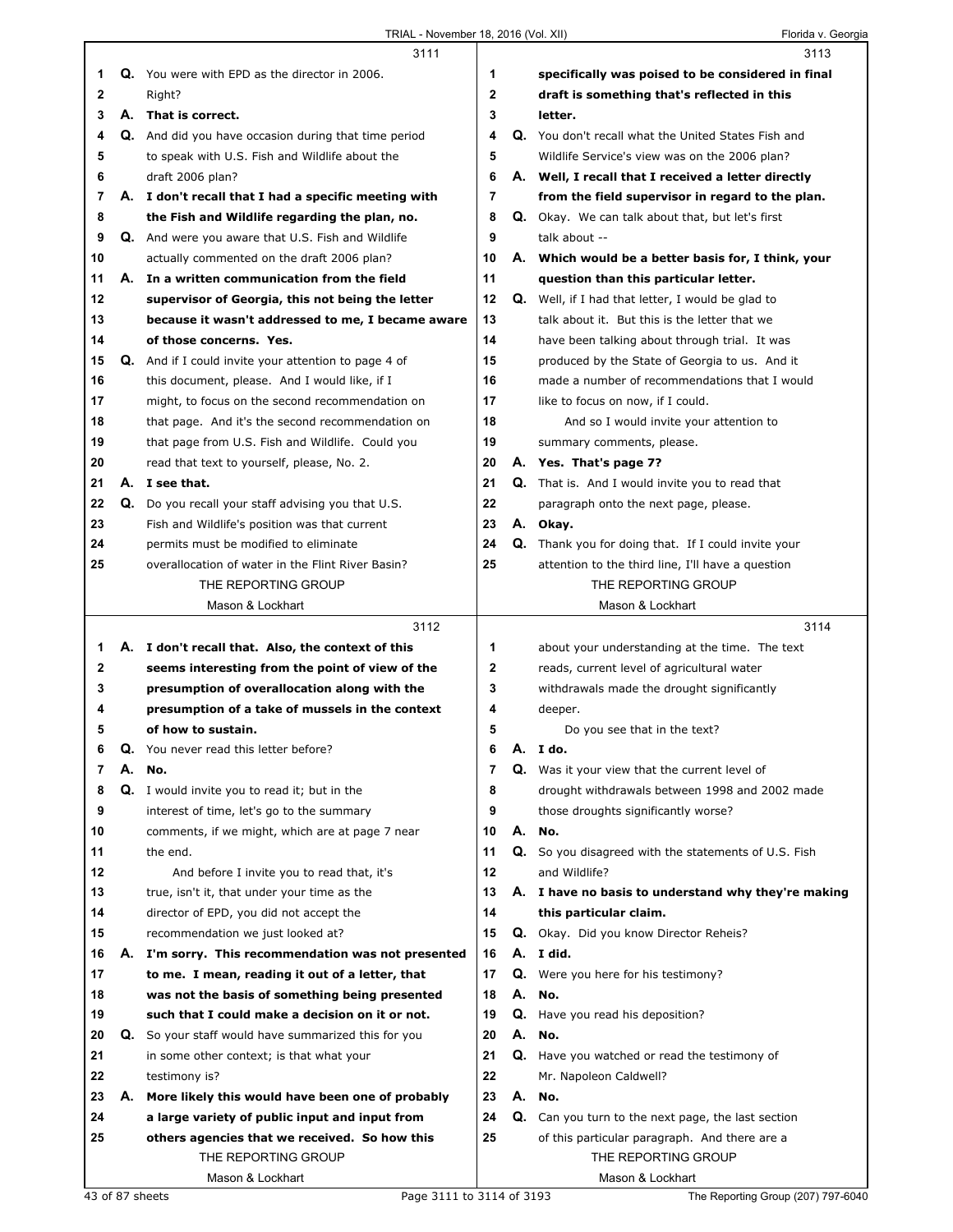|              |    | 3111                                                        |              |    | 3113                                                                                                |
|--------------|----|-------------------------------------------------------------|--------------|----|-----------------------------------------------------------------------------------------------------|
| 1            |    | Q. You were with EPD as the director in 2006.               | 1            |    | specifically was poised to be considered in final                                                   |
| $\mathbf{2}$ |    | Right?                                                      | $\mathbf{2}$ |    | draft is something that's reflected in this                                                         |
| 3            |    | A. That is correct.                                         | 3            |    | letter.                                                                                             |
| 4            |    | <b>Q.</b> And did you have occasion during that time period | 4            |    | Q. You don't recall what the United States Fish and                                                 |
| 5            |    | to speak with U.S. Fish and Wildlife about the              | 5            |    | Wildlife Service's view was on the 2006 plan?                                                       |
| 6            |    | draft 2006 plan?                                            | 6            |    | A. Well, I recall that I received a letter directly                                                 |
| 7            |    | A. I don't recall that I had a specific meeting with        | 7            |    | from the field supervisor in regard to the plan.                                                    |
| 8            |    | the Fish and Wildlife regarding the plan, no.               | 8            |    | <b>Q.</b> Okay. We can talk about that, but let's first                                             |
| 9            |    | <b>Q.</b> And were you aware that U.S. Fish and Wildlife    | 9            |    | talk about --                                                                                       |
| 10           |    | actually commented on the draft 2006 plan?                  | 10           |    | A. Which would be a better basis for, I think, your                                                 |
| 11           |    | A. In a written communication from the field                | 11           |    | question than this particular letter.                                                               |
| 12           |    | supervisor of Georgia, this not being the letter            | 12           |    | <b>Q.</b> Well, if I had that letter, I would be glad to                                            |
| 13           |    | because it wasn't addressed to me, I became aware           | 13           |    | talk about it. But this is the letter that we                                                       |
| 14           |    | of those concerns. Yes.                                     | 14           |    | have been talking about through trial. It was                                                       |
| 15           |    | <b>Q.</b> And if I could invite your attention to page 4 of | 15           |    | produced by the State of Georgia to us. And it                                                      |
| 16           |    | this document, please. And I would like, if I               | 16           |    | made a number of recommendations that I would                                                       |
| 17           |    | might, to focus on the second recommendation on             | 17           |    | like to focus on now, if I could.                                                                   |
| 18           |    | that page. And it's the second recommendation on            | 18           |    | And so I would invite your attention to                                                             |
| 19           |    | that page from U.S. Fish and Wildlife. Could you            | 19           |    | summary comments, please.                                                                           |
| 20           |    | read that text to yourself, please, No. 2.                  | 20           |    | A. Yes. That's page 7?                                                                              |
| 21           |    | A. I see that.                                              | 21           |    | Q. That is. And I would invite you to read that                                                     |
| 22           | Q. | Do you recall your staff advising you that U.S.             | 22           |    | paragraph onto the next page, please.                                                               |
| 23           |    | Fish and Wildlife's position was that current               | 23           |    | A. Okay.                                                                                            |
| 24           |    | permits must be modified to eliminate                       | 24           |    | Q. Thank you for doing that. If I could invite your                                                 |
| 25           |    | overallocation of water in the Flint River Basin?           | 25           |    | attention to the third line, I'll have a question                                                   |
|              |    | THE REPORTING GROUP                                         |              |    | THE REPORTING GROUP                                                                                 |
|              |    | Mason & Lockhart                                            |              |    | Mason & Lockhart                                                                                    |
|              |    | 3112                                                        |              |    | 3114                                                                                                |
| 1            |    | A. I don't recall that. Also, the context of this           | 1            |    | about your understanding at the time. The text                                                      |
| $\mathbf{2}$ |    | seems interesting from the point of view of the             | $\mathbf 2$  |    | reads, current level of agricultural water                                                          |
|              |    |                                                             |              |    |                                                                                                     |
| 3            |    | presumption of overallocation along with the                | 3            |    | withdrawals made the drought significantly                                                          |
| 4            |    | presumption of a take of mussels in the context             | 4            |    | deeper.                                                                                             |
| 5            |    | of how to sustain.                                          | 5            |    | Do you see that in the text?                                                                        |
| 6            | Q. | You never read this letter before?                          | 6            | А. | I do.                                                                                               |
| 7            | А. | No.                                                         | 7            |    | Q. Was it your view that the current level of                                                       |
| 8            |    | Q. I would invite you to read it; but in the                | 8            |    | drought withdrawals between 1998 and 2002 made                                                      |
| 9            |    | interest of time, let's go to the summary                   | 9            |    | those droughts significantly worse?                                                                 |
| 10           |    | comments, if we might, which are at page 7 near             | 10           |    | A. No.                                                                                              |
| 11           |    | the end.                                                    | 11           |    |                                                                                                     |
| 12           |    | And before I invite you to read that, it's                  | 12           |    | Q. So you disagreed with the statements of U.S. Fish<br>and Wildlife?                               |
| 13           |    | true, isn't it, that under your time as the                 | 13           |    | A. I have no basis to understand why they're making                                                 |
| 14           |    | director of EPD, you did not accept the                     | 14           |    | this particular claim.                                                                              |
| 15           |    | recommendation we just looked at?                           | 15           |    | Q. Okay. Did you know Director Reheis?                                                              |
| 16           |    | A. I'm sorry. This recommendation was not presented         | 16           |    | A. I did.                                                                                           |
| 17           |    | to me. I mean, reading it out of a letter, that             | 17           |    | Q. Were you here for his testimony?                                                                 |
| 18           |    | was not the basis of something being presented              | 18           | А. | No.                                                                                                 |
| 19           |    | such that I could make a decision on it or not.             | 19           |    |                                                                                                     |
| 20           |    | Q. So your staff would have summarized this for you         | 20           | А. | Q. Have you read his deposition?<br>No.                                                             |
| 21           |    | in some other context; is that what your                    | 21           | Q. | Have you watched or read the testimony of                                                           |
| 22           |    | testimony is?                                               | 22           |    | Mr. Napoleon Caldwell?                                                                              |
| 23           | А. | More likely this would have been one of probably            | 23           |    | A. No.                                                                                              |
| 24           |    | a large variety of public input and input from              | 24           |    |                                                                                                     |
| 25           |    | others agencies that we received. So how this               | 25           |    | Q. Can you turn to the next page, the last section<br>of this particular paragraph. And there are a |
|              |    | THE REPORTING GROUP                                         |              |    | THE REPORTING GROUP                                                                                 |
|              |    | Mason & Lockhart                                            |              |    | Mason & Lockhart                                                                                    |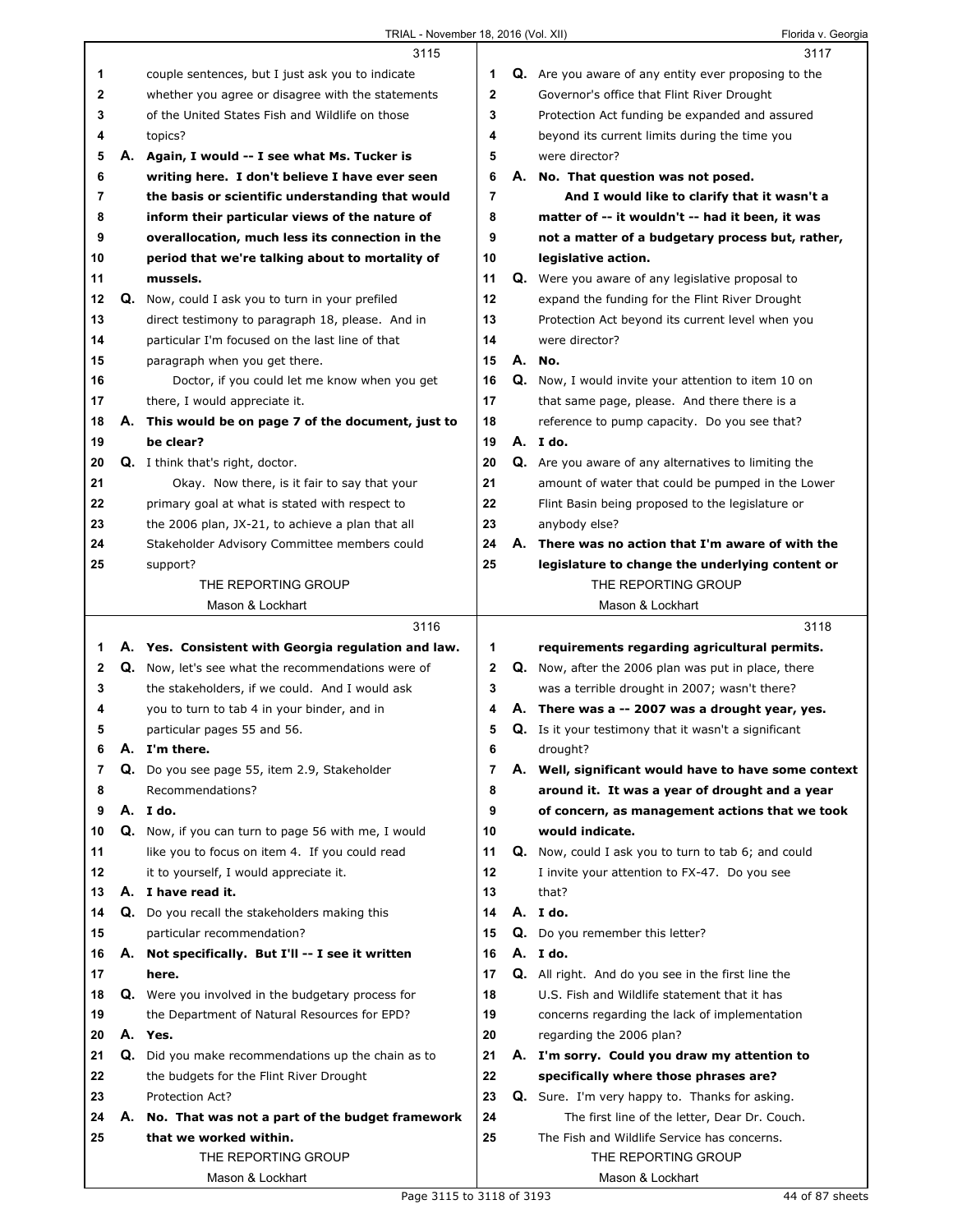|              |    | 3115                                                                                                  |             | 3117                                                                                                   |
|--------------|----|-------------------------------------------------------------------------------------------------------|-------------|--------------------------------------------------------------------------------------------------------|
| 1            |    | couple sentences, but I just ask you to indicate                                                      | 1           | Q. Are you aware of any entity ever proposing to the                                                   |
| 2            |    | whether you agree or disagree with the statements                                                     | $\mathbf 2$ | Governor's office that Flint River Drought                                                             |
| 3            |    | of the United States Fish and Wildlife on those                                                       | 3           | Protection Act funding be expanded and assured                                                         |
| 4            |    | topics?                                                                                               | 4           | beyond its current limits during the time you                                                          |
| 5            |    | A. Again, I would -- I see what Ms. Tucker is                                                         | 5           | were director?                                                                                         |
| 6            |    | writing here. I don't believe I have ever seen                                                        | 6           | A. No. That question was not posed.                                                                    |
| 7            |    | the basis or scientific understanding that would                                                      | 7           | And I would like to clarify that it wasn't a                                                           |
| 8            |    | inform their particular views of the nature of                                                        | 8           | matter of -- it wouldn't -- had it been, it was                                                        |
| 9            |    | overallocation, much less its connection in the                                                       | 9           | not a matter of a budgetary process but, rather,                                                       |
| 10           |    | period that we're talking about to mortality of                                                       | 10          | legislative action.                                                                                    |
| 11           |    | mussels.                                                                                              | 11          | Q. Were you aware of any legislative proposal to                                                       |
| 12           | Q. | Now, could I ask you to turn in your prefiled                                                         | 12          | expand the funding for the Flint River Drought                                                         |
| 13           |    | direct testimony to paragraph 18, please. And in                                                      | 13          | Protection Act beyond its current level when you                                                       |
| 14           |    | particular I'm focused on the last line of that                                                       | 14          | were director?                                                                                         |
| 15           |    | paragraph when you get there.                                                                         | 15          | A. No.                                                                                                 |
| 16           |    | Doctor, if you could let me know when you get                                                         | 16          | <b>Q.</b> Now, I would invite your attention to item 10 on                                             |
| 17           |    | there, I would appreciate it.                                                                         | 17          | that same page, please. And there there is a                                                           |
| 18           |    | A. This would be on page 7 of the document, just to                                                   | 18          | reference to pump capacity. Do you see that?                                                           |
| 19           |    | be clear?                                                                                             | 19          | A. I do.                                                                                               |
| 20           |    | <b>Q.</b> I think that's right, doctor.                                                               | 20          | Q. Are you aware of any alternatives to limiting the                                                   |
| 21           |    | Okay. Now there, is it fair to say that your                                                          | 21          | amount of water that could be pumped in the Lower                                                      |
| 22           |    | primary goal at what is stated with respect to                                                        | 22          | Flint Basin being proposed to the legislature or                                                       |
| 23           |    | the 2006 plan, JX-21, to achieve a plan that all                                                      | 23          | anybody else?                                                                                          |
| 24           |    | Stakeholder Advisory Committee members could                                                          | 24          | A. There was no action that I'm aware of with the                                                      |
| 25           |    | support?                                                                                              | 25          | legislature to change the underlying content or                                                        |
|              |    | THE REPORTING GROUP                                                                                   |             | THE REPORTING GROUP                                                                                    |
|              |    | Mason & Lockhart                                                                                      |             | Mason & Lockhart                                                                                       |
|              |    |                                                                                                       |             |                                                                                                        |
|              |    | 3116                                                                                                  |             | 3118                                                                                                   |
| 1            |    |                                                                                                       | 1           |                                                                                                        |
| $\mathbf{2}$ |    | A. Yes. Consistent with Georgia regulation and law.                                                   | $\mathbf 2$ | requirements regarding agricultural permits.                                                           |
| 3            |    | Q. Now, let's see what the recommendations were of<br>the stakeholders, if we could. And I would ask  | 3           | Q. Now, after the 2006 plan was put in place, there                                                    |
| 4            |    | you to turn to tab 4 in your binder, and in                                                           | 4           | was a terrible drought in 2007; wasn't there?                                                          |
| 5            |    |                                                                                                       | 5           | A. There was a -- 2007 was a drought year, yes.                                                        |
| 6            |    | particular pages 55 and 56.<br>A. I'm there.                                                          |             | Q. Is it your testimony that it wasn't a significant<br>drought?                                       |
| 7            | Q. |                                                                                                       | 6<br>7      |                                                                                                        |
| 8            |    | Do you see page 55, item 2.9, Stakeholder<br>Recommendations?                                         | 8           | A. Well, significant would have to have some context<br>around it. It was a year of drought and a year |
| 9            |    | A. I do.                                                                                              | 9           | of concern, as management actions that we took                                                         |
| 10           |    |                                                                                                       | 10          | would indicate.                                                                                        |
| 11           |    | Q. Now, if you can turn to page 56 with me, I would<br>like you to focus on item 4. If you could read | 11          | <b>Q.</b> Now, could I ask you to turn to tab 6; and could                                             |
| 12           |    | it to yourself, I would appreciate it.                                                                | 12          | I invite your attention to FX-47. Do you see                                                           |
| 13           |    | A. I have read it.                                                                                    | 13          | that?                                                                                                  |
| 14           |    |                                                                                                       | 14          | A. I do.                                                                                               |
| 15           |    | Q. Do you recall the stakeholders making this<br>particular recommendation?                           | 15          |                                                                                                        |
| 16           |    | A. Not specifically. But I'll -- I see it written                                                     | 16          | Q. Do you remember this letter?<br>A. I do.                                                            |
| 17           |    | here.                                                                                                 | 17          | Q. All right. And do you see in the first line the                                                     |
| 18           |    | Q. Were you involved in the budgetary process for                                                     | 18          | U.S. Fish and Wildlife statement that it has                                                           |
| 19           |    | the Department of Natural Resources for EPD?                                                          | 19          | concerns regarding the lack of implementation                                                          |
| 20           |    | A. Yes.                                                                                               | 20          | regarding the 2006 plan?                                                                               |
| 21           | Q. | Did you make recommendations up the chain as to                                                       | 21          | A. I'm sorry. Could you draw my attention to                                                           |
| 22           |    | the budgets for the Flint River Drought                                                               | 22          | specifically where those phrases are?                                                                  |
| 23           |    | Protection Act?                                                                                       | 23          |                                                                                                        |
| 24           |    |                                                                                                       | 24          | Q. Sure. I'm very happy to. Thanks for asking.                                                         |
| 25           |    | A. No. That was not a part of the budget framework<br>that we worked within.                          | 25          | The first line of the letter, Dear Dr. Couch.<br>The Fish and Wildlife Service has concerns.           |
|              |    | THE REPORTING GROUP                                                                                   |             | THE REPORTING GROUP                                                                                    |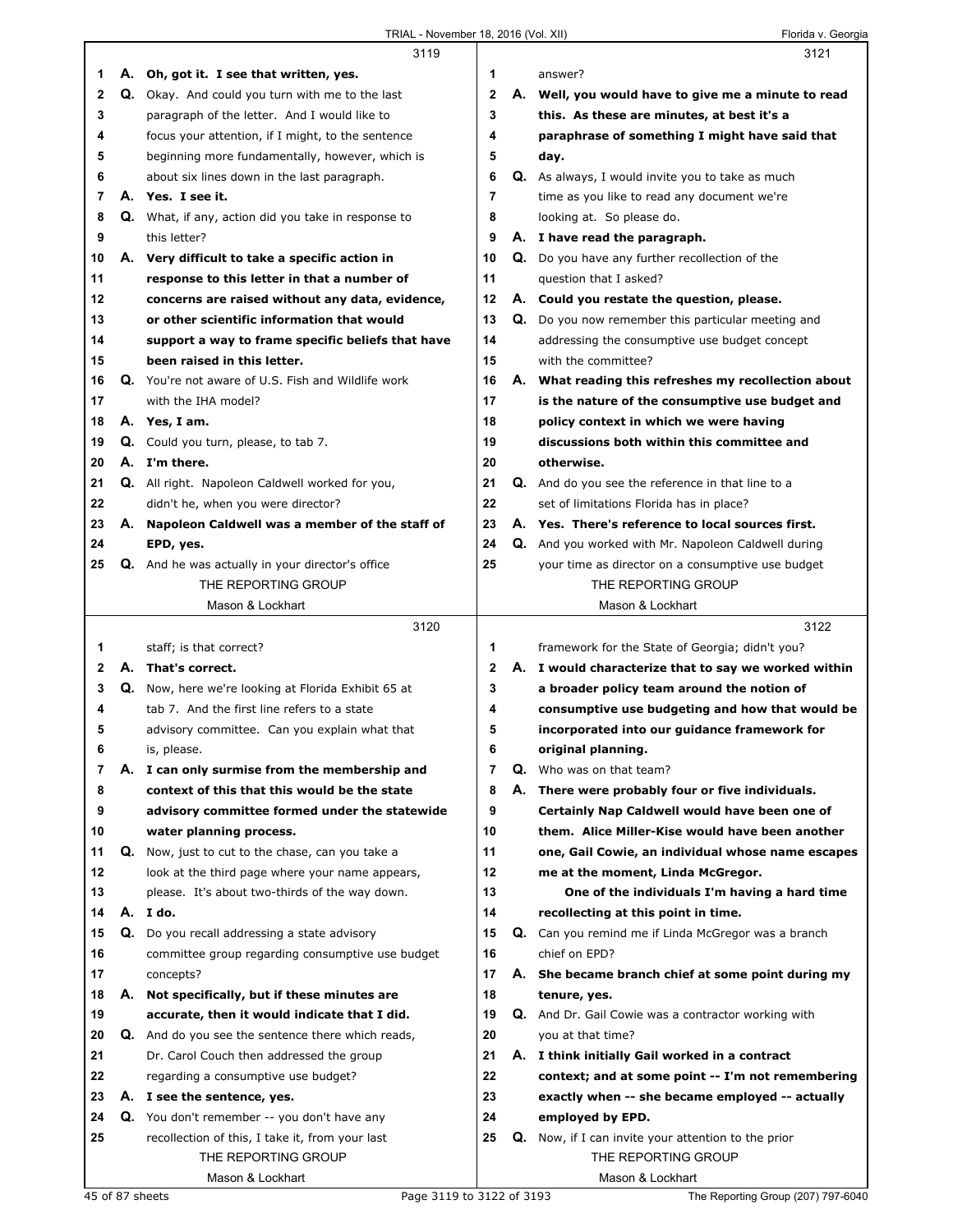|                |    | 3119                                                    |                |    | 3121                                                                 |
|----------------|----|---------------------------------------------------------|----------------|----|----------------------------------------------------------------------|
| 1              |    | A. Oh, got it. I see that written, yes.                 | 1              |    | answer?                                                              |
| $\mathbf{2}$   |    | Q. Okay. And could you turn with me to the last         | 2              |    | A. Well, you would have to give me a minute to read                  |
| 3              |    | paragraph of the letter. And I would like to            | 3              |    | this. As these are minutes, at best it's a                           |
| 4              |    | focus your attention, if I might, to the sentence       | 4              |    | paraphrase of something I might have said that                       |
| 5              |    | beginning more fundamentally, however, which is         | 5              |    | day.                                                                 |
| 6              |    | about six lines down in the last paragraph.             | 6              |    | Q. As always, I would invite you to take as much                     |
| 7              |    | A. Yes. I see it.                                       | $\overline{7}$ |    | time as you like to read any document we're                          |
| 8              |    | Q. What, if any, action did you take in response to     | 8              |    |                                                                      |
|                |    |                                                         |                |    | looking at. So please do.                                            |
| 9              |    | this letter?                                            | 9              |    | A. I have read the paragraph.                                        |
| 10             |    | A. Very difficult to take a specific action in          | 10             |    | Q. Do you have any further recollection of the                       |
| 11             |    | response to this letter in that a number of             | 11             |    | question that I asked?                                               |
| 12             |    | concerns are raised without any data, evidence,         | 12             |    | A. Could you restate the question, please.                           |
| 13             |    | or other scientific information that would              | 13             |    | Q. Do you now remember this particular meeting and                   |
| 14             |    | support a way to frame specific beliefs that have       | 14             |    | addressing the consumptive use budget concept                        |
| 15             |    | been raised in this letter.                             | 15             |    | with the committee?                                                  |
| 16             |    | Q. You're not aware of U.S. Fish and Wildlife work      | 16             |    | A. What reading this refreshes my recollection about                 |
| 17             |    | with the IHA model?                                     | 17             |    | is the nature of the consumptive use budget and                      |
| 18             |    | A. Yes, I am.                                           | 18             |    | policy context in which we were having                               |
| 19             |    | Q. Could you turn, please, to tab 7.                    | 19             |    | discussions both within this committee and                           |
| 20             |    | A. I'm there.                                           | 20             |    | otherwise.                                                           |
| 21             |    | Q. All right. Napoleon Caldwell worked for you,         | 21             |    | Q. And do you see the reference in that line to a                    |
| 22             |    | didn't he, when you were director?                      | 22             |    | set of limitations Florida has in place?                             |
| 23             |    | A. Napoleon Caldwell was a member of the staff of       | 23             |    | A. Yes. There's reference to local sources first.                    |
| 24             |    | EPD, yes.                                               | 24             |    | Q. And you worked with Mr. Napoleon Caldwell during                  |
| 25             |    | <b>Q.</b> And he was actually in your director's office | 25             |    | your time as director on a consumptive use budget                    |
|                |    | THE REPORTING GROUP                                     |                |    | THE REPORTING GROUP                                                  |
|                |    |                                                         |                |    | Mason & Lockhart                                                     |
|                |    | Mason & Lockhart                                        |                |    |                                                                      |
|                |    |                                                         |                |    |                                                                      |
|                |    | 3120                                                    |                |    | 3122                                                                 |
| 1              |    | staff; is that correct?                                 | 1              |    | framework for the State of Georgia; didn't you?                      |
| $\mathbf{2}$   |    | A. That's correct.                                      | $\mathbf{2}$   |    | A. I would characterize that to say we worked within                 |
| 3              | Q. | Now, here we're looking at Florida Exhibit 65 at        | 3              |    | a broader policy team around the notion of                           |
| 4              |    | tab 7. And the first line refers to a state             | 4              |    | consumptive use budgeting and how that would be                      |
| 5              |    | advisory committee. Can you explain what that           | 5              |    | incorporated into our quidance framework for                         |
| 6              |    | is, please.                                             | 6              |    | original planning.                                                   |
| $\overline{7}$ |    | A. I can only surmise from the membership and           | 7              | Q. | Who was on that team?                                                |
| 8              |    | context of this that this would be the state            | 8              |    | A. There were probably four or five individuals.                     |
| 9              |    | advisory committee formed under the statewide           | 9              |    | Certainly Nap Caldwell would have been one of                        |
| 10             |    | water planning process.                                 | 10             |    | them. Alice Miller-Kise would have been another                      |
| 11             | Q. | Now, just to cut to the chase, can you take a           | 11             |    | one, Gail Cowie, an individual whose name escapes                    |
| 12             |    | look at the third page where your name appears,         | 12             |    | me at the moment, Linda McGregor.                                    |
| 13             |    | please. It's about two-thirds of the way down.          | 13             |    | One of the individuals I'm having a hard time                        |
| 14             | А. | I do.                                                   | 14             |    | recollecting at this point in time.                                  |
| 15             | Q. | Do you recall addressing a state advisory               | 15             |    |                                                                      |
| 16             |    | committee group regarding consumptive use budget        | 16             |    | Q. Can you remind me if Linda McGregor was a branch<br>chief on EPD? |
| 17             |    | concepts?                                               | 17             |    |                                                                      |
| 18             |    |                                                         | 18             |    | A. She became branch chief at some point during my                   |
|                |    | A. Not specifically, but if these minutes are           | 19             |    | tenure, yes.                                                         |
| 19             |    | accurate, then it would indicate that I did.            |                |    | Q. And Dr. Gail Cowie was a contractor working with                  |
| 20             |    | Q. And do you see the sentence there which reads,       | 20             |    | you at that time?                                                    |
| 21             |    | Dr. Carol Couch then addressed the group                | 21             |    | A. I think initially Gail worked in a contract                       |
| 22             |    | regarding a consumptive use budget?                     | 22             |    | context; and at some point -- I'm not remembering                    |
| 23             |    | A. I see the sentence, yes.                             | 23             |    | exactly when -- she became employed -- actually                      |
| 24             |    | Q. You don't remember -- you don't have any             | 24             |    | employed by EPD.                                                     |
| 25             |    | recollection of this, I take it, from your last         | 25             |    | Q. Now, if I can invite your attention to the prior                  |
|                |    | THE REPORTING GROUP<br>Mason & Lockhart                 |                |    | THE REPORTING GROUP<br>Mason & Lockhart                              |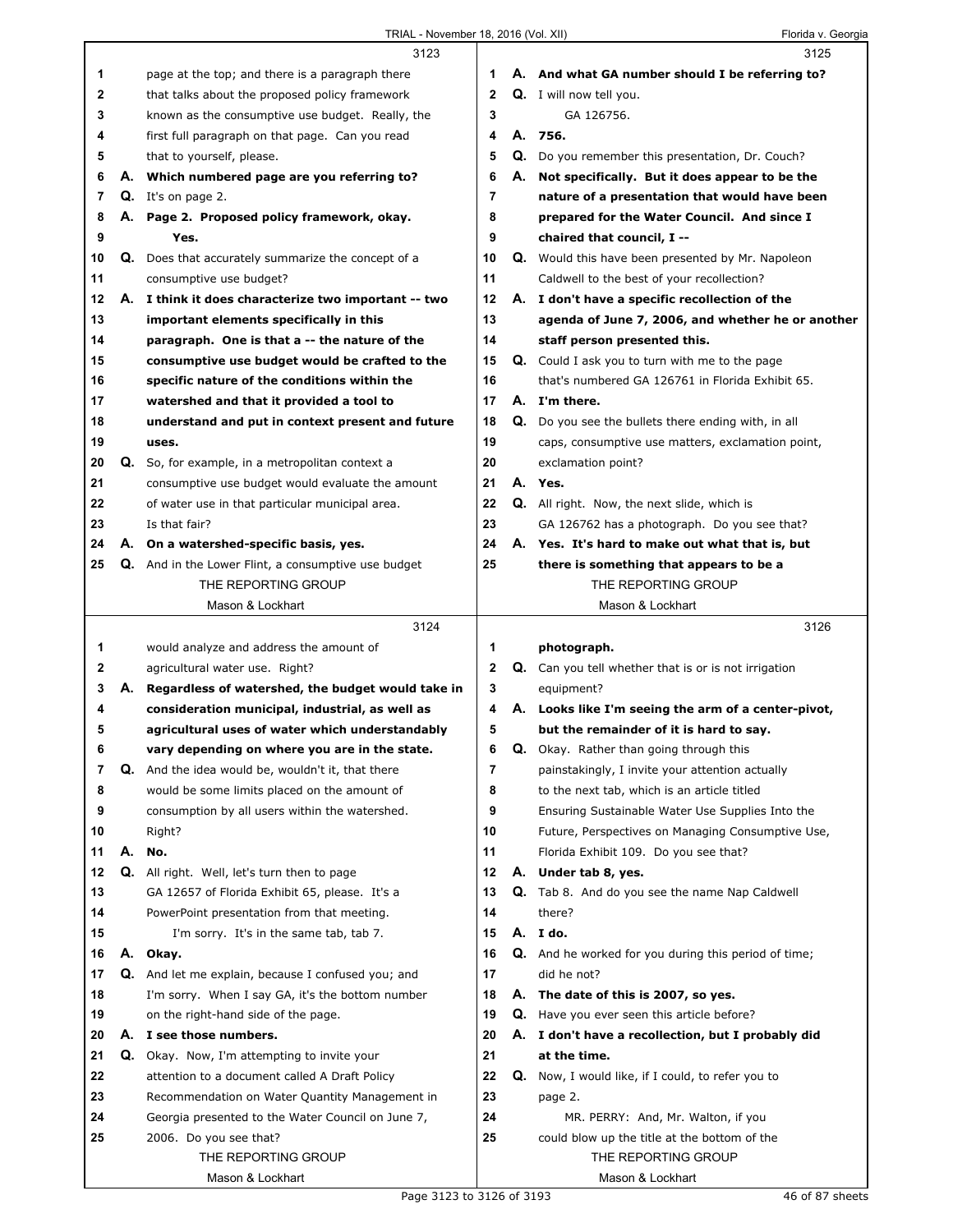## TRIAL - November 18, 2016 (Vol. XII) Florida v. Georgia

|    |    | 3123                                                 |              |    | 3125                                                        |
|----|----|------------------------------------------------------|--------------|----|-------------------------------------------------------------|
| 1  |    | page at the top; and there is a paragraph there      | 1            |    | A. And what GA number should I be referring to?             |
|    |    |                                                      | $\mathbf{2}$ |    | Q. I will now tell you.                                     |
| 2  |    | that talks about the proposed policy framework       | 3            |    | GA 126756.                                                  |
| 3  |    | known as the consumptive use budget. Really, the     |              |    |                                                             |
| 4  |    | first full paragraph on that page. Can you read      | 4            |    | A. 756.                                                     |
| 5  |    | that to yourself, please.                            | 5            | Q. | Do you remember this presentation, Dr. Couch?               |
| 6  |    | A. Which numbered page are you referring to?         | 6            | А. | Not specifically. But it does appear to be the              |
| 7  |    | Q. It's on page 2.                                   | 7            |    | nature of a presentation that would have been               |
| 8  |    | A. Page 2. Proposed policy framework, okay.          | 8            |    | prepared for the Water Council. And since I                 |
| 9  |    | Yes.                                                 | 9            |    | chaired that council, I --                                  |
| 10 | Q. | Does that accurately summarize the concept of a      | 10           |    | <b>Q.</b> Would this have been presented by Mr. Napoleon    |
| 11 |    | consumptive use budget?                              | 11           |    | Caldwell to the best of your recollection?                  |
| 12 |    | A. I think it does characterize two important -- two | 12           |    | A. I don't have a specific recollection of the              |
| 13 |    | important elements specifically in this              | 13           |    | agenda of June 7, 2006, and whether he or another           |
| 14 |    | paragraph. One is that a -- the nature of the        | 14           |    | staff person presented this.                                |
| 15 |    | consumptive use budget would be crafted to the       | 15           |    | <b>Q.</b> Could I ask you to turn with me to the page       |
| 16 |    | specific nature of the conditions within the         | 16           |    | that's numbered GA 126761 in Florida Exhibit 65.            |
| 17 |    | watershed and that it provided a tool to             | 17           |    | A. I'm there.                                               |
| 18 |    | understand and put in context present and future     | 18           |    | Q. Do you see the bullets there ending with, in all         |
| 19 |    | uses.                                                | 19           |    | caps, consumptive use matters, exclamation point,           |
| 20 |    | Q. So, for example, in a metropolitan context a      | 20           |    | exclamation point?                                          |
| 21 |    | consumptive use budget would evaluate the amount     | 21           |    | A. Yes.                                                     |
| 22 |    | of water use in that particular municipal area.      | 22           |    | Q. All right. Now, the next slide, which is                 |
| 23 |    | Is that fair?                                        | 23           |    | GA 126762 has a photograph. Do you see that?                |
| 24 |    | A. On a watershed-specific basis, yes.               | 24           |    | A. Yes. It's hard to make out what that is, but             |
| 25 |    | Q. And in the Lower Flint, a consumptive use budget  | 25           |    | there is something that appears to be a                     |
|    |    | THE REPORTING GROUP                                  |              |    | THE REPORTING GROUP                                         |
|    |    | Mason & Lockhart                                     |              |    | Mason & Lockhart                                            |
|    |    |                                                      |              |    |                                                             |
|    |    |                                                      |              |    |                                                             |
|    |    | 3124                                                 |              |    | 3126                                                        |
| 1  |    | would analyze and address the amount of              | 1            |    | photograph.                                                 |
| 2  |    | agricultural water use. Right?                       | $\mathbf{2}$ |    | Q. Can you tell whether that is or is not irrigation        |
| 3  | А. | Regardless of watershed, the budget would take in    | 3            |    | equipment?                                                  |
| 4  |    | consideration municipal, industrial, as well as      | 4            |    | A. Looks like I'm seeing the arm of a center-pivot,         |
| 5  |    | agricultural uses of water which understandably      | 5            |    | but the remainder of it is hard to say.                     |
| 6  |    | vary depending on where you are in the state.        | 6            | Q. | Okay. Rather than going through this                        |
| 7  | Q. | And the idea would be, wouldn't it, that there       | 7            |    | painstakingly, I invite your attention actually             |
| 8  |    | would be some limits placed on the amount of         | 8            |    | to the next tab, which is an article titled                 |
| 9  |    | consumption by all users within the watershed.       | 9            |    | Ensuring Sustainable Water Use Supplies Into the            |
| 10 |    | Right?                                               | 10           |    | Future, Perspectives on Managing Consumptive Use,           |
| 11 | А. | No.                                                  | 11           |    | Florida Exhibit 109. Do you see that?                       |
| 12 |    | Q. All right. Well, let's turn then to page          | 12           |    | A. Under tab 8, yes.                                        |
| 13 |    | GA 12657 of Florida Exhibit 65, please. It's a       | 13           |    | <b>Q.</b> Tab 8. And do you see the name Nap Caldwell       |
| 14 |    | PowerPoint presentation from that meeting.           | 14           |    | there?                                                      |
| 15 |    | I'm sorry. It's in the same tab, tab 7.              | 15           |    | A. I do.                                                    |
| 16 |    | A. Okay.                                             | 16           |    | <b>Q.</b> And he worked for you during this period of time; |
| 17 |    | Q. And let me explain, because I confused you; and   | 17           |    | did he not?                                                 |
| 18 |    | I'm sorry. When I say GA, it's the bottom number     | 18           | А. | The date of this is 2007, so yes.                           |
| 19 |    | on the right-hand side of the page.                  | 19           | Q. | Have you ever seen this article before?                     |
| 20 |    | A. I see those numbers.                              | 20           |    | A. I don't have a recollection, but I probably did          |
| 21 |    | Q. Okay. Now, I'm attempting to invite your          | 21           |    | at the time.                                                |
| 22 |    | attention to a document called A Draft Policy        | 22           |    | Q. Now, I would like, if I could, to refer you to           |
| 23 |    | Recommendation on Water Quantity Management in       | 23           |    | page 2.                                                     |
| 24 |    | Georgia presented to the Water Council on June 7,    | 24           |    | MR. PERRY: And, Mr. Walton, if you                          |
| 25 |    | 2006. Do you see that?                               | 25           |    | could blow up the title at the bottom of the                |
|    |    | THE REPORTING GROUP                                  |              |    | THE REPORTING GROUP                                         |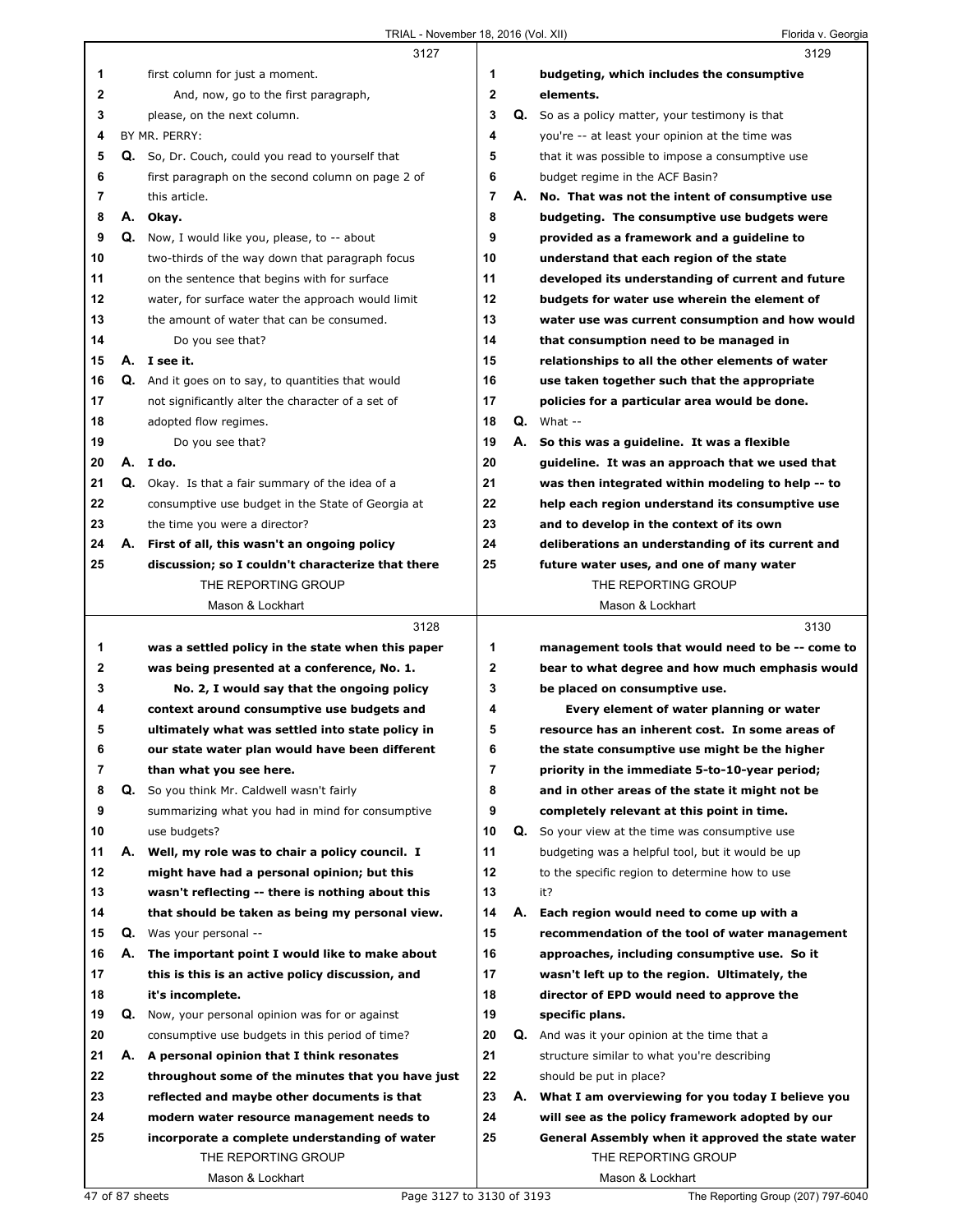|              |    | 3127                                                 |    |    | 3129                                              |
|--------------|----|------------------------------------------------------|----|----|---------------------------------------------------|
| 1            |    | first column for just a moment.                      | 1  |    | budgeting, which includes the consumptive         |
| $\mathbf{2}$ |    | And, now, go to the first paragraph,                 | 2  |    | elements.                                         |
| 3            |    | please, on the next column.                          | 3  |    | Q. So as a policy matter, your testimony is that  |
| 4            |    | BY MR. PERRY:                                        | 4  |    | you're -- at least your opinion at the time was   |
| 5            |    | Q. So, Dr. Couch, could you read to yourself that    | 5  |    | that it was possible to impose a consumptive use  |
| 6            |    | first paragraph on the second column on page 2 of    | 6  |    | budget regime in the ACF Basin?                   |
| 7            |    | this article.                                        | 7  |    | A. No. That was not the intent of consumptive use |
| 8            | А. | Okay.                                                | 8  |    | budgeting. The consumptive use budgets were       |
| 9            |    | <b>Q.</b> Now, I would like you, please, to -- about | 9  |    | provided as a framework and a guideline to        |
| 10           |    | two-thirds of the way down that paragraph focus      | 10 |    | understand that each region of the state          |
| 11           |    | on the sentence that begins with for surface         | 11 |    | developed its understanding of current and future |
| 12           |    | water, for surface water the approach would limit    | 12 |    | budgets for water use wherein the element of      |
| 13           |    | the amount of water that can be consumed.            | 13 |    | water use was current consumption and how would   |
| 14           |    | Do you see that?                                     | 14 |    | that consumption need to be managed in            |
| 15           |    | A. I see it.                                         | 15 |    | relationships to all the other elements of water  |
| 16           |    | Q. And it goes on to say, to quantities that would   | 16 |    | use taken together such that the appropriate      |
| 17           |    | not significantly alter the character of a set of    | 17 |    | policies for a particular area would be done.     |
| 18           |    | adopted flow regimes.                                | 18 |    | $Q.$ What $-$                                     |
| 19           |    | Do you see that?                                     | 19 |    | A. So this was a guideline. It was a flexible     |
| 20           |    | A. Ido.                                              | 20 |    | guideline. It was an approach that we used that   |
| 21           |    | Q. Okay. Is that a fair summary of the idea of a     | 21 |    | was then integrated within modeling to help -- to |
| 22           |    | consumptive use budget in the State of Georgia at    | 22 |    | help each region understand its consumptive use   |
| 23           |    | the time you were a director?                        | 23 |    | and to develop in the context of its own          |
| 24           |    | A. First of all, this wasn't an ongoing policy       | 24 |    | deliberations an understanding of its current and |
| 25           |    | discussion; so I couldn't characterize that there    | 25 |    | future water uses, and one of many water          |
|              |    | THE REPORTING GROUP                                  |    |    | THE REPORTING GROUP                               |
|              |    | Mason & Lockhart                                     |    |    | Mason & Lockhart                                  |
|              |    |                                                      |    |    |                                                   |
|              |    | 3128                                                 |    |    | 3130                                              |
| 1            |    | was a settled policy in the state when this paper    | 1  |    | management tools that would need to be -- come to |
| $\mathbf{2}$ |    | was being presented at a conference, No. 1.          | 2  |    | bear to what degree and how much emphasis would   |
| 3            |    | No. 2, I would say that the ongoing policy           | 3  |    | be placed on consumptive use.                     |
| 4            |    | context around consumptive use budgets and           | 4  |    | Every element of water planning or water          |
| 5            |    | ultimately what was settled into state policy in     | 5  |    | resource has an inherent cost. In some areas of   |
| 6            |    | our state water plan would have been different       | 6  |    | the state consumptive use might be the higher     |
| 7            |    | than what you see here.                              | 7  |    | priority in the immediate 5-to-10-year period;    |
| 8            | Q. | So you think Mr. Caldwell wasn't fairly              | 8  |    | and in other areas of the state it might not be   |
| 9            |    | summarizing what you had in mind for consumptive     | 9  |    | completely relevant at this point in time.        |
| 10           |    | use budgets?                                         | 10 | Q. | So your view at the time was consumptive use      |
| 11           | А. | Well, my role was to chair a policy council. I       | 11 |    | budgeting was a helpful tool, but it would be up  |
| 12           |    | might have had a personal opinion; but this          | 12 |    | to the specific region to determine how to use    |
| 13           |    | wasn't reflecting -- there is nothing about this     | 13 |    | it?                                               |
| 14           |    | that should be taken as being my personal view.      | 14 | А. | Each region would need to come up with a          |
| 15           | Q. | Was your personal --                                 | 15 |    | recommendation of the tool of water management    |
| 16           | А. | The important point I would like to make about       | 16 |    | approaches, including consumptive use. So it      |
| 17           |    | this is this is an active policy discussion, and     | 17 |    | wasn't left up to the region. Ultimately, the     |
| 18           |    | it's incomplete.                                     | 18 |    | director of EPD would need to approve the         |
| 19           | Q. | Now, your personal opinion was for or against        | 19 |    | specific plans.                                   |
| 20           |    | consumptive use budgets in this period of time?      | 20 |    | Q. And was it your opinion at the time that a     |
| 21           | А. | A personal opinion that I think resonates            | 21 |    | structure similar to what you're describing       |
| 22           |    | throughout some of the minutes that you have just    | 22 |    | should be put in place?                           |
| 23           |    | reflected and maybe other documents is that          | 23 | А. | What I am overviewing for you today I believe you |
| 24           |    | modern water resource management needs to            | 24 |    | will see as the policy framework adopted by our   |
| 25           |    | incorporate a complete understanding of water        | 25 |    | General Assembly when it approved the state water |
|              |    | THE REPORTING GROUP<br>Mason & Lockhart              |    |    | THE REPORTING GROUP<br>Mason & Lockhart           |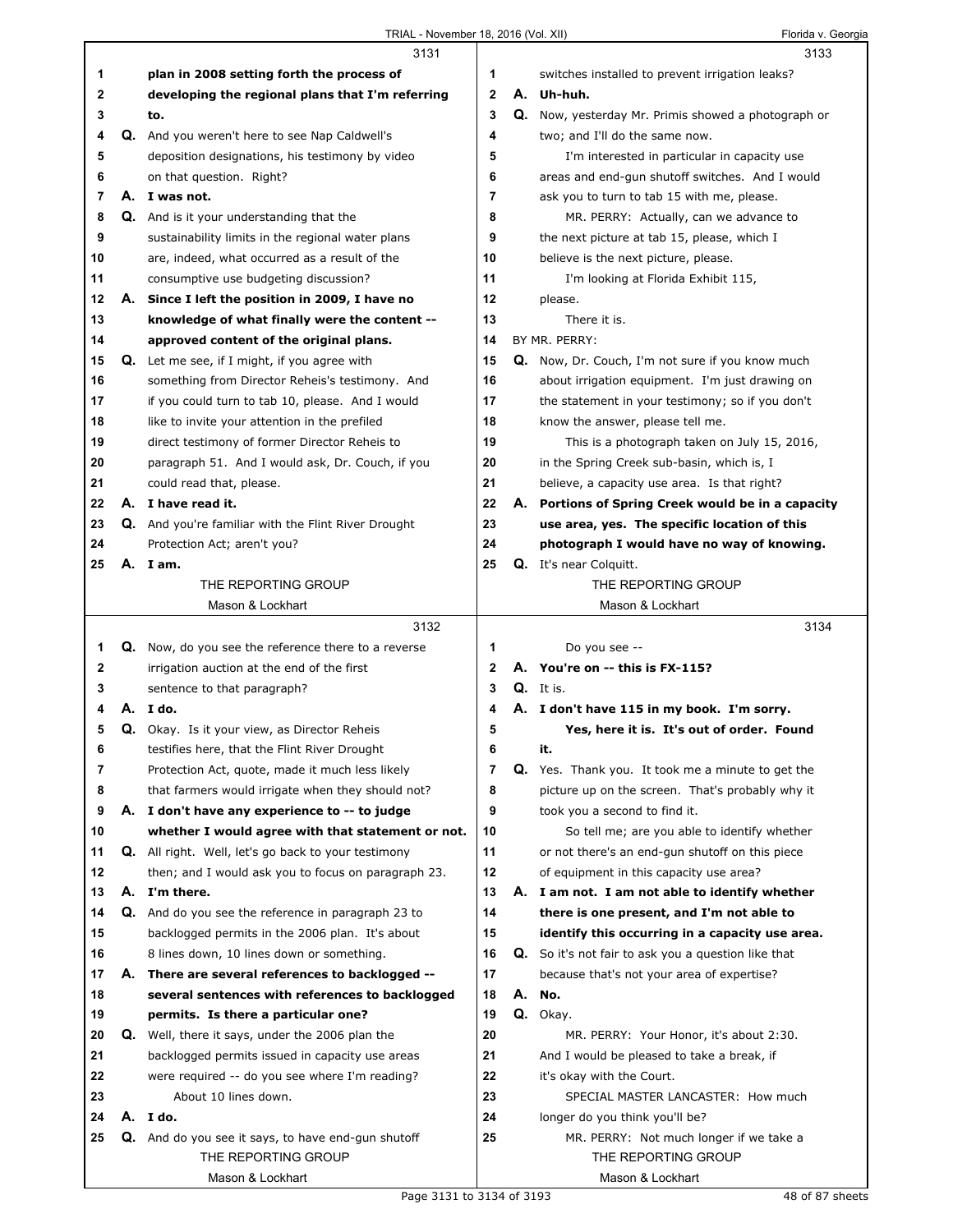|              |    | 3131                                                                                                  |                |    | 3133                                                                                       |
|--------------|----|-------------------------------------------------------------------------------------------------------|----------------|----|--------------------------------------------------------------------------------------------|
| 1            |    | plan in 2008 setting forth the process of                                                             | 1              |    | switches installed to prevent irrigation leaks?                                            |
| $\mathbf{2}$ |    | developing the regional plans that I'm referring                                                      | $\mathbf{2}$   | А. | Uh-huh.                                                                                    |
| 3            |    | to.                                                                                                   | 3              |    | Q. Now, yesterday Mr. Primis showed a photograph or                                        |
| 4            |    | <b>Q.</b> And you weren't here to see Nap Caldwell's                                                  | 4              |    | two; and I'll do the same now.                                                             |
| 5            |    | deposition designations, his testimony by video                                                       | 5              |    | I'm interested in particular in capacity use                                               |
| 6            |    | on that question. Right?                                                                              | 6              |    | areas and end-gun shutoff switches. And I would                                            |
| 7            |    | A. I was not.                                                                                         | $\overline{7}$ |    | ask you to turn to tab 15 with me, please.                                                 |
| 8            |    | <b>Q.</b> And is it your understanding that the                                                       | 8              |    | MR. PERRY: Actually, can we advance to                                                     |
| 9            |    | sustainability limits in the regional water plans                                                     | 9              |    | the next picture at tab 15, please, which I                                                |
| 10           |    | are, indeed, what occurred as a result of the                                                         | 10             |    | believe is the next picture, please.                                                       |
| 11           |    | consumptive use budgeting discussion?                                                                 | 11             |    | I'm looking at Florida Exhibit 115,                                                        |
| 12           | А. | Since I left the position in 2009, I have no                                                          | 12             |    | please.                                                                                    |
| 13           |    | knowledge of what finally were the content --                                                         | 13             |    | There it is.                                                                               |
| 14           |    | approved content of the original plans.                                                               | 14             |    | BY MR. PERRY:                                                                              |
| 15           |    | Q. Let me see, if I might, if you agree with                                                          | 15             |    | Q. Now, Dr. Couch, I'm not sure if you know much                                           |
| 16           |    | something from Director Reheis's testimony. And                                                       | 16             |    | about irrigation equipment. I'm just drawing on                                            |
| 17           |    | if you could turn to tab 10, please. And I would                                                      | 17             |    | the statement in your testimony; so if you don't                                           |
| 18           |    |                                                                                                       | 18             |    | know the answer, please tell me.                                                           |
| 19           |    | like to invite your attention in the prefiled                                                         | 19             |    |                                                                                            |
| 20           |    | direct testimony of former Director Reheis to<br>paragraph 51. And I would ask, Dr. Couch, if you     | 20             |    | This is a photograph taken on July 15, 2016,<br>in the Spring Creek sub-basin, which is, I |
|              |    |                                                                                                       |                |    |                                                                                            |
| 21           |    | could read that, please.                                                                              | 21<br>22       |    | believe, a capacity use area. Is that right?                                               |
| 22           |    | A. I have read it.                                                                                    |                | А. | Portions of Spring Creek would be in a capacity                                            |
| 23           |    | Q. And you're familiar with the Flint River Drought                                                   | 23<br>24       |    | use area, yes. The specific location of this                                               |
| 24           |    | Protection Act; aren't you?                                                                           |                |    | photograph I would have no way of knowing.                                                 |
| 25           |    | A. Iam.<br>THE REPORTING GROUP                                                                        | 25             |    | Q. It's near Colquitt.<br>THE REPORTING GROUP                                              |
|              |    | Mason & Lockhart                                                                                      |                |    | Mason & Lockhart                                                                           |
|              |    |                                                                                                       |                |    |                                                                                            |
|              |    |                                                                                                       |                |    |                                                                                            |
|              |    | 3132                                                                                                  |                |    | 3134                                                                                       |
| 1            |    | Q. Now, do you see the reference there to a reverse                                                   | 1              |    | Do you see --                                                                              |
| $\mathbf{2}$ |    | irrigation auction at the end of the first                                                            | 2              |    | A. You're on -- this is FX-115?                                                            |
| 3            |    | sentence to that paragraph?                                                                           | 3              |    | $Q_i$ . It is.                                                                             |
| 4            |    | A.Ido.                                                                                                | 4              |    | A. I don't have 115 in my book. I'm sorry.                                                 |
| 5            |    | Q. Okay. Is it your view, as Director Reheis                                                          | 5              |    | Yes, here it is. It's out of order. Found                                                  |
| 6            |    | testifies here, that the Flint River Drought                                                          | 6              |    | it.                                                                                        |
| 7            |    | Protection Act, quote, made it much less likely                                                       | $\overline{7}$ | Q. | Yes. Thank you. It took me a minute to get the                                             |
| 8            |    | that farmers would irrigate when they should not?                                                     | 8              |    | picture up on the screen. That's probably why it                                           |
| 9            |    | A. I don't have any experience to -- to judge                                                         | 9              |    | took you a second to find it.                                                              |
| 10           |    | whether I would agree with that statement or not.                                                     | 10             |    | So tell me; are you able to identify whether                                               |
| 11<br>12     |    | Q. All right. Well, let's go back to your testimony                                                   | 11<br>12       |    | or not there's an end-gun shutoff on this piece                                            |
| 13           |    | then; and I would ask you to focus on paragraph 23.<br>A. I'm there.                                  | 13             |    | of equipment in this capacity use area?                                                    |
| 14           |    |                                                                                                       | 14             |    | A. I am not. I am not able to identify whether                                             |
| 15           |    | Q. And do you see the reference in paragraph 23 to<br>backlogged permits in the 2006 plan. It's about | 15             |    | there is one present, and I'm not able to                                                  |
| 16           |    |                                                                                                       | 16             |    | identify this occurring in a capacity use area.                                            |
| 17           |    | 8 lines down, 10 lines down or something.<br>A. There are several references to backlogged --         | 17             |    | Q. So it's not fair to ask you a question like that                                        |
| 18           |    | several sentences with references to backlogged                                                       | 18             | А. | because that's not your area of expertise?<br>No.                                          |
| 19           |    | permits. Is there a particular one?                                                                   | 19             |    | Q. Okay.                                                                                   |
| 20           |    | <b>Q.</b> Well, there it says, under the 2006 plan the                                                | 20             |    | MR. PERRY: Your Honor, it's about 2:30.                                                    |
| 21           |    | backlogged permits issued in capacity use areas                                                       | 21             |    | And I would be pleased to take a break, if                                                 |
| 22           |    |                                                                                                       | 22             |    | it's okay with the Court.                                                                  |
| 23           |    | were required -- do you see where I'm reading?<br>About 10 lines down.                                | 23             |    | SPECIAL MASTER LANCASTER: How much                                                         |
| 24           |    | A. I do.                                                                                              | 24             |    | longer do you think you'll be?                                                             |
| 25           |    | Q. And do you see it says, to have end-gun shutoff                                                    | 25             |    | MR. PERRY: Not much longer if we take a                                                    |
|              |    | THE REPORTING GROUP                                                                                   |                |    | THE REPORTING GROUP                                                                        |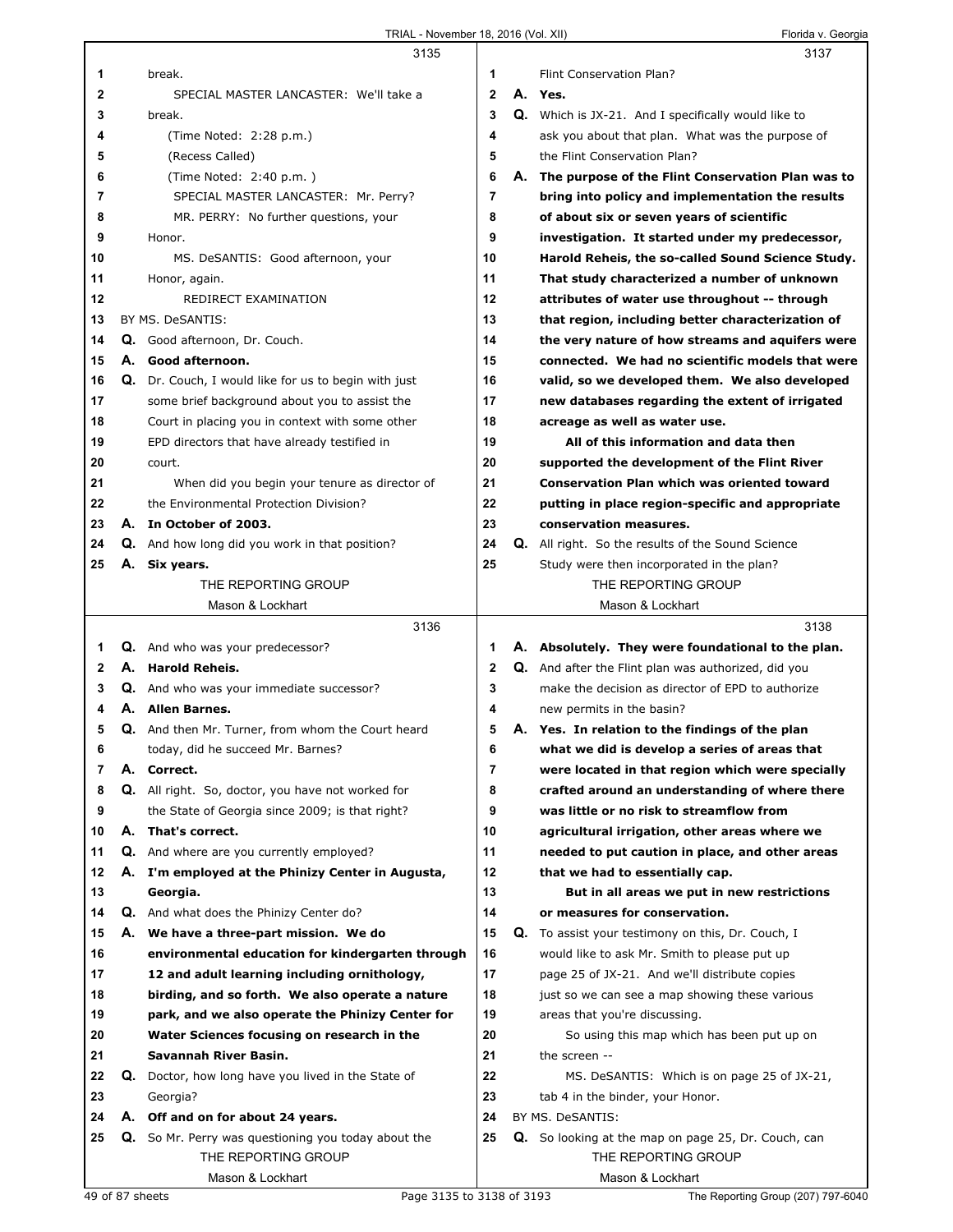|    |    | 3135                                                  |              |    | 3137                                                       |
|----|----|-------------------------------------------------------|--------------|----|------------------------------------------------------------|
| 1  |    | break.                                                | 1            |    | Flint Conservation Plan?                                   |
| 2  |    | SPECIAL MASTER LANCASTER: We'll take a                | $\mathbf{2}$ |    | A. Yes.                                                    |
| 3  |    | break.                                                | 3            |    | <b>Q.</b> Which is JX-21. And I specifically would like to |
| 4  |    | (Time Noted: 2:28 p.m.)                               | 4            |    | ask you about that plan. What was the purpose of           |
| 5  |    | (Recess Called)                                       | 5            |    | the Flint Conservation Plan?                               |
| 6  |    | (Time Noted: 2:40 p.m.)                               | 6            | А. | The purpose of the Flint Conservation Plan was to          |
| 7  |    | SPECIAL MASTER LANCASTER: Mr. Perry?                  | 7            |    | bring into policy and implementation the results           |
| 8  |    | MR. PERRY: No further questions, your                 | 8            |    | of about six or seven years of scientific                  |
| 9  |    | Honor.                                                | 9            |    | investigation. It started under my predecessor,            |
| 10 |    | MS. DeSANTIS: Good afternoon, your                    | 10           |    | Harold Reheis, the so-called Sound Science Study.          |
| 11 |    | Honor, again.                                         | 11           |    | That study characterized a number of unknown               |
| 12 |    | REDIRECT EXAMINATION                                  | 12           |    | attributes of water use throughout -- through              |
| 13 |    | BY MS. DeSANTIS:                                      | 13           |    | that region, including better characterization of          |
| 14 |    | Q. Good afternoon, Dr. Couch.                         | 14           |    | the very nature of how streams and aquifers were           |
| 15 |    | A. Good afternoon.                                    | 15           |    | connected. We had no scientific models that were           |
| 16 | Q. | Dr. Couch, I would like for us to begin with just     | 16           |    | valid, so we developed them. We also developed             |
| 17 |    | some brief background about you to assist the         | 17           |    | new databases regarding the extent of irrigated            |
| 18 |    | Court in placing you in context with some other       | 18           |    | acreage as well as water use.                              |
| 19 |    | EPD directors that have already testified in          | 19           |    | All of this information and data then                      |
| 20 |    | court.                                                | 20           |    | supported the development of the Flint River               |
| 21 |    | When did you begin your tenure as director of         | 21           |    | <b>Conservation Plan which was oriented toward</b>         |
| 22 |    | the Environmental Protection Division?                | 22           |    | putting in place region-specific and appropriate           |
| 23 |    | A. In October of 2003.                                | 23           |    | conservation measures.                                     |
| 24 |    | <b>Q.</b> And how long did you work in that position? | 24           |    | <b>Q.</b> All right. So the results of the Sound Science   |
| 25 |    | A. Six years.                                         | 25           |    | Study were then incorporated in the plan?                  |
|    |    | THE REPORTING GROUP                                   |              |    | THE REPORTING GROUP                                        |
|    |    | Mason & Lockhart                                      |              |    | Mason & Lockhart                                           |
|    |    | 3136                                                  |              |    | 3138                                                       |
| 1  |    | Q. And who was your predecessor?                      | 1            |    | A. Absolutely. They were foundational to the plan.         |
| 2  |    | A. Harold Reheis.                                     | 2            |    | Q. And after the Flint plan was authorized, did you        |
| 3  |    | <b>Q.</b> And who was your immediate successor?       | 3            |    | make the decision as director of EPD to authorize          |
| 4  |    | A. Allen Barnes.                                      | 4            |    | new permits in the basin?                                  |
| 5  |    | Q. And then Mr. Turner, from whom the Court heard     | 5            |    | A. Yes. In relation to the findings of the plan            |
| 6  |    | today, did he succeed Mr. Barnes?                     | 6            |    | what we did is develop a series of areas that              |
| 7  | А. | Correct.                                              | 7            |    | were located in that region which were specially           |
| 8  |    | Q. All right. So, doctor, you have not worked for     | 8            |    | crafted around an understanding of where there             |
| 9  |    | the State of Georgia since 2009; is that right?       | 9            |    | was little or no risk to streamflow from                   |
| 10 |    | A. That's correct.                                    | 10           |    | agricultural irrigation, other areas where we              |
| 11 |    | <b>Q.</b> And where are you currently employed?       | 11           |    | needed to put caution in place, and other areas            |
| 12 |    | A. I'm employed at the Phinizy Center in Augusta,     | 12           |    | that we had to essentially cap.                            |
| 13 |    | Georgia.                                              | 13           |    | But in all areas we put in new restrictions                |
| 14 |    | <b>Q.</b> And what does the Phinizy Center do?        | 14           |    | or measures for conservation.                              |
| 15 | А. | We have a three-part mission. We do                   | 15           |    | Q. To assist your testimony on this, Dr. Couch, I          |
| 16 |    | environmental education for kindergarten through      | 16           |    | would like to ask Mr. Smith to please put up               |
| 17 |    | 12 and adult learning including ornithology,          | 17           |    | page 25 of JX-21. And we'll distribute copies              |
| 18 |    | birding, and so forth. We also operate a nature       | 18           |    | just so we can see a map showing these various             |
| 19 |    | park, and we also operate the Phinizy Center for      | 19           |    | areas that you're discussing.                              |
| 20 |    | Water Sciences focusing on research in the            | 20           |    | So using this map which has been put up on                 |
| 21 |    | Savannah River Basin.                                 | 21           |    | the screen --                                              |
| 22 |    | Q. Doctor, how long have you lived in the State of    | 22           |    | MS. DeSANTIS: Which is on page 25 of JX-21,                |
| 23 |    | Georgia?                                              | 23           |    | tab 4 in the binder, your Honor.                           |
| 24 |    | A. Off and on for about 24 years.                     | 24           |    | BY MS. DeSANTIS:                                           |
| 25 |    | Q. So Mr. Perry was questioning you today about the   | 25           |    | Q. So looking at the map on page 25, Dr. Couch, can        |
|    |    | THE REPORTING GROUP                                   |              |    | THE REPORTING GROUP                                        |
|    |    | Mason & Lockhart                                      |              |    | Mason & Lockhart                                           |
|    |    |                                                       |              |    |                                                            |

Г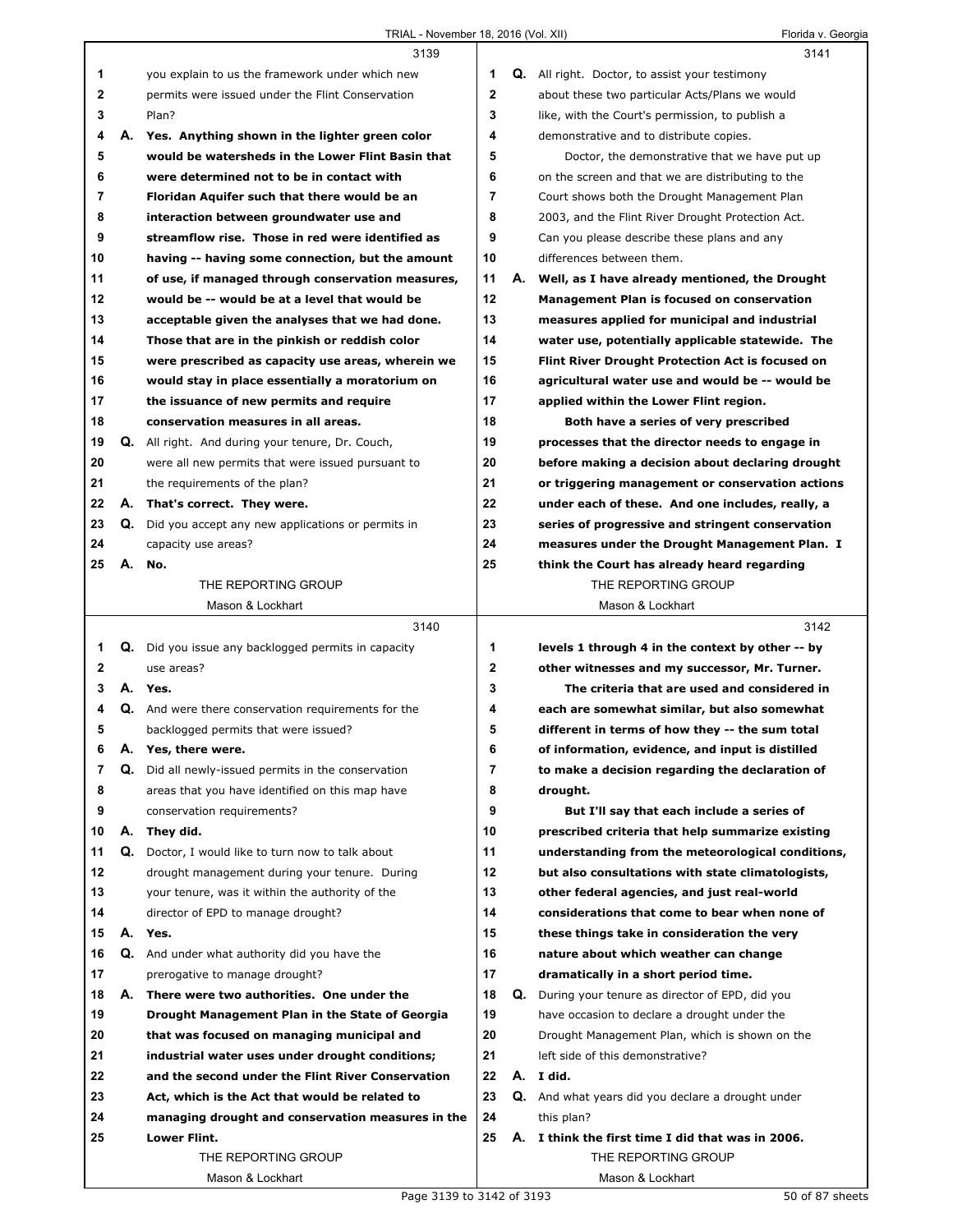Г

ı

|                |    | 3139                                                        |                |    | 3141                                                  |
|----------------|----|-------------------------------------------------------------|----------------|----|-------------------------------------------------------|
| 1              |    | you explain to us the framework under which new             | 1              |    | <b>Q.</b> All right. Doctor, to assist your testimony |
| 2              |    | permits were issued under the Flint Conservation            | $\mathbf{2}$   |    | about these two particular Acts/Plans we would        |
| 3              |    | Plan?                                                       | 3              |    | like, with the Court's permission, to publish a       |
| 4              |    | A. Yes. Anything shown in the lighter green color           | 4              |    | demonstrative and to distribute copies.               |
| 5              |    | would be watersheds in the Lower Flint Basin that           | 5              |    | Doctor, the demonstrative that we have put up         |
| 6              |    | were determined not to be in contact with                   | 6              |    | on the screen and that we are distributing to the     |
| $\overline{7}$ |    | Floridan Aquifer such that there would be an                | $\overline{7}$ |    | Court shows both the Drought Management Plan          |
| 8              |    | interaction between groundwater use and                     | 8              |    | 2003, and the Flint River Drought Protection Act.     |
| 9              |    | streamflow rise. Those in red were identified as            | 9              |    | Can you please describe these plans and any           |
| 10             |    | having -- having some connection, but the amount            | 10             |    | differences between them.                             |
| 11             |    | of use, if managed through conservation measures,           | 11             |    | A. Well, as I have already mentioned, the Drought     |
| 12             |    | would be -- would be at a level that would be               | 12             |    | Management Plan is focused on conservation            |
| 13             |    | acceptable given the analyses that we had done.             | 13             |    | measures applied for municipal and industrial         |
| 14             |    | Those that are in the pinkish or reddish color              | 14             |    | water use, potentially applicable statewide. The      |
| 15             |    | were prescribed as capacity use areas, wherein we           | 15             |    | Flint River Drought Protection Act is focused on      |
| 16             |    | would stay in place essentially a moratorium on             | 16             |    | agricultural water use and would be -- would be       |
| 17             |    | the issuance of new permits and require                     | 17             |    | applied within the Lower Flint region.                |
| 18             |    | conservation measures in all areas.                         | 18             |    | Both have a series of very prescribed                 |
| 19             |    | <b>Q.</b> All right. And during your tenure, Dr. Couch,     | 19             |    | processes that the director needs to engage in        |
| 20             |    | were all new permits that were issued pursuant to           | 20             |    | before making a decision about declaring drought      |
| 21             |    | the requirements of the plan?                               | 21             |    | or triggering management or conservation actions      |
| 22             |    | A. That's correct. They were.                               | 22             |    | under each of these. And one includes, really, a      |
| 23             |    | <b>Q.</b> Did you accept any new applications or permits in | 23             |    | series of progressive and stringent conservation      |
| 24             |    | capacity use areas?                                         | 24             |    | measures under the Drought Management Plan. I         |
| 25             | А. | No.                                                         | 25             |    | think the Court has already heard regarding           |
|                |    | THE REPORTING GROUP                                         |                |    | THE REPORTING GROUP                                   |
|                |    | Mason & Lockhart                                            |                |    | Mason & Lockhart                                      |
|                |    |                                                             |                |    |                                                       |
|                |    | 3140                                                        |                |    | 3142                                                  |
| 1              |    | <b>Q.</b> Did you issue any backlogged permits in capacity  | 1              |    | levels 1 through 4 in the context by other -- by      |
| $\mathbf{2}$   |    | use areas?                                                  | $\mathbf{2}$   |    | other witnesses and my successor, Mr. Turner.         |
| 3              |    | A. Yes.                                                     | 3              |    | The criteria that are used and considered in          |
| 4              |    | <b>Q.</b> And were there conservation requirements for the  | 4              |    | each are somewhat similar, but also somewhat          |
| 5              |    | backlogged permits that were issued?                        | 5              |    | different in terms of how they -- the sum total       |
| 6              | А. | Yes, there were.                                            | 6              |    | of information, evidence, and input is distilled      |
| 7              |    | Q. Did all newly-issued permits in the conservation         | 7              |    | to make a decision regarding the declaration of       |
| 8              |    | areas that you have identified on this map have             | 8              |    | drought.                                              |
| 9              |    | conservation requirements?                                  | 9              |    | But I'll say that each include a series of            |
| 10             | А. | They did.                                                   | 10             |    | prescribed criteria that help summarize existing      |
| 11             | Q. | Doctor, I would like to turn now to talk about              | 11             |    | understanding from the meteorological conditions,     |
| 12             |    | drought management during your tenure. During               | 12             |    | but also consultations with state climatologists,     |
| 13             |    | your tenure, was it within the authority of the             | 13             |    | other federal agencies, and just real-world           |
| 14             |    | director of EPD to manage drought?                          | 14             |    | considerations that come to bear when none of         |
| 15             |    | A. Yes.                                                     | 15             |    | these things take in consideration the very           |
| 16             |    | Q. And under what authority did you have the                | 16             |    | nature about which weather can change                 |
| 17             |    | prerogative to manage drought?                              | 17             |    | dramatically in a short period time.                  |
| 18             | А. | There were two authorities. One under the                   | 18             | Q. | During your tenure as director of EPD, did you        |
| 19             |    | Drought Management Plan in the State of Georgia             | 19             |    | have occasion to declare a drought under the          |
| 20             |    | that was focused on managing municipal and                  | 20             |    | Drought Management Plan, which is shown on the        |
| 21             |    | industrial water uses under drought conditions;             | 21             |    | left side of this demonstrative?                      |
| 22             |    | and the second under the Flint River Conservation           | 22             |    | A. I did.                                             |
| 23             |    | Act, which is the Act that would be related to              | 23             |    | Q. And what years did you declare a drought under     |
| 24             |    | managing drought and conservation measures in the           | 24             |    | this plan?                                            |
| 25             |    | Lower Flint.                                                | 25             |    | A. I think the first time I did that was in 2006.     |
|                |    | THE REPORTING GROUP                                         |                |    | THE REPORTING GROUP                                   |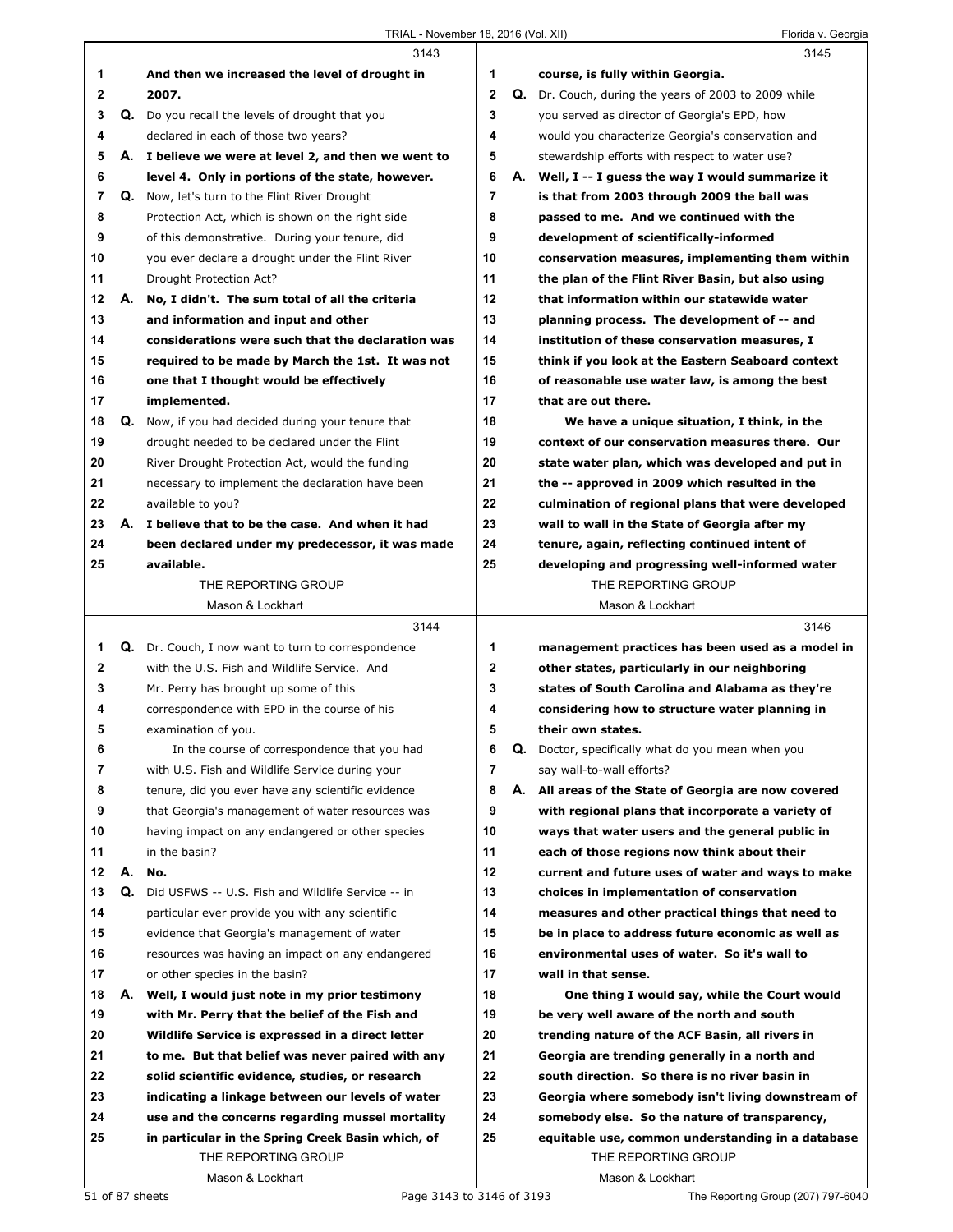|              |    | 3143                                                      |                |    | 3145                                                 |
|--------------|----|-----------------------------------------------------------|----------------|----|------------------------------------------------------|
| 1            |    | And then we increased the level of drought in             | 1              |    | course, is fully within Georgia.                     |
| $\mathbf{2}$ |    | 2007.                                                     | $\mathbf{2}$   |    | Q. Dr. Couch, during the years of 2003 to 2009 while |
| 3            |    | Q. Do you recall the levels of drought that you           | 3              |    | you served as director of Georgia's EPD, how         |
| 4            |    | declared in each of those two years?                      | 4              |    | would you characterize Georgia's conservation and    |
| 5            |    | A. I believe we were at level 2, and then we went to      | 5              |    | stewardship efforts with respect to water use?       |
| 6            |    | level 4. Only in portions of the state, however.          | 6              |    | A. Well, I -- I guess the way I would summarize it   |
| 7            |    | Q. Now, let's turn to the Flint River Drought             | $\overline{7}$ |    | is that from 2003 through 2009 the ball was          |
| 8            |    | Protection Act, which is shown on the right side          | 8              |    | passed to me. And we continued with the              |
| 9            |    | of this demonstrative. During your tenure, did            | 9              |    | development of scientifically-informed               |
| 10           |    | you ever declare a drought under the Flint River          | 10             |    | conservation measures, implementing them within      |
| 11           |    | Drought Protection Act?                                   | 11             |    | the plan of the Flint River Basin, but also using    |
| 12           |    | A. No, I didn't. The sum total of all the criteria        | 12             |    | that information within our statewide water          |
| 13           |    | and information and input and other                       | 13             |    | planning process. The development of -- and          |
| 14           |    | considerations were such that the declaration was         | 14             |    | institution of these conservation measures, I        |
| 15           |    | required to be made by March the 1st. It was not          | 15             |    | think if you look at the Eastern Seaboard context    |
| 16           |    | one that I thought would be effectively                   | 16             |    | of reasonable use water law, is among the best       |
| 17           |    | implemented.                                              | 17             |    | that are out there.                                  |
| 18           |    | Q. Now, if you had decided during your tenure that        | 18             |    | We have a unique situation, I think, in the          |
| 19           |    | drought needed to be declared under the Flint             | 19             |    | context of our conservation measures there. Our      |
| 20           |    | River Drought Protection Act, would the funding           | 20             |    | state water plan, which was developed and put in     |
| 21           |    | necessary to implement the declaration have been          | 21             |    | the -- approved in 2009 which resulted in the        |
| 22           |    | available to you?                                         | 22             |    | culmination of regional plans that were developed    |
| 23           |    | A. I believe that to be the case. And when it had         | 23             |    | wall to wall in the State of Georgia after my        |
| 24           |    | been declared under my predecessor, it was made           | 24             |    | tenure, again, reflecting continued intent of        |
| 25           |    | available.                                                | 25             |    | developing and progressing well-informed water       |
|              |    | THE REPORTING GROUP                                       |                |    | THE REPORTING GROUP                                  |
|              |    | Mason & Lockhart                                          |                |    | Mason & Lockhart                                     |
|              |    | 3144                                                      |                |    | 3146                                                 |
| 1            |    | <b>Q.</b> Dr. Couch, I now want to turn to correspondence | 1              |    | management practices has been used as a model in     |
| $\mathbf{2}$ |    | with the U.S. Fish and Wildlife Service. And              | $\mathbf{2}$   |    | other states, particularly in our neighboring        |
| 3            |    |                                                           |                |    |                                                      |
| 4            |    | Mr. Perry has brought up some of this                     | 3              |    | states of South Carolina and Alabama as they're      |
|              |    | correspondence with EPD in the course of his              | 4              |    | considering how to structure water planning in       |
| 5            |    | examination of you.                                       | 5              |    | their own states.                                    |
| 6            |    | In the course of correspondence that you had              | 6              |    | Q. Doctor, specifically what do you mean when you    |
| 7            |    | with U.S. Fish and Wildlife Service during your           | $\overline{7}$ |    | say wall-to-wall efforts?                            |
| 8            |    | tenure, did you ever have any scientific evidence         | 8              | А. | All areas of the State of Georgia are now covered    |
| 9            |    | that Georgia's management of water resources was          | 9              |    | with regional plans that incorporate a variety of    |
| 10           |    | having impact on any endangered or other species          | 10             |    | ways that water users and the general public in      |
| 11           |    | in the basin?                                             | 11             |    | each of those regions now think about their          |
| 12           | А. | No.                                                       | 12             |    | current and future uses of water and ways to make    |
| 13           | Q. | Did USFWS -- U.S. Fish and Wildlife Service -- in         | 13             |    | choices in implementation of conservation            |
| 14           |    | particular ever provide you with any scientific           | 14             |    | measures and other practical things that need to     |
| 15           |    | evidence that Georgia's management of water               | 15             |    | be in place to address future economic as well as    |
| 16           |    | resources was having an impact on any endangered          | 16             |    | environmental uses of water. So it's wall to         |
| 17           |    | or other species in the basin?                            | 17             |    | wall in that sense.                                  |
| 18           | А. | Well, I would just note in my prior testimony             | 18             |    | One thing I would say, while the Court would         |
| 19           |    | with Mr. Perry that the belief of the Fish and            | 19             |    | be very well aware of the north and south            |
| 20           |    | Wildlife Service is expressed in a direct letter          | 20             |    | trending nature of the ACF Basin, all rivers in      |
| 21           |    | to me. But that belief was never paired with any          | 21             |    | Georgia are trending generally in a north and        |
| 22           |    | solid scientific evidence, studies, or research           | 22             |    | south direction. So there is no river basin in       |
| 23           |    | indicating a linkage between our levels of water          | 23             |    | Georgia where somebody isn't living downstream of    |
| 24           |    | use and the concerns regarding mussel mortality           | 24             |    | somebody else. So the nature of transparency,        |
| 25           |    | in particular in the Spring Creek Basin which, of         | 25             |    | equitable use, common understanding in a database    |
|              |    | THE REPORTING GROUP                                       |                |    | THE REPORTING GROUP                                  |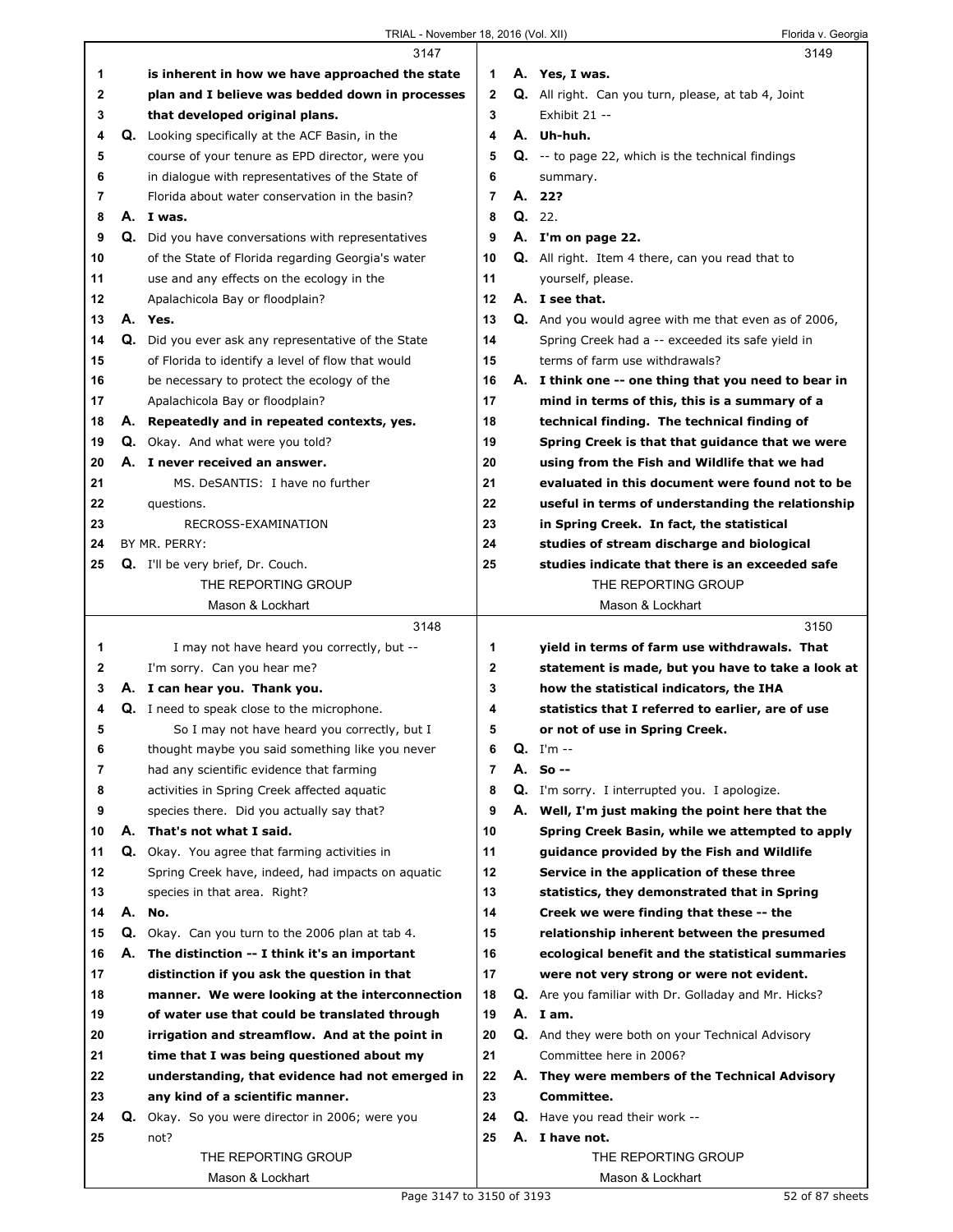## TRIAL - November 18, 2016 (Vol. XII) Florida v. Georgia

|    |    | 3147                                                 |                |    | 3149                                                        |
|----|----|------------------------------------------------------|----------------|----|-------------------------------------------------------------|
| 1  |    | is inherent in how we have approached the state      | 1              |    | A. Yes, I was.                                              |
| 2  |    | plan and I believe was bedded down in processes      | $\mathbf{2}$   |    | Q. All right. Can you turn, please, at tab 4, Joint         |
| 3  |    | that developed original plans.                       | 3              |    | Exhibit 21 --                                               |
| 4  |    | Q. Looking specifically at the ACF Basin, in the     | 4              |    | A. Uh-huh.                                                  |
| 5  |    | course of your tenure as EPD director, were you      | 5              |    | Q. -- to page 22, which is the technical findings           |
| 6  |    | in dialogue with representatives of the State of     | 6              |    | summary.                                                    |
| 7  |    | Florida about water conservation in the basin?       | $\overline{7}$ |    | A. 22?                                                      |
| 8  |    | A. I was.                                            | 8              |    | Q. 22.                                                      |
| 9  |    | Q. Did you have conversations with representatives   | 9              |    | A. I'm on page 22.                                          |
| 10 |    | of the State of Florida regarding Georgia's water    | 10             |    | <b>Q.</b> All right. Item 4 there, can you read that to     |
| 11 |    | use and any effects on the ecology in the            | 11             |    | yourself, please.                                           |
| 12 |    | Apalachicola Bay or floodplain?                      | 12             |    | A. I see that.                                              |
| 13 |    | A. Yes.                                              | 13             |    | <b>Q.</b> And you would agree with me that even as of 2006, |
| 14 |    | Q. Did you ever ask any representative of the State  | 14             |    | Spring Creek had a -- exceeded its safe yield in            |
| 15 |    | of Florida to identify a level of flow that would    | 15             |    | terms of farm use withdrawals?                              |
| 16 |    | be necessary to protect the ecology of the           | 16             |    |                                                             |
|    |    |                                                      |                |    | A. I think one -- one thing that you need to bear in        |
| 17 |    | Apalachicola Bay or floodplain?                      | 17             |    | mind in terms of this, this is a summary of a               |
| 18 |    | A. Repeatedly and in repeated contexts, yes.         | 18             |    | technical finding. The technical finding of                 |
| 19 |    | <b>Q.</b> Okay. And what were you told?              | 19             |    | Spring Creek is that that guidance that we were             |
| 20 |    | A. I never received an answer.                       | 20             |    | using from the Fish and Wildlife that we had                |
| 21 |    | MS. DeSANTIS: I have no further                      | 21             |    | evaluated in this document were found not to be             |
| 22 |    | questions.                                           | 22             |    | useful in terms of understanding the relationship           |
| 23 |    | RECROSS-EXAMINATION                                  | 23             |    | in Spring Creek. In fact, the statistical                   |
| 24 |    | BY MR. PERRY:                                        | 24             |    | studies of stream discharge and biological                  |
| 25 |    | Q. I'll be very brief, Dr. Couch.                    | 25             |    | studies indicate that there is an exceeded safe             |
|    |    | THE REPORTING GROUP                                  |                |    | THE REPORTING GROUP                                         |
|    |    | Mason & Lockhart                                     |                |    | Mason & Lockhart                                            |
|    |    |                                                      |                |    |                                                             |
|    |    | 3148                                                 |                |    | 3150                                                        |
| 1  |    | I may not have heard you correctly, but --           | 1              |    | yield in terms of farm use withdrawals. That                |
| 2  |    | I'm sorry. Can you hear me?                          | $\mathbf 2$    |    | statement is made, but you have to take a look at           |
| 3  |    | A. I can hear you. Thank you.                        | 3              |    | how the statistical indicators, the IHA                     |
| 4  |    | Q. I need to speak close to the microphone.          | 4              |    | statistics that I referred to earlier, are of use           |
| 5  |    | So I may not have heard you correctly, but I         | 5              |    | or not of use in Spring Creek.                              |
| 6  |    | thought maybe you said something like you never      | 6              | Q. | I'm --                                                      |
| 7  |    | had any scientific evidence that farming             | 7              |    | A. So --                                                    |
| 8  |    | activities in Spring Creek affected aguatic          | 8              |    | Q. I'm sorry. I interrupted you. I apologize.               |
| 9  |    | species there. Did you actually say that?            | 9              |    | A. Well, I'm just making the point here that the            |
| 10 | А. | That's not what I said.                              | 10             |    | Spring Creek Basin, while we attempted to apply             |
| 11 |    | <b>Q.</b> Okay. You agree that farming activities in | 11             |    | guidance provided by the Fish and Wildlife                  |
| 12 |    | Spring Creek have, indeed, had impacts on aquatic    | 12             |    | Service in the application of these three                   |
| 13 |    | species in that area. Right?                         | 13             |    | statistics, they demonstrated that in Spring                |
| 14 | А. | No.                                                  | 14             |    | Creek we were finding that these -- the                     |
| 15 |    | Q. Okay. Can you turn to the 2006 plan at tab 4.     | 15             |    | relationship inherent between the presumed                  |
| 16 | А. | The distinction -- I think it's an important         | 16             |    | ecological benefit and the statistical summaries            |
| 17 |    | distinction if you ask the question in that          | 17             |    | were not very strong or were not evident.                   |
| 18 |    | manner. We were looking at the interconnection       | 18             |    | <b>Q.</b> Are you familiar with Dr. Golladay and Mr. Hicks? |
| 19 |    | of water use that could be translated through        | 19             |    | A. Iam.                                                     |
| 20 |    | irrigation and streamflow. And at the point in       | 20             |    | <b>Q.</b> And they were both on your Technical Advisory     |
| 21 |    | time that I was being questioned about my            | 21             |    | Committee here in 2006?                                     |
| 22 |    | understanding, that evidence had not emerged in      | 22             |    | A. They were members of the Technical Advisory              |
| 23 |    | any kind of a scientific manner.                     | 23             |    | Committee.                                                  |
| 24 |    | Q. Okay. So you were director in 2006; were you      | 24             |    | <b>Q.</b> Have you read their work --                       |
| 25 |    | not?                                                 | 25             |    | A. I have not.                                              |
|    |    | THE REPORTING GROUP                                  |                |    | THE REPORTING GROUP                                         |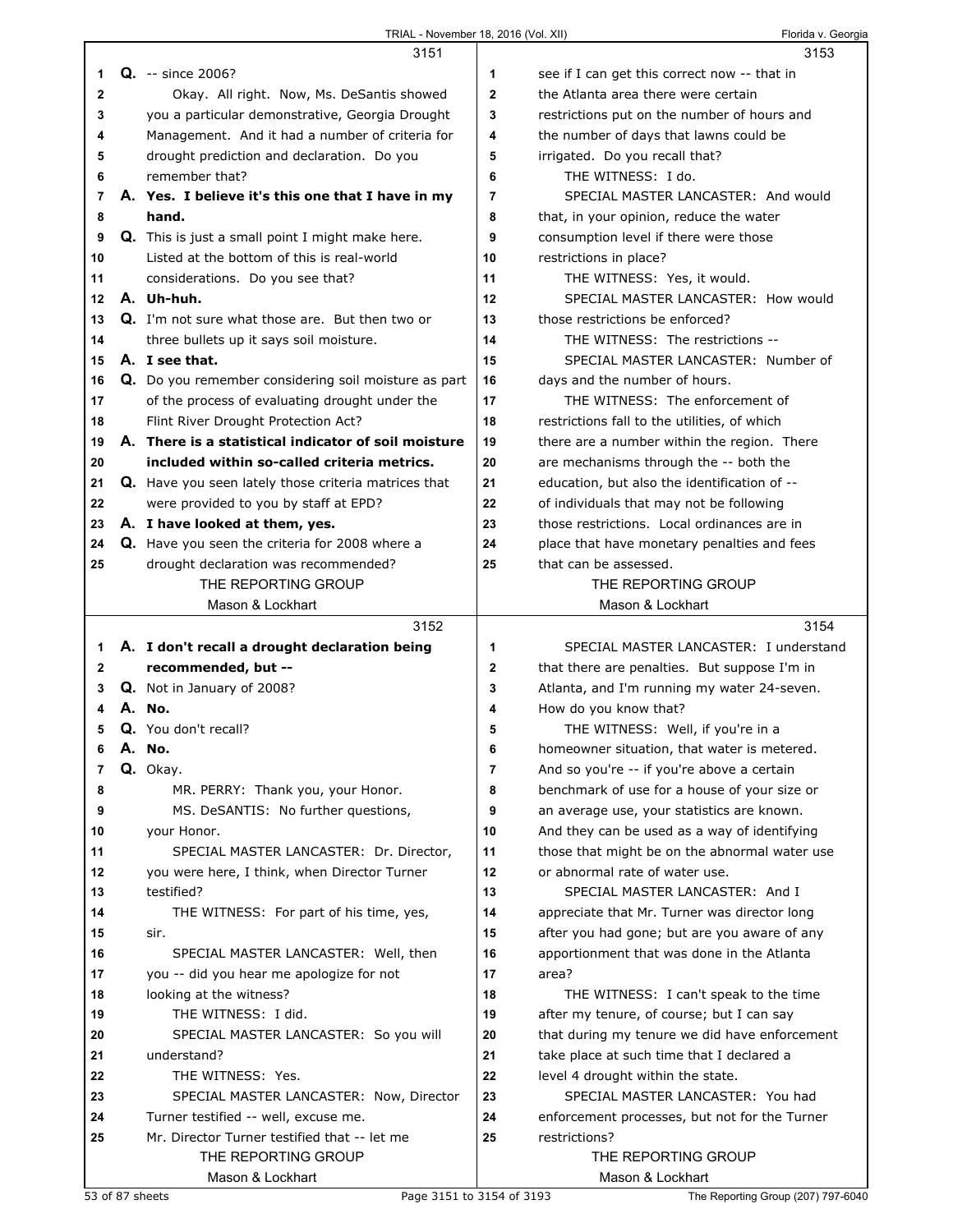|        | 3151                                                                     |                | 3153                                                                             |
|--------|--------------------------------------------------------------------------|----------------|----------------------------------------------------------------------------------|
| 1      | <b>Q.</b> -- since 2006?                                                 | 1              | see if I can get this correct now -- that in                                     |
| 2      | Okay. All right. Now, Ms. DeSantis showed                                | $\mathbf{2}$   | the Atlanta area there were certain                                              |
| 3      | you a particular demonstrative, Georgia Drought                          | 3              | restrictions put on the number of hours and                                      |
| 4      | Management. And it had a number of criteria for                          | 4              | the number of days that lawns could be                                           |
| 5      | drought prediction and declaration. Do you                               | 5              | irrigated. Do you recall that?                                                   |
| 6      | remember that?                                                           | 6              | THE WITNESS: I do.                                                               |
| 7      | A. Yes. I believe it's this one that I have in my                        | 7              | SPECIAL MASTER LANCASTER: And would                                              |
| 8      | hand.                                                                    | 8              | that, in your opinion, reduce the water                                          |
| 9      | <b>Q.</b> This is just a small point I might make here.                  | 9              | consumption level if there were those                                            |
| 10     | Listed at the bottom of this is real-world                               | 10             | restrictions in place?                                                           |
| 11     | considerations. Do you see that?                                         | 11             | THE WITNESS: Yes, it would.                                                      |
| 12     | A. Uh-huh.                                                               | 12             | SPECIAL MASTER LANCASTER: How would                                              |
| 13     | <b>Q.</b> I'm not sure what those are. But then two or                   | 13             | those restrictions be enforced?                                                  |
| 14     | three bullets up it says soil moisture.                                  | 14             | THE WITNESS: The restrictions --                                                 |
| 15     | A. I see that.                                                           | 15             | SPECIAL MASTER LANCASTER: Number of                                              |
| 16     | Q. Do you remember considering soil moisture as part                     | 16             | days and the number of hours.                                                    |
| 17     | of the process of evaluating drought under the                           | 17             | THE WITNESS: The enforcement of                                                  |
| 18     | Flint River Drought Protection Act?                                      | 18             | restrictions fall to the utilities, of which                                     |
| 19     | A. There is a statistical indicator of soil moisture                     | 19             | there are a number within the region. There                                      |
| 20     | included within so-called criteria metrics.                              | 20             | are mechanisms through the -- both the                                           |
| 21     | Q. Have you seen lately those criteria matrices that                     | 21             | education, but also the identification of --                                     |
| 22     | were provided to you by staff at EPD?                                    | 22             | of individuals that may not be following                                         |
| 23     | A. I have looked at them, yes.                                           | 23             | those restrictions. Local ordinances are in                                      |
| 24     | Q. Have you seen the criteria for 2008 where a                           | 24             | place that have monetary penalties and fees                                      |
| 25     | drought declaration was recommended?                                     | 25             | that can be assessed.                                                            |
|        | THE REPORTING GROUP                                                      |                | THE REPORTING GROUP                                                              |
|        | Mason & Lockhart                                                         |                | Mason & Lockhart                                                                 |
|        |                                                                          |                |                                                                                  |
|        | 3152                                                                     |                | 3154                                                                             |
|        |                                                                          | 1              | SPECIAL MASTER LANCASTER: I understand                                           |
| 1<br>2 | A. I don't recall a drought declaration being                            | $\mathbf{2}$   |                                                                                  |
| 3      | recommended, but --                                                      | 3              | that there are penalties. But suppose I'm in                                     |
| 4      | Q. Not in January of 2008?<br>A. No.                                     | 4              | Atlanta, and I'm running my water 24-seven.                                      |
| 5      | Q. You don't recall?                                                     | 5              | How do you know that?                                                            |
| 6      | A. No.                                                                   | 6              | THE WITNESS: Well, if you're in a<br>homeowner situation, that water is metered. |
| 7      |                                                                          | $\overline{7}$ | And so you're -- if you're above a certain                                       |
| 8      | Q. Okay.                                                                 | 8              | benchmark of use for a house of your size or                                     |
| 9      | MR. PERRY: Thank you, your Honor.<br>MS. DeSANTIS: No further questions, | 9              | an average use, your statistics are known.                                       |
| 10     | your Honor.                                                              | 10             | And they can be used as a way of identifying                                     |
| 11     | SPECIAL MASTER LANCASTER: Dr. Director,                                  | 11             | those that might be on the abnormal water use                                    |
| 12     | you were here, I think, when Director Turner                             | 12             | or abnormal rate of water use.                                                   |
| 13     | testified?                                                               | 13             | SPECIAL MASTER LANCASTER: And I                                                  |
| 14     | THE WITNESS: For part of his time, yes,                                  | 14             | appreciate that Mr. Turner was director long                                     |
| 15     | sir.                                                                     | 15             | after you had gone; but are you aware of any                                     |
| 16     | SPECIAL MASTER LANCASTER: Well, then                                     | 16             | apportionment that was done in the Atlanta                                       |
| 17     | you -- did you hear me apologize for not                                 | 17             | area?                                                                            |
| 18     | looking at the witness?                                                  | 18             | THE WITNESS: I can't speak to the time                                           |
| 19     | THE WITNESS: I did.                                                      | 19             | after my tenure, of course; but I can say                                        |
| 20     | SPECIAL MASTER LANCASTER: So you will                                    | 20             | that during my tenure we did have enforcement                                    |
| 21     | understand?                                                              | 21             | take place at such time that I declared a                                        |
| 22     | THE WITNESS: Yes.                                                        | 22             | level 4 drought within the state.                                                |
| 23     | SPECIAL MASTER LANCASTER: Now, Director                                  | 23             | SPECIAL MASTER LANCASTER: You had                                                |
| 24     | Turner testified -- well, excuse me.                                     | 24             | enforcement processes, but not for the Turner                                    |
| 25     | Mr. Director Turner testified that -- let me                             | 25             | restrictions?                                                                    |
|        | THE REPORTING GROUP                                                      |                | THE REPORTING GROUP                                                              |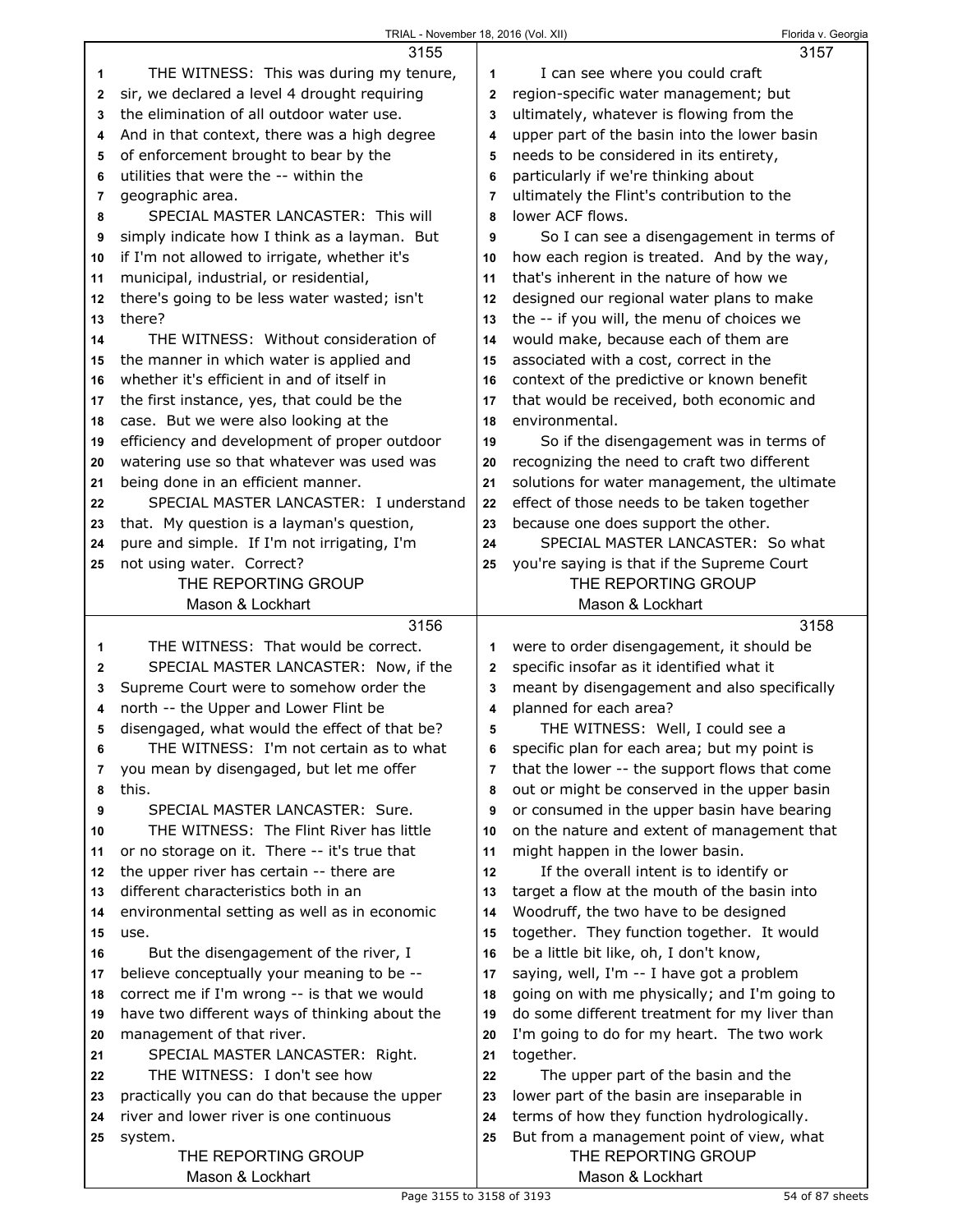|             | 3155                                                                                     |                         | 3157                                                                             |
|-------------|------------------------------------------------------------------------------------------|-------------------------|----------------------------------------------------------------------------------|
| 1           | THE WITNESS: This was during my tenure,                                                  | 1                       | I can see where you could craft                                                  |
| $\mathbf 2$ | sir, we declared a level 4 drought requiring                                             | $\overline{2}$          | region-specific water management; but                                            |
| 3           | the elimination of all outdoor water use.                                                | 3                       | ultimately, whatever is flowing from the                                         |
| 4           | And in that context, there was a high degree                                             | 4                       | upper part of the basin into the lower basin                                     |
| 5           | of enforcement brought to bear by the                                                    | 5                       | needs to be considered in its entirety,                                          |
| 6           | utilities that were the -- within the                                                    | 6                       | particularly if we're thinking about                                             |
| 7           | geographic area.                                                                         | $\overline{7}$          | ultimately the Flint's contribution to the                                       |
| 8           | SPECIAL MASTER LANCASTER: This will                                                      | 8                       | lower ACF flows.                                                                 |
| 9           | simply indicate how I think as a layman. But                                             | 9                       | So I can see a disengagement in terms of                                         |
| 10          | if I'm not allowed to irrigate, whether it's                                             | 10                      | how each region is treated. And by the way,                                      |
| 11          | municipal, industrial, or residential,                                                   | 11                      | that's inherent in the nature of how we                                          |
| 12          | there's going to be less water wasted; isn't                                             | 12                      | designed our regional water plans to make                                        |
| 13          | there?                                                                                   | 13                      | the -- if you will, the menu of choices we                                       |
| 14          | THE WITNESS: Without consideration of                                                    | 14                      | would make, because each of them are                                             |
| 15          | the manner in which water is applied and                                                 | 15                      | associated with a cost, correct in the                                           |
| 16          | whether it's efficient in and of itself in                                               | 16                      | context of the predictive or known benefit                                       |
| 17          | the first instance, yes, that could be the                                               | 17                      | that would be received, both economic and                                        |
| 18          | case. But we were also looking at the                                                    | 18                      | environmental.                                                                   |
| 19          | efficiency and development of proper outdoor                                             | 19                      | So if the disengagement was in terms of                                          |
| 20          | watering use so that whatever was used was                                               | 20                      | recognizing the need to craft two different                                      |
| 21          | being done in an efficient manner.                                                       | 21                      | solutions for water management, the ultimate                                     |
| 22          | SPECIAL MASTER LANCASTER: I understand                                                   | 22                      | effect of those needs to be taken together                                       |
| 23          | that. My question is a layman's question,                                                | 23                      | because one does support the other.                                              |
| 24          | pure and simple. If I'm not irrigating, I'm                                              | 24                      | SPECIAL MASTER LANCASTER: So what                                                |
| 25          | not using water. Correct?                                                                | 25                      | you're saying is that if the Supreme Court                                       |
|             | THE REPORTING GROUP                                                                      |                         | THE REPORTING GROUP                                                              |
|             | Mason & Lockhart                                                                         |                         | Mason & Lockhart                                                                 |
|             |                                                                                          |                         |                                                                                  |
|             |                                                                                          |                         |                                                                                  |
| 1           | 3156<br>THE WITNESS: That would be correct.                                              | 1                       | 3158                                                                             |
| 2           |                                                                                          | $\overline{2}$          | were to order disengagement, it should be                                        |
| 3           | SPECIAL MASTER LANCASTER: Now, if the                                                    | 3                       | specific insofar as it identified what it                                        |
| 4           | Supreme Court were to somehow order the                                                  | $\overline{\mathbf{4}}$ | meant by disengagement and also specifically                                     |
| 5           | north -- the Upper and Lower Flint be                                                    | 5                       | planned for each area?                                                           |
| 6           | disengaged, what would the effect of that be?<br>THE WITNESS: I'm not certain as to what | 6                       | THE WITNESS: Well, I could see a<br>specific plan for each area; but my point is |
| 7           | you mean by disengaged, but let me offer                                                 | 7                       | that the lower -- the support flows that come                                    |
| 8           | this.                                                                                    | 8                       | out or might be conserved in the upper basin                                     |
| 9           | SPECIAL MASTER LANCASTER: Sure.                                                          | 9                       | or consumed in the upper basin have bearing                                      |
| 10          | THE WITNESS: The Flint River has little                                                  | 10                      | on the nature and extent of management that                                      |
| 11          | or no storage on it. There -- it's true that                                             | 11                      | might happen in the lower basin.                                                 |
| 12          | the upper river has certain -- there are                                                 | 12                      | If the overall intent is to identify or                                          |
| 13          | different characteristics both in an                                                     | 13                      | target a flow at the mouth of the basin into                                     |
| 14          | environmental setting as well as in economic                                             | 14                      | Woodruff, the two have to be designed                                            |
| 15          | use.                                                                                     | 15                      | together. They function together. It would                                       |
| 16          | But the disengagement of the river, I                                                    | 16                      | be a little bit like, oh, I don't know,                                          |
| 17          | believe conceptually your meaning to be --                                               | 17                      | saying, well, I'm -- I have got a problem                                        |
| 18          | correct me if I'm wrong -- is that we would                                              | 18                      | going on with me physically; and I'm going to                                    |
| 19          | have two different ways of thinking about the                                            | 19                      | do some different treatment for my liver than                                    |
| 20          | management of that river.                                                                | 20                      | I'm going to do for my heart. The two work                                       |
| 21          | SPECIAL MASTER LANCASTER: Right.                                                         | 21                      | together.                                                                        |
| 22          | THE WITNESS: I don't see how                                                             | 22                      | The upper part of the basin and the                                              |
| 23          | practically you can do that because the upper                                            | 23                      | lower part of the basin are inseparable in                                       |
| 24          | river and lower river is one continuous                                                  | 24                      | terms of how they function hydrologically.                                       |
| 25          | system.                                                                                  | 25                      | But from a management point of view, what                                        |
|             | THE REPORTING GROUP                                                                      |                         | THE REPORTING GROUP                                                              |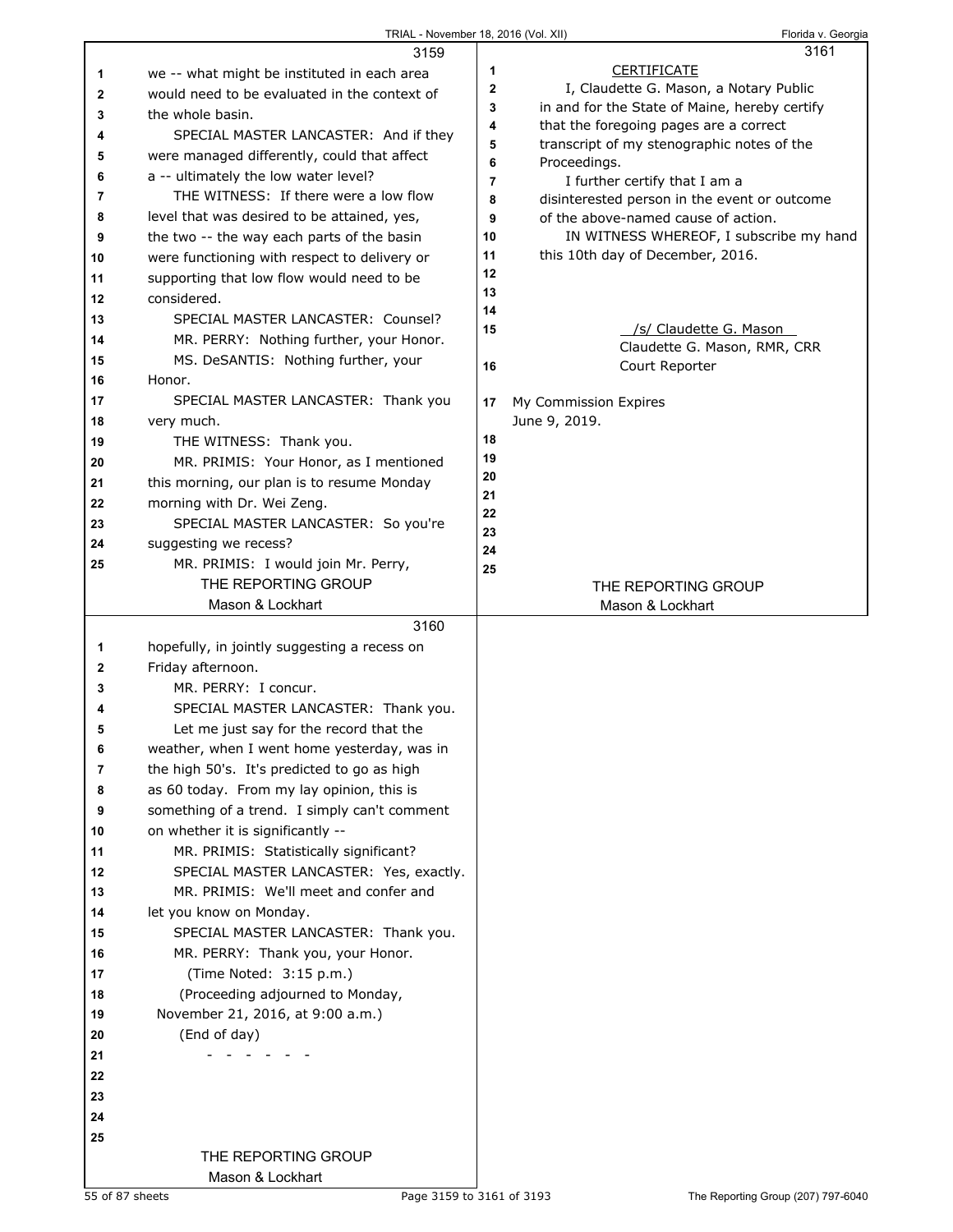|          | 3159                                                                             |              | 3161                                                                                 |
|----------|----------------------------------------------------------------------------------|--------------|--------------------------------------------------------------------------------------|
| 1        | we -- what might be instituted in each area                                      | 1            | <b>CERTIFICATE</b>                                                                   |
| 2        | would need to be evaluated in the context of                                     | $\mathbf{2}$ | I, Claudette G. Mason, a Notary Public                                               |
| 3        | the whole basin.                                                                 | 3            | in and for the State of Maine, hereby certify                                        |
| 4        | SPECIAL MASTER LANCASTER: And if they                                            | 4<br>5       | that the foregoing pages are a correct<br>transcript of my stenographic notes of the |
| 5        | were managed differently, could that affect                                      | 6            | Proceedings.                                                                         |
| 6        | a -- ultimately the low water level?                                             | 7            | I further certify that I am a                                                        |
| 7        | THE WITNESS: If there were a low flow                                            | 8            | disinterested person in the event or outcome                                         |
| 8        | level that was desired to be attained, yes,                                      | 9            | of the above-named cause of action.                                                  |
| 9        | the two -- the way each parts of the basin                                       | 10           | IN WITNESS WHEREOF, I subscribe my hand                                              |
| 10       | were functioning with respect to delivery or                                     | 11           | this 10th day of December, 2016.                                                     |
| 11       | supporting that low flow would need to be                                        | 12           |                                                                                      |
| 12       | considered.                                                                      | 13           |                                                                                      |
| 13       | SPECIAL MASTER LANCASTER: Counsel?                                               | 14           |                                                                                      |
| 14       | MR. PERRY: Nothing further, your Honor.                                          | 15           | /s/ Claudette G. Mason<br>Claudette G. Mason, RMR, CRR                               |
| 15       | MS. DeSANTIS: Nothing further, your                                              | 16           | Court Reporter                                                                       |
| 16       | Honor.                                                                           |              |                                                                                      |
| 17       | SPECIAL MASTER LANCASTER: Thank you                                              | 17           | My Commission Expires                                                                |
| 18       | very much.                                                                       |              | June 9, 2019.                                                                        |
| 19       | THE WITNESS: Thank you.                                                          | 18           |                                                                                      |
| 20       | MR. PRIMIS: Your Honor, as I mentioned                                           | 19           |                                                                                      |
| 21       | this morning, our plan is to resume Monday                                       | 20<br>21     |                                                                                      |
| 22       | morning with Dr. Wei Zeng.                                                       | 22           |                                                                                      |
| 23       | SPECIAL MASTER LANCASTER: So you're                                              | 23           |                                                                                      |
| 24       | suggesting we recess?                                                            | 24           |                                                                                      |
| 25       | MR. PRIMIS: I would join Mr. Perry,                                              | 25           |                                                                                      |
|          | THE REPORTING GROUP                                                              |              | THE REPORTING GROUP                                                                  |
|          | Mason & Lockhart                                                                 |              |                                                                                      |
|          |                                                                                  |              | Mason & Lockhart                                                                     |
|          | 3160                                                                             |              |                                                                                      |
| 1        | hopefully, in jointly suggesting a recess on                                     |              |                                                                                      |
| 2        | Friday afternoon.                                                                |              |                                                                                      |
| 3        | MR. PERRY: I concur.                                                             |              |                                                                                      |
| 4        | SPECIAL MASTER LANCASTER: Thank you.                                             |              |                                                                                      |
| 5        | Let me just say for the record that the                                          |              |                                                                                      |
| 6        | weather, when I went home yesterday, was in                                      |              |                                                                                      |
| 7        | the high 50's. It's predicted to go as high                                      |              |                                                                                      |
| 8        | as 60 today. From my lay opinion, this is                                        |              |                                                                                      |
| 9        | something of a trend. I simply can't comment                                     |              |                                                                                      |
| 10       | on whether it is significantly --                                                |              |                                                                                      |
| 11<br>12 | MR. PRIMIS: Statistically significant?                                           |              |                                                                                      |
| 13       | SPECIAL MASTER LANCASTER: Yes, exactly.<br>MR. PRIMIS: We'll meet and confer and |              |                                                                                      |
| 14       | let you know on Monday.                                                          |              |                                                                                      |
| 15       | SPECIAL MASTER LANCASTER: Thank you.                                             |              |                                                                                      |
| 16       | MR. PERRY: Thank you, your Honor.                                                |              |                                                                                      |
| 17       | (Time Noted: 3:15 p.m.)                                                          |              |                                                                                      |
| 18       | (Proceeding adjourned to Monday,                                                 |              |                                                                                      |
| 19       | November 21, 2016, at 9:00 a.m.)                                                 |              |                                                                                      |
| 20       | (End of day)                                                                     |              |                                                                                      |
| 21       |                                                                                  |              |                                                                                      |
| 22       |                                                                                  |              |                                                                                      |
| 23       |                                                                                  |              |                                                                                      |
| 24       |                                                                                  |              |                                                                                      |
| 25       |                                                                                  |              |                                                                                      |
|          | THE REPORTING GROUP<br>Mason & Lockhart                                          |              |                                                                                      |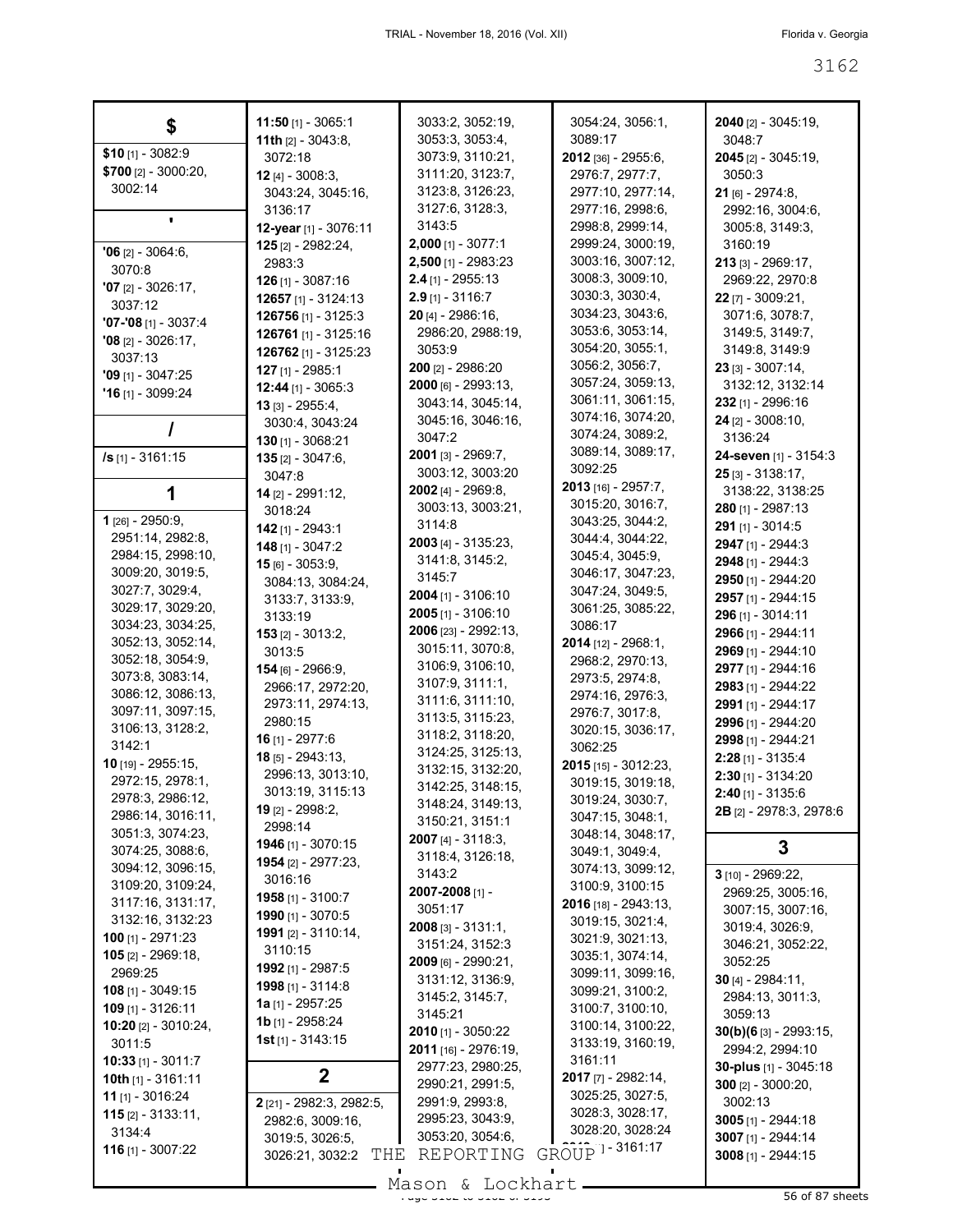| \$                                     | <b>11:50</b> [1] - 3065:1                | 3033:2, 3052:19,                        | 3054:24, 3056:1,                     | 2040 [2] - 3045:19,                                   |
|----------------------------------------|------------------------------------------|-----------------------------------------|--------------------------------------|-------------------------------------------------------|
|                                        | 11th $[2] - 3043:8$ ,                    | 3053:3, 3053:4,                         | 3089:17                              | 3048:7                                                |
| $$10$ [1] - 3082:9                     | 3072:18                                  | 3073:9, 3110:21,                        | 2012 [36] - 2955:6,                  | 2045 [2] - 3045:19,                                   |
| \$700 $[2] - 3000:20$ ,                | <b>12</b> [4] - 3008:3,                  | 3111:20, 3123:7,                        | 2976:7, 2977:7,                      | 3050:3                                                |
| 3002:14                                | 3043:24, 3045:16,                        | 3123:8, 3126:23,                        | 2977:10, 2977:14,                    | $21$ [6] - 2974:8,                                    |
|                                        | 3136:17                                  | 3127:6, 3128:3,                         | 2977:16, 2998:6,                     | 2992:16, 3004:6,                                      |
|                                        | 12-year [1] - 3076:11                    | 3143:5                                  | 2998:8, 2999:14,                     | 3005:8, 3149:3,                                       |
| $'06$ [2] - 3064:6,                    | $125$ [2] - 2982:24,                     | $2,000$ [1] - 3077:1                    | 2999:24, 3000:19,                    | 3160:19                                               |
| 3070:8                                 | 2983:3                                   | 2,500 [1] - 2983:23                     | 3003:16, 3007:12,                    | $213$ [3] - 2969:17,                                  |
| $'07$ [2] - 3026:17,                   | $126$ [1] - 3087:16                      | $2.4$ [1] - 2955:13                     | 3008:3, 3009:10,                     | 2969:22, 2970:8                                       |
| 3037:12                                | 12657 [1] - 3124:13                      | $2.9$ [1] - 3116:7                      | 3030:3, 3030:4,                      | $22$ [7] - 3009:21,                                   |
| $'07 -'08$ [1] - 3037:4                | <b>126756</b> [1] - 3125:3               | 20 [4] - 2986:16,                       | 3034:23, 3043:6,<br>3053:6, 3053:14, | 3071:6, 3078:7,                                       |
| $'08$ [2] - 3026:17,                   | 126761 [1] - 3125:16                     | 2986:20, 2988:19,                       | 3054:20, 3055:1,                     | 3149:5, 3149:7,                                       |
| 3037:13                                | 126762 [1] - 3125:23                     | 3053:9<br>200 [2] - 2986:20             | 3056:2, 3056:7,                      | 3149:8, 3149:9<br>$23$ [3] - 3007:14,                 |
| $'09$ [1] - 3047:25                    | 127 [1] - 2985:1                         | $2000$ [6] - 2993:13,                   | 3057:24, 3059:13,                    | 3132:12, 3132:14                                      |
| $'16$ [1] - 3099:24                    | 12:44 [1] - 3065:3                       | 3043:14, 3045:14,                       | 3061:11, 3061:15,                    | 232 [1] - 2996:16                                     |
|                                        | $13$ [3] - 2955:4,<br>3030:4, 3043:24    | 3045:16, 3046:16,                       | 3074:16, 3074:20,                    | $24$ [2] - 3008:10,                                   |
|                                        | 130 [1] - 3068:21                        | 3047:2                                  | 3074:24, 3089:2,                     | 3136:24                                               |
| <b>/s</b> [1] - 3161:15                | <b>135</b> [2] - 3047:6,                 | 2001 [3] - 2969:7,                      | 3089:14, 3089:17,                    | 24-seven [1] - 3154:3                                 |
|                                        | 3047:8                                   | 3003:12, 3003:20                        | 3092:25                              | $25$ [3] - 3138:17,                                   |
| 1                                      | $14$ [2] - 2991:12,                      | 2002 [4] - 2969:8.                      | $2013$ [16] - 2957:7,                | 3138:22, 3138:25                                      |
|                                        | 3018:24                                  | 3003:13, 3003:21,                       | 3015:20, 3016:7,                     | 280 [1] - 2987:13                                     |
| 1 $[26] - 2950:9,$                     | 142 [1] - 2943:1                         | 3114:8                                  | 3043:25, 3044:2,                     | 291 [1] - 3014:5                                      |
| 2951:14, 2982:8,                       | $148$ [1] - 3047:2                       | <b>2003</b> [4] - 3135:23,              | 3044:4, 3044:22,                     | 2947 [1] - 2944:3                                     |
| 2984:15, 2998:10,                      | $15$ [6] - 3053:9,                       | 3141:8, 3145:2,                         | 3045:4, 3045:9,                      | 2948 [1] - 2944:3                                     |
| 3009:20, 3019:5,                       | 3084:13, 3084:24,                        | 3145:7                                  | 3046:17, 3047:23,                    | 2950 [1] - 2944:20                                    |
| 3027:7, 3029:4,                        | 3133:7, 3133:9,                          | $2004$ [1] - 3106:10                    | 3047:24, 3049:5,                     | 2957 [1] - 2944:15                                    |
| 3029:17, 3029:20,<br>3034:23, 3034:25, | 3133:19                                  | $2005$ [1] - 3106:10                    | 3061:25, 3085:22,<br>3086:17         | 296 [1] - 3014:11                                     |
| 3052:13, 3052:14,                      | $153$ [2] - 3013:2,                      | 2006 [23] - 2992:13,                    | 2014 [12] - 2968:1,                  | 2966 [1] - 2944:11                                    |
| 3052:18, 3054:9,                       | 3013:5                                   | 3015:11, 3070:8,                        | 2968:2, 2970:13,                     | 2969 [1] - 2944:10                                    |
| 3073:8, 3083:14,                       | 154 [6] - 2966:9,                        | 3106:9, 3106:10,                        | 2973:5, 2974:8,                      | 2977 [1] - 2944:16                                    |
| 3086:12, 3086:13,                      | 2966:17, 2972:20,                        | 3107:9, 3111:1,<br>3111:6, 3111:10,     | 2974:16, 2976:3,                     | 2983 [1] - 2944:22                                    |
| 3097:11, 3097:15,                      | 2973:11, 2974:13,                        | 3113:5, 3115:23,                        | 2976:7, 3017:8,                      | 2991 [1] - 2944:17                                    |
| 3106:13, 3128:2,                       | 2980:15                                  | 3118:2, 3118:20,                        | 3020:15, 3036:17,                    | 2996 [1] - 2944:20                                    |
| 3142:1                                 | <b>16</b> [1] - 2977:6                   | 3124:25, 3125:13,                       | 3062:25                              | 2998 [1] - 2944:21                                    |
| 10 [19] - 2955:15,                     | $18$ [5] - 2943:13,<br>2996:13, 3013:10, | 3132:15, 3132:20,                       | 2015 [15] - 3012:23,                 | $2:28$ [1] - 3135:4<br>$2:30$ [1] - 3134:20           |
| 2972:15, 2978:1,                       | 3013:19, 3115:13                         | 3142:25, 3148:15,                       | 3019:15, 3019:18,                    |                                                       |
| 2978:3, 2986:12,                       | 19 [2] - 2998:2,                         | 3148:24, 3149:13,                       | 3019:24, 3030:7,                     | $2:40$ [1] - 3135:6<br><b>2B</b> [2] - 2978:3, 2978:6 |
| 2986:14, 3016:11,                      | 2998:14                                  | 3150:21, 3151:1                         | 3047:15, 3048:1,                     |                                                       |
| 3051:3, 3074:23,                       | 1946 [1] - 3070:15                       | <b>2007</b> [4] - 3118:3,               | 3048:14, 3048:17,                    | 3                                                     |
| 3074:25, 3088:6,<br>3094:12, 3096:15,  | 1954 [2] - 2977:23,                      | 3118:4, 3126:18,                        | 3049:1, 3049:4,                      |                                                       |
| 3109:20, 3109:24,                      | 3016:16                                  | 3143:2                                  | 3074:13, 3099:12,<br>3100:9, 3100:15 | 3 [10] - 2969:22,                                     |
| 3117:16, 3131:17,                      | <b>1958</b> [1] - 3100:7                 | 2007-2008 [1] -                         | 2016 [18] - 2943:13,                 | 2969:25, 3005:16,                                     |
| 3132:16, 3132:23                       | 1990 [1] - 3070:5                        | 3051:17                                 | 3019:15, 3021:4,                     | 3007:15, 3007:16,                                     |
| 100 $[1] - 2971:23$                    | 1991 [2] - 3110:14,                      | $2008$ [3] - 3131:1,                    | 3021:9, 3021:13,                     | 3019:4, 3026:9,                                       |
| $105$ [2] - 2969:18,                   | 3110:15                                  | 3151:24, 3152:3                         | 3035:1, 3074:14,                     | 3046:21, 3052:22,<br>3052:25                          |
| 2969:25                                | 1992 [1] - 2987:5                        | 2009 [6] - 2990:21,<br>3131:12, 3136:9, | 3099:11, 3099:16,                    | $30$ [4] - 2984:11,                                   |
| <b>108</b> [1] - 3049:15               | 1998 [1] - 3114:8                        | 3145:2, 3145:7,                         | 3099:21, 3100:2,                     | 2984:13, 3011:3,                                      |
| 109 [1] - 3126:11                      | <b>1a</b> $[1]$ - 2957:25                | 3145:21                                 | 3100:7, 3100:10,                     | 3059:13                                               |
| 10:20 [2] - 3010:24,                   | 1b [1] - 2958:24                         | 2010 [1] - 3050:22                      | 3100:14, 3100:22,                    | $30(b)(6_{[3]} - 2993:15,$                            |
| 3011:5                                 | <b>1st</b> [1] - $3143:15$               | 2011 [16] - 2976:19,                    | 3133:19, 3160:19,                    | 2994:2, 2994:10                                       |
| <b>10:33</b> [1] - 3011:7              |                                          | 2977:23, 2980:25,                       | 3161:11                              | 30-plus [1] - 3045:18                                 |
| 10th $[1]$ - 3161:11                   | 2                                        | 2990:21, 2991:5,                        | 2017 [7] - 2982:14,                  | 300 $[2] - 3000:20,$                                  |
| <b>11</b> [1] - 3016:24                | 2 [21] - 2982:3, 2982:5,                 | 2991:9, 2993:8,                         | 3025:25, 3027:5,                     | 3002:13                                               |
| <b>115</b> $[2] - 3133:11$             | 2982:6, 3009:16,                         | 2995:23, 3043:9,                        | 3028:3, 3028:17,                     | $3005$ [1] - 2944:18                                  |
| 3134:4                                 | 3019:5, 3026:5,                          | 3053:20, 3054:6,                        | 3028:20, 3028:24                     | 3007 [1] - 2944:14                                    |
| 116 [1] - 3007:22                      | THE<br>3026:21, 3032:2                   | REPORTING                               | GROUP 1-3161:17                      | 3008 [1] - 2944:15                                    |
|                                        |                                          | $Mason \& T. ockhart$                   |                                      |                                                       |

Mason & Lockhart 
1920 - 1920 - 1920 1921 1922 1932 1943 56 of 87 sheets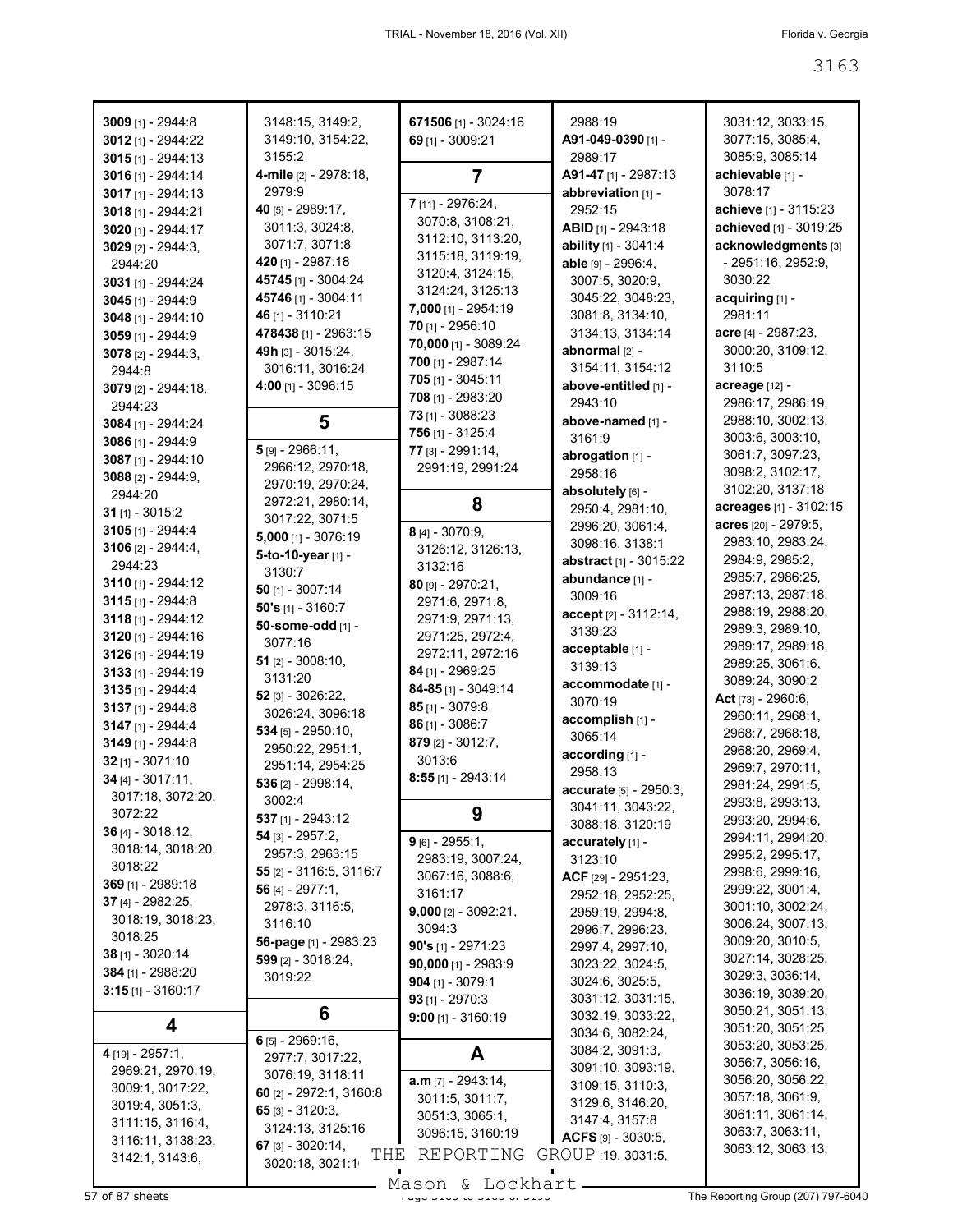| 3009 [1] - 2944:8    | 3148:15, 3149:2,           | 671506 [1] - 3024:16   | 2988:19                            | 3031:12, 3033:15,                    |
|----------------------|----------------------------|------------------------|------------------------------------|--------------------------------------|
| 3012 [1] - 2944:22   | 3149:10, 3154:22,          | 69 [1] - 3009:21       | A91-049-0390 [1] -                 | 3077:15, 3085:4,                     |
| $3015$ [1] - 2944:13 | 3155:2                     |                        | 2989:17                            | 3085:9, 3085:14                      |
| 3016 [1] - 2944:14   | 4-mile [2] - 2978:18,      | $\overline{7}$         | A91-47 [1] - 2987:13               | achievable [1] -                     |
| 3017 [1] - 2944:13   | 2979:9                     | 7 [11] - 2976:24,      | abbreviation [1] -                 | 3078:17                              |
| 3018 [1] - 2944:21   | 40 [5] - 2989:17,          | 3070:8, 3108:21,       | 2952:15                            | achieve [1] - 3115:23                |
| 3020 [1] - 2944:17   | 3011:3, 3024:8,            | 3112:10, 3113:20,      | ABID [1] - 2943:18                 | achieved [1] - 3019:25               |
| 3029 [2] - 2944:3,   | 3071:7, 3071:8             | 3115:18, 3119:19,      | ability [1] - 3041:4               | acknowledgments [3]                  |
| 2944:20              | 420 [1] - 2987:18          | 3120:4, 3124:15,       | able [9] - 2996:4,                 | - 2951:16, 2952:9,                   |
| 3031 [1] - 2944:24   | 45745 [1] - 3004:24        | 3124:24, 3125:13       | 3007:5, 3020:9,                    | 3030:22                              |
| 3045 [1] - 2944:9    | 45746 [1] - 3004:11        | 7,000 [1] - 2954:19    | 3045:22, 3048:23,                  | acquiring [1] -                      |
| 3048 [1] - 2944:10   | 46 [1] - 3110:21           | 70 [1] - 2956:10       | 3081:8, 3134:10,                   | 2981:11                              |
| 3059 [1] - 2944:9    | 478438 [1] - 2963:15       | 70,000 [1] - 3089:24   | 3134:13, 3134:14                   | acre [4] - 2987:23,                  |
| 3078 [2] - 2944:3,   | 49h [3] - 3015:24,         | 700 [1] - 2987:14      | abnormal [2] -                     | 3000:20, 3109:12,                    |
| 2944:8               | 3016:11, 3016:24           | $705$ [1] - 3045:11    | 3154:11, 3154:12                   | 3110:5                               |
| 3079 $[2] - 2944:18$ | 4:00 [1] - 3096:15         | 708 [1] - 2983:20      | above-entitled [1] -               | acreage [12] -                       |
| 2944:23              |                            | 73 [1] - 3088:23       | 2943:10                            | 2986:17, 2986:19,                    |
| 3084 [1] - 2944:24   | 5                          | 756 [1] - 3125:4       | above-named [1] -                  | 2988:10, 3002:13,                    |
| 3086 [1] - 2944:9    | $5$ [9] - 2966:11,         | 77 [3] - 2991:14,      | 3161:9                             | 3003:6, 3003:10,                     |
| 3087 [1] - 2944:10   | 2966:12, 2970:18,          | 2991:19, 2991:24       | abrogation [1] -                   | 3061:7, 3097:23,                     |
| 3088 [2] - 2944:9,   | 2970:19, 2970:24,          |                        | 2958:16                            | 3098:2, 3102:17,                     |
| 2944:20              | 2972:21, 2980:14,          | 8                      | absolutely [6] -                   | 3102:20, 3137:18                     |
| 31 [1] - 3015:2      | 3017:22, 3071:5            |                        | 2950:4, 2981:10,                   | acreages [1] - 3102:15               |
| 3105 [1] - 2944:4    | $5,000$ [1] - 3076:19      | $8$ [4] - 3070:9,      | 2996:20, 3061:4,                   | acres [20] - 2979:5,                 |
| 3106 [2] - 2944:4,   | 5-to-10-year [1] -         | 3126:12, 3126:13,      | 3098:16, 3138:1                    | 2983:10, 2983:24,                    |
| 2944:23              | 3130:7                     | 3132:16                | abstract [1] - 3015:22             | 2984:9, 2985:2,                      |
| 3110 [1] - 2944:12   | 50 $[1] - 3007:14$         | $80$ [9] - 2970:21,    | abundance [1] -                    | 2985:7, 2986:25,                     |
| 3115 $[1] - 2944:8$  | 50's $[1]$ - 3160:7        | 2971:6, 2971:8,        | 3009:16                            | 2987:13, 2987:18,                    |
| 3118 [1] - 2944:12   | 50-some-odd [1] -          | 2971:9, 2971:13,       | accept [2] - 3112:14,              | 2988:19, 2988:20,                    |
| 3120 [1] - 2944:16   | 3077:16                    | 2971:25, 2972:4,       | 3139:23                            | 2989:3, 2989:10,                     |
| 3126 [1] - 2944:19   | 51 $[2] - 3008:10,$        | 2972:11, 2972:16       | acceptable [1] -                   | 2989:17, 2989:18,                    |
| 3133 [1] - 2944:19   | 3131:20                    | 84 [1] - 2969:25       | 3139:13                            | 2989:25, 3061:6,                     |
| $3135$ [1] - 2944:4  | 52 [3] - 3026:22,          | 84-85 [1] - 3049:14    | accommodate [1] -                  | 3089:24, 3090:2                      |
| $3137$ [1] - 2944:8  | 3026:24, 3096:18           | $85$ [1] - 3079:8      | 3070:19                            | Act $[73] - 2960:6,$                 |
| 3147 [1] - 2944:4    | $534$ [5] - 2950:10,       | 86 [1] - 3086:7        | accomplish [1] -                   | 2960:11, 2968:1,                     |
| 3149 [1] - 2944:8    | 2950:22, 2951:1,           | 879 [2] - 3012:7,      | 3065:14                            | 2968:7, 2968:18,                     |
| $32$ [1] - 3071:10   | 2951:14, 2954:25           | 3013:6                 | according [1] -                    | 2968:20, 2969:4,                     |
| $34$ [4] - 3017:11,  | 536 $[2] - 2998:14,$       | $8:55$ [1] - 2943:14   | 2958:13                            | 2969:7, 2970:11,                     |
| 3017:18, 3072:20,    | 3002:4                     |                        | accurate [5] - 2950:3,             | 2981:24, 2991:5,                     |
| 3072:22              | $537$ [1] - 2943:12        | 9                      | 3041:11, 3043:22,                  | 2993:8, 2993:13,<br>2993:20, 2994:6, |
| $36$ [4] - 3018:12,  | $54$ [3] - 2957:2,         |                        | 3088:18, 3120:19                   | 2994:11, 2994:20,                    |
| 3018:14, 3018:20,    | 2957:3, 2963:15            | $9$ [6] - 2955:1,      | accurately [1] -                   | 2995:2, 2995:17,                     |
| 3018:22              | 55 [2] - 3116:5, 3116:7    | 2983:19, 3007:24,      | 3123:10                            | 2998:6, 2999:16,                     |
| 369 [1] - 2989:18    | 56 $[4] - 2977:1$          | 3067:16, 3088:6,       | $ACF$ [29] - 2951:23,              | 2999:22, 3001:4,                     |
| 37 [4] - 2982:25,    | 2978:3, 3116:5,            | 3161:17                | 2952:18, 2952:25,                  | 3001:10, 3002:24,                    |
| 3018:19, 3018:23,    | 3116:10                    | $9,000$ [2] - 3092:21, | 2959:19, 2994:8,                   | 3006:24, 3007:13,                    |
| 3018:25              | 56-page [1] - 2983:23      | 3094:3                 | 2996:7, 2996:23,                   | 3009:20, 3010:5,                     |
| 38 [1] - 3020:14     | 599 [2] - 3018:24,         | 90's $[1] - 2971:23$   | 2997:4, 2997:10,                   | 3027:14, 3028:25,                    |
| 384 [1] - 2988:20    | 3019:22                    | $90,000$ [1] - 2983:9  | 3023:22, 3024:5,                   | 3029:3, 3036:14,                     |
| $3:15$ [1] - 3160:17 |                            | $904$ [1] - 3079:1     | 3024:6, 3025:5,                    | 3036:19, 3039:20,                    |
|                      | 6                          | 93 $[1] - 2970:3$      | 3031:12, 3031:15,                  | 3050:21, 3051:13,                    |
| 4                    |                            | $9:00$ [1] - 3160:19   | 3032:19, 3033:22,                  | 3051:20, 3051:25,                    |
|                      | $6$ [5] - 2969:16,         |                        | 3034:6, 3082:24,                   | 3053:20, 3053:25,                    |
| 4 [19] - 2957:1,     | 2977:7, 3017:22,           | A                      | 3084:2, 3091:3,                    | 3056:7, 3056:16,                     |
| 2969:21, 2970:19,    | 3076:19, 3118:11           | a.m [7] - 2943:14,     | 3091:10, 3093:19,                  | 3056:20, 3056:22,                    |
| 3009:1, 3017:22,     | 60 [2] - 2972:1, 3160:8    | 3011:5, 3011:7,        | 3109:15, 3110:3,                   | 3057:18, 3061:9,                     |
| 3019:4, 3051:3,      | 65 $[3] - 3120:3$          | 3051:3, 3065:1,        | 3129:6, 3146:20,<br>3147:4, 3157:8 | 3061:11, 3061:14,                    |
| 3111:15, 3116:4,     | 3124:13, 3125:16           | 3096:15, 3160:19       | ACFS $[9] - 3030.5$                | 3063:7, 3063:11,                     |
| 3116:11, 3138:23,    | 67 $[3] - 3020:14,$<br>THE | REPORTING              | GROUP 19, 3031:5,                  | 3063:12, 3063:13,                    |
| 3142:1, 3143:6,      | 3020:18, 3021:1            |                        |                                    |                                      |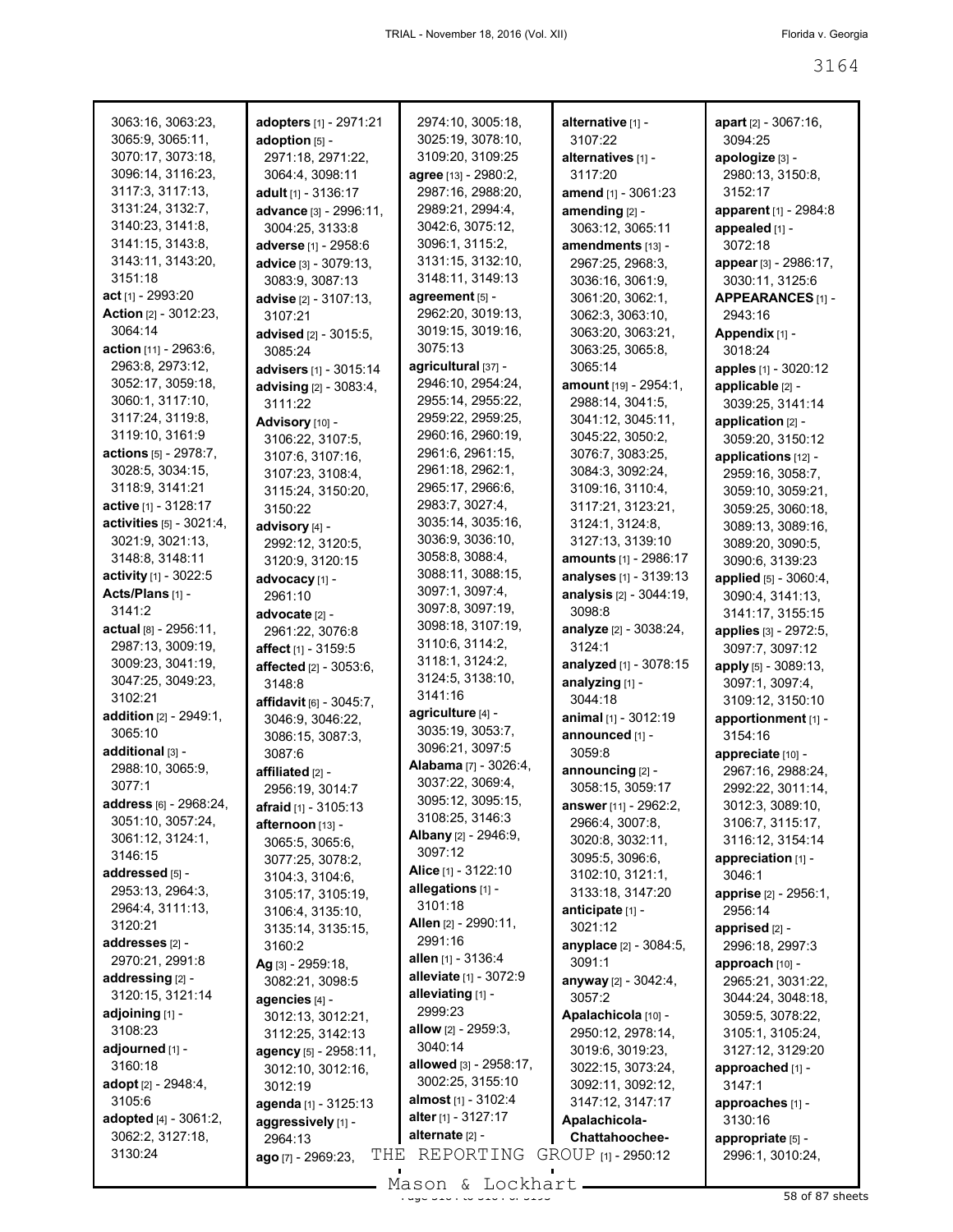| 3063:16, 3063:23,<br>3065:9, 3065:11,       | adopters [1] - 2971:21<br>adoption $[5]$ - | 2974:10, 3005:18,<br>3025:19, 3078:10,     | alternative [1] -<br>3107:22         | <b>apart</b> $[2] - 3067:16$ ,<br>3094:25 |
|---------------------------------------------|--------------------------------------------|--------------------------------------------|--------------------------------------|-------------------------------------------|
| 3070:17, 3073:18,                           | 2971:18, 2971:22,                          | 3109:20, 3109:25                           | alternatives [1] -                   | apologize [3] -                           |
| 3096:14, 3116:23,                           | 3064:4, 3098:11                            | agree [13] - 2980:2,                       | 3117:20                              | 2980:13, 3150:8,                          |
| 3117:3, 3117:13,                            | adult [1] - 3136:17                        | 2987:16, 2988:20,                          | amend [1] - 3061:23                  | 3152:17                                   |
| 3131:24, 3132:7,                            |                                            | 2989:21, 2994:4,                           |                                      |                                           |
| 3140:23, 3141:8,                            | advance [3] - 2996:11,<br>3004:25, 3133:8  | 3042:6, 3075:12,                           | amending $[2]$ -<br>3063:12, 3065:11 | apparent [1] - 2984:8<br>appealed [1] -   |
| 3141:15, 3143:8,                            | adverse [1] - 2958:6                       | 3096:1, 3115:2,                            | amendments [13] -                    | 3072:18                                   |
| 3143:11, 3143:20,                           |                                            | 3131:15, 3132:10,                          | 2967:25, 2968:3,                     |                                           |
| 3151:18                                     | advice [3] - 3079:13,<br>3083:9, 3087:13   | 3148:11, 3149:13                           | 3036:16, 3061:9,                     | appear [3] - 2986:17,                     |
| act [1] - 2993:20                           | advise [2] - 3107:13,                      | agreement [5] -                            | 3061:20, 3062:1,                     | 3030:11, 3125:6<br>APPEARANCES [1] -      |
| Action [2] - 3012:23,                       | 3107:21                                    | 2962:20, 3019:13,                          | 3062:3, 3063:10,                     | 2943:16                                   |
| 3064:14                                     | advised [2] - 3015:5,                      | 3019:15, 3019:16,                          | 3063:20, 3063:21,                    | Appendix [1] -                            |
| action [11] - 2963:6,                       | 3085:24                                    | 3075:13                                    | 3063:25, 3065:8,                     | 3018:24                                   |
| 2963:8, 2973:12,                            | advisers [1] - 3015:14                     | agricultural [37] -                        | 3065:14                              | apples [1] - 3020:12                      |
| 3052:17, 3059:18,                           | advising [2] - 3083:4,                     | 2946:10, 2954:24,                          | amount [19] - 2954:1,                | applicable [2] -                          |
| 3060:1, 3117:10,                            | 3111:22                                    | 2955:14, 2955:22,                          | 2988:14, 3041:5,                     | 3039:25, 3141:14                          |
| 3117:24, 3119:8,                            | Advisory [10] -                            | 2959:22, 2959:25,                          | 3041:12, 3045:11,                    | application [2] -                         |
| 3119:10, 3161:9                             | 3106:22, 3107:5,                           | 2960:16, 2960:19,                          | 3045:22, 3050:2,                     | 3059:20, 3150:12                          |
| actions [5] - 2978:7,                       | 3107:6, 3107:16,                           | 2961:6, 2961:15,                           | 3076:7, 3083:25,                     | applications [12] -                       |
| 3028:5, 3034:15,                            | 3107:23, 3108:4,                           | 2961:18, 2962:1,                           | 3084:3, 3092:24,                     | 2959:16, 3058:7,                          |
| 3118:9, 3141:21                             | 3115:24, 3150:20,                          | 2965:17, 2966:6,                           | 3109:16, 3110:4,                     | 3059:10, 3059:21,                         |
| active [1] - 3128:17                        | 3150:22                                    | 2983:7, 3027:4,                            | 3117:21, 3123:21,                    | 3059:25, 3060:18,                         |
| activities [5] - 3021:4,                    | advisory [4] -                             | 3035:14, 3035:16,                          | 3124:1, 3124:8,                      | 3089:13, 3089:16,                         |
| 3021:9, 3021:13,                            | 2992:12, 3120:5,                           | 3036:9, 3036:10,                           | 3127:13, 3139:10                     | 3089:20, 3090:5,                          |
| 3148:8, 3148:11                             | 3120:9, 3120:15                            | 3058:8, 3088:4,                            | <b>amounts</b> [1] - 2986:17         | 3090:6, 3139:23                           |
| activity [1] - 3022:5                       | advocacy [1] -                             | 3088:11, 3088:15,                          | analyses [1] - 3139:13               | applied [5] - 3060:4,                     |
| Acts/Plans [1] -                            | 2961:10                                    | 3097:1, 3097:4,                            | analysis [2] - 3044:19,              | 3090:4, 3141:13,                          |
| 3141:2                                      | advocate [2] -                             | 3097:8, 3097:19,                           | 3098:8                               | 3141:17, 3155:15                          |
| actual [8] - 2956:11,                       | 2961:22, 3076:8                            | 3098:18, 3107:19,                          | analyze [2] - 3038:24,               | applies [3] - 2972:5,                     |
| 2987:13, 3009:19,                           | affect [1] - 3159:5                        | 3110:6, 3114:2,                            | 3124:1                               | 3097:7, 3097:12                           |
| 3009:23, 3041:19,                           | affected [2] - 3053:6,                     | 3118:1, 3124:2,                            | analyzed [1] - 3078:15               | apply [5] - 3089:13,                      |
| 3047:25, 3049:23,                           | 3148:8                                     | 3124:5, 3138:10,                           | analyzing [1] -                      | 3097:1, 3097:4,                           |
| 3102:21                                     | <b>affidavit</b> $[6] - 3045:7$ ,          | 3141:16                                    | 3044:18                              | 3109:12, 3150:10                          |
| addition [2] - 2949:1,                      | 3046:9, 3046:22,                           | agriculture [4] -<br>3035:19, 3053:7,      | animal [1] - 3012:19                 | apportionment [1] -                       |
| 3065:10                                     | 3086:15, 3087:3,                           | 3096:21, 3097:5                            | announced [1] -                      | 3154:16                                   |
| additional [3] -                            | 3087:6                                     | <b>Alabama</b> [7] - 3026:4,               | 3059:8                               | appreciate [10] -                         |
| 2988:10, 3065:9,<br>3077:1                  | affiliated [2] -                           | 3037:22, 3069:4,                           | announcing [2] -                     | 2967:16, 2988:24,                         |
|                                             | 2956:19, 3014:7                            | 3095:12, 3095:15,                          | 3058:15, 3059:17                     | 2992:22, 3011:14,                         |
| address [6] - 2968:24,<br>3051:10, 3057:24, | <b>afraid</b> $[1] - 3105:13$              | 3108:25, 3146:3                            | <b>answer</b> [11] - 2962:2,         | 3012:3, 3089:10,                          |
| 3061:12, 3124:1,                            | afternoon [13] -                           | <b>Albany</b> [2] - 2946:9,                | 2966:4, 3007:8,                      | 3106:7, 3115:17,                          |
| 3146:15                                     | 3065:5, 3065:6,                            | 3097:12                                    | 3020:8, 3032:11,                     | 3116:12, 3154:14                          |
| addressed [5] -                             | 3077:25, 3078:2,                           | Alice [1] - 3122:10                        | 3095:5, 3096:6,<br>3102:10, 3121:1,  | appreciation [1] -<br>3046:1              |
| 2953:13, 2964:3,                            | 3104:3, 3104:6,                            | allegations [1] -                          | 3133:18, 3147:20                     | apprise [2] - 2956:1,                     |
| 2964:4, 3111:13,                            | 3105:17, 3105:19,<br>3106:4, 3135:10,      | 3101:18                                    | anticipate [1] -                     | 2956:14                                   |
| 3120:21                                     | 3135:14, 3135:15,                          | <b>Allen</b> [2] - 2990:11,                | 3021:12                              | apprised $[2]$ -                          |
| addresses [2] -                             | 3160:2                                     | 2991:16                                    | anyplace [2] - 3084:5,               | 2996:18, 2997:3                           |
| 2970:21, 2991:8                             | Ag [3] - 2959:18,                          | allen $[1]$ - 3136:4                       | 3091:1                               | approach [10] -                           |
| addressing [2] -                            | 3082:21, 3098:5                            | alleviate [1] - 3072:9                     | <b>anyway</b> [2] - 3042:4,          | 2965:21, 3031:22,                         |
| 3120:15, 3121:14                            | agencies [4] -                             | alleviating [1] -                          | 3057:2                               | 3044:24, 3048:18,                         |
| adjoining [1] -                             | 3012:13, 3012:21,                          | 2999:23                                    | Apalachicola [10] -                  | 3059:5, 3078:22,                          |
| 3108:23                                     | 3112:25, 3142:13                           | <b>allow</b> $[2]$ - 2959:3,               | 2950:12, 2978:14,                    | 3105:1, 3105:24,                          |
| adjourned [1] -                             | agency [5] - 2958:11,                      | 3040:14                                    | 3019:6, 3019:23,                     | 3127:12, 3129:20                          |
| 3160:18                                     | 3012:10, 3012:16,                          | allowed [3] - 2958:17,                     | 3022:15, 3073:24,                    | approached [1] -                          |
| adopt [2] - 2948:4,                         | 3012:19                                    | 3002:25, 3155:10                           | 3092:11, 3092:12,                    | 3147:1                                    |
| 3105:6                                      | agenda [1] - 3125:13                       | almost [1] - 3102:4<br>alter [1] - 3127:17 | 3147:12, 3147:17                     | approaches [1] -                          |
| adopted [4] - 3061:2,                       | aggressively [1] -                         | alternate [2] -                            | Apalachicola-                        | 3130:16                                   |
| 3062:2, 3127:18,<br>3130:24                 | 2964:13                                    | REPORTING                                  | Chattahoochee-                       | appropriate [5] -                         |
|                                             | THE<br>ago [7] - 2969:23,                  |                                            | GROUP [1] - 2950:12                  | 2996:1, 3010:24,                          |
|                                             |                                            | $Mason$ & Lockhart                         |                                      |                                           |

Mason & Lockhart <u>entitled and stated and stated</u> 38 of 87 sheets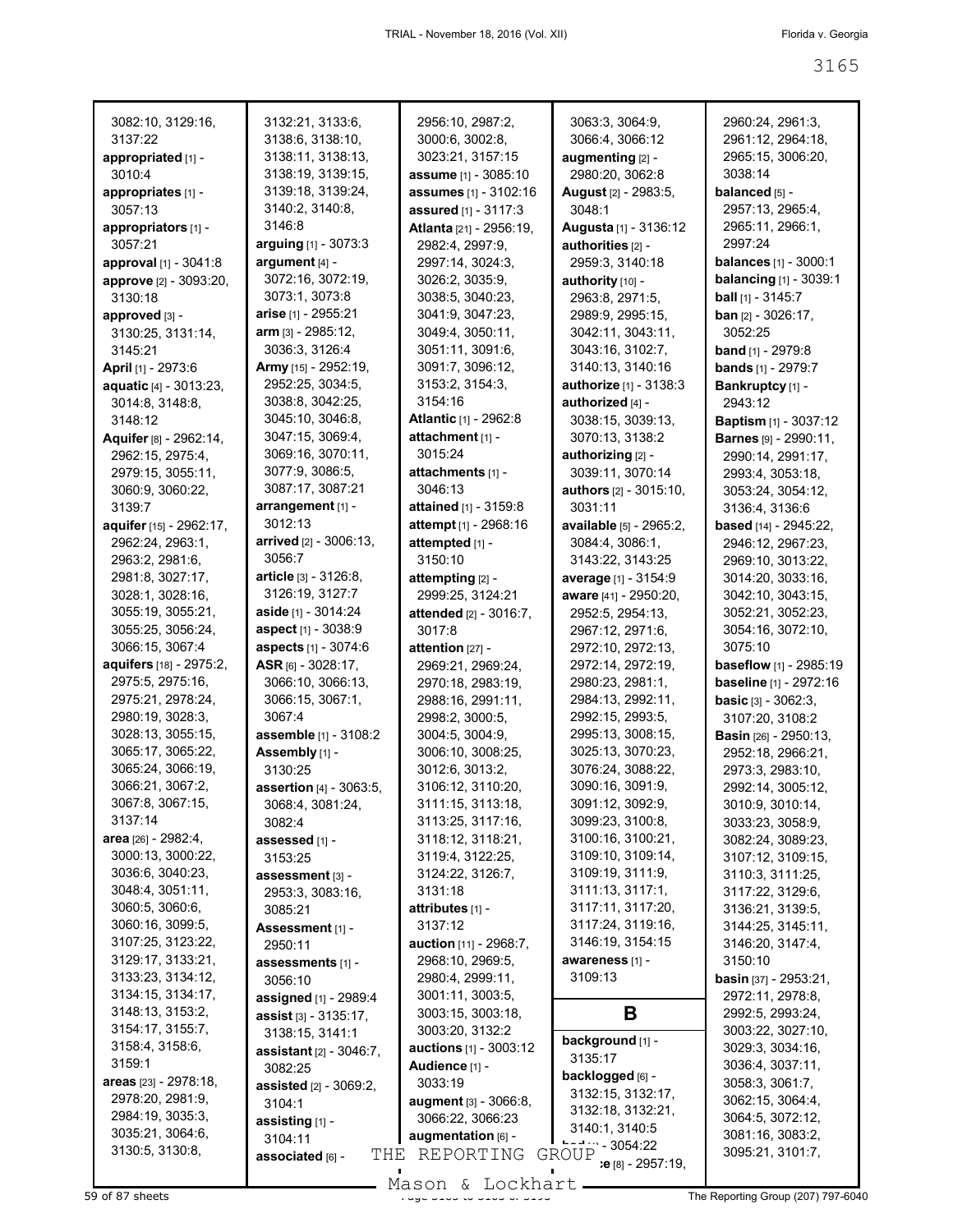| 3082:10, 3129:16,       | 3132:21, 3133:6,               | 2956:10, 2987:2,               | 3063:3, 3064:9,               | 2960:24, 2961:3,              |
|-------------------------|--------------------------------|--------------------------------|-------------------------------|-------------------------------|
| 3137:22                 | 3138:6, 3138:10,               | 3000:6, 3002:8,                | 3066:4, 3066:12               | 2961:12, 2964:18,             |
| appropriated [1] -      | 3138:11, 3138:13,              | 3023:21, 3157:15               | augmenting [2] -              | 2965:15, 3006:20,             |
| 3010:4                  | 3138:19, 3139:15,              | assume [1] - 3085:10           | 2980:20, 3062:8               | 3038:14                       |
| appropriates [1] -      | 3139:18, 3139:24,              | assumes [1] - 3102:16          | <b>August</b> [2] - 2983:5,   | balanced [5] -                |
| 3057:13                 | 3140:2, 3140:8,                | assured [1] - 3117:3           | 3048:1                        | 2957:13, 2965:4,              |
| appropriators [1] -     | 3146:8                         | <b>Atlanta</b> [21] - 2956:19, | Augusta [1] - 3136:12         | 2965:11, 2966:1,              |
| 3057:21                 | arguing [1] - 3073:3           | 2982:4, 2997:9,                | authorities [2] -             | 2997:24                       |
| approval [1] - 3041:8   | argument [4] -                 | 2997:14, 3024:3,               | 2959:3, 3140:18               | <b>balances</b> [1] - 3000:1  |
| approve [2] - 3093:20,  | 3072:16, 3072:19,              | 3026:2, 3035:9,                | authority [10] -              | <b>balancing</b> [1] - 3039:1 |
| 3130:18                 | 3073:1, 3073:8                 | 3038:5, 3040:23,               | 2963:8, 2971:5,               | ball [1] - 3145:7             |
| approved [3] -          | arise [1] - 2955:21            | 3041:9, 3047:23,               | 2989:9, 2995:15,              | ban [2] - 3026:17,            |
| 3130:25, 3131:14,       | arm [3] - 2985:12,             | 3049:4, 3050:11,               | 3042:11, 3043:11,             | 3052:25                       |
| 3145:21                 | 3036:3, 3126:4                 | 3051:11, 3091:6,               | 3043:16, 3102:7,              | <b>band</b> $[1]$ - 2979:8    |
| April [1] - 2973:6      | Army [15] - 2952:19,           | 3091:7, 3096:12,               | 3140:13, 3140:16              | <b>bands</b> [1] - 2979:7     |
| aquatic [4] - 3013:23,  | 2952:25, 3034:5,               | 3153:2, 3154:3,                | <b>authorize</b> [1] - 3138:3 | Bankruptcy [1] -              |
| 3014:8, 3148:8,         | 3038:8, 3042:25,               | 3154:16                        | authorized [4] -              | 2943:12                       |
| 3148:12                 | 3045:10, 3046:8,               | <b>Atlantic [1] - 2962:8</b>   | 3038:15, 3039:13,             | <b>Baptism</b> [1] - 3037:12  |
| Aquifer [8] - 2962:14,  | 3047:15, 3069:4,               | attachment [1] -               | 3070:13, 3138:2               | <b>Barnes</b> [9] - 2990:11,  |
| 2962:15, 2975:4,        | 3069:16, 3070:11,              | 3015:24                        | authorizing [2] -             | 2990:14, 2991:17,             |
| 2979:15, 3055:11,       | 3077:9, 3086:5,                | attachments [1] -              | 3039:11, 3070:14              | 2993:4, 3053:18,              |
| 3060:9, 3060:22,        | 3087:17, 3087:21               | 3046:13                        | <b>authors</b> [2] - 3015:10, | 3053:24, 3054:12,             |
| 3139:7                  | arrangement [1] -              | attained [1] - 3159:8          | 3031:11                       | 3136:4, 3136:6                |
| aquifer [15] - 2962:17, | 3012:13                        | attempt [1] - 2968:16          | available [5] - 2965:2,       | <b>based</b> [14] - 2945:22,  |
| 2962:24, 2963:1,        | arrived [2] - 3006:13,         | attempted [1] -                | 3084:4, 3086:1,               | 2946:12, 2967:23,             |
| 2963:2, 2981:6,         | 3056:7                         | 3150:10                        | 3143:22, 3143:25              | 2969:10, 3013:22,             |
| 2981:8, 3027:17,        | <b>article</b> [3] - 3126:8,   | attempting [2] -               | average [1] - 3154:9          | 3014:20, 3033:16,             |
| 3028:1, 3028:16,        | 3126:19, 3127:7                | 2999:25, 3124:21               | aware [41] - 2950:20,         | 3042:10, 3043:15,             |
| 3055:19, 3055:21,       | aside [1] - 3014:24            | attended [2] - 3016:7,         | 2952:5, 2954:13,              | 3052:21, 3052:23,             |
| 3055:25, 3056:24,       | aspect [1] - 3038:9            | 3017:8                         | 2967:12, 2971:6,              | 3054:16, 3072:10,             |
| 3066:15, 3067:4         | aspects [1] - 3074:6           | attention [27] -               | 2972:10, 2972:13,             | 3075:10                       |
| aquifers [18] - 2975:2, | ASR $[6] - 3028:17$ ,          | 2969:21, 2969:24,              | 2972:14, 2972:19,             | <b>baseflow</b> [1] - 2985:19 |
| 2975:5, 2975:16,        | 3066:10, 3066:13,              | 2970:18, 2983:19,              | 2980:23, 2981:1,              | baseline [1] - 2972:16        |
| 2975:21, 2978:24,       | 3066:15, 3067:1,               | 2988:16, 2991:11,              | 2984:13, 2992:11,             | <b>basic</b> $[3] - 3062:3$ , |
| 2980:19, 3028:3,        | 3067:4                         | 2998:2, 3000:5,                | 2992:15, 2993:5,              | 3107:20, 3108:2               |
| 3028:13, 3055:15,       | assemble [1] - 3108:2          | 3004:5, 3004:9,                | 2995:13, 3008:15,             | <b>Basin</b> [26] - 2950:13,  |
| 3065:17, 3065:22,       | Assembly [1] -                 | 3006:10, 3008:25,              | 3025:13, 3070:23,             | 2952:18, 2966:21,             |
| 3065:24, 3066:19,       | 3130:25                        | 3012:6, 3013:2,                | 3076:24, 3088:22,             | 2973:3, 2983:10,              |
| 3066:21, 3067:2,        | assertion [4] - 3063:5,        | 3106:12, 3110:20,              | 3090:16, 3091:9,              | 2992:14, 3005:12,             |
| 3067:8, 3067:15,        | 3068:4, 3081:24,               | 3111:15, 3113:18,              | 3091:12, 3092:9,              | 3010:9, 3010:14,              |
| 3137:14                 | 3082:4                         | 3113:25, 3117:16,              | 3099:23, 3100:8,              | 3033:23, 3058:9,              |
| area [26] - 2982:4,     | assessed [1] -                 | 3118:12, 3118:21,              | 3100:16, 3100:21,             | 3082:24, 3089:23,             |
| 3000:13, 3000:22,       | 3153:25                        | 3119:4, 3122:25,               | 3109:10, 3109:14,             | 3107:12, 3109:15,             |
| 3036:6, 3040:23,        | assessment [3] -               | 3124:22, 3126:7,               | 3109:19, 3111:9,              | 3110:3, 3111:25,              |
| 3048:4, 3051:11,        | 2953:3, 3083:16,               | 3131:18                        | 3111:13, 3117:1,              | 3117:22, 3129:6,              |
| 3060:5, 3060:6,         | 3085:21                        | attributes [1] -               | 3117:11, 3117:20,             | 3136:21, 3139:5,              |
| 3060:16, 3099:5,        | Assessment [1] -               | 3137:12                        | 3117:24, 3119:16,             | 3144:25, 3145:11,             |
| 3107:25, 3123:22,       | 2950:11                        | auction [11] - 2968:7,         | 3146:19, 3154:15              | 3146:20, 3147:4,              |
| 3129:17, 3133:21,       | assessments [1] -              | 2968:10, 2969:5,               | awareness [1] -               | 3150:10                       |
| 3133:23, 3134:12,       | 3056:10                        | 2980:4, 2999:11,               | 3109:13                       | <b>basin</b> [37] - 2953:21,  |
| 3134:15, 3134:17,       | assigned [1] - 2989:4          | 3001:11, 3003:5,               |                               | 2972:11, 2978:8,              |
| 3148:13, 3153:2,        | assist [3] - 3135:17,          | 3003:15, 3003:18,              | В                             | 2992:5, 2993:24,              |
| 3154:17, 3155:7,        | 3138:15, 3141:1                | 3003:20, 3132:2                | background [1] -              | 3003:22, 3027:10,             |
| 3158:4, 3158:6,         | <b>assistant</b> [2] - 3046:7, | <b>auctions</b> [1] - 3003:12  | 3135:17                       | 3029:3, 3034:16,              |
| 3159:1                  | 3082:25                        | Audience [1] -                 | backlogged [6] -              | 3036:4, 3037:11,              |
| areas $[23] - 2978:18,$ | <b>assisted</b> [2] - 3069:2,  | 3033:19                        | 3132:15, 3132:17,             | 3058:3, 3061:7,               |
| 2978:20, 2981:9,        | 3104:1                         | <b>augment</b> [3] - 3066:8,   | 3132:18, 3132:21,             | 3062:15, 3064:4,              |
| 2984:19, 3035:3,        | assisting [1] -                | 3066:22, 3066:23               | 3140:1, 3140:5                | 3064:5, 3072:12,              |
| 3035:21, 3064:6,        | 3104:11                        | augmentation [6] -             | 22                            | 3081:16, 3083:2,              |
| 3130:5, 3130:8,         | THE<br>associated [6] -        | REPORTING                      | GROUP<br>:e [8] - 2957:19,    | 3095:21, 3101:7,              |
|                         |                                |                                |                               |                               |

 $\frac{165611 \times 100011}{1000011}$  and  $\frac{1000111 \times 1000111 \times 100011}{1000111}$  comparison and the Reporting Group (207) 797-6040 - Mason & Lockhart -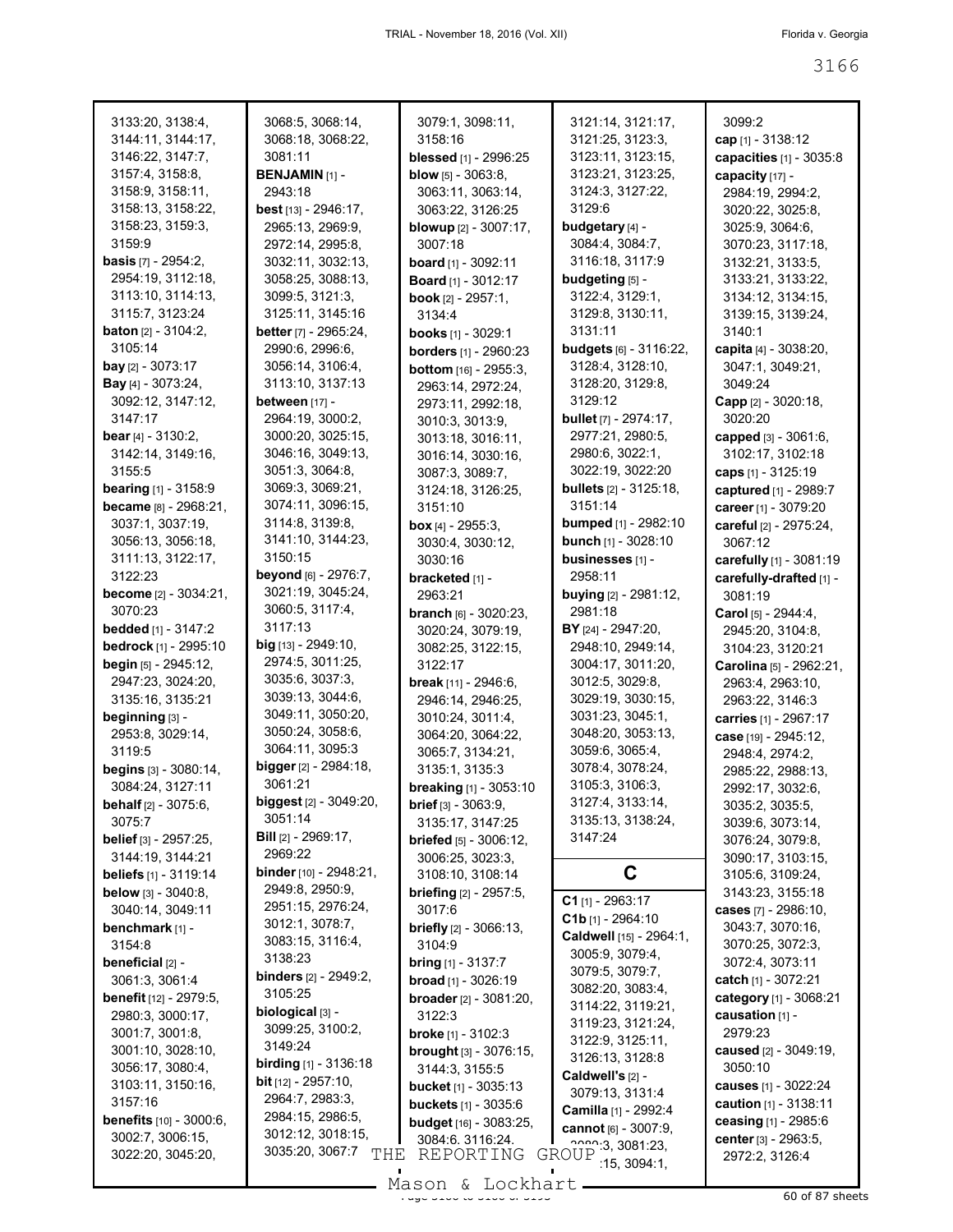| 3133:20, 3138:4,<br>3144:11, 3144:17,<br>3146:22, 3147:7,<br>3157:4, 3158:8,<br>3158:9, 3158:11,<br>3158:13, 3158:22,<br>3158:23, 3159:3,<br>3159:9<br><b>basis</b> [7] - 2954:2,<br>2954:19, 3112:18,<br>3113:10, 3114:13,<br>3115:7, 3123:24<br><b>baton</b> $[2] - 3104:2$<br>3105:14<br><b>bay</b> [2] $-3073:17$<br><b>Bay</b> [4] - 3073:24, | 3068:5, 3068:14,<br>3068:18, 3068:22,<br>3081:11<br><b>BENJAMIN [1] -</b><br>2943:18<br>best [13] - 2946:17,<br>2965:13, 2969:9,<br>2972:14, 2995:8,<br>3032:11, 3032:13,<br>3058:25, 3088:13,<br>3099:5, 3121:3,<br>3125:11, 3145:16<br><b>better</b> [7] - 2965:24,<br>2990:6, 2996:6,<br>3056:14, 3106:4,<br>3113:10, 3137:13 | 3079:1, 3098:11,<br>3158:16<br>blessed [1] - 2996:25<br><b>blow</b> $[5] - 3063.8$ ,<br>3063:11, 3063:14,<br>3063:22, 3126:25<br><b>blowup</b> [2] - 3007:17,<br>3007:18<br><b>board</b> $[1]$ - 3092:11<br><b>Board</b> [1] - 3012:17<br><b>book</b> $[2] - 2957:1$ ,<br>3134:4<br><b>books</b> $[1]$ - 3029:1<br><b>borders</b> [1] - 2960:23<br><b>bottom</b> [16] - 2955:3,<br>2963:14, 2972:24, | 3121:14, 3121:17,<br>3121:25, 3123:3,<br>3123:11, 3123:15,<br>3123:21, 3123:25,<br>3124:3, 3127:22,<br>3129:6<br>budgetary [4] -<br>3084:4, 3084:7,<br>3116:18, 3117:9<br>budgeting [5] -<br>3122:4, 3129:1,<br>3129:8, 3130:11,<br>3131:11<br><b>budgets</b> [6] - 3116:22,<br>3128:4, 3128:10,<br>3128:20, 3129:8, | 3099:2<br>cap [1] - 3138:12<br>capacities [1] - 3035:8<br>capacity [17] -<br>2984:19, 2994:2,<br>3020:22, 3025:8,<br>3025:9, 3064:6,<br>3070:23, 3117:18,<br>3132:21, 3133:5,<br>3133:21, 3133:22,<br>3134:12, 3134:15,<br>3139:15, 3139:24,<br>3140:1<br>capita [4] - 3038:20,<br>3047:1, 3049:21,<br>3049:24 |
|----------------------------------------------------------------------------------------------------------------------------------------------------------------------------------------------------------------------------------------------------------------------------------------------------------------------------------------------------|----------------------------------------------------------------------------------------------------------------------------------------------------------------------------------------------------------------------------------------------------------------------------------------------------------------------------------|------------------------------------------------------------------------------------------------------------------------------------------------------------------------------------------------------------------------------------------------------------------------------------------------------------------------------------------------------------------------------------------------------|----------------------------------------------------------------------------------------------------------------------------------------------------------------------------------------------------------------------------------------------------------------------------------------------------------------------|----------------------------------------------------------------------------------------------------------------------------------------------------------------------------------------------------------------------------------------------------------------------------------------------------------------|
| 3092:12, 3147:12,<br>3147:17<br><b>bear</b> $[4] - 3130:2$ ,<br>3142:14, 3149:16,<br>3155:5                                                                                                                                                                                                                                                        | between [17] -<br>2964:19, 3000:2,<br>3000:20, 3025:15,<br>3046:16, 3049:13,<br>3051:3, 3064:8,                                                                                                                                                                                                                                  | 2973:11, 2992:18,<br>3010:3, 3013:9,<br>3013:18, 3016:11,<br>3016:14, 3030:16,<br>3087:3, 3089:7,                                                                                                                                                                                                                                                                                                    | 3129:12<br><b>bullet</b> [7] - 2974:17,<br>2977:21, 2980:5,<br>2980:6, 3022:1,<br>3022:19, 3022:20                                                                                                                                                                                                                   | Capp [2] - 3020:18,<br>3020:20<br>capped [3] - 3061:6,<br>3102:17, 3102:18<br>caps $[1] - 3125:19$                                                                                                                                                                                                             |
| <b>bearing</b> [1] - 3158:9<br>became [8] - 2968:21,<br>3037:1, 3037:19,<br>3056:13, 3056:18,<br>3111:13, 3122:17,                                                                                                                                                                                                                                 | 3069:3, 3069:21,<br>3074:11, 3096:15,<br>3114:8, 3139:8,<br>3141:10, 3144:23,<br>3150:15                                                                                                                                                                                                                                         | 3124:18, 3126:25,<br>3151:10<br>box $[4] - 2955:3$<br>3030:4, 3030:12,<br>3030:16                                                                                                                                                                                                                                                                                                                    | <b>bullets</b> [2] - 3125:18,<br>3151:14<br><b>bumped</b> [1] - 2982:10<br><b>bunch</b> $[1]$ - 3028:10<br>businesses [1] -                                                                                                                                                                                          | captured [1] - 2989:7<br>career [1] - 3079:20<br>careful [2] - 2975:24,<br>3067:12<br>carefully [1] - 3081:19                                                                                                                                                                                                  |
| 3122:23<br><b>become</b> [2] - 3034:21,<br>3070:23<br><b>bedded</b> [1] - 3147:2<br>bedrock [1] - 2995:10                                                                                                                                                                                                                                          | beyond [6] - 2976:7,<br>3021:19, 3045:24,<br>3060:5, 3117:4,<br>3117:13<br>big [13] - 2949:10,                                                                                                                                                                                                                                   | bracketed [1] -<br>2963:21<br><b>branch</b> [6] - $3020:23$ ,<br>3020:24, 3079:19,<br>3082:25, 3122:15,                                                                                                                                                                                                                                                                                              | 2958:11<br><b>buying</b> [2] - 2981:12,<br>2981.18<br>BY [24] - 2947:20,<br>2948:10, 2949:14,                                                                                                                                                                                                                        | carefully-drafted [1] -<br>3081:19<br>Carol [5] - 2944:4,<br>2945:20, 3104:8,<br>3104:23, 3120:21                                                                                                                                                                                                              |
| <b>begin</b> $[5] - 2945:12$<br>2947:23, 3024:20,<br>3135:16, 3135:21<br>beginning [3] -<br>2953:8, 3029:14,                                                                                                                                                                                                                                       | 2974:5, 3011:25,<br>3035:6, 3037:3,<br>3039:13, 3044:6,<br>3049:11, 3050:20,<br>3050:24, 3058:6,                                                                                                                                                                                                                                 | 3122:17<br>break [11] - 2946:6,<br>2946:14, 2946:25,<br>3010:24, 3011:4,<br>3064:20, 3064:22,                                                                                                                                                                                                                                                                                                        | 3004:17, 3011:20,<br>3012:5, 3029:8,<br>3029:19, 3030:15,<br>3031:23, 3045:1,<br>3048:20, 3053:13,                                                                                                                                                                                                                   | Carolina [5] - 2962:21,<br>2963:4, 2963:10,<br>2963:22, 3146:3<br>carries [1] - 2967:17                                                                                                                                                                                                                        |
| 3119:5<br>begins [3] - 3080:14,<br>3084:24, 3127:11<br>behalf [2] - 3075:6,                                                                                                                                                                                                                                                                        | 3064:11, 3095:3<br>bigger [2] - 2984:18,<br>3061:21<br>biggest [2] - 3049:20,                                                                                                                                                                                                                                                    | 3065:7, 3134:21,<br>3135:1, 3135:3<br><b>breaking</b> [1] - 3053:10<br>brief [3] - 3063:9,                                                                                                                                                                                                                                                                                                           | 3059:6, 3065:4,<br>3078:4, 3078:24,<br>3105:3, 3106:3,<br>3127:4, 3133:14,                                                                                                                                                                                                                                           | case [19] - 2945:12,<br>2948:4, 2974:2,<br>2985:22, 2988:13,<br>2992:17, 3032:6,<br>3035:2, 3035:5,                                                                                                                                                                                                            |
| 3075:7<br>belief [3] - 2957:25,<br>3144:19, 3144:21<br><b>beliefs</b> [1] - 3119:14<br><b>below</b> $[3] - 3040.8$ ,                                                                                                                                                                                                                               | 3051:14<br><b>Bill</b> $[2] - 2969:17$ ,<br>2969:22<br><b>binder</b> [10] - 2948:21,<br>2949:8, 2950:9,                                                                                                                                                                                                                          | 3135:17, 3147:25<br><b>briefed</b> $[5] - 3006:12$ ,<br>3006:25, 3023:3,<br>3108:10, 3108:14                                                                                                                                                                                                                                                                                                         | 3135:13, 3138:24,<br>3147:24<br>C                                                                                                                                                                                                                                                                                    | 3039:6, 3073:14,<br>3076:24, 3079:8,<br>3090:17, 3103:15,<br>3105:6, 3109:24,<br>3143:23, 3155:18                                                                                                                                                                                                              |
| 3040:14, 3049:11<br>benchmark [1] -<br>3154:8<br>beneficial [2] -                                                                                                                                                                                                                                                                                  | 2951:15, 2976:24,<br>3012:1, 3078:7,<br>3083:15, 3116:4,<br>3138:23                                                                                                                                                                                                                                                              | <b>briefing</b> [2] - 2957:5,<br>3017:6<br><b>briefly</b> $[2] - 3066:13$ ,<br>3104:9<br><b>bring</b> $[1]$ - 3137:7                                                                                                                                                                                                                                                                                 | $C1$ [1] - 2963:17<br>$C1b$ [1] - 2964:10<br>Caldwell [15] - 2964:1,<br>3005:9, 3079:4,                                                                                                                                                                                                                              | cases [7] - 2986:10,<br>3043:7, 3070:16,<br>3070:25, 3072:3,<br>3072:4, 3073:11                                                                                                                                                                                                                                |
| 3061:3, 3061:4<br>benefit [12] - 2979:5,<br>2980:3, 3000:17,<br>3001:7, 3001:8,<br>3001:10, 3028:10,<br>3056:17, 3080:4,<br>3103:11, 3150:16,<br>3157:16<br><b>benefits</b> [10] - 3000:6,<br>3002:7, 3006:15,<br>3022:20, 3045:20,                                                                                                                | <b>binders</b> [2] - 2949:2,<br>3105:25<br>biological [3] -<br>3099:25, 3100:2,<br>3149:24<br><b>birding</b> $[1]$ - 3136:18<br><b>bit</b> $[12] - 2957:10$ ,<br>2964:7, 2983:3,<br>2984:15, 2986:5,<br>3012:12, 3018:15,<br>3035:20, 3067:7<br>THE                                                                              | broad [1] - 3026:19<br>broader [2] - 3081:20,<br>3122:3<br><b>broke</b> $[1] - 3102:3$<br><b>brought</b> $[3] - 3076:15$ ,<br>3144:3, 3155:5<br><b>bucket</b> $[1] - 3035:13$<br><b>buckets</b> [1] - 3035:6<br>budget [16] - 3083:25,<br>3084:6.3116:24.<br>REPORTING                                                                                                                               | 3079:5, 3079:7,<br>3082:20, 3083:4,<br>3114:22, 3119:21,<br>3119:23, 3121:24,<br>3122:9, 3125:11,<br>3126:13, 3128:8<br>Caldwell's [2] -<br>3079:13, 3131:4<br>Camilla [1] - 2992:4<br>cannot $[6] - 3007.9$ ,<br>222.3081:23<br>GROUP<br>15, 3094.1,                                                                | catch $[1] - 3072:21$<br>category [1] - 3068:21<br>causation [1] -<br>2979:23<br>caused [2] - 3049:19,<br>3050:10<br>causes [1] - 3022:24<br>caution [1] - 3138:11<br>ceasing [1] - 2985:6<br>center [3] - 2963:5,<br>2972:2, 3126:4                                                                           |

 $\frac{200011}{x}$  and  $\frac{200111}{x}$  of 37 sheets - Mason & Lockhart -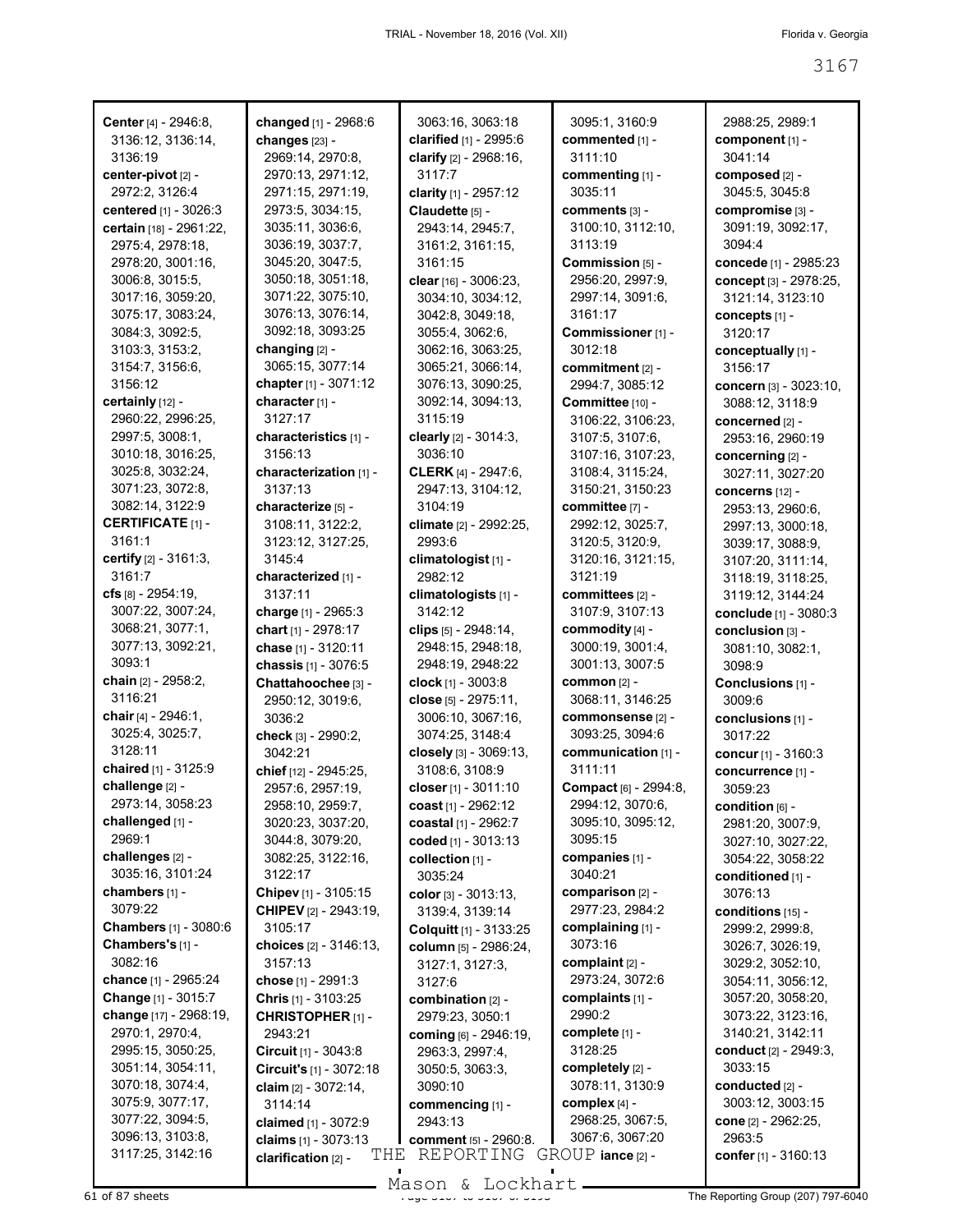| Center [4] - 2946:8,     | changed [1] - 2968:6          | 3063:16, 3063:18               | 3095:1, 3160:9        | 2988:25, 2989:1                                         |
|--------------------------|-------------------------------|--------------------------------|-----------------------|---------------------------------------------------------|
| 3136:12, 3136:14,        | changes [23] -                | clarified [1] - 2995:6         | commented [1] -       | component [1] -                                         |
| 3136:19                  | 2969:14, 2970:8,              | clarify $[2] - 2968:16$ ,      | 3111:10               | 3041:14                                                 |
| center-pivot [2] -       | 2970:13, 2971:12,             | 3117:7                         | commenting [1] -      | composed [2] -                                          |
| 2972:2, 3126:4           | 2971:15, 2971:19,             | clarity [1] - 2957:12          | 3035:11               | 3045:5, 3045:8                                          |
| centered [1] - 3026:3    | 2973:5, 3034:15,              | Claudette [5] -                | comments [3] -        | compromise [3] -                                        |
| certain [18] - 2961:22,  | 3035:11, 3036:6,              | 2943:14, 2945:7,               | 3100:10, 3112:10,     | 3091:19, 3092:17,                                       |
| 2975:4, 2978:18,         | 3036:19, 3037:7,              | 3161:2, 3161:15,               | 3113:19               | 3094:4                                                  |
| 2978:20, 3001:16,        | 3045:20, 3047:5,              | 3161:15                        | Commission [5] -      | concede [1] - 2985:23                                   |
| 3006:8, 3015:5,          | 3050:18, 3051:18,             | clear [16] - 3006:23,          | 2956:20, 2997:9,      | concept [3] - 2978:25,                                  |
| 3017:16, 3059:20,        | 3071:22, 3075:10,             | 3034:10, 3034:12,              | 2997:14, 3091:6,      | 3121:14, 3123:10                                        |
| 3075:17, 3083:24,        | 3076:13, 3076:14,             | 3042:8, 3049:18,               | 3161:17               | concepts [1] -                                          |
| 3084:3, 3092:5,          | 3092:18, 3093:25              | 3055:4, 3062:6,                | Commissioner [1] -    | 3120:17                                                 |
| 3103:3, 3153:2,          | changing [2] -                | 3062:16, 3063:25,              | 3012:18               | conceptually [1] -                                      |
| 3154:7, 3156:6,          | 3065:15, 3077:14              | 3065:21, 3066:14,              | commitment [2] -      | 3156:17                                                 |
| 3156:12                  | chapter [1] - 3071:12         | 3076:13, 3090:25,              | 2994:7, 3085:12       | concern [3] - 3023:10,                                  |
| certainly [12] -         | character <sub>[1]</sub> -    | 3092:14, 3094:13,              | Committee [10] -      | 3088:12, 3118:9                                         |
| 2960:22, 2996:25,        | 3127:17                       | 3115:19                        | 3106:22, 3106:23,     | concerned [2] -                                         |
| 2997:5, 3008:1,          | characteristics [1] -         | clearly [2] - 3014:3,          | 3107:5, 3107:6,       | 2953:16, 2960:19                                        |
| 3010:18, 3016:25,        | 3156:13                       | 3036:10                        | 3107:16, 3107:23,     | concerning [2] -                                        |
| 3025:8, 3032:24,         | characterization [1] -        | <b>CLERK</b> [4] - 2947:6,     | 3108:4, 3115:24,      | 3027:11, 3027:20                                        |
| 3071:23, 3072:8,         | 3137:13                       | 2947:13, 3104:12,              | 3150:21, 3150:23      | <b>concerns</b> [12] -                                  |
| 3082:14, 3122:9          | characterize [5] -            | 3104:19                        | committee [7] -       | 2953:13, 2960:6,                                        |
| <b>CERTIFICATE</b> [1] - | 3108:11, 3122:2,              | climate [2] - 2992:25,         | 2992:12, 3025:7,      | 2997:13, 3000:18,                                       |
| 3161:1                   | 3123:12, 3127:25,             | 2993:6                         | 3120:5, 3120:9,       | 3039:17, 3088:9,                                        |
| certify [2] - 3161:3,    | 3145:4                        | climatologist <sub>[1]</sub> - | 3120:16, 3121:15,     | 3107:20, 3111:14,                                       |
| 3161:7                   | characterized [1] -           | 2982:12                        | 3121:19               | 3118:19, 3118:25,                                       |
| cfs $[8] - 2954:19$ ,    | 3137:11                       | climatologists [1] -           | committees [2] -      | 3119:12, 3144:24                                        |
| 3007:22, 3007:24,        | charge [1] - 2965:3           | 3142:12                        | 3107:9, 3107:13       | conclude [1] - 3080:3                                   |
| 3068:21, 3077:1,         | chart [1] - 2978:17           | clips [5] - 2948:14,           | commodity [4] -       | conclusion [3] -                                        |
| 3077:13, 3092:21,        | chase [1] - 3120:11           | 2948:15, 2948:18,              | 3000:19, 3001:4,      | 3081:10, 3082:1,                                        |
| 3093:1                   | chassis [1] - 3076:5          | 2948:19, 2948:22               | 3001:13, 3007:5       | 3098:9                                                  |
| chain [2] - 2958:2,      | Chattahoochee [3] -           | clock $[1] - 3003.8$           | <b>common</b> [2] -   | Conclusions [1] -                                       |
| 3116:21                  | 2950:12, 3019:6,              | close [5] - 2975:11,           | 3068:11, 3146:25      | 3009:6                                                  |
| chair [4] - 2946:1,      | 3036:2                        | 3006:10, 3067:16,              | commonsense [2] -     | conclusions [1] -                                       |
| 3025:4, 3025:7,          | check [3] - 2990:2,           | 3074:25, 3148:4                | 3093:25, 3094:6       | 3017:22                                                 |
| 3128:11                  | 3042:21                       | closely [3] - 3069:13,         | communication [1] -   | concur [1] - 3160:3                                     |
| chaired [1] - 3125:9     | chief [12] - 2945:25,         | 3108:6, 3108:9                 | 3111:11               | concurrence [1] -                                       |
| challenge [2] -          | 2957:6, 2957:19,              | closer [1] - 3011:10           | Compact [6] - 2994:8, | 3059:23                                                 |
| 2973:14, 3058:23         | 2958:10, 2959:7,              | <b>coast</b> [1] - 2962:12     | 2994:12, 3070:6,      | $\mathop{\mathrm{condition}}$ $\mathop{\mathrm{[6]}}$ - |
| challenged [1] -         | 3020:23, 3037:20,             | coastal [1] - 2962:7           | 3095:10, 3095:12,     | 2981:20, 3007:9,                                        |
| 2969:1                   | 3044:8, 3079:20,              | coded [1] - 3013:13            | 3095:15               | 3027:10, 3027:22,                                       |
| challenges [2] -         | 3082:25, 3122:16,             | collection [1] -               | companies [1] -       | 3054:22, 3058:22                                        |
| 3035:16, 3101:24         | 3122:17                       | 3035:24                        | 3040:21               | conditioned [1] -                                       |
| chambers [1] -           | Chipev [1] - 3105:15          | color $[3] - 3013:13$ ,        | comparison [2] -      | 3076:13                                                 |
| 3079:22                  | <b>CHIPEV</b> [2] - 2943:19,  | 3139:4, 3139:14                | 2977:23, 2984:2       | conditions [15] -                                       |
| Chambers [1] - 3080:6    | 3105:17                       | Colquitt [1] - 3133:25         | complaining [1] -     | 2999:2, 2999:8,                                         |
| Chambers's [1] -         | choices [2] - 3146:13,        | column [5] - 2986:24,          | 3073:16               | 3026:7, 3026:19,                                        |
| 3082:16                  | 3157:13                       | 3127:1, 3127:3,                | complaint $[2]$ -     | 3029:2, 3052:10,                                        |
| chance [1] - 2965:24     | chose [1] - 2991:3            | 3127:6                         | 2973:24, 3072:6       | 3054:11, 3056:12,                                       |
| Change [1] - 3015:7      | Chris [1] - 3103:25           | combination [2] -              | complaints [1] -      | 3057:20, 3058:20,                                       |
| change [17] - 2968:19,   | <b>CHRISTOPHER [1] -</b>      | 2979:23, 3050:1                | 2990:2                | 3073:22, 3123:16,                                       |
| 2970:1, 2970:4,          | 2943:21                       | coming [6] - 2946:19,          | complete [1] -        | 3140:21, 3142:11                                        |
| 2995:15, 3050:25,        | <b>Circuit</b> $[1] - 3043.8$ | 2963:3, 2997:4,                | 3128:25               | conduct [2] - 2949:3,                                   |
| 3051:14, 3054:11,        | Circuit's [1] - 3072:18       | 3050:5, 3063:3,                | completely [2] -      | 3033:15                                                 |
| 3070:18, 3074:4,         | claim $[2] - 3072:14$ ,       | 3090:10                        | 3078:11, 3130:9       | conducted [2] -                                         |
| 3075:9, 3077:17,         | 3114:14                       | commencing [1] -               | complex [4] -         | 3003:12, 3003:15                                        |
| 3077:22, 3094:5,         | claimed [1] - 3072:9          | 2943:13                        | 2968:25, 3067:5,      | cone [2] - 2962:25,                                     |
| 3096:13, 3103:8,         | claims $[1] - 3073:13$        | <b>comment</b> [5] - 2960:8.   | 3067:6, 3067:20       | 2963:5                                                  |
| 3117:25, 3142:16         | THE<br>clarification [2] -    | REPORTING GROUP iance [2] -    |                       | confer $[1] - 3160:13$                                  |
|                          |                               |                                |                       |                                                         |

Mason & Lockhart **Page 3167 September 3167 of 3167 September 3167 of 316**<br>61 of 87 sheets **Page 3167 of 3167 of 3167 of 3167 September 3167 of 316** The Reporting Group (207) 797-6040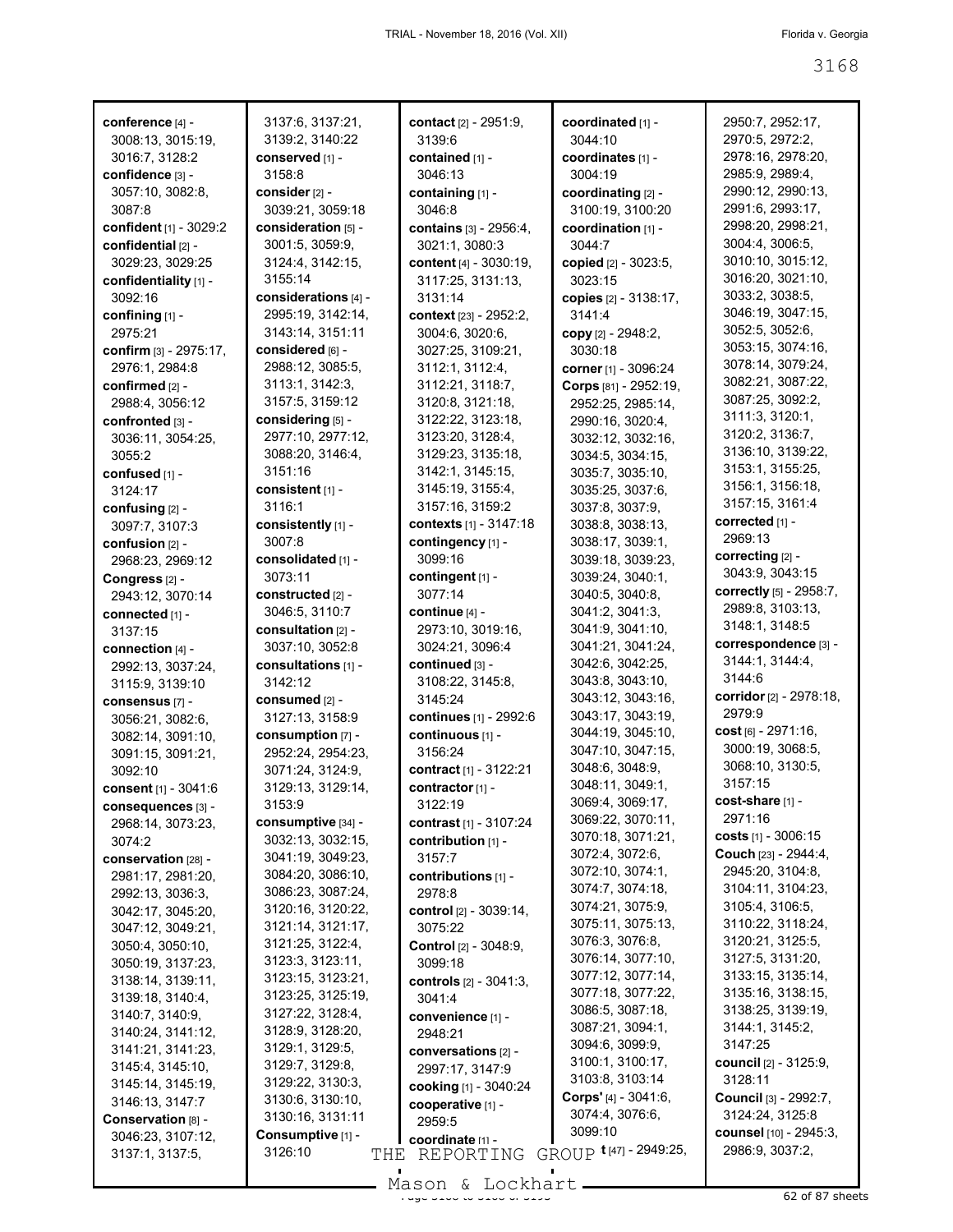| conference [4] -          | 3137:6, 3137:21,     | <b>contact</b> [2] - 2951:9,  | coordinated [1] -      | 2950:7, 2952:17,          |
|---------------------------|----------------------|-------------------------------|------------------------|---------------------------|
| 3008:13, 3015:19,         | 3139:2, 3140:22      | 3139:6                        | 3044:10                | 2970:5, 2972:2,           |
| 3016:7, 3128:2            | conserved [1] -      | contained [1] -               | coordinates [1] -      | 2978:16, 2978:20,         |
| confidence [3] -          | 3158:8               | 3046:13                       | 3004:19                | 2985:9, 2989:4,           |
| 3057:10, 3082:8,          | consider [2] -       | containing [1] -              | coordinating [2] -     | 2990:12, 2990:13,         |
| 3087:8                    | 3039:21, 3059:18     | 3046:8                        | 3100:19, 3100:20       | 2991:6, 2993:17,          |
| confident [1] - 3029:2    | consideration [5] -  | contains [3] - 2956:4,        | coordination [1] -     | 2998:20, 2998:21,         |
| confidential [2] -        | 3001:5, 3059:9,      | 3021:1, 3080:3                | 3044:7                 | 3004:4, 3006:5,           |
| 3029:23, 3029:25          | 3124:4, 3142:15,     | content [4] - 3030:19,        |                        | 3010:10, 3015:12,         |
|                           | 3155:14              |                               | copied [2] - 3023:5,   | 3016:20, 3021:10,         |
| confidentiality [1] -     |                      | 3117:25, 3131:13,             | 3023:15                | 3033:2, 3038:5,           |
| 3092:16                   | considerations [4] - | 3131:14                       | copies [2] - 3138:17,  |                           |
| confining [1] -           | 2995:19, 3142:14,    | context [23] - 2952:2,        | 3141:4                 | 3046:19, 3047:15,         |
| 2975:21                   | 3143:14, 3151:11     | 3004:6, 3020:6,               | copy [2] - 2948:2,     | 3052:5, 3052:6,           |
| confirm [3] - 2975:17,    | considered [6] -     | 3027:25, 3109:21,             | 3030:18                | 3053:15, 3074:16,         |
| 2976:1, 2984:8            | 2988:12, 3085:5,     | 3112:1, 3112:4,               | corner [1] - 3096:24   | 3078:14, 3079:24,         |
| confirmed [2] -           | 3113:1, 3142:3,      | 3112:21, 3118:7,              | Corps [81] - 2952:19,  | 3082:21, 3087:22,         |
| 2988:4, 3056:12           | 3157:5, 3159:12      | 3120:8, 3121:18,              | 2952:25, 2985:14,      | 3087:25, 3092:2,          |
| confronted [3] -          | considering [5] -    | 3122:22, 3123:18,             | 2990:16, 3020:4,       | 3111:3, 3120:1,           |
| 3036:11, 3054:25,         | 2977:10, 2977:12,    | 3123:20, 3128:4,              | 3032:12, 3032:16,      | 3120:2, 3136:7,           |
| 3055:2                    | 3088:20, 3146:4,     | 3129:23, 3135:18,             | 3034:5, 3034:15,       | 3136:10, 3139:22,         |
| confused [1] -            | 3151:16              | 3142:1, 3145:15,              | 3035:7, 3035:10,       | 3153:1, 3155:25,          |
| 3124:17                   | $constent$ [1] -     | 3145:19, 3155:4,              | 3035:25, 3037:6,       | 3156:1, 3156:18,          |
| confusing [2] -           | 3116:1               | 3157:16, 3159:2               | 3037:8, 3037:9,        | 3157:15, 3161:4           |
|                           | consistently [1] -   | contexts [1] - 3147:18        | 3038:8, 3038:13,       | corrected [1] -           |
| 3097:7, 3107:3            | 3007:8               | contingency [1] -             |                        | 2969:13                   |
| confusion [2] -           |                      |                               | 3038:17, 3039:1,       | correcting [2] -          |
| 2968:23, 2969:12          | consolidated [1] -   | 3099:16                       | 3039:18, 3039:23,      | 3043.9, 3043.15           |
| Congress <sub>[2]</sub> - | 3073:11              | contingent [1] -              | 3039:24, 3040:1,       |                           |
| 2943:12, 3070:14          | constructed [2] -    | 3077:14                       | 3040:5, 3040:8,        | correctly [5] - 2958:7,   |
| connected [1] -           | 3046:5, 3110:7       | continue [4] -                | 3041:2, 3041:3,        | 2989:8, 3103:13,          |
| 3137:15                   | consultation [2] -   | 2973:10, 3019:16,             | 3041:9, 3041:10,       | 3148:1, 3148:5            |
| connection [4] -          | 3037:10, 3052:8      | 3024:21, 3096:4               | 3041:21, 3041:24,      | correspondence [3] -      |
| 2992:13, 3037:24,         | consultations [1] -  | continued [3] -               | 3042:6, 3042:25,       | 3144:1, 3144:4,           |
| 3115:9, 3139:10           | 3142:12              | 3108:22, 3145:8,              | 3043:8, 3043:10,       | 3144:6                    |
| consensus [7] -           | consumed [2] -       | 3145:24                       | 3043:12, 3043:16,      | corridor [2] - 2978:18,   |
| 3056:21, 3082:6,          | 3127:13, 3158:9      | continues [1] - 2992:6        | 3043:17, 3043:19,      | 2979.9                    |
| 3082:14, 3091:10,         | consumption [7] -    | continuous [1] -              | 3044:19, 3045:10,      | $cost_{[6]} - 2971:16,$   |
| 3091:15, 3091:21,         | 2952:24, 2954:23,    | 3156:24                       | 3047:10, 3047:15,      | 3000:19, 3068:5,          |
| 3092:10                   | 3071:24, 3124:9,     | contract [1] - 3122:21        | 3048:6, 3048:9,        | 3068:10, 3130:5,          |
| consent [1] - 3041:6      | 3129:13, 3129:14,    | contractor $[1]$ -            | 3048:11, 3049:1,       | 3157:15                   |
| consequences [3] -        | 3153:9               | 3122:19                       | 3069:4, 3069:17,       | $cost\text{-}share$ [1] - |
| 2968:14, 3073:23,         | consumptive [34] -   | contrast [1] - 3107:24        | 3069:22, 3070:11,      | 2971:16                   |
| 3074:2                    | 3032:13, 3032:15,    | contribution [1] -            | 3070:18, 3071:21,      | costs $[1] - 3006:15$     |
|                           | 3041:19, 3049:23,    |                               | 3072:4, 3072:6,        | Couch [23] - 2944:4,      |
| conservation [28] -       |                      | 3157:7                        | 3072:10, 3074:1,       | 2945:20, 3104:8,          |
| 2981:17, 2981:20,         | 3084:20, 3086:10,    | contributions [1] -           | 3074:7, 3074:18,       | 3104:11, 3104:23,         |
| 2992:13, 3036:3,          | 3086:23, 3087:24,    | 2978:8                        | 3074:21, 3075:9,       | 3105:4, 3106:5,           |
| 3042:17, 3045:20,         | 3120:16, 3120:22,    | control [2] - 3039:14,        | 3075:11, 3075:13,      | 3110:22, 3118:24,         |
| 3047:12, 3049:21,         | 3121:14, 3121:17,    | 3075:22                       | 3076:3, 3076:8,        | 3120:21, 3125:5,          |
| 3050:4, 3050:10,          | 3121:25, 3122:4,     | Control [2] - 3048:9,         | 3076:14, 3077:10,      | 3127:5, 3131:20,          |
| 3050:19, 3137:23,         | 3123:3, 3123:11,     | 3099:18                       |                        |                           |
| 3138:14, 3139:11,         | 3123:15, 3123:21,    | <b>controls</b> [2] - 3041:3, | 3077:12, 3077:14,      | 3133:15, 3135:14,         |
| 3139:18, 3140:4,          | 3123:25, 3125:19,    | 3041:4                        | 3077:18, 3077:22,      | 3135:16, 3138:15,         |
| 3140:7, 3140:9,           | 3127:22, 3128:4,     | convenience [1] -             | 3086:5, 3087:18,       | 3138:25, 3139:19,         |
| 3140:24, 3141:12,         | 3128:9, 3128:20,     | 2948:21                       | 3087:21, 3094:1,       | 3144:1, 3145:2,           |
| 3141:21, 3141:23,         | 3129:1, 3129:5,      | conversations [2] -           | 3094:6, 3099:9,        | 3147:25                   |
| 3145:4, 3145:10,          | 3129:7, 3129:8,      | 2997:17, 3147:9               | 3100:1, 3100:17,       | council [2] - 3125:9,     |
| 3145:14, 3145:19,         | 3129:22, 3130:3,     | cooking [1] - 3040:24         | 3103:8, 3103:14        | 3128:11                   |
| 3146:13, 3147:7           | 3130:6, 3130:10,     | cooperative [1] -             | Corps' [4] - 3041:6,   | Council [3] - 2992:7,     |
| Conservation [8] -        | 3130:16, 3131:11     | 2959:5                        | 3074:4, 3076:6,        | 3124:24, 3125:8           |
| 3046:23, 3107:12,         | Consumptive [1] -    | coordinate [1] -              | 3099:10                | counsel [10] - 2945:3,    |
| 3137:1, 3137:5,           | 3126:10<br>THE       | REPORTING                     | GROUP t[47] - 2949:25, | 2986:9, 3037:2,           |
|                           |                      |                               |                        |                           |

Mason & Lockhart 
1988 - 1988 - 1988 - 1988 - 1988 - 1988 - 1988 - 1988 - 1988 - 1988 - 1988 - 1988 - 1988 - 1<br>
Prints and the state of the state of the state of the state of the state of the state of the state of the sta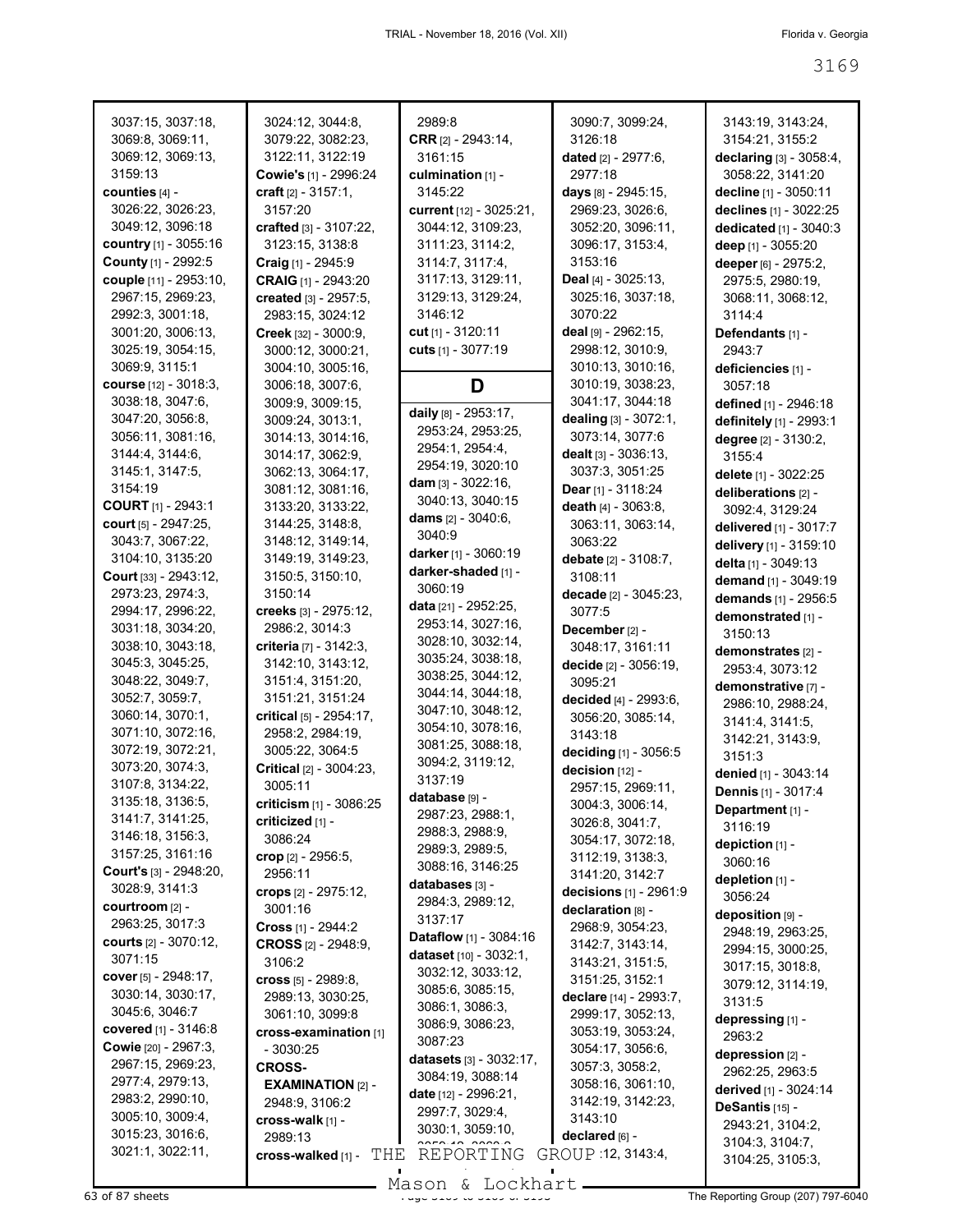| 3037:15, 3037:18,                         | 3024:12, 3044:8,                       | 2989:8                               | 3090:7, 3099:24,                             | 3143:19, 3143:24,                    |
|-------------------------------------------|----------------------------------------|--------------------------------------|----------------------------------------------|--------------------------------------|
| 3069:8, 3069:11,                          | 3079:22, 3082:23,                      | <b>CRR</b> <sub>[2]</sub> - 2943:14, | 3126:18                                      | 3154:21, 3155:2                      |
| 3069:12, 3069:13,                         | 3122:11, 3122:19                       | 3161:15                              | <b>dated</b> [2] - 2977:6,                   | declaring [3] - 3058:4,              |
| 3159:13                                   | Cowie's [1] - 2996:24                  | culmination [1] -                    | 2977:18                                      | 3058:22, 3141:20                     |
| counties [4] -                            | craft $[2] - 3157:1$ ,                 | 3145:22                              | days [8] - 2945:15,                          | decline [1] - 3050:11                |
| 3026:22, 3026:23,                         | 3157:20                                | current [12] - 3025:21,              | 2969:23, 3026:6,                             | declines [1] - 3022:25               |
| 3049:12, 3096:18                          | crafted $[3] - 3107:22$ ,              | 3044:12, 3109:23,                    | 3052:20, 3096:11,                            | dedicated [1] - 3040:3               |
| country [1] - 3055:16                     | 3123:15, 3138:8                        | 3111:23, 3114:2,                     | 3096:17, 3153:4,                             | deep [1] - 3055:20                   |
| County [1] - 2992:5                       | Craig [1] - 2945:9                     | 3114:7, 3117:4,                      | 3153:16                                      | deeper [6] - 2975:2,                 |
| couple [11] - 2953:10,                    | CRAIG [1] - 2943:20                    | 3117:13, 3129:11,                    | Deal [4] - 3025:13,                          | 2975:5, 2980:19,                     |
| 2967:15, 2969:23,                         | created [3] - 2957:5,                  | 3129:13, 3129:24,                    | 3025:16, 3037:18,                            | 3068:11, 3068:12,                    |
| 2992:3, 3001:18,                          | 2983:15, 3024:12                       | 3146:12                              | 3070:22                                      | 3114:4                               |
| 3001:20, 3006:13,                         | Creek [32] - 3000:9,                   | cut $[1] - 3120:11$                  | deal $[9] - 2962:15$ ,                       | Defendants [1] -                     |
| 3025:19, 3054:15,                         | 3000:12, 3000:21,                      | cuts [1] - 3077:19                   | 2998:12, 3010:9,                             | 2943.7                               |
| 3069:9, 3115:1                            | 3004:10, 3005:16,                      |                                      | 3010:13, 3010:16,                            | deficiencies [1] -                   |
| course [12] - 3018:3,                     | 3006:18, 3007:6,                       | D                                    | 3010:19, 3038:23,                            | 3057:18                              |
| 3038:18, 3047:6,                          | 3009:9, 3009:15,                       | daily [8] - 2953:17,                 | 3041:17, 3044:18                             | defined [1] - 2946:18                |
| 3047:20, 3056:8,                          | 3009:24, 3013:1,                       | 2953:24, 2953:25,                    | dealing [3] - 3072:1,                        | definitely [1] - 2993:1              |
| 3056:11, 3081:16,                         | 3014:13, 3014:16,                      | 2954:1, 2954:4,                      | 3073:14, 3077:6                              | degree [2] - 3130:2,                 |
| 3144:4, 3144:6,                           | 3014:17, 3062:9,                       | 2954:19, 3020:10                     | dealt [3] - 3036:13,                         | 3155:4                               |
| 3145:1, 3147:5,<br>3154:19                | 3062:13, 3064:17,<br>3081:12, 3081:16, | dam $[3] - 3022:16$ ,                | 3037:3, 3051:25                              | delete [1] - 3022:25                 |
| <b>COURT [1] - 2943:1</b>                 |                                        | 3040:13, 3040:15                     | Dear [1] - 3118:24<br>death $[4] - 3063:8$ , | deliberations [2] -                  |
| court [5] - 2947:25,                      | 3133:20, 3133:22,<br>3144:25, 3148:8,  | dams $[2] - 3040:6,$                 |                                              | 3092:4, 3129:24                      |
| 3043:7, 3067:22,                          | 3148:12, 3149:14,                      | 3040:9                               | 3063:11, 3063:14,<br>3063:22                 | delivered [1] - 3017:7               |
| 3104:10, 3135:20                          | 3149:19, 3149:23,                      | darker [1] - $3060:19$               | debate $[2] - 3108:7$ ,                      | delivery [1] - 3159:10               |
| Court [33] - 2943:12,                     | 3150:5, 3150:10,                       | darker-shaded [1] -                  | 3108:11                                      | delta [1] - 3049:13                  |
| 2973:23, 2974:3,                          | 3150:14                                | 3060:19                              | decade [2] - 3045:23,                        | demand [1] - 3049:19                 |
| 2994:17, 2996:22,                         | creeks [3] - 2975:12,                  | data [21] - 2952:25,                 | 3077:5                                       | demands [1] - 2956:5                 |
| 3031:18, 3034:20,                         | 2986:2, 3014:3                         | 2953:14, 3027:16,                    | December [2] -                               | demonstrated [1] -                   |
| 3038:10, 3043:18,                         | criteria [7] - 3142:3,                 | 3028:10, 3032:14,                    | 3048:17, 3161:11                             | 3150:13                              |
| 3045:3, 3045:25,                          | 3142:10, 3143:12,                      | 3035:24, 3038:18,                    | decide [2] - 3056:19,                        | demonstrates [2] -                   |
| 3048:22, 3049:7,                          | 3151:4, 3151:20,                       | 3038:25, 3044:12,                    | 3095:21                                      | 2953:4, 3073:12                      |
| 3052:7, 3059:7,                           | 3151:21, 3151:24                       | 3044:14, 3044:18,                    | decided [4] - 2993:6,                        | demonstrative [7] -                  |
| 3060:14, 3070:1,                          | critical [5] - 2954:17,                | 3047:10, 3048:12,                    | 3056:20, 3085:14,                            | 2986:10, 2988:24,<br>3141:4, 3141:5, |
| 3071:10, 3072:16,                         | 2958:2, 2984:19,                       | 3054:10, 3078:16,                    | 3143:18                                      | 3142:21, 3143:9,                     |
| 3072:19, 3072:21,                         | 3005:22, 3064:5                        | 3081:25, 3088:18,                    | deciding [1] - 3056:5                        | 3151:3                               |
| 3073:20, 3074:3,                          | <b>Critical</b> $[2] - 3004:23$        | 3094:2, 3119:12,                     | decision [12] -                              | denied [1] - 3043:14                 |
| 3107:8, 3134:22,                          | 3005:11                                | 3137:19                              | 2957:15, 2969:11,                            | Dennis [1] - 3017:4                  |
| 3135:18, 3136:5,                          | criticism [1] - 3086:25                | database [9] -                       | 3004:3, 3006:14,                             | Department [1] -                     |
| 3141:7, 3141:25,                          | criticized [1] -                       | 2987:23, 2988:1,                     | 3026:8, 3041:7,                              | 3116:19                              |
| 3146:18, 3156:3,                          | 3086:24                                | 2988:3, 2988:9,                      | 3054:17, 3072:18,                            | depiction [1] -                      |
| 3157:25, 3161:16                          | crop $[2] - 2956:5,$                   | 2989:3, 2989:5,<br>3088:16, 3146:25  | 3112:19, 3138:3,                             | 3060:16                              |
| <b>Court's</b> $[3] - 2948:20,$           | 2956:11                                | databases [3] -                      | 3141:20, 3142:7                              | depletion [1] -                      |
| 3028:9, 3141:3                            | crops [2] - 2975:12,                   | 2984:3, 2989:12,                     | decisions [1] - 2961:9                       | 3056:24                              |
| courtroom [2] -                           | 3001:16                                | 3137:17                              | declaration [8] -                            | deposition [9] -                     |
| 2963:25, 3017:3                           | Cross [1] - 2944:2                     | <b>Dataflow</b> [1] - 3084:16        | 2968:9, 3054:23,                             | 2948:19, 2963:25,                    |
| courts [2] - 3070:12,                     | <b>CROSS</b> [2] - 2948:9,             | dataset [10] - 3032:1,               | 3142:7, 3143:14,                             | 2994:15, 3000:25,                    |
| 3071:15                                   | 3106:2                                 | 3032:12, 3033:12,                    | 3143:21, 3151:5,                             | 3017:15, 3018:8,                     |
| cover [5] - 2948:17,                      | cross $[5]$ - 2989:8,                  | 3085:6, 3085:15,                     | 3151:25, 3152:1                              | 3079:12, 3114:19,                    |
| 3030:14, 3030:17,                         | 2989:13, 3030:25,                      | 3086:1, 3086:3,                      | declare [14] - 2993:7,                       | 3131:5                               |
| 3045:6, 3046:7                            | 3061:10, 3099:8                        | 3086:9, 3086:23,                     | 2999:17, 3052:13,                            | depressing [1] -                     |
| covered $[1] - 3146.8$                    | cross-examination [1]                  | 3087:23                              | 3053:19, 3053:24,                            | 2963:2                               |
| Cowie [20] - 2967:3,<br>2967:15, 2969:23, | - 3030:25                              | datasets [3] - 3032:17,              | 3054:17, 3056:6,                             | depression [2] -                     |
| 2977:4, 2979:13,                          | <b>CROSS-</b>                          | 3084:19, 3088:14                     | 3057:3, 3058:2,                              | 2962:25, 2963:5                      |
| 2983:2, 2990:10,                          | <b>EXAMINATION [2] -</b>               | date [12] - 2996:21,                 | 3058:16, 3061:10,                            | derived [1] - 3024:14                |
| 3005:10, 3009:4,                          | 2948:9, 3106:2                         | 2997:7, 3029:4,                      | 3142:19, 3142:23,<br>3143:10                 | DeSantis [15] -                      |
| 3015:23, 3016:6,                          | cross-walk [1] -                       | 3030:1, 3059:10,                     | declared [6] -                               | 2943:21, 3104:2,                     |
| 3021:1, 3022:11,                          | 2989:13                                | REPORTING                            | GROUP 12, 3143:4,                            | 3104:3, 3104:7,                      |
|                                           | THE<br>cross-walked [1] -              |                                      |                                              | 3104:25, 3105:3,                     |
|                                           |                                        |                                      |                                              |                                      |

Mason & Lockhart **Page 3169 of 87 sheets**<br>
Sand 87 sheets and 3193 to 3169 of 3193 The Reporting Group (207) 797-6040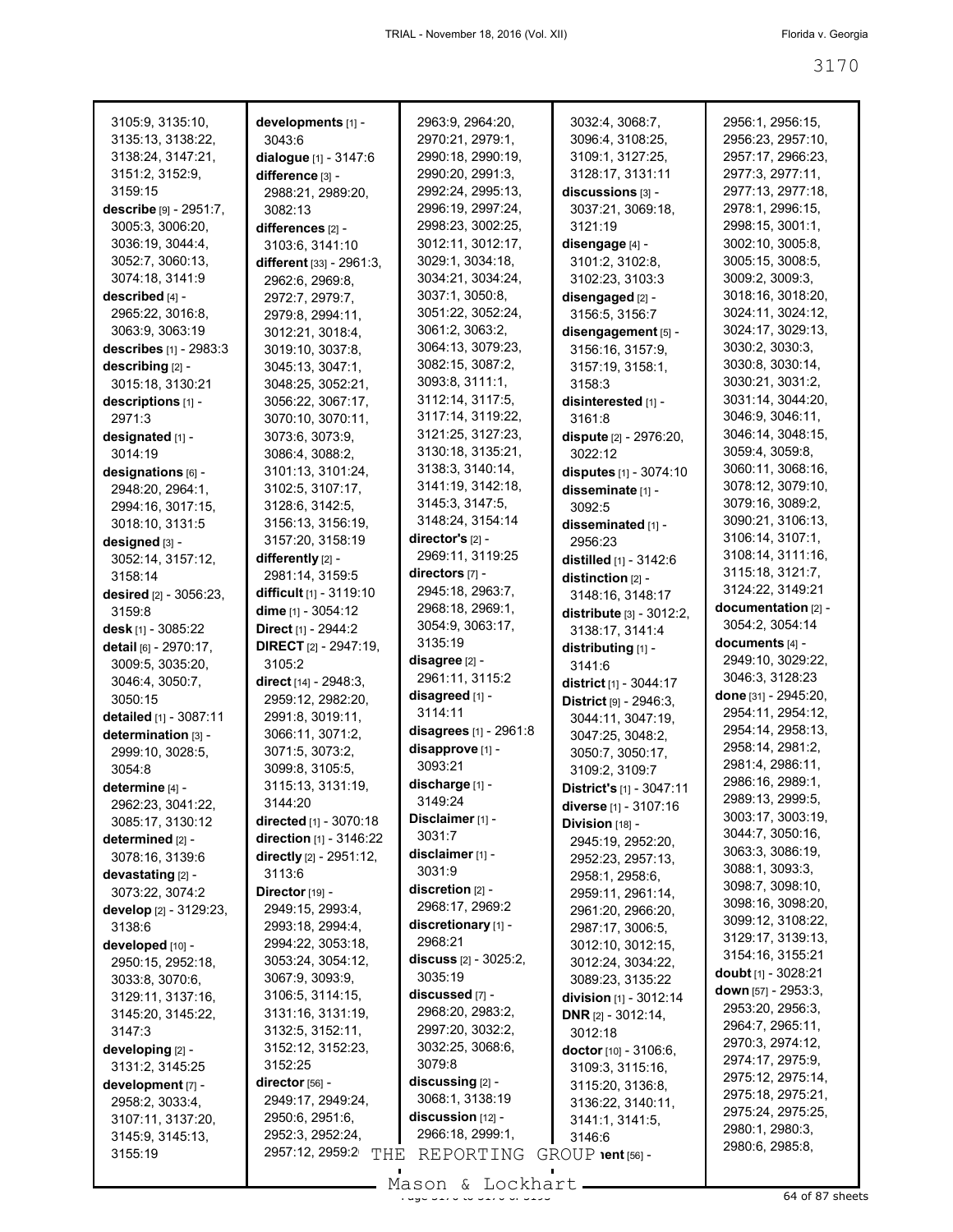| 3105:9, 3135:10,                    | developments [1] -                         | 2963:9, 2964:20,              | 3032:4, 3068:7,                 | 2956:1, 2956:15,                       |
|-------------------------------------|--------------------------------------------|-------------------------------|---------------------------------|----------------------------------------|
| 3135:13, 3138:22,                   | 3043:6                                     | 2970:21, 2979:1,              | 3096:4, 3108:25,                | 2956:23, 2957:10,                      |
| 3138:24, 3147:21,                   | dialogue [1] - 3147:6                      | 2990:18, 2990:19,             | 3109:1, 3127:25,                | 2957:17, 2966:23,                      |
| 3151:2, 3152:9,                     | difference [3] -                           | 2990:20, 2991:3,              | 3128:17, 3131:11                | 2977:3, 2977:11,                       |
| 3159:15                             | 2988:21, 2989:20,                          | 2992:24, 2995:13,             | discussions [3] -               | 2977:13, 2977:18,                      |
| describe [9] - 2951:7,              | 3082:13                                    | 2996:19, 2997:24,             | 3037:21, 3069:18,               | 2978:1, 2996:15,                       |
| 3005:3, 3006:20,                    |                                            | 2998:23, 3002:25,             | 3121:19                         | 2998:15, 3001:1,                       |
| 3036:19, 3044:4,                    | differences [2] -                          | 3012:11, 3012:17,             |                                 | 3002:10, 3005:8,                       |
|                                     | 3103:6, 3141:10                            | 3029:1, 3034:18,              | disengage [4] -                 | 3005:15, 3008:5,                       |
| 3052:7, 3060:13,<br>3074:18, 3141:9 | different [33] - 2961:3,                   | 3034:21, 3034:24,             | 3101:2, 3102:8,                 |                                        |
|                                     | 2962:6, 2969:8,                            |                               | 3102:23, 3103:3                 | 3009:2, 3009:3,                        |
| described [4] -                     | 2972:7, 2979:7,                            | 3037:1, 3050:8,               | disengaged [2] -                | 3018:16, 3018:20,                      |
| 2965:22, 3016:8,                    | 2979:8, 2994:11,                           | 3051:22, 3052:24,             | 3156:5, 3156:7                  | 3024:11, 3024:12,                      |
| 3063:9, 3063:19                     | 3012:21, 3018:4,                           | 3061:2, 3063:2,               | disengagement [5] -             | 3024:17, 3029:13,                      |
| describes [1] - 2983:3              | 3019:10, 3037:8,                           | 3064:13, 3079:23,             | 3156:16, 3157:9,                | 3030:2, 3030:3,                        |
| describing [2] -                    | 3045:13, 3047:1,                           | 3082:15, 3087:2,              | 3157:19, 3158:1,                | 3030:8, 3030:14,                       |
| 3015:18, 3130:21                    | 3048:25, 3052:21,                          | 3093:8, 3111:1,               | 3158:3                          | 3030:21, 3031:2,                       |
| descriptions [1] -                  | 3056:22, 3067:17,                          | 3112:14, 3117:5,              | disinterested [1] -             | 3031:14, 3044:20,                      |
| 2971:3                              | 3070:10, 3070:11,                          | 3117:14, 3119:22,             | 3161:8                          | 3046:9, 3046:11,                       |
| designated [1] -                    | 3073:6, 3073:9,                            | 3121:25, 3127:23,             | dispute [2] - 2976:20,          | 3046:14, 3048:15,                      |
| 3014:19                             | 3086:4, 3088:2,                            | 3130:18, 3135:21,             | 3022:12                         | 3059:4, 3059:8,                        |
| designations [6] -                  | 3101:13, 3101:24,                          | 3138:3, 3140:14,              | disputes [1] - 3074:10          | 3060:11, 3068:16,                      |
| 2948:20, 2964:1,                    | 3102:5, 3107:17,                           | 3141:19, 3142:18,             | disseminate [1] -               | 3078:12, 3079:10,                      |
| 2994:16, 3017:15,                   | 3128:6, 3142:5,                            | 3145:3, 3147:5,               | 3092:5                          | 3079:16, 3089:2,                       |
| 3018:10, 3131:5                     | 3156:13, 3156:19,                          | 3148:24, 3154:14              | disseminated [1] -              | 3090:21, 3106:13,                      |
| designed [3] -                      | 3157:20, 3158:19                           | director's [2] -              | 2956:23                         | 3106:14, 3107:1,                       |
| 3052:14, 3157:12,                   | differently [2] -                          | 2969:11, 3119:25              | distilled [1] - 3142:6          | 3108:14, 3111:16,                      |
| 3158:14                             | 2981:14, 3159:5                            | directors [7] -               | distinction [2] -               | 3115:18, 3121:7,                       |
| desired [2] - 3056:23,              | difficult [1] - 3119:10                    | 2945:18, 2963:7,              | 3148:16, 3148:17                | 3124:22, 3149:21                       |
| 3159:8                              | dime $[1] - 3054:12$                       | 2968:18, 2969:1,              | distribute [3] - 3012:2,        | documentation [2] -                    |
| desk [1] - 3085:22                  | Direct [1] - 2944:2                        | 3054:9, 3063:17,              | 3138:17, 3141:4                 | 3054:2, 3054:14                        |
|                                     |                                            |                               |                                 |                                        |
|                                     |                                            | 3135:19                       |                                 | documents [4] -                        |
| detail [6] - 2970:17,               | <b>DIRECT</b> $[2] - 2947:19$ ,<br>3105:2  | disagree [2] -                | distributing [1] -              | 2949:10, 3029:22,                      |
| 3009:5, 3035:20,                    |                                            | 2961:11, 3115:2               | 3141:6                          | 3046:3, 3128:23                        |
| 3046:4, 3050:7,                     | direct [14] - 2948:3,                      | disagreed [1] -               | district [1] - 3044:17          | done [31] - 2945:20,                   |
| 3050:15                             | 2959:12, 2982:20,                          | 3114:11                       | District [9] - 2946:3,          | 2954:11, 2954:12,                      |
| detailed [1] - 3087:11              | 2991:8, 3019:11,                           | disagrees [1] - 2961:8        | 3044:11, 3047:19,               | 2954:14, 2958:13,                      |
| determination [3] -                 | 3066:11, 3071:2,                           | disapprove [1] -              | 3047:25, 3048:2,                | 2958:14, 2981:2,                       |
| 2999:10, 3028:5,                    | 3071:5, 3073:2,                            | 3093:21                       | 3050:7, 3050:17,                | 2981:4, 2986:11,                       |
| 3054:8                              | 3099:8, 3105:5,                            |                               | 3109:2, 3109:7                  | 2986:16, 2989:1,                       |
| determine [4] -                     | 3115:13, 3131:19,                          | discharge [1] -               | <b>District's</b> [1] - 3047:11 | 2989:13, 2999:5,                       |
| 2962:23, 3041:22,                   | 3144:20                                    | 3149:24                       | diverse [1] - 3107:16           | 3003:17, 3003:19,                      |
| 3085:17, 3130:12                    | directed [1] - 3070:18                     | Disclaimer [1] -              | Division [18] -                 | 3044:7, 3050:16,                       |
| determined [2] -                    | direction [1] - 3146:22                    | 3031:7                        | 2945:19, 2952:20,               | 3063:3, 3086:19,                       |
| 3078:16, 3139:6                     | directly [2] - 2951:12,                    | disclaimer [1] -              | 2952:23, 2957:13,               | 3088:1, 3093:3,                        |
| devastating [2] -                   | 3113:6                                     | 3031:9                        | 2958:1, 2958:6,                 | 3098:7, 3098:10,                       |
| 3073:22, 3074:2                     | Director [19] -                            | discretion [2] -              | 2959:11, 2961:14,               |                                        |
| develop [2] - 3129:23,              | 2949:15, 2993:4,                           | 2968:17, 2969:2               | 2961:20, 2966:20,               | 3098:16, 3098:20,                      |
| 3138:6                              | 2993:18, 2994:4,                           | discretionary [1] -           | 2987:17, 3006:5,                | 3099:12, 3108:22,<br>3129:17, 3139:13, |
| developed [10] -                    | 2994:22, 3053:18,                          | 2968:21                       | 3012:10, 3012:15,               |                                        |
| 2950:15, 2952:18,                   | 3053:24, 3054:12,                          | discuss $[2] - 3025:2,$       | 3012:24, 3034:22,               | 3154:16, 3155:21                       |
| 3033:8, 3070:6,                     | 3067:9, 3093:9,                            | 3035:19                       | 3089:23, 3135:22                | doubt $[1]$ - 3028:21                  |
| 3129:11, 3137:16,                   | 3106:5, 3114:15,                           | discussed [7] -               | division [1] - 3012:14          | down [57] - 2953:3.                    |
| 3145:20, 3145:22,                   | 3131:16, 3131:19,                          | 2968:20, 2983:2,              | <b>DNR</b> $[2] - 3012:14$ ,    | 2953:20, 2956:3,                       |
| 3147:3                              | 3132:5, 3152:11,                           | 2997:20, 3032:2,              | 3012:18                         | 2964:7, 2965:11,                       |
| developing [2] -                    | 3152:12, 3152:23,                          | 3032:25, 3068:6,              | doctor $[10] - 3106:6$ ,        | 2970:3, 2974:12,                       |
| 3131:2, 3145:25                     | 3152:25                                    | 3079:8                        | 3109:3, 3115:16,                | 2974:17, 2975:9,                       |
| development [7] -                   | director [56] -                            | discussing [2] -              | 3115:20, 3136:8,                | 2975:12, 2975:14,<br>2975:18, 2975:21, |
| 2958:2, 3033:4,                     | 2949:17, 2949:24,                          | 3068:1, 3138:19               | 3136:22, 3140:11,               |                                        |
| 3107:11, 3137:20,                   | 2950:6, 2951:6,                            | discussion [12] -             | 3141:1, 3141:5,                 | 2975:24, 2975:25,                      |
| 3145:9, 3145:13,<br>3155:19         | 2952:3, 2952:24,<br>2957:12, 2959:2<br>THE | 2966:18, 2999:1,<br>REPORTING | 3146:6<br>$GROUP$ ient $[56]$ - | 2980:1, 2980:3,<br>2980:6, 2985:8,     |

 $\frac{200011}{x}$   $\frac{200111}{x}$  of 37 sheets Mason & Lockhart.

 $\blacksquare$ 

 $\blacksquare$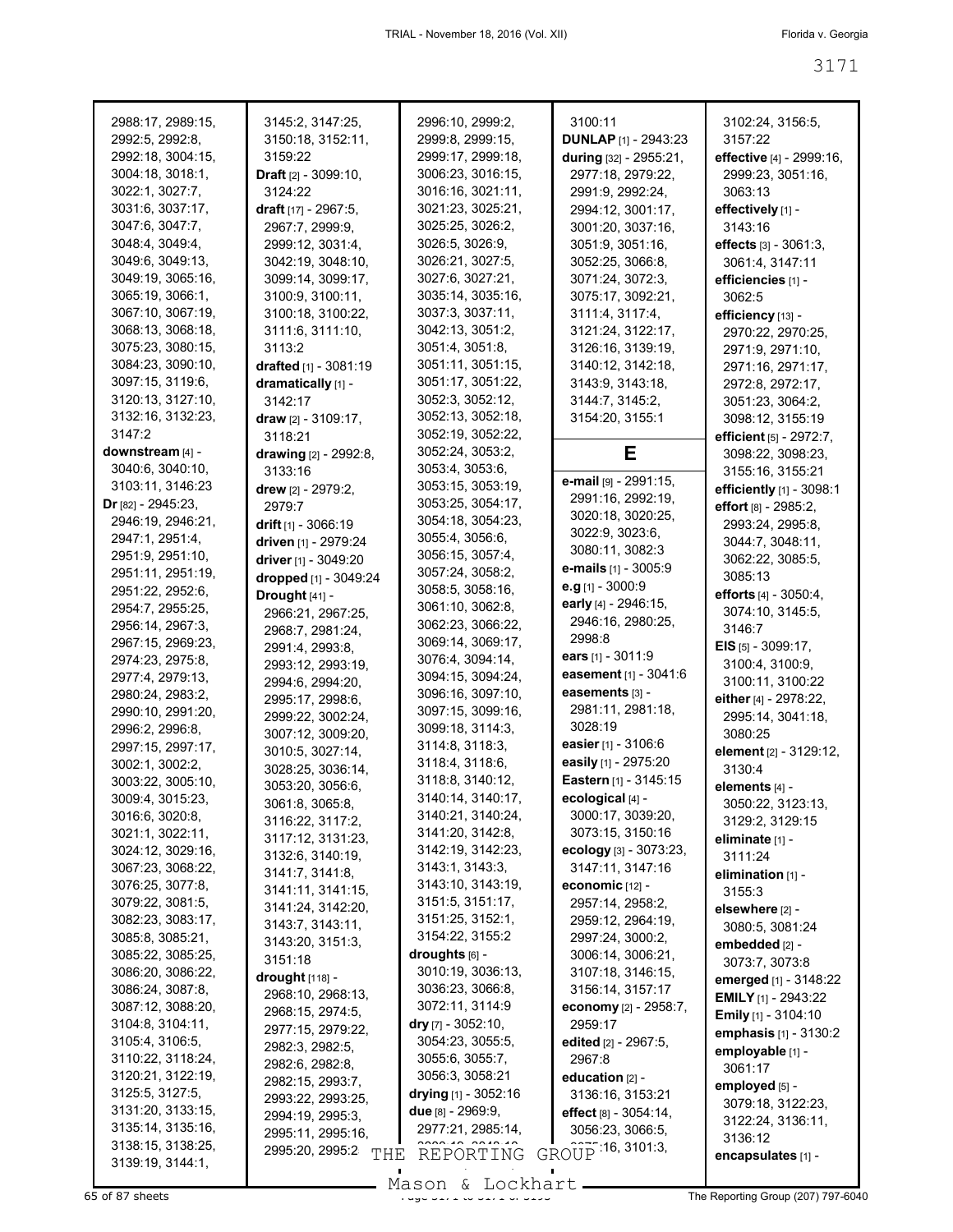| 2988:17, 2989:15,                                                                                              | 3145:2, 3147:25,                                                                                         | 2996:10, 2999:2,                                                                                                        | 3100:11                                                                                                    | 3102:24, 3156:5,                                                                                  |
|----------------------------------------------------------------------------------------------------------------|----------------------------------------------------------------------------------------------------------|-------------------------------------------------------------------------------------------------------------------------|------------------------------------------------------------------------------------------------------------|---------------------------------------------------------------------------------------------------|
| 2992:5, 2992:8,                                                                                                | 3150:18, 3152:11,                                                                                        | 2999:8, 2999:15,                                                                                                        | <b>DUNLAP</b> [1] - 2943:23                                                                                | 3157:22                                                                                           |
| 2992:18, 3004:15,                                                                                              | 3159:22                                                                                                  | 2999:17, 2999:18,                                                                                                       | during [32] - 2955:21,                                                                                     | effective [4] - 2999:16,                                                                          |
| 3004:18, 3018:1,                                                                                               | Draft [2] - 3099:10,                                                                                     | 3006:23, 3016:15,                                                                                                       | 2977:18, 2979:22,                                                                                          | 2999:23, 3051:16,                                                                                 |
| 3022:1, 3027:7,                                                                                                | 3124:22                                                                                                  | 3016:16, 3021:11,                                                                                                       | 2991:9, 2992:24,                                                                                           | 3063:13                                                                                           |
| 3031:6, 3037:17,                                                                                               | draft [17] - 2967:5,                                                                                     | 3021:23, 3025:21,                                                                                                       | 2994:12, 3001:17,                                                                                          | effectively [1] -                                                                                 |
| 3047:6, 3047:7,                                                                                                | 2967:7, 2999:9,                                                                                          | 3025:25, 3026:2,                                                                                                        | 3001:20, 3037:16,                                                                                          | 3143:16                                                                                           |
| 3048:4, 3049:4,                                                                                                | 2999:12, 3031:4,                                                                                         | 3026:5, 3026:9,                                                                                                         | 3051:9, 3051:16,                                                                                           | effects $[3] - 3061:3$ ,                                                                          |
| 3049:6, 3049:13,                                                                                               | 3042:19, 3048:10,                                                                                        | 3026:21, 3027:5,                                                                                                        | 3052:25, 3066:8,                                                                                           | 3061:4, 3147:11                                                                                   |
| 3049:19, 3065:16,                                                                                              | 3099:14, 3099:17,                                                                                        | 3027:6, 3027:21,                                                                                                        | 3071:24, 3072:3,                                                                                           | efficiencies [1] -                                                                                |
| 3065:19, 3066:1,                                                                                               | 3100:9, 3100:11,                                                                                         | 3035:14, 3035:16,                                                                                                       | 3075:17, 3092:21,                                                                                          | 3062:5                                                                                            |
| 3067:10, 3067:19,                                                                                              | 3100:18, 3100:22,                                                                                        | 3037:3, 3037:11,                                                                                                        | 3111:4, 3117:4,                                                                                            | efficiency [13] -                                                                                 |
| 3068:13, 3068:18,                                                                                              | 3111:6, 3111:10,                                                                                         | 3042:13, 3051:2,                                                                                                        | 3121:24, 3122:17,                                                                                          | 2970:22, 2970:25,                                                                                 |
| 3075:23, 3080:15,<br>3084:23, 3090:10,<br>3097:15, 3119:6,<br>3120:13, 3127:10,<br>3132:16, 3132:23,<br>3147:2 | 3113:2<br>drafted [1] - 3081:19<br>dramatically [1] -<br>3142:17<br>draw $[2] - 3109:17$ ,<br>3118:21    | 3051:4, 3051:8,<br>3051:11, 3051:15,<br>3051:17, 3051:22,<br>3052:3, 3052:12,<br>3052:13, 3052:18,<br>3052:19, 3052:22, | 3126:16, 3139:19,<br>3140:12, 3142:18,<br>3143:9, 3143:18,<br>3144:7, 3145:2,<br>3154:20, 3155:1           | 2971:9, 2971:10,<br>2971:16, 2971:17,<br>2972:8, 2972:17,<br>3051:23, 3064:2,<br>3098:12, 3155:19 |
| downstream [4] -<br>3040:6, 3040:10,<br>3103:11, 3146:23                                                       | drawing [2] - 2992:8,<br>3133:16<br>drew [2] - 2979:2,                                                   | 3052:24, 3053:2,<br>3053:4, 3053:6,<br>3053:15, 3053:19,                                                                | Е<br>e-mail [9] - 2991:15,<br>2991:16, 2992:19,                                                            | efficient [5] - 2972:7,<br>3098:22, 3098:23,<br>3155:16, 3155:21<br>efficiently [1] - 3098:1      |
| Dr $[82] - 2945:23$ ,                                                                                          | 2979:7                                                                                                   | 3053:25, 3054:17,                                                                                                       | 3020:18, 3020:25,                                                                                          | <b>effort</b> [8] - 2985:2,                                                                       |
| 2946:19, 2946:21,                                                                                              | drift $[1]$ - 3066:19                                                                                    | 3054:18, 3054:23,                                                                                                       | 3022:9, 3023:6,                                                                                            | 2993:24, 2995:8,                                                                                  |
| 2947:1, 2951:4,                                                                                                | driven [1] - 2979:24                                                                                     | 3055:4, 3056:6,                                                                                                         | 3080:11, 3082:3                                                                                            | 3044:7, 3048:11,                                                                                  |
| 2951:9, 2951:10,                                                                                               | driver [1] - 3049:20                                                                                     | 3056:15, 3057:4,                                                                                                        | <b>e-mails</b> $[1]$ - 3005:9                                                                              | 3062:22, 3085:5,                                                                                  |
| 2951:11, 2951:19,<br>2951:22, 2952:6,<br>2954:7, 2955:25,<br>2956:14, 2967:3,<br>2967:15, 2969:23,             | dropped [1] - 3049:24<br>Drought [41] -<br>2966:21, 2967:25,<br>2968:7, 2981:24,                         | 3057:24, 3058:2,<br>3058:5, 3058:16,<br>3061:10, 3062:8,<br>3062:23, 3066:22,<br>3069:14, 3069:17,                      | <b>e.g</b> [1] - 3000:9<br>early [4] - 2946:15,<br>2946:16, 2980:25,<br>2998:8                             | 3085:13<br>efforts $[4] - 3050:4$ ,<br>3074:10, 3145:5,<br>3146:7                                 |
| 2974:23, 2975:8,                                                                                               | 2991:4, 2993:8,                                                                                          | 3076:4, 3094:14,                                                                                                        | ears $[1] - 3011.9$                                                                                        | <b>EIS</b> $[5]$ - 3099:17,                                                                       |
| 2977:4, 2979:13,                                                                                               | 2993:12, 2993:19,                                                                                        | 3094:15, 3094:24,                                                                                                       | easement [1] - 3041:6                                                                                      | 3100:4, 3100:9,                                                                                   |
| 2980:24, 2983:2,                                                                                               | 2994:6, 2994:20,                                                                                         | 3096:16, 3097:10,                                                                                                       | easements [3] -                                                                                            | 3100:11, 3100:22                                                                                  |
| 2990:10, 2991:20,                                                                                              | 2995:17, 2998:6,                                                                                         | 3097:15, 3099:16,                                                                                                       | 2981:11, 2981:18,                                                                                          | either [4] - 2978:22,                                                                             |
| 2996:2, 2996:8,<br>2997:15, 2997:17,<br>3002:1, 3002:2,<br>3003:22, 3005:10,                                   | 2999:22, 3002:24,<br>3007:12, 3009:20,<br>3010:5, 3027:14,<br>3028:25, 3036:14,<br>3053:20, 3056:6,      | 3099:18, 3114:3,<br>3114:8, 3118:3,<br>3118:4, 3118:6,<br>3118:8, 3140:12,                                              | 3028:19<br>easier $[1] - 3106.6$<br>easily [1] - 2975:20<br>Eastern [1] - 3145:15                          | 2995:14, 3041:18,<br>3080:25<br>element [2] - 3129:12,<br>3130:4<br>elements [4] -                |
| 3009:4, 3015:23,                                                                                               | 3061:8, 3065:8,                                                                                          | 3140:14, 3140:17,                                                                                                       | ecological [4] -                                                                                           | 3050:22, 3123:13,                                                                                 |
| 3016:6, 3020:8,                                                                                                | 3116:22, 3117:2,                                                                                         | 3140:21, 3140:24,                                                                                                       | 3000:17, 3039:20,                                                                                          | 3129:2, 3129:15                                                                                   |
| 3021:1, 3022:11,                                                                                               | 3117:12, 3131:23,                                                                                        | 3141:20, 3142:8,                                                                                                        | 3073:15, 3150:16                                                                                           | eliminate [1] -                                                                                   |
| 3024:12, 3029:16,                                                                                              | 3132:6, 3140:19,                                                                                         | 3142:19, 3142:23,                                                                                                       | ecology [3] - 3073:23,                                                                                     | 3111:24                                                                                           |
| 3067:23, 3068:22,                                                                                              | 3141:7, 3141:8,                                                                                          | 3143:1, 3143:3,                                                                                                         | 3147:11, 3147:16                                                                                           | elimination [1] -                                                                                 |
| 3076:25, 3077:8,                                                                                               | 3141:11, 3141:15,                                                                                        | 3143:10, 3143:19,                                                                                                       | economic [12] -                                                                                            | 3155:3                                                                                            |
| 3079:22, 3081:5,                                                                                               | 3141:24, 3142:20,                                                                                        | 3151:5, 3151:17,                                                                                                        | 2957:14, 2958:2,                                                                                           | elsewhere [2] -                                                                                   |
| 3082:23, 3083:17,                                                                                              | 3143:7, 3143:11,                                                                                         | 3151:25, 3152:1,                                                                                                        | 2959:12, 2964:19,                                                                                          | 3080:5, 3081:24                                                                                   |
| 3085:8, 3085:21,                                                                                               | 3143:20, 3151:3,                                                                                         | 3154:22, 3155:2                                                                                                         | 2997:24, 3000:2,                                                                                           | embedded [2] -                                                                                    |
| 3085:22, 3085:25,                                                                                              | 3151:18                                                                                                  | droughts [6] -                                                                                                          | 3006:14, 3006:21,                                                                                          | 3073:7, 3073:8                                                                                    |
| 3086:20, 3086:22,                                                                                              | $\frac{drought}{d}$ [118] -                                                                              | 3010:19, 3036:13,                                                                                                       | 3107:18, 3146:15,                                                                                          | emerged [1] - 3148:22                                                                             |
| 3086:24, 3087:8,                                                                                               | 2968:10, 2968:13,                                                                                        | 3036:23, 3066:8,                                                                                                        | 3156:14, 3157:17                                                                                           | <b>EMILY</b> $[1]$ - 2943:22                                                                      |
| 3087:12, 3088:20,<br>3104:8, 3104:11,<br>3105:4, 3106:5,<br>3110:22, 3118:24,<br>3120:21, 3122:19,             | 2968:15, 2974:5,<br>2977:15, 2979:22,<br>2982:3, 2982:5,<br>2982:6, 2982:8,                              | 3072:11, 3114:9<br><b>dry</b> [7] - $3052:10$ ,<br>3054:23, 3055:5,<br>3055:6, 3055:7,<br>3056:3, 3058:21               | <b>economy</b> [2] - 2958:7,<br>2959:17<br>edited [2] - 2967:5,<br>2967:8                                  | <b>Emily</b> [1] - 3104:10<br>emphasis [1] - 3130:2<br>employable [1] -<br>3061:17                |
| 3125:5, 3127:5,<br>3131:20, 3133:15,<br>3135:14, 3135:16,<br>3138:15, 3138:25,                                 | 2982:15, 2993:7,<br>2993:22, 2993:25,<br>2994:19, 2995:3,<br>2995:11, 2995:16,<br>2995:20, 2995:2<br>THE | drying $[1]$ - 3052:16<br>due [8] - 2969:9,<br>2977:21, 2985:14,<br>0.00040.0040.40<br>REPORTING                        | education $[2]$ -<br>3136:16, 3153:21<br>effect $[8] - 3054:14$ ,<br>3056:23, 3066:5,<br>GROUP 16, 3101:3, | employed [5] -<br>3079:18, 3122:23,<br>3122:24, 3136:11,<br>3136:12                               |
| 3139:19, 3144:1,                                                                                               |                                                                                                          |                                                                                                                         |                                                                                                            | encapsulates [1] -                                                                                |

Mason & Lockhart **Page 3171 to 3171 to 3171 to 3171 to 3171 to 3171 to 3171 to 3171 to 3171 to 3171 to 3171 to 3171 of 3171 to 3171 to 3171 to 3171 to 3171 to 3171 to 3171 to 3171 to 3171 to 3171 to 3171 to 3171 to 3171 to**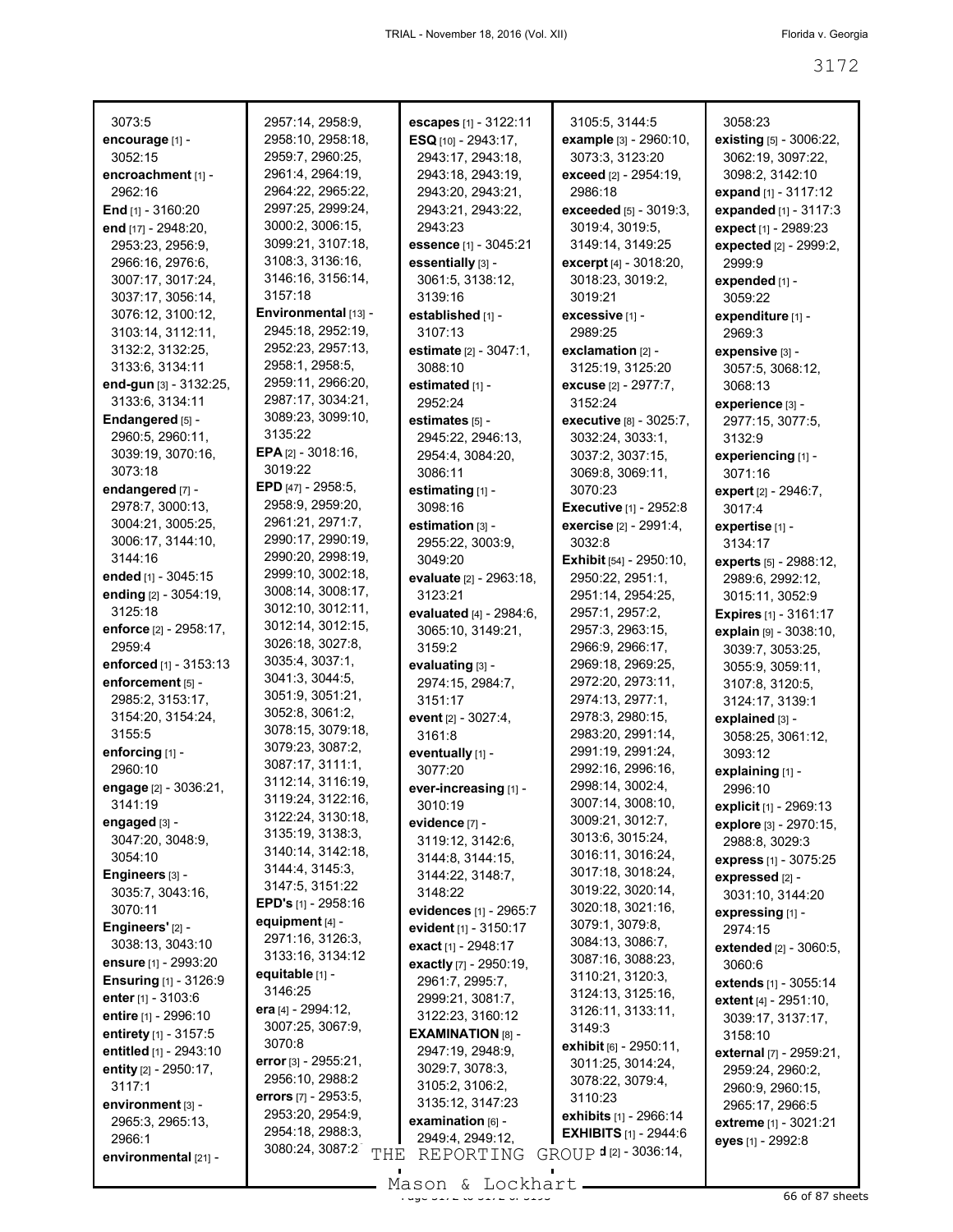| 3073:5                       | 2957:14, 2958:9,             | escapes [1] - 3122:11      | 3105:5, 3144:5                 | 3058:23                                    |
|------------------------------|------------------------------|----------------------------|--------------------------------|--------------------------------------------|
| encourage [1] -              | 2958:10, 2958:18,            | ESQ [10] - 2943:17,        | example [3] - 2960:10,         | existing [5] - 3006:22,                    |
| 3052:15                      | 2959:7, 2960:25,             | 2943:17, 2943:18,          | 3073:3, 3123:20                | 3062:19, 3097:22,                          |
| encroachment [1] -           | 2961:4, 2964:19,             | 2943:18, 2943:19,          | exceed [2] - 2954:19,          | 3098:2, 3142:10                            |
| 2962:16                      | 2964:22, 2965:22,            | 2943:20, 2943:21,          | 2986:18                        | expand [1] - 3117:12                       |
| End $[1] - 3160:20$          | 2997:25, 2999:24,            | 2943:21, 2943:22,          | <b>exceeded</b> [5] - 3019:3,  | expanded [1] - 3117:3                      |
| end [17] - 2948:20,          | 3000:2, 3006:15,             | 2943:23                    | 3019:4, 3019:5,                | expect [1] - 2989:23                       |
| 2953:23, 2956:9,             | 3099:21, 3107:18,            | essence [1] - 3045:21      | 3149:14, 3149:25               | expected [2] - 2999:2,                     |
| 2966:16, 2976:6,             | 3108:3, 3136:16,             | essentially [3] -          | excerpt [4] - 3018:20,         | 2999:9                                     |
| 3007:17, 3017:24,            | 3146:16, 3156:14,            | 3061:5, 3138:12,           | 3018:23, 3019:2,               | expended [1] -                             |
| 3037:17, 3056:14,            | 3157:18                      | 3139:16                    | 3019:21                        | 3059:22                                    |
| 3076:12, 3100:12,            | Environmental [13] -         | established [1] -          | excessive [1] -                | expenditure [1] -                          |
| 3103:14, 3112:11,            | 2945:18, 2952:19,            | 3107:13                    | 2989:25                        | 2969:3                                     |
| 3132:2, 3132:25,             | 2952:23, 2957:13,            | estimate [2] - 3047:1,     | exclamation [2] -              | expensive [3] -                            |
| 3133:6, 3134:11              | 2958:1, 2958:5,              | 3088:10                    | 3125:19, 3125:20               | 3057:5, 3068:12,                           |
| end-gun [3] - 3132:25,       | 2959:11, 2966:20,            | estimated [1] -            | <b>excuse</b> [2] - 2977:7,    | 3068:13                                    |
| 3133:6, 3134:11              | 2987:17, 3034:21,            | 2952:24                    | 3152:24                        | experience [3] -                           |
| Endangered [5] -             | 3089:23, 3099:10,            | estimates [5] -            | executive [8] - 3025:7,        | 2977:15, 3077:5,                           |
| 2960:5, 2960:11,             | 3135:22                      | 2945:22, 2946:13,          | 3032:24, 3033:1,               | 3132:9                                     |
| 3039:19, 3070:16,            | EPA $[2] - 3018:16$ ,        | 2954:4, 3084:20,           | 3037:2, 3037:15,               | experiencing [1] -                         |
| 3073:18                      | 3019:22                      | 3086:11                    | 3069:8, 3069:11,               | 3071:16                                    |
| endangered [7] -             | EPD [47] - 2958:5,           | estimating [1] -           | 3070:23                        | expert [2] - 2946:7,                       |
| 2978:7, 3000:13,             | 2958:9, 2959:20,             | 3098:16                    | <b>Executive</b> [1] - 2952:8  | 3017:4                                     |
| 3004:21, 3005:25,            | 2961:21, 2971:7,             | estimation [3] -           | exercise [2] - 2991:4,         | expertise [1] -                            |
| 3006:17, 3144:10,            | 2990:17, 2990:19,            | 2955:22, 3003:9,           | 3032:8                         | 3134:17                                    |
| 3144:16                      | 2990:20, 2998:19,            | 3049:20                    | <b>Exhibit</b> [54] - 2950:10, | experts [5] - 2988:12,                     |
| ended [1] - 3045:15          | 2999:10, 3002:18,            | evaluate [2] - 2963:18,    | 2950:22, 2951:1,               | 2989:6, 2992:12,                           |
| ending [2] - 3054:19,        | 3008:14, 3008:17,            | 3123:21                    | 2951:14, 2954:25,              | 3015:11, 3052:9                            |
| 3125:18                      | 3012:10, 3012:11,            | evaluated $[4] - 2984:6$ , | 2957:1, 2957:2,                | <b>Expires</b> [1] - 3161:17               |
| enforce [2] - 2958:17,       | 3012:14, 3012:15,            | 3065:10, 3149:21,          | 2957:3, 2963:15,               | explain [9] - 3038:10,                     |
| 2959:4                       | 3026:18, 3027:8,             | 3159:2                     | 2966:9, 2966:17,               | 3039:7, 3053:25,                           |
| enforced [1] - 3153:13       | 3035:4, 3037:1,              | evaluating [3] -           | 2969:18, 2969:25,              | 3055:9, 3059:11,                           |
| enforcement [5] -            | 3041:3, 3044:5,              | 2974:15, 2984:7,           | 2972:20, 2973:11,              | 3107:8, 3120:5,                            |
| 2985:2, 3153:17,             | 3051:9, 3051:21,             | 3151:17                    | 2974:13, 2977:1,               | 3124:17, 3139:1                            |
| 3154:20, 3154:24,            | 3052:8, 3061:2,              | event $[2] - 3027:4$ ,     | 2978:3, 2980:15,               | explained [3] -                            |
| 3155:5                       | 3078:15, 3079:18,            | 3161:8                     | 2983:20, 2991:14,              | 3058:25, 3061:12,                          |
| enforcing [1] -              | 3079:23, 3087:2,             | eventually [1] -           | 2991:19, 2991:24,              | 3093:12                                    |
| 2960:10                      | 3087:17, 3111:1,             | 3077:20                    | 2992:16, 2996:16,              | explaining [1] -                           |
| engage [2] - 3036:21,        | 3112:14, 3116:19,            | ever-increasing [1] -      | 2998:14, 3002:4,               | 2996:10                                    |
| 3141:19                      | 3119:24, 3122:16,            | 3010:19                    | 3007:14, 3008:10,              | explicit $[1]$ - 2969:13                   |
| engaged [3] -                | 3122:24, 3130:18,            | evidence [7] -             | 3009:21, 3012:7,               | explore [3] - 2970:15,                     |
| 3047:20, 3048:9,             | 3135:19, 3138:3,             | 3119:12, 3142:6,           | 3013:6, 3015:24,               | 2988:8, 3029:3                             |
| 3054:10                      | 3140:14, 3142:18,            | 3144:8, 3144:15,           | 3016:11, 3016:24,              | express [1] - 3075:25                      |
| Engineers [3] -              | 3144:4, 3145:3,              | 3144:22, 3148:7,           | 3017:18, 3018:24,              | expressed [2] -                            |
| 3035:7, 3043:16,             | 3147:5, 3151:22              | 3148:22                    | 3019:22, 3020:14,              | 3031:10, 3144:20                           |
| 3070:11                      | <b>EPD's</b> $[1]$ - 2958:16 | evidences [1] - 2965:7     | 3020:18, 3021:16,              | expressing [1] -                           |
| Engineers' [2] -             | equipment [4] -              | evident [1] - 3150:17      | 3079:1, 3079:8,                | 2974:15                                    |
| 3038:13, 3043:10             | 2971:16, 3126:3,             | exact [1] - 2948:17        | 3084:13, 3086:7,               |                                            |
| ensure [1] - 2993:20         | 3133:16, 3134:12             | exactly [7] - 2950:19,     | 3087:16, 3088:23,              | extended [2] - 3060:5,                     |
| <b>Ensuring</b> [1] - 3126:9 | equitable [1] -              | 2961:7, 2995:7,            | 3110:21, 3120:3,               | 3060:6                                     |
| enter $[1] - 3103.6$         | 3146:25                      | 2999:21, 3081:7,           | 3124:13, 3125:16,              | extends [1] - 3055:14                      |
| entire [1] - 2996:10         | era [4] - 2994:12,           | 3122:23, 3160:12           | 3126:11, 3133:11,              | extent [4] - 2951:10,                      |
| entirety $[1] - 3157:5$      | 3007:25, 3067:9,             | <b>EXAMINATION [8] -</b>   | 3149:3                         | 3039:17, 3137:17,<br>3158:10               |
| entitled [1] - 2943:10       | 3070:8                       | 2947:19, 2948:9,           | <b>exhibit</b> $[6] - 2950:11$ |                                            |
| entity [2] - 2950:17,        | error $[3] - 2955:21$ ,      | 3029:7, 3078:3,            | 3011:25, 3014:24,              | external [7] - 2959:21,                    |
| 3117:1                       | 2956:10, 2988:2              | 3105:2, 3106:2,            | 3078:22, 3079:4,               | 2959:24, 2960:2,                           |
| environment $[3]$ -          | errors $[7] - 2953.5$ ,      | 3135:12, 3147:23           | 3110:23                        | 2960:9, 2960:15,                           |
| 2965:3, 2965:13,             | 2953:20, 2954:9,             | examination $[6]$ -        | exhibits [1] - 2966:14         | 2965:17, 2966:5                            |
| 2966:1                       | 2954:18, 2988:3,             | 2949:4, 2949:12,           | <b>EXHIBITS</b> $[1] - 2944:6$ | extreme [1] - 3021:21<br>eyes [1] - 2992:8 |
| environmental [21] -         | 3080:24, 3087:2<br>THE       | REPORTING                  | GROUP d [2] - 3036:14,         |                                            |
|                              |                              |                            |                                |                                            |
|                              |                              |                            |                                |                                            |

 $\frac{200011}{x}$   $\frac{20001122}{x}$  of 37 sheets Mason & Lockhart.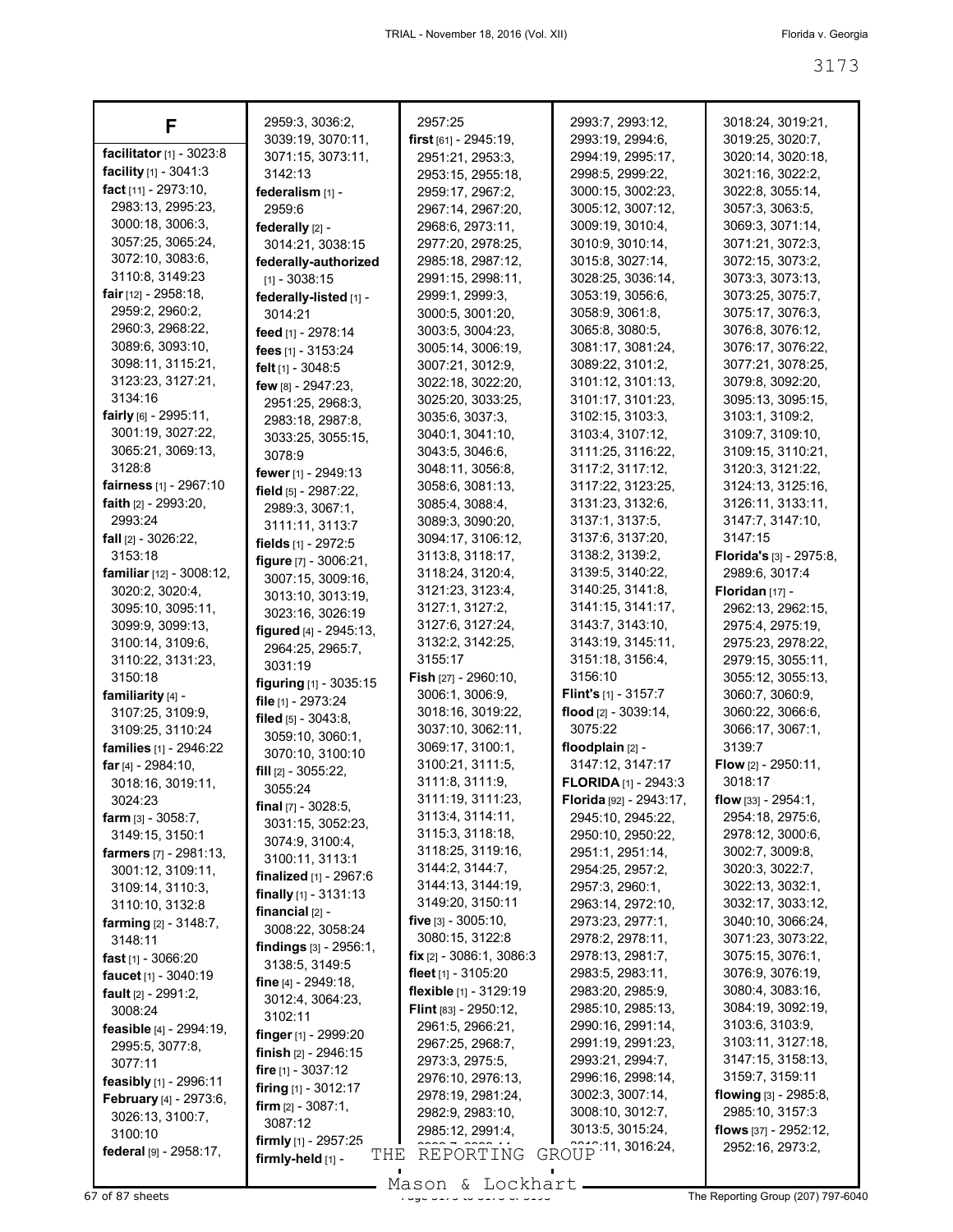| F                                               | 2959:3, 3036:2,                                     | 2957:25                              | 2993:7, 2993:12,                       | 3018:24, 3019:21,                               |
|-------------------------------------------------|-----------------------------------------------------|--------------------------------------|----------------------------------------|-------------------------------------------------|
|                                                 | 3039:19, 3070:11,                                   | first $[61] - 2945:19$ ,             | 2993:19, 2994:6,                       | 3019:25, 3020:7,                                |
| facilitator [1] - 3023:8                        | 3071:15, 3073:11,                                   | 2951:21, 2953:3,                     | 2994:19, 2995:17,                      | 3020:14, 3020:18,                               |
| facility [1] - 3041:3                           | 3142:13                                             | 2953:15, 2955:18,                    | 2998:5, 2999:22,                       | 3021:16, 3022:2,                                |
| fact [11] - 2973:10,                            | federalism [1] -                                    | 2959:17, 2967:2,                     | 3000:15, 3002:23,                      | 3022:8, 3055:14,                                |
| 2983:13, 2995:23,                               | 2959:6                                              | 2967:14, 2967:20,                    | 3005:12, 3007:12,                      | 3057:3, 3063:5,                                 |
| 3000:18, 3006:3,                                | federally [2] -                                     | 2968:6, 2973:11,                     | 3009:19, 3010:4,                       | 3069:3, 3071:14,                                |
| 3057:25, 3065:24,                               | 3014:21, 3038:15                                    | 2977:20, 2978:25,                    | 3010:9, 3010:14,                       | 3071:21, 3072:3,                                |
| 3072:10, 3083:6,                                | federally-authorized                                | 2985:18, 2987:12,                    | 3015:8, 3027:14,                       | 3072:15, 3073:2,                                |
| 3110:8, 3149:23                                 | $[1] - 3038:15$                                     | 2991:15, 2998:11,                    | 3028:25, 3036:14,                      | 3073:3, 3073:13,                                |
| <b>fair</b> $[12] - 2958:18$ ,                  | federally-listed [1] -                              | 2999:1, 2999:3,                      | 3053:19, 3056:6,                       | 3073:25, 3075:7,                                |
| 2959:2, 2960:2,                                 | 3014:21                                             | 3000:5, 3001:20,                     | 3058:9, 3061:8,                        | 3075:17, 3076:3,                                |
| 2960:3, 2968:22,                                | feed [1] - 2978:14                                  | 3003:5, 3004:23,                     | 3065:8, 3080:5,                        | 3076:8, 3076:12,                                |
| 3089:6, 3093:10,                                | fees $[1] - 3153:24$                                | 3005:14, 3006:19,                    | 3081:17, 3081:24,                      | 3076:17, 3076:22,                               |
| 3098:11, 3115:21,                               | felt [1] - 3048:5                                   | 3007:21, 3012:9,                     | 3089:22, 3101:2,                       | 3077:21, 3078:25,                               |
| 3123:23, 3127:21,<br>3134:16                    | few [8] - 2947:23,                                  | 3022:18, 3022:20,                    | 3101:12, 3101:13,                      | 3079:8, 3092:20,                                |
| fairly [6] - 2995:11,                           | 2951:25, 2968:3,                                    | 3025:20, 3033:25,<br>3035:6, 3037:3, | 3101:17, 3101:23,                      | 3095:13, 3095:15,                               |
| 3001:19, 3027:22,                               | 2983:18, 2987:8,                                    |                                      | 3102:15, 3103:3,                       | 3103:1, 3109:2,<br>3109:7, 3109:10,             |
| 3065:21, 3069:13,                               | 3033:25, 3055:15,                                   | 3040:1, 3041:10,                     | 3103:4, 3107:12,                       | 3109:15, 3110:21,                               |
| 3128:8                                          | 3078:9                                              | 3043:5, 3046:6,<br>3048:11, 3056:8,  | 3111:25, 3116:22,<br>3117:2, 3117:12,  | 3120:3, 3121:22,                                |
| fairness [1] - 2967:10                          | fewer [1] - 2949:13                                 | 3058:6, 3081:13,                     | 3117:22, 3123:25,                      | 3124:13, 3125:16,                               |
| <b>faith</b> $[2] - 2993:20$ ,                  | field [5] - 2987:22,                                | 3085:4, 3088:4,                      | 3131:23, 3132:6,                       | 3126:11, 3133:11,                               |
| 2993:24                                         | 2989:3, 3067:1,                                     | 3089:3, 3090:20,                     | 3137:1, 3137:5,                        | 3147:7, 3147:10,                                |
| fall [2] - 3026:22,                             | 3111:11, 3113:7                                     | 3094:17, 3106:12,                    | 3137:6, 3137:20,                       | 3147:15                                         |
| 3153:18                                         | fields [1] - 2972:5                                 | 3113:8, 3118:17,                     | 3138:2, 3139:2,                        | Florida's [3] - 2975:8,                         |
| <b>familiar</b> $[12] - 3008:12$ ,              | figure [7] - 3006:21,                               | 3118:24, 3120:4,                     | 3139:5, 3140:22,                       | 2989:6, 3017:4                                  |
| 3020:2, 3020:4,                                 | 3007:15, 3009:16,                                   | 3121:23, 3123:4,                     | 3140:25, 3141:8,                       | Floridan $[17]$ -                               |
| 3095:10, 3095:11,                               | 3013:10, 3013:19,<br>3023:16, 3026:19               | 3127:1, 3127:2,                      | 3141:15, 3141:17,                      | 2962:13, 2962:15,                               |
| 3099:9, 3099:13,                                | figured [4] - 2945:13,                              | 3127:6, 3127:24,                     | 3143:7, 3143:10,                       | 2975:4, 2975:19,                                |
| 3100:14, 3109:6,                                | 2964:25, 2965:7,                                    | 3132:2, 3142:25,                     | 3143:19, 3145:11,                      | 2975:23, 2978:22,                               |
| 3110:22, 3131:23,                               | 3031:19                                             | 3155:17                              | 3151:18, 3156:4,                       | 2979:15, 3055:11,                               |
| 3150:18                                         | figuring [1] - 3035:15                              | Fish [27] - 2960:10,                 | 3156:10                                | 3055:12, 3055:13,                               |
| familiarity [4] -                               | file [1] - 2973:24                                  | 3006:1, 3006:9,                      | Flint's [1] - 3157:7                   | 3060:7, 3060:9,                                 |
| 3107:25, 3109:9,                                | filed $[5]$ - 3043:8,                               | 3018:16, 3019:22,                    | flood $[2] - 3039:14$ ,                | 3060:22, 3066:6,                                |
| 3109:25, 3110:24                                | 3059:10, 3060:1,                                    | 3037:10, 3062:11,                    | 3075:22                                | 3066:17, 3067:1,                                |
| families [1] - 2946:22                          | 3070:10, 3100:10                                    | 3069:17, 3100:1,                     | floodplain [2] -                       | 3139:7                                          |
| far $[4] - 2984:10$ ,                           | fill $[2] - 3055:22$ ,                              | 3100:21, 3111:5,                     | 3147:12, 3147:17                       | Flow [2] - 2950:11,                             |
| 3018:16, 3019:11,                               | 3055:24                                             | 3111:8, 3111:9,<br>3111:19, 3111:23, | <b>FLORIDA</b> [1] - 2943:3            | 3018:17                                         |
| 3024:23                                         | final [7] - 3028:5,                                 | 3113:4, 3114:11,                     | Florida [92] - 2943:17,                | <b>flow</b> [33] - $2954:1$<br>2954:18, 2975:6, |
| <b>farm</b> $[3] - 3058:7$ ,<br>3149:15, 3150:1 | 3031:15, 3052:23,                                   | 3115:3, 3118:18,                     | 2945:10, 2945:22,<br>2950:10, 2950:22, | 2978:12, 3000:6,                                |
| farmers [7] - 2981:13,                          | 3074:9, 3100:4,                                     | 3118:25, 3119:16,                    | 2951:1, 2951:14,                       | 3002:7, 3009:8,                                 |
| 3001:12, 3109:11,                               | 3100:11, 3113:1                                     | 3144:2, 3144:7,                      | 2954:25, 2957:2,                       | 3020:3, 3022:7,                                 |
| 3109:14, 3110:3,                                | <b>finalized</b> $[1] - 2967.6$                     | 3144:13, 3144:19,                    | 2957:3, 2960:1,                        | 3022:13, 3032:1,                                |
| 3110:10, 3132:8                                 | <b>finally</b> $[1]$ - 3131:13<br>financial $[2]$ - | 3149:20, 3150:11                     | 2963:14, 2972:10,                      | 3032:17, 3033:12,                               |
| <b>farming</b> $[2] - 3148.7$ ,                 | 3008:22, 3058:24                                    | <b>five</b> [3] - 3005:10,           | 2973:23, 2977:1,                       | 3040:10, 3066:24,                               |
| 3148:11                                         | findings $[3] - 2956:1$ ,                           | 3080:15, 3122:8                      | 2978:2, 2978:11,                       | 3071:23, 3073:22,                               |
| <b>fast</b> $[1] - 3066:20$                     | 3138:5, 3149:5                                      | <b>fix</b> $[2] - 3086:1$ , 3086:3   | 2978:13, 2981:7,                       | 3075:15, 3076:1,                                |
| faucet $[1] - 3040.19$                          | fine $[4] - 2949.18$ ,                              | fleet $[1]$ - 3105:20                | 2983:5, 2983:11,                       | 3076:9, 3076:19,                                |
| fault [2] - 2991:2,                             | 3012:4, 3064:23,                                    | <b>flexible</b> $[1] - 3129:19$      | 2983:20, 2985:9,                       | 3080:4, 3083:16,                                |
| 3008:24                                         | 3102:11                                             | <b>Flint</b> $[83] - 2950:12$        | 2985:10, 2985:13,                      | 3084:19, 3092:19,                               |
| feasible [4] - 2994:19,                         | <b>finger</b> [1] - 2999:20                         | 2961:5, 2966:21,                     | 2990:16, 2991:14,                      | 3103:6, 3103:9,                                 |
| 2995:5, 3077:8,                                 | <b>finish</b> $[2] - 2946:15$                       | 2967:25, 2968:7,                     | 2991:19, 2991:23,<br>2993:21, 2994:7,  | 3103:11, 3127:18,<br>3147:15, 3158:13,          |
| 3077:11                                         | fire $[1] - 3037:12$                                | 2973:3, 2975:5,<br>2976:10, 2976:13, | 2996:16, 2998:14,                      | 3159:7, 3159:11                                 |
| feasibly [1] - 2996:11                          | <b>firing</b> $[1] - 3012:17$                       | 2978:19, 2981:24,                    | 3002:3, 3007:14,                       | flowing [3] - 2985:8,                           |
| February [4] - 2973:6,                          | <b>firm</b> $[2] - 3087:1$ ,                        | 2982:9, 2983:10,                     | 3008:10, 3012:7,                       | 2985:10, 3157:3                                 |
| 3026:13, 3100:7,<br>3100:10                     | 3087:12                                             | 2985:12, 2991:4,                     | 3013:5, 3015:24,                       | flows [37] - 2952:12,                           |
| federal [9] - 2958:17,                          | firmly [1] - 2957:25                                | REPORTING                            | GROUP 11, 3016:24,                     | 2952:16, 2973:2,                                |
|                                                 | THE<br>firmly-held [1] -                            |                                      |                                        |                                                 |

Mason & Lockhart **Page 3173 of 87 sheets** Page 3173 to 3173 to 3173 to 3173 to 3173 to 3173 to 3173 to 3173 to 3173 to 3173 to 3173 to 3173 to 3173 to 3173 to 3173 to 3173 to 3173 to 3173 to 3173 to 3173 to 3173 to 3173 to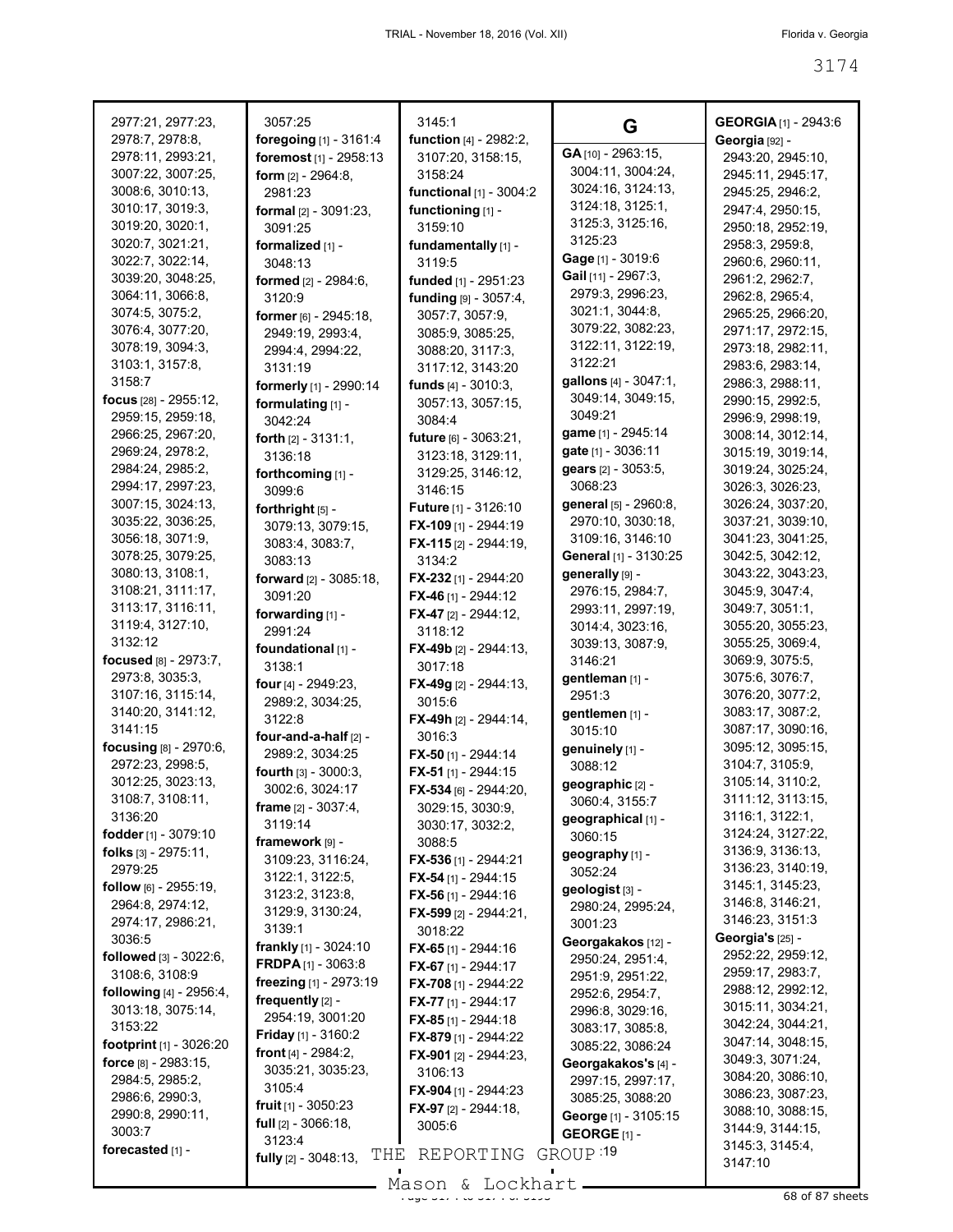| 2977:21, 2977:23,                                  | 3057:25                                   | 3145:1                                   | G                                    | <b>GEORGIA</b> [1] - 2943:6                  |
|----------------------------------------------------|-------------------------------------------|------------------------------------------|--------------------------------------|----------------------------------------------|
| 2978:7, 2978:8,                                    | foregoing [1] - 3161:4                    | function [4] - 2982:2,                   | GA [10] - 2963:15,                   | Georgia [92] -                               |
| 2978:11, 2993:21,                                  | foremost [1] - 2958:13                    | 3107:20, 3158:15,                        | 3004:11, 3004:24,                    | 2943:20, 2945:10,                            |
| 3007:22, 3007:25,                                  | <b>form</b> $[2] - 2964:8$ ,              | 3158:24                                  | 3024:16, 3124:13,                    | 2945:11, 2945:17,                            |
| 3008:6, 3010:13,                                   | 2981:23                                   | functional [1] - 3004:2                  | 3124:18, 3125:1,                     | 2945:25, 2946:2,                             |
| 3010:17, 3019:3,<br>3019:20, 3020:1,               | formal [2] - 3091:23,                     | functioning [1] -                        | 3125:3, 3125:16,                     | 2947:4, 2950:15,                             |
| 3020:7, 3021:21,                                   | 3091:25                                   | 3159:10                                  | 3125:23                              | 2950:18, 2952:19,                            |
| 3022:7, 3022:14,                                   | formalized [1] -                          | fundamentally [1] -<br>3119:5            | Gage [1] - 3019:6                    | 2958:3, 2959:8,<br>2960:6, 2960:11,          |
| 3039:20, 3048:25,                                  | 3048:13                                   |                                          | Gail [11] - 2967:3,                  | 2961:2, 2962:7,                              |
| 3064:11, 3066:8,                                   | formed [2] - 2984:6,<br>3120:9            | funded [1] - 2951:23                     | 2979:3, 2996:23,                     | 2962:8, 2965:4,                              |
| 3074:5, 3075:2,                                    |                                           | funding [9] - 3057:4,<br>3057:7, 3057:9, | 3021:1, 3044:8,                      | 2965:25, 2966:20,                            |
| 3076:4, 3077:20,                                   | former [6] - 2945:18,<br>2949:19, 2993:4, | 3085:9, 3085:25,                         | 3079:22, 3082:23,                    | 2971:17, 2972:15,                            |
| 3078:19, 3094:3,                                   | 2994:4, 2994:22,                          | 3088:20, 3117:3,                         | 3122:11, 3122:19,                    | 2973:18, 2982:11,                            |
| 3103:1, 3157:8,                                    | 3131:19                                   | 3117:12, 3143:20                         | 3122:21                              | 2983:6, 2983:14,                             |
| 3158:7                                             | formerly [1] - 2990:14                    | funds $[4] - 3010:3$ ,                   | gallons [4] - 3047:1,                | 2986:3, 2988:11,                             |
| focus [28] - 2955:12,                              | formulating [1] -                         | 3057:13, 3057:15,                        | 3049:14, 3049:15,                    | 2990:15, 2992:5,                             |
| 2959:15, 2959:18,                                  | 3042:24                                   | 3084:4                                   | 3049:21                              | 2996:9, 2998:19,                             |
| 2966:25, 2967:20,                                  | forth $[2] - 3131:1$ ,                    | future [6] - 3063:21,                    | game [1] - 2945:14                   | 3008:14, 3012:14,                            |
| 2969:24, 2978:2,                                   | 3136:18                                   | 3123:18, 3129:11,                        | gate [1] - 3036:11                   | 3015:19, 3019:14,                            |
| 2984:24, 2985:2,                                   | forthcoming [1] -                         | 3129:25, 3146:12,                        | gears [2] - 3053:5,                  | 3019:24, 3025:24,                            |
| 2994:17, 2997:23,                                  | 3099:6                                    | 3146:15                                  | 3068:23                              | 3026:3, 3026:23,                             |
| 3007:15, 3024:13,                                  | forthright [5] -                          | <b>Future</b> [1] - 3126:10              | general [5] - 2960:8,                | 3026:24, 3037:20,                            |
| 3035:22, 3036:25,                                  | 3079:13, 3079:15,                         | FX-109 [1] - 2944:19                     | 2970:10, 3030:18,                    | 3037:21, 3039:10,                            |
| 3056:18, 3071:9,                                   | 3083:4, 3083:7,                           | FX-115 [2] - 2944:19,                    | 3109:16, 3146:10                     | 3041:23, 3041:25,                            |
| 3078:25, 3079:25,                                  | 3083:13                                   | 3134:2                                   | General [1] - 3130:25                | 3042:5, 3042:12,                             |
| 3080:13, 3108:1,                                   | forward [2] - 3085:18,                    | FX-232 [1] - 2944:20                     | generally [9] -                      | 3043:22, 3043:23,                            |
| 3108:21, 3111:17,                                  | 3091:20                                   | <b>FX-46</b> [1] - 2944:12               | 2976:15, 2984:7,                     | 3045:9, 3047:4,                              |
| 3113:17, 3116:11,                                  | forwarding [1] -                          | FX-47 [2] - 2944:12,                     | 2993:11, 2997:19,                    | 3049:7, 3051:1,                              |
| 3119:4, 3127:10,                                   | 2991:24                                   | 3118:12                                  | 3014:4, 3023:16,                     | 3055:20, 3055:23,                            |
| 3132:12                                            | foundational [1] -                        | FX-49b [2] - 2944:13,                    | 3039:13, 3087:9,                     | 3055:25, 3069:4,                             |
| focused [8] - 2973:7,<br>2973:8, 3035:3,           | 3138:1                                    | 3017:18                                  | 3146:21                              | 3069:9, 3075:5,<br>3075:6, 3076:7,           |
| 3107:16, 3115:14,                                  | four [4] - 2949:23,                       | FX-49g [2] - 2944:13,                    | gentleman [1] -<br>2951:3            | 3076:20, 3077:2,                             |
| 3140:20, 3141:12,                                  | 2989:2, 3034:25,                          | 3015:6                                   | gentlemen [1] -                      | 3083:17, 3087:2,                             |
| 3141:15                                            | 3122:8                                    | <b>FX-49h</b> $[2] - 2944:14$            | 3015:10                              | 3087:17, 3090:16,                            |
| focusing [8] - 2970:6,                             | four-and-a-half [2] -                     | 3016:3                                   | genuinely [1] -                      | 3095:12, 3095:15,                            |
| 2972:23, 2998:5,                                   | 2989:2, 3034:25                           | FX-50 [1] - 2944:14                      | 3088:12                              | 3104:7, 3105:9,                              |
| 3012:25, 3023:13,                                  | fourth [3] - 3000:3,                      | <b>FX-51</b> [1] - 2944:15               | geographic [2] -                     | 3105:14, 3110:2,                             |
| 3108:7, 3108:11,                                   | 3002:6, 3024:17<br>frame [2] - 3037:4,    | FX-534 [6] - 2944:20,                    | 3060:4, 3155:7                       | 3111:12, 3113:15,                            |
| 3136:20                                            | 3119:14                                   | 3029:15, 3030:9,<br>3030:17, 3032:2,     | geographical [1] -                   | 3116:1, 3122:1,                              |
| fodder $[1]$ - 3079:10                             | framework [9] -                           | 3088:5                                   | 3060:15                              | 3124:24, 3127:22,                            |
| folks $[3]$ - 2975:11,                             | 3109:23, 3116:24,                         | FX-536 [1] - 2944:21                     | geography [1] -                      | 3136:9, 3136:13,                             |
| 2979:25                                            | 3122:1, 3122:5,                           | FX-54 [1] - 2944:15                      | 3052:24                              | 3136:23, 3140:19,                            |
| follow $[6]$ - 2955:19,                            | 3123:2, 3123:8,                           | <b>FX-56</b> [1] - 2944:16               | geologist <sub>[3]</sub> -           | 3145:1, 3145:23,                             |
| 2964:8, 2974:12,                                   | 3129:9, 3130:24,                          | FX-599 [2] - 2944:21,                    | 2980:24, 2995:24,                    | 3146:8, 3146:21,                             |
| 2974:17, 2986:21,                                  | 3139:1                                    | 3018:22                                  | 3001:23                              | 3146:23, 3151:3                              |
| 3036:5                                             | <b>frankly</b> $[1]$ - 3024:10            | <b>FX-65</b> [1] - 2944:16               | Georgakakos [12] -                   | <b>Georgia's [25] -</b><br>2952:22, 2959:12, |
| followed [3] - 3022:6,                             | FRDPA [1] - 3063:8                        | <b>FX-67</b> [1] - 2944:17               | 2950:24, 2951:4,                     | 2959:17, 2983:7,                             |
| 3108:6, 3108:9<br><b>following</b> $[4] - 2956:4,$ | freezing [1] - 2973:19                    | FX-708 [1] - 2944:22                     | 2951:9, 2951:22,                     | 2988:12, 2992:12,                            |
| 3013:18, 3075:14,                                  | frequently [2] -                          | <b>FX-77</b> [1] - 2944:17               | 2952:6, 2954:7,                      | 3015:11, 3034:21,                            |
| 3153:22                                            | 2954:19, 3001:20                          | FX-85 $[1]$ - 2944:18                    | 2996:8, 3029:16,<br>3083:17, 3085:8, | 3042:24, 3044:21,                            |
| footprint [1] - 3026:20                            | <b>Friday</b> [1] - $3160:2$              | FX-879 [1] - 2944:22                     | 3085:22, 3086:24                     | 3047:14, 3048:15,                            |
| force $[8] - 2983:15$ ,                            | front $[4] - 2984:2$ ,                    | <b>FX-901</b> [2] - 2944:23,             | Georgakakos's [4] -                  | 3049:3, 3071:24,                             |
| 2984:5, 2985:2,                                    | 3035:21, 3035:23,                         | 3106:13                                  | 2997:15, 2997:17,                    | 3084:20, 3086:10,                            |
| 2986:6, 2990:3,                                    | 3105:4                                    | <b>FX-904</b> [1] - 2944:23              | 3085:25, 3088:20                     | 3086:23, 3087:23,                            |
| 2990:8, 2990:11,                                   | <b>fruit</b> $[1] - 3050:23$              | <b>FX-97</b> [2] - 2944:18,              | George [1] - 3105:15                 | 3088:10, 3088:15,                            |
| 3003:7                                             | <b>full</b> $[2] - 3066:18$ ,<br>3123:4   | 3005:6                                   | GEORGE $[1]$ -                       | 3144:9, 3144:15,                             |
| forecasted [1] -                                   | THE<br>fully [2] - 3048:13,               | REPORTING                                | GROUP 19                             | 3145:3, 3145:4,                              |
|                                                    |                                           | $Mason$ & Lockhart                       |                                      | 3147:10                                      |

Mason & Lockhart (2008) 88 of 87 sheets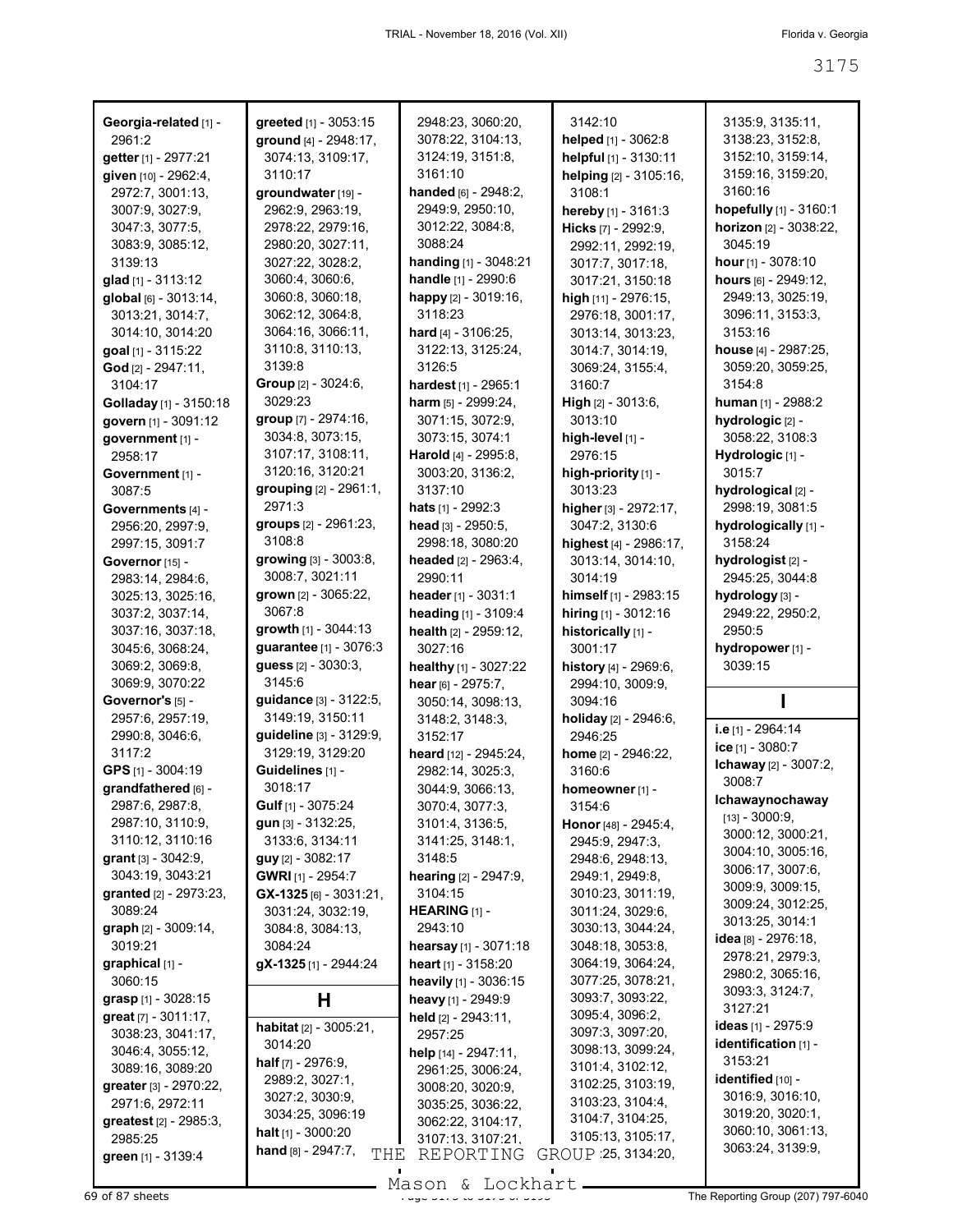| Georgia-related [1] -                      | greeted [1] - 3053:15                                | 2948:23, 3060:20,             | 3142:10                             | 3135:9, 3135:11,             |
|--------------------------------------------|------------------------------------------------------|-------------------------------|-------------------------------------|------------------------------|
| 2961:2                                     | ground [4] - 2948:17,                                | 3078:22, 3104:13,             | helped [1] - 3062:8                 | 3138:23, 3152:8,             |
| getter [1] - 2977:21                       | 3074:13, 3109:17,                                    | 3124:19, 3151:8,              | helpful [1] - 3130:11               | 3152:10, 3159:14,            |
| given [10] - 2962:4,                       | 3110:17                                              | 3161:10                       | helping [2] - 3105:16,              | 3159:16, 3159:20,            |
| 2972:7, 3001:13,                           | groundwater [19] -                                   | handed [6] - 2948:2,          | 3108:1                              | 3160:16                      |
| 3007:9, 3027:9,                            | 2962:9, 2963:19,                                     | 2949:9, 2950:10,              | hereby [1] - 3161:3                 | hopefully [1] - 3160:1       |
| 3047:3, 3077:5,                            | 2978:22, 2979:16,                                    | 3012:22, 3084:8,              | Hicks [7] - 2992:9,                 | horizon [2] - 3038:22,       |
| 3083:9, 3085:12,                           | 2980:20, 3027:11,                                    | 3088:24                       | 2992:11, 2992:19,                   | 3045:19                      |
| 3139:13                                    | 3027:22, 3028:2,                                     | handing [1] - 3048:21         | 3017:7, 3017:18,                    | hour $[1]$ - 3078:10         |
| glad [1] - 3113:12                         | 3060:4, 3060:6,                                      | handle [1] - 2990:6           | 3017:21, 3150:18                    | hours [6] - 2949:12,         |
| global [6] - 3013:14,                      | 3060:8, 3060:18,                                     | happy [2] - 3019:16,          | high [11] - 2976:15,                | 2949:13, 3025:19,            |
| 3013:21, 3014:7,                           | 3062:12, 3064:8,                                     | 3118:23                       | 2976:18, 3001:17,                   | 3096:11, 3153:3,             |
| 3014:10, 3014:20                           | 3064:16, 3066:11,                                    | <b>hard</b> $[4] - 3106:25$ , | 3013:14, 3013:23,                   | 3153:16                      |
| goal [1] - 3115:22                         | 3110:8, 3110:13,                                     | 3122:13, 3125:24,             | 3014:7, 3014:19,                    | house [4] - 2987:25,         |
| God [2] - 2947:11,                         | 3139:8                                               | 3126:5                        | 3069:24, 3155:4,                    | 3059:20, 3059:25,            |
| 3104:17                                    | <b>Group</b> [2] - 3024:6,                           | hardest [1] - 2965:1          | 3160:7                              | 3154:8                       |
| Golladay [1] - 3150:18                     | 3029:23                                              | harm [5] - 2999:24,           | <b>High</b> $[2] - 3013:6$ ,        | human [1] - 2988:2           |
| govern [1] - 3091:12                       | group [7] - 2974:16,                                 | 3071:15, 3072:9,              | 3013:10                             | hydrologic [2] -             |
| government [1] -                           | 3034:8, 3073:15,                                     | 3073:15, 3074:1               | high-level [1] -                    | 3058:22, 3108:3              |
| 2958:17                                    | 3107:17, 3108:11,                                    | Harold [4] - 2995:8,          | 2976:15                             | Hydrologic [1] -             |
| Government [1] -                           | 3120:16, 3120:21                                     | 3003:20, 3136:2,              | high-priority [1] -                 | 3015:7                       |
| 3087:5                                     | grouping [2] - 2961:1,                               | 3137:10                       | 3013:23                             | hydrological [2] -           |
| Governments [4] -                          | 2971:3                                               | <b>hats</b> $[1] - 2992:3$    | higher [3] - 2972:17,               | 2998:19, 3081:5              |
| 2956:20, 2997:9,                           | groups [2] - 2961:23,                                | head [3] - 2950:5,            | 3047:2, 3130:6                      | hydrologically [1] -         |
| 2997:15, 3091:7                            | 3108:8                                               | 2998:18, 3080:20              | highest [4] - 2986:17,              | 3158:24                      |
| Governor [15] -                            | growing [3] - 3003:8,                                | headed $[2] - 2963:4$ ,       | 3013:14, 3014:10,                   | hydrologist <sub>[2]</sub> - |
| 2983:14, 2984:6,                           | 3008:7, 3021:11                                      | 2990:11                       | 3014:19                             | 2945:25, 3044:8              |
| 3025:13, 3025:16,                          | grown [2] - 3065:22,                                 | header [1] - 3031:1           | himself [1] - 2983:15               | hydrology [3] -              |
| 3037:2, 3037:14,                           | 3067:8                                               | heading [1] - 3109:4          | hiring [1] - 3012:16                | 2949:22, 2950:2,             |
| 3037:16, 3037:18,                          | growth [1] - 3044:13                                 | health [2] - 2959:12,         | historically [1] -                  | 2950:5                       |
| 3045:6, 3068:24,                           | guarantee [1] - 3076:3                               | 3027:16                       | 3001:17                             | hydropower [1] -             |
| 3069:2, 3069:8,                            | guess [2] - 3030:3,                                  | healthy [1] - 3027:22         | history [4] - 2969:6,               | 3039:15                      |
| 3069:9, 3070:22                            | 3145:6                                               | hear [6] - 2975:7,            | 2994:10, 3009:9,                    |                              |
| Governor's [5] -                           | guidance [3] - 3122:5,                               | 3050:14, 3098:13,             | 3094:16                             |                              |
| 2957:6, 2957:19,                           | 3149:19, 3150:11                                     | 3148:2, 3148:3,               | holiday [2] - 2946:6,               | i.e [1] - 2964:14            |
| 2990:8, 3046:6,                            | guideline [3] - 3129:9,                              | 3152:17                       | 2946:25                             | ice [1] - 3080:7             |
| 3117:2                                     | 3129:19, 3129:20                                     | heard [12] - 2945:24,         | home [2] - 2946:22,                 | Ichaway [2] - 3007:2,        |
| GPS [1] - 3004:19                          | Guidelines [1] -                                     | 2982:14, 3025:3,              | 3160:6                              | 3008:7                       |
| grandfathered [6] -                        | 3018:17                                              | 3044:9, 3066:13,              | homeowner [1] -                     | Ichawaynochaway              |
| 2987:6, 2987:8,                            | Gulf [1] - 3075:24<br>gun [3] - 3132:25,             | 3070:4, 3077:3,               | 3154:6                              | $[13] - 3000:9,$             |
| 2987:10, 3110:9,                           |                                                      | 3101:4, 3136:5,               | Honor [48] - 2945:4,                | 3000:12, 3000:21,            |
| 3110:12, 3110:16<br>grant $[3] - 3042:9$ , | 3133:6, 3134:11<br>guy [2] - 3082:17                 | 3141:25, 3148:1,<br>3148:5    | 2945.9, 2947:3,                     | 3004:10, 3005:16,            |
| 3043:19, 3043:21                           |                                                      | hearing [2] - 2947:9,         | 2948:6, 2948:13,<br>2949:1, 2949:8, | 3006:17, 3007:6,             |
| granted [2] - 2973:23,                     | <b>GWRI</b> [1] - 2954:7<br>$GX-1325$ [6] - 3031:21, | 3104:15                       | 3010:23, 3011:19,                   | 3009:9, 3009:15,             |
| 3089:24                                    | 3031:24, 3032:19,                                    | HEARING [1] -                 | 3011:24, 3029:6,                    | 3009:24, 3012:25,            |
| graph $[2] - 3009:14$ ,                    | 3084:8, 3084:13,                                     | 2943:10                       | 3030:13, 3044:24,                   | 3013:25, 3014:1              |
| 3019:21                                    | 3084:24                                              | hearsay [1] - 3071:18         | 3048:18, 3053:8,                    | idea [8] - 2976:18,          |
| graphical [1] -                            | gX-1325[1] - 2944:24                                 | <b>heart</b> $[1] - 3158:20$  | 3064:19, 3064:24,                   | 2978:21, 2979:3,             |
| 3060:15                                    |                                                      | heavily [1] - 3036:15         | 3077:25, 3078:21,                   | 2980:2, 3065:16,             |
| <b>grasp</b> $[1] - 3028:15$               | H                                                    | heavy [1] - 2949:9            | 3093:7, 3093:22,                    | 3093:3, 3124:7,              |
| great [7] - 3011:17,                       |                                                      | held [2] - 2943:11,           | 3095:4, 3096:2,                     | 3127:21                      |
| 3038:23, 3041:17,                          | <b>habitat</b> $[2] - 3005:21$ ,                     | 2957:25                       | 3097:3, 3097:20,                    | ideas [1] - 2975:9           |
| 3046:4, 3055:12,                           | 3014:20                                              | help [14] - 2947:11,          | 3098:13, 3099:24,                   | identification [1] -         |
| 3089:16, 3089:20                           | half [7] - 2976:9,                                   | 2961:25, 3006:24,             | 3101:4, 3102:12,                    | 3153:21                      |
| greater $[3] - 2970:22$ ,                  | 2989:2, 3027:1,                                      | 3008:20, 3020:9,              | 3102:25, 3103:19,                   | identified [10] -            |
| 2971:6, 2972:11                            | 3027:2, 3030:9,                                      | 3035:25, 3036:22,             | 3103:23, 3104:4,                    | 3016:9, 3016:10,             |
| greatest [2] - 2985:3,                     | 3034:25, 3096:19                                     | 3062:22, 3104:17,             | 3104:7, 3104:25,                    | 3019:20, 3020:1,             |
| 2985:25                                    | <b>halt</b> $[1] - 3000:20$                          | 3107:13, 3107:21,             | 3105:13, 3105:17,                   | 3060:10, 3061:13,            |
|                                            | hand $[8] - 2947:7$ ,<br>THE                         | REPORTING                     | GROUP 25, 3134:20,                  | 3063:24, 3139:9,             |
| green [1] - 3139:4                         |                                                      |                               |                                     |                              |

Mason & Lockhart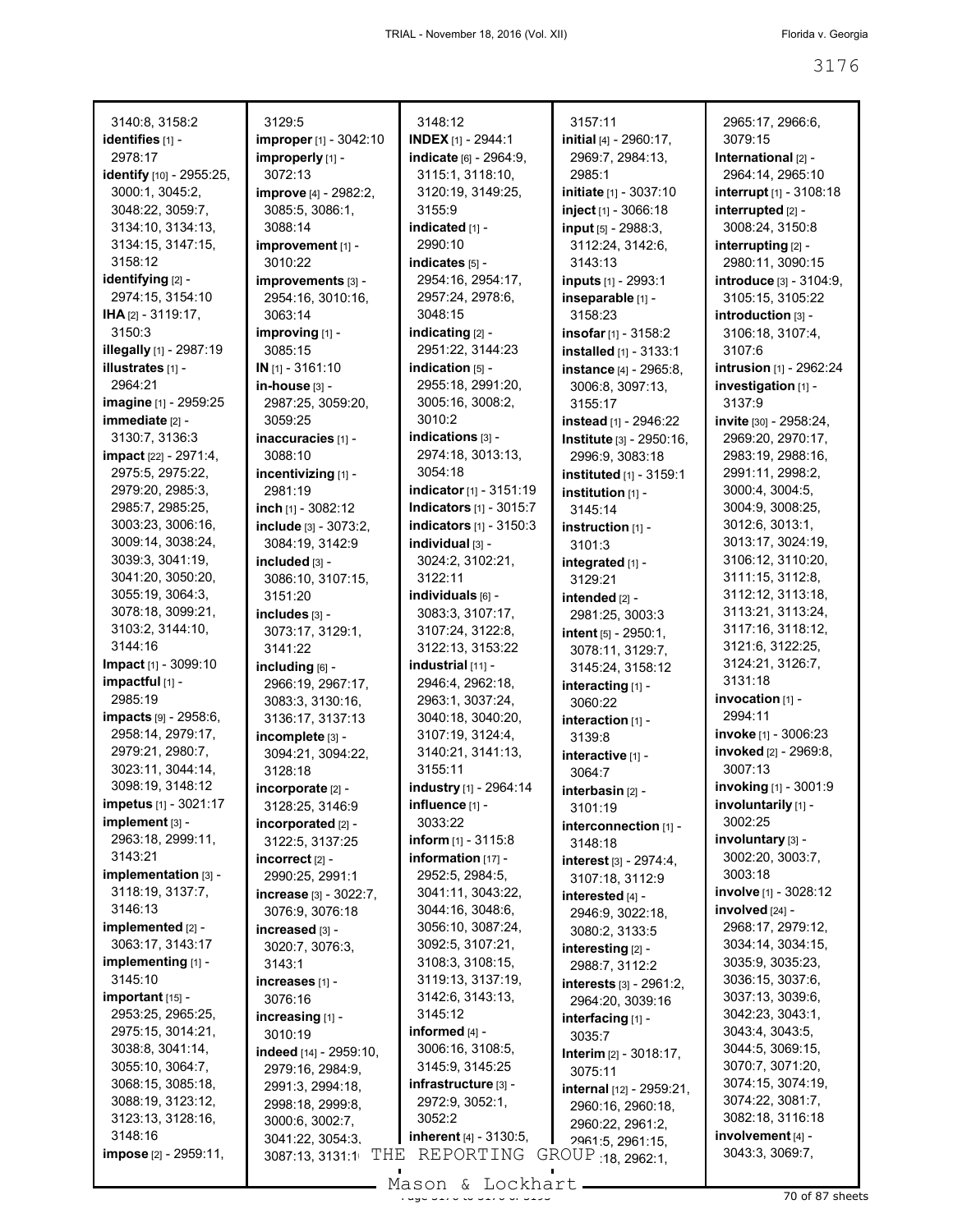| 3140:8, 3158:2<br>identifies [1] -    | 3129:5<br>improper [1] - 3042:10           | 3148:12<br><b>INDEX</b> $[1]$ - 2944:1 | 3157:11<br>initial [4] - 2960:17,             | 2965:17, 2966:6,<br>3079:15           |
|---------------------------------------|--------------------------------------------|----------------------------------------|-----------------------------------------------|---------------------------------------|
| 2978:17                               | improperly [1] -                           | indicate [6] - 2964:9,                 | 2969:7, 2984:13,                              | International [2] -                   |
| identify [10] - 2955:25,              | 3072:13                                    | 3115:1, 3118:10,                       | 2985:1                                        | 2964:14, 2965:10                      |
| 3000:1, 3045:2,                       | improve [4] - 2982:2,                      | 3120:19, 3149:25,                      | initiate [1] - 3037:10                        | interrupt [1] - 3108:18               |
| 3048:22, 3059:7,                      | 3085:5, 3086:1,                            | 3155:9                                 | inject [1] - 3066:18                          | interrupted [2] -                     |
| 3134:10, 3134:13,                     | 3088:14                                    | indicated [1] -                        | input [5] - 2988:3,                           | 3008:24, 3150:8                       |
| 3134:15, 3147:15,                     | improvement [1] -                          | 2990:10                                | 3112:24, 3142:6,                              | interrupting [2] -                    |
| 3158:12                               | 3010:22                                    | indicates [5] -                        | 3143:13                                       | 2980:11, 3090:15                      |
| identifying [2] -                     | improvements [3] -                         | 2954:16, 2954:17,                      | inputs [1] - 2993:1                           | introduce [3] - 3104:9,               |
| 2974:15, 3154:10                      | 2954:16, 3010:16,                          | 2957:24, 2978:6,                       | inseparable [1] -                             | 3105:15, 3105:22                      |
| IHA [2] - 3119:17,                    | 3063:14                                    | 3048:15                                | 3158:23                                       | introduction [3] -                    |
| 3150:3                                | improving [1] -                            | indicating [2] -                       | insofar [1] - 3158:2                          | 3106:18, 3107:4,                      |
| <b>illegally</b> [1] - 2987:19        | 3085:15                                    | 2951:22, 3144:23                       | installed [1] - 3133:1                        | 3107:6                                |
| illustrates [1] -                     | $IN$ [1] - 3161:10                         | indication $[5]$ -                     | <b>instance</b> [4] - 2965:8,                 | intrusion [1] - 2962:24               |
| 2964:21                               | in-house [3] -                             | 2955:18, 2991:20,                      | 3006:8, 3097:13,                              | investigation [1] -                   |
| imagine [1] - 2959:25                 | 2987:25, 3059:20,                          | 3005:16, 3008:2,                       | 3155:17                                       | 3137:9                                |
| immediate [2] -                       | 3059:25                                    | 3010:2                                 | instead [1] - 2946:22                         | invite [30] - 2958:24,                |
| 3130:7, 3136:3                        | inaccuracies [1] -                         | indications [3] -                      | Institute [3] - 2950:16.                      | 2969:20, 2970:17,                     |
| <b>impact</b> [22] - 2971:4,          | 3088:10                                    | 2974:18, 3013:13,                      | 2996:9, 3083:18                               | 2983:19, 2988:16,                     |
| 2975:5, 2975:22,                      | incentivizing [1] -                        | 3054:18                                | <b>instituted</b> [1] - 3159:1                | 2991:11, 2998:2,                      |
| 2979:20, 2985:3,                      | 2981:19                                    | indicator [1] - 3151:19                | institution $[1]$ -                           | 3000:4, 3004:5,                       |
| 2985:7, 2985:25,                      | inch [1] - 3082:12                         | <b>Indicators</b> [1] - 3015:7         | 3145:14                                       | 3004:9, 3008:25,                      |
| 3003:23, 3006:16,                     | include [3] - 3073:2,                      | <b>indicators</b> $[1] - 3150:3$       | instruction $[1]$ -                           | 3012:6, 3013:1,                       |
| 3009:14, 3038:24,                     | 3084:19, 3142:9                            | individual [3] -                       | 3101:3                                        | 3013:17, 3024:19,                     |
| 3039:3, 3041:19,<br>3041:20, 3050:20, | included [3] -                             | 3024:2, 3102:21,<br>3122:11            | integrated [1] -                              | 3106:12, 3110:20,<br>3111:15, 3112:8, |
| 3055:19, 3064:3,                      | 3086:10, 3107:15,<br>3151:20               | individuals [6] -                      | 3129:21                                       | 3112:12, 3113:18,                     |
| 3078:18, 3099:21,                     | includes [3] -                             | 3083:3, 3107:17,                       | intended [2] -                                | 3113:21, 3113:24,                     |
| 3103:2, 3144:10,                      | 3073:17, 3129:1,                           | 3107:24, 3122:8,                       | 2981:25, 3003:3                               | 3117:16, 3118:12,                     |
| 3144:16                               | 3141:22                                    | 3122:13, 3153:22                       | intent $[5] - 2950:1$ ,                       | 3121:6, 3122:25,                      |
| <b>Impact</b> [1] - 3099:10           | including $[6]$ -                          | industrial [11] -                      | 3078:11, 3129:7,<br>3145:24, 3158:12          | 3124:21, 3126:7,                      |
| $impactful$ [1] -                     | 2966:19, 2967:17,                          | 2946:4, 2962:18,                       | interacting [1] -                             | 3131:18                               |
| 2985:19                               | 3083:3, 3130:16,                           | 2963:1, 3037:24,                       | 3060:22                                       | $invocation$ [1] -                    |
| impacts [9] - 2958:6,                 | 3136:17, 3137:13                           | 3040:18, 3040:20,                      | interaction [1] -                             | 2994:11                               |
| 2958:14, 2979:17,                     | incomplete [3] -                           | 3107:19, 3124:4,                       | 3139:8                                        | <b>invoke</b> [1] - 3006:23           |
| 2979:21, 2980:7,                      | 3094:21, 3094:22,                          | 3140:21, 3141:13,                      | interactive [1] -                             | invoked [2] - 2969:8,                 |
| 3023:11, 3044:14,                     | 3128:18                                    | 3155:11                                | 3064:7                                        | 3007:13                               |
| 3098:19, 3148:12                      | $incorporate$ [2] -                        | industry [1] - 2964:14                 | interbasin [2] -                              | invoking [1] - 3001:9                 |
| impetus [1] - 3021:17                 | 3128:25, 3146:9                            | influence [1] -                        | 3101:19                                       | involuntarily [1] -                   |
| implement [3] -                       | incorporated [2] -                         | 3033:22                                | interconnection [1] -                         | 3002:25                               |
| 2963:18, 2999:11,                     | 3122:5, 3137:25                            | <b>inform</b> $[1] - 3115.8$           | 3148:18                                       | involuntary [3] -                     |
| 3143:21                               | incorrect [2] -                            | information $[17]$ -                   | interest [3] - 2974:4,                        | 3002:20, 3003:7,                      |
| implementation [3] -                  | 2990:25, 2991:1                            | 2952:5, 2984:5,                        | 3107:18, 3112:9                               | 3003:18                               |
| 3118:19, 3137:7,                      | increase [3] - 3022:7,                     | 3041:11, 3043:22,                      | interested [4] -                              | <b>involve</b> [1] - 3028:12          |
| 3146:13                               | 3076:9, 3076:18                            | 3044:16, 3048:6,                       | 2946:9, 3022:18,                              | involved [24] -                       |
| implemented [2] -                     | increased [3] -                            | 3056:10, 3087:24,                      | 3080:2, 3133:5                                | 2968:17, 2979:12,                     |
| 3063:17, 3143:17                      | 3020:7, 3076:3,                            | 3092:5, 3107:21,                       | interesting [2] -                             | 3034:14, 3034:15,                     |
| implementing [1] -<br>3145:10         | 3143:1                                     | 3108:3, 3108:15,<br>3119:13, 3137:19,  | 2988:7, 3112:2                                | 3035:9, 3035:23,                      |
| $important$ [15] -                    | increases [1] -<br>3076:16                 | 3142:6, 3143:13,                       | interests [3] - 2961:2,                       | 3036:15, 3037:6,<br>3037:13, 3039:6,  |
| 2953:25, 2965:25,                     |                                            | 3145:12                                | 2964:20, 3039:16                              | 3042:23, 3043:1,                      |
| 2975:15, 3014:21,                     | increasing [1] -<br>3010:19                | informed $[4]$ -                       | interfacing [1] -                             | 3043:4, 3043:5,                       |
| 3038:8, 3041:14,                      |                                            | 3006:16, 3108:5,                       | 3035:7                                        | 3044:5, 3069:15,                      |
| 3055:10, 3064:7,                      | indeed [14] - 2959:10,<br>2979:16, 2984:9, | 3145:9, 3145:25                        | <b>Interim</b> $[2] - 3018:17$ ,              | 3070:7, 3071:20,                      |
| 3068:15, 3085:18,                     | 2991:3, 2994:18,                           | infrastructure [3] -                   | 3075:11                                       | 3074:15, 3074:19,                     |
| 3088:19, 3123:12,                     | 2998:18, 2999:8,                           | 2972:9, 3052:1,                        | internal [12] - 2959:21,<br>2960:16, 2960:18, | 3074:22, 3081:7,                      |
| 3123:13, 3128:16,                     | 3000:6, 3002:7,                            | 3052:2                                 | 2960:22, 2961:2,                              | 3082:18, 3116:18                      |
| 3148:16                               | 3041:22, 3054:3,                           | inherent [4] - 3130:5,                 | 2961:5, 2961:15,                              | involvement [4] -                     |
| impose [2] - 2959:11,                 | THE<br>3087:13, 3131:1                     | REPORTING                              | GROUP 18, 2962:1,                             | 3043:3, 3069:7,                       |
|                                       |                                            | $T \approx 1.6 \approx$                |                                               |                                       |

Mason & Lockhart 2008 1994 1995 87 sheets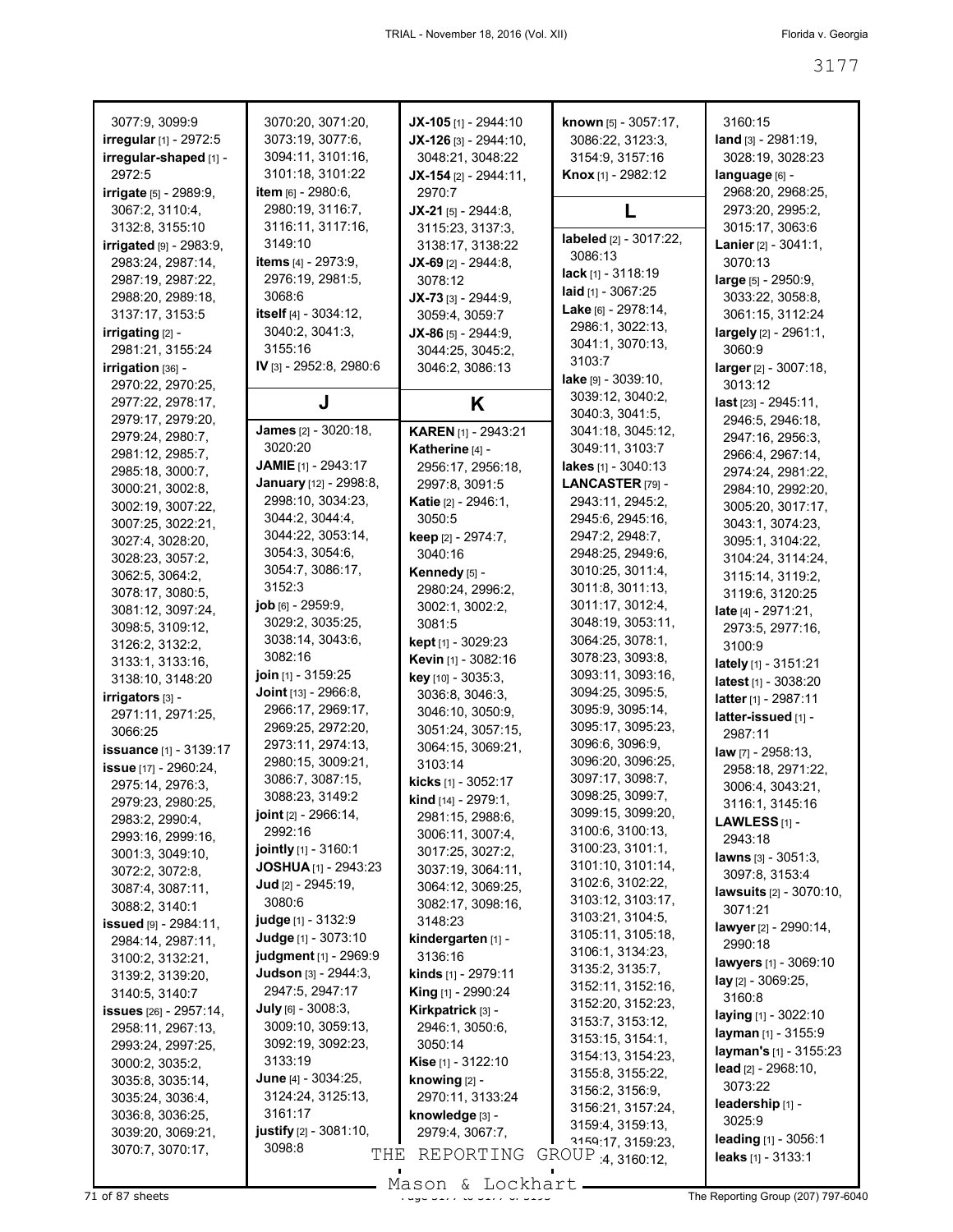| 3077:9, 3099:9                | 3070:20, 3071:20,              | $JX-105$ [1] - 2944:10      | known [5] - 3057:17,        | 3160:15                               |
|-------------------------------|--------------------------------|-----------------------------|-----------------------------|---------------------------------------|
| irregular [1] - 2972:5        | 3073:19, 3077:6,               | $JX-126$ [3] - 2944:10,     | 3086:22, 3123:3,            | $land_{[3]} - 2981:19,$               |
| irregular-shaped [1] -        | 3094:11, 3101:16,              | 3048:21, 3048:22            | 3154:9, 3157:16             | 3028:19, 3028:23                      |
| 2972:5                        | 3101:18, 3101:22               | $JX-154$ [2] - 2944:11,     | <b>Knox</b> [1] - 2982:12   | language [6] -                        |
| <b>irrigate</b> [5] - 2989:9, | item [6] - 2980:6,             | 2970:7                      |                             | 2968:20, 2968:25,                     |
| 3067:2, 3110:4,               | 2980:19, 3116:7,               | $JX-21$ [5] - 2944:8,       | L                           | 2973:20, 2995:2,                      |
| 3132:8, 3155:10               | 3116:11, 3117:16,              | 3115:23, 3137:3,            |                             | 3015:17, 3063:6                       |
| irrigated $[9] - 2983.9$      | 3149:10                        | 3138:17, 3138:22            | labeled [2] - 3017:22,      | <b>Lanier</b> $[2] - 3041:1$ ,        |
| 2983:24, 2987:14,             | <b>items</b> [4] - 2973:9,     | $JX-69$ [2] - 2944:8,       | 3086:13                     | 3070:13                               |
| 2987:19, 2987:22,             | 2976:19, 2981:5,               | 3078:12                     | <b>lack</b> [1] - $3118:19$ | large [5] - 2950:9,                   |
| 2988:20, 2989:18,             | 3068:6                         | JX-73 [3] - 2944:9,         | laid [1] - 3067:25          | 3033:22, 3058:8,                      |
| 3137:17, 3153:5               | itself [4] - 3034:12,          | 3059:4, 3059:7              | Lake [6] - 2978:14,         | 3061:15, 3112:24                      |
| irrigating [2] -              | 3040:2, 3041:3,                | $JX-86$ [5] - 2944:9,       | 2986:1, 3022:13,            | largely [2] - 2961:1,                 |
| 2981:21, 3155:24              | 3155:16                        | 3044:25, 3045:2,            | 3041:1, 3070:13,            | 3060:9                                |
| irrigation [36] -             | IV [3] - 2952:8, 2980:6        | 3046:2, 3086:13             | 3103.7                      | larger [2] - 3007:18,                 |
| 2970:22, 2970:25,             |                                |                             | lake $[9] - 3039:10$ ,      | 3013:12                               |
|                               |                                |                             | 3039:12, 3040:2,            |                                       |
| 2977:22, 2978:17,             | J                              | Κ                           | 3040:3, 3041:5,             | $last$ [23] - 2945:11,                |
| 2979:17, 2979:20,             | <b>James</b> [2] - 3020:18,    | <b>KAREN</b> [1] - 2943:21  | 3041:18, 3045:12,           | 2946:5, 2946:18,                      |
| 2979:24, 2980:7,              | 3020:20                        | Katherine [4] -             | 3049:11, 3103:7             | 2947:16, 2956:3,                      |
| 2981:12, 2985:7,              | <b>JAMIE</b> [1] - 2943:17     | 2956:17, 2956:18,           | lakes [1] - 3040:13         | 2966:4, 2967:14,                      |
| 2985:18, 3000:7,              | January [12] - 2998:8,         | 2997:8, 3091:5              | LANCASTER [79] -            | 2974:24, 2981:22,                     |
| 3000:21, 3002:8,              | 2998:10, 3034:23,              |                             | 2943:11, 2945:2,            | 2984:10, 2992:20,                     |
| 3002:19, 3007:22,             | 3044:2, 3044:4,                | <b>Katie</b> [2] - 2946:1,  |                             | 3005:20, 3017:17,                     |
| 3007:25, 3022:21,             |                                | 3050:5                      | 2945:6, 2945:16,            | 3043:1, 3074:23,                      |
| 3027:4, 3028:20,              | 3044:22, 3053:14,              | keep [2] - 2974:7,          | 2947:2, 2948:7,             | 3095:1, 3104:22,                      |
| 3028:23, 3057:2,              | 3054:3, 3054:6,                | 3040:16                     | 2948:25, 2949:6,            | 3104:24, 3114:24,                     |
| 3062:5, 3064:2,               | 3054:7, 3086:17,               | Kennedy [5] -               | 3010:25, 3011:4,            | 3115:14, 3119:2,                      |
| 3078:17, 3080:5,              | 3152:3                         | 2980:24, 2996:2,            | 3011:8, 3011:13,            | 3119:6, 3120:25                       |
| 3081:12, 3097:24,             | <b>job</b> [6] - 2959:9,       | 3002:1, 3002:2,             | 3011:17, 3012:4,            | late [4] - 2971:21,                   |
| 3098:5, 3109:12,              | 3029:2, 3035:25,               | 3081:5                      | 3048:19, 3053:11,           | 2973:5, 2977:16,                      |
| 3126:2, 3132:2,               | 3038:14, 3043:6,               | <b>kept</b> [1] - 3029:23   | 3064:25, 3078:1,            | 3100:9                                |
| 3133:1, 3133:16,              | 3082:16                        | Kevin [1] - 3082:16         | 3078:23, 3093:8,            | lately [1] - 3151:21                  |
| 3138:10, 3148:20              | join [1] - 3159:25             | key [10] - 3035:3,          | 3093:11, 3093:16,           | latest [1] - 3038:20                  |
| irrigators [3] -              | <b>Joint</b> $[13] - 2966.8$ , | 3036:8, 3046:3,             | 3094:25, 3095:5,            | latter [1] - 2987:11                  |
| 2971:11, 2971:25,             | 2966:17, 2969:17,              | 3046:10, 3050:9,            | 3095:9, 3095:14,            | latter-issued [1] -                   |
| 3066:25                       | 2969:25, 2972:20,              | 3051:24, 3057:15,           | 3095:17, 3095:23,           | 2987:11                               |
| <b>issuance</b> [1] - 3139:17 | 2973:11, 2974:13,              | 3064:15, 3069:21,           | 3096:6, 3096:9,             | law [7] - 2958:13,                    |
| issue [17] - 2960:24,         | 2980:15, 3009:21,              | 3103:14                     | 3096:20, 3096:25,           |                                       |
| 2975:14, 2976:3.              | 3086:7, 3087:15,               | kicks [1] - 3052:17         | 3097:17, 3098:7,            | 2958:18, 2971:22,<br>3006:4, 3043:21, |
| 2979:23, 2980:25,             | 3088:23, 3149:2                | kind [14] - 2979:1,         | 3098:25.3099:7.             |                                       |
| 2983:2, 2990:4,               | joint [2] - 2966:14,           | 2981:15, 2988:6,            | 3099:15, 3099:20,           | 3116:1, 3145:16                       |
|                               | 2992:16                        | 3006:11, 3007:4,            | 3100:6, 3100:13,            | LAWLESS $[1]$ -                       |
| 2993:16, 2999:16,             | jointly [1] - 3160:1           | 3017:25, 3027:2,            | 3100:23, 3101:1,            | 2943:18                               |
| 3001:3, 3049:10,              | <b>JOSHUA</b> [1] - 2943:23    | 3037:19, 3064:11,           | 3101:10, 3101:14,           | lawns $[3] - 3051:3$ ,                |
| 3072:2, 3072:8,               | Jud [2] - 2945:19,             | 3064:12, 3069:25,           | 3102:6, 3102:22,            | 3097:8, 3153:4                        |
| 3087:4, 3087:11,              | 3080:6                         |                             | 3103:12, 3103:17,           | <b>lawsuits</b> [2] - 3070:10,        |
| 3088:2, 3140:1                |                                | 3082:17, 3098:16,           | 3103:21, 3104:5,            | 3071:21                               |
| issued [9] - 2984:11,         | <b>judge</b> [1] - 3132:9      | 3148:23                     | 3105:11, 3105:18,           | lawyer [2] - 2990:14,                 |
| 2984:14, 2987:11,             | Judge [1] - 3073:10            | kindergarten [1] -          | 3106:1, 3134:23,            | 2990:18                               |
| 3100:2, 3132:21,              | judgment [1] - 2969:9          | 3136:16                     | 3135:2, 3135:7,             | lawyers [1] - 3069:10                 |
| 3139:2, 3139:20,              | Judson [3] - 2944:3.           | kinds [1] - 2979:11         | 3152:11, 3152:16,           | lay [2] - 3069:25,                    |
| 3140:5, 3140:7                | 2947:5, 2947:17                | <b>King</b> $[1]$ - 2990:24 |                             | 3160:8                                |
| issues [26] - 2957:14,        | July [6] - 3008:3,             | Kirkpatrick [3] -           | 3152:20, 3152:23,           | laying [1] - 3022:10                  |
| 2958:11, 2967:13,             | 3009:10, 3059:13,              | 2946:1, 3050:6,             | 3153:7, 3153:12,            | layman [1] - 3155:9                   |
| 2993:24, 2997:25,             | 3092:19, 3092:23,              | 3050:14                     | 3153:15, 3154:1,            | layman's [1] - 3155:23                |
| 3000:2, 3035:2,               | 3133:19                        | <b>Kise</b> [1] - 3122:10   | 3154:13, 3154:23,           | lead $[2] - 2968:10,$                 |
| 3035:8, 3035:14,              | <b>June</b> $[4] - 3034:25$ ,  | knowing $[2]$ -             | 3155:8, 3155:22,            | 3073:22                               |
| 3035:24, 3036:4,              | 3124:24, 3125:13,              | 2970:11, 3133:24            | 3156:2, 3156:9,             | leadership [1] -                      |
| 3036:8, 3036:25,              | 3161:17                        | knowledge [3] -             | 3156:21, 3157:24,           | 3025:9                                |
| 3039:20, 3069:21,             | justify [2] - 3081:10,         | 2979:4, 3067:7,             | 3159:4, 3159:13,            |                                       |
| 3070:7, 3070:17,              | 3098:8<br>THE                  | REPORTING                   | 3159:17, 3159:23,           | leading $[1] - 3056:1$                |
|                               |                                |                             | GROUP 4, 3160:12,           | leaks $[1] - 3133:1$                  |

Mason & Lockhart **Page 3177 of 87 sheets** Page 3177 to 3177 to 3178 The Reporting Group (207) 797-6040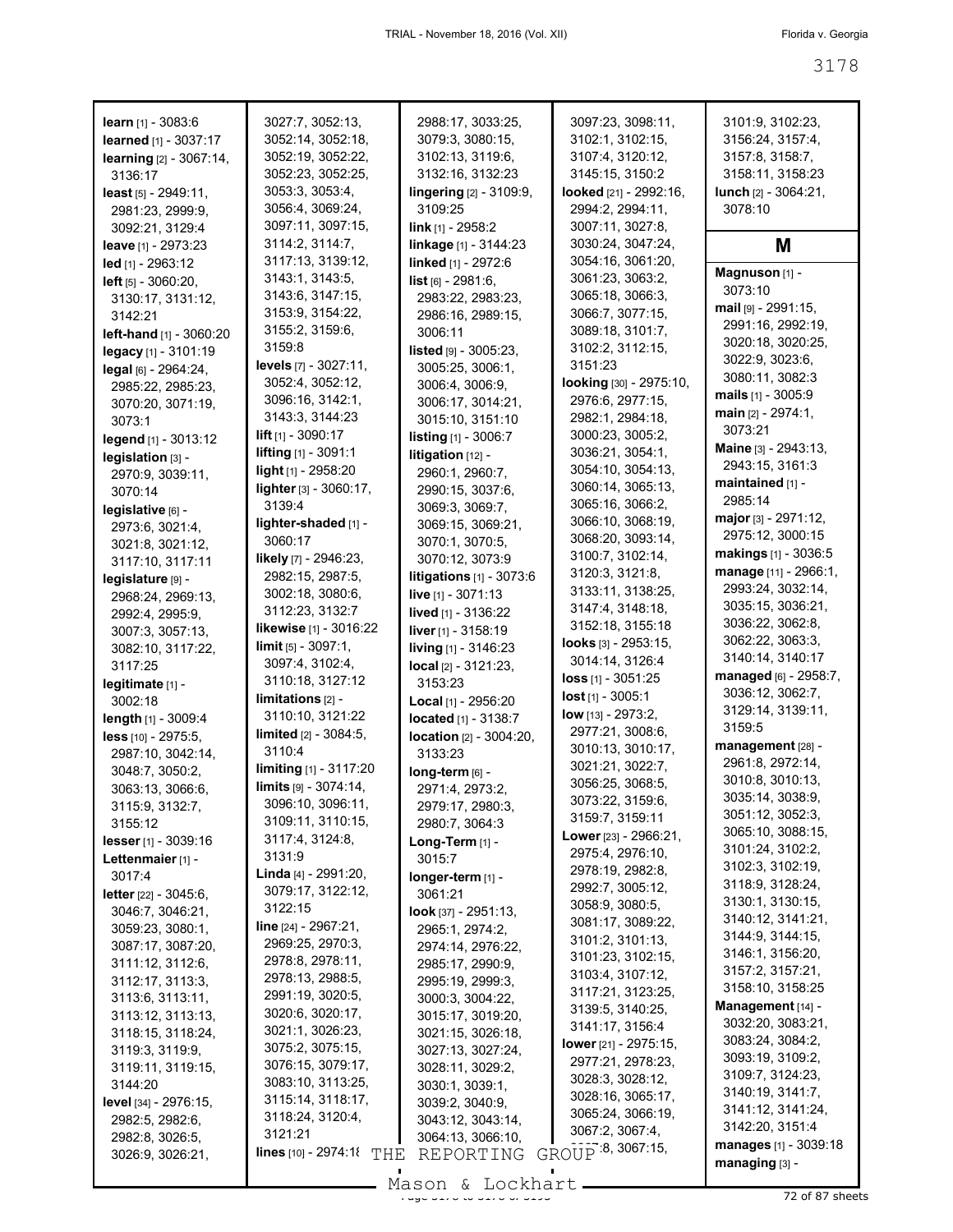| <b>learn</b> $[1] - 3083:6$                     | 3027:7, 3052:13,                          | 2988:17, 3033:25,                                       | 3097:23, 3098:11,                      | 3101:9, 3102:23,                      |
|-------------------------------------------------|-------------------------------------------|---------------------------------------------------------|----------------------------------------|---------------------------------------|
| learned [1] - 3037:17                           | 3052:14, 3052:18,                         | 3079:3, 3080:15,                                        | 3102:1, 3102:15,                       | 3156:24, 3157:4,                      |
| learning [2] - 3067:14,                         | 3052:19, 3052:22,                         | 3102:13, 3119:6,                                        | 3107:4, 3120:12,                       | 3157:8, 3158:7,                       |
| 3136:17                                         | 3052:23, 3052:25,                         | 3132:16, 3132:23                                        | 3145:15, 3150:2                        | 3158:11, 3158:23                      |
| least [5] - 2949:11,                            | 3053:3, 3053:4,                           | lingering [2] - 3109:9,                                 | looked [21] - 2992:16,                 | lunch [2] - 3064:21,                  |
| 2981:23, 2999:9,                                | 3056:4, 3069:24,                          | 3109:25                                                 | 2994:2, 2994:11,                       | 3078:10                               |
| 3092:21, 3129:4                                 | 3097:11, 3097:15,                         | <b>link</b> [1] - 2958:2                                | 3007:11, 3027:8,                       |                                       |
| leave [1] - 2973:23                             | 3114:2, 3114:7,                           | linkage [1] - 3144:23                                   | 3030:24, 3047:24,                      | M                                     |
| led [1] - 2963:12                               | 3117:13, 3139:12,                         | linked [1] - 2972:6                                     | 3054:16, 3061:20,                      | Magnuson [1] -                        |
| left [5] - 3060:20,                             | 3143:1, 3143:5,<br>3143:6, 3147:15,       | list [6] - 2981:6,                                      | 3061:23, 3063:2,                       | 3073:10                               |
| 3130:17, 3131:12,                               | 3153:9, 3154:22,                          | 2983:22, 2983:23,                                       | 3065:18, 3066:3,<br>3066:7, 3077:15,   | $mail$ [9] - 2991:15,                 |
| 3142:21                                         | 3155:2, 3159:6,                           | 2986:16, 2989:15,<br>3006:11                            | 3089:18, 3101:7,                       | 2991:16, 2992:19,                     |
| left-hand [1] - 3060:20<br>legacy [1] - 3101:19 | 3159:8                                    | <b>listed</b> $[9] - 3005:23$ ,                         | 3102:2, 3112:15,                       | 3020:18, 3020:25,                     |
| legal [6] - 2964:24,                            | levels $[7] - 3027:11$ ,                  | 3005:25, 3006:1,                                        | 3151:23                                | 3022:9, 3023:6,                       |
| 2985:22, 2985:23,                               | 3052:4, 3052:12,                          | 3006:4, 3006:9,                                         | looking [30] - 2975:10,                | 3080:11, 3082:3                       |
| 3070:20, 3071:19,                               | 3096:16, 3142:1,                          | 3006:17, 3014:21,                                       | 2976:6, 2977:15,                       | mails $[1] - 3005:9$                  |
| 3073:1                                          | 3143:3, 3144:23                           | 3015:10, 3151:10                                        | 2982:1, 2984:18,                       | main [2] - 2974:1,                    |
| legend [1] - 3013:12                            | <b>lift</b> $[1]$ - 3090:17               | <b>listing</b> [1] - 3006:7                             | 3000:23, 3005:2,                       | 3073:21                               |
| legislation [3] -                               | lifting [1] - 3091:1                      | litigation [12] -                                       | 3036:21, 3054:1,                       | Maine [3] - 2943:13,                  |
| 2970:9, 3039:11,                                | light [1] - 2958:20                       | 2960:1, 2960:7,                                         | 3054:10, 3054:13,                      | 2943:15, 3161:3                       |
| 3070:14                                         | lighter [3] - 3060:17,                    | 2990:15, 3037:6,                                        | 3060:14, 3065:13,                      | maintained [1] -<br>2985:14           |
| legislative [6] -                               | 3139:4                                    | 3069:3, 3069:7,                                         | 3065:16, 3066:2,                       | major [3] - 2971:12,                  |
| 2973:6, 3021:4,                                 | lighter-shaded [1] -                      | 3069:15, 3069:21,                                       | 3066:10, 3068:19,<br>3068:20, 3093:14, | 2975:12, 3000:15                      |
| 3021:8, 3021:12,                                | 3060:17                                   | 3070:1, 3070:5,                                         | 3100:7, 3102:14,                       | makings [1] - 3036:5                  |
| 3117:10, 3117:11                                | likely [7] - 2946:23,<br>2982:15, 2987:5, | 3070:12, 3073:9                                         | 3120:3, 3121:8,                        | manage [11] - 2966:1,                 |
| legislature [9] -                               | 3002:18, 3080:6,                          | litigations [1] - 3073:6<br><b>live</b> $[1] - 3071:13$ | 3133:11, 3138:25,                      | 2993:24, 3032:14,                     |
| 2968:24, 2969:13,                               | 3112:23, 3132:7                           | <b>lived</b> [1] - 3136:22                              | 3147:4, 3148:18,                       | 3035:15, 3036:21,                     |
| 2992:4, 2995:9,<br>3007:3, 3057:13,             | likewise [1] - 3016:22                    | <b>liver</b> $[1] - 3158:19$                            | 3152:18, 3155:18                       | 3036:22, 3062:8,                      |
| 3082:10, 3117:22,                               | $\lim$ it $[5] - 3097:1$ ,                | living [1] - 3146:23                                    | <b>looks</b> $[3] - 2953:15$ ,         | 3062:22, 3063:3,                      |
| 3117:25                                         | 3097:4, 3102:4,                           | $local [2] - 3121:23,$                                  | 3014:14, 3126:4                        | 3140:14, 3140:17                      |
| legitimate [1] -                                | 3110:18, 3127:12                          | 3153:23                                                 | $loss$ [1] - 3051:25                   | managed [6] - 2958:7,                 |
| 3002:18                                         | $limitations [2] -$                       | <b>Local</b> $[1]$ - 2956:20                            | <b>lost</b> $[1] - 3005:1$             | 3036:12, 3062:7,                      |
| length [1] - 3009:4                             | 3110:10, 3121:22                          | located [1] - 3138:7                                    | low [13] - 2973:2,                     | 3129:14, 3139:11,<br>3159:5           |
| less [10] - 2975:5,                             | <b>limited</b> $[2] - 3084:5$ ,           | <b>location</b> [2] - 3004:20,                          | 2977:21, 3008:6,                       |                                       |
| 2987:10, 3042:14,                               | 3110:4                                    | 3133:23                                                 | 3010:13, 3010:17,                      | management [28] -<br>2961:8, 2972:14, |
| 3048:7, 3050:2,                                 | $\lim$ imiting [1] - 3117:20              | long-term [6] -                                         | 3021:21, 3022:7,                       | 3010:8, 3010:13,                      |
| 3063:13, 3066:6,                                | $\lim$ its [9] - 3074:14,                 | 2971:4, 2973:2,                                         | 3056:25, 3068:5,<br>3073:22, 3159:6,   | 3035:14, 3038:9,                      |
| 3115:9, 3132:7,                                 | 3096:10, 3096:11,                         | 2979:17, 2980:3,                                        | 3159:7, 3159:11                        | 3051:12, 3052:3,                      |
| 3155:12                                         | 3109:11, 3110:15,                         | 2980:7, 3064:3                                          | Lower [23] - 2966:21,                  | 3065:10, 3088:15,                     |
| lesser [1] - 3039:16                            | 3117:4, 3124:8,<br>3131:9                 | Long-Term [1] -                                         | 2975:4, 2976:10,                       | 3101:24, 3102:2,                      |
| Lettenmaier [1] -<br>3017:4                     | Linda [4] - 2991:20,                      | 3015:7                                                  | 2978:19, 2982:8,                       | 3102:3, 3102:19,                      |
| letter [22] - 3045:6,                           | 3079:17, 3122:12,                         | longer-term [1] -<br>3061:21                            | 2992:7, 3005:12,                       | 3118:9, 3128:24,                      |
| 3046:7, 3046:21,                                | 3122:15                                   | look [37] - 2951:13,                                    | 3058:9, 3080:5,                        | 3130:1, 3130:15,                      |
| 3059:23, 3080:1,                                | <b>line</b> $[24] - 2967:21$ ,            | 2965:1, 2974:2,                                         | 3081:17, 3089:22,                      | 3140:12, 3141:21,                     |
| 3087:17, 3087:20,                               | 2969:25, 2970:3,                          | 2974:14, 2976:22,                                       | 3101:2, 3101:13,                       | 3144:9, 3144:15,                      |
| 3111:12, 3112:6,                                | 2978:8, 2978:11,                          | 2985:17, 2990:9,                                        | 3101:23, 3102:15,                      | 3146:1, 3156:20,                      |
| 3112:17, 3113:3,                                | 2978:13, 2988:5,                          | 2995:19, 2999:3,                                        | 3103:4, 3107:12,                       | 3157:2, 3157:21,<br>3158:10, 3158:25  |
| 3113:6, 3113:11,                                | 2991:19, 3020:5,                          | 3000:3, 3004:22,                                        | 3117:21, 3123:25,                      | Management [14] -                     |
| 3113:12, 3113:13,                               | 3020:6, 3020:17,                          | 3015:17, 3019:20,                                       | 3139:5, 3140:25,<br>3141:17, 3156:4    | 3032:20, 3083:21,                     |
| 3118:15, 3118:24,                               | 3021:1, 3026:23,                          | 3021:15, 3026:18,                                       | lower [21] - 2975:15,                  | 3083:24, 3084:2,                      |
| 3119:3, 3119:9,                                 | 3075:2, 3075:15,                          | 3027:13, 3027:24,                                       | 2977:21, 2978:23,                      | 3093:19, 3109:2,                      |
| 3119:11, 3119:15,                               | 3076:15, 3079:17,                         | 3028:11, 3029:2,                                        | 3028:3, 3028:12,                       | 3109:7, 3124:23,                      |
| 3144:20                                         | 3083:10, 3113:25,<br>3115:14, 3118:17,    | 3030:1, 3039:1,                                         | 3028:16, 3065:17,                      | 3140:19, 3141:7,                      |
| level [34] - 2976:15,                           | 3118:24, 3120:4,                          | 3039:2, 3040:9,                                         | 3065:24, 3066:19,                      | 3141:12, 3141:24,                     |
| 2982:5, 2982:6,<br>2982:8, 3026:5,              | 3121:21                                   | 3043:12, 3043:14,<br>3064:13, 3066:10,                  | 3067:2, 3067:4,                        | 3142:20, 3151:4                       |
| 3026:9, 3026:21,                                | lines [10] - 2974:18<br>THE               | REPORTING                                               | GROUP 8, 3067:15,                      | manages [1] - 3039:18                 |
|                                                 |                                           |                                                         |                                        | managing [3] -                        |

 $\frac{200017}{31000}$  3178 to 3178 of 3193  $\frac{200017}{3100}$  318  $\frac{200017}{3100}$  37 sheets Mason & Lockhart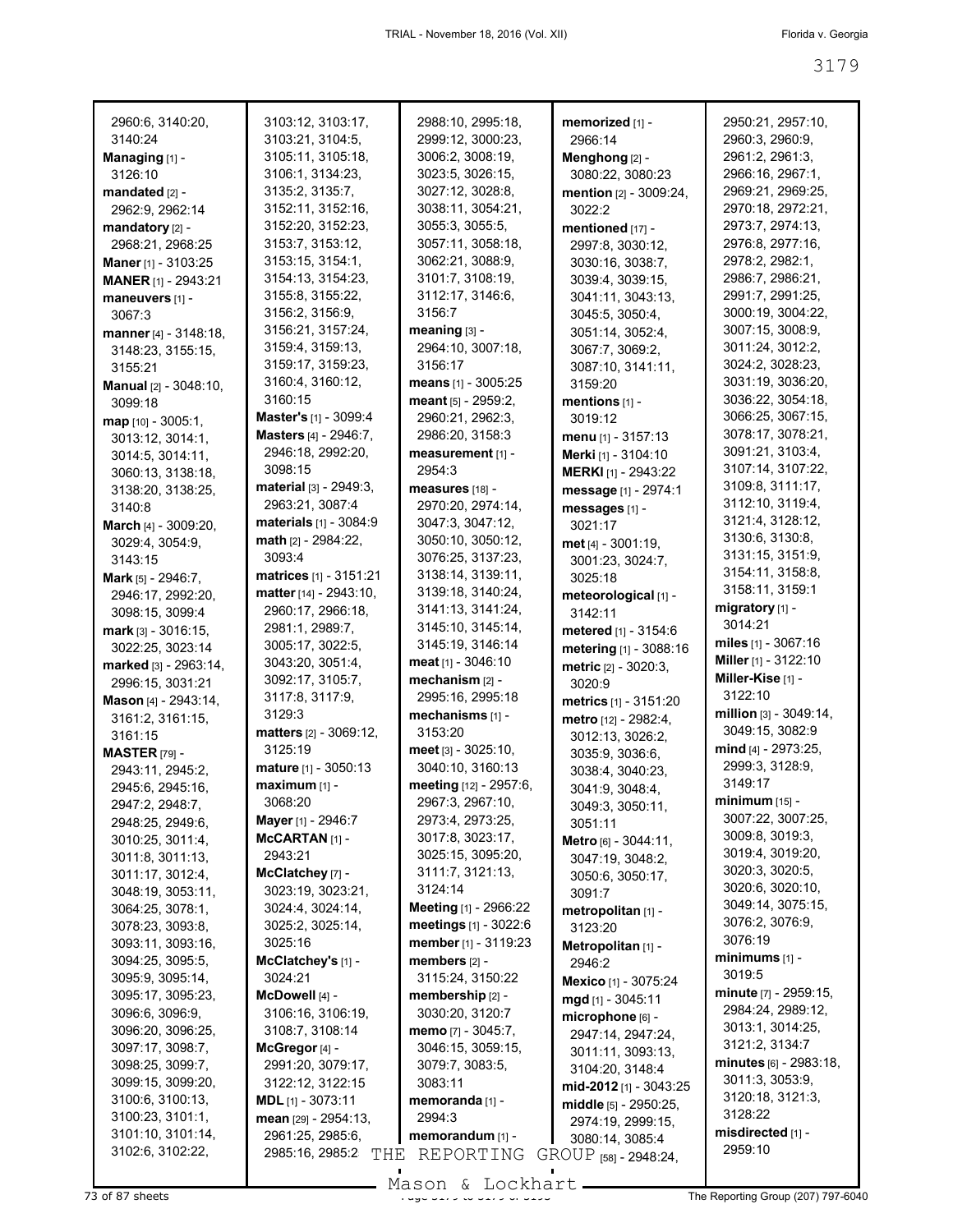| 2960:6, 3140:20,                    | 3103:12, 3103:17,                   | 2988:10, 2995:18,                   | memorized [1] -                          | 2950:21, 2957:10,                   |
|-------------------------------------|-------------------------------------|-------------------------------------|------------------------------------------|-------------------------------------|
| 3140:24                             | 3103:21, 3104:5,                    | 2999:12, 3000:23,                   | 2966:14                                  | 2960:3, 2960:9,                     |
| Managing [1] -                      | 3105:11, 3105:18,                   | 3006:2, 3008:19,                    | Menghong [2] -                           | 2961:2, 2961:3,                     |
| 3126:10                             | 3106:1, 3134:23,                    | 3023:5, 3026:15,                    | 3080:22, 3080:23                         | 2966:16, 2967:1,                    |
| mandated [2] -                      | 3135:2, 3135:7,                     | 3027:12, 3028:8,                    | mention [2] - 3009:24,                   | 2969:21, 2969:25,                   |
| 2962:9, 2962:14                     | 3152:11, 3152:16,                   | 3038:11, 3054:21,                   | 3022:2                                   | 2970:18, 2972:21,                   |
| mandatory [2] -                     | 3152:20, 3152:23,                   | 3055:3, 3055:5,                     | mentioned [17] -                         | 2973:7, 2974:13,                    |
| 2968:21, 2968:25                    | 3153:7, 3153:12,                    | 3057:11, 3058:18,                   | 2997:8, 3030:12,                         | 2976:8, 2977:16,                    |
| Maner [1] - 3103:25                 | 3153:15, 3154:1,                    | 3062:21, 3088:9,                    | 3030:16, 3038:7,                         | 2978:2, 2982:1,                     |
| MANER [1] - 2943:21                 | 3154:13, 3154:23,                   | 3101:7, 3108:19,                    | 3039:4, 3039:15,                         | 2986:7, 2986:21,                    |
| maneuvers [1] -                     | 3155:8, 3155:22,                    | 3112:17, 3146:6,                    | 3041:11, 3043:13,                        | 2991:7, 2991:25,                    |
| 3067:3                              | 3156:2, 3156:9,                     | 3156:7                              | 3045:5, 3050:4,                          | 3000:19, 3004:22,                   |
| manner [4] - 3148:18,               | 3156:21, 3157:24,                   | meaning $[3]$ -                     | 3051:14, 3052:4,                         | 3007:15, 3008:9,                    |
| 3148:23, 3155:15,                   | 3159:4, 3159:13,                    | 2964:10, 3007:18,                   | 3067:7, 3069:2,                          | 3011:24, 3012:2,                    |
| 3155:21                             | 3159:17, 3159:23,                   | 3156:17                             | 3087:10, 3141:11,                        | 3024:2, 3028:23,                    |
| <b>Manual</b> $[2] - 3048:10$       | 3160:4, 3160:12,                    | means [1] - 3005:25                 | 3159:20                                  | 3031:19, 3036:20,                   |
| 3099:18                             | 3160:15                             | meant [5] - 2959:2,                 | mentions [1] -                           | 3036:22, 3054:18,                   |
| $map$ [10] - 3005:1,                | Master's [1] - 3099:4               | 2960:21, 2962:3,                    | 3019:12                                  | 3066:25, 3067:15,                   |
| 3013:12, 3014:1,                    | <b>Masters</b> [4] - 2946:7,        | 2986:20, 3158:3                     | menu $[1] - 3157:13$                     | 3078:17, 3078:21,                   |
| 3014:5, 3014:11,                    | 2946:18, 2992:20,                   | measurement [1] -                   | Merki [1] - 3104:10                      | 3091:21, 3103:4,                    |
| 3060:13, 3138:18,                   | 3098:15                             | 2954:3                              | <b>MERKI</b> [1] - 2943:22               | 3107:14, 3107:22,                   |
| 3138:20, 3138:25,                   | material [3] - 2949:3,              | measures [18] -                     | message [1] - 2974:1                     | 3109:8, 3111:17,                    |
| 3140:8                              | 2963:21, 3087:4                     | 2970:20, 2974:14,                   | messages [1] -                           | 3112:10, 3119:4,                    |
| March [4] - 3009:20,                | materials [1] - 3084:9              | 3047:3, 3047:12,                    | 3021:17                                  | 3121:4, 3128:12,                    |
| 3029:4, 3054:9,                     | math [2] - 2984:22,                 | 3050:10, 3050:12,                   | met [4] - 3001:19,                       | 3130:6, 3130:8,<br>3131:15, 3151:9, |
| 3143:15                             | 3093:4                              | 3076:25, 3137:23,                   | 3001:23, 3024:7,                         | 3154:11, 3158:8,                    |
| <b>Mark</b> $[5] - 2946$ :7,        | matrices [1] - 3151:21              | 3138:14, 3139:11,                   | 3025:18                                  | 3158:11, 3159:1                     |
| 2946:17, 2992:20,                   | matter [14] - 2943:10,              | 3139:18, 3140:24,                   | meteorological [1] -                     | migratory [1] -                     |
| 3098:15, 3099:4                     | 2960:17, 2966:18,                   | 3141:13, 3141:24,                   | 3142:11                                  | 3014:21                             |
| mark [3] - 3016:15,                 | 2981:1, 2989:7,                     | 3145:10, 3145:14,                   | metered [1] - 3154:6                     | miles $[1] - 3067:16$               |
| 3022:25, 3023:14                    | 3005:17, 3022:5,                    | 3145:19, 3146:14                    | metering [1] - 3088:16                   | Miller $[1] - 3122:10$              |
| marked [3] - 2963:14,               | 3043:20, 3051:4,                    | meat $[1] - 3046:10$                | <b>metric</b> $[2] - 3020:3$ ,           | Miller-Kise [1] -                   |
| 2996:15, 3031:21                    | 3092:17, 3105:7,<br>3117:8, 3117:9, | mechanism [2] -<br>2995:16, 2995:18 | 3020:9                                   | 3122:10                             |
| Mason [4] - 2943:14,                | 3129:3                              | mechanisms [1] -                    | metrics [1] - 3151:20                    | million $[3] - 3049:14$ ,           |
| 3161:2, 3161:15,                    | matters [2] - 3069:12,              | 3153:20                             | metro [12] - 2982:4,                     | 3049:15, 3082:9                     |
| 3161:15                             | 3125:19                             | meet [3] - 3025:10,                 | 3012:13, 3026:2,                         | mind [4] - 2973:25,                 |
| <b>MASTER [79] -</b>                | mature [1] - 3050:13                | 3040:10, 3160:13                    | 3035:9, 3036:6,                          | 2999:3, 3128:9,                     |
| 2943:11, 2945:2,                    | maximum [1] -                       | meeting [12] - 2957:6,              | 3038:4, 3040:23,                         | 3149:17                             |
| 2945:6, 2945:16,                    | 3068:20                             | 2967:3, 2967:10,                    | 3041:9, 3048:4,                          | <b>minimum</b> [15] -               |
| 2947:2, 2948:7,<br>2948:25, 2949:6, | Mayer [1] - 2946:7                  | 2973:4, 2973:25,                    | 3049:3, 3050:11,                         | 3007:22, 3007:25,                   |
| 3010:25, 3011:4,                    | $MCARTAN$ $[1]$ -                   | 3017:8, 3023:17,                    | 3051:11                                  | 3009:8, 3019:3,                     |
| 3011:8, 3011:13,                    | 2943:21                             | 3025:15, 3095:20,                   | Metro [6] - 3044:11,<br>3047:19, 3048:2, | 3019:4, 3019:20,                    |
| 3011:17, 3012:4,                    | McClatchey [7] -                    | 3111:7, 3121:13,                    | 3050:6, 3050:17,                         | 3020:3, 3020:5,                     |
| 3048:19, 3053:11,                   | 3023:19, 3023:21,                   | 3124:14                             | 3091:7                                   | 3020:6, 3020:10,                    |
| 3064:25, 3078:1,                    | 3024:4, 3024:14,                    | Meeting [1] - 2966:22               | metropolitan [1] -                       | 3049:14, 3075:15,                   |
| 3078:23, 3093:8,                    | 3025:2, 3025:14,                    | meetings [1] - 3022:6               | 3123:20                                  | 3076:2, 3076:9,                     |
| 3093:11, 3093:16,                   | 3025:16                             | member [1] - 3119:23                | Metropolitan [1] -                       | 3076:19                             |
| 3094:25, 3095:5,                    | McClatchey's [1] -                  | members [2] -                       | 2946:2                                   | $minimums$ [1] -                    |
| 3095:9, 3095:14,                    | 3024:21                             | 3115:24, 3150:22                    | Mexico [1] - 3075:24                     | 3019:5                              |
| 3095:17, 3095:23,                   | McDowell [4] -                      | membership [2] -                    | mgd [1] - 3045:11                        | <b>minute</b> [7] - 2959:15,        |
| 3096:6, 3096:9,                     | 3106:16, 3106:19,                   | 3030:20, 3120:7                     | microphone [6] -                         | 2984:24, 2989:12,                   |
| 3096:20, 3096:25,                   | 3108:7, 3108:14                     | memo [7] - 3045:7,                  | 2947:14, 2947:24,                        | 3013:1, 3014:25,                    |
| 3097:17, 3098:7,                    | McGregor [4] -                      | 3046:15, 3059:15,                   | 3011:11, 3093:13,                        | 3121:2, 3134:7                      |
| 3098:25, 3099:7,                    | 2991:20, 3079:17,                   | 3079:7, 3083:5,                     | 3104:20, 3148:4                          | <b>minutes</b> [6] - 2983:18,       |
| 3099:15, 3099:20,                   | 3122:12, 3122:15                    | 3083:11                             | mid-2012 [1] - 3043:25                   | 3011:3, 3053:9,                     |
| 3100:6, 3100:13,                    | $MDL$ [1] - 3073:11                 | memoranda [1] -                     | middle [5] - 2950:25,                    | 3120:18, 3121:3,                    |
| 3100:23, 3101:1,                    | mean [29] - 2954:13,                | 2994:3                              | 2974:19, 2999:15,                        | 3128:22                             |
| 3101:10, 3101:14,                   | 2961:25, 2985:6,                    | memorandum [1] -                    | 3080:14, 3085:4                          | misdirected [1] -                   |
| 3102:6, 3102:22,                    | 2985:16, 2985:2<br>THE              | REPORTING                           | GROUP [58] - 2948:24,                    | 2959:10                             |

73 of 87 sheets **Page 3179 of 3193 City of 3179 of 3179 The Reporting Group (207) 797-6040** Mason & Lockhart

 $\blacksquare$ 

 $\blacksquare$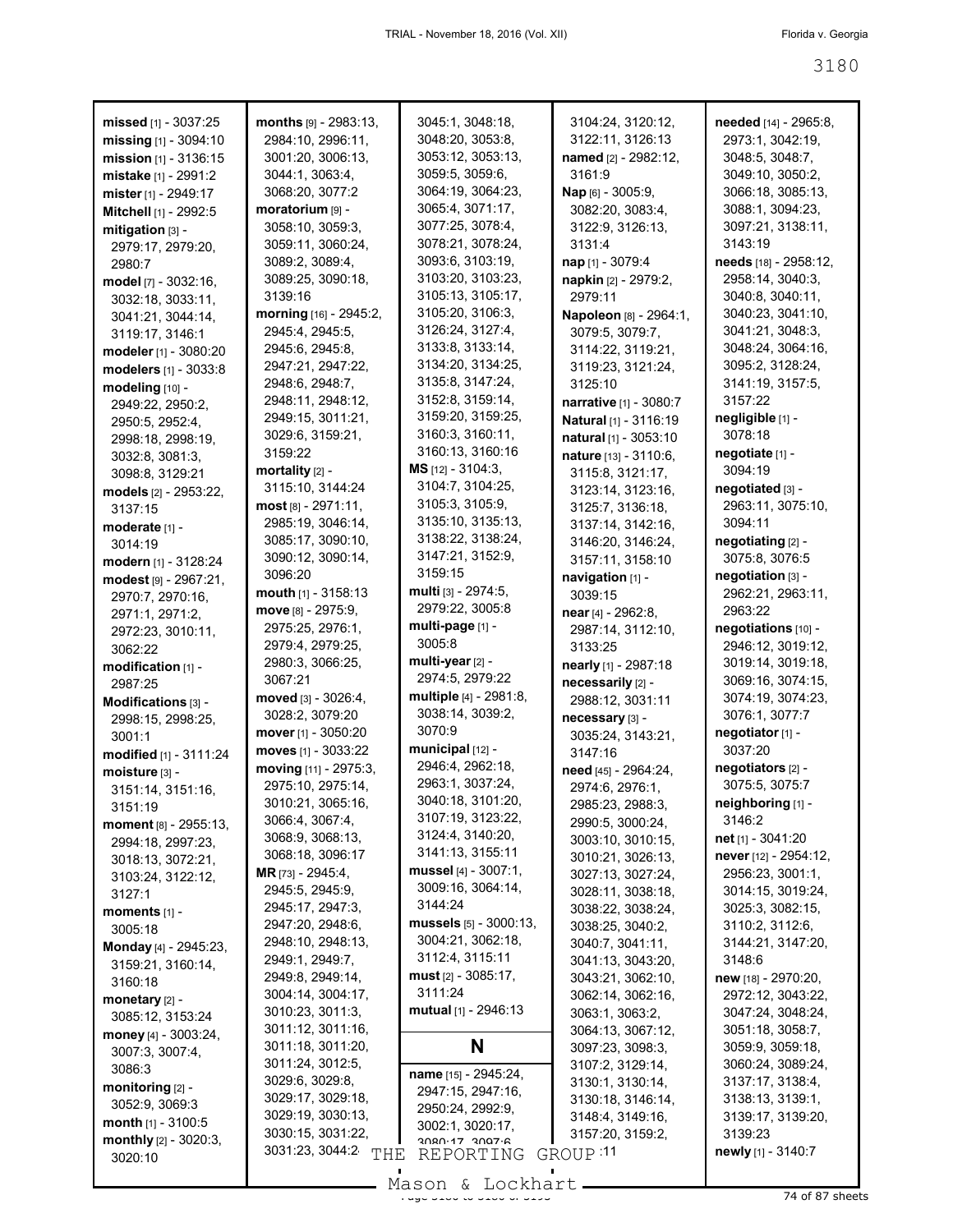| missed $[1]$ - 3037:25       | $months$ [9] - 2983:13,  | 3045:1, 3048:18,        | 3104:24, 3120:12,      | needed [14] - 2965:8,     |
|------------------------------|--------------------------|-------------------------|------------------------|---------------------------|
| missing [1] - 3094:10        | 2984:10, 2996:11,        | 3048:20, 3053:8,        | 3122:11, 3126:13       | 2973:1, 3042:19,          |
| mission [1] - 3136:15        | 3001:20, 3006:13,        | 3053:12, 3053:13,       | named [2] - 2982:12,   | 3048:5, 3048:7,           |
| mistake [1] - 2991:2         | 3044:1, 3063:4,          | 3059:5, 3059:6,         | 3161:9                 | 3049:10, 3050:2,          |
| mister [1] - 2949:17         | 3068:20, 3077:2          | 3064:19, 3064:23,       | Nap [6] - 3005:9,      | 3066:18, 3085:13,         |
| Mitchell [1] - 2992:5        | moratorium [9] -         | 3065:4, 3071:17,        | 3082:20, 3083:4,       | 3088:1, 3094:23,          |
| mitigation [3] -             | 3058:10, 3059:3,         | 3077:25, 3078:4,        | 3122:9, 3126:13,       | 3097:21, 3138:11,         |
| 2979:17, 2979:20,            | 3059:11, 3060:24,        | 3078:21, 3078:24,       | 3131:4                 | 3143:19                   |
| 2980:7                       | 3089:2, 3089:4,          | 3093:6, 3103:19,        | nap [1] - 3079:4       | needs [18] - 2958:12,     |
| model [7] - 3032:16,         | 3089:25, 3090:18,        | 3103:20, 3103:23,       | napkin [2] - 2979:2,   | 2958:14, 3040:3,          |
|                              | 3139:16                  | 3105:13, 3105:17,       | 2979:11                | 3040:8, 3040:11,          |
| 3032:18, 3033:11,            | morning [16] - 2945:2,   | 3105:20, 3106:3,        |                        | 3040:23, 3041:10,         |
| 3041:21, 3044:14,            |                          | 3126:24, 3127:4,        | Napoleon [8] - 2964:1, | 3041:21, 3048:3,          |
| 3119:17, 3146:1              | 2945:4, 2945:5,          |                         | 3079:5, 3079:7,        |                           |
| modeler [1] - 3080:20        | 2945:6, 2945:8,          | 3133:8, 3133:14,        | 3114:22, 3119:21,      | 3048:24, 3064:16,         |
| modelers [1] - 3033:8        | 2947:21, 2947:22,        | 3134:20, 3134:25,       | 3119:23, 3121:24,      | 3095:2, 3128:24,          |
| modeling [10] -              | 2948:6, 2948:7,          | 3135:8, 3147:24,        | 3125:10                | 3141:19, 3157:5,          |
| 2949:22, 2950:2,             | 2948:11, 2948:12,        | 3152:8, 3159:14,        | narrative [1] - 3080:7 | 3157:22                   |
| 2950:5, 2952:4,              | 2949:15, 3011:21,        | 3159:20, 3159:25,       | Natural [1] - 3116:19  | negligible [1] -          |
| 2998:18, 2998:19,            | 3029:6, 3159:21,         | 3160:3, 3160:11,        | natural [1] - 3053:10  | 3078:18                   |
| 3032:8, 3081:3,              | 3159:22                  | 3160:13, 3160:16        | nature [13] - 3110:6,  | negotiate [1] -           |
| 3098:8, 3129:21              | mortality $[2]$ -        | MS [12] - 3104:3,       | 3115:8, 3121:17,       | 3094:19                   |
| models [2] - 2953:22,        | 3115:10, 3144:24         | 3104:7, 3104:25,        | 3123:14, 3123:16,      | negotiated [3] -          |
| 3137:15                      | most [8] - 2971:11,      | 3105:3, 3105:9,         | 3125:7, 3136:18,       | 2963:11, 3075:10,         |
| moderate [1] -               | 2985:19, 3046:14,        | 3135:10, 3135:13,       | 3137:14, 3142:16,      | 3094:11                   |
| 3014:19                      | 3085:17, 3090:10,        | 3138:22, 3138:24,       | 3146:20, 3146:24,      | negotiating [2] -         |
|                              | 3090:12, 3090:14,        | 3147:21, 3152:9,        | 3157:11, 3158:10       | 3075:8, 3076:5            |
| modern [1] - 3128:24         | 3096:20                  | 3159:15                 | navigation [1] -       | negotiation [3] -         |
| modest [9] - 2967:21,        | mouth $[1] - 3158:13$    | multi [3] - 2974:5,     | 3039:15                | 2962:21, 2963:11,         |
| 2970:7, 2970:16,             | $move$ [8] - 2975:9,     | 2979:22, 3005:8         |                        | 2963:22                   |
| 2971:1, 2971:2,              | 2975:25, 2976:1,         | multi-page [1] -        | near [4] - 2962:8,     |                           |
| 2972:23, 3010:11,            | 2979:4, 2979:25,         | 3005:8                  | 2987:14, 3112:10,      | negotiations [10] -       |
| 3062:22                      |                          | multi-year $[2]$ -      | 3133:25                | 2946:12, 3019:12,         |
| modification [1] -           | 2980:3, 3066:25,         | 2974:5, 2979:22         | nearly [1] - 2987:18   | 3019:14, 3019:18,         |
| 2987:25                      | 3067:21                  |                         | necessarily [2] -      | 3069:16, 3074:15,         |
| Modifications [3] -          | moved $[3] - 3026:4,$    | multiple [4] - 2981:8,  | 2988:12, 3031:11       | 3074:19, 3074:23,         |
| 2998:15, 2998:25,            | 3028:2, 3079:20          | 3038:14, 3039:2,        | necessary [3] -        | 3076:1, 3077:7            |
| 3001:1                       | mover [1] - 3050:20      | 3070:9                  | 3035:24, 3143:21,      | negotiator [1] -          |
| modified [1] - 3111:24       | moves [1] - 3033:22      | municipal [12] -        | 3147:16                | 3037:20                   |
| moisture [3] -               | moving [11] - 2975:3,    | 2946:4, 2962:18,        | need [45] - 2964:24,   | negotiators [2] -         |
| 3151:14, 3151:16,            | 2975:10, 2975:14,        | 2963:1, 3037:24,        | 2974:6, 2976:1,        | 3075:5, 3075:7            |
| 3151:19                      | 3010:21, 3065:16,        | 3040:18, 3101:20,       | 2985:23, 2988:3,       | neighboring [1] -         |
| moment $[8] - 2955:13$ ,     | 3066:4, 3067:4,          | 3107:19, 3123:22,       | 2990:5, 3000:24,       | 3146:2                    |
| 2994:18, 2997:23,            | 3068:9, 3068:13,         | 3124:4, 3140:20,        | 3003:10, 3010:15,      | net [1] - 3041:20         |
| 3018:13, 3072:21,            | 3068:18, 3096:17         | 3141:13, 3155:11        | 3010:21, 3026:13,      | never [12] - 2954:12,     |
| 3103:24, 3122:12,            | <b>MR</b> [73] - 2945:4, | mussel $[4] - 3007:1$ , | 3027:13, 3027:24,      | 2956:23, 3001:1,          |
| 3127:1                       | 2945:5, 2945:9,          | 3009:16, 3064:14,       | 3028:11, 3038:18,      | 3014:15, 3019:24,         |
|                              | 2945:17, 2947:3,         | 3144:24                 | 3038:22, 3038:24,      | 3025:3, 3082:15,          |
| moments $[1]$ -<br>3005:18   | 2947:20, 2948:6,         | mussels [5] - 3000:13,  | 3038:25, 3040:2,       | 3110:2, 3112:6,           |
|                              | 2948:10, 2948:13,        | 3004:21, 3062:18,       | 3040:7, 3041:11,       | 3144:21, 3147:20,         |
| <b>Monday</b> [4] - 2945:23, | 2949:1, 2949:7,          | 3112:4, 3115:11         | 3041:13, 3043:20,      | 3148:6                    |
| 3159:21, 3160:14,            | 2949:8, 2949:14,         | $must$ [2] - 3085:17,   | 3043:21, 3062:10,      | new [18] - 2970:20,       |
| 3160:18                      | 3004:14, 3004:17,        | 3111:24                 | 3062:14, 3062:16,      | 2972:12, 3043:22,         |
| monetary $[2]$ -             | 3010:23, 3011:3,         | mutual $[1]$ - 2946:13  | 3063:1, 3063:2,        | 3047:24, 3048:24,         |
| 3085:12, 3153:24             | 3011:12, 3011:16,        |                         |                        |                           |
| money $[4] - 3003:24$ ,      |                          |                         | 3064:13, 3067:12,      | 3051:18, 3058:7,          |
| 3007:3, 3007:4,              | 3011:18, 3011:20,        | N                       | 3097:23, 3098:3,       | 3059:9, 3059:18,          |
| 3086:3                       | 3011:24, 3012:5,         | name [15] - 2945:24,    | 3107:2, 3129:14,       | 3060:24, 3089:24,         |
| monitoring $[2]$ -           | 3029:6, 3029:8,          | 2947:15, 2947:16,       | 3130:1, 3130:14,       | 3137:17, 3138:4,          |
| 3052:9, 3069:3               | 3029:17, 3029:18,        | 2950:24, 2992:9,        | 3130:18, 3146:14,      | 3138:13, 3139:1,          |
| <b>month</b> $[1]$ - 3100:5  | 3029:19, 3030:13,        | 3002:1, 3020:17,        | 3148:4, 3149:16,       | 3139:17, 3139:20,         |
| monthly $[2] - 3020:3$ ,     | 3030:15, 3031:22,        | $3080.17$ $3007.6$      | 3157:20, 3159:2,       | 3139:23                   |
| 3020:10                      | 3031:23, 3044:2<br>THE   | REPORTING               | GROUP :11              | <b>newly</b> [1] - 3140:7 |
|                              |                          |                         |                        |                           |

 $\frac{1}{20}$ <br>Page 3200 to 3200 of 3200 Mason & Lockhart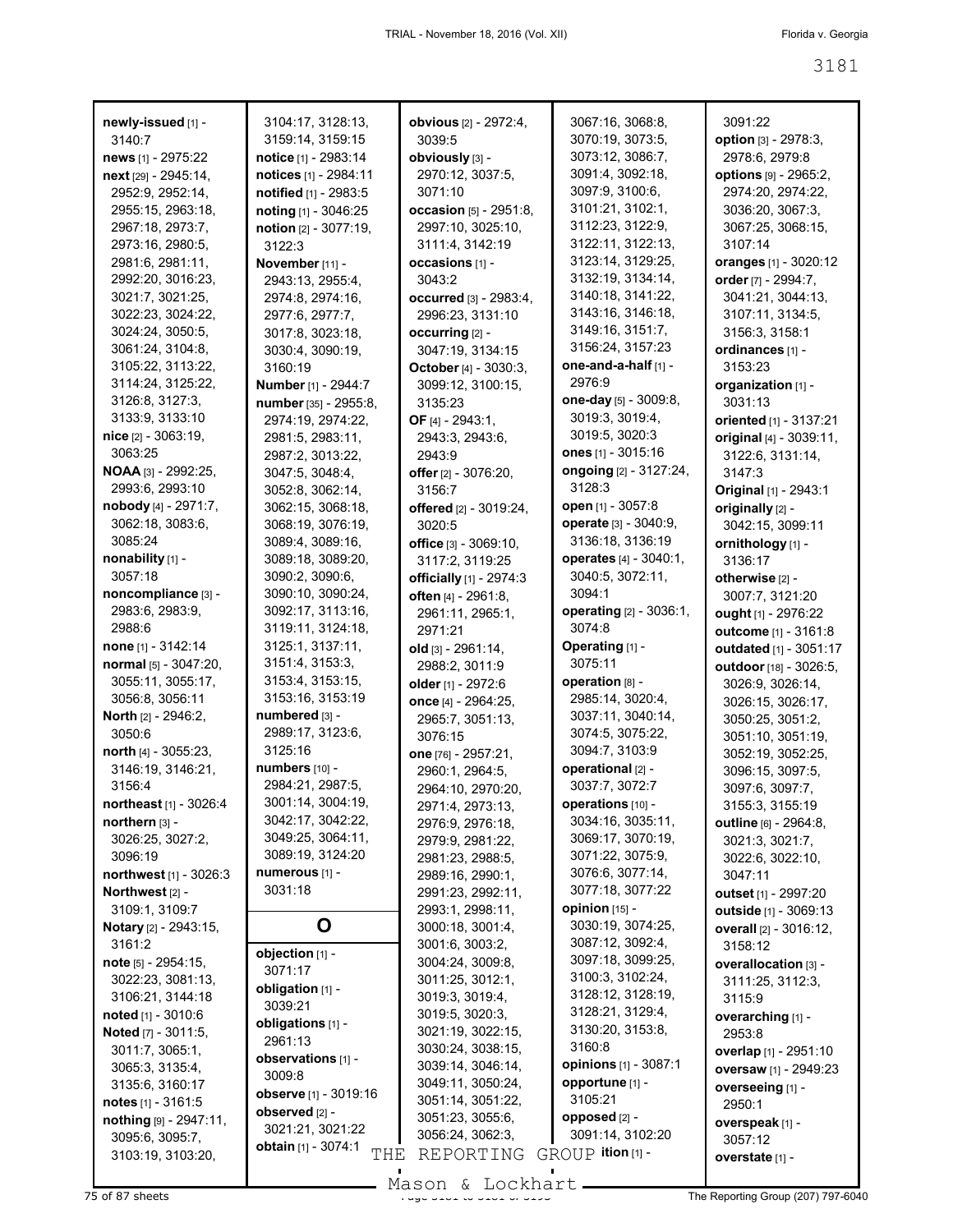| newly-issued [1] -                              | 3104:17, 3128:13,                   | <b>obvious</b> [2] - 2972:4,               | 3067:16, 3068:8,                       | 3091:22                                  |
|-------------------------------------------------|-------------------------------------|--------------------------------------------|----------------------------------------|------------------------------------------|
| 3140:7                                          | 3159:14, 3159:15                    | 3039:5                                     | 3070:19, 3073:5,                       | option [3] - 2978:3,                     |
| news [1] - 2975:22                              | notice [1] - 2983:14                | obviously [3] -                            | 3073:12, 3086:7,                       | 2978:6, 2979:8                           |
| next [29] - 2945:14,                            | notices [1] - 2984:11               | 2970:12, 3037:5,                           | 3091:4, 3092:18,                       | <b>options</b> [9] - 2965:2,             |
| 2952:9, 2952:14,                                | notified [1] - 2983:5               | 3071:10                                    | 3097:9, 3100:6,                        | 2974:20, 2974:22,                        |
| 2955:15, 2963:18,                               | noting [1] - 3046:25                | occasion [5] - 2951:8,                     | 3101:21, 3102:1,                       | 3036:20, 3067:3,                         |
| 2967:18, 2973:7,                                | notion [2] - 3077:19,               | 2997:10, 3025:10,                          | 3112:23, 3122:9,<br>3122:11, 3122:13,  | 3067:25, 3068:15,                        |
| 2973:16, 2980:5,                                | 3122:3                              | 3111:4, 3142:19                            | 3123:14, 3129:25,                      | 3107:14                                  |
| 2981:6, 2981:11,<br>2992:20, 3016:23,           | November [11] -                     | occasions [1] -<br>3043:2                  | 3132:19, 3134:14,                      | oranges [1] - 3020:12                    |
| 3021:7, 3021:25,                                | 2943:13, 2955:4,                    |                                            | 3140:18, 3141:22,                      | order [7] - 2994:7,<br>3041:21, 3044:13, |
| 3022:23, 3024:22,                               | 2974:8, 2974:16,                    | occurred [3] - 2983:4,<br>2996:23, 3131:10 | 3143:16, 3146:18,                      | 3107:11, 3134:5,                         |
| 3024:24, 3050:5,                                | 2977:6, 2977:7,<br>3017:8, 3023:18, | occurring [2] -                            | 3149:16, 3151:7,                       | 3156:3, 3158:1                           |
| 3061:24, 3104:8,                                | 3030:4, 3090:19,                    | 3047:19, 3134:15                           | 3156:24, 3157:23                       | ordinances [1] -                         |
| 3105:22, 3113:22,                               | 3160:19                             | October [4] - 3030:3,                      | one-and-a-half [1] -                   | 3153:23                                  |
| 3114:24, 3125:22,                               | Number [1] - 2944:7                 | 3099:12, 3100:15,                          | 2976:9                                 | organization [1] -                       |
| 3126:8, 3127:3,                                 | number [35] - 2955:8,               | 3135:23                                    | one-day [5] - 3009:8,                  | 3031:13                                  |
| 3133:9, 3133:10                                 | 2974:19, 2974:22,                   | OF $[4] - 2943:1$ ,                        | 3019:3, 3019:4,                        | oriented [1] - 3137:21                   |
| nice [2] - 3063:19,                             | 2981:5, 2983:11,                    | 2943:3, 2943:6,                            | 3019:5, 3020:3                         | original [4] - 3039:11,                  |
| 3063:25                                         | 2987:2, 3013:22,                    | 2943:9                                     | ones [1] - 3015:16                     | 3122:6, 3131:14,                         |
| <b>NOAA</b> [3] - 2992:25,                      | 3047:5, 3048:4,                     | offer [2] - 3076:20,                       | ongoing [2] - 3127:24,                 | 3147:3                                   |
| 2993:6, 2993:10                                 | 3052:8, 3062:14,                    | 3156:7                                     | 3128:3                                 | Original [1] - 2943:1                    |
| nobody [4] - 2971:7,                            | 3062:15, 3068:18,                   | offered [2] - 3019:24,                     | open [1] - 3057:8                      | originally [2] -                         |
| 3062:18, 3083:6,                                | 3068:19, 3076:19,                   | 3020:5                                     | operate [3] - 3040:9,                  | 3042:15, 3099:11                         |
| 3085:24                                         | 3089:4, 3089:16,                    | office $[3] - 3069:10$ ,                   | 3136:18, 3136:19                       | ornithology [1] -                        |
| nonability [1] -                                | 3089:18, 3089:20,                   | 3117:2, 3119:25                            | operates [4] - 3040:1,                 | 3136:17                                  |
| 3057:18                                         | 3090:2, 3090:6,                     | officially [1] - 2974:3                    | 3040:5, 3072:11,                       | otherwise [2] -                          |
| noncompliance [3] -                             | 3090:10, 3090:24,                   | often [4] - 2961:8,                        | 3094:1                                 | 3007:7, 3121:20                          |
| 2983:6, 2983:9,                                 | 3092:17, 3113:16,                   | 2961:11, 2965:1,                           | operating [2] - 3036:1,                | ought [1] - 2976:22                      |
| 2988:6                                          | 3119:11, 3124:18,                   | 2971:21                                    | 3074:8                                 | outcome [1] - 3161:8                     |
| none $[1] - 3142:14$                            | 3125:1, 3137:11,                    | old [3] - 2961:14,                         | Operating [1] -                        | outdated [1] - 3051:17                   |
| normal [5] - 3047:20,                           | 3151:4, 3153:3,                     | 2988:2, 3011:9                             | 3075:11                                | outdoor [18] - 3026:5,                   |
| 3055:11, 3055:17,                               | 3153:4, 3153:15,                    | older [1] - 2972:6                         | operation [8] -                        | 3026:9, 3026:14,                         |
| 3056:8, 3056:11                                 | 3153:16, 3153:19                    | once [4] - 2964:25,                        | 2985:14, 3020:4,                       | 3026:15, 3026:17,                        |
| <b>North</b> $[2] - 2946:2$ ,                   | numbered [3] -                      | 2965:7, 3051:13,                           | 3037:11, 3040:14,                      | 3050:25, 3051:2,                         |
| 3050:6                                          | 2989:17, 3123:6,                    | 3076:15                                    | 3074:5, 3075:22,                       | 3051:10, 3051:19,                        |
| north $[4] - 3055:23$ ,                         | 3125:16                             | one [76] - 2957:21,                        | 3094:7, 3103:9                         | 3052:19, 3052:25,                        |
| 3146:19, 3146:21,                               | numbers [10] -<br>2984:21, 2987:5,  | 2960:1, 2964:5,                            | operational [2] -<br>3037:7, 3072:7    | 3096:15, 3097:5,                         |
| 3156:4                                          | 3001:14, 3004:19,                   | 2964:10, 2970:20,                          |                                        | 3097:6, 3097:7,                          |
| <b>northeast</b> [1] - 3026:4<br>northern [3] - | 3042:17, 3042:22,                   | 2971:4, 2973:13,                           | operations [10] -<br>3034:16, 3035:11, | 3155:3, 3155:19                          |
| 3026:25, 3027:2,                                | 3049:25, 3064:11,                   | 2976:9, 2976:18,                           | 3069:17, 3070:19,                      | outline [6] - 2964:8,                    |
| 3096:19                                         | 3089:19, 3124:20                    | 2979:9, 2981:22,<br>2981:23, 2988:5,       | 3071:22, 3075:9,                       | 3021:3, 3021:7,<br>3022:6, 3022:10,      |
| northwest [1] - 3026:3                          | numerous [1] -                      | 2989:16, 2990:1,                           | 3076:6, 3077:14,                       | 3047:11                                  |
| Northwest [2] -                                 | 3031:18                             | 2991:23, 2992:11,                          | 3077:18, 3077:22                       | outset [1] - 2997:20                     |
| 3109:1, 3109:7                                  |                                     | 2993:1, 2998:11,                           | opinion $[15]$ -                       | outside [1] - 3069:13                    |
| Notary [2] - 2943:15,                           | O                                   | 3000:18, 3001:4,                           | 3030:19, 3074:25,                      | overall [2] - 3016:12,                   |
| 3161:2                                          |                                     | 3001:6, 3003:2,                            | 3087:12, 3092:4,                       | 3158:12                                  |
| $note$ [5] - 2954:15,                           | objection [1] -                     | 3004:24, 3009:8,                           | 3097:18, 3099:25,                      | overallocation [3] -                     |
| 3022:23, 3081:13,                               | 3071:17                             | 3011:25, 3012:1,                           | 3100:3, 3102:24,                       | 3111:25, 3112:3,                         |
| 3106:21, 3144:18                                | obligation [1] -                    | 3019:3, 3019:4,                            | 3128:12, 3128:19,                      | 3115:9                                   |
| noted $[1] - 3010.6$                            | 3039:21                             | 3019:5, 3020:3,                            | 3128:21, 3129:4,                       | overarching [1] -                        |
| Noted [7] - 3011:5,                             | obligations [1] -                   | 3021:19, 3022:15,                          | 3130:20, 3153:8,                       | 2953:8                                   |
| 3011:7, 3065:1,                                 | 2961:13                             | 3030:24, 3038:15,                          | 3160:8                                 | overlap [1] - 2951:10                    |
| 3065:3, 3135:4,                                 | observations [1] -<br>3009:8        | 3039:14, 3046:14,                          | opinions [1] - 3087:1                  | oversaw [1] - 2949:23                    |
| 3135:6, 3160:17                                 | observe [1] - 3019:16               | 3049:11, 3050:24,                          | opportune [1] -                        | overseeing [1] -                         |
| notes $[1] - 3161:5$                            | observed [2] -                      | 3051:14, 3051:22,                          | 3105:21                                | 2950:1                                   |
| nothing [9] - 2947:11,                          | 3021:21, 3021:22                    | 3051:23, 3055:6,                           | opposed [2] -                          | overspeak [1] -                          |
| 3095:6, 3095:7,                                 | obtain [1] - 3074:1                 | 3056:24, 3062:3,                           | 3091:14, 3102:20                       | 3057:12                                  |
| 3103:19, 3103:20,                               | $\operatorname{{\bf THE}}$          | REPORTING                                  | GROUP ition [1] -                      | overstate [1] -                          |

Mason & Lockhart.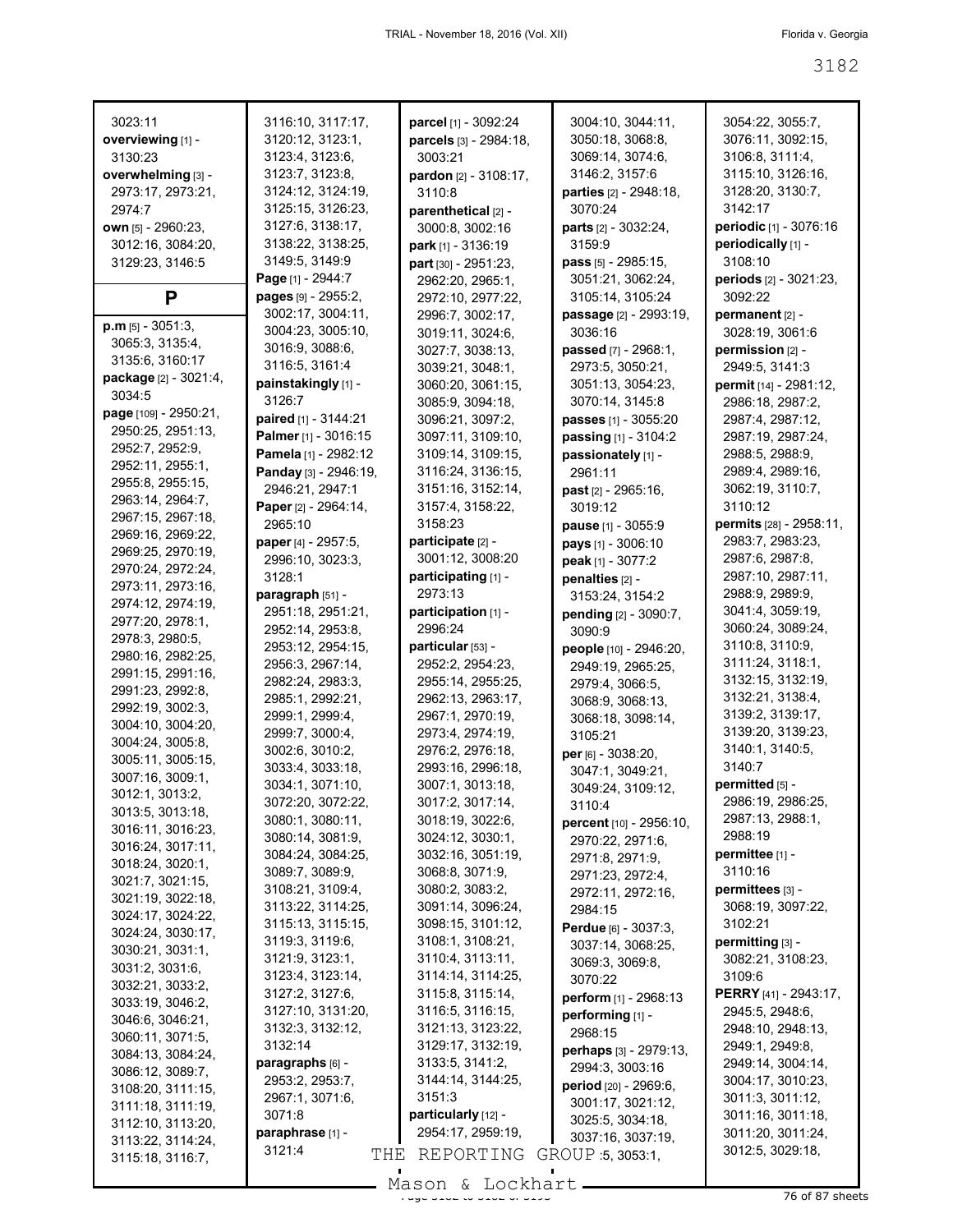| 3023:11               | 3116:10, 3117:17,                     | parcel [1] - 3092:24                  | 3004:10, 3044:11,             | 3054:22, 3055:7,                     |
|-----------------------|---------------------------------------|---------------------------------------|-------------------------------|--------------------------------------|
| overviewing [1] -     | 3120:12, 3123:1,                      | parcels [3] - 2984:18,                | 3050:18, 3068:8,              | 3076:11, 3092:15,                    |
| 3130:23               | 3123:4, 3123:6,                       | 3003:21                               | 3069:14, 3074:6,              | 3106:8, 3111:4,                      |
| overwhelming [3] -    | 3123:7, 3123:8,                       | pardon [2] - 3108:17,                 | 3146:2, 3157:6                | 3115:10, 3126:16,                    |
| 2973:17, 2973:21,     | 3124:12, 3124:19,                     | 3110:8                                | <b>parties</b> [2] - 2948:18, | 3128:20, 3130:7,                     |
| 2974:7                | 3125:15, 3126:23,                     | parenthetical [2] -                   | 3070:24                       | 3142:17                              |
| own [5] - 2960:23,    | 3127:6, 3138:17,                      | 3000:8, 3002:16                       | parts [2] - 3032:24,          | periodic [1] - 3076:16               |
| 3012:16, 3084:20,     | 3138:22, 3138:25,                     | park [1] - 3136:19                    | 3159:9                        | periodically [1] -                   |
| 3129:23, 3146:5       | 3149:5, 3149:9                        | part [30] - 2951:23,                  | pass [5] - 2985:15,           | 3108:10                              |
|                       | Page [1] - 2944:7                     | 2962:20. 2965:1.                      | 3051:21, 3062:24,             | <b>periods</b> [2] - 3021:23,        |
| P                     | pages [9] - 2955:2,                   | 2972:10, 2977:22,                     | 3105:14, 3105:24              | 3092:22                              |
| $p.m$ [5] - 3051:3,   | 3002:17, 3004:11,                     | 2996:7, 3002:17,                      | passage [2] - 2993:19,        | permanent [2] -                      |
| 3065:3, 3135:4,       | 3004:23, 3005:10,                     | 3019:11, 3024:6,                      | 3036:16                       | 3028:19, 3061:6                      |
| 3135:6, 3160:17       | 3016:9, 3088:6,                       | 3027:7, 3038:13,                      | passed [7] - 2968:1,          | permission $[2]$ -                   |
| package [2] - 3021:4, | 3116:5, 3161:4                        | 3039:21, 3048:1,                      | 2973:5, 3050:21,              | 2949.5, 3141:3                       |
| 3034:5                | painstakingly [1] -                   | 3060:20, 3061:15,                     | 3051:13, 3054:23,             | permit [14] - 2981:12,               |
| page [109] - 2950:21, | 3126:7                                | 3085:9, 3094:18,                      | 3070:14, 3145:8               | 2986:18, 2987:2,                     |
| 2950:25, 2951:13,     | paired [1] - 3144:21                  | 3096:21, 3097:2,                      | passes [1] - 3055:20          | 2987:4, 2987:12,                     |
| 2952:7, 2952:9,       | Palmer [1] - 3016:15                  | 3097:11, 3109:10,                     | passing [1] - 3104:2          | 2987:19, 2987:24,                    |
| 2952:11, 2955:1,      | Pamela [1] - 2982:12                  | 3109:14, 3109:15,                     | passionately [1] -            | 2988:5, 2988:9,                      |
| 2955:8, 2955:15,      | Panday [3] - 2946:19,                 | 3116:24, 3136:15,                     | 2961:11                       | 2989:4, 2989:16,                     |
| 2963:14, 2964:7,      | 2946:21, 2947:1                       | 3151:16, 3152:14,                     | past [2] - 2965:16,           | 3062:19, 3110:7,                     |
| 2967:15, 2967:18,     | Paper [2] - 2964:14,                  | 3157:4, 3158:22,                      | 3019:12                       | 3110:12                              |
| 2969:16, 2969:22,     | 2965:10                               | 3158:23                               | pause [1] - 3055:9            | permits [28] - 2958:11,              |
| 2969:25, 2970:19,     | paper [4] - 2957:5,                   | participate [2] -                     | pays [1] - 3006:10            | 2983:7, 2983:23,                     |
| 2970:24, 2972:24,     | 2996:10, 3023:3,                      | 3001:12, 3008:20                      | peak [1] - 3077:2             | 2987:6, 2987:8,                      |
| 2973:11, 2973:16,     | 3128:1                                | participating [1] -                   | penalties [2] -               | 2987:10, 2987:11,                    |
| 2974:12, 2974:19,     | paragraph [51] -                      | 2973:13                               | 3153:24, 3154:2               | 2988:9, 2989:9,                      |
| 2977:20, 2978:1,      | 2951:18, 2951:21,                     | participation [1] -                   | pending [2] - 3090:7,         | 3041:4, 3059:19,                     |
| 2978:3, 2980:5,       | 2952:14, 2953:8,                      | 2996:24                               | 3090:9                        | 3060:24, 3089:24,                    |
| 2980:16, 2982:25,     | 2953:12, 2954:15,                     | particular [53] -                     | people [10] - 2946:20,        | 3110:8, 3110:9,                      |
| 2991:15, 2991:16,     | 2956:3, 2967:14,                      | 2952:2, 2954:23,                      | 2949:19, 2965:25,             | 3111:24, 3118:1,                     |
| 2991:23, 2992:8,      | 2982:24, 2983:3,                      | 2955:14, 2955:25,                     | 2979:4, 3066:5,               | 3132:15, 3132:19,                    |
| 2992:19, 3002:3,      | 2985:1, 2992:21,                      | 2962:13, 2963:17,                     | 3068:9, 3068:13,              | 3132:21, 3138:4,<br>3139:2, 3139:17, |
| 3004:10, 3004:20,     | 2999:1, 2999:4,                       | 2967:1, 2970:19,                      | 3068:18, 3098:14,             | 3139:20, 3139:23,                    |
| 3004:24, 3005:8,      | 2999:7, 3000:4,                       | 2973:4, 2974:19,                      | 3105:21                       | 3140:1, 3140:5,                      |
| 3005:11, 3005:15,     | 3002:6, 3010:2,<br>3033:4, 3033:18,   | 2976:2, 2976:18,<br>2993:16, 2996:18, | per [6] - 3038:20,            | 3140:7                               |
| 3007:16, 3009:1,      | 3034:1, 3071:10,                      | 3007:1, 3013:18,                      | 3047:1, 3049:21,              | permitted $[5]$ -                    |
| 3012:1, 3013:2,       |                                       |                                       | 3049:24, 3109:12,             | 2986:19, 2986:25,                    |
| 3013:5, 3013:18,      | 3072:20, 3072:22,<br>3080:1, 3080:11, | 3017:2, 3017:14,<br>3018:19, 3022:6,  | 3110:4                        | 2987:13, 2988:1,                     |
| 3016:11, 3016:23,     | 3080:14, 3081:9,                      | 3024:12, 3030:1,                      | percent [10] - 2956:10,       | 2988:19                              |
| 3016:24, 3017:11,     | 3084:24, 3084:25,                     | 3032:16, 3051:19,                     | 2970:22, 2971:6,              | permittee [1] -                      |
| 3018:24, 3020:1,      | 3089:7, 3089:9,                       | 3068:8, 3071:9,                       | 2971:8, 2971:9,               | 3110:16                              |
| 3021:7, 3021:15,      | 3108:21, 3109:4,                      | 3080:2, 3083:2,                       | 2971:23, 2972:4,              | permittees [3] -                     |
| 3021:19, 3022:18,     | 3113:22, 3114:25,                     | 3091:14, 3096:24,                     | 2972:11, 2972:16,<br>2984:15  | 3068:19, 3097:22,                    |
| 3024:17, 3024:22,     | 3115:13, 3115:15,                     | 3098:15, 3101:12,                     | Perdue [6] - 3037:3,          | 3102:21                              |
| 3024:24, 3030:17,     | 3119:3, 3119:6,                       | 3108:1, 3108:21,                      | 3037:14, 3068:25,             | permitting [3] -                     |
| 3030:21, 3031:1,      | 3121:9, 3123:1,                       | 3110:4, 3113:11,                      | 3069:3, 3069:8,               | 3082:21, 3108:23,                    |
| 3031:2, 3031:6,       | 3123:4, 3123:14,                      | 3114:14, 3114:25,                     | 3070:22                       | 3109:6                               |
| 3032:21, 3033:2,      | 3127:2, 3127:6,                       | 3115:8, 3115:14,                      | perform [1] - 2968:13         | PERRY [41] - 2943:17,                |
| 3033:19, 3046:2,      | 3127:10, 3131:20,                     | 3116:5, 3116:15,                      | performing [1] -              | 2945:5, 2948:6,                      |
| 3046:6, 3046:21,      | 3132:3, 3132:12,                      | 3121:13, 3123:22,                     | 2968:15                       | 2948:10, 2948:13,                    |
| 3060:11, 3071:5,      | 3132:14                               | 3129:17, 3132:19,                     | perhaps [3] - 2979:13,        | 2949:1, 2949:8,                      |
| 3084:13, 3084:24,     | paragraphs [6] -                      | 3133:5, 3141:2,                       | 2994:3, 3003:16               | 2949:14, 3004:14,                    |
| 3086:12, 3089:7,      | 2953:2, 2953:7,                       | 3144:14, 3144:25,                     | period [20] - 2969:6,         | 3004:17, 3010:23,                    |
| 3108:20, 3111:15,     | 2967:1, 3071:6,                       | 3151:3                                | 3001:17, 3021:12,             | 3011:3, 3011:12,                     |
| 3111:18, 3111:19,     | 3071:8                                | particularly [12] -                   | 3025:5, 3034:18,              | 3011:16, 3011:18,                    |
| 3112:10, 3113:20,     | paraphrase [1] -                      | 2954:17, 2959:19,                     | 3037:16, 3037:19,             | 3011:20, 3011:24,                    |
| 3113:22, 3114:24,     | 3121:4<br>THE                         | REPORTING                             | GROUP 5, 3053:1,              | 3012:5, 3029:18,                     |
| 3115:18, 3116:7,      |                                       |                                       |                               |                                      |

 $\mathcal{L}_{\mathcal{A}}$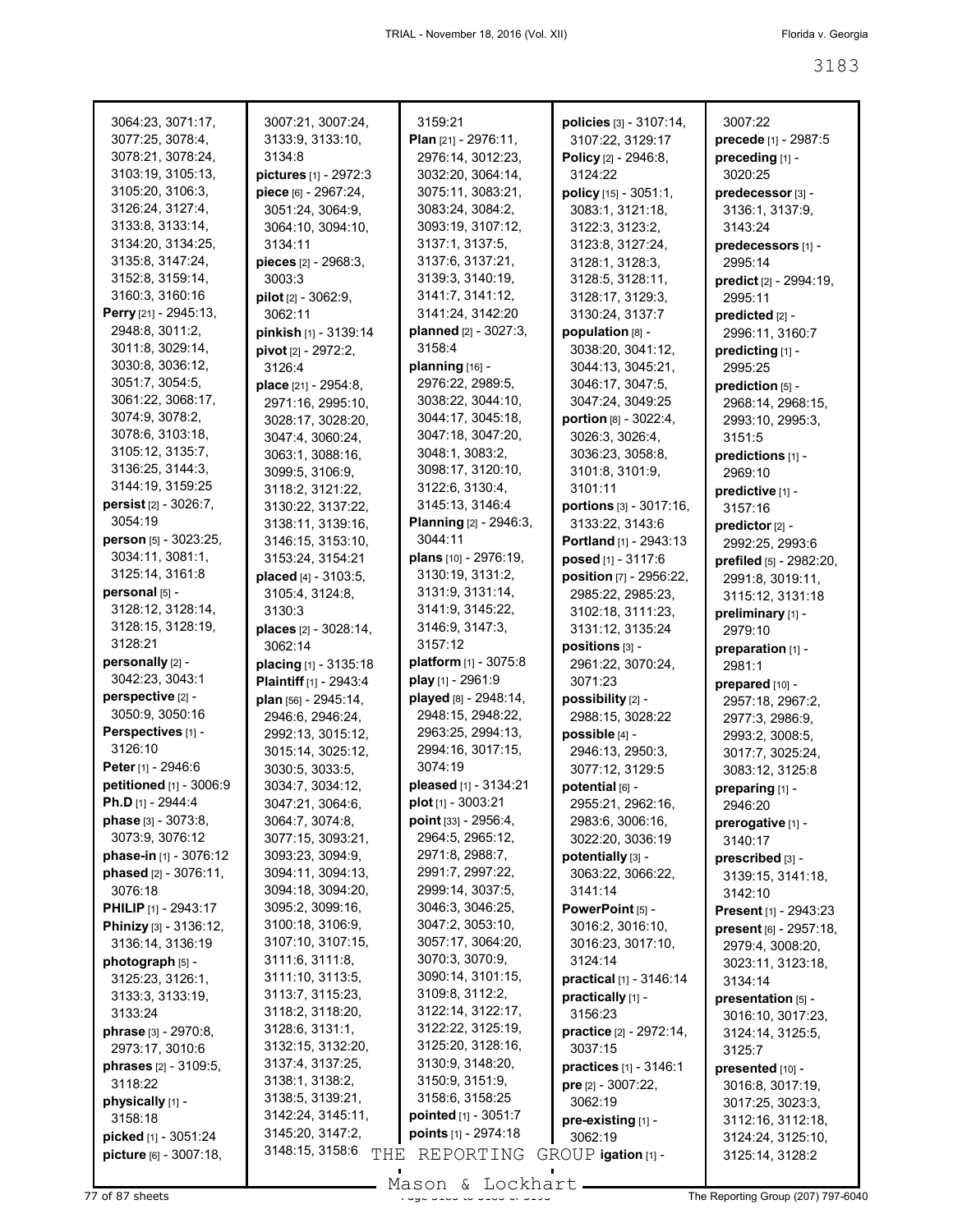| 3064:23, 3071:17,             | 3007:21, 3007:24,                     | 3159:21                                | policies [3] - 3107:14, | 3007:22                      |
|-------------------------------|---------------------------------------|----------------------------------------|-------------------------|------------------------------|
| 3077:25, 3078:4,              | 3133:9, 3133:10,                      | <b>Plan</b> $[21] - 2976:11$ ,         | 3107:22, 3129:17        | precede [1] - 2987:5         |
| 3078:21, 3078:24,             | 3134:8                                | 2976:14, 3012:23,                      | Policy [2] - 2946:8,    | preceding [1] -              |
| 3103:19, 3105:13,             | pictures [1] - 2972:3                 | 3032:20, 3064:14,                      | 3124:22                 | 3020:25                      |
| 3105:20, 3106:3,              | piece [6] - 2967:24,                  | 3075:11, 3083:21,                      | policy [15] - 3051:1,   | predecessor [3] -            |
| 3126:24, 3127:4,              | 3051:24, 3064:9,                      | 3083:24, 3084:2,                       | 3083:1, 3121:18,        | 3136:1, 3137:9,              |
| 3133:8, 3133:14,              | 3064:10, 3094:10,                     | 3093:19, 3107:12,                      | 3122:3, 3123:2,         | 3143:24                      |
| 3134:20, 3134:25,             | 3134:11                               | 3137:1, 3137:5,                        | 3123:8, 3127:24,        | predecessors [1] -           |
| 3135:8, 3147:24,              | pieces [2] - 2968:3,                  | 3137:6, 3137:21,                       | 3128:1, 3128:3,         | 2995:14                      |
| 3152:8, 3159:14,              | 3003:3                                | 3139:3, 3140:19,                       | 3128:5, 3128:11,        | predict [2] - 2994:19,       |
| 3160:3, 3160:16               | pilot [2] - 3062:9,                   | 3141:7, 3141:12,                       | 3128:17, 3129:3,        | 2995:11                      |
| Perry [21] - 2945:13,         | 3062:11                               | 3141:24, 3142:20                       | 3130:24, 3137:7         | predicted [2] -              |
| 2948:8, 3011:2,               | pinkish [1] - 3139:14                 | planned [2] - 3027:3,                  | population [8] -        | 2996:11, 3160:7              |
| 3011:8, 3029:14,              | pivot [2] - 2972:2,                   | 3158:4                                 | 3038:20, 3041:12,       | predicting [1] -             |
| 3030:8, 3036:12,              | 3126:4                                | planning [16] -                        | 3044:13, 3045:21,       | 2995:25                      |
| 3051:7, 3054:5,               | <b>place</b> $[21] - 2954:8$          | 2976:22, 2989:5,                       | 3046:17, 3047:5,        | prediction [5] -             |
| 3061:22, 3068:17,             | 2971:16, 2995:10,                     | 3038:22, 3044:10,                      | 3047:24, 3049:25        | 2968:14, 2968:15,            |
| 3074:9, 3078:2,               | 3028:17, 3028:20,                     | 3044:17, 3045:18,                      | portion [8] - 3022:4,   | 2993:10, 2995:3,             |
| 3078:6, 3103:18,              | 3047:4, 3060:24,                      | 3047:18, 3047:20,                      | 3026:3, 3026:4,         | 3151:5                       |
| 3105:12, 3135:7,              | 3063:1, 3088:16,                      | 3048:1, 3083:2,                        | 3036:23, 3058:8,        | predictions [1] -            |
| 3136:25, 3144:3,              | 3099:5, 3106:9,                       | 3098:17, 3120:10,                      | 3101:8, 3101:9,         | 2969:10                      |
| 3144:19, 3159:25              | 3118:2, 3121:22,                      | 3122:6, 3130:4,                        | 3101:11                 | predictive [1] -             |
| persist [2] - 3026:7,         | 3130:22, 3137:22,                     | 3145:13, 3146:4                        | portions [3] - 3017:16, | 3157:16                      |
| 3054:19                       | 3138:11, 3139:16,                     | Planning [2] - 2946:3,                 | 3133:22, 3143:6         | predictor [2] -              |
| person [5] - 3023:25,         | 3146:15, 3153:10,                     | 3044:11                                | Portland [1] - 2943:13  | 2992:25, 2993:6              |
| 3034:11, 3081:1,              | 3153:24, 3154:21                      | plans [10] - 2976:19,                  | posed [1] - 3117:6      | prefiled [5] - 2982:20,      |
| 3125:14, 3161:8               | placed [4] - 3103:5,                  | 3130:19, 3131:2,                       | position [7] - 2956:22, | 2991:8, 3019:11,             |
| personal [5] -                | 3105:4, 3124:8,                       | 3131:9, 3131:14,                       | 2985:22, 2985:23,       | 3115:12, 3131:18             |
| 3128:12, 3128:14,             | 3130:3                                | 3141:9, 3145:22,                       | 3102:18, 3111:23,       | preliminary [1] -            |
| 3128:15, 3128:19,             | places [2] - 3028:14,                 | 3146:9, 3147:3,                        | 3131:12, 3135:24        | 2979:10                      |
| 3128:21                       | 3062:14                               | 3157:12                                | positions [3] -         | preparation [1] -            |
| personally [2] -              | placing [1] - 3135:18                 | platform [1] - 3075:8                  | 2961:22, 3070:24,       | 2981:1                       |
| 3042:23, 3043:1               | Plaintiff [1] - 2943:4                | play [1] - 2961:9                      | 3071:23                 | prepared [10] -              |
| perspective [2] -             | plan [56] - 2945:14,                  | played [8] - 2948:14,                  | possibility [2] -       | 2957:18, 2967:2,             |
| 3050:9, 3050:16               | 2946:6, 2946:24,                      | 2948:15, 2948:22,                      | 2988:15, 3028:22        | 2977:3, 2986:9,              |
| Perspectives [1] -            | 2992:13, 3015:12,                     | 2963:25, 2994:13,                      | possible [4] -          | 2993:2, 3008:5,              |
| 3126:10                       | 3015:14, 3025:12,                     | 2994:16, 3017:15,                      | 2946:13, 2950:3,        | 3017:7, 3025:24,             |
| Peter [1] - 2946:6            | 3030:5, 3033:5,                       | 3074:19                                | 3077:12, 3129:5         | 3083:12, 3125:8              |
| petitioned [1] - 3006:9       | 3034:7, 3034:12,                      | pleased [1] - 3134:21                  | potential [6] -         | preparing [1] -              |
| <b>Ph.D</b> [1] - 2944:4      | 3047:21, 3064:6,                      | <b>plot</b> $[1]$ - 3003:21            | 2955:21, 2962:16,       | 2946:20                      |
| <b>phase</b> $[3] - 3073.8$ , | 3064:7, 3074:8,                       | point [33] - 2956:4,                   | 2983:6, 3006:16,        | prerogative [1] -            |
| 3073:9, 3076:12               | 3077:15, 3093:21,                     | 2964:5, 2965:12,                       | 3022:20, 3036:19        | 3140:17                      |
| phase-in $[1]$ - 3076:12      | 3093:23, 3094:9,                      | 2971:8, 2988:7,                        | potentially [3] -       | prescribed [3] -             |
| phased [2] - 3076:11,         | 3094:11, 3094:13,                     | 2991:7, 2997:22,                       | 3063:22, 3066:22,       | 3139:15, 3141:18,            |
| 3076:18                       | 3094:18, 3094:20,                     | 2999:14, 3037:5,                       | 3141:14                 | 3142:10                      |
| <b>PHILIP</b> [1] - 2943:17   | 3095:2, 3099:16,                      | 3046:3, 3046:25,                       | PowerPoint [5] -        | <b>Present</b> [1] - 2943:23 |
| Phinizy [3] - 3136:12,        | 3100:18, 3106:9,                      | 3047:2, 3053:10,                       | 3016:2, 3016:10,        | present [6] - 2957:18,       |
| 3136:14, 3136:19              | 3107:10, 3107:15,                     | 3057:17, 3064:20,                      | 3016:23, 3017:10,       | 2979:4, 3008:20,             |
| photograph [5] -              | 3111:6, 3111:8,                       | 3070:3, 3070:9,                        | 3124:14                 | 3023:11, 3123:18,            |
| 3125:23, 3126:1,              | 3111:10, 3113:5,                      | 3090:14, 3101:15,                      | practical [1] - 3146:14 | 3134:14                      |
| 3133:3, 3133:19,              | 3113:7, 3115:23,                      | 3109:8, 3112:2,                        | practically [1] -       | presentation [5] -           |
| 3133:24                       | 3118:2, 3118:20,                      | 3122:14, 3122:17,<br>3122:22, 3125:19, | 3156:23                 | 3016:10, 3017:23,            |
| phrase [3] - 2970:8,          | 3128:6, 3131:1,                       | 3125:20, 3128:16,                      | practice [2] - 2972:14, | 3124:14, 3125:5,             |
| 2973:17, 3010:6               | 3132:15, 3132:20,<br>3137:4, 3137:25, | 3130:9, 3148:20,                       | 3037:15                 | 3125:7                       |
| phrases [2] - 3109:5,         | 3138:1, 3138:2,                       | 3150:9, 3151:9,                        | practices [1] - 3146:1  | presented [10] -             |
| 3118:22                       | 3138:5, 3139:21,                      | 3158:6, 3158:25                        | pre [2] - 3007:22,      | 3016:8, 3017:19,             |
| physically [1] -              | 3142:24, 3145:11,                     | pointed [1] - 3051:7                   | 3062:19                 | 3017:25, 3023:3,             |
| 3158:18                       | 3145:20, 3147:2,                      | points [1] - 2974:18                   | pre-existing [1] -      | 3112:16, 3112:18,            |
| picked [1] - 3051:24          | 3148:15, 3158:6                       |                                        | 3062:19                 | 3124:24, 3125:10,            |
| picture [6] - 3007:18,        | THE                                   | REPORTING                              | GROUP igation [1] -     | 3125:14, 3128:2              |

Mason & Lockhart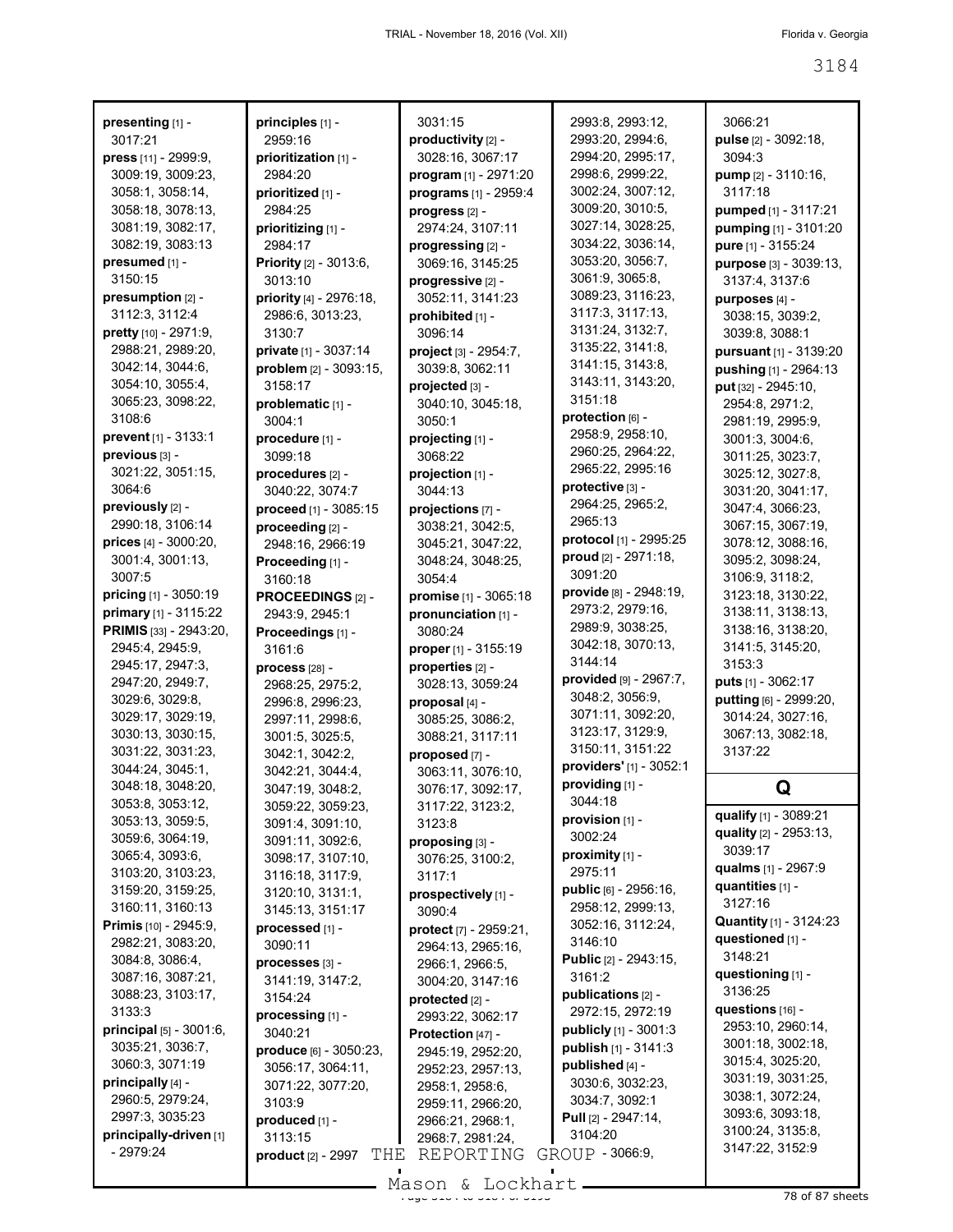3066:21

3184

| presenting [1] -                          | principles [1] -                          |
|-------------------------------------------|-------------------------------------------|
| 3017:21                                   | 2959:16                                   |
| press [11] - 2999:9,                      | prioritization [1] -                      |
| 3009:19, 3009:23,                         | 2984:20                                   |
| 3058:1, 3058:14,                          | prioritized [1] -                         |
| 3058:18, 3078:13,<br>3081:19, 3082:17,    | 2984:25                                   |
| 3082:19, 3083:13                          | prioritizing [1] -<br>2984:17             |
| presumed [1] -                            | Priority [2] - 3013:6,                    |
| 3150:15                                   | 3013:10                                   |
| presumption [2] -                         | priority [4] - 2976:18,                   |
| 3112:3, 3112:4                            | 2986:6, 3013:23,                          |
| pretty [10] - 2971:9,                     | 3130:7                                    |
| 2988:21, 2989:20,                         | <b>private</b> [1] - 3037:14              |
| 3042:14, 3044:6,                          | problem [2] - 3093:15,                    |
| 3054:10, 3055:4,                          | 3158:17                                   |
| 3065:23, 3098:22,<br>3108:6               | problematic [1] -                         |
| <b>prevent</b> [1] - 3133:1               | 3004:1                                    |
| previous [3] -                            | procedure [1] -<br>3099:18                |
| 3021:22, 3051:15,                         | procedures [2] -                          |
| 3064:6                                    | 3040:22, 3074:7                           |
| previously [2] -                          | proceed [1] - 3085:15                     |
| 2990:18, 3106:14                          | proceeding [2] -                          |
| prices [4] - 3000:20,                     | 2948:16, 2966:19                          |
| 3001:4, 3001:13,                          | Proceeding [1] -                          |
| 3007:5                                    | 3160:18                                   |
| pricing [1] - 3050:19                     | PROCEEDINGS [2] -                         |
| primary [1] - 3115:22                     | 2943:9, 2945:1                            |
| PRIMIS [33] - 2943:20,<br>2945:4, 2945:9, | Proceedings [1] -                         |
| 2945:17, 2947:3,                          | 3161:6                                    |
| 2947:20, 2949:7,                          | <b>process</b> [28] -<br>2968:25, 2975:2, |
| 3029:6, 3029:8,                           | 2996:8, 2996:23,                          |
| 3029:17, 3029:19,                         | 2997:11, 2998:6,                          |
| 3030:13, 3030:15,                         | 3001:5, 3025:5,                           |
| 3031:22, 3031:23,                         | 3042:1, 3042:2,                           |
| 3044:24, 3045:1,                          | 3042:21, 3044:4,                          |
| 3048:18, 3048:20,                         | 3047:19, 3048:2,                          |
| 3053:8, 3053:12,                          | 3059:22, 3059:23,                         |
| 3053:13, 3059:5,                          | 3091:4, 3091:10,                          |
| 3059:6, 3064:19,<br>3065:4, 3093:6,       | 3091:11, 3092:6,                          |
| 3103:20, 3103:23,                         | 3098:17, 3107:10,                         |
| 3159:20, 3159:25,                         | 3116:18, 3117:9,<br>3120:10, 3131:1,      |
| 3160:11, 3160:13                          | 3145:13, 3151:17                          |
| Primis [10] - 2945:9,                     | processed [1] -                           |
| 2982:21, 3083:20,                         | 3090:11                                   |
| 3084:8, 3086:4,                           | processes [3] -                           |
| 3087:16, 3087:21,                         | 3141:19, 3147:2,                          |
| 3088:23, 3103:17,                         | 3154:24                                   |
| 3133:3                                    | processing [1] -                          |
| principal [5] - 3001:6,                   | 3040:21                                   |
| 3035:21, 3036:7,<br>3060:3, 3071:19       | <b>produce</b> [6] - 3050:23,             |
| principally [4] -                         | 3056:17, 3064:11,<br>3071:22, 3077:20,    |
| 2960:5, 2979:24,                          | 3103:9                                    |
| 2997:3, 3035:23                           | produced [1] -                            |
| principally-driven [1]                    | 3113:15                                   |
| - 2979:24                                 | т<br><b>product</b> $[2] - 2997$          |
|                                           |                                           |

Τ

|     | 3031:15                               | 2993:8, 2993:               |
|-----|---------------------------------------|-----------------------------|
|     | productivity [2] -                    | 2993:20, 2994               |
|     | 3028:16, 3067:17                      | 2994:20, 2995               |
|     | <b>program</b> [1] - 2971:20          | 2998:6, 2999:2              |
|     | <b>programs</b> [1] - 2959:4          | 3002:24, 3007               |
|     | progress <sub>[2]</sub> -             | 3009:20, 3010               |
|     | 2974:24, 3107:11                      | 3027:14, 3028               |
|     |                                       | 3034:22, 3036               |
|     | progressing [2] -<br>3069:16, 3145:25 | 3053:20, 3056               |
|     |                                       | 3061:9, 3065:8              |
|     | progressive [2] -                     | 3089:23, 3116               |
| ١,  | 3052:11, 3141:23                      | 3117:3, 3117:               |
|     | prohibited [1] -                      | 3131:24, 3132               |
|     | 3096:14                               | 3135:22, 3141               |
|     | project [3] - 2954:7,                 | 3141:15, 3143               |
| 5,  | 3039:8, 3062:11                       | 3143:11, 3143               |
|     | projected [3] -                       |                             |
|     | 3040:10, 3045:18,                     | 3151:18                     |
|     | 3050:1                                | protection [6] -            |
|     | projecting [1] -                      | 2958:9, 2958:               |
|     | 3068:22                               | 2960:25, 2964               |
|     | projection [1] -                      | 2965:22, 2995               |
|     | 3044:13                               | protective [3] -            |
| 5   | projections [7] -                     | 2964:25, 2965               |
|     | 3038:21, 3042:5,                      | 2965:13                     |
|     | 3045:21, 3047:22,                     | protocol $[1]$ - 29         |
|     | 3048:24, 3048:25,                     | proud [2] - 2971            |
|     | 3054:4                                | 3091:20                     |
|     | <b>promise</b> [1] - 3065:18          | <b>provide</b> [8] - 294    |
|     | pronunciation [1] -                   | 2973:2, 2979:               |
|     | 3080:24                               | 2989:9, 3038:2              |
|     | <b>proper</b> [1] - 3155:19           | 3042:18, 3070               |
|     | properties [2] -                      | 3144:14                     |
|     | 3028:13, 3059:24                      | provided [9] - 29           |
|     | proposal [4] -                        | 3048:2, 3056:9              |
|     | 3085:25, 3086:2,                      | 3071:11, 3092               |
|     | 3088:21, 3117:11                      | 3123:17, 3129               |
|     | proposed [7] -                        | 3150:11, 3151               |
|     | 3063:11, 3076:10,                     | providers' [1] - 3          |
|     | 3076:17, 3092:17,                     | providing [1] -             |
|     | 3117:22, 3123:2,                      | 3044:18                     |
|     | 3123:8                                | provision [1] -             |
|     | proposing [3] -                       | 3002:24                     |
|     | 3076:25, 3100:2,                      | proximity [1] -             |
|     | 3117:1                                | 2975:11                     |
|     | prospectively [1] -                   | <b>public</b> [6] - 2956    |
|     | 3090:4                                | 2958:12, 2999               |
|     | <b>protect</b> [7] - 2959:21,         | 3052:16, 3112               |
|     | 2964:13, 2965:16,                     | 3146:10                     |
|     | 2966:1, 2966:5,                       | <b>Public</b> [2] - 2943    |
|     | 3004:20, 3147:16                      | 3161:2                      |
|     |                                       | publications <sup>[2]</sup> |
|     | $protected$ [2] -<br>2993:22, 3062:17 | 2972:15, 2972               |
|     |                                       | <b>publicly</b> [1] - 30(   |
| '3. | Protection [47] -                     | <b>publish</b> [1] - 314    |
|     | 2945:19, 2952:20,                     | published [4] -             |
|     | 2952:23, 2957:13,                     | 3030:6, 3032:2              |
|     | 2958:1, 2958:6,                       | 3034:7, 3092:1              |
|     | 2959:11, 2966:20,                     | Pull [2] - 2947:14          |
|     | 2966:21, 2968:1,                      | 3104:20                     |
|     | 2968:7, 2981:24,                      |                             |
| THE | REPORTING GROUP - 3066:9,             |                             |

2993:8, 2993:12, 2993:20, 2994:6, 2994:20, 2995:17, 2998:6, 2999:22, 3002:24, 3007:12, 3009:20, 3010:5, 3027:14, 3028:25, 3034:22, 3036:14, 3053:20, 3056:7, 3061:9, 3065:8, 3089:23, 3116:23, 3117:3, 3117:13, 3131:24, 3132:7, 3135:22, 3141:8, 3141:15, 3143:8, 3143:11, 3143:20, 3151:18 **protection** [6] - 2958:9, 2958:10, 2960:25, 2964:22, 2965:22, 2995:16 **protective** [3] - 2964:25, 2965:2, 2965:13 **protocol** [1] - 2995:25 **proud** [2] - 2971:18, 3091:20 **provide** [8] - 2948:19, 2973:2, 2979:16, 2989:9, 3038:25, 3042:18, 3070:13, 3144:14 **provided** [9] - 2967:7, 3048:2, 3056:9, 3071:11, 3092:20, 3123:17, 3129:9, 3150:11, 3151:22 **providers'** [1] - 3052:1 **providing** [1] - 3044:18 **provision** [1] - 3002:24 **proximity** [1] - 2975:11 **public** [6] - 2956:16, 2958:12, 2999:13, 3052:16, 3112:24, 3146:10 **Public** [2] - 2943:15, 3161:2 **publications** [2] - 2972:15, 2972:19 **publicly** [1] - 3001:3 **publish** [1] - 3141:3 **published** [4] - 3030:6, 3032:23, 3034:7, 3092:1 **Pull** [2] - 2947:14, 3104:20

**pulse** [2] - 3092:18, 3094:3 **pump** [2] - 3110:16, 3117:18 **pumped** [1] - 3117:21 **pumping** [1] - 3101:20 **pure** [1] - 3155:24 **purpose** [3] - 3039:13, 3137:4, 3137:6 **purposes** [4] - 3038:15, 3039:2, 3039:8, 3088:1 **pursuant** [1] - 3139:20 **pushing** [1] - 2964:13 **put** [32] - 2945:10, 2954:8, 2971:2, 2981:19, 2995:9, 3001:3, 3004:6, 3011:25, 3023:7, 3025:12, 3027:8, 3031:20, 3041:17, 3047:4, 3066:23, 3067:15, 3067:19, 3078:12, 3088:16, 3095:2, 3098:24, 3106:9, 3118:2, 3123:18, 3130:22, 3138:11, 3138:13, 3138:16, 3138:20, 3141:5, 3145:20, 3153:3 **puts** [1] - 3062:17 **putting** [6] - 2999:20, 3014:24, 3027:16, 3067:13, 3082:18, 3137:22 **Q**

**qualify** [1] - 3089:21 **quality** [2] - 2953:13, 3039:17 **qualms** [1] - 2967:9 **quantities** [1] - 3127:16 **Quantity** [1] - 3124:23 **questioned** [1] - 3148:21 **questioning** [1] - 3136:25 **questions** [16] - 2953:10, 2960:14, 3001:18, 3002:18, 3015:4, 3025:20, 3031:19, 3031:25, 3038:1, 3072:24, 3093:6, 3093:18, 3100:24, 3135:8, 3147:22, 3152:9

 $\frac{2}{3}$  of 87 sheets Mason & Lockhart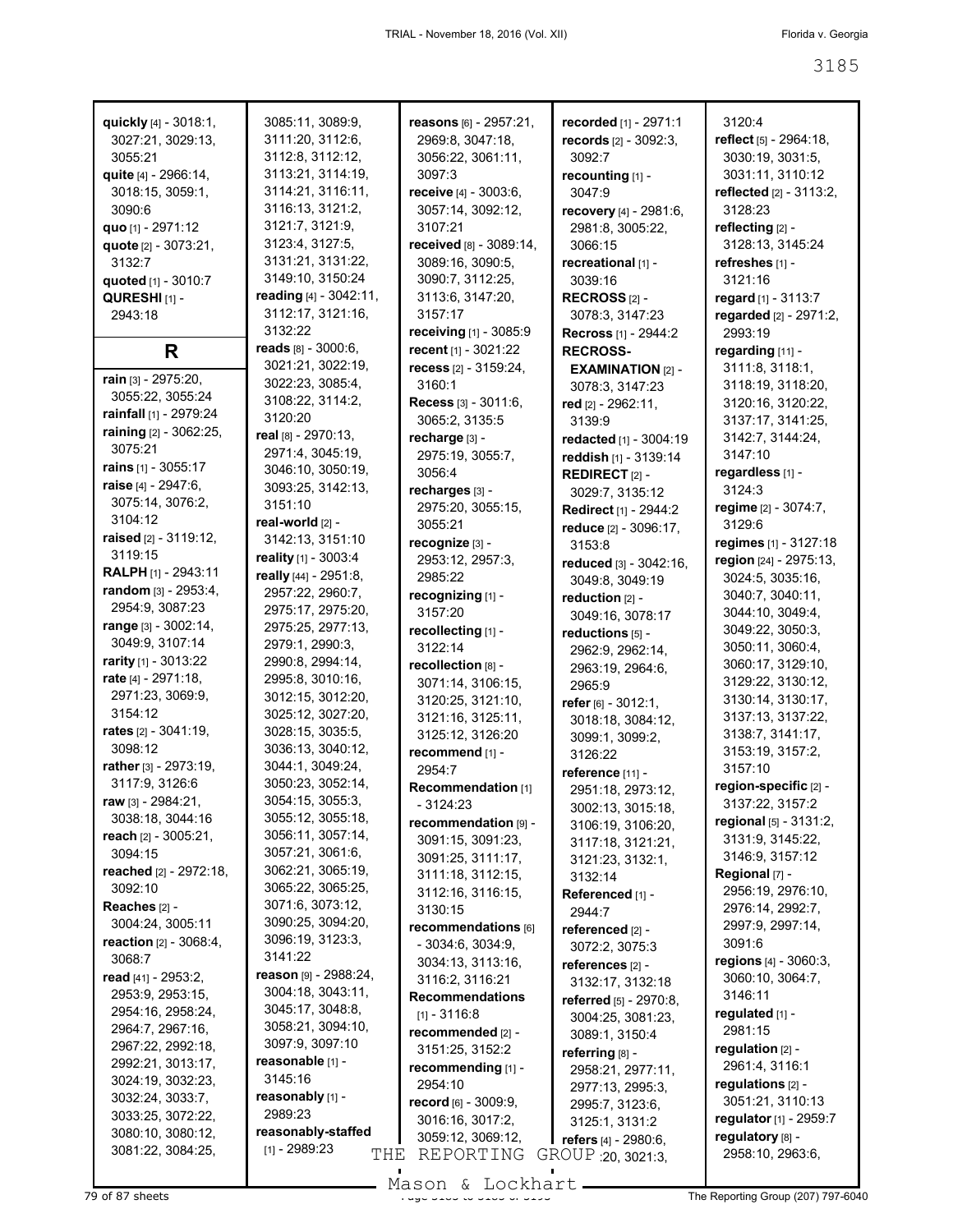| quickly [4] - 3018:1,            | 3085:11, 3089:9,                      | reasons [6] - 2957:21,          | recorded [1] - 2971:1       | 3120:4                  |
|----------------------------------|---------------------------------------|---------------------------------|-----------------------------|-------------------------|
| 3027:21, 3029:13,                | 3111:20, 3112:6,                      | 2969:8, 3047:18,                | records [2] - 3092:3,       | reflect [5] - 2964:18,  |
| 3055:21                          | 3112:8, 3112:12,                      | 3056:22, 3061:11,               | 3092:7                      | 3030:19, 3031:5,        |
| quite [4] - 2966:14,             | 3113:21, 3114:19,                     | 3097:3                          | recounting [1] -            | 3031:11, 3110:12        |
| 3018:15, 3059:1,                 | 3114:21, 3116:11,                     | receive [4] - 3003:6,           | 3047:9                      | reflected [2] - 3113:2, |
| 3090:6                           | 3116:13, 3121:2,                      | 3057:14, 3092:12,               | recovery [4] - 2981:6,      | 3128:23                 |
| quo [1] - 2971:12                | 3121:7, 3121:9,                       | 3107:21                         | 2981:8, 3005:22,            | reflecting [2] -        |
| quote [2] - 3073:21,             | 3123:4, 3127:5,                       | received [8] - 3089:14,         | 3066:15                     | 3128:13, 3145:24        |
| 3132:7                           | 3131:21, 3131:22,                     | 3089:16, 3090:5,                | recreational [1] -          | refreshes [1] -         |
| quoted [1] - 3010:7              | 3149:10, 3150:24                      | 3090:7, 3112:25,                | 3039:16                     | 3121:16                 |
| QURESHI <sub>[1]</sub> -         | reading [4] - 3042:11,                | 3113:6, 3147:20,                | RECROSS $[2]$ -             | regard [1] - 3113:7     |
| 2943:18                          | 3112:17, 3121:16,                     | 3157:17                         | 3078:3, 3147:23             | regarded [2] - 2971:2,  |
|                                  | 3132:22                               | <b>receiving</b> $[1]$ - 3085:9 | <b>Recross</b> [1] - 2944:2 | 2993:19                 |
| R                                | reads [8] - 3000:6,                   | recent [1] - 3021:22            | <b>RECROSS-</b>             | regarding [11] -        |
|                                  | 3021:21, 3022:19,                     | recess $[2] - 3159.24$ ,        | <b>EXAMINATION [2] -</b>    | 3111:8, 3118:1,         |
| rain [3] - 2975:20,              | 3022:23, 3085:4,                      | 3160:1                          | 3078:3, 3147:23             | 3118:19, 3118:20,       |
| 3055:22, 3055:24                 | 3108:22, 3114:2,                      | Recess [3] - 3011:6,            | red [2] - 2962:11,          | 3120:16, 3120:22,       |
| rainfall [1] - 2979:24           | 3120:20                               | 3065:2, 3135:5                  | 3139:9                      | 3137:17, 3141:25,       |
| raining [2] - 3062:25,           | real [8] - 2970:13,                   | recharge [3] -                  | redacted [1] - 3004:19      | 3142:7, 3144:24,        |
| 3075:21                          | 2971:4, 3045:19,                      | 2975:19, 3055:7,                | reddish [1] - 3139:14       | 3147:10                 |
| rains [1] - 3055:17              | 3046:10, 3050:19,                     | 3056:4                          | REDIRECT <sub>[2]</sub> -   | regardless [1] -        |
| raise [4] - 2947:6,              | 3093:25, 3142:13,                     | recharges [3] -                 | 3029:7, 3135:12             | 3124:3                  |
| 3075:14, 3076:2,                 | 3151:10                               | 2975:20, 3055:15,               | Redirect [1] - 2944:2       | regime [2] - 3074:7,    |
| 3104:12                          | real-world [2] -                      | 3055:21                         | reduce [2] - 3096:17,       | 3129:6                  |
| raised [2] - 3119:12,            | 3142:13, 3151:10                      | recognize [3] -                 | 3153:8                      | regimes [1] - 3127:18   |
| 3119:15                          | reality [1] - 3003:4                  | 2953:12, 2957:3,                | reduced [3] - 3042:16,      | region [24] - 2975:13,  |
| <b>RALPH</b> [1] - 2943:11       | really [44] - 2951:8,                 | 2985:22                         | 3049:8, 3049:19             | 3024:5, 3035:16,        |
| random [3] - 2953:4,             | 2957:22, 2960:7,                      | recognizing [1] -               | reduction [2] -             | 3040:7, 3040:11,        |
| 2954:9, 3087:23                  | 2975:17, 2975:20,                     | 3157:20                         | 3049:16, 3078:17            | 3044:10, 3049:4,        |
| range [3] - 3002:14,             | 2975:25, 2977:13,                     | recollecting [1] -              | reductions [5] -            | 3049:22, 3050:3,        |
| 3049:9, 3107:14                  | 2979:1, 2990:3,                       | 3122:14                         | 2962:9, 2962:14,            | 3050:11, 3060:4,        |
| rarity [1] - 3013:22             | 2990:8, 2994:14,                      | recollection [8] -              | 2963:19, 2964:6,            | 3060:17, 3129:10,       |
| rate $[4] - 2971:18$ ,           | 2995:8, 3010:16,                      | 3071:14, 3106:15,               | 2965.9                      | 3129:22, 3130:12,       |
| 2971:23, 3069:9,                 | 3012:15, 3012:20,                     | 3120:25, 3121:10,               | refer [6] - 3012:1,         | 3130:14, 3130:17,       |
| 3154:12                          | 3025:12, 3027:20,                     | 3121:16, 3125:11,               | 3018:18, 3084:12,           | 3137:13, 3137:22,       |
| <b>rates</b> [2] - 3041:19,      | 3028:15, 3035:5,                      | 3125:12, 3126:20                | 3099:1, 3099:2,             | 3138:7, 3141:17,        |
| 3098:12                          | 3036:13, 3040:12,                     | recommend [1] -                 | 3126:22                     | 3153:19, 3157:2,        |
| rather [3] - 2973:19,            | 3044:1, 3049:24,                      | 2954:7                          | reference [11] -            | 3157:10                 |
| 3117:9, 3126:6                   | 3050:23, 3052:14,                     | Recommendation [1]              | 2951:18, 2973:12,           | region-specific [2] -   |
| raw [3] - 2984:21,               | 3054:15, 3055:3,                      | - 3124:23                       | 3002:13, 3015:18,           | 3137:22, 3157:2         |
| 3038:18, 3044:16                 | 3055:12, 3055:18,                     | recommendation [9] -            | 3106:19, 3106:20,           | regional [5] - 3131:2,  |
| reach [2] - 3005:21,             | 3056:11, 3057:14,                     | 3091:15, 3091:23,               | 3117:18, 3121:21,           | 3131:9, 3145:22,        |
| 3094:15                          | 3057:21, 3061:6,                      | 3091:25, 3111:17,               | 3121:23, 3132:1,            | 3146:9, 3157:12         |
| reached [2] - 2972:18,           | 3062:21, 3065:19,                     | 3111:18, 3112:15,               | 3132:14                     | Regional [7] -          |
| 3092:10                          | 3065:22, 3065:25,                     | 3112:16, 3116:15,               | Referenced [1] -            | 2956:19, 2976:10,       |
| Reaches [2] -                    | 3071:6, 3073:12,                      | 3130:15                         | 2944:7                      | 2976:14, 2992:7,        |
| 3004:24, 3005:11                 | 3090:25, 3094:20,                     | recommendations [6]             | referenced [2] -            | 2997:9, 2997:14,        |
| <b>reaction</b> $[2] - 3068:4$ , | 3096:19, 3123:3,                      | $-3034:6, 3034:9,$              | 3072:2, 3075:3              | 3091:6                  |
| 3068:7                           | 3141:22                               | 3034:13, 3113:16,               | references [2] -            | regions [4] - 3060:3,   |
| read [41] - 2953:2.              | reason [9] - 2988:24,                 | 3116:2, 3116:21                 | 3132:17, 3132:18            | 3060:10, 3064:7,        |
| 2953:9, 2953:15,                 | 3004:18, 3043:11,                     | <b>Recommendations</b>          | referred [5] - 2970:8,      | 3146:11                 |
| 2954:16, 2958:24,                | 3045:17, 3048:8,                      | $[1] - 3116.8$                  | 3004:25, 3081:23,           | regulated [1] -         |
| 2964:7, 2967:16,                 | 3058:21, 3094:10,                     | recommended [2] -               | 3089:1, 3150:4              | 2981:15                 |
| 2967:22, 2992:18,                | 3097:9, 3097:10                       | 3151:25, 3152:2                 | referring $[8]$ -           | regulation $[2]$ -      |
| 2992:21, 3013:17,                | reasonable [1] -<br>3145:16           | recommending [1] -              | 2958:21, 2977:11,           | 2961:4, 3116:1          |
| 3024:19, 3032:23,                |                                       | 2954:10                         | 2977:13, 2995:3,            | regulations $[2]$ -     |
| 3032:24, 3033:7,                 | reasonably [1] -<br>2989:23           | record [6] - 3009:9,            | 2995:7, 3123:6,             | 3051:21, 3110:13        |
| 3033:25, 3072:22,                |                                       | 3016:16, 3017:2,                | 3125:1, 3131:2              | regulator [1] - 2959:7  |
| 3080:10, 3080:12,                | reasonably-staffed<br>$[1] - 2989:23$ | 3059:12, 3069:12,               | refers [4] - 2980:6,        | regulatory [8] -        |
| 3081:22, 3084:25,                | THE                                   | REPORTING                       | GROUP 20, 3021:3,           | 2958:10, 2963:6,        |
|                                  |                                       |                                 |                             |                         |

79 of 87 sheets **Page 3185 of 3185 of 3185 of 3185 of 3185 of 3185 of 3185 of 3193 Page 3185 of 3185 of 3185 of 3185 of 3185 of 3185 of 3185 of 3185 of 3185 of 3185 of 3185 of 3185 of 3185 of 3185 of 3185 of 3185 of 3185 o** Mason & Lockhart.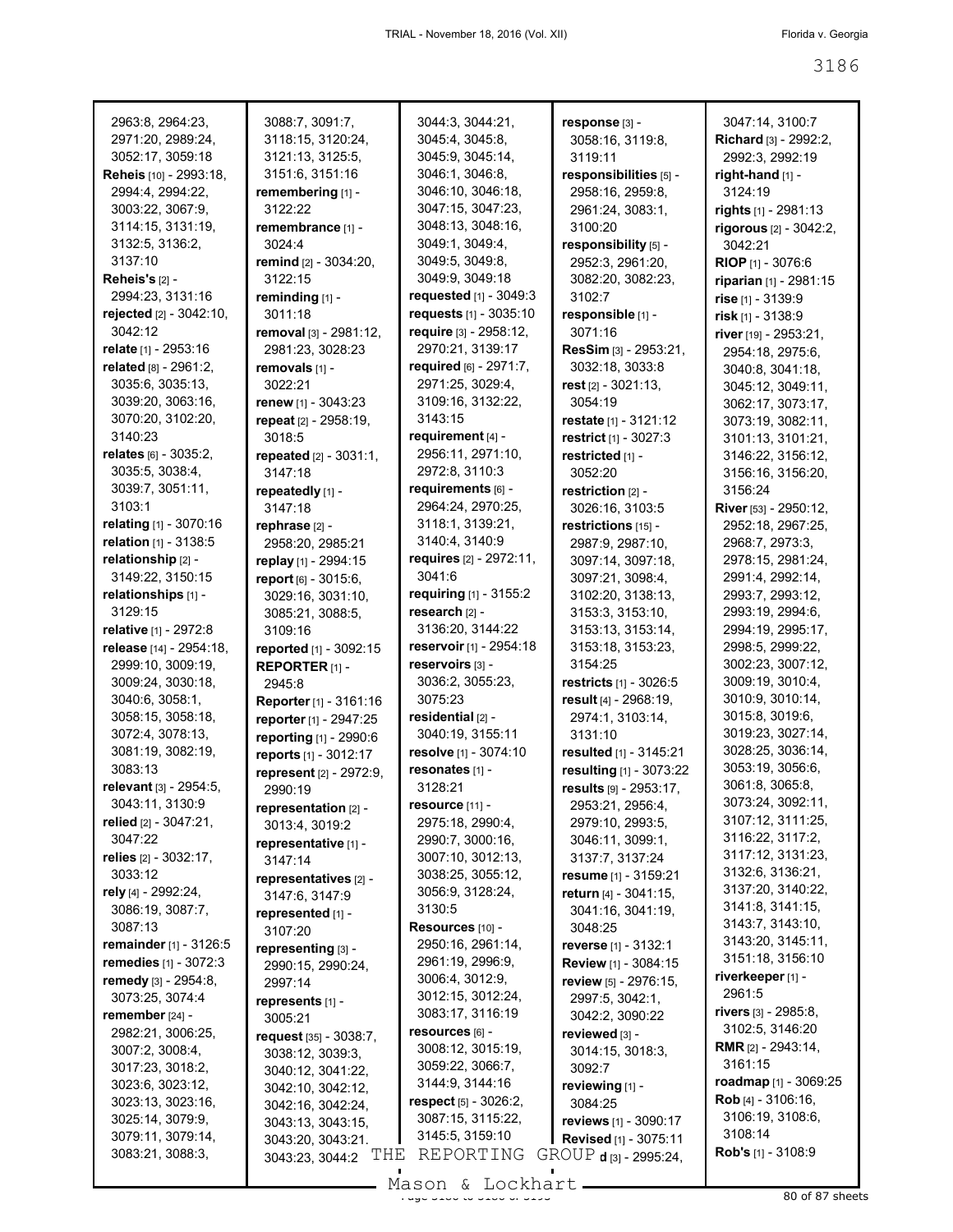| 2963:8, 2964:23,                       | 3088:7, 3091:7,                                  | 3044:3, 3044:21,                            | response [3] -               | 3047:14, 3100:7                       |
|----------------------------------------|--------------------------------------------------|---------------------------------------------|------------------------------|---------------------------------------|
| 2971:20, 2989:24,                      | 3118:15, 3120:24,                                | 3045:4, 3045:8,                             | 3058:16, 3119:8,             | Richard [3] - 2992:2,                 |
| 3052:17, 3059:18                       | 3121:13, 3125:5,                                 | 3045:9, 3045:14,                            | 3119:11                      | 2992:3, 2992:19                       |
| Reheis [10] - 2993:18,                 | 3151:6, 3151:16                                  | 3046:1, 3046:8,                             | responsibilities [5] -       | right-hand $[1]$ -                    |
| 2994:4, 2994:22,                       | remembering [1] -                                | 3046:10, 3046:18,                           | 2958:16, 2959:8,             | 3124:19                               |
| 3003:22, 3067:9,                       | 3122:22                                          | 3047:15, 3047:23,                           | 2961:24, 3083:1,             | rights [1] - 2981:13                  |
| 3114:15, 3131:19,                      | remembrance [1] -                                | 3048:13, 3048:16,                           | 3100:20                      | rigorous [2] - 3042:2,                |
| 3132:5, 3136:2,                        | 3024:4                                           | 3049:1, 3049:4,                             | responsibility [5] -         | 3042:21                               |
| 3137:10                                | remind [2] - 3034:20,                            | 3049:5, 3049:8,                             | 2952:3, 2961:20,             | <b>RIOP</b> [1] - 3076:6              |
| Reheis's $[2]$ -                       | 3122:15                                          | 3049:9, 3049:18                             | 3082:20, 3082:23,            | riparian [1] - 2981:15                |
| 2994:23, 3131:16                       | reminding [1] -                                  | requested [1] - 3049:3                      | 3102:7                       | rise [1] - 3139:9                     |
| rejected [2] - 3042:10,                | 3011:18                                          | requests [1] - 3035:10                      | responsible [1] -            | risk [1] - 3138:9                     |
| 3042:12                                | removal [3] - 2981:12,                           | require [3] - 2958:12,                      | 3071:16                      | river [19] - 2953:21,                 |
| relate [1] - 2953:16                   | 2981:23, 3028:23                                 | 2970:21, 3139:17                            | ResSim [3] - 2953:21,        | 2954:18, 2975:6,                      |
| related [8] - 2961:2,                  | removals [1] -                                   | required [6] - 2971:7,                      | 3032:18, 3033:8              | 3040:8, 3041:18,                      |
| 3035:6, 3035:13,                       | 3022:21                                          | 2971:25, 3029:4,                            | rest $[2] - 3021:13$ ,       | 3045:12, 3049:11,                     |
| 3039:20, 3063:16,                      | renew [1] - 3043:23                              | 3109:16, 3132:22,                           | 3054:19                      | 3062:17, 3073:17,                     |
| 3070:20, 3102:20,                      | repeat [2] - 2958:19,                            | 3143:15                                     | restate [1] - 3121:12        | 3073:19, 3082:11,                     |
| 3140:23                                | 3018:5                                           | requirement [4] -                           | restrict [1] - 3027:3        | 3101:13, 3101:21,                     |
| relates [6] - 3035:2,                  | <b>repeated</b> $[2] - 3031:1$ ,                 | 2956:11, 2971:10,                           | restricted [1] -             | 3146:22, 3156:12,                     |
| 3035:5, 3038:4,                        | 3147:18                                          | 2972:8, 3110:3                              | 3052:20                      | 3156:16, 3156:20,                     |
| 3039:7, 3051:11,                       | repeatedly [1] -                                 | requirements [6] -                          | restriction [2] -            | 3156:24                               |
| 3103:1                                 | 3147:18                                          | 2964:24, 2970:25,                           | 3026:16, 3103:5              | River [53] - 2950:12,                 |
| relating [1] - 3070:16                 | rephrase [2] -                                   | 3118:1, 3139:21,                            | restrictions [15] -          | 2952:18, 2967:25,                     |
| relation [1] - 3138:5                  | 2958:20, 2985:21                                 | 3140:4, 3140:9                              | 2987:9, 2987:10,             | 2968:7, 2973:3,                       |
| relationship [2] -                     | replay [1] - 2994:15                             | requires [2] - 2972:11,                     | 3097:14, 3097:18,            | 2978:15, 2981:24,                     |
| 3149:22, 3150:15                       | report [6] - 3015:6,                             | 3041:6                                      | 3097:21, 3098:4,             | 2991:4, 2992:14,                      |
| relationships [1] -                    | 3029:16, 3031:10,                                | requiring $[1] - 3155:2$                    | 3102:20, 3138:13,            | 2993:7, 2993:12,                      |
| 3129:15                                | 3085:21, 3088:5,                                 | research [2] -                              | 3153:3, 3153:10,             | 2993:19, 2994:6,                      |
| relative [1] - 2972:8                  | 3109:16                                          | 3136:20, 3144:22<br>reservoir [1] - 2954:18 | 3153:13, 3153:14,            | 2994:19, 2995:17,                     |
| release [14] - 2954:18,                | reported [1] - 3092:15                           |                                             | 3153:18, 3153:23,<br>3154:25 | 2998:5, 2999:22,                      |
| 2999:10, 3009:19,<br>3009:24, 3030:18, | <b>REPORTER [1] -</b>                            | reservoirs [3] -<br>3036:2, 3055:23,        | restricts [1] - 3026:5       | 3002:23, 3007:12,<br>3009:19, 3010:4, |
| 3040:6, 3058:1,                        | 2945:8                                           | 3075:23                                     | result [4] - 2968:19,        | 3010:9, 3010:14,                      |
| 3058:15, 3058:18,                      | Reporter [1] - 3161:16                           | residential [2] -                           | 2974:1, 3103:14,             | 3015:8, 3019:6,                       |
| 3072:4, 3078:13,                       | reporter [1] - 2947:25                           | 3040:19, 3155:11                            | 3131:10                      | 3019:23, 3027:14,                     |
| 3081:19, 3082:19,                      | reporting [1] - 2990:6                           | resolve [1] - 3074:10                       | resulted [1] - 3145:21       | 3028:25, 3036:14,                     |
| 3083:13                                | reports [1] - 3012:17<br>represent [2] - 2972:9, | resonates [1] -                             | resulting [1] - 3073:22      | 3053:19, 3056:6,                      |
| relevant [3] - 2954:5,                 | 2990:19                                          | 3128:21                                     | results [9] - 2953:17,       | 3061:8, 3065:8,                       |
| 3043:11, 3130:9                        | representation [2] -                             | resource [11] -                             | 2953:21, 2956:4,             | 3073:24, 3092:11,                     |
| relied $[2] - 3047:21$ ,               | 3013:4, 3019:2                                   | 2975:18, 2990:4,                            | 2979:10, 2993:5,             | 3107:12, 3111:25,                     |
| 3047:22                                | representative [1] -                             | 2990:7, 3000:16,                            | 3046:11, 3099:1,             | 3116:22, 3117:2,                      |
| relies [2] - 3032:17,                  | 3147:14                                          | 3007:10, 3012:13,                           | 3137:7, 3137:24              | 3117:12, 3131:23,                     |
| 3033:12                                | representatives [2] -                            | 3038:25, 3055:12,                           | resume [1] - 3159:21         | 3132:6, 3136:21,                      |
| rely [4] - 2992:24,                    | 3147:6, 3147:9                                   | 3056:9, 3128:24,                            | return [4] - 3041:15,        | 3137:20, 3140:22,                     |
| 3086:19, 3087:7,                       | represented [1] -                                | 3130:5                                      | 3041:16, 3041:19,            | 3141:8, 3141:15,                      |
| 3087:13                                | 3107:20                                          | Resources [10] -                            | 3048:25                      | 3143:7, 3143:10,                      |
| <b>remainder</b> [1] - 3126:5          | representing [3] -                               | 2950:16, 2961:14,                           | reverse [1] - 3132:1         | 3143:20, 3145:11,                     |
| <b>remedies</b> [1] - 3072:3           | 2990:15, 2990:24,                                | 2961:19, 2996:9,                            | Review [1] - 3084:15         | 3151:18, 3156:10                      |
| remedy [3] - 2954:8,                   | 2997:14                                          | 3006:4, 3012:9,                             | review [5] - 2976:15,        | riverkeeper [1] -                     |
| 3073:25, 3074:4                        | represents [1] -                                 | 3012:15, 3012:24,                           | 2997:5, 3042:1,              | 2961:5                                |
| remember [24] -                        | 3005:21                                          | 3083:17, 3116:19                            | 3042:2, 3090:22              | rivers [3] - 2985:8,                  |
| 2982:21, 3006:25,                      | request [35] - 3038:7,                           | resources [6] -                             | reviewed [3] -               | 3102:5, 3146:20                       |
| 3007:2, 3008:4,                        | 3038:12, 3039:3,                                 | 3008:12, 3015:19,                           | 3014:15, 3018:3,             | <b>RMR</b> $[2] - 2943:14$ ,          |
| 3017:23, 3018:2,                       | 3040:12, 3041:22,                                | 3059:22, 3066:7,                            | 3092:7                       | 3161:15                               |
| 3023:6, 3023:12,                       | 3042:10, 3042:12,                                | 3144:9, 3144:16                             | reviewing [1] -              | roadmap [1] - 3069:25                 |
| 3023:13, 3023:16,                      | 3042:16, 3042:24,                                | respect $[5] - 3026:2,$                     | 3084:25                      | $\text{Rob}[4] - 3106:16,$            |
| 3025:14, 3079:9,                       | 3043:13, 3043:15,                                | 3087:15, 3115:22,                           | reviews [1] - 3090:17        | 3106:19, 3108:6,                      |
| 3079:11, 3079:14,                      | 3043:20, 3043:21                                 | 3145:5, 3159:10                             | <b>Revised</b> [1] - 3075:11 | 3108:14                               |
| 3083:21, 3088:3,                       | THE<br>3043:23, 3044:2                           | REPORTING                                   | GROUP d [3] - 2995:24,       | <b>Rob's</b> $[1] - 3108.9$           |

 $\frac{200011}{x}$  and  $\frac{200111}{x}$  become 3186 of 87 sheets Mason & Lockhart.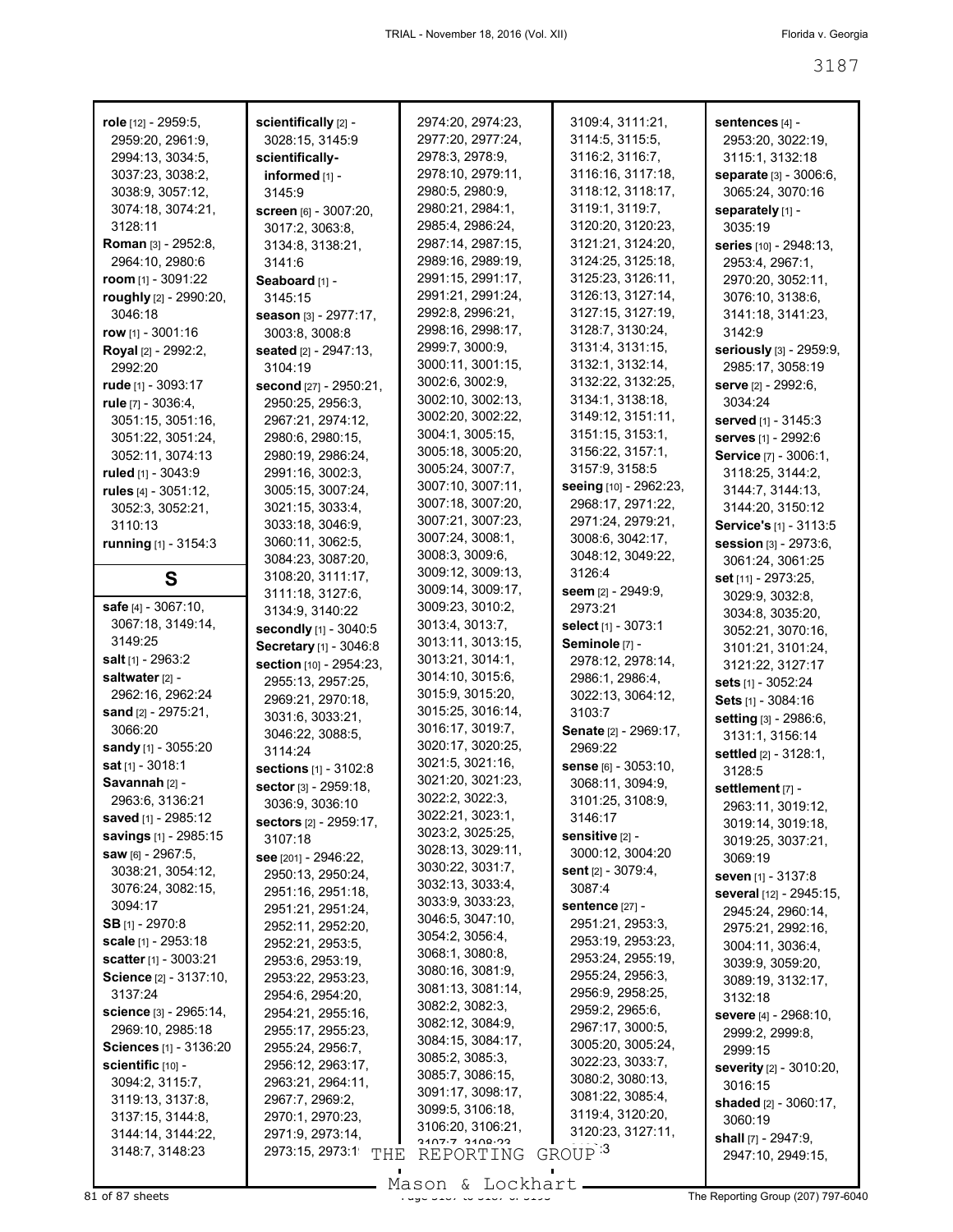| role [12] - 2959:5,        | scientifically [2] -                   | 2974:20, 2974:23, | 3109:4, 3111:21,              | sentences $[4]$ -            |
|----------------------------|----------------------------------------|-------------------|-------------------------------|------------------------------|
| 2959:20, 2961:9,           | 3028:15, 3145:9                        | 2977:20, 2977:24, | 3114:5, 3115:5,               | 2953:20, 3022:19,            |
| 2994:13, 3034:5.           | scientifically-                        | 2978:3, 2978:9,   | 3116:2, 3116:7,               | 3115:1, 3132:18              |
| 3037:23, 3038:2,           | informed [1] -                         | 2978:10, 2979:11, | 3116:16, 3117:18,             | separate [3] - 3006:6,       |
| 3038:9, 3057:12,           | 3145:9                                 | 2980:5, 2980:9,   | 3118:12, 3118:17,             | 3065:24, 3070:16             |
| 3074:18, 3074:21,          | Screen [6] - 3007:20,                  | 2980:21, 2984:1,  | 3119:1, 3119:7,               | separately [1] -             |
| 3128:11                    | 3017:2, 3063:8,                        | 2985:4, 2986:24,  | 3120:20, 3120:23,             | 3035:19                      |
| <b>Roman</b> [3] - 2952:8, | 3134:8, 3138:21,                       | 2987:14, 2987:15, | 3121:21, 3124:20,             | series [10] - 2948:13,       |
| 2964:10, 2980:6            | 3141:6                                 | 2989:16, 2989:19, | 3124:25, 3125:18,             | 2953:4, 2967:1,              |
| room $[1]$ - 3091:22       | Seaboard [1] -                         | 2991:15, 2991:17, | 3125:23, 3126:11,             | 2970:20, 3052:11,            |
| roughly [2] - 2990:20,     | 3145:15                                | 2991:21, 2991:24, | 3126:13, 3127:14,             | 3076:10, 3138:6,             |
| 3046:18                    | season [3] - 2977:17,                  | 2992:8, 2996:21,  | 3127:15, 3127:19,             | 3141:18, 3141:23,            |
| row $[1] - 3001:16$        | 3003:8, 3008:8                         | 2998:16, 2998:17, | 3128:7, 3130:24,              | 3142:9                       |
| <b>Royal</b> [2] - 2992:2, | <b>seated</b> [2] - 2947:13,           | 2999:7, 3000:9,   | 3131:4, 3131:15,              | seriously [3] - 2959:9,      |
| 2992:20                    | 3104:19                                | 3000:11, 3001:15, | 3132:1, 3132:14,              | 2985:17, 3058:19             |
| rude $[1]$ - 3093:17       | second [27] - 2950:21,                 | 3002:6, 3002:9,   | 3132:22, 3132:25,             | serve [2] - 2992:6,          |
| rule [7] - 3036:4,         | 2950:25, 2956:3,                       | 3002:10, 3002:13, | 3134:1, 3138:18,              | 3034:24                      |
| 3051:15, 3051:16,          | 2967:21, 2974:12,                      | 3002:20, 3002:22, | 3149:12, 3151:11,             | served [1] - 3145:3          |
| 3051:22, 3051:24,          | 2980:6, 2980:15,                       | 3004:1, 3005:15,  | 3151:15, 3153:1,              | serves [1] - 2992:6          |
| 3052:11, 3074:13           | 2980:19, 2986:24,                      | 3005:18, 3005:20, | 3156:22, 3157:1,              | Service [7] - 3006:1,        |
| ruled [1] - 3043:9         | 2991:16, 3002:3,                       | 3005:24, 3007:7,  | 3157:9, 3158:5                | 3118:25, 3144:2,             |
| rules $[4] - 3051:12$ ,    | 3005:15, 3007:24,                      | 3007:10, 3007:11, | seeing [10] - 2962:23,        | 3144:7, 3144:13,             |
| 3052:3, 3052:21,           | 3021:15, 3033:4,                       | 3007:18, 3007:20, | 2968:17, 2971:22,             | 3144:20, 3150:12             |
| 3110:13                    | 3033:18, 3046:9,                       | 3007:21, 3007:23, | 2971:24, 2979:21,             | Service's [1] - 3113:5       |
| running [1] - 3154:3       | 3060:11, 3062:5,                       | 3007:24, 3008:1,  | 3008:6, 3042:17,              | Session [3] - 2973:6,        |
|                            | 3084:23, 3087:20,                      | 3008:3, 3009:6,   | 3048:12, 3049:22,             | 3061:24, 3061:25             |
| S                          | 3108:20, 3111:17,                      | 3009:12, 3009:13, | 3126:4                        | set [11] - 2973:25,          |
|                            | 3111:18, 3127:6,                       | 3009:14, 3009:17, | seem [2] - 2949:9,            | 3029:9, 3032:8,              |
| safe [4] - 3067:10,        | 3134:9, 3140:22                        | 3009:23, 3010:2,  | 2973:21                       | 3034:8, 3035:20,             |
| 3067:18, 3149:14,          | secondly [1] - 3040:5                  | 3013:4, 3013:7,   | select [1] - 3073:1           | 3052:21, 3070:16,            |
| 3149:25                    | Secretary [1] - 3046:8                 | 3013:11, 3013:15, | Seminole [7] -                | 3101:21, 3101:24,            |
| <b>salt</b> $[1]$ - 2963:2 | section [10] - 2954:23,                | 3013:21, 3014:1,  | 2978:12, 2978:14,             | 3121:22, 3127:17             |
| saltwater [2] -            | 2955:13, 2957:25,                      | 3014:10, 3015:6,  | 2986:1, 2986:4,               | sets [1] - 3052:24           |
| 2962:16, 2962:24           | 2969:21, 2970:18,                      | 3015:9, 3015:20,  | 3022:13, 3064:12,             | Sets [1] - 3084:16           |
| sand $[2] - 2975:21$ ,     | 3031:6, 3033:21,                       | 3015:25, 3016:14, | 3103.7                        | setting [3] - 2986:6,        |
| 3066:20                    | 3046:22, 3088:5,                       | 3016:17, 3019:7,  | <b>Senate</b> [2] - 2969:17,  | 3131:1, 3156:14              |
| sandy [1] - 3055:20        | 3114:24                                | 3020:17, 3020:25, | 2969:22                       | settled [2] - 3128:1,        |
| sat $[1] - 3018:1$         | sections [1] - 3102:8                  | 3021:5, 3021:16,  | <b>sense</b> $[6] - 3053:10,$ |                              |
| Savannah [2] -             | sector [3] - 2959:18,                  | 3021:20, 3021:23, | 3068:11, 3094:9,              | 3128:5                       |
| 2963:6, 3136:21            | 3036:9, 3036:10                        | 3022:2, 3022:3,   | 3101:25, 3108:9,              | settlement [7] -             |
| <b>saved</b> [1] - 2985:12 | <b>sectors</b> [2] - 2959:17,          | 3022:21, 3023:1,  | 3146:17                       | 2963:11, 3019:12,            |
| savings [1] - 2985:15      | 3107:18                                | 3023:2, 3025:25,  | sensitive [2] -               | 3019:14, 3019:18,            |
| saw [6] - 2967:5,          | see [201] - 2946:22,                   | 3028:13, 3029:11, | 3000:12, 3004:20              | 3019:25, 3037:21,            |
| 3038:21, 3054:12,          |                                        | 3030:22, 3031:7,  | <b>sent</b> [2] - 3079:4,     | 3069:19                      |
| 3076:24, 3082:15,          | 2950:13, 2950:24,<br>2951:16, 2951:18, | 3032:13, 3033:4,  | 3087:4                        | seven [1] - 3137:8           |
| 3094:17                    |                                        | 3033:9, 3033:23,  | <b>sentence [27] -</b>        | several [12] - 2945:15,      |
| <b>SB</b> [1] - 2970:8     | 2951:21, 2951:24,<br>2952:11, 2952:20, | 3046:5, 3047:10,  | 2951:21, 2953:3,              | 2945:24, 2960:14,            |
| <b>scale</b> [1] - 2953:18 |                                        | 3054:2, 3056:4,   | 2953:19, 2953:23,             | 2975:21, 2992:16,            |
| scatter [1] - 3003:21      | 2952:21, 2953:5,<br>2953:6, 2953:19,   | 3068:1, 3080:8,   | 2953:24, 2955:19,             | 3004:11, 3036:4,             |
| Science [2] - 3137:10,     | 2953:22, 2953:23,                      | 3080:16, 3081:9,  | 2955:24, 2956:3,              | 3039:9, 3059:20,             |
| 3137:24                    | 2954:6, 2954:20,                       | 3081:13, 3081:14, | 2956:9, 2958:25,              | 3089:19, 3132:17,            |
| science [3] - 2965:14,     | 2954:21, 2955:16,                      | 3082:2, 3082:3,   | 2959:2, 2965:6,               | 3132:18                      |
| 2969:10, 2985:18           | 2955:17, 2955:23,                      | 3082:12, 3084:9,  | 2967:17, 3000:5,              | <b>severe</b> [4] - 2968:10, |
| Sciences [1] - 3136:20     |                                        | 3084:15, 3084:17, | 3005:20, 3005:24,             | 2999:2, 2999:8,              |
|                            |                                        |                   |                               | 2999:15                      |
|                            | 2955:24, 2956:7,                       | 3085:2, 3085:3,   |                               |                              |
| scientific [10] -          | 2956:12, 2963:17,                      | 3085:7, 3086:15,  | 3022:23, 3033:7,              | severity [2] - 3010:20,      |
| 3094:2, 3115:7,            | 2963:21, 2964:11,                      | 3091:17, 3098:17, | 3080:2, 3080:13,              | 3016:15                      |
| 3119:13, 3137:8,           | 2967:7, 2969:2,                        | 3099:5, 3106:18,  | 3081:22, 3085:4,              | shaded [2] - 3060:17,        |
| 3137:15, 3144:8,           | 2970:1, 2970:23,                       | 3106:20, 3106:21, | 3119:4, 3120:20,              | 3060:19                      |
| 3144:14, 3144:22,          | 2971:9, 2973:14,                       | 2107-7 2100-22    | 3120:23, 3127:11,             | shall [7] - 2947:9,          |
| 3148:7, 3148:23            | 2973:15, 2973:1<br>THE                 | REPORTING         | GROUP <sup>3</sup>            | 2947:10, 2949:15,            |

Mason & Lockhart **Page 3187 of 87 sheets** Page 3187 to 3187 to 3187 to 3187 of 3193 Sheets Page 3187-6040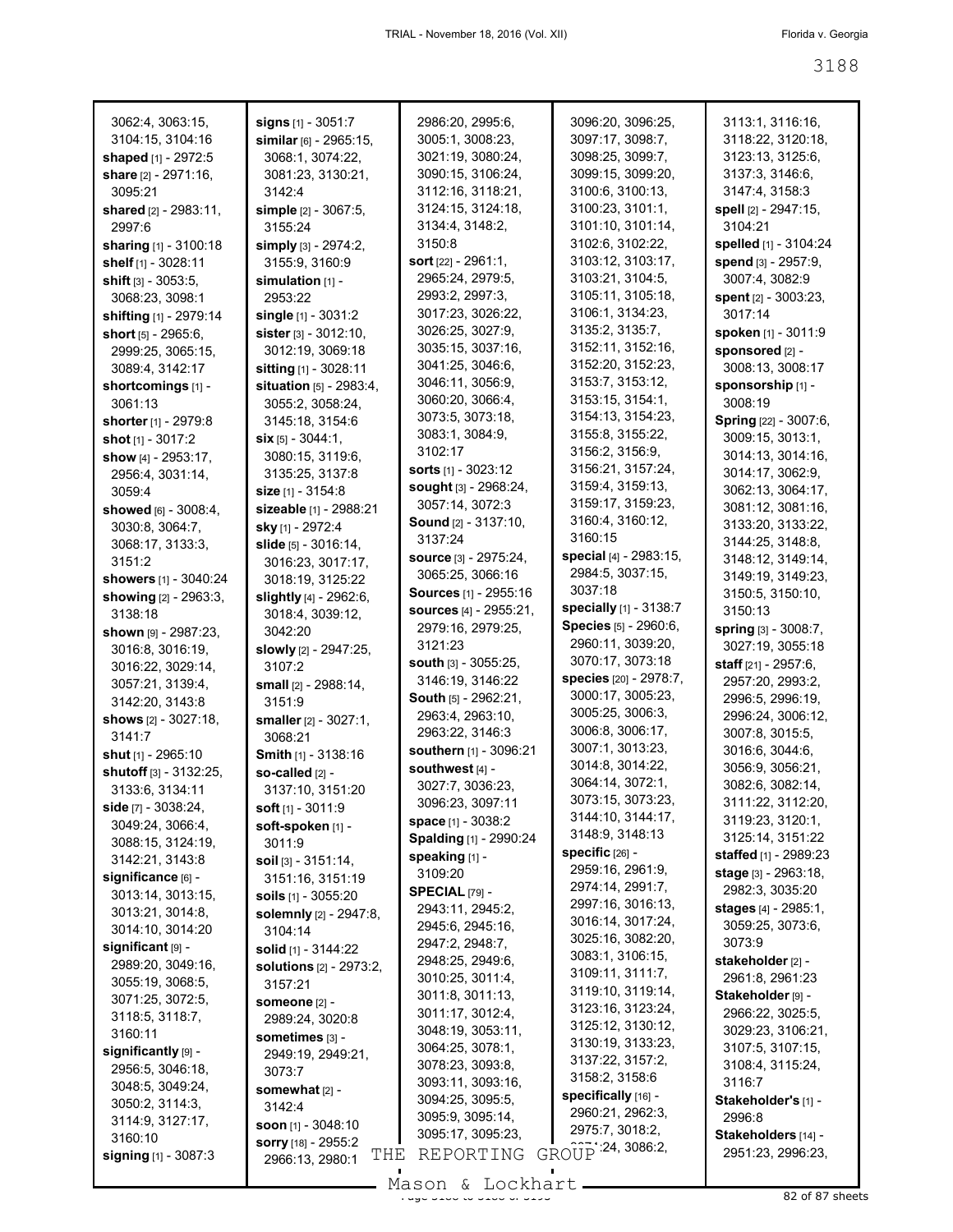| 3062:4, 3063:15,                             | signs [1] - 3051:7                     | 2986:20, 2995:6,                       | 3096:20, 3096:25,                      | 3113:1, 3116:16,                     |
|----------------------------------------------|----------------------------------------|----------------------------------------|----------------------------------------|--------------------------------------|
| 3104:15, 3104:16                             | similar $[6]$ - 2965:15,               | 3005:1, 3008:23,<br>3021:19, 3080:24,  | 3097:17, 3098:7,<br>3098:25, 3099:7,   | 3118:22, 3120:18,                    |
| shaped [1] - 2972:5                          | 3068:1, 3074:22,                       |                                        |                                        | 3123:13, 3125:6,                     |
| share $[2] - 2971:16$ ,                      | 3081:23, 3130:21,                      | 3090:15, 3106:24,                      | 3099:15, 3099:20,                      | 3137:3, 3146:6,<br>3147:4, 3158:3    |
| 3095:21                                      | 3142:4                                 | 3112:16, 3118:21,<br>3124:15, 3124:18, | 3100:6, 3100:13,<br>3100:23, 3101:1,   | spell [2] - 2947:15,                 |
| shared [2] - 2983:11,<br>2997:6              | simple [2] - 3067:5,<br>3155:24        | 3134:4, 3148:2,                        | 3101:10, 3101:14,                      | 3104:21                              |
|                                              |                                        | 3150:8                                 | 3102:6, 3102:22,                       | spelled [1] - 3104:24                |
| sharing [1] - 3100:18<br>shelf [1] - 3028:11 | simply [3] - 2974:2,<br>3155:9, 3160:9 | sort [22] - 2961:1,                    | 3103:12, 3103:17,                      | spend [3] - 2957:9,                  |
|                                              |                                        | 2965:24, 2979:5,                       | 3103:21, 3104:5,                       | 3007:4, 3082:9                       |
| shift $[3] - 3053.5$ ,<br>3068:23, 3098:1    | simulation $[1]$ -<br>2953:22          | 2993:2, 2997:3,                        | 3105:11, 3105:18,                      | spent [2] - 3003:23,                 |
| shifting [1] - 2979:14                       | single [1] - 3031:2                    | 3017:23, 3026:22,                      | 3106:1, 3134:23,                       | 3017:14                              |
| short [5] - 2965:6,                          | sister [3] - 3012:10,                  | 3026:25, 3027:9,                       | 3135:2, 3135:7,                        | spoken [1] - 3011:9                  |
| 2999:25, 3065:15,                            | 3012:19, 3069:18                       | 3035:15, 3037:16,                      | 3152:11, 3152:16,                      | sponsored [2] -                      |
| 3089:4, 3142:17                              | sitting [1] - 3028:11                  | 3041:25, 3046:6,                       | 3152:20, 3152:23,                      | 3008:13, 3008:17                     |
| shortcomings [1] -                           | situation [5] - 2983:4,                | 3046:11, 3056:9,                       | 3153:7, 3153:12,                       | sponsorship [1] -                    |
| 3061:13                                      | 3055:2, 3058:24,                       | 3060:20, 3066:4,                       | 3153:15, 3154:1,                       | 3008:19                              |
| shorter [1] - 2979:8                         | 3145:18, 3154:6                        | 3073:5, 3073:18,                       | 3154:13, 3154:23,                      | Spring [22] - 3007:6,                |
| shot [1] - 3017:2                            | $\textsf{six}$ [5] - 3044:1,           | 3083:1, 3084:9,                        | 3155:8, 3155:22,                       | 3009:15, 3013:1,                     |
| show [4] - 2953:17,                          | 3080:15, 3119:6,                       | 3102:17                                | 3156:2, 3156:9,                        | 3014:13, 3014:16,                    |
| 2956:4, 3031:14,                             | 3135:25, 3137:8                        | <b>sorts</b> $[1] - 3023:12$           | 3156:21, 3157:24,                      | 3014:17, 3062:9,                     |
| 3059:4                                       | size [1] - 3154:8                      | sought [3] - 2968:24,                  | 3159:4, 3159:13,                       | 3062:13, 3064:17,                    |
| showed [6] - 3008:4,                         | sizeable [1] - 2988:21                 | 3057:14, 3072:3                        | 3159:17, 3159:23,                      | 3081:12, 3081:16,                    |
| 3030:8, 3064:7,                              | sky [1] - 2972:4                       | <b>Sound</b> [2] - 3137:10,            | 3160:4, 3160:12,                       | 3133:20, 3133:22,                    |
| 3068:17, 3133:3,                             | slide [5] - 3016:14,                   | 3137:24                                | 3160:15                                | 3144:25, 3148:8,                     |
| 3151:2                                       | 3016:23, 3017:17,                      | <b>source</b> [3] - 2975:24,           | special [4] - 2983:15,                 | 3148:12, 3149:14,                    |
| showers [1] - 3040:24                        | 3018:19, 3125:22                       | 3065:25, 3066:16                       | 2984:5, 3037:15,                       | 3149:19, 3149:23,                    |
| showing [2] - 2963:3,                        | slightly [4] - 2962:6,                 | Sources [1] - 2955:16                  | 3037:18                                | 3150:5, 3150:10,                     |
| 3138:18                                      | 3018:4, 3039:12,                       | <b>sources</b> [4] - 2955:21,          | specially [1] - 3138:7                 | 3150:13                              |
| <b>shown</b> $[9] - 2987:23$ ,               | 3042:20                                | 2979:16, 2979:25,                      | Species [5] - 2960:6,                  | spring [3] - 3008:7,                 |
| 3016:8, 3016:19,                             | slowly [2] - 2947:25,                  | 3121:23                                | 2960:11, 3039:20,                      | 3027:19, 3055:18                     |
| 3016:22, 3029:14,                            | 3107:2                                 | south [3] - 3055:25,                   | 3070:17, 3073:18                       | staff [21] - 2957:6,                 |
| 3057:21, 3139:4,                             | small [2] - 2988:14,                   | 3146:19, 3146:22                       | species [20] - 2978:7,                 | 2957:20, 2993:2,                     |
| 3142:20, 3143:8                              | 3151:9                                 | South [5] - 2962:21,                   | 3000:17, 3005:23,                      | 2996:5, 2996:19,                     |
| <b>shows</b> [2] - 3027:18,                  | smaller [2] - 3027:1,                  | 2963:4, 2963:10,                       | 3005:25, 3006:3,                       | 2996:24, 3006:12,                    |
| 3141:7                                       | 3068:21                                | 2963:22, 3146:3                        | 3006:8, 3006:17,                       | 3007:8, 3015:5,                      |
| shut [1] - 2965:10                           | Smith [1] - 3138:16                    | southern [1] - 3096:21                 | 3007:1, 3013:23,                       | 3016:6, 3044:6,                      |
| shutoff [3] - 3132:25.                       | so-called [2] -                        | southwest [4] -                        | 3014:8, 3014:22,                       | 3056:9, 3056:21,                     |
| 3133:6, 3134:11                              | 3137:10, 3151:20                       | 3027:7, 3036:23,                       | 3064:14, 3072:1,                       | 3082:6, 3082:14,                     |
| side $[7] - 3038:24,$                        | soft [1] - 3011:9                      | 3096:23, 3097:11                       | 3073:15, 3073:23,                      | 3111:22, 3112:20,                    |
| 3049:24, 3066:4,                             | soft-spoken [1] -                      | space [1] - 3038:2                     | 3144:10, 3144:17,                      | 3119:23, 3120:1,                     |
| 3088:15, 3124:19,                            | 3011:9                                 | Spalding [1] - 2990:24                 | 3148:9, 3148:13                        | 3125:14, 3151:22                     |
| 3142:21, 3143:8                              | $\text{solid}$ [3] - 3151:14,          | speaking [1] -                         | specific $[26]$ -                      | staffed [1] - 2989:23                |
| significance [6] -                           | 3151:16, 3151:19                       | 3109:20                                | 2959:16, 2961:9,                       | stage [3] - 2963:18,                 |
| 3013:14, 3013:15,                            | soils $[1]$ - 3055:20                  | SPECIAL [79] -                         | 2974:14, 2991:7,                       | 2982:3, 3035:20                      |
| 3013:21, 3014:8,                             | solemnly [2] - 2947:8,                 | 2943:11, 2945:2,                       | 2997:16, 3016:13,<br>3016:14, 3017:24, | stages [4] - 2985:1,                 |
| 3014:10, 3014:20                             | 3104:14                                | 2945:6, 2945:16,                       | 3025:16, 3082:20,                      | 3059:25, 3073:6,                     |
| $significant$ [9] -                          | solid [1] - 3144:22                    | 2947:2, 2948:7,                        | 3083:1, 3106:15,                       | 3073:9                               |
| 2989:20, 3049:16,                            | <b>solutions</b> $[2] - 2973:2$        | 2948:25, 2949:6,                       | 3109:11, 3111:7,                       | stakeholder [2] -                    |
| 3055:19, 3068:5,                             | 3157:21                                | 3010:25, 3011:4,                       | 3119:10, 3119:14,                      | 2961:8, 2961:23                      |
| 3071:25, 3072:5,                             | someone [2] -                          | 3011:8, 3011:13,                       | 3123:16, 3123:24,                      | Stakeholder [9] -                    |
| 3118:5, 3118:7,                              | 2989:24, 3020:8                        | 3011:17, 3012:4,                       | 3125:12, 3130:12,                      | 2966:22, 3025:5,                     |
| 3160:11                                      | sometimes [3] -                        | 3048:19, 3053:11,                      | 3130:19, 3133:23,                      | 3029:23, 3106:21,                    |
| significantly [9] -                          | 2949:19, 2949:21,                      | 3064:25, 3078:1,<br>3078:23, 3093:8,   | 3137:22, 3157:2,                       | 3107:5, 3107:15,<br>3108:4, 3115:24, |
| 2956:5, 3046:18,                             | 3073:7                                 | 3093:11, 3093:16,                      | 3158:2, 3158:6                         | 3116:7                               |
| 3048:5, 3049:24,                             | somewhat $[2]$ -                       | 3094:25, 3095:5,                       | specifically [16] -                    | Stakeholder's [1] -                  |
| 3050:2, 3114:3,                              | 3142:4                                 | 3095:9, 3095:14,                       | 2960:21, 2962:3,                       | 2996:8                               |
| 3114:9, 3127:17,                             | <b>soon</b> $[1]$ - 3048:10            | 3095:17, 3095:23,                      | 2975:7, 3018:2,                        | Stakeholders [14] -                  |
| 3160:10                                      | sorry [18] - 2955:2<br>THE             | REPORTING                              | GROUP 24, 3086.2,                      | 2951:23, 2996:23,                    |
| <b>signing</b> [1] - 3087:3                  | 2966:13, 2980:1                        |                                        |                                        |                                      |
|                                              |                                        | Mason & Lockhart                       |                                        |                                      |

Mason & Lockhart 
82 of 87 sheets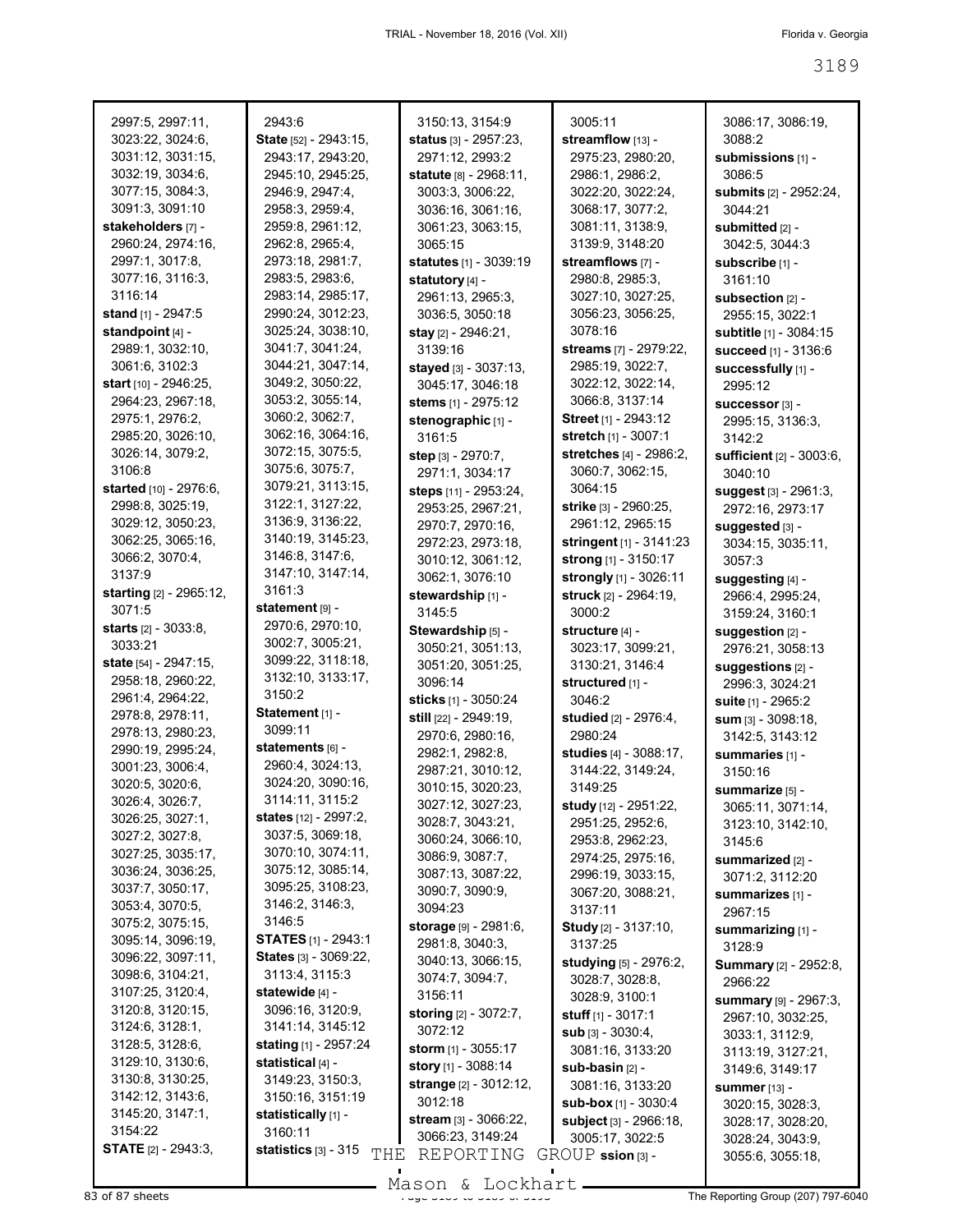| 2997:5, 2997:11,                     | 2943:6                               | 3150:13, 3154:9                          | 3005:11                              | 3086:17, 3086:19,                        |
|--------------------------------------|--------------------------------------|------------------------------------------|--------------------------------------|------------------------------------------|
| 3023:22, 3024:6,                     | State [52] - 2943:15,                | status [3] - 2957:23,                    | streamflow [13] -                    | 3088:2                                   |
| 3031:12, 3031:15,                    | 2943:17, 2943:20,                    | 2971:12, 2993:2                          | 2975:23, 2980:20,                    | submissions [1] -                        |
| 3032:19, 3034:6,<br>3077:15, 3084:3, | 2945:10, 2945:25,<br>2946:9, 2947:4, | statute [8] - 2968:11,                   | 2986:1, 2986:2,<br>3022:20, 3022:24, | 3086:5                                   |
| 3091:3, 3091:10                      | 2958:3, 2959:4,                      | 3003:3, 3006:22,<br>3036:16, 3061:16,    | 3068:17, 3077:2,                     | submits [2] - 2952:24,<br>3044:21        |
| stakeholders [7] -                   | 2959:8, 2961:12,                     | 3061:23, 3063:15,                        | 3081:11, 3138:9,                     | submitted [2] -                          |
| 2960:24, 2974:16,                    | 2962:8, 2965:4,                      | 3065:15                                  | 3139:9, 3148:20                      | 3042:5, 3044:3                           |
| 2997:1, 3017:8,                      | 2973:18, 2981:7,                     | statutes [1] - 3039:19                   | streamflows [7] -                    | subscribe [1] -                          |
| 3077:16, 3116:3,                     | 2983:5, 2983:6,                      | statutory [4] -                          | 2980:8, 2985:3,                      | 3161:10                                  |
| 3116:14                              | 2983:14, 2985:17,                    | 2961:13, 2965:3,                         | 3027:10, 3027:25,                    | subsection [2] -                         |
| stand [1] - 2947:5                   | 2990:24, 3012:23,                    | 3036:5, 3050:18                          | 3056:23, 3056:25,                    | 2955:15, 3022:1                          |
| standpoint [4] -                     | 3025:24, 3038:10,                    | stay [2] - 2946:21,                      | 3078:16                              | subtitle [1] - 3084:15                   |
| 2989:1, 3032:10,                     | 3041:7, 3041:24,                     | 3139:16                                  | streams [7] - 2979:22,               | succeed [1] - 3136:6                     |
| 3061:6, 3102:3                       | 3044:21, 3047:14,                    | stayed [3] - 3037:13,                    | 2985:19, 3022:7,                     | successfully [1] -                       |
| start $[10] - 2946:25$ ,             | 3049:2, 3050:22,                     | 3045:17, 3046:18                         | 3022:12, 3022:14,                    | 2995:12                                  |
| 2964:23, 2967:18,                    | 3053:2, 3055:14,                     | stems [1] - 2975:12                      | 3066:8, 3137:14                      | SUCCeSSOI <sup>*</sup> [3] -             |
| 2975:1, 2976:2,                      | 3060:2, 3062:7,                      | stenographic [1] -                       | Street [1] - 2943:12                 | 2995:15, 3136:3,                         |
| 2985:20, 3026:10,                    | 3062:16, 3064:16,                    | 3161:5                                   | stretch [1] - 3007:1                 | 3142:2                                   |
| 3026:14, 3079:2,                     | 3072:15, 3075:5,                     | step [3] - 2970:7,                       | stretches [4] - 2986:2,              | sufficient [2] - 3003:6,                 |
| 3106:8                               | 3075:6, 3075:7,                      | 2971:1, 3034:17                          | 3060:7, 3062:15,                     | 3040:10                                  |
| started [10] - 2976:6,               | 3079:21, 3113:15,                    | steps [11] - 2953:24,                    | 3064:15                              | suggest [3] - 2961:3,                    |
| 2998:8, 3025:19,                     | 3122:1, 3127:22,                     | 2953:25, 2967:21,                        | strike [3] - 2960:25,                | 2972:16, 2973:17                         |
| 3029:12, 3050:23,                    | 3136:9, 3136:22,                     | 2970:7, 2970:16,                         | 2961:12, 2965:15                     | suggested [3] -                          |
| 3062:25, 3065:16,                    | 3140:19, 3145:23,                    | 2972:23, 2973:18,                        | stringent [1] - 3141:23              | 3034:15, 3035:11,                        |
| 3066:2, 3070:4,                      | 3146:8, 3147:6,                      | 3010:12, 3061:12,                        | strong [1] - 3150:17                 | 3057:3                                   |
| 3137:9                               | 3147:10, 3147:14,                    | 3062:1, 3076:10                          | strongly [1] - 3026:11               | suggesting [4] -                         |
| <b>starting</b> [2] - 2965:12,       | 3161:3                               | stewardship [1] -                        | struck [2] - 2964:19,                | 2966:4, 2995:24,                         |
| 3071:5                               | statement [9] -                      | 3145:5                                   | 3000:2                               | 3159:24, 3160:1                          |
| <b>starts</b> [2] - 3033:8,          | 2970:6, 2970:10,                     | Stewardship [5] -                        | structure [4] -                      | suggestion [2] -                         |
| 3033:21                              | 3002:7, 3005:21,                     | 3050:21, 3051:13,                        | 3023:17, 3099:21,                    | 2976:21, 3058:13                         |
| state [54] - 2947:15,                | 3099:22, 3118:18,                    | 3051:20, 3051:25,                        | 3130:21, 3146:4                      | suggestions [2] -                        |
| 2958:18, 2960:22,                    | 3132:10, 3133:17,                    | 3096:14                                  | structured [1] -                     | 2996:3, 3024:21                          |
| 2961:4, 2964:22,                     | 3150:2                               | sticks [1] - 3050:24                     | 3046:2                               | suite [1] - 2965:2                       |
| 2978:8, 2978:11,                     | Statement [1] -<br>3099:11           | still [22] - 2949:19,                    | studied [2] - 2976:4,                | $sum_{[3]} - 3098:18,$                   |
| 2978:13, 2980:23,                    |                                      | 2970:6, 2980:16,                         | 2980:24                              | 3142:5, 3143:12                          |
| 2990:19, 2995:24,                    | statements [6] -<br>2960:4, 3024:13, | 2982:1, 2982:8,                          | studies [4] - 3088:17,               | summaries [1] -                          |
| 3001:23, 3006:4,                     | 3024:20, 3090:16,                    | 2987:21, 3010:12,                        | 3144:22, 3149:24,                    | 3150:16                                  |
| 3020:5, 3020:6,                      | 3114:11, 3115:2                      | 3010:15, 3020:23,                        | 3149:25                              | summarize [5] -                          |
| 3026:4, 3026:7,                      | states [12] - 2997:2,                | 3027:12, 3027:23,                        | study [12] - 2951:22,                | 3065:11, 3071:14,                        |
| 3026:25, 3027:1,<br>3027:2, 3027:8,  | 3037:5, 3069:18,                     | 3028:7, 3043:21,                         | 2951:25, 2952:6,                     | 3123:10, 3142:10,                        |
| 3027:25, 3035:17,                    | 3070:10, 3074:11,                    | 3060:24, 3066:10,                        | 2953:8, 2962:23,                     | 3145:6                                   |
| 3036:24, 3036:25,                    | 3075:12, 3085:14,                    | 3086:9, 3087:7,                          | 2974:25, 2975:16,                    | summarized [2] -                         |
| 3037:7, 3050:17,                     | 3095:25, 3108:23,                    | 3087:13, 3087:22,                        | 2996:19, 3033:15,                    | 3071:2, 3112:20                          |
| 3053:4, 3070:5,                      | 3146:2, 3146:3,                      | 3090:7, 3090:9,<br>3094:23               | 3067:20, 3088:21,                    | summarizes [1] -                         |
| 3075:2, 3075:15,                     | 3146:5                               |                                          | 3137:11                              | 2967:15                                  |
| 3095:14, 3096:19,                    | <b>STATES</b> [1] - 2943:1           | storage [9] - 2981:6,<br>2981:8, 3040:3, | <b>Study</b> [2] - 3137:10,          | summarizing [1] -                        |
| 3096:22, 3097:11,                    | States [3] - 3069:22,                | 3040:13, 3066:15,                        | 3137:25                              | 3128:9                                   |
| 3098:6, 3104:21,                     | 3113:4, 3115:3                       | 3074:7, 3094:7,                          | studying [5] - 2976:2,               | <b>Summary</b> [2] - 2952:8,             |
| 3107:25, 3120:4,                     | statewide [4] -                      | 3156:11                                  | 3028:7, 3028:8,<br>3028:9, 3100:1    | 2966:22                                  |
| 3120:8, 3120:15,                     | 3096:16, 3120:9,                     | <b>storing</b> [2] - 3072:7,             | stuff $[1] - 3017:1$                 | <b>summary</b> [9] - 2967:3,             |
| 3124:6, 3128:1,                      | 3141:14, 3145:12                     | 3072:12                                  | sub [3] - 3030:4,                    | 2967:10, 3032:25,                        |
| 3128:5, 3128:6,                      | stating [1] - 2957:24                | storm $[1]$ - 3055:17                    | 3081:16, 3133:20                     | 3033:1, 3112:9,                          |
| 3129:10, 3130:6,                     | statistical [4] -                    | story [1] - 3088:14                      | $sub-basin$ [2] -                    | 3113:19, 3127:21,<br>3149:6, 3149:17     |
| 3130:8, 3130:25,                     | 3149:23, 3150:3,                     | strange [2] - 3012:12,                   | 3081:16, 3133:20                     |                                          |
| 3142:12, 3143:6,                     | 3150:16, 3151:19                     | 3012:18                                  | <b>sub-box</b> $[1]$ - 3030:4        | <b>summer</b> [13] -<br>3020:15, 3028:3, |
| 3145:20, 3147:1,                     | statistically [1] -                  | stream [3] - 3066:22,                    | subject [3] - 2966:18,               | 3028:17, 3028:20,                        |
| 3154:22                              | 3160:11                              | 3066:23, 3149:24                         | 3005:17, 3022:5                      | 3028:24, 3043:9,                         |
| <b>STATE</b> [2] - 2943:3,           | statistics $[3] - 315$<br>THE        | REPORTING                                | $GROUP$ ssion $[3]$ -                | 3055:6, 3055:18,                         |
|                                      |                                      |                                          |                                      |                                          |

 $83$  of 87 sheets  $\frac{1889}{189}$  and  $\frac{189}{189}$  of 3189 of 3189 of 3189 of 3189 The Reporting Group (207) 797-6040 Mason & Lockhart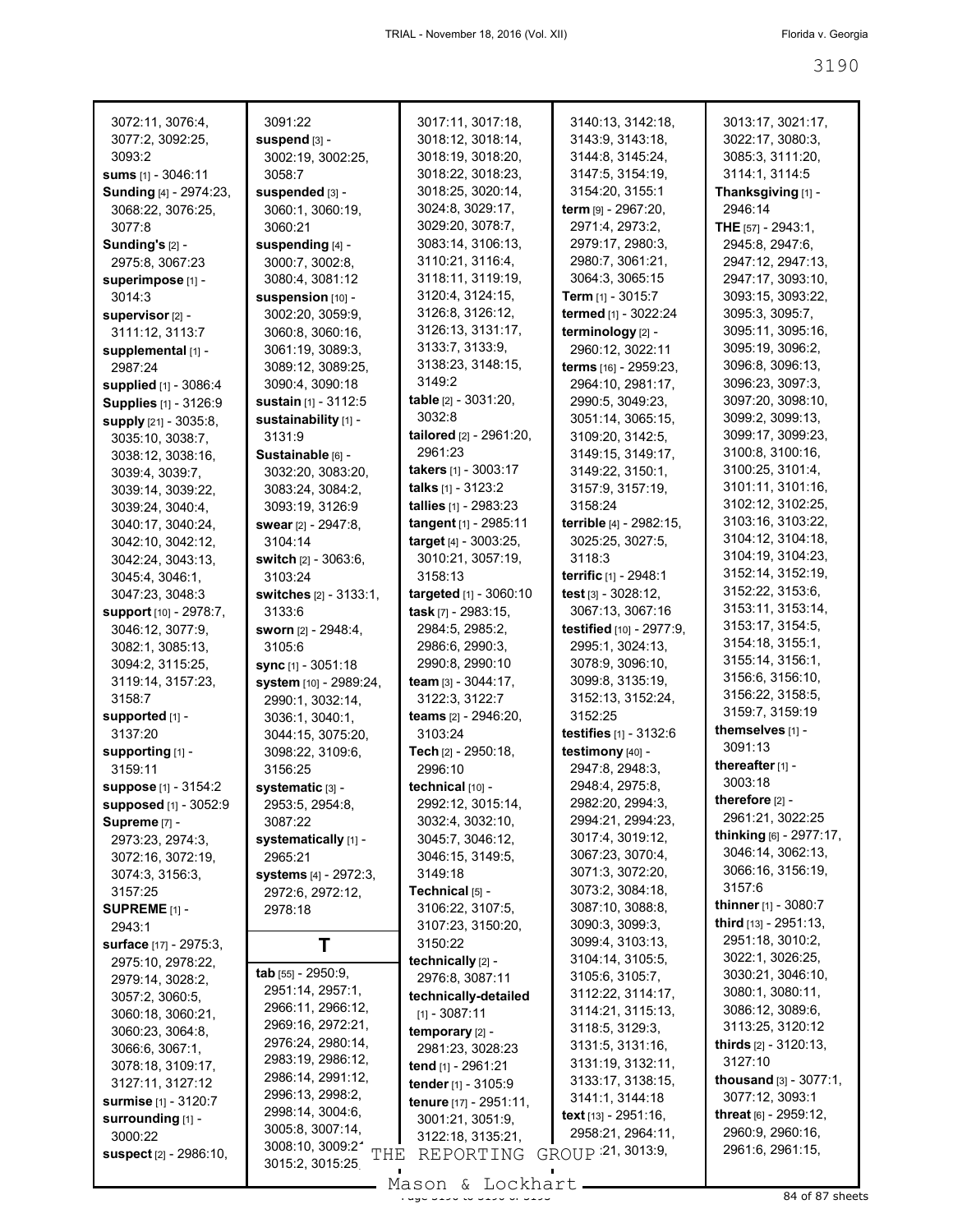| 3072:11, 3076:4,             | 3091:22                                          | 3017:11, 3017:18,                    | 3140:13, 3142:18,                            | 3013:17, 3021:17,                                |
|------------------------------|--------------------------------------------------|--------------------------------------|----------------------------------------------|--------------------------------------------------|
| 3077:2, 3092:25,             | suspend [3] -                                    | 3018:12, 3018:14,                    | 3143:9, 3143:18,                             | 3022:17, 3080:3,                                 |
| 3093:2                       | 3002:19, 3002:25,                                | 3018:19, 3018:20,                    | 3144:8, 3145:24,                             | 3085:3, 3111:20,                                 |
| <b>sums</b> $[1] - 3046:11$  | 3058:7                                           | 3018:22, 3018:23,                    | 3147:5, 3154:19,                             | 3114:1, 3114:5                                   |
| Sunding [4] - 2974:23,       | suspended [3] -                                  | 3018:25, 3020:14,                    | 3154:20, 3155:1                              | Thanksgiving [1] -                               |
| 3068:22, 3076:25,            | 3060:1, 3060:19,                                 | 3024:8, 3029:17,                     | term [9] - 2967:20,                          | 2946:14                                          |
| 3077:8                       | 3060:21                                          | 3029:20, 3078:7,                     | 2971:4, 2973:2,                              | THE [57] - 2943:1,                               |
| Sunding's $[2]$ -            | suspending [4] -                                 | 3083:14, 3106:13,                    | 2979:17, 2980:3,                             | 2945:8, 2947:6,                                  |
| 2975:8, 3067:23              | 3000:7, 3002:8,                                  | 3110:21, 3116:4,                     | 2980:7, 3061:21,                             | 2947:12, 2947:13,                                |
| superimpose [1] -            | 3080:4, 3081:12                                  | 3118:11, 3119:19,                    | 3064:3, 3065:15                              | 2947:17, 3093:10,                                |
| 3014:3                       | suspension [10] -                                | 3120:4, 3124:15,                     | <b>Term</b> $[1]$ - 3015:7                   | 3093:15, 3093:22,                                |
| supervisor [2] -             | 3002:20, 3059:9,                                 | 3126:8, 3126:12,                     | termed [1] - 3022:24                         | 3095:3, 3095:7,                                  |
| 3111:12, 3113:7              | 3060:8, 3060:16,                                 | 3126:13, 3131:17,                    | terminology [2] -                            | 3095:11, 3095:16,                                |
| supplemental [1] -           | 3061:19, 3089:3,                                 | 3133:7, 3133:9,                      | 2960:12, 3022:11                             | 3095:19, 3096:2,                                 |
| 2987:24                      | 3089:12, 3089:25,                                | 3138:23, 3148:15,                    | terms [16] - 2959:23,                        | 3096:8, 3096:13,                                 |
| supplied [1] - 3086:4        | 3090:4, 3090:18                                  | 3149:2                               | 2964:10, 2981:17,                            | 3096:23, 3097:3,                                 |
| Supplies [1] - 3126:9        | sustain [1] - 3112:5                             | table [2] - 3031:20,                 | 2990:5, 3049:23,                             | 3097:20, 3098:10,                                |
| supply [21] - 3035:8,        | sustainability [1] -                             | 3032:8                               | 3051:14, 3065:15,                            | 3099:2, 3099:13,                                 |
| 3035:10, 3038:7,             | 3131:9                                           | tailored [2] - 2961:20,              | 3109:20, 3142:5,                             | 3099:17, 3099:23,                                |
| 3038:12, 3038:16,            | Sustainable [6] -                                | 2961:23                              | 3149:15, 3149:17,                            | 3100:8, 3100:16,                                 |
| 3039:4, 3039:7,              | 3032:20, 3083:20,                                | takers [1] - 3003:17                 | 3149:22, 3150:1,                             | 3100:25, 3101:4,                                 |
| 3039:14, 3039:22,            | 3083:24, 3084:2,                                 | talks [1] - 3123:2                   | 3157:9, 3157:19,                             | 3101:11, 3101:16,                                |
| 3039:24, 3040:4,             | 3093:19, 3126:9                                  | tallies [1] - 2983:23                | 3158:24                                      | 3102:12, 3102:25,                                |
| 3040:17, 3040:24,            | swear [2] - 2947:8,                              | tangent [1] - 2985:11                | terrible [4] - 2982:15,                      | 3103:16, 3103:22,                                |
| 3042:10, 3042:12,            | 3104:14                                          | target [4] - 3003:25,                | 3025:25, 3027:5,                             | 3104:12, 3104:18,                                |
| 3042:24, 3043:13,            | switch [2] - 3063:6,                             | 3010:21, 3057:19,                    | 3118:3                                       | 3104:19, 3104:23,                                |
| 3045:4, 3046:1,              | 3103:24                                          | 3158:13                              | terrific [1] - 2948:1                        | 3152:14, 3152:19,                                |
| 3047:23, 3048:3              | switches [2] - 3133:1,                           | targeted [1] - 3060:10               | test $[3] - 3028:12,$                        | 3152:22, 3153:6,                                 |
| support [10] - 2978:7,       | 3133:6                                           | task $[7] - 2983:15$ ,               | 3067:13, 3067:16                             | 3153:11, 3153:14,                                |
| 3046:12, 3077:9,             | sworn [2] - 2948:4,                              | 2984:5, 2985:2,                      | testified [10] - 2977:9,                     | 3153:17, 3154:5,                                 |
| 3082:1, 3085:13,             | 3105:6                                           | 2986:6, 2990:3,                      | 2995:1, 3024:13,                             | 3154:18, 3155:1,                                 |
| 3094:2, 3115:25,             | sync [1] - 3051:18                               | 2990:8, 2990:10                      | 3078:9, 3096:10,                             | 3155:14, 3156:1,                                 |
| 3119:14, 3157:23,            | system [10] - 2989:24,                           | team [3] - 3044:17,                  | 3099:8, 3135:19,                             | 3156:6, 3156:10,                                 |
| 3158:7                       | 2990:1, 3032:14,                                 | 3122:3, 3122:7                       | 3152:13, 3152:24,                            | 3156:22, 3158:5,                                 |
| supported [1] -              |                                                  | teams [2] - 2946:20,                 | 3152:25                                      | 3159:7, 3159:19                                  |
| 3137:20                      | 3036:1, 3040:1,<br>3044:15, 3075:20,             | 3103:24                              | testifies [1] - 3132:6                       | themselves [1] -                                 |
| supporting [1] -             |                                                  | Tech [2] - 2950:18,                  | testimony [40] -                             | 3091:13                                          |
| 3159:11                      | 3098:22, 3109:6,                                 | 2996:10                              | 2947:8, 2948:3,                              | thereafter $[1]$ -                               |
|                              | 3156:25                                          |                                      | 2948:4, 2975:8,                              | 3003:18                                          |
| <b>suppose</b> [1] - 3154:2  | systematic [3] -                                 | technical [10] -                     | 2982:20, 2994:3,                             | therefore [2] -                                  |
| <b>supposed</b> [1] - 3052:9 | 2953:5, 2954:8,                                  | 2992:12, 3015:14,                    | 2994:21, 2994:23,                            | 2961:21, 3022:25                                 |
| Supreme <sub>[7]</sub> -     | 3087:22                                          | 3032:4, 3032:10,<br>3045:7, 3046:12, | 3017:4, 3019:12,                             | thinking [6] - 2977:17,                          |
| 2973:23, 2974:3,             | systematically [1] -                             |                                      |                                              | 3046:14, 3062:13,                                |
| 3072:16, 3072:19,            | 2965:21                                          | 3046:15, 3149:5,                     | 3067:23, 3070:4,<br>3071:3, 3072:20,         | 3066:16, 3156:19,                                |
| 3074:3, 3156:3,              | systems [4] - 2972:3,                            | 3149:18                              | 3073:2, 3084:18,                             | 3157:6                                           |
| 3157:25                      | 2972:6, 2972:12,                                 | Technical [5] -                      | 3087:10, 3088:8,                             | thinner [1] - 3080:7                             |
| SUPREME <sub>[1]</sub> -     | 2978:18                                          | 3106:22, 3107:5,                     | 3090:3, 3099:3,                              | third [13] - 2951:13,                            |
| 2943:1                       |                                                  | 3107:23, 3150:20,                    | 3099:4, 3103:13,                             | 2951:18, 3010:2,                                 |
| surface [17] - 2975:3,       | Τ                                                | 3150:22                              | 3104:14, 3105:5,                             | 3022:1, 3026:25,                                 |
| 2975:10, 2978:22,            | tab [55] - 2950:9.                               | technically [2] -                    | 3105:6, 3105:7,                              | 3030:21, 3046:10,                                |
| 2979:14, 3028:2,             | 2951:14, 2957:1,                                 | 2976:8, 3087:11                      | 3112:22, 3114:17,                            | 3080:1, 3080:11,                                 |
| 3057:2, 3060:5,              | 2966:11, 2966:12,                                | technically-detailed                 | 3114:21, 3115:13,                            | 3086:12, 3089:6,                                 |
| 3060:18, 3060:21,            | 2969:16, 2972:21,                                | $[1] - 3087:11$                      | 3118:5, 3129:3,                              | 3113:25, 3120:12                                 |
| 3060:23, 3064:8,             | 2976:24, 2980:14,                                | temporary [2] -                      | 3131:5, 3131:16,                             | <b>thirds</b> $[2] - 3120:13$ ,                  |
| 3066:6, 3067:1,              | 2983:19, 2986:12,                                | 2981:23, 3028:23                     | 3131:19, 3132:11,                            | 3127:10                                          |
| 3078:18, 3109:17,            | 2986:14, 2991:12,                                | tend [1] - 2961:21                   |                                              | <b>thousand</b> $[3] - 3077:1$ ,                 |
| 3127:11, 3127:12             | 2996:13, 2998:2,                                 | tender [1] - 3105:9                  | 3133:17, 3138:15,<br>3141:1, 3144:18         | 3077:12, 3093:1                                  |
| <b>surmise</b> [1] - 3120:7  | 2998:14, 3004:6,                                 | tenure [17] - 2951:11,               |                                              |                                                  |
| surrounding [1] -            | 3005:8, 3007:14,                                 | 3001:21, 3051:9,                     | text $[13] - 2951:16$ ,<br>2958:21, 2964:11, | <b>threat</b> [6] - 2959:12,<br>2960:9, 2960:16, |
| 3000:22                      | 3008:10, 3009:21                                 | 3122:18, 3135:21,                    |                                              | 2961:6, 2961:15,                                 |
| suspect [2] - 2986:10,       | $\operatorname{\mathbf{THE}}$<br>3015:2, 3015:25 | REPORTING                            | GROUP 21, 3013:9,                            |                                                  |

Mason & Lockhart 
1998 - 2009 - 2009 10:00 10:00 10:00 10:00 10:00 10:00 10:00 10:00 10:00 10:00 10:00 10:00 1<br>
Property to 3193 84 of 87 sheets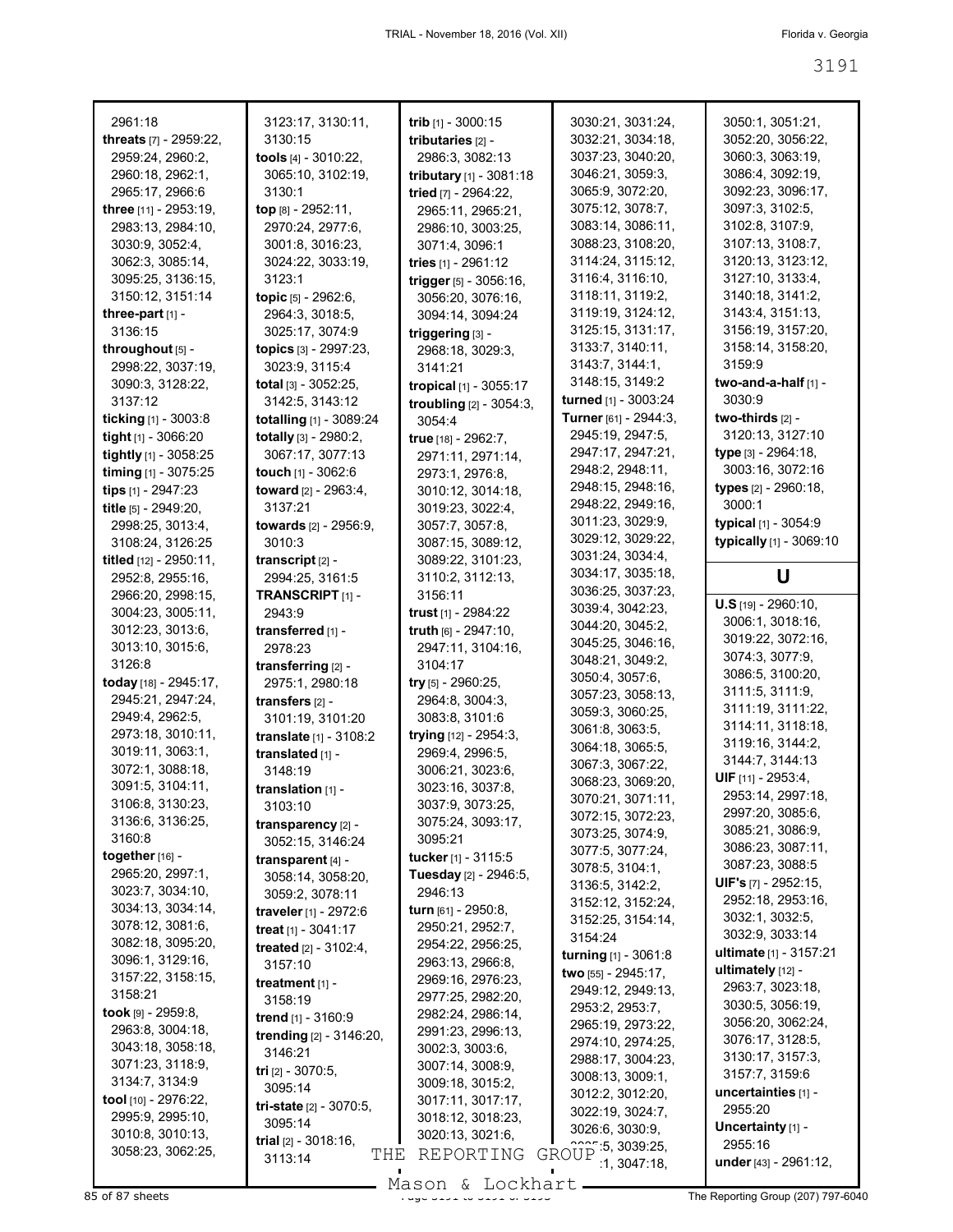| 2961:18                      | 3123:17, 3130:11,                                | trib [1] - 3000:15         | 3030:21, 3031:24,                      | 3050:1, 3051:21,                 |
|------------------------------|--------------------------------------------------|----------------------------|----------------------------------------|----------------------------------|
| threats [7] - 2959:22,       | 3130:15                                          | tributaries [2] -          | 3032:21, 3034:18,                      | 3052:20, 3056:22,                |
| 2959:24, 2960:2,             | tools [4] - 3010:22,                             | 2986:3, 3082:13            | 3037:23, 3040:20,                      | 3060:3, 3063:19,                 |
| 2960:18, 2962:1,             | 3065:10, 3102:19,                                |                            | 3046:21, 3059:3,                       | 3086:4, 3092:19,                 |
|                              |                                                  | tributary [1] - 3081:18    |                                        |                                  |
| 2965:17, 2966:6              | 3130:1                                           | tried [7] - 2964:22,       | 3065:9, 3072:20,                       | 3092:23, 3096:17,                |
| three [11] - 2953:19,        | top [8] - 2952:11,                               | 2965:11, 2965:21,          | 3075:12, 3078:7,                       | 3097:3, 3102:5,                  |
| 2983:13, 2984:10,            | 2970:24, 2977:6,                                 | 2986:10, 3003:25,          | 3083:14, 3086:11,                      | 3102:8, 3107:9,                  |
| 3030:9, 3052:4,              | 3001:8, 3016:23,                                 | 3071:4, 3096:1             | 3088:23, 3108:20,                      | 3107:13, 3108:7,                 |
| 3062:3, 3085:14,             | 3024:22, 3033:19,                                | tries [1] - 2961:12        | 3114:24, 3115:12,                      | 3120:13, 3123:12,                |
| 3095:25, 3136:15,            | 3123:1                                           | trigger [5] - 3056:16,     | 3116:4, 3116:10,                       | 3127:10, 3133:4,                 |
| 3150:12, 3151:14             |                                                  |                            | 3118:11, 3119:2,                       | 3140:18, 3141:2,                 |
|                              | topic [5] - 2962:6,                              | 3056:20, 3076:16,          |                                        |                                  |
| three-part $[1]$ -           | 2964:3, 3018:5,                                  | 3094:14, 3094:24           | 3119:19, 3124:12,                      | 3143:4, 3151:13,                 |
| 3136:15                      | 3025:17, 3074:9                                  | triggering [3] -           | 3125:15, 3131:17,                      | 3156:19, 3157:20,                |
| throughout [5] -             | topics [3] - 2997:23,                            | 2968:18, 3029:3,           | 3133:7, 3140:11,                       | 3158:14, 3158:20,                |
| 2998:22, 3037:19,            | 3023:9, 3115:4                                   | 3141:21                    | 3143:7, 3144:1,                        | 3159:9                           |
| 3090:3, 3128:22,             | total [3] - 3052:25,                             | tropical [1] - 3055:17     | 3148:15, 3149:2                        | two-and-a-half [1] -             |
| 3137:12                      | 3142:5, 3143:12                                  | troubling $[2] - 3054:3$ , | turned [1] - 3003:24                   | 3030:9                           |
| ticking $[1] - 3003.8$       | totalling [1] - 3089:24                          |                            | Turner [61] - 2944:3,                  | two-thirds [2] -                 |
|                              |                                                  | 3054:4                     | 2945:19, 2947:5,                       | 3120:13, 3127:10                 |
| tight [1] - 3066:20          | totally [3] - 2980:2,                            | true [18] - 2962:7,        |                                        |                                  |
| tightly [1] - 3058:25        | 3067:17, 3077:13                                 | 2971:11, 2971:14,          | 2947:17, 2947:21,                      | type [3] - 2964:18,              |
| timing $[1]$ - 3075:25       | touch $[1]$ - 3062:6                             | 2973:1, 2976:8,            | 2948:2, 2948:11,                       | 3003:16, 3072:16                 |
| tips [1] - 2947:23           | toward [2] - 2963:4.                             | 3010:12, 3014:18,          | 2948:15, 2948:16,                      | types [2] - 2960:18,             |
| title [5] - 2949:20,         | 3137:21                                          | 3019:23, 3022:4,           | 2948:22, 2949:16,                      | 3000:1                           |
| 2998:25, 3013:4,             | towards [2] - 2956:9,                            | 3057:7, 3057:8,            | 3011:23, 3029:9,                       | typical [1] - 3054:9             |
|                              |                                                  |                            | 3029:12, 3029:22,                      | typically [1] - 3069:10          |
| 3108:24, 3126:25             | 3010:3                                           | 3087:15, 3089:12,          | 3031:24, 3034:4,                       |                                  |
| titled [12] - 2950:11,       | transcript $[2]$ -                               | 3089:22, 3101:23,          | 3034:17, 3035:18,                      |                                  |
| 2952:8, 2955:16,             | 2994:25, 3161:5                                  | 3110:2, 3112:13,           |                                        | U                                |
| 2966:20, 2998:15,            | TRANSCRIPT <sub>[1]</sub> -                      | 3156:11                    | 3036:25, 3037:23,                      | $U.S$ [19] - 2960:10,            |
| 3004:23, 3005:11,            | 2943:9                                           | trust $[1]$ - 2984:22      | 3039:4, 3042:23,                       |                                  |
| 3012:23, 3013:6,             | transferred [1] -                                | truth [6] - 2947:10,       | 3044:20, 3045:2,                       | 3006:1, 3018:16,                 |
| 3013:10, 3015:6,             | 2978:23                                          | 2947:11, 3104:16,          | 3045:25, 3046:16,                      | 3019:22, 3072:16,                |
| 3126:8                       | transferring [2] -                               | 3104:17                    | 3048:21, 3049:2,                       | 3074:3, 3077:9,                  |
| today [18] - 2945:17,        | 2975:1, 2980:18                                  | try $[5]$ - 2960:25,       | 3050:4, 3057:6,                        | 3086:5, 3100:20,                 |
| 2945:21, 2947:24,            |                                                  |                            | 3057:23, 3058:13,                      | 3111:5, 3111:9,                  |
|                              | transfers [2] -                                  | 2964:8, 3004:3,            | 3059:3, 3060:25,                       | 3111:19, 3111:22,                |
| 2949:4, 2962:5,              | 3101:19, 3101:20                                 | 3083:8, 3101:6             | 3061:8, 3063:5,                        | 3114:11, 3118:18,                |
| 2973:18, 3010:11,            | translate [1] - 3108:2                           | trying [12] - 2954:3,      | 3064:18, 3065:5,                       | 3119:16, 3144:2,                 |
| 3019:11, 3063:1,             | translated [1] -                                 | 2969:4, 2996:5,            |                                        | 3144:7, 3144:13                  |
| 3072:1, 3088:18,             | 3148:19                                          | 3006:21, 3023:6,           | 3067:3, 3067:22,                       | <b>UIF</b> $[11] - 2953:4$ ,     |
| 3091:5, 3104:11,             | translation [1] -                                | 3023:16, 3037:8,           | 3068:23, 3069:20,                      |                                  |
| 3106:8, 3130:23,             | 3103:10                                          | 3037:9, 3073:25,           | 3070:21, 3071:11,                      | 2953:14, 2997:18,                |
| 3136:6, 3136:25,             | transparency [2] -                               | 3075:24, 3093:17,          | 3072:15, 3072:23,                      | 2997:20, 3085:6,                 |
| 3160:8                       |                                                  | 3095:21                    | 3073:25, 3074:9,                       | 3085:21, 3086:9,                 |
| together $[16]$ -            | 3052:15, 3146:24                                 | tucker [1] - 3115:5        | 3077:5, 3077:24,                       | 3086:23, 3087:11,                |
| 2965:20, 2997:1,             | transparent $[4]$ -                              |                            | 3078:5, 3104:1,                        | 3087:23, 3088:5                  |
|                              | 3058:14, 3058:20,                                | Tuesday [2] - 2946:5,      | 3136:5, 3142:2,                        | UIF's [7] - 2952:15,             |
| 3023:7, 3034:10,             | 3059:2, 3078:11                                  | 2946:13                    | 3152:12, 3152:24,                      | 2952:18, 2953:16,                |
| 3034:13, 3034:14,            | traveler [1] - 2972:6                            | turn [61] - 2950:8,        | 3152:25, 3154:14,                      | 3032:1, 3032:5,                  |
| 3078:12, 3081:6,             | treat $[1]$ - 3041:17                            | 2950:21, 2952:7,           |                                        | 3032:9, 3033:14                  |
| 3082:18, 3095:20,            | <b>treated</b> $[2] - 3102:4$ ,                  | 2954:22, 2956:25,          | 3154:24                                |                                  |
| 3096:1, 3129:16,             | 3157:10                                          | 2963:13, 2966:8,           | turning [1] - 3061:8                   | ultimate $[1] - 3157:21$         |
| 3157:22, 3158:15,            | treatment $[1]$ -                                | 2969:16, 2976:23,          | two [55] - 2945:17,                    | ultimately $[12] -$              |
| 3158:21                      |                                                  | 2977:25, 2982:20,          | 2949:12, 2949:13,                      | 2963:7, 3023:18,                 |
| <b>took</b> [9] - $2959:8$ , | 3158:19                                          | 2982:24, 2986:14,          | 2953:2, 2953:7,                        | 3030:5, 3056:19,                 |
| 2963:8, 3004:18,             | trend [1] - 3160:9                               |                            | 2965:19, 2973:22,                      | 3056:20, 3062:24,                |
|                              | trending [2] - 3146:20,                          | 2991:23, 2996:13,          | 2974:10, 2974:25,                      | 3076:17, 3128:5,                 |
| 3043:18, 3058:18,            |                                                  |                            |                                        |                                  |
|                              | 3146:21                                          | 3002:3, 3003:6,            |                                        |                                  |
| 3071:23, 3118:9,             | tri [2] - 3070:5,                                | 3007:14, 3008:9,           | 2988:17, 3004:23,                      | 3130:17, 3157:3,                 |
| 3134:7, 3134:9               | 3095:14                                          | 3009:18, 3015:2,           | 3008:13, 3009:1,                       | 3157:7, 3159:6                   |
| tool [10] - 2976:22,         |                                                  | 3017:11, 3017:17,          | 3012:2, 3012:20,                       | uncertainties [1] -              |
| 2995:9, 2995:10,             | tri-state [2] - 3070:5,                          | 3018:12, 3018:23,          | 3022:19, 3024:7,                       | 2955:20                          |
| 3010:8, 3010:13,             | 3095:14                                          | 3020:13, 3021:6,           | 3026:6, 3030:9,                        | Uncertainty [1] -                |
| 3058:23, 3062:25,            | <b>trial</b> $[2] - 3018:16$ ,<br>THE<br>3113:14 | REPORTING                  | 222.5, 3039.25,<br>GROUP<br>1,3047:18, | 2955:16<br>under [43] - 2961:12, |

 $85$  of 87 sheets  $\frac{339}{100}$  of  $\frac{319}{100}$  of  $\frac{319}{100}$  of  $\frac{319}{100}$  of  $\frac{319}{100}$  of  $\frac{319}{100}$  of  $\frac{319}{100}$  of  $\frac{319}{100}$  of  $\frac{319}{100}$  of  $\frac{319}{100}$  of  $\frac{319}{100}$  of  $\frac{319}{100}$  of Mason & Lockhart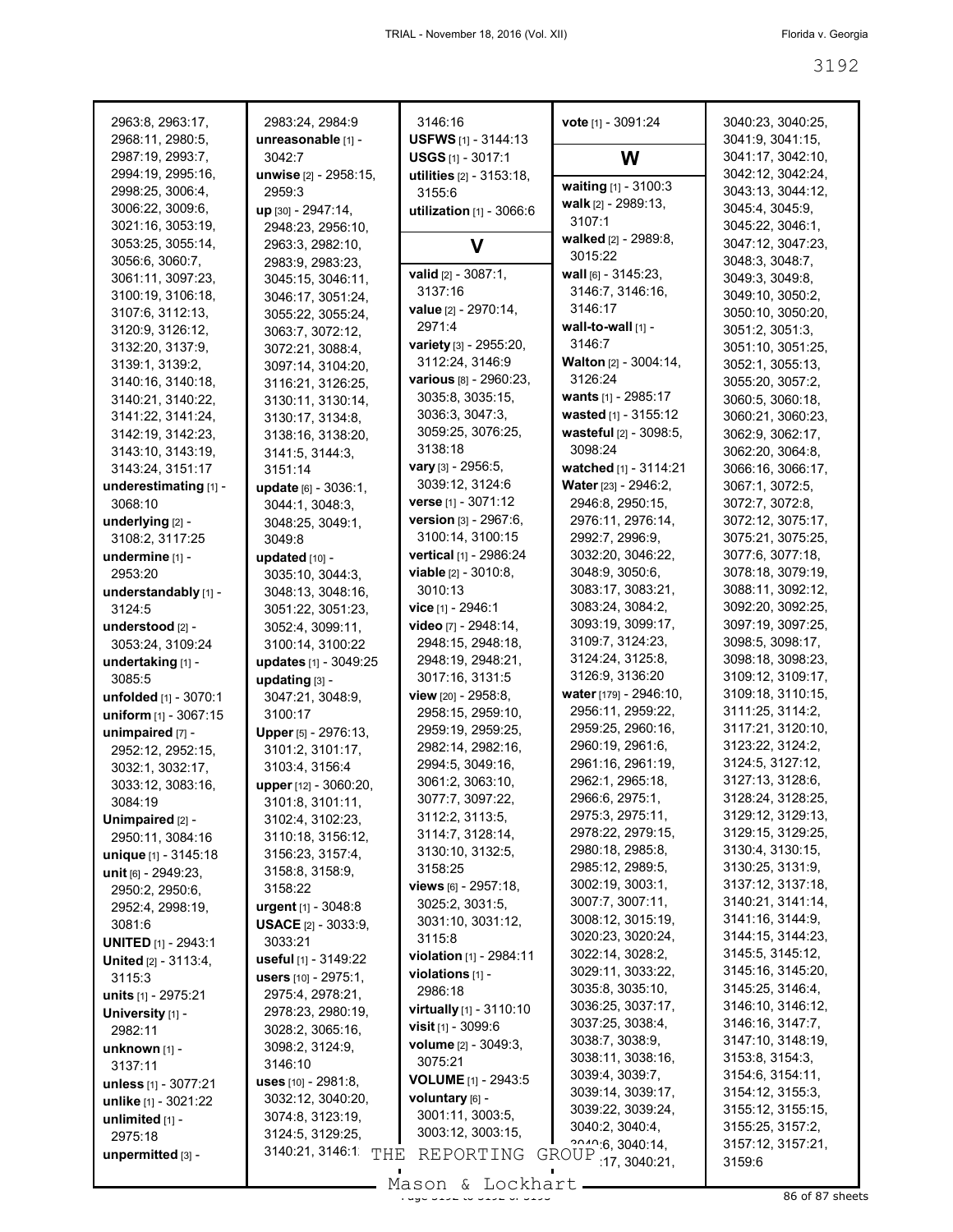| 2963:8, 2963:17,                      | 2983:24, 2984:9                           | 3146:16                                       | vote [1] - 3091:24                    | 3040:23, 3040:25,                      |
|---------------------------------------|-------------------------------------------|-----------------------------------------------|---------------------------------------|----------------------------------------|
| 2968:11, 2980:5,                      | unreasonable [1] -<br>3042:7              | USFWS [1] - 3144:13                           |                                       | 3041:9, 3041:15,                       |
| 2987:19, 2993:7,<br>2994:19, 2995:16, |                                           | <b>USGS</b> $[1]$ - 3017:1                    | W                                     | 3041:17, 3042:10,<br>3042:12, 3042:24, |
| 2998:25, 3006:4,                      | unwise [2] - 2958:15,<br>2959:3           | utilities [2] - 3153:18,<br>3155:6            | waiting [1] - 3100:3                  | 3043:13, 3044:12,                      |
| 3006:22, 3009:6,                      | up [30] - 2947:14,                        | utilization $[1]$ - 3066:6                    | walk $[2] - 2989:13$ ,                | 3045:4, 3045:9,                        |
| 3021:16, 3053:19,                     | 2948:23, 2956:10,                         |                                               | 3107:1                                | 3045:22, 3046:1,                       |
| 3053:25, 3055:14,                     | 2963:3, 2982:10,                          | v                                             | walked [2] - 2989:8,                  | 3047:12, 3047:23,                      |
| 3056:6, 3060:7,                       | 2983:9, 2983:23,                          |                                               | 3015:22                               | 3048:3, 3048:7,                        |
| 3061:11, 3097:23,                     | 3045:15, 3046:11,                         | valid [2] - 3087:1,                           | wall $[6] - 3145:23$ ,                | 3049:3, 3049:8,                        |
| 3100:19, 3106:18,                     | 3046:17, 3051:24,                         | 3137:16                                       | 3146:7, 3146:16,                      | 3049:10, 3050:2,                       |
| 3107:6, 3112:13,                      | 3055:22, 3055:24,                         | value [2] - 2970:14,                          | 3146:17                               | 3050:10, 3050:20,                      |
| 3120:9, 3126:12,                      | 3063:7, 3072:12,                          | 2971:4                                        | wall-to-wall $[1]$ -                  | 3051:2, 3051:3,                        |
| 3132:20, 3137:9,                      | 3072:21, 3088:4,                          | variety [3] - 2955:20,                        | 3146:7                                | 3051:10, 3051:25,                      |
| 3139:1, 3139:2,                       | 3097:14, 3104:20,                         | 3112:24, 3146:9                               | <b>Walton</b> [2] - 3004:14,          | 3052:1, 3055:13,                       |
| 3140:16, 3140:18,                     | 3116:21, 3126:25,                         | various [8] - 2960:23,                        | 3126:24                               | 3055:20, 3057:2,                       |
| 3140:21, 3140:22,                     | 3130:11, 3130:14,                         | 3035:8, 3035:15,                              | wants [1] - 2985:17                   | 3060:5, 3060:18,                       |
| 3141:22, 3141:24,                     | 3130:17, 3134:8,                          | 3036:3, 3047:3,                               | wasted [1] - 3155:12                  | 3060:21, 3060:23,                      |
| 3142:19, 3142:23,                     | 3138:16, 3138:20,                         | 3059:25, 3076:25,                             | wasteful [2] - 3098:5,                | 3062:9, 3062:17,                       |
| 3143:10, 3143:19,                     | 3141:5, 3144:3,                           | 3138:18                                       | 3098:24                               | 3062:20, 3064:8,                       |
| 3143:24, 3151:17                      | 3151:14                                   | <b>vary</b> [3] - 2956:5,                     | watched [1] - 3114:21                 | 3066:16, 3066:17,                      |
| underestimating [1] -                 | <b>update</b> $[6] - 3036:1$ ,            | 3039:12, 3124:6                               | Water [23] - 2946:2,                  | 3067:1, 3072:5,                        |
| 3068:10                               | 3044:1, 3048:3,                           | verse [1] - 3071:12                           | 2946:8, 2950:15,                      | 3072:7, 3072:8,                        |
| underlying [2] -                      | 3048:25, 3049:1,                          | version [3] - 2967:6,                         | 2976:11, 2976:14,                     | 3072:12, 3075:17,                      |
| 3108:2, 3117:25                       | 3049:8                                    | 3100:14, 3100:15                              | 2992:7, 2996:9,                       | 3075:21, 3075:25,                      |
| undermine [1] -                       | updated [10] -                            | vertical [1] - 2986:24                        | 3032:20, 3046:22,<br>3048:9, 3050:6,  | 3077:6, 3077:18,<br>3078:18, 3079:19,  |
| 2953:20                               | 3035:10, 3044:3,                          | <b>viable</b> [2] - 3010:8,<br>3010:13        | 3083:17, 3083:21,                     | 3088:11, 3092:12,                      |
| understandably [1] -                  | 3048:13, 3048:16,                         |                                               | 3083:24, 3084:2,                      | 3092:20, 3092:25,                      |
| 3124:5                                | 3051:22, 3051:23,                         | vice [1] - 2946:1<br>video [7] - 2948:14,     | 3093:19, 3099:17,                     | 3097:19, 3097:25,                      |
| understood [2] -                      | 3052:4, 3099:11,                          | 2948:15, 2948:18,                             | 3109:7, 3124:23,                      | 3098:5, 3098:17,                       |
| 3053:24, 3109:24                      | 3100:14, 3100:22<br>updates [1] - 3049:25 | 2948:19, 2948:21,                             | 3124:24, 3125:8,                      | 3098:18, 3098:23,                      |
| undertaking [1] -<br>3085:5           | updating [3] -                            | 3017:16, 3131:5                               | 3126:9, 3136:20                       | 3109:12, 3109:17,                      |
| unfolded [1] - 3070:1                 | 3047:21, 3048:9,                          | view $[20] - 2958.8$ ,                        | water [179] - 2946:10,                | 3109:18, 3110:15,                      |
| uniform [1] - 3067:15                 | 3100:17                                   | 2958:15, 2959:10,                             | 2956:11, 2959:22,                     | 3111:25, 3114:2,                       |
| unimpaired [7] -                      | Upper [5] - 2976:13,                      | 2959:19, 2959:25,                             | 2959:25, 2960:16,                     | 3117:21, 3120:10,                      |
| 2952:12, 2952:15,                     | 3101:2, 3101:17,                          | 2982:14, 2982:16,                             | 2960:19, 2961:6,                      | 3123:22, 3124:2,                       |
| 3032:1, 3032:17,                      | 3103:4, 3156:4                            | 2994:5, 3049:16,                              | 2961:16, 2961:19,                     | 3124:5, 3127:12,                       |
| 3033:12, 3083:16,                     | upper [12] - 3060:20,                     | 3061:2, 3063:10,                              | 2962:1, 2965:18,                      | 3127:13, 3128:6,                       |
| 3084:19                               | 3101:8, 3101:11,                          | 3077:7, 3097:22,                              | 2966:6, 2975:1,                       | 3128:24, 3128:25,                      |
| Unimpaired [2] -                      | 3102:4, 3102:23,                          | 3112:2, 3113:5,                               | 2975:3, 2975:11,                      | 3129:12, 3129:13,                      |
| 2950:11, 3084:16                      | 3110:18, 3156:12,                         | 3114:7, 3128:14,                              | 2978:22, 2979:15,                     | 3129:15, 3129:25,                      |
| unique [1] - 3145:18                  | 3156:23, 3157:4,                          | 3130:10, 3132:5,                              | 2980:18, 2985:8,                      | 3130:4, 3130:15,                       |
| unit [6] - 2949:23,                   | 3158:8, 3158:9,                           | 3158:25                                       | 2985:12, 2989:5,                      | 3130:25, 3131:9,                       |
| 2950:2, 2950:6,                       | 3158:22                                   | views [6] - 2957:18,                          | 3002:19, 3003:1,                      | 3137:12, 3137:18,                      |
| 2952:4, 2998:19,                      | urgent [1] - 3048:8                       | 3025:2, 3031:5,                               | 3007:7, 3007:11,                      | 3140:21, 3141:14,                      |
| 3081:6                                | <b>USACE</b> $[2] - 3033:9$               | 3031:10, 3031:12,                             | 3008:12, 3015:19,                     | 3141:16, 3144:9,                       |
| <b>UNITED</b> [1] - 2943:1            | 3033:21                                   | 3115:8                                        | 3020:23, 3020:24,<br>3022:14, 3028:2, | 3144:15, 3144:23,<br>3145:5, 3145:12,  |
| <b>United</b> [2] - 3113:4,           | useful [1] - 3149:22                      | violation [1] - 2984:11                       | 3029:11, 3033:22,                     | 3145:16, 3145:20,                      |
| 3115:3                                | <b>users</b> $[10] - 2975:1$ ,            | violations [1] -                              | 3035:8, 3035:10,                      | 3145:25, 3146:4,                       |
| units [1] - 2975:21                   | 2975:4, 2978:21,                          | 2986:18                                       | 3036:25, 3037:17,                     | 3146:10, 3146:12,                      |
| University [1] -                      | 2978:23, 2980:19,                         | virtually [1] - 3110:10                       | 3037:25, 3038:4,                      | 3146:16, 3147:7,                       |
| 2982:11                               | 3028:2, 3065:16,                          | <b>visit</b> $[1]$ - 3099:6                   | 3038:7, 3038:9,                       | 3147:10, 3148:19,                      |
| $unknown$ [1] -                       | 3098:2, 3124:9,                           | volume [2] - 3049:3,<br>3075:21               | 3038:11, 3038:16,                     | 3153:8, 3154:3,                        |
| 3137:11                               | 3146:10                                   |                                               | 3039:4, 3039:7,                       | 3154:6, 3154:11,                       |
| unless [1] - 3077:21                  | uses [10] - 2981:8,                       | <b>VOLUME</b> [1] - 2943:5<br>voluntary [6] - | 3039:14, 3039:17,                     | 3154:12, 3155:3,                       |
| unlike [1] - 3021:22                  | 3032:12, 3040:20,<br>3074:8, 3123:19,     | 3001:11, 3003:5,                              | 3039:22, 3039:24,                     | 3155:12, 3155:15,                      |
| unlimited $[1]$ -                     | 3124:5, 3129:25,                          | 3003:12, 3003:15,                             | 3040:2, 3040:4,                       | 3155:25, 3157:2,                       |
| 2975:18                               | 3140:21, 3146:1                           |                                               | 2040.6, 3040.14,                      | 3157:12, 3157:21,                      |
| unpermitted [3] -                     | THE                                       | REPORTING                                     | GROUP 17, 3040:21,                    | 3159.6                                 |